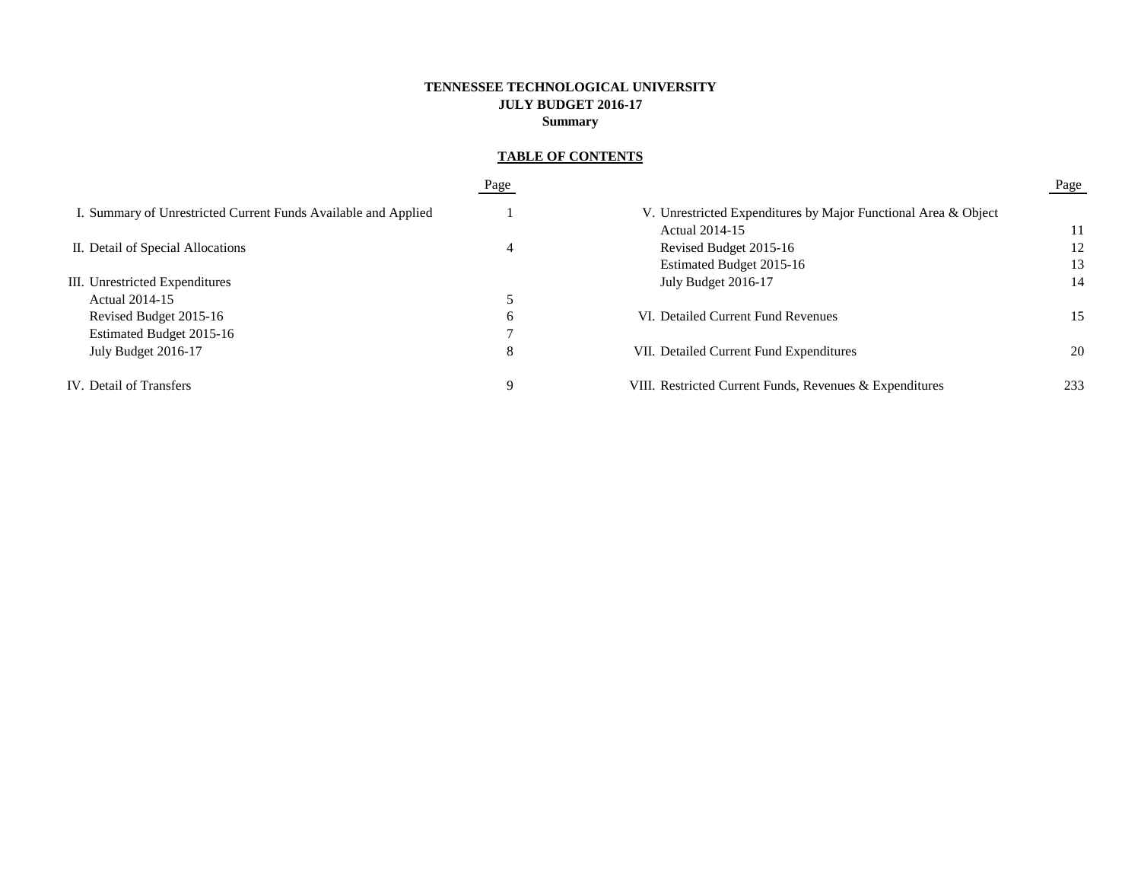# **TENNESSEE TECHNOLOGICAL UNIVERSITY JULY BUDGET 2016-17 Summary**

# **TABLE OF CONTENTS**

|                                                                | Page |                                                                | Page |
|----------------------------------------------------------------|------|----------------------------------------------------------------|------|
| I. Summary of Unrestricted Current Funds Available and Applied |      | V. Unrestricted Expenditures by Major Functional Area & Object |      |
|                                                                |      | Actual 2014-15                                                 | 11   |
| II. Detail of Special Allocations                              | 4    | Revised Budget 2015-16                                         | 12   |
|                                                                |      | Estimated Budget 2015-16                                       | 13   |
| III. Unrestricted Expenditures                                 |      | July Budget 2016-17                                            | 14   |
| Actual 2014-15                                                 |      |                                                                |      |
| Revised Budget 2015-16                                         | b    | VI. Detailed Current Fund Revenues                             | 15   |
| Estimated Budget 2015-16                                       |      |                                                                |      |
| July Budget 2016-17                                            | 8    | VII. Detailed Current Fund Expenditures                        | 20   |
| IV. Detail of Transfers                                        | q    | VIII. Restricted Current Funds, Revenues & Expenditures        | 233  |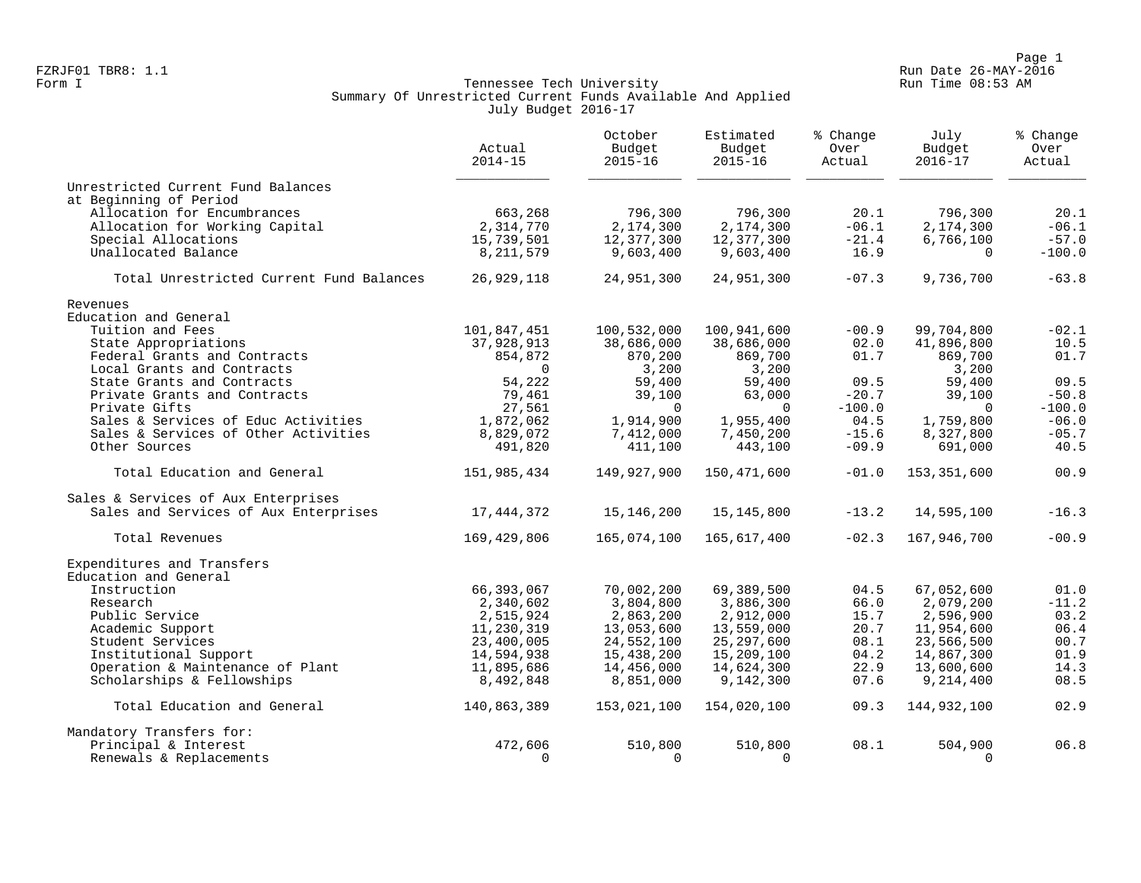Page 1 Page 1<br>Run Date 26-MAY-2016 Run Date 26-MAY-2016 FZRJF01 TBR8: 1.1 Run Date 26-MAY-2016

## Form I Georgian Communication of the Communication of Tennessee Tech University Communication Run Time 08:53 AM Summary Of Unrestricted Current Funds Available And Applied July Budget 2016-17

|                                          | Actual<br>$2014 - 15$ | October<br>Budget<br>$2015 - 16$ | Estimated<br>Budget<br>$2015 - 16$ | % Change<br>Over<br>Actual | July<br>Budget<br>$2016 - 17$ | % Change<br>Over<br>Actual |
|------------------------------------------|-----------------------|----------------------------------|------------------------------------|----------------------------|-------------------------------|----------------------------|
| Unrestricted Current Fund Balances       |                       |                                  |                                    |                            |                               |                            |
| at Beginning of Period                   |                       |                                  |                                    |                            |                               |                            |
| Allocation for Encumbrances              | 663,268               | 796,300                          | 796,300                            | 20.1                       | 796,300                       | 20.1                       |
| Allocation for Working Capital           | 2,314,770             | 2,174,300                        | 2,174,300                          | $-06.1$                    | 2,174,300                     | $-06.1$                    |
| Special Allocations                      | 15,739,501            | 12,377,300                       | 12,377,300                         | $-21.4$                    | 6,766,100                     | $-57.0$                    |
| Unallocated Balance                      | 8, 211, 579           | 9,603,400                        | 9,603,400                          | 16.9                       | $\Omega$                      | $-100.0$                   |
| Total Unrestricted Current Fund Balances | 26,929,118            | 24,951,300                       | 24,951,300                         | $-07.3$                    | 9,736,700                     | $-63.8$                    |
| Revenues                                 |                       |                                  |                                    |                            |                               |                            |
| Education and General                    |                       |                                  |                                    |                            |                               |                            |
| Tuition and Fees                         | 101,847,451           | 100,532,000                      | 100,941,600                        | $-00.9$                    | 99,704,800                    | $-02.1$                    |
| State Appropriations                     | 37,928,913            | 38,686,000                       | 38,686,000                         | 02.0                       | 41,896,800                    | 10.5                       |
| Federal Grants and Contracts             | 854,872               | 870,200                          | 869,700                            | 01.7                       | 869,700                       | 01.7                       |
| Local Grants and Contracts               | $\Omega$              | 3,200                            | 3,200                              |                            | 3,200                         |                            |
| State Grants and Contracts               | 54,222                | 59,400                           | 59,400                             | 09.5                       | 59,400                        | 09.5                       |
| Private Grants and Contracts             | 79,461                | 39,100                           | 63,000                             | $-20.7$                    | 39,100                        | $-50.8$                    |
| Private Gifts                            | 27,561                | $\Omega$                         | $\Omega$                           | $-100.0$                   | $\Omega$                      | $-100.0$                   |
| Sales & Services of Educ Activities      | 1,872,062             | 1,914,900                        | 1,955,400                          | 04.5                       | 1,759,800                     | $-06.0$                    |
| Sales & Services of Other Activities     | 8,829,072             | 7,412,000                        | 7,450,200                          | $-15.6$                    | 8,327,800                     | $-05.7$                    |
| Other Sources                            | 491,820               | 411,100                          | 443,100                            | $-09.9$                    | 691,000                       | 40.5                       |
| Total Education and General              | 151,985,434           | 149,927,900                      | 150,471,600                        | $-01.0$                    | 153,351,600                   | 00.9                       |
| Sales & Services of Aux Enterprises      |                       |                                  |                                    |                            |                               |                            |
| Sales and Services of Aux Enterprises    | 17,444,372            | 15, 146, 200                     | 15, 145, 800                       | $-13.2$                    | 14,595,100                    | $-16.3$                    |
| Total Revenues                           | 169,429,806           | 165,074,100                      | 165,617,400                        | $-02.3$                    | 167,946,700                   | $-00.9$                    |
| Expenditures and Transfers               |                       |                                  |                                    |                            |                               |                            |
| Education and General                    |                       |                                  |                                    |                            |                               |                            |
| Instruction                              | 66,393,067            | 70,002,200                       | 69,389,500                         | 04.5                       | 67,052,600                    | 01.0                       |
| Research                                 | 2,340,602             | 3,804,800                        | 3,886,300                          | 66.0                       | 2,079,200                     | $-11.2$                    |
| Public Service                           | 2,515,924             | 2,863,200                        | 2,912,000                          | 15.7                       | 2,596,900                     | 03.2                       |
| Academic Support                         | 11,230,319            | 13,053,600                       | 13,559,000                         | 20.7                       | 11,954,600                    | 06.4                       |
| Student Services                         | 23,400,005            | 24,552,100                       | 25, 297, 600                       | 08.1                       | 23,566,500                    | 00.7                       |
| Institutional Support                    | 14,594,938            | 15,438,200                       | 15,209,100                         | 04.2                       | 14,867,300                    | 01.9                       |
| Operation & Maintenance of Plant         | 11,895,686            | 14,456,000                       | 14,624,300                         | 22.9                       | 13,600,600                    | 14.3                       |
| Scholarships & Fellowships               | 8,492,848             | 8,851,000                        | 9,142,300                          | 07.6                       | 9,214,400                     | 08.5                       |
| Total Education and General              | 140,863,389           | 153,021,100                      | 154,020,100                        | 09.3                       | 144,932,100                   | 02.9                       |
| Mandatory Transfers for:                 |                       |                                  |                                    |                            |                               |                            |
| Principal & Interest                     | 472,606               | 510,800                          | 510,800                            | 08.1                       | 504,900                       | 06.8                       |
| Renewals & Replacements                  | $\Omega$              | $\Omega$                         | $\Omega$                           |                            | $\Omega$                      |                            |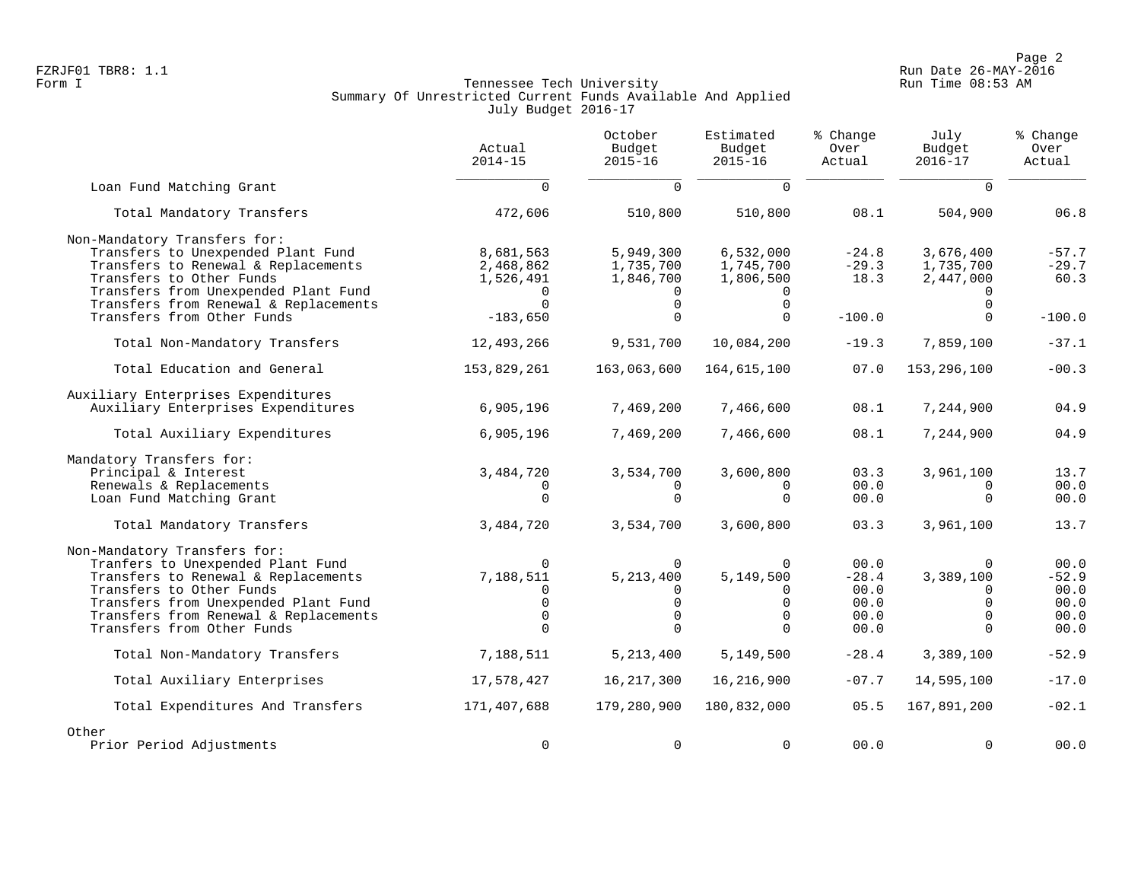Page 2<br>Run Date 26-MAY-2016 Run Date 26-MAY-2016 FZRJF01 TBR8: 1.1 Run Date 26-MAY-2016

# Form I Georgian Communication of the Communication of Tennessee Tech University Communication Run Time 08:53 AM Summary Of Unrestricted Current Funds Available And Applied July Budget 2016-17

|                                                                                                                                                                                                                                                     | Actual<br>$2014 - 15$                                               | October<br>Budget<br>$2015 - 16$                                           | Estimated<br>Budget<br>$2015 - 16$                                | % Change<br>Over<br>Actual                      | July<br>Budget<br>$2016 - 17$                                         | % Change<br>Over<br>Actual                      |
|-----------------------------------------------------------------------------------------------------------------------------------------------------------------------------------------------------------------------------------------------------|---------------------------------------------------------------------|----------------------------------------------------------------------------|-------------------------------------------------------------------|-------------------------------------------------|-----------------------------------------------------------------------|-------------------------------------------------|
| Loan Fund Matching Grant                                                                                                                                                                                                                            | $\Omega$                                                            | $\Omega$                                                                   | $\Omega$                                                          |                                                 | $\Omega$                                                              |                                                 |
| Total Mandatory Transfers                                                                                                                                                                                                                           | 472,606                                                             | 510,800                                                                    | 510,800                                                           | 08.1                                            | 504,900                                                               | 06.8                                            |
| Non-Mandatory Transfers for:<br>Transfers to Unexpended Plant Fund<br>Transfers to Renewal & Replacements<br>Transfers to Other Funds<br>Transfers from Unexpended Plant Fund<br>Transfers from Renewal & Replacements                              | 8,681,563<br>2,468,862<br>1,526,491<br>$\Omega$                     | 5,949,300<br>1,735,700<br>1,846,700<br>$\mathbf 0$                         | 6,532,000<br>1,745,700<br>1,806,500<br>$\mathbf 0$                | $-24.8$<br>$-29.3$<br>18.3                      | 3,676,400<br>1,735,700<br>2,447,000<br>$\Omega$                       | $-57.7$<br>$-29.7$<br>60.3                      |
| Transfers from Other Funds                                                                                                                                                                                                                          | $-183,650$                                                          | $\Omega$                                                                   | $\Omega$                                                          | $-100.0$                                        | $\Omega$                                                              | $-100.0$                                        |
| Total Non-Mandatory Transfers                                                                                                                                                                                                                       | 12,493,266                                                          | 9,531,700                                                                  | 10,084,200                                                        | $-19.3$                                         | 7,859,100                                                             | $-37.1$                                         |
| Total Education and General                                                                                                                                                                                                                         | 153,829,261                                                         | 163,063,600                                                                | 164,615,100                                                       | 07.0                                            | 153, 296, 100                                                         | $-00.3$                                         |
| Auxiliary Enterprises Expenditures<br>Auxiliary Enterprises Expenditures                                                                                                                                                                            | 6,905,196                                                           | 7,469,200                                                                  | 7,466,600                                                         | 08.1                                            | 7,244,900                                                             | 04.9                                            |
| Total Auxiliary Expenditures                                                                                                                                                                                                                        | 6,905,196                                                           | 7,469,200                                                                  | 7,466,600                                                         | 08.1                                            | 7,244,900                                                             | 04.9                                            |
| Mandatory Transfers for:<br>Principal & Interest<br>Renewals & Replacements<br>Loan Fund Matching Grant                                                                                                                                             | 3,484,720<br>$\Omega$<br>$\Omega$                                   | 3,534,700<br>0<br>$\Omega$                                                 | 3,600,800<br>0<br>$\Omega$                                        | 03.3<br>00.0<br>00.0                            | 3,961,100<br>$\Omega$<br>$\Omega$                                     | 13.7<br>00.0<br>00.0                            |
| Total Mandatory Transfers                                                                                                                                                                                                                           | 3,484,720                                                           | 3,534,700                                                                  | 3,600,800                                                         | 03.3                                            | 3,961,100                                                             | 13.7                                            |
| Non-Mandatory Transfers for:<br>Tranfers to Unexpended Plant Fund<br>Transfers to Renewal & Replacements<br>Transfers to Other Funds<br>Transfers from Unexpended Plant Fund<br>Transfers from Renewal & Replacements<br>Transfers from Other Funds | $\Omega$<br>7,188,511<br>$\Omega$<br>$\Omega$<br>$\Omega$<br>$\cap$ | $\Omega$<br>5, 213, 400<br>$\Omega$<br>$\mathbf 0$<br>$\Omega$<br>$\Omega$ | $\Omega$<br>5,149,500<br>0<br>$\mathbf 0$<br>$\Omega$<br>$\Omega$ | 00.0<br>$-28.4$<br>00.0<br>00.0<br>00.0<br>00.0 | $\Omega$<br>3,389,100<br>$\Omega$<br>$\Omega$<br>$\Omega$<br>$\Omega$ | 00.0<br>$-52.9$<br>00.0<br>00.0<br>00.0<br>00.0 |
| Total Non-Mandatory Transfers                                                                                                                                                                                                                       | 7,188,511                                                           | 5, 213, 400                                                                | 5,149,500                                                         | $-28.4$                                         | 3,389,100                                                             | $-52.9$                                         |
| Total Auxiliary Enterprises                                                                                                                                                                                                                         | 17,578,427                                                          | 16, 217, 300                                                               | 16,216,900                                                        | $-07.7$                                         | 14,595,100                                                            | $-17.0$                                         |
| Total Expenditures And Transfers                                                                                                                                                                                                                    | 171,407,688                                                         | 179,280,900                                                                | 180,832,000                                                       | 05.5                                            | 167,891,200                                                           | $-02.1$                                         |
| Other<br>Prior Period Adjustments                                                                                                                                                                                                                   | 0                                                                   | $\mathbf 0$                                                                | $\mathbf 0$                                                       | 00.0                                            | $\Omega$                                                              | 00.0                                            |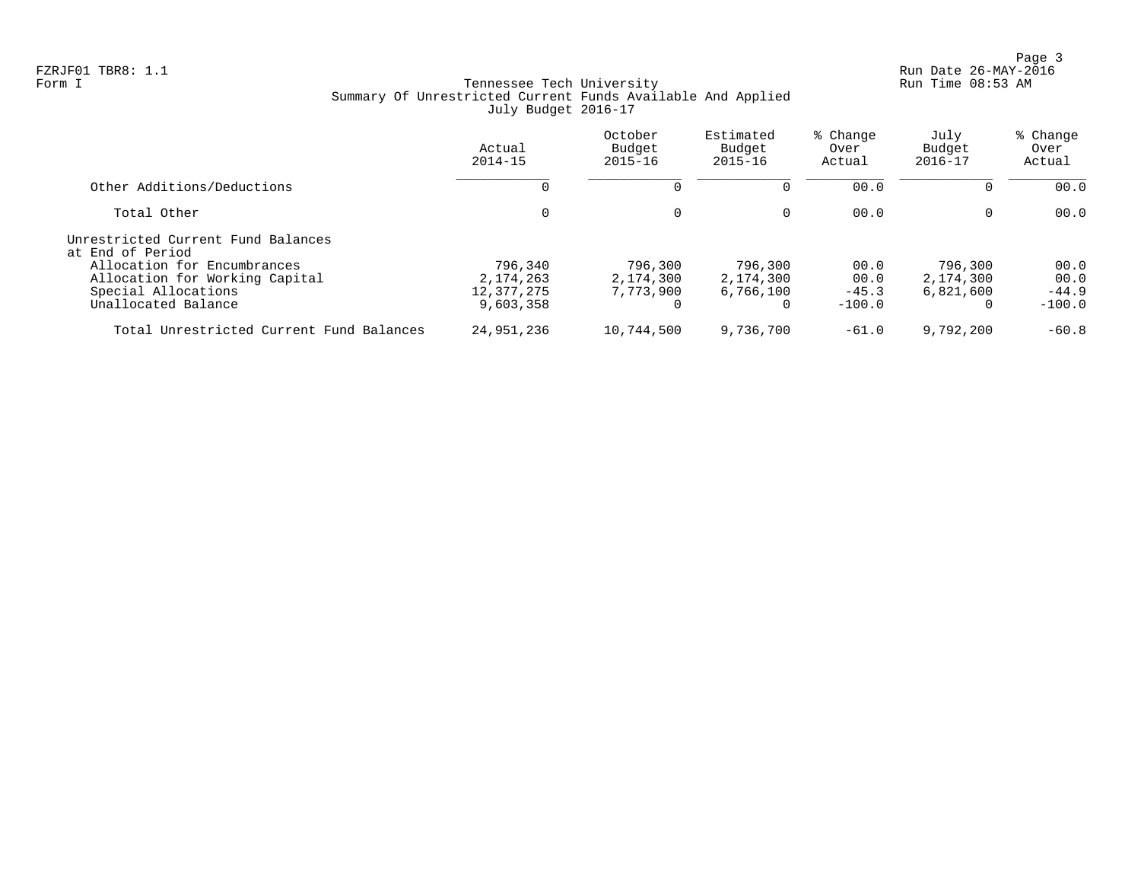Page 3<br>Run Date 26-MAY-2016 Run Date 26-MAY-2016 FZRJF01 TBR8: 1.1 Run Date 26-MAY-2016

# Form I Georgian Communication of the Communication of Tennessee Tech University Communication Run Time 08:53 AM Summary Of Unrestricted Current Funds Available And Applied July Budget 2016-17

|                                                                                      | Actual<br>$2014 - 15$                  | October<br>Budget<br>$2015 - 16$  | Estimated<br>Budget<br>$2015 - 16$ | % Change<br>Over<br>Actual | July<br>Budget<br>$2016 - 17$     | % Change<br>Over<br>Actual |
|--------------------------------------------------------------------------------------|----------------------------------------|-----------------------------------|------------------------------------|----------------------------|-----------------------------------|----------------------------|
| Other Additions/Deductions                                                           |                                        | $\Omega$                          |                                    | 00.0                       | $\Omega$                          | 00.0                       |
| Total Other                                                                          | 0                                      | 0                                 | 0                                  | 00.0                       | 0                                 | 00.0                       |
| Unrestricted Current Fund Balances<br>at End of Period                               |                                        |                                   |                                    |                            |                                   |                            |
| Allocation for Encumbrances<br>Allocation for Working Capital<br>Special Allocations | 796,340<br>2, 174, 263<br>12, 377, 275 | 796,300<br>2,174,300<br>7,773,900 | 796,300<br>2,174,300<br>6,766,100  | 00.0<br>00.0<br>$-45.3$    | 796,300<br>2,174,300<br>6,821,600 | 00.0<br>00.0<br>$-44.9$    |
| Unallocated Balance                                                                  | 9,603,358                              |                                   | $\Omega$                           | $-100.0$                   | 0                                 | $-100.0$                   |
| Total Unrestricted Current Fund Balances                                             | 24,951,236                             | 10,744,500                        | 9,736,700                          | $-61.0$                    | 9,792,200                         | $-60.8$                    |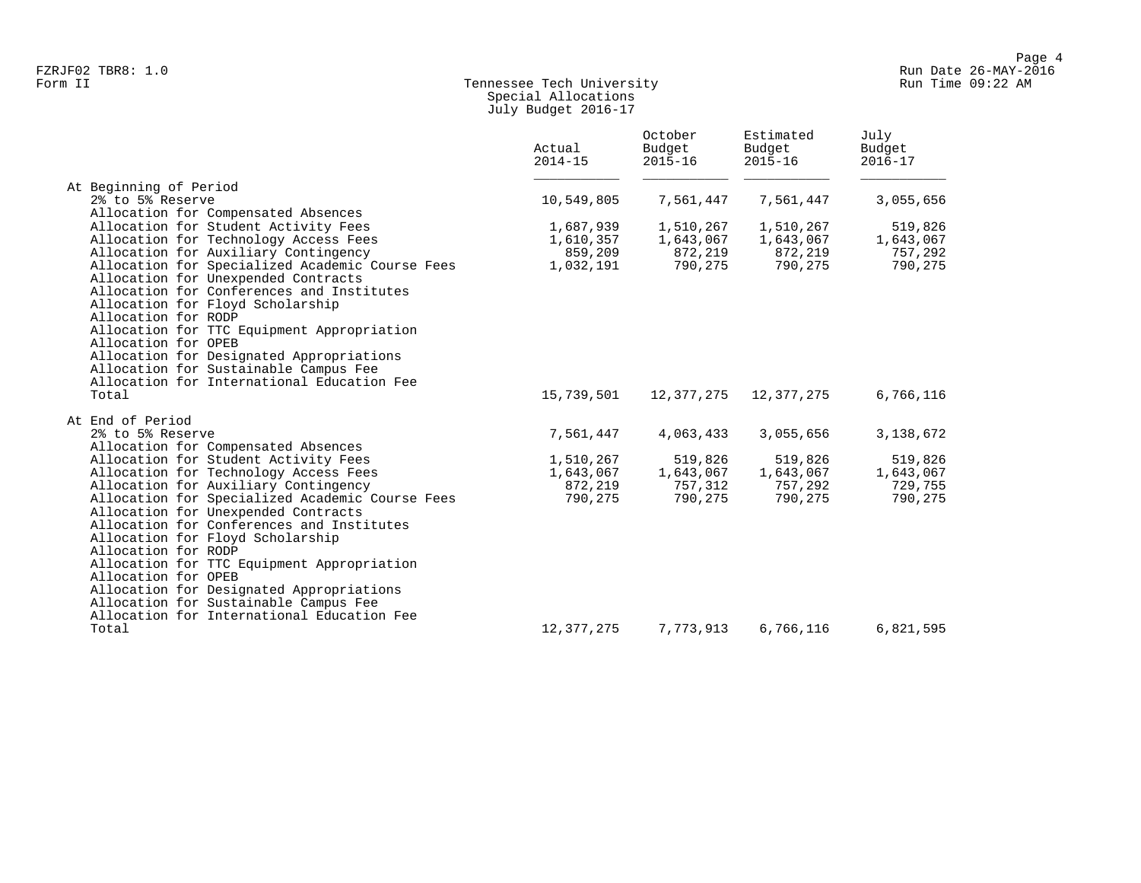# Form II Tennessee Tech University Run Time 09:22 AM Special Allocations July Budget 2016-17

| At Beginning of Period<br>2% to 5% Reserve<br>7,561,447<br>7,561,447<br>3,055,656<br>10,549,805<br>Allocation for Compensated Absences<br>Allocation for Student Activity Fees<br>519,826<br>1,687,939<br>1,510,267<br>1,510,267<br>Allocation for Technology Access Fees<br>1,610,357<br>1,643,067<br>1,643,067<br>1,643,067<br>Allocation for Auxiliary Contingency<br>859,209<br>872,219<br>872,219<br>757,292<br>Allocation for Specialized Academic Course Fees<br>790,275<br>790,275<br>1,032,191<br>790,275<br>Allocation for Unexpended Contracts<br>Allocation for Conferences and Institutes<br>Allocation for Floyd Scholarship<br>Allocation for RODP<br>Allocation for TTC Equipment Appropriation<br>Allocation for OPEB<br>Allocation for Designated Appropriations<br>Allocation for Sustainable Campus Fee<br>Allocation for International Education Fee<br>Total<br>15,739,501<br>12,377,275<br>12,377,275<br>6,766,116<br>At End of Period<br>7,561,447<br>4,063,433<br>3,055,656<br>3,138,672<br>2% to 5% Reserve<br>Allocation for Compensated Absences<br>Allocation for Student Activity Fees<br>1,510,267<br>519,826<br>519,826<br>519,826<br>Allocation for Technology Access Fees<br>1,643,067<br>1,643,067<br>1,643,067<br>1,643,067<br>Allocation for Auxiliary Contingency<br>872,219<br>757,312<br>757,292<br>729,755<br>Allocation for Specialized Academic Course Fees<br>790,275<br>790,275<br>790,275<br>790,275<br>Allocation for Unexpended Contracts<br>Allocation for Conferences and Institutes<br>Allocation for Floyd Scholarship<br>Allocation for RODP<br>Allocation for TTC Equipment Appropriation<br>Allocation for OPEB<br>Allocation for Designated Appropriations<br>Allocation for Sustainable Campus Fee<br>Allocation for International Education Fee<br>12,377,275<br>7,773,913<br>6,766,116<br>6,821,595<br>Total | Actual<br>$2014 - 15$ | October<br>Budget<br>$2015 - 16$ | Estimated<br>Budget<br>$2015 - 16$ | July<br>Budget<br>$2016 - 17$ |
|-------------------------------------------------------------------------------------------------------------------------------------------------------------------------------------------------------------------------------------------------------------------------------------------------------------------------------------------------------------------------------------------------------------------------------------------------------------------------------------------------------------------------------------------------------------------------------------------------------------------------------------------------------------------------------------------------------------------------------------------------------------------------------------------------------------------------------------------------------------------------------------------------------------------------------------------------------------------------------------------------------------------------------------------------------------------------------------------------------------------------------------------------------------------------------------------------------------------------------------------------------------------------------------------------------------------------------------------------------------------------------------------------------------------------------------------------------------------------------------------------------------------------------------------------------------------------------------------------------------------------------------------------------------------------------------------------------------------------------------------------------------------------------------------------------------------------------------------------------------------------|-----------------------|----------------------------------|------------------------------------|-------------------------------|
|                                                                                                                                                                                                                                                                                                                                                                                                                                                                                                                                                                                                                                                                                                                                                                                                                                                                                                                                                                                                                                                                                                                                                                                                                                                                                                                                                                                                                                                                                                                                                                                                                                                                                                                                                                                                                                                                         |                       |                                  |                                    |                               |
|                                                                                                                                                                                                                                                                                                                                                                                                                                                                                                                                                                                                                                                                                                                                                                                                                                                                                                                                                                                                                                                                                                                                                                                                                                                                                                                                                                                                                                                                                                                                                                                                                                                                                                                                                                                                                                                                         |                       |                                  |                                    |                               |
|                                                                                                                                                                                                                                                                                                                                                                                                                                                                                                                                                                                                                                                                                                                                                                                                                                                                                                                                                                                                                                                                                                                                                                                                                                                                                                                                                                                                                                                                                                                                                                                                                                                                                                                                                                                                                                                                         |                       |                                  |                                    |                               |
|                                                                                                                                                                                                                                                                                                                                                                                                                                                                                                                                                                                                                                                                                                                                                                                                                                                                                                                                                                                                                                                                                                                                                                                                                                                                                                                                                                                                                                                                                                                                                                                                                                                                                                                                                                                                                                                                         |                       |                                  |                                    |                               |
|                                                                                                                                                                                                                                                                                                                                                                                                                                                                                                                                                                                                                                                                                                                                                                                                                                                                                                                                                                                                                                                                                                                                                                                                                                                                                                                                                                                                                                                                                                                                                                                                                                                                                                                                                                                                                                                                         |                       |                                  |                                    |                               |
|                                                                                                                                                                                                                                                                                                                                                                                                                                                                                                                                                                                                                                                                                                                                                                                                                                                                                                                                                                                                                                                                                                                                                                                                                                                                                                                                                                                                                                                                                                                                                                                                                                                                                                                                                                                                                                                                         |                       |                                  |                                    |                               |
|                                                                                                                                                                                                                                                                                                                                                                                                                                                                                                                                                                                                                                                                                                                                                                                                                                                                                                                                                                                                                                                                                                                                                                                                                                                                                                                                                                                                                                                                                                                                                                                                                                                                                                                                                                                                                                                                         |                       |                                  |                                    |                               |
|                                                                                                                                                                                                                                                                                                                                                                                                                                                                                                                                                                                                                                                                                                                                                                                                                                                                                                                                                                                                                                                                                                                                                                                                                                                                                                                                                                                                                                                                                                                                                                                                                                                                                                                                                                                                                                                                         |                       |                                  |                                    |                               |
|                                                                                                                                                                                                                                                                                                                                                                                                                                                                                                                                                                                                                                                                                                                                                                                                                                                                                                                                                                                                                                                                                                                                                                                                                                                                                                                                                                                                                                                                                                                                                                                                                                                                                                                                                                                                                                                                         |                       |                                  |                                    |                               |
|                                                                                                                                                                                                                                                                                                                                                                                                                                                                                                                                                                                                                                                                                                                                                                                                                                                                                                                                                                                                                                                                                                                                                                                                                                                                                                                                                                                                                                                                                                                                                                                                                                                                                                                                                                                                                                                                         |                       |                                  |                                    |                               |
|                                                                                                                                                                                                                                                                                                                                                                                                                                                                                                                                                                                                                                                                                                                                                                                                                                                                                                                                                                                                                                                                                                                                                                                                                                                                                                                                                                                                                                                                                                                                                                                                                                                                                                                                                                                                                                                                         |                       |                                  |                                    |                               |
|                                                                                                                                                                                                                                                                                                                                                                                                                                                                                                                                                                                                                                                                                                                                                                                                                                                                                                                                                                                                                                                                                                                                                                                                                                                                                                                                                                                                                                                                                                                                                                                                                                                                                                                                                                                                                                                                         |                       |                                  |                                    |                               |
|                                                                                                                                                                                                                                                                                                                                                                                                                                                                                                                                                                                                                                                                                                                                                                                                                                                                                                                                                                                                                                                                                                                                                                                                                                                                                                                                                                                                                                                                                                                                                                                                                                                                                                                                                                                                                                                                         |                       |                                  |                                    |                               |
|                                                                                                                                                                                                                                                                                                                                                                                                                                                                                                                                                                                                                                                                                                                                                                                                                                                                                                                                                                                                                                                                                                                                                                                                                                                                                                                                                                                                                                                                                                                                                                                                                                                                                                                                                                                                                                                                         |                       |                                  |                                    |                               |
|                                                                                                                                                                                                                                                                                                                                                                                                                                                                                                                                                                                                                                                                                                                                                                                                                                                                                                                                                                                                                                                                                                                                                                                                                                                                                                                                                                                                                                                                                                                                                                                                                                                                                                                                                                                                                                                                         |                       |                                  |                                    |                               |
|                                                                                                                                                                                                                                                                                                                                                                                                                                                                                                                                                                                                                                                                                                                                                                                                                                                                                                                                                                                                                                                                                                                                                                                                                                                                                                                                                                                                                                                                                                                                                                                                                                                                                                                                                                                                                                                                         |                       |                                  |                                    |                               |
|                                                                                                                                                                                                                                                                                                                                                                                                                                                                                                                                                                                                                                                                                                                                                                                                                                                                                                                                                                                                                                                                                                                                                                                                                                                                                                                                                                                                                                                                                                                                                                                                                                                                                                                                                                                                                                                                         |                       |                                  |                                    |                               |
|                                                                                                                                                                                                                                                                                                                                                                                                                                                                                                                                                                                                                                                                                                                                                                                                                                                                                                                                                                                                                                                                                                                                                                                                                                                                                                                                                                                                                                                                                                                                                                                                                                                                                                                                                                                                                                                                         |                       |                                  |                                    |                               |
|                                                                                                                                                                                                                                                                                                                                                                                                                                                                                                                                                                                                                                                                                                                                                                                                                                                                                                                                                                                                                                                                                                                                                                                                                                                                                                                                                                                                                                                                                                                                                                                                                                                                                                                                                                                                                                                                         |                       |                                  |                                    |                               |
|                                                                                                                                                                                                                                                                                                                                                                                                                                                                                                                                                                                                                                                                                                                                                                                                                                                                                                                                                                                                                                                                                                                                                                                                                                                                                                                                                                                                                                                                                                                                                                                                                                                                                                                                                                                                                                                                         |                       |                                  |                                    |                               |
|                                                                                                                                                                                                                                                                                                                                                                                                                                                                                                                                                                                                                                                                                                                                                                                                                                                                                                                                                                                                                                                                                                                                                                                                                                                                                                                                                                                                                                                                                                                                                                                                                                                                                                                                                                                                                                                                         |                       |                                  |                                    |                               |
|                                                                                                                                                                                                                                                                                                                                                                                                                                                                                                                                                                                                                                                                                                                                                                                                                                                                                                                                                                                                                                                                                                                                                                                                                                                                                                                                                                                                                                                                                                                                                                                                                                                                                                                                                                                                                                                                         |                       |                                  |                                    |                               |
|                                                                                                                                                                                                                                                                                                                                                                                                                                                                                                                                                                                                                                                                                                                                                                                                                                                                                                                                                                                                                                                                                                                                                                                                                                                                                                                                                                                                                                                                                                                                                                                                                                                                                                                                                                                                                                                                         |                       |                                  |                                    |                               |
|                                                                                                                                                                                                                                                                                                                                                                                                                                                                                                                                                                                                                                                                                                                                                                                                                                                                                                                                                                                                                                                                                                                                                                                                                                                                                                                                                                                                                                                                                                                                                                                                                                                                                                                                                                                                                                                                         |                       |                                  |                                    |                               |
|                                                                                                                                                                                                                                                                                                                                                                                                                                                                                                                                                                                                                                                                                                                                                                                                                                                                                                                                                                                                                                                                                                                                                                                                                                                                                                                                                                                                                                                                                                                                                                                                                                                                                                                                                                                                                                                                         |                       |                                  |                                    |                               |
|                                                                                                                                                                                                                                                                                                                                                                                                                                                                                                                                                                                                                                                                                                                                                                                                                                                                                                                                                                                                                                                                                                                                                                                                                                                                                                                                                                                                                                                                                                                                                                                                                                                                                                                                                                                                                                                                         |                       |                                  |                                    |                               |
|                                                                                                                                                                                                                                                                                                                                                                                                                                                                                                                                                                                                                                                                                                                                                                                                                                                                                                                                                                                                                                                                                                                                                                                                                                                                                                                                                                                                                                                                                                                                                                                                                                                                                                                                                                                                                                                                         |                       |                                  |                                    |                               |
|                                                                                                                                                                                                                                                                                                                                                                                                                                                                                                                                                                                                                                                                                                                                                                                                                                                                                                                                                                                                                                                                                                                                                                                                                                                                                                                                                                                                                                                                                                                                                                                                                                                                                                                                                                                                                                                                         |                       |                                  |                                    |                               |
|                                                                                                                                                                                                                                                                                                                                                                                                                                                                                                                                                                                                                                                                                                                                                                                                                                                                                                                                                                                                                                                                                                                                                                                                                                                                                                                                                                                                                                                                                                                                                                                                                                                                                                                                                                                                                                                                         |                       |                                  |                                    |                               |
|                                                                                                                                                                                                                                                                                                                                                                                                                                                                                                                                                                                                                                                                                                                                                                                                                                                                                                                                                                                                                                                                                                                                                                                                                                                                                                                                                                                                                                                                                                                                                                                                                                                                                                                                                                                                                                                                         |                       |                                  |                                    |                               |
|                                                                                                                                                                                                                                                                                                                                                                                                                                                                                                                                                                                                                                                                                                                                                                                                                                                                                                                                                                                                                                                                                                                                                                                                                                                                                                                                                                                                                                                                                                                                                                                                                                                                                                                                                                                                                                                                         |                       |                                  |                                    |                               |
|                                                                                                                                                                                                                                                                                                                                                                                                                                                                                                                                                                                                                                                                                                                                                                                                                                                                                                                                                                                                                                                                                                                                                                                                                                                                                                                                                                                                                                                                                                                                                                                                                                                                                                                                                                                                                                                                         |                       |                                  |                                    |                               |
|                                                                                                                                                                                                                                                                                                                                                                                                                                                                                                                                                                                                                                                                                                                                                                                                                                                                                                                                                                                                                                                                                                                                                                                                                                                                                                                                                                                                                                                                                                                                                                                                                                                                                                                                                                                                                                                                         |                       |                                  |                                    |                               |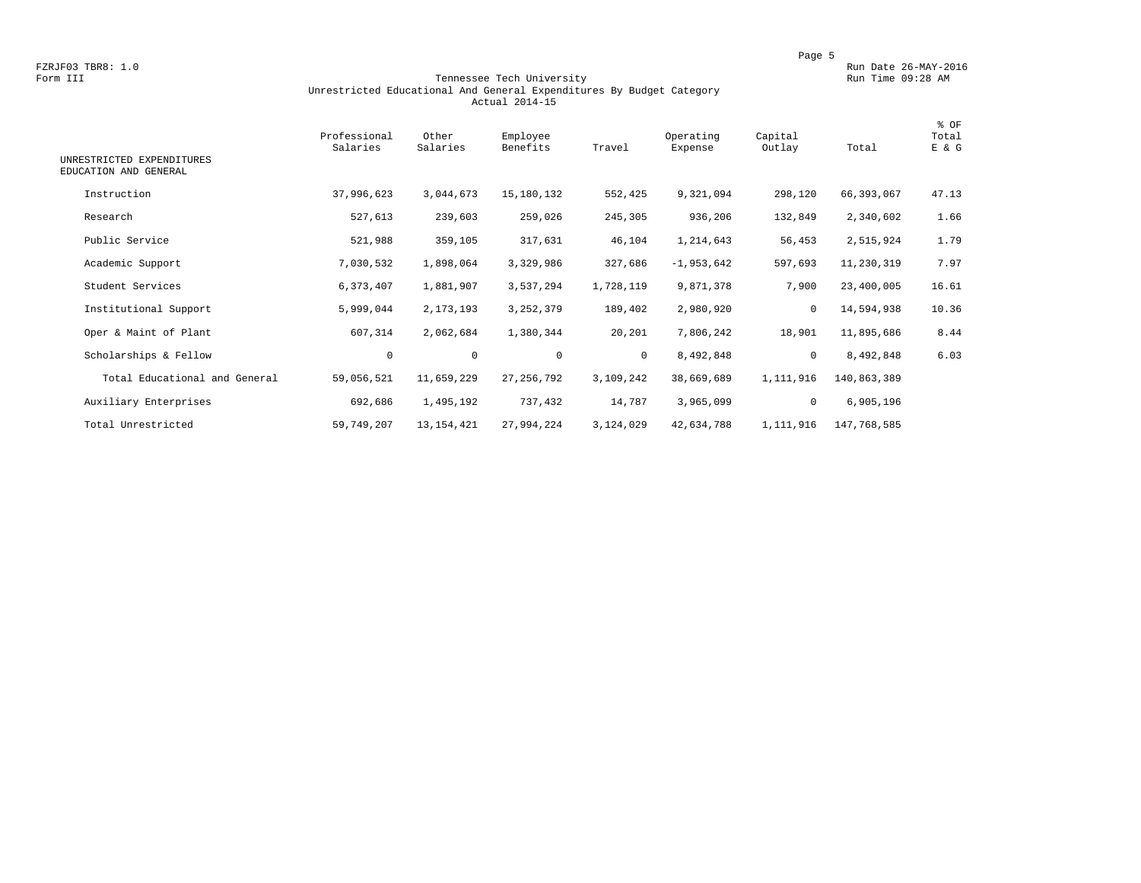### Form III Tennessee Tech University Run Time 09:28 AM Unrestricted Educational And General Expenditures By Budget Category Actual 2014-15

| UNRESTRICTED EXPENDITURES<br>EDUCATION AND GENERAL | Professional<br>Salaries | Other<br>Salaries | Employee<br>Benefits | Travel       | Operating<br>Expense | Capital<br>Outlay | Total       | % OF<br>Total<br>E & G |
|----------------------------------------------------|--------------------------|-------------------|----------------------|--------------|----------------------|-------------------|-------------|------------------------|
| Instruction                                        | 37,996,623               | 3,044,673         | 15,180,132           | 552,425      | 9,321,094            | 298,120           | 66,393,067  | 47.13                  |
| Research                                           | 527,613                  | 239,603           | 259,026              | 245,305      | 936,206              | 132,849           | 2,340,602   | 1.66                   |
| Public Service                                     | 521,988                  | 359,105           | 317,631              | 46,104       | 1,214,643            | 56,453            | 2,515,924   | 1.79                   |
| Academic Support                                   | 7,030,532                | 1,898,064         | 3,329,986            | 327,686      | $-1,953,642$         | 597,693           | 11,230,319  | 7.97                   |
| Student Services                                   | 6,373,407                | 1,881,907         | 3,537,294            | 1,728,119    | 9,871,378            | 7,900             | 23,400,005  | 16.61                  |
| Institutional Support                              | 5,999,044                | 2,173,193         | 3, 252, 379          | 189,402      | 2,980,920            | $\mathbf 0$       | 14,594,938  | 10.36                  |
| Oper & Maint of Plant                              | 607,314                  | 2,062,684         | 1,380,344            | 20,201       | 7,806,242            | 18,901            | 11,895,686  | 8.44                   |
| Scholarships & Fellow                              | $\mathbf 0$              | $\circ$           | $\mathbf 0$          | $\mathbf{0}$ | 8,492,848            | $\circ$           | 8,492,848   | 6.03                   |
| Total Educational and General                      | 59,056,521               | 11,659,229        | 27, 256, 792         | 3,109,242    | 38,669,689           | 1,111,916         | 140,863,389 |                        |
| Auxiliary Enterprises                              | 692,686                  | 1,495,192         | 737,432              | 14,787       | 3,965,099            | $\mathbf 0$       | 6,905,196   |                        |
| Total Unrestricted                                 | 59,749,207               | 13, 154, 421      | 27,994,224           | 3,124,029    | 42,634,788           | 1,111,916         | 147,768,585 |                        |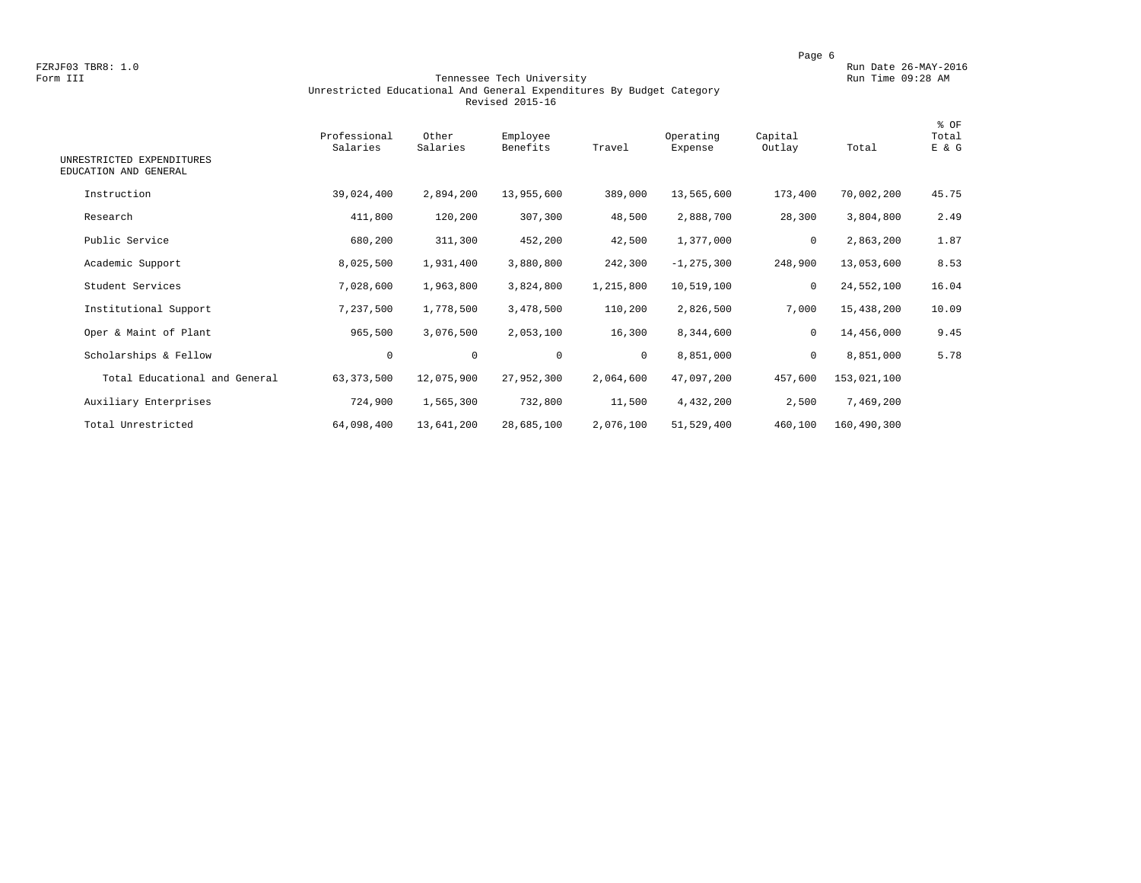### Form III Tennessee Tech University Run Time 09:28 AM Unrestricted Educational And General Expenditures By Budget Category Revised 2015-16

| UNRESTRICTED EXPENDITURES     | Professional<br>Salaries | Other<br>Salaries | Employee<br>Benefits | Travel       | Operating<br>Expense | Capital<br>Outlay | Total       | % OF<br>Total<br>E & G |
|-------------------------------|--------------------------|-------------------|----------------------|--------------|----------------------|-------------------|-------------|------------------------|
| EDUCATION AND GENERAL         |                          |                   |                      |              |                      |                   |             |                        |
| Instruction                   | 39,024,400               | 2,894,200         | 13,955,600           | 389,000      | 13,565,600           | 173,400           | 70,002,200  | 45.75                  |
| Research                      | 411,800                  | 120,200           | 307,300              | 48,500       | 2,888,700            | 28,300            | 3,804,800   | 2.49                   |
| Public Service                | 680,200                  | 311,300           | 452,200              | 42,500       | 1,377,000            | 0                 | 2,863,200   | 1.87                   |
| Academic Support              | 8,025,500                | 1,931,400         | 3,880,800            | 242,300      | $-1, 275, 300$       | 248,900           | 13,053,600  | 8.53                   |
| Student Services              | 7,028,600                | 1,963,800         | 3,824,800            | 1,215,800    | 10,519,100           | $\mathbf 0$       | 24,552,100  | 16.04                  |
| Institutional Support         | 7,237,500                | 1,778,500         | 3,478,500            | 110,200      | 2,826,500            | 7,000             | 15,438,200  | 10.09                  |
| Oper & Maint of Plant         | 965,500                  | 3,076,500         | 2,053,100            | 16,300       | 8,344,600            | 0                 | 14,456,000  | 9.45                   |
| Scholarships & Fellow         | $\mathbf 0$              | $\mathbf 0$       | $\mathbf 0$          | $\mathbf{0}$ | 8,851,000            | $\mathbf 0$       | 8,851,000   | 5.78                   |
| Total Educational and General | 63, 373, 500             | 12,075,900        | 27,952,300           | 2,064,600    | 47,097,200           | 457,600           | 153,021,100 |                        |
| Auxiliary Enterprises         | 724,900                  | 1,565,300         | 732,800              | 11,500       | 4,432,200            | 2,500             | 7,469,200   |                        |
| Total Unrestricted            | 64,098,400               | 13,641,200        | 28,685,100           | 2,076,100    | 51,529,400           | 460,100           | 160,490,300 |                        |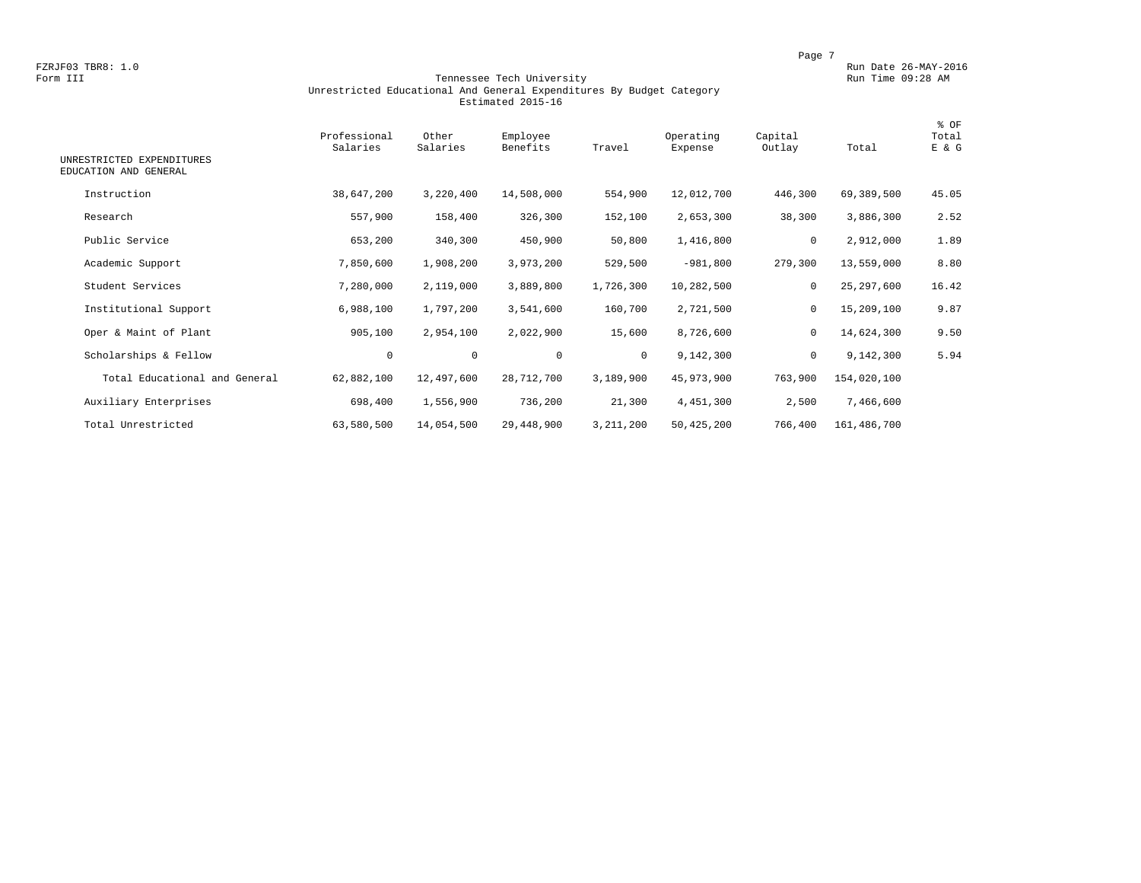### Form III Tennessee Tech University Run Time 09:28 AM Unrestricted Educational And General Expenditures By Budget Category Estimated 2015-16

| UNRESTRICTED EXPENDITURES     | Professional<br>Salaries | Other<br>Salaries | Employee<br>Benefits | Travel       | Operating<br>Expense | Capital<br>Outlay | Total       | % OF<br>Total<br>E & G |
|-------------------------------|--------------------------|-------------------|----------------------|--------------|----------------------|-------------------|-------------|------------------------|
| EDUCATION AND GENERAL         |                          |                   |                      |              |                      |                   |             |                        |
| Instruction                   | 38,647,200               | 3,220,400         | 14,508,000           | 554,900      | 12,012,700           | 446,300           | 69,389,500  | 45.05                  |
| Research                      | 557,900                  | 158,400           | 326,300              | 152,100      | 2,653,300            | 38,300            | 3,886,300   | 2.52                   |
| Public Service                | 653,200                  | 340,300           | 450,900              | 50,800       | 1,416,800            | 0                 | 2,912,000   | 1.89                   |
| Academic Support              | 7,850,600                | 1,908,200         | 3,973,200            | 529,500      | $-981,800$           | 279,300           | 13,559,000  | 8.80                   |
| Student Services              | 7,280,000                | 2,119,000         | 3,889,800            | 1,726,300    | 10,282,500           | $\mathbf 0$       | 25,297,600  | 16.42                  |
| Institutional Support         | 6,988,100                | 1,797,200         | 3,541,600            | 160,700      | 2,721,500            | 0                 | 15,209,100  | 9.87                   |
| Oper & Maint of Plant         | 905,100                  | 2,954,100         | 2,022,900            | 15,600       | 8,726,600            | 0                 | 14,624,300  | 9.50                   |
| Scholarships & Fellow         | $\mathbf 0$              | $\mathbf 0$       | $\mathbf 0$          | $\mathbf{0}$ | 9,142,300            | $\mathbf 0$       | 9,142,300   | 5.94                   |
| Total Educational and General | 62,882,100               | 12,497,600        | 28,712,700           | 3,189,900    | 45,973,900           | 763,900           | 154,020,100 |                        |
| Auxiliary Enterprises         | 698,400                  | 1,556,900         | 736,200              | 21,300       | 4,451,300            | 2,500             | 7,466,600   |                        |
| Total Unrestricted            | 63,580,500               | 14,054,500        | 29,448,900           | 3,211,200    | 50,425,200           | 766,400           | 161,486,700 |                        |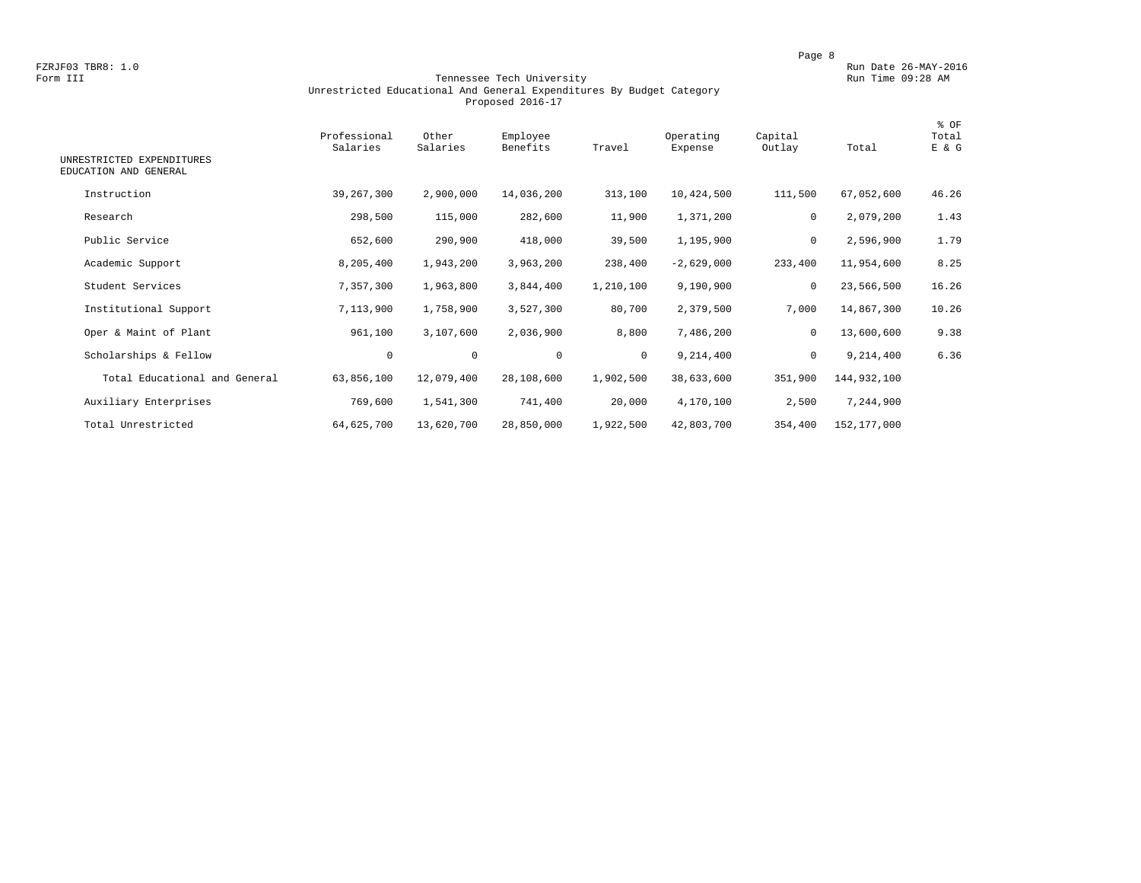### Form III Tennessee Tech University Run Time 09:28 AM Unrestricted Educational And General Expenditures By Budget Category Proposed 2016-17

| UNRESTRICTED EXPENDITURES<br>EDUCATION AND GENERAL | Professional<br>Salaries | Other<br>Salaries | Employee<br>Benefits | Travel    | Operating<br>Expense | Capital<br>Outlay | Total       | % OF<br>Total<br>E & G |
|----------------------------------------------------|--------------------------|-------------------|----------------------|-----------|----------------------|-------------------|-------------|------------------------|
| Instruction                                        | 39,267,300               | 2,900,000         | 14,036,200           | 313,100   | 10,424,500           | 111,500           | 67,052,600  | 46.26                  |
| Research                                           | 298,500                  | 115,000           | 282,600              | 11,900    | 1,371,200            | $\mathbf 0$       | 2,079,200   | 1.43                   |
| Public Service                                     | 652,600                  | 290,900           | 418,000              | 39,500    | 1,195,900            | $\mathbf 0$       | 2,596,900   | 1.79                   |
| Academic Support                                   | 8,205,400                | 1,943,200         | 3,963,200            | 238,400   | $-2,629,000$         | 233,400           | 11,954,600  | 8.25                   |
| Student Services                                   | 7,357,300                | 1,963,800         | 3,844,400            | 1,210,100 | 9,190,900            | 0                 | 23,566,500  | 16.26                  |
| Institutional Support                              | 7,113,900                | 1,758,900         | 3,527,300            | 80,700    | 2,379,500            | 7,000             | 14,867,300  | 10.26                  |
| Oper & Maint of Plant                              | 961,100                  | 3,107,600         | 2,036,900            | 8,800     | 7,486,200            | 0                 | 13,600,600  | 9.38                   |
| Scholarships & Fellow                              | 0                        | $\mathbf 0$       | $\mathbf{0}$         | $\circ$   | 9,214,400            | $\mathbf 0$       | 9,214,400   | 6.36                   |
| Total Educational and General                      | 63,856,100               | 12,079,400        | 28,108,600           | 1,902,500 | 38,633,600           | 351,900           | 144,932,100 |                        |
| Auxiliary Enterprises                              | 769,600                  | 1,541,300         | 741,400              | 20,000    | 4,170,100            | 2,500             | 7,244,900   |                        |
| Total Unrestricted                                 | 64,625,700               | 13,620,700        | 28,850,000           | 1,922,500 | 42,803,700           | 354,400           | 152,177,000 |                        |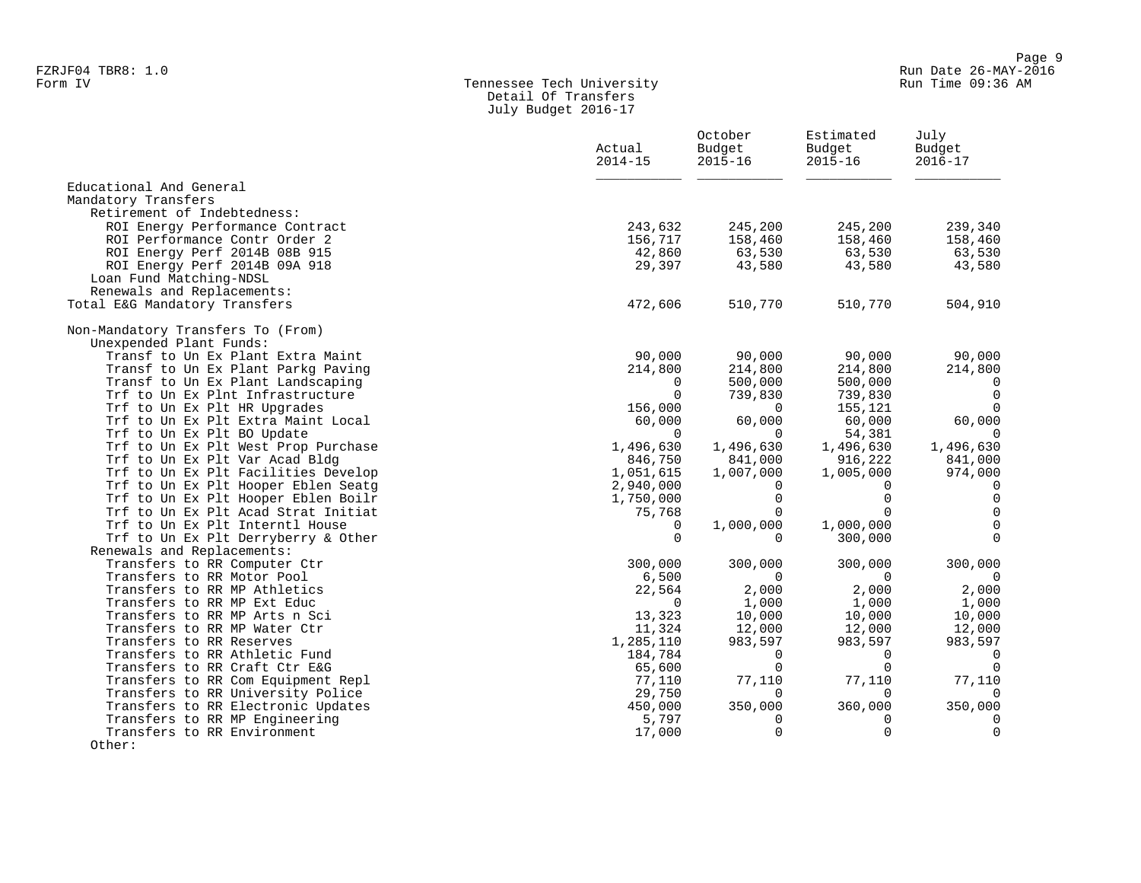## Form IV Tennessee Tech University Run Time 09:36 AM Detail Of Transfers July Budget 2016-17

|                                                                            | Actual<br>$2014 - 15$  | October<br>Budget<br>$2015 - 16$ | Estimated<br>Budget<br>$2015 - 16$ | July<br>Budget<br>$2016 - 17$ |
|----------------------------------------------------------------------------|------------------------|----------------------------------|------------------------------------|-------------------------------|
| Educational And General<br>Mandatory Transfers                             |                        |                                  |                                    |                               |
| Retirement of Indebtedness:                                                |                        |                                  |                                    |                               |
| ROI Energy Performance Contract<br>ROI Performance Contr Order 2           | 243,632<br>156,717     | 245,200<br>158,460               | 245,200<br>158,460                 | 239,340<br>158,460            |
| ROI Energy Perf 2014B 08B 915                                              | 42,860                 | 63,530                           | 63,530                             | 63,530                        |
| ROI Energy Perf 2014B 09A 918<br>Loan Fund Matching-NDSL                   | 29,397                 | 43,580                           | 43,580                             | 43,580                        |
| Renewals and Replacements:<br>Total E&G Mandatory Transfers                | 472,606                | 510,770                          | 510,770                            | 504,910                       |
| Non-Mandatory Transfers To (From)<br>Unexpended Plant Funds:               |                        |                                  |                                    |                               |
| Transf to Un Ex Plant Extra Maint                                          | 90,000                 | 90,000                           | 90,000                             | 90,000                        |
| Transf to Un Ex Plant Parkg Paving                                         | 214,800                | 214,800                          | 214,800                            | 214,800                       |
| Transf to Un Ex Plant Landscaping                                          | $\Omega$               | 500,000                          | 500,000                            | $\overline{0}$                |
| Trf to Un Ex Plnt Infrastructure                                           | $\Omega$               | 739,830                          | 739,830                            | $\overline{0}$                |
| Trf to Un Ex Plt HR Upgrades                                               | 156,000                | $\Omega$                         | 155,121                            | $\Omega$                      |
| Trf to Un Ex Plt Extra Maint Local                                         | 60,000                 | 60,000                           | 60,000                             | 60,000                        |
| Trf to Un Ex Plt BO Update                                                 | $\Omega$               | $\Omega$                         | 54,381                             | $\Omega$                      |
| Trf to Un Ex Plt West Prop Purchase                                        | 1,496,630              | 1,496,630                        | 1,496,630                          | 1,496,630                     |
| Trf to Un Ex Plt Var Acad Bldg                                             | 846,750                | 841,000                          | 916,222                            | 841,000                       |
| Trf to Un Ex Plt Facilities Develop<br>Trf to Un Ex Plt Hooper Eblen Seatq | 1,051,615<br>2,940,000 | 1,007,000                        | 1,005,000<br>0                     | 974,000<br>$\Omega$           |
| Trf to Un Ex Plt Hooper Eblen Boilr                                        | 1,750,000              | 0<br>$\Omega$                    | $\Omega$                           | $\overline{0}$                |
| Trf to Un Ex Plt Acad Strat Initiat                                        | 75,768                 | $\Omega$                         | $\Omega$                           | $\Omega$                      |
| Trf to Un Ex Plt Interntl House                                            | $\Omega$               | 1,000,000                        | 1,000,000                          | $\mathbf 0$                   |
| Trf to Un Ex Plt Derryberry & Other                                        | $\Omega$               | $\Omega$                         | 300,000                            | $\Omega$                      |
| Renewals and Replacements:                                                 |                        |                                  |                                    |                               |
| Transfers to RR Computer Ctr                                               | 300,000                | 300,000                          | 300,000                            | 300,000                       |
| Transfers to RR Motor Pool                                                 | 6,500                  | $\Omega$                         | $\Omega$                           | $\overline{0}$                |
| Transfers to RR MP Athletics                                               | 22,564                 | 2,000                            | 2,000                              | 2,000                         |
| Transfers to RR MP Ext Educ                                                | $\Omega$               | 1,000                            | 1,000                              | 1,000                         |
| Transfers to RR MP Arts n Sci                                              | 13,323                 | 10,000                           | 10,000                             | 10,000                        |
| Transfers to RR MP Water Ctr                                               | 11,324                 | 12,000                           | 12,000                             | 12,000                        |
| Transfers to RR Reserves                                                   | 1,285,110              | 983,597                          | 983,597                            | 983,597                       |
| Transfers to RR Athletic Fund                                              | 184,784                | $\Omega$                         | $\Omega$                           | $\overline{0}$                |
| Transfers to RR Craft Ctr E&G                                              | 65,600                 | $\Omega$                         | $\Omega$                           | $\Omega$                      |
| Transfers to RR Com Equipment Repl                                         | 77,110                 | 77,110                           | 77,110                             | 77,110                        |
| Transfers to RR University Police                                          | 29,750                 | 0                                | $\mathbf 0$                        | $\overline{0}$                |
| Transfers to RR Electronic Updates                                         | 450,000                | 350,000                          | 360,000                            | 350,000                       |
| Transfers to RR MP Engineering                                             | 5,797                  | 0                                | 0                                  | $\mathbf 0$                   |
| Transfers to RR Environment<br>Other:                                      | 17,000                 | $\mathbf 0$                      | $\mathbf 0$                        | $\mathbf 0$                   |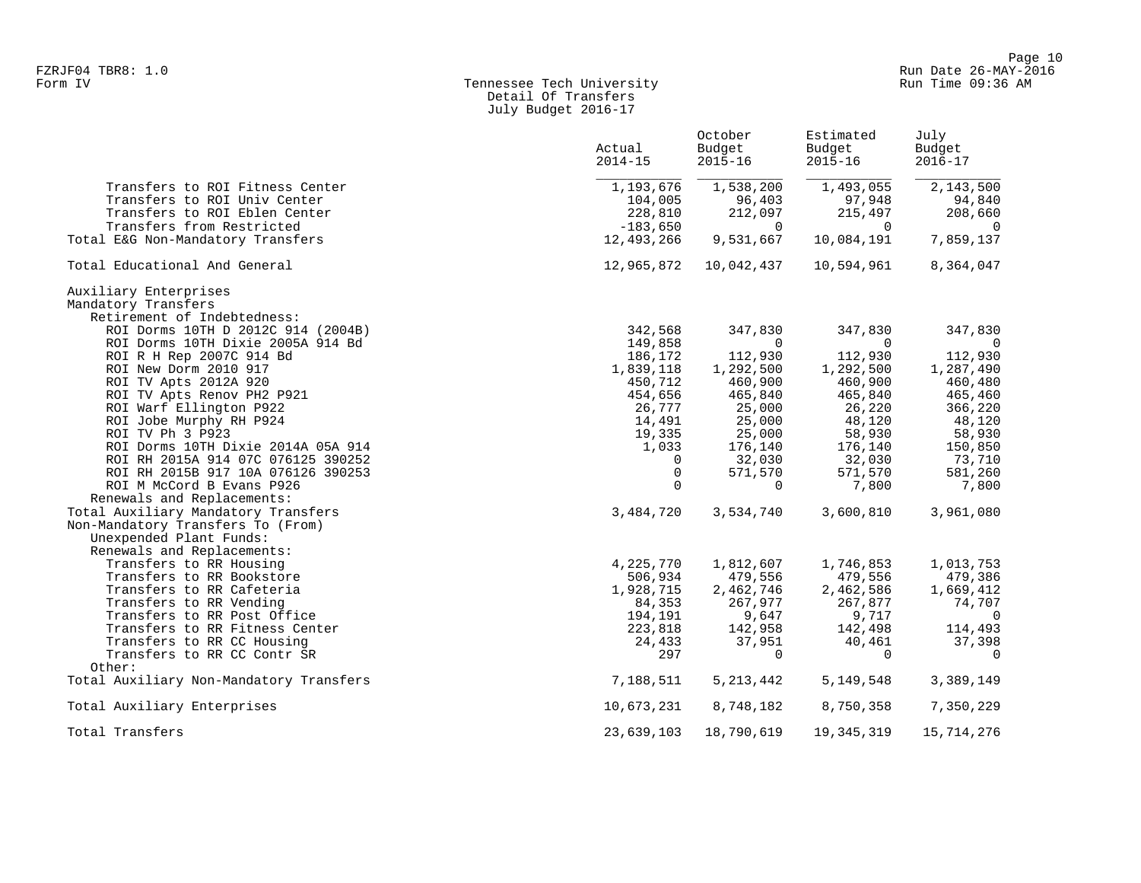## Form IV Tennessee Tech University Run Time 09:36 AM Detail Of Transfers July Budget 2016-17

|                                                                             | Actual<br>$2014 - 15$ | October<br>Budget<br>$2015 - 16$ | Estimated<br>Budget<br>$2015 - 16$ | July<br>Budget<br>$2016 - 17$ |
|-----------------------------------------------------------------------------|-----------------------|----------------------------------|------------------------------------|-------------------------------|
| Transfers to ROI Fitness Center                                             | 1,193,676             | 1,538,200                        | 1,493,055                          | 2,143,500                     |
| Transfers to ROI Univ Center                                                | 104,005               | 96,403                           | 97,948                             | 94,840                        |
| Transfers to ROI Eblen Center                                               | 228,810               | 212,097                          | 215,497                            | 208,660                       |
| Transfers from Restricted                                                   | $-183,650$            | $\Omega$                         | $\Omega$                           | $\overline{0}$                |
| Total E&G Non-Mandatory Transfers                                           | 12,493,266            | 9,531,667                        | 10,084,191                         | 7,859,137                     |
| Total Educational And General                                               | 12,965,872            | 10,042,437                       | 10,594,961                         | 8,364,047                     |
| Auxiliary Enterprises<br>Mandatory Transfers<br>Retirement of Indebtedness: |                       |                                  |                                    |                               |
| ROI Dorms 10TH D 2012C 914 (2004B)                                          | 342,568               | 347,830                          | 347,830                            | 347,830                       |
| ROI Dorms 10TH Dixie 2005A 914 Bd                                           | 149,858               | 0                                | $\Omega$                           | $\overline{0}$                |
| ROI R H Rep 2007C 914 Bd                                                    | 186,172               | 112,930                          | 112,930                            | 112,930                       |
| ROI New Dorm 2010 917                                                       | 1,839,118             | 1,292,500                        | 1,292,500                          | 1,287,490                     |
| ROI TV Apts 2012A 920                                                       | 450,712               | 460,900                          | 460,900                            | 460,480                       |
| ROI TV Apts Renov PH2 P921                                                  | 454,656               | 465,840                          | 465,840                            | 465,460                       |
| ROI Warf Ellington P922                                                     | 26,777                | 25,000                           | 26,220                             | 366,220                       |
| ROI Jobe Murphy RH P924                                                     | 14,491                | 25,000                           | 48,120                             | 48,120                        |
| ROI TV Ph 3 P923                                                            | 19,335                | 25,000                           | 58,930                             | 58,930                        |
| ROI Dorms 10TH Dixie 2014A 05A 914                                          | 1,033                 | 176,140                          | 176,140                            | 150,850                       |
| ROI RH 2015A 914 07C 076125 390252                                          | 0                     | 32,030                           | 32,030                             | 73,710                        |
| ROI RH 2015B 917 10A 076126 390253                                          | 0                     | 571,570                          | 571,570                            | 581,260                       |
| ROI M McCord B Evans P926                                                   | $\Omega$              | $\Omega$                         | 7,800                              | 7,800                         |
| Renewals and Replacements:                                                  |                       |                                  |                                    |                               |
| Total Auxiliary Mandatory Transfers                                         | 3,484,720             | 3,534,740                        | 3,600,810                          | 3,961,080                     |
| Non-Mandatory Transfers To (From)                                           |                       |                                  |                                    |                               |
| Unexpended Plant Funds:<br>Renewals and Replacements:                       |                       |                                  |                                    |                               |
| Transfers to RR Housing                                                     | 4,225,770             | 1,812,607                        | 1,746,853                          | 1,013,753                     |
| Transfers to RR Bookstore                                                   | 506,934               | 479,556                          | 479,556                            | 479,386                       |
| Transfers to RR Cafeteria                                                   | 1,928,715             | 2,462,746                        | 2,462,586                          | 1,669,412                     |
| Transfers to RR Vending                                                     | 84,353                | 267,977                          | 267,877                            | 74,707                        |
| Transfers to RR Post Office                                                 | 194,191               | 9,647                            | 9,717                              | $\overline{0}$                |
| Transfers to RR Fitness Center                                              | 223,818               | 142,958                          | 142,498                            | 114,493                       |
| Transfers to RR CC Housing                                                  | 24,433                | 37,951                           | 40,461                             | 37,398                        |
| Transfers to RR CC Contr SR                                                 | 297                   | $\Omega$                         | $\Omega$                           | $\Omega$                      |
| Other:                                                                      |                       |                                  |                                    |                               |
| Total Auxiliary Non-Mandatory Transfers                                     | 7,188,511             | 5, 213, 442                      | 5,149,548                          | 3,389,149                     |
| Total Auxiliary Enterprises                                                 | 10,673,231            | 8,748,182                        | 8,750,358                          | 7,350,229                     |
| Total Transfers                                                             | 23,639,103            | 18,790,619                       | 19, 345, 319                       | 15,714,276                    |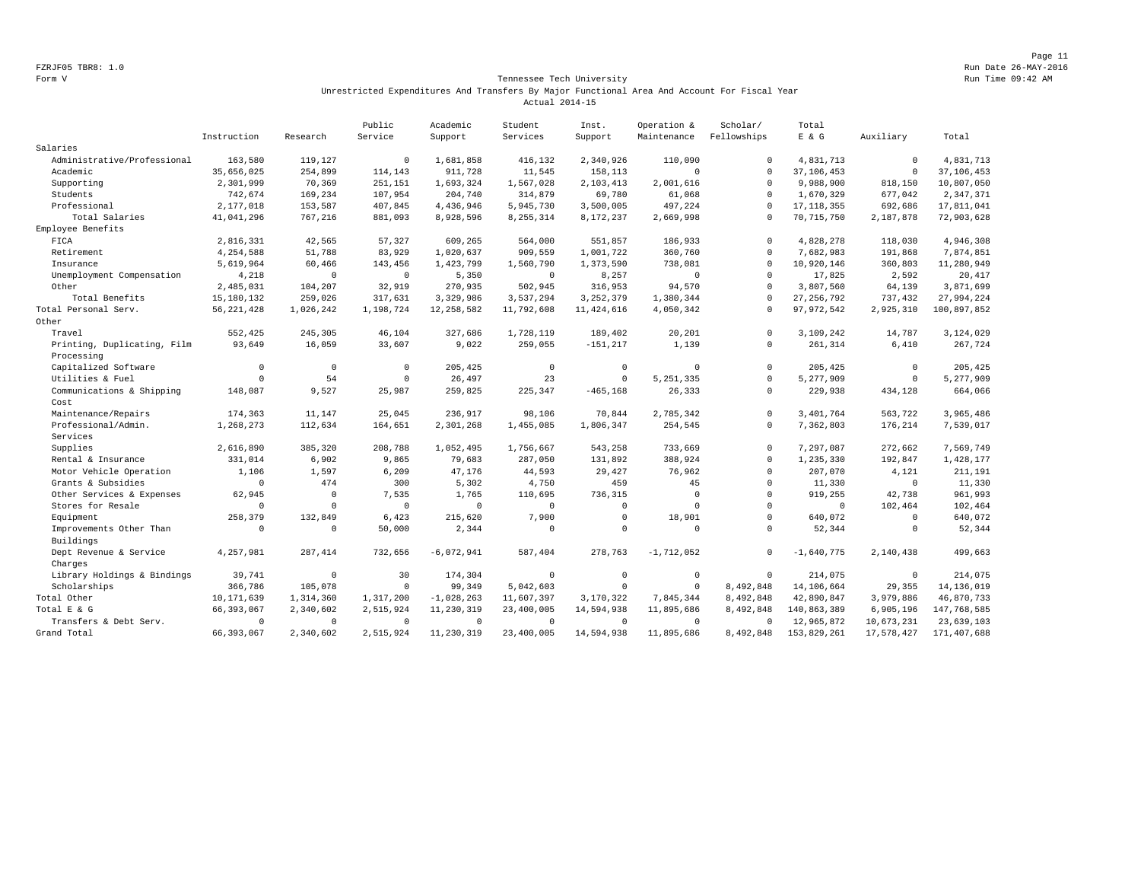Page 11 FZRJF05 TBR8: 1.0 Run Date 26-MAY-2016

## Form V Tennessee Tech University Run Time 09:42 AM Unrestricted Expenditures And Transfers By Major Functional Area And Account For Fiscal Year Actual 2014-15

|                             |              |              | Public      | Academic     | Student        | Inst.        | Operation &  | Scholar/     | Total        |             |              |
|-----------------------------|--------------|--------------|-------------|--------------|----------------|--------------|--------------|--------------|--------------|-------------|--------------|
|                             | Instruction  | Research     | Service     | Support      | Services       | Support      | Maintenance  | Fellowships  | $E$ & $G$    | Auxiliary   | Total        |
| Salaries                    |              |              |             |              |                |              |              |              |              |             |              |
| Administrative/Professional | 163,580      | 119,127      | $\Omega$    | 1,681,858    | 416,132        | 2,340,926    | 110,090      | $\mathbf{0}$ | 4,831,713    | $\mathbb O$ | 4,831,713    |
| Academic                    | 35,656,025   | 254,899      | 114,143     | 911,728      | 11,545         | 158,113      | $\mathbf{0}$ | $\Omega$     | 37, 106, 453 | $\mathbb O$ | 37, 106, 453 |
| Supporting                  | 2,301,999    | 70,369       | 251,151     | 1,693,324    | 1,567,028      | 2,103,413    | 2,001,616    | $\Omega$     | 9,988,900    | 818,150     | 10,807,050   |
| Students                    | 742,674      | 169,234      | 107,954     | 204,740      | 314,879        | 69,780       | 61,068       | $\circ$      | 1,670,329    | 677,042     | 2,347,371    |
| Professional                | 2,177,018    | 153,587      | 407,845     | 4,436,946    | 5,945,730      | 3,500,005    | 497,224      | $\Omega$     | 17, 118, 355 | 692,686     | 17,811,041   |
| Total Salaries              | 41,041,296   | 767,216      | 881,093     | 8,928,596    | 8, 255, 314    | 8,172,237    | 2,669,998    | $\circ$      | 70, 715, 750 | 2,187,878   | 72,903,628   |
| Employee Benefits           |              |              |             |              |                |              |              |              |              |             |              |
| FICA                        | 2,816,331    | 42,565       | 57.327      | 609,265      | 564,000        | 551,857      | 186,933      | $\circ$      | 4.828.278    | 118,030     | 4,946,308    |
| Retirement                  | 4,254,588    | 51,788       | 83,929      | 1,020,637    | 909,559        | 1,001,722    | 360,760      | $\Omega$     | 7,682,983    | 191,868     | 7,874,851    |
| Insurance                   | 5,619,964    | 60,466       | 143,456     | 1,423,799    | 1,560,790      | 1,373,590    | 738,081      | $\mathbf{0}$ | 10,920,146   | 360,803     | 11,280,949   |
| Unemployment Compensation   | 4,218        | $\Omega$     | $\Omega$    | 5,350        | $\mathbf 0$    | 8,257        | $\mathbf{0}$ | $\Omega$     | 17,825       | 2,592       | 20,417       |
| Other                       | 2,485,031    | 104,207      | 32,919      | 270,935      | 502,945        | 316,953      | 94,570       | $\Omega$     | 3,807,560    | 64,139      | 3,871,699    |
| Total Benefits              | 15, 180, 132 | 259,026      | 317,631     | 3,329,986    | 3,537,294      | 3, 252, 379  | 1,380,344    | $\Omega$     | 27, 256, 792 | 737,432     | 27,994,224   |
| Total Personal Serv.        | 56, 221, 428 | 1,026,242    | 1,198,724   | 12, 258, 582 | 11,792,608     | 11, 424, 616 | 4,050,342    | $\cap$       | 97, 972, 542 | 2,925,310   | 100,897,852  |
| Other                       |              |              |             |              |                |              |              |              |              |             |              |
| Travel                      | 552,425      | 245,305      | 46,104      | 327,686      | 1,728,119      | 189,402      | 20,201       | $\circ$      | 3,109,242    | 14,787      | 3,124,029    |
| Printing, Duplicating, Film | 93,649       | 16,059       | 33,607      | 9,022        | 259,055        | $-151, 217$  | 1,139        | $\circ$      | 261,314      | 6,410       | 267,724      |
| Processing                  |              |              |             |              |                |              |              |              |              |             |              |
| Capitalized Software        | $\Omega$     | $\mathbf 0$  | $\mathbf 0$ | 205,425      | $\mathbb O$    | $^{\circ}$   | $\mathbf{0}$ | $\circ$      | 205,425      | $\mathbb O$ | 205,425      |
| Utilities & Fuel            | $\Omega$     | 54           | $\Omega$    | 26,497       | 23             | $\Omega$     | 5, 251, 335  | $\Omega$     | 5,277,909    | $\mathbf 0$ | 5,277,909    |
| Communications & Shipping   | 148,087      | 9,527        | 25,987      | 259,825      | 225,347        | $-465, 168$  | 26,333       | $\mathbf{0}$ | 229,938      | 434,128     | 664,066      |
| Cost                        |              |              |             |              |                |              |              |              |              |             |              |
| Maintenance/Repairs         | 174,363      | 11,147       | 25,045      | 236,917      | 98,106         | 70,844       | 2,785,342    | $\circ$      | 3,401,764    | 563,722     | 3,965,486    |
| Professional/Admin.         | 1,268,273    | 112,634      | 164,651     | 2,301,268    | 1,455,085      | 1,806,347    | 254,545      | $\circ$      | 7,362,803    | 176,214     | 7,539,017    |
| Services                    |              |              |             |              |                |              |              |              |              |             |              |
| Supplies                    | 2,616,890    | 385,320      | 208,788     | 1,052,495    | 1,756,667      | 543,258      | 733,669      | $\circ$      | 7,297,087    | 272,662     | 7,569,749    |
| Rental & Insurance          | 331,014      | 6,902        | 9,865       | 79,683       | 287,050        | 131,892      | 388,924      | $\circ$      | 1,235,330    | 192,847     | 1,428,177    |
| Motor Vehicle Operation     | 1,106        | 1,597        | 6,209       | 47,176       | 44,593         | 29,427       | 76,962       | $\circ$      | 207,070      | 4,121       | 211,191      |
| Grants & Subsidies          | $\Omega$     | 474          | 300         | 5,302        | 4,750          | 459          | 45           | $\Omega$     | 11,330       | $\Omega$    | 11,330       |
| Other Services & Expenses   | 62,945       | $\mathbf 0$  | 7,535       | 1,765        | 110,695        | 736,315      | $^{\circ}$   | $\circ$      | 919,255      | 42,738      | 961,993      |
| Stores for Resale           | $\Omega$     | $\mathbf{0}$ | $\mathbf 0$ | $\circ$      | $\mathbf 0$    | $\mathbf 0$  | $\mathbf 0$  | $\circ$      | $\mathbf 0$  | 102,464     | 102,464      |
| Equipment                   | 258,379      | 132,849      | 6,423       | 215,620      | 7,900          | $\Omega$     | 18,901       | $\Omega$     | 640,072      | $\Omega$    | 640,072      |
| Improvements Other Than     | $\Omega$     | $\mathbf{0}$ | 50,000      | 2,344        | $\Omega$       | $\mathbf 0$  | $\mathbf{0}$ | $\circ$      | 52,344       | $^{\circ}$  | 52,344       |
| Buildings                   |              |              |             |              |                |              |              |              |              |             |              |
| Dept Revenue & Service      | 4,257,981    | 287, 414     | 732,656     | $-6,072,941$ | 587,404        | 278,763      | $-1,712,052$ | 0            | $-1,640,775$ | 2,140,438   | 499,663      |
| Charges                     |              |              |             |              |                |              |              |              |              |             |              |
| Library Holdings & Bindings | 39,741       | $\mathbf 0$  | 30          | 174,304      | $\overline{0}$ | $\circ$      | $\mathbb O$  | $\circ$      | 214,075      | $\mathbf 0$ | 214,075      |
| Scholarships                | 366,786      | 105,078      | $\Omega$    | 99.349       | 5,042,603      | $\Omega$     | $\Omega$     | 8,492,848    | 14,106,664   | 29,355      | 14, 136, 019 |
| Total Other                 | 10, 171, 639 | 1,314,360    | 1,317,200   | $-1,028,263$ | 11,607,397     | 3,170,322    | 7,845,344    | 8,492,848    | 42,890,847   | 3,979,886   | 46,870,733   |
| Total E & G                 | 66, 393, 067 | 2,340,602    | 2,515,924   | 11,230,319   | 23,400,005     | 14,594,938   | 11,895,686   | 8,492,848    | 140,863,389  | 6,905,196   | 147,768,585  |
| Transfers & Debt Serv.      | $\Omega$     | $\mathbf{0}$ | $\Omega$    | $^{\circ}$   | $\Omega$       | $\circ$      | $\mathbf{0}$ | $\Omega$     | 12,965,872   | 10,673,231  | 23,639,103   |
| Grand Total                 | 66, 393, 067 | 2,340,602    | 2,515,924   | 11,230,319   | 23,400,005     | 14,594,938   | 11,895,686   | 8,492,848    | 153,829,261  | 17,578,427  | 171,407,688  |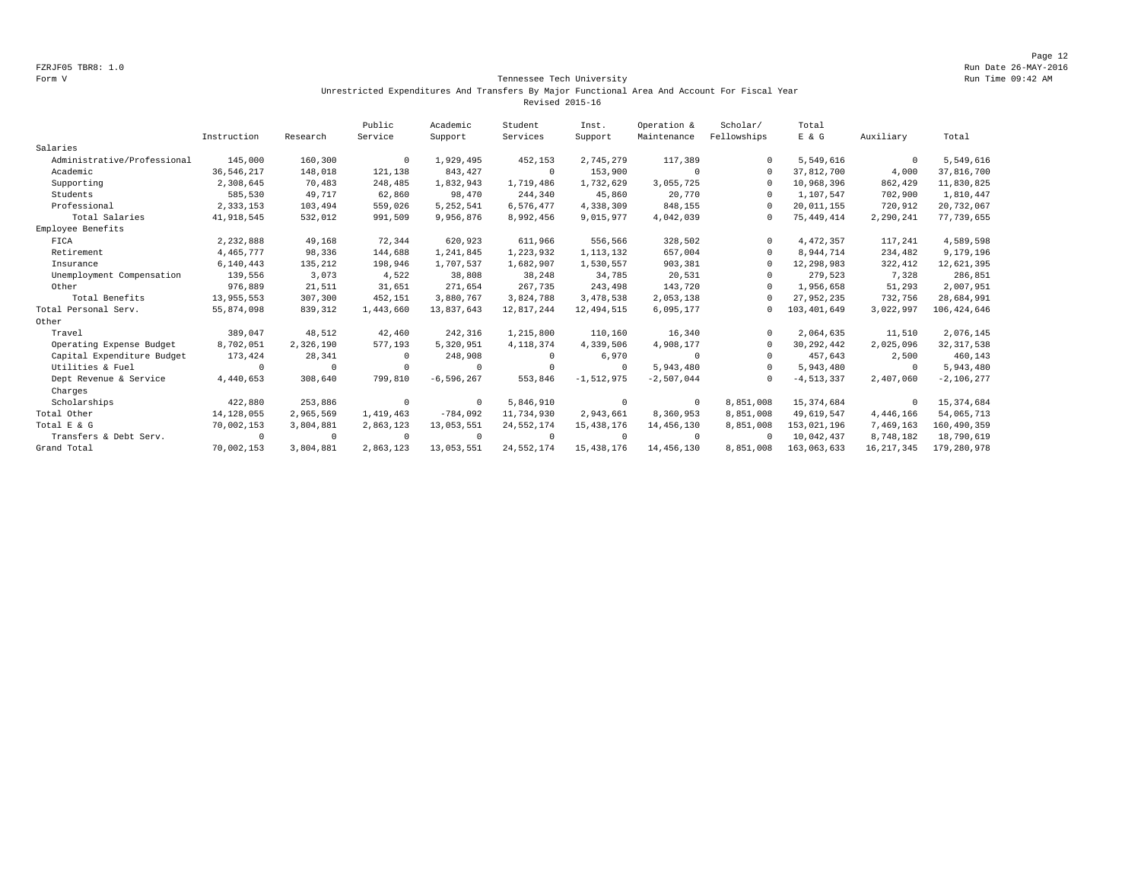## Form V Tennessee Tech University Run Time 09:42 AM Unrestricted Expenditures And Transfers By Major Functional Area And Account For Fiscal Year Revised 2015-16

|                             |              |             | Public    | Academic       | Student      | Inst.          | Operation &  | Scholar/    | Total          |              |               |
|-----------------------------|--------------|-------------|-----------|----------------|--------------|----------------|--------------|-------------|----------------|--------------|---------------|
|                             | Instruction  | Research    | Service   | Support        | Services     | Support        | Maintenance  | Fellowships | E & G          | Auxiliary    | Total         |
| Salaries                    |              |             |           |                |              |                |              |             |                |              |               |
| Administrative/Professional | 145,000      | 160,300     | $\Omega$  | 1,929,495      | 452,153      | 2,745,279      | 117,389      | $\Omega$    | 5,549,616      | $\mathbf 0$  | 5,549,616     |
| Academic                    | 36.546.217   | 148,018     | 121,138   | 843.427        | $^{\circ}$   | 153,900        | $\Omega$     | $\Omega$    | 37.812.700     | 4,000        | 37,816,700    |
| Supporting                  | 2,308,645    | 70,483      | 248,485   | 1,832,943      | 1,719,486    | 1,732,629      | 3,055,725    | $\Omega$    | 10,968,396     | 862,429      | 11,830,825    |
| Students                    | 585,530      | 49,717      | 62,860    | 98,470         | 244,340      | 45,860         | 20,770       | $\Omega$    | 1,107,547      | 702,900      | 1,810,447     |
| Professional                | 2,333,153    | 103,494     | 559,026   | 5, 252, 541    | 6,576,477    | 4,338,309      | 848,155      | $\Omega$    | 20,011,155     | 720,912      | 20,732,067    |
| Total Salaries              | 41,918,545   | 532,012     | 991,509   | 9,956,876      | 8,992,456    | 9,015,977      | 4,042,039    | $\Omega$    | 75,449,414     | 2,290,241    | 77,739,655    |
| Employee Benefits           |              |             |           |                |              |                |              |             |                |              |               |
| FICA                        | 2,232,888    | 49,168      | 72,344    | 620,923        | 611,966      | 556,566        | 328,502      | $\Omega$    | 4, 472, 357    | 117,241      | 4,589,598     |
| Retirement                  | 4, 465, 777  | 98,336      | 144,688   | 1,241,845      | 1,223,932    | 1, 113, 132    | 657,004      | $\Omega$    | 8,944,714      | 234,482      | 9,179,196     |
| Insurance                   | 6,140,443    | 135,212     | 198,946   | 1,707,537      | 1,682,907    | 1,530,557      | 903,381      | $\Omega$    | 12,298,983     | 322,412      | 12,621,395    |
| Unemployment Compensation   | 139,556      | 3,073       | 4,522     | 38,808         | 38,248       | 34,785         | 20,531       | $\Omega$    | 279,523        | 7,328        | 286,851       |
| Other                       | 976,889      | 21,511      | 31,651    | 271,654        | 267,735      | 243,498        | 143,720      | $\Omega$    | 1,956,658      | 51,293       | 2,007,951     |
| Total Benefits              | 13,955,553   | 307,300     | 452,151   | 3,880,767      | 3,824,788    | 3,478,538      | 2,053,138    | $\Omega$    | 27,952,235     | 732,756      | 28,684,991    |
| Total Personal Serv.        | 55,874,098   | 839,312     | 1,443,660 | 13,837,643     | 12,817,244   | 12,494,515     | 6,095,177    | $\Omega$    | 103,401,649    | 3,022,997    | 106, 424, 646 |
| Other                       |              |             |           |                |              |                |              |             |                |              |               |
| Travel                      | 389,047      | 48,512      | 42,460    | 242,316        | 1,215,800    | 110,160        | 16,340       | $\Omega$    | 2,064,635      | 11,510       | 2,076,145     |
| Operating Expense Budget    | 8,702,051    | 2,326,190   | 577,193   | 5,320,951      | 4, 118, 374  | 4,339,506      | 4,908,177    | $\Omega$    | 30, 292, 442   | 2,025,096    | 32, 317, 538  |
| Capital Expenditure Budget  | 173,424      | 28,341      | $\Omega$  | 248,908        | 0            | 6,970          | $^{\circ}$   | $\Omega$    | 457.643        | 2,500        | 460,143       |
| Utilities & Fuel            | $\Omega$     | $\mathbf 0$ | $\cup$    | $^{\circ}$     | $\circ$      | $^{\circ}$     | 5,943,480    | $\Omega$    | 5,943,480      | $\mathbf{0}$ | 5,943,480     |
| Dept Revenue & Service      | 4,440,653    | 308,640     | 799,810   | $-6, 596, 267$ | 553,846      | $-1, 512, 975$ | $-2,507,044$ | $\Omega$    | $-4, 513, 337$ | 2,407,060    | $-2,106,277$  |
| Charges                     |              |             |           |                |              |                |              |             |                |              |               |
| Scholarships                | 422,880      | 253,886     | $\Omega$  | $^{\circ}$     | 5,846,910    | $^{\circ}$     | $^{\circ}$   | 8,851,008   | 15, 374, 684   | $^{\circ}$   | 15, 374, 684  |
| Total Other                 | 14, 128, 055 | 2,965,569   | 1,419,463 | $-784,092$     | 11,734,930   | 2,943,661      | 8,360,953    | 8,851,008   | 49,619,547     | 4,446,166    | 54,065,713    |
| Total E & G                 | 70,002,153   | 3,804,881   | 2,863,123 | 13,053,551     | 24, 552, 174 | 15, 438, 176   | 14,456,130   | 8,851,008   | 153,021,196    | 7,469,163    | 160,490,359   |
| Transfers & Debt Serv.      | $\Omega$     | $^{\circ}$  | $\Omega$  | $^{\circ}$     | $\circ$      | $\Omega$       | $^{\circ}$   | $\Omega$    | 10,042,437     | 8,748,182    | 18,790,619    |
| Grand Total                 | 70,002,153   | 3,804,881   | 2,863,123 | 13,053,551     | 24, 552, 174 | 15, 438, 176   | 14,456,130   | 8,851,008   | 163,063,633    | 16, 217, 345 | 179,280,978   |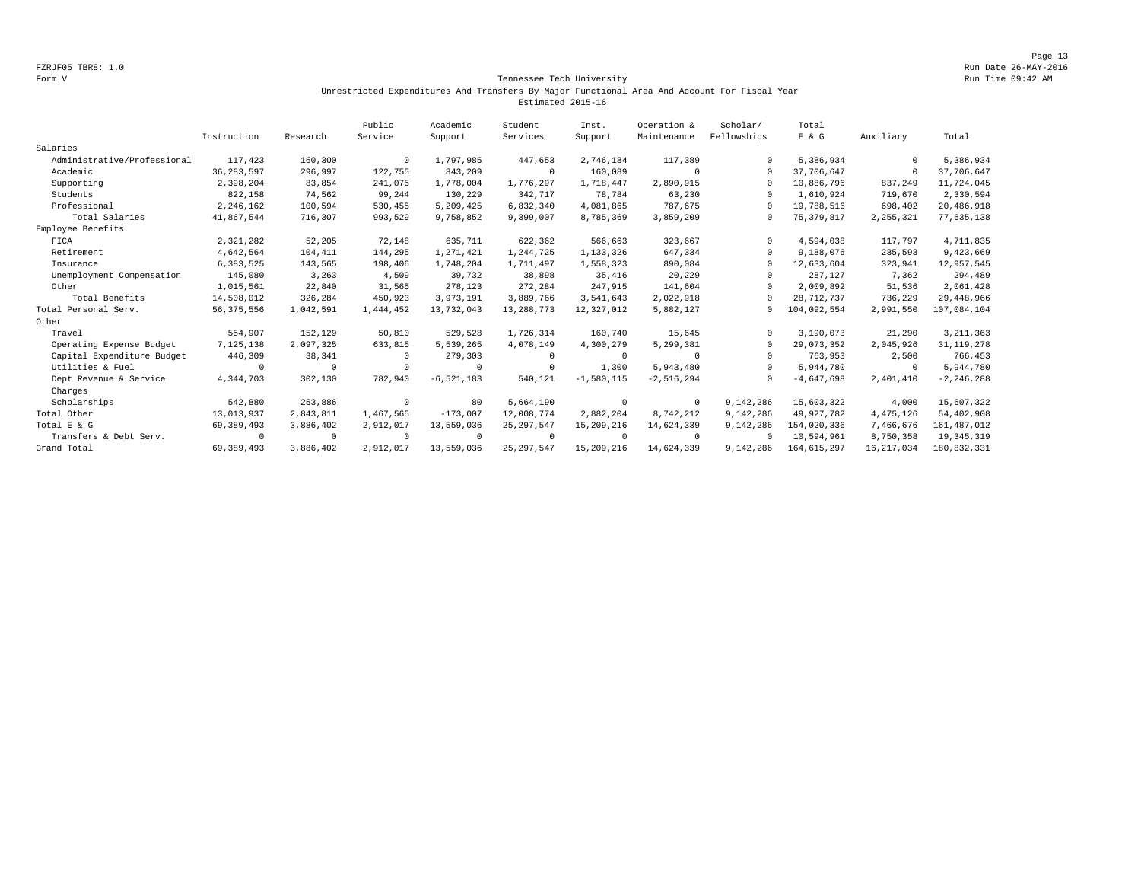## Form V Tennessee Tech University Run Time 09:42 AM Unrestricted Expenditures And Transfers By Major Functional Area And Account For Fiscal Year Estimated 2015-16

|                             |              |            | Public    | Academic       | Student      | Inst.        | Operation &  | Scholar/    | Total         |              |                |
|-----------------------------|--------------|------------|-----------|----------------|--------------|--------------|--------------|-------------|---------------|--------------|----------------|
|                             | Instruction  | Research   | Service   | Support        | Services     | Support      | Maintenance  | Fellowships | E & G         | Auxiliary    | Total          |
| Salaries                    |              |            |           |                |              |              |              |             |               |              |                |
| Administrative/Professional | 117,423      | 160,300    | $\Omega$  | 1,797,985      | 447,653      | 2,746,184    | 117,389      |             | 5,386,934     | $^{\circ}$   | 5,386,934      |
| Academic                    | 36, 283, 597 | 296,997    | 122,755   | 843,209        | $\mathbf 0$  | 160,089      | $\Omega$     | $\Omega$    | 37,706,647    | $^{\circ}$   | 37,706,647     |
| Supporting                  | 2,398,204    | 83,854     | 241,075   | 1,778,004      | 1,776,297    | 1,718,447    | 2,890,915    | $\Omega$    | 10,886,796    | 837,249      | 11,724,045     |
| Students                    | 822,158      | 74,562     | 99,244    | 130,229        | 342,717      | 78,784       | 63,230       | $\Omega$    | 1,610,924     | 719,670      | 2,330,594      |
| Professional                | 2,246,162    | 100,594    | 530,455   | 5,209,425      | 6,832,340    | 4,081,865    | 787.675      | $\Omega$    | 19,788,516    | 698,402      | 20,486,918     |
| Total Salaries              | 41,867,544   | 716,307    | 993,529   | 9,758,852      | 9,399,007    | 8,785,369    | 3,859,209    |             | 75, 379, 817  | 2, 255, 321  | 77,635,138     |
| Employee Benefits           |              |            |           |                |              |              |              |             |               |              |                |
| FICA                        | 2,321,282    | 52,205     | 72,148    | 635,711        | 622,362      | 566,663      | 323,667      | $\Omega$    | 4,594,038     | 117,797      | 4,711,835      |
| Retirement                  | 4,642,564    | 104,411    | 144,295   | 1,271,421      | 1,244,725    | 1,133,326    | 647,334      | $\Omega$    | 9,188,076     | 235,593      | 9,423,669      |
| Insurance                   | 6,383,525    | 143,565    | 198,406   | 1,748,204      | 1,711,497    | 1,558,323    | 890,084      | $\Omega$    | 12,633,604    | 323,941      | 12,957,545     |
| Unemployment Compensation   | 145,080      | 3,263      | 4,509     | 39,732         | 38,898       | 35,416       | 20,229       |             | 287,127       | 7,362        | 294,489        |
| Other                       | 1,015,561    | 22,840     | 31,565    | 278,123        | 272,284      | 247,915      | 141,604      | $\Omega$    | 2,009,892     | 51,536       | 2,061,428      |
| Total Benefits              | 14,508,012   | 326,284    | 450,923   | 3,973,191      | 3,889,766    | 3,541,643    | 2,022,918    |             | 28,712,737    | 736,229      | 29, 448, 966   |
| Total Personal Serv.        | 56, 375, 556 | 1,042,591  | 1,444,452 | 13,732,043     | 13, 288, 773 | 12,327,012   | 5,882,127    | $^{\circ}$  | 104,092,554   | 2,991,550    | 107,084,104    |
| Other                       |              |            |           |                |              |              |              |             |               |              |                |
| Travel                      | 554,907      | 152,129    | 50,810    | 529,528        | 1,726,314    | 160,740      | 15,645       | $\Omega$    | 3,190,073     | 21,290       | 3, 211, 363    |
| Operating Expense Budget    | 7,125,138    | 2,097,325  | 633,815   | 5,539,265      | 4,078,149    | 4,300,279    | 5,299,381    | $\Omega$    | 29,073,352    | 2,045,926    | 31, 119, 278   |
| Capital Expenditure Budget  | 446,309      | 38,341     | 0         | 279,303        | $\Omega$     | $\Omega$     | $\Omega$     |             | 763,953       | 2,500        | 766,453        |
| Utilities & Fuel            | 0            | $^{\circ}$ | $\cup$    | 0              | $^{\circ}$   | 1,300        | 5,943,480    | $\Omega$    | 5,944,780     | $^{\circ}$   | 5,944,780      |
| Dept Revenue & Service      | 4,344,703    | 302,130    | 782,940   | $-6, 521, 183$ | 540,121      | $-1,580,115$ | $-2,516,294$ |             | $-4,647,698$  | 2,401,410    | $-2, 246, 288$ |
| Charges                     |              |            |           |                |              |              |              |             |               |              |                |
| Scholarships                | 542,880      | 253,886    | $\Omega$  | 80             | 5,664,190    | $^{\circ}$   | $^{\circ}$   | 9,142,286   | 15,603,322    | 4,000        | 15,607,322     |
| Total Other                 | 13,013,937   | 2,843,811  | 1,467,565 | $-173,007$     | 12,008,774   | 2,882,204    | 8,742,212    | 9,142,286   | 49,927,782    | 4, 475, 126  | 54,402,908     |
| Total E & G                 | 69,389,493   | 3,886,402  | 2,912,017 | 13,559,036     | 25, 297, 547 | 15,209,216   | 14,624,339   | 9,142,286   | 154,020,336   | 7,466,676    | 161, 487, 012  |
| Transfers & Debt Serv.      | $\Omega$     | $^{\circ}$ |           | $^{\circ}$     | $^{\circ}$   | $\Omega$     | $\Omega$     |             | 10,594,961    | 8,750,358    | 19, 345, 319   |
| Grand Total                 | 69, 389, 493 | 3,886,402  | 2,912,017 | 13,559,036     | 25, 297, 547 | 15,209,216   | 14,624,339   | 9,142,286   | 164, 615, 297 | 16, 217, 034 | 180,832,331    |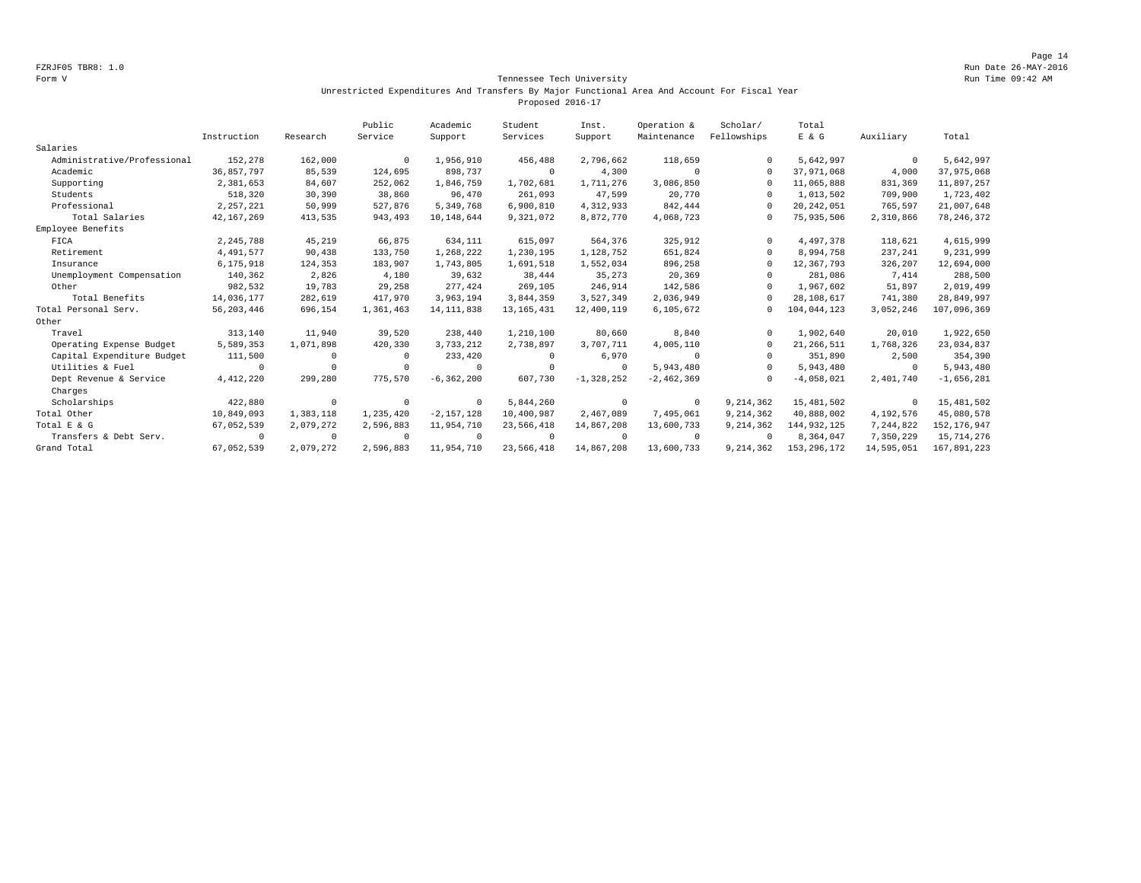## Form V Tennessee Tech University Run Time 09:42 AM Unrestricted Expenditures And Transfers By Major Functional Area And Account For Fiscal Year Proposed 2016-17

|                             |              |            | Public    | Academic       | Student      | Inst.          | Operation &    | Scholar/    | Total         |             |               |
|-----------------------------|--------------|------------|-----------|----------------|--------------|----------------|----------------|-------------|---------------|-------------|---------------|
|                             | Instruction  | Research   | Service   | Support        | Services     | Support        | Maintenance    | Fellowships | E & G         | Auxiliary   | Total         |
| Salaries                    |              |            |           |                |              |                |                |             |               |             |               |
| Administrative/Professional | 152,278      | 162,000    | $\Omega$  | 1,956,910      | 456,488      | 2,796,662      | 118,659        | $\Omega$    | 5,642,997     | $\mathbf 0$ | 5,642,997     |
| Academic                    | 36,857,797   | 85,539     | 124,695   | 898,737        | $\circ$      | 4,300          | $\Omega$       | $\Omega$    | 37,971,068    | 4,000       | 37,975,068    |
| Supporting                  | 2,381,653    | 84,607     | 252,062   | 1,846,759      | 1,702,681    | 1,711,276      | 3,086,850      | $\Omega$    | 11,065,888    | 831,369     | 11,897,257    |
| Students                    | 518,320      | 30,390     | 38,860    | 96,470         | 261,093      | 47,599         | 20,770         | $\Omega$    | 1,013,502     | 709,900     | 1,723,402     |
| Professional                | 2, 257, 221  | 50,999     | 527,876   | 5.349.768      | 6,900,810    | 4,312,933      | 842.444        | $\Omega$    | 20, 242, 051  | 765,597     | 21,007,648    |
| Total Salaries              | 42, 167, 269 | 413,535    | 943,493   | 10,148,644     | 9,321,072    | 8,872,770      | 4,068,723      | $\Omega$    | 75,935,506    | 2,310,866   | 78, 246, 372  |
| Employee Benefits           |              |            |           |                |              |                |                |             |               |             |               |
| FICA                        | 2,245,788    | 45,219     | 66,875    | 634,111        | 615,097      | 564,376        | 325,912        | $\Omega$    | 4.497.378     | 118,621     | 4,615,999     |
| Retirement                  | 4,491,577    | 90,438     | 133,750   | 1,268,222      | 1,230,195    | 1,128,752      | 651,824        | $\Omega$    | 8,994,758     | 237,241     | 9,231,999     |
| Insurance                   | 6,175,918    | 124,353    | 183,907   | 1,743,805      | 1,691,518    | 1,552,034      | 896,258        | $\Omega$    | 12,367,793    | 326,207     | 12,694,000    |
| Unemployment Compensation   | 140,362      | 2,826      | 4,180     | 39,632         | 38,444       | 35,273         | 20,369         | $\Omega$    | 281,086       | 7,414       | 288,500       |
| Other                       | 982,532      | 19,783     | 29,258    | 277,424        | 269,105      | 246,914        | 142,586        | $\Omega$    | 1,967,602     | 51,897      | 2,019,499     |
| Total Benefits              | 14,036,177   | 282,619    | 417,970   | 3,963,194      | 3,844,359    | 3,527,349      | 2,036,949      | $\Omega$    | 28,108,617    | 741,380     | 28,849,997    |
| Total Personal Serv.        | 56, 203, 446 | 696,154    | 1,361,463 | 14, 111, 838   | 13, 165, 431 | 12,400,119     | 6,105,672      | $\Omega$    | 104,044,123   | 3,052,246   | 107,096,369   |
| Other                       |              |            |           |                |              |                |                |             |               |             |               |
| Travel                      | 313,140      | 11,940     | 39,520    | 238,440        | 1,210,100    | 80,660         | 8,840          | $\Omega$    | 1,902,640     | 20,010      | 1,922,650     |
| Operating Expense Budget    | 5,589,353    | 1,071,898  | 420,330   | 3,733,212      | 2,738,897    | 3,707,711      | 4,005,110      | $\Omega$    | 21, 266, 511  | 1,768,326   | 23,034,837    |
| Capital Expenditure Budget  | 111,500      | $\Omega$   | $\Omega$  | 233,420        | 0            | 6,970          | $\Omega$       | $\Omega$    | 351,890       | 2,500       | 354,390       |
| Utilities & Fuel            | $\Omega$     | 0          |           | $^{\circ}$     | 0            | $^{\circ}$     | 5,943,480      | $\Omega$    | 5,943,480     | $^{\circ}$  | 5,943,480     |
| Dept Revenue & Service      | 4, 412, 220  | 299,280    | 775,570   | $-6, 362, 200$ | 607,730      | $-1, 328, 252$ | $-2, 462, 369$ | $\Omega$    | $-4,058,021$  | 2,401,740   | $-1,656,281$  |
| Charges                     |              |            |           |                |              |                |                |             |               |             |               |
| Scholarships                | 422,880      | $\circ$    | $\Omega$  | $^{\circ}$     | 5,844,260    | $^{\circ}$     | $\circ$        | 9, 214, 362 | 15,481,502    | $^{\circ}$  | 15, 481, 502  |
| Total Other                 | 10,849,093   | 1,383,118  | 1,235,420 | $-2, 157, 128$ | 10,400,987   | 2,467,089      | 7,495,061      | 9,214,362   | 40,888,002    | 4,192,576   | 45,080,578    |
| Total E & G                 | 67,052,539   | 2,079,272  | 2,596,883 | 11,954,710     | 23,566,418   | 14,867,208     | 13,600,733     | 9,214,362   | 144, 932, 125 | 7,244,822   | 152, 176, 947 |
| Transfers & Debt Serv.      | $\Omega$     | $^{\circ}$ | $\Omega$  | $^{\circ}$     | $\circ$      | $\Omega$       | $^{\circ}$     | $\Omega$    | 8,364,047     | 7,350,229   | 15,714,276    |
| Grand Total                 | 67,052,539   | 2,079,272  | 2,596,883 | 11,954,710     | 23,566,418   | 14,867,208     | 13,600,733     | 9,214,362   | 153, 296, 172 | 14,595,051  | 167,891,223   |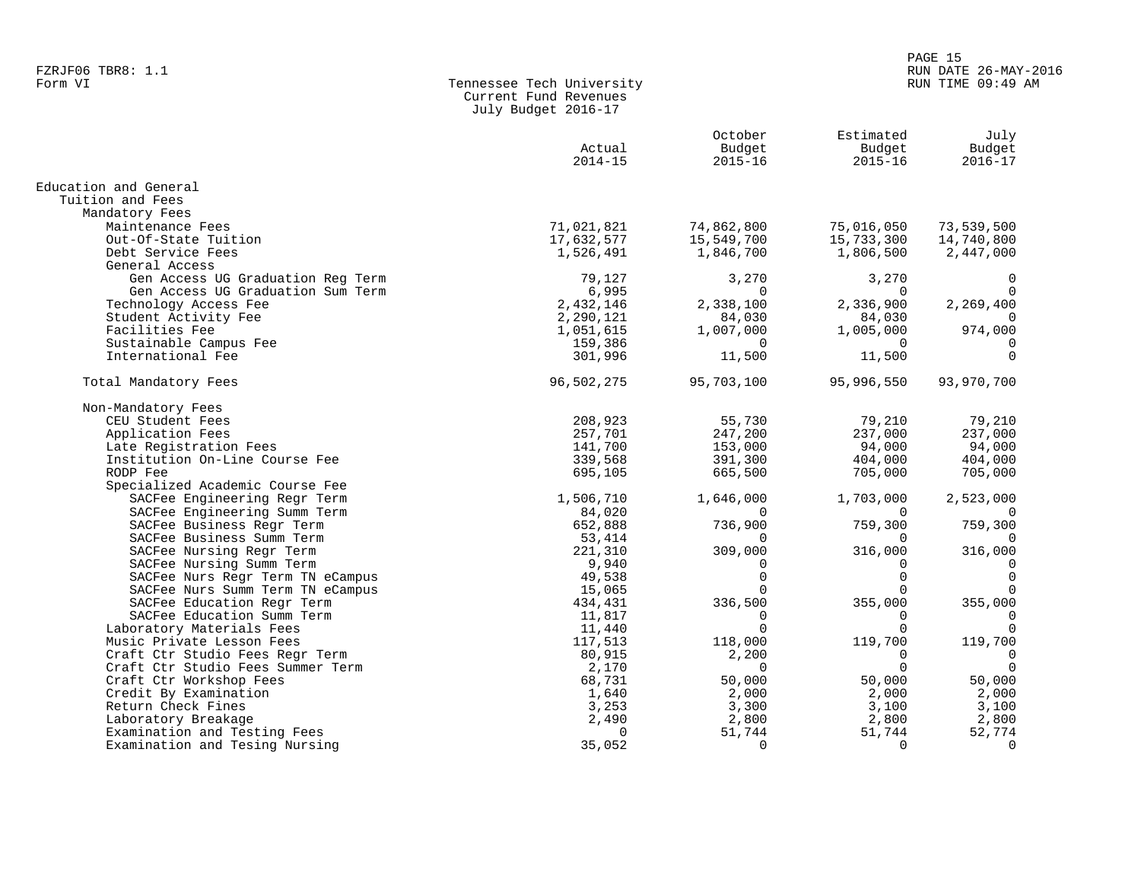# en and the set of the set of the set of the set of the set of the set of the set of the set of the set of the set of the set of the set of the set of the set of the set of the set of the set of the set of the set of the se FZRJF06 TBR8: 1.1 RUN DATE 26-MAY-2016

## Form VI Tennessee Tech University RUN TIME 09:49 AM Current Fund Revenues July Budget 2016-17

|                                   | Actual<br>$2014 - 15$ | October<br>Budget<br>$2015 - 16$ | Estimated<br>Budget<br>$2015 - 16$ | July<br>Budget<br>$2016 - 17$ |
|-----------------------------------|-----------------------|----------------------------------|------------------------------------|-------------------------------|
| Education and General             |                       |                                  |                                    |                               |
| Tuition and Fees                  |                       |                                  |                                    |                               |
| Mandatory Fees                    |                       |                                  |                                    |                               |
| Maintenance Fees                  | 71,021,821            | 74,862,800                       | 75,016,050                         | 73,539,500                    |
| Out-Of-State Tuition              | 17,632,577            | 15,549,700                       | 15,733,300                         | 14,740,800                    |
| Debt Service Fees                 | 1,526,491             | 1,846,700                        | 1,806,500                          | 2,447,000                     |
| General Access                    |                       |                                  |                                    |                               |
| Gen Access UG Graduation Reg Term | 79,127                | 3,270                            | 3,270                              | 0                             |
| Gen Access UG Graduation Sum Term | 6,995                 | $\Omega$                         | $\Omega$                           | $\Omega$                      |
| Technology Access Fee             | 2,432,146             | 2,338,100                        | 2,336,900                          | 2,269,400                     |
| Student Activity Fee              | 2,290,121             | 84,030                           | 84,030                             | $\Omega$                      |
| Facilities Fee                    | 1,051,615             | 1,007,000                        | 1,005,000                          | 974,000                       |
| Sustainable Campus Fee            | 159,386               | $\Omega$                         | $\Omega$                           | $\Omega$                      |
| International Fee                 | 301,996               | 11,500                           | 11,500                             | $\Omega$                      |
| Total Mandatory Fees              | 96,502,275            | 95,703,100                       | 95,996,550                         | 93,970,700                    |
| Non-Mandatory Fees                |                       |                                  |                                    |                               |
| CEU Student Fees                  | 208,923               | 55,730                           | 79,210                             | 79,210                        |
| Application Fees                  | 257,701               | 247,200                          | 237,000                            | 237,000                       |
| Late Registration Fees            | 141,700               | 153,000                          | 94,000                             | 94,000                        |
| Institution On-Line Course Fee    | 339,568               | 391,300                          | 404,000                            | 404,000                       |
| RODP Fee                          | 695,105               | 665,500                          | 705,000                            | 705,000                       |
| Specialized Academic Course Fee   |                       |                                  |                                    |                               |
| SACFee Engineering Regr Term      | 1,506,710             | 1,646,000                        | 1,703,000                          | 2,523,000                     |
| SACFee Engineering Summ Term      | 84,020                | 0                                | $\Omega$                           | 0                             |
| SACFee Business Regr Term         | 652,888               | 736,900                          | 759,300                            | 759,300                       |
| SACFee Business Summ Term         | 53,414                | 0                                | $\Omega$                           | $\Omega$                      |
| SACFee Nursing Regr Term          | 221,310               | 309,000                          | 316,000                            | 316,000                       |
| SACFee Nursing Summ Term          | 9,940                 | $\Omega$                         | $\Omega$                           | $\Omega$                      |
| SACFee Nurs Regr Term TN eCampus  | 49,538                | $\Omega$                         | $\Omega$                           | $\Omega$                      |
| SACFee Nurs Summ Term TN eCampus  | 15,065                | $\Omega$                         | $\cap$                             | $\Omega$                      |
| SACFee Education Regr Term        | 434,431               | 336,500                          | 355,000                            | 355,000                       |
| SACFee Education Summ Term        | 11,817                | $\Omega$                         | $\Omega$                           | $\Omega$                      |
| Laboratory Materials Fees         | 11,440                | $\Omega$                         | $\Omega$                           | $\Omega$                      |
| Music Private Lesson Fees         | 117,513               | 118,000                          | 119,700                            | 119,700                       |
| Craft Ctr Studio Fees Regr Term   | 80,915                | 2,200                            | $\Omega$                           | $\mathbf 0$                   |
| Craft Ctr Studio Fees Summer Term | 2,170                 | $\mathbf 0$                      | $\Omega$                           | $\overline{0}$                |
| Craft Ctr Workshop Fees           | 68,731                | 50,000                           | 50,000                             | 50,000                        |
| Credit By Examination             | 1,640                 | 2,000                            | 2,000                              | 2,000                         |
| Return Check Fines                | 3,253                 | 3,300                            | 3,100                              | 3,100                         |
| Laboratory Breakage               | 2,490                 | 2,800                            | 2,800                              | 2,800                         |
| Examination and Testing Fees      | $\Omega$              | 51,744                           | 51,744                             | 52,774                        |
| Examination and Tesing Nursing    | 35,052                | 0                                | $\mathbf 0$                        | $\mathbf 0$                   |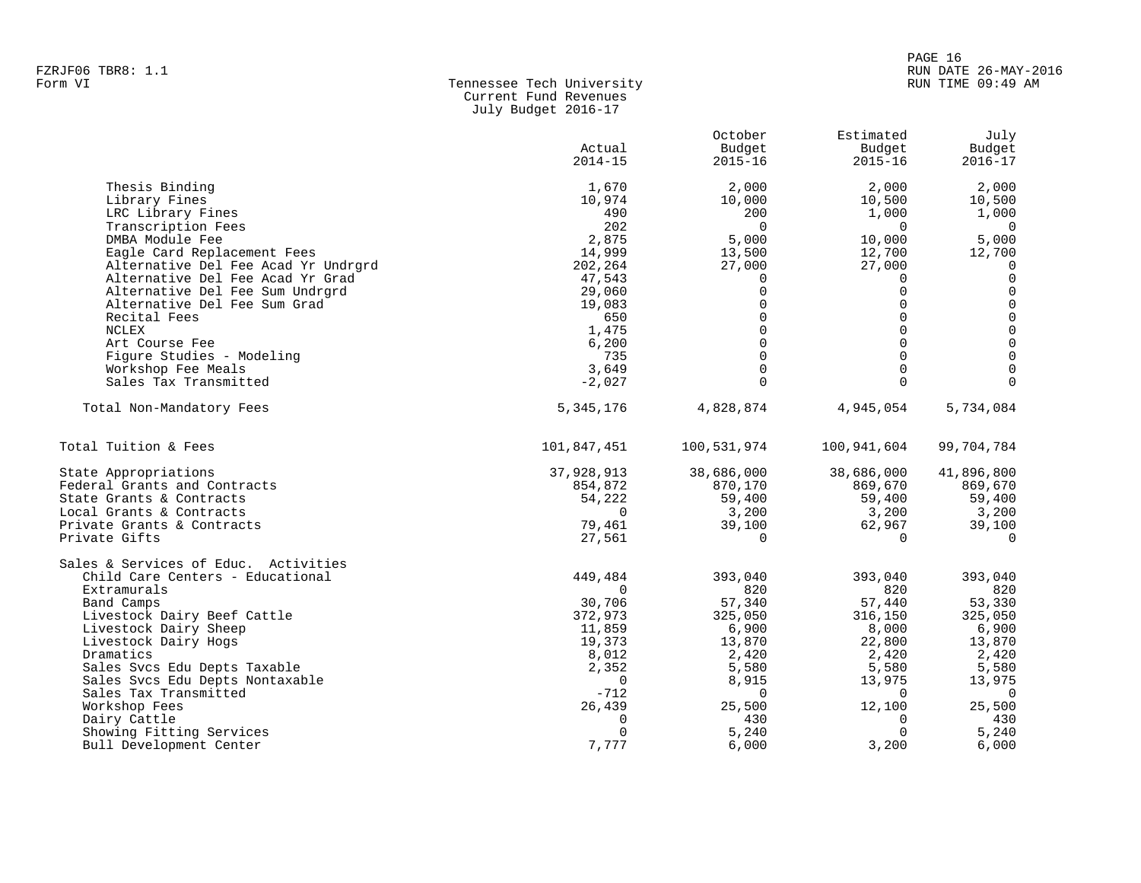# PAGE 16 FZRJF06 TBR8: 1.1 RUN DATE 26-MAY-2016

## Form VI Tennessee Tech University RUN TIME 09:49 AM Current Fund Revenues July Budget 2016-17

|                                      |                  | October     | Estimated   | July                     |
|--------------------------------------|------------------|-------------|-------------|--------------------------|
|                                      | Actual           | Budget      | Budget      | Budget                   |
|                                      | $2014 - 15$      | $2015 - 16$ | $2015 - 16$ | $2016 - 17$              |
| Thesis Binding                       | 1,670            | 2,000       | 2,000       | 2,000                    |
| Library Fines                        | 10,974           | 10,000      | 10,500      | 10,500                   |
| LRC Library Fines                    | 490              | 200         | 1,000       | 1,000                    |
| Transcription Fees                   | 202              | $\Omega$    | $\Omega$    | $\overline{\phantom{0}}$ |
| DMBA Module Fee                      | 2,875            | 5,000       | 10,000      | 5,000                    |
| Eagle Card Replacement Fees          | 14,999           | 13,500      | 12,700      | 12,700                   |
| Alternative Del Fee Acad Yr Undrgrd  | 202,264          | 27,000      | 27,000      | 0                        |
| Alternative Del Fee Acad Yr Grad     | 47,543           | 0           | $\Omega$    | $\mathbf 0$              |
| Alternative Del Fee Sum Undrgrd      | 29,060           | $\Omega$    | $\Omega$    | $\mathbf 0$              |
| Alternative Del Fee Sum Grad         | 19,083           | $\Omega$    | $\Omega$    | $\mathsf 0$              |
| Recital Fees                         | 650              | $\Omega$    | $\Omega$    | $\mathsf 0$              |
| NCLEX                                | 1,475            | $\Omega$    | $\Omega$    | $\mathsf 0$              |
| Art Course Fee                       | 6,200            | $\Omega$    | $\Omega$    | $\mathsf 0$              |
| Figure Studies - Modeling            | 735              | $\Omega$    | $\Omega$    | $\mathbf 0$              |
| Workshop Fee Meals                   | 3,649            | $\Omega$    | $\mathbf 0$ | $\mathbf 0$              |
| Sales Tax Transmitted                | $-2,027$         | $\Omega$    | $\Omega$    | $\Omega$                 |
| Total Non-Mandatory Fees             | 5, 345, 176      | 4,828,874   | 4,945,054   | 5,734,084                |
| Total Tuition & Fees                 | 101,847,451      | 100,531,974 | 100,941,604 | 99,704,784               |
| State Appropriations                 | 37,928,913       | 38,686,000  | 38,686,000  | 41,896,800               |
| Federal Grants and Contracts         | 854,872          | 870,170     | 869,670     | 869,670                  |
| State Grants & Contracts             | 54,222           | 59,400      | 59,400      | 59,400                   |
| Local Grants & Contracts             | $\Omega$         | 3,200       | 3,200       | 3,200                    |
| Private Grants & Contracts           | 79,461           | 39,100      | 62,967      | 39,100                   |
| Private Gifts                        | 27,561           | $\Omega$    | $\Omega$    | $\Omega$                 |
| Sales & Services of Educ. Activities |                  |             |             |                          |
| Child Care Centers - Educational     | 449,484          | 393,040     | 393,040     | 393,040                  |
| Extramurals                          | $\Omega$         | 820         | 820         | 820                      |
| Band Camps                           | 30,706           | 57,340      | 57,440      | 53,330                   |
| Livestock Dairy Beef Cattle          | 372,973          | 325,050     | 316,150     | 325,050                  |
| Livestock Dairy Sheep                | 11,859           | 6,900       | 8,000       | 6,900                    |
| Livestock Dairy Hogs                 | 19,373           | 13,870      | 22,800      | 13,870                   |
| Dramatics                            | 8,012            | 2,420       | 2,420       | 2,420                    |
| Sales Svcs Edu Depts Taxable         | 2,352            | 5,580       | 5,580       | 5,580                    |
| Sales Svcs Edu Depts Nontaxable      | $\Omega$         | 8,915       | 13,975      | 13,975                   |
| Sales Tax Transmitted                | $-712$           | $\mathbf 0$ | 0           | $\overline{0}$           |
| Workshop Fees                        | 26,439           | 25,500      | 12,100      | 25,500                   |
| Dairy Cattle                         | 0<br>$\mathbf 0$ | 430         | 0           | 430                      |
| Showing Fitting Services             |                  | 5,240       | 0           | 5,240<br>6,000           |
| Bull Development Center              | 7,777            | 6,000       | 3,200       |                          |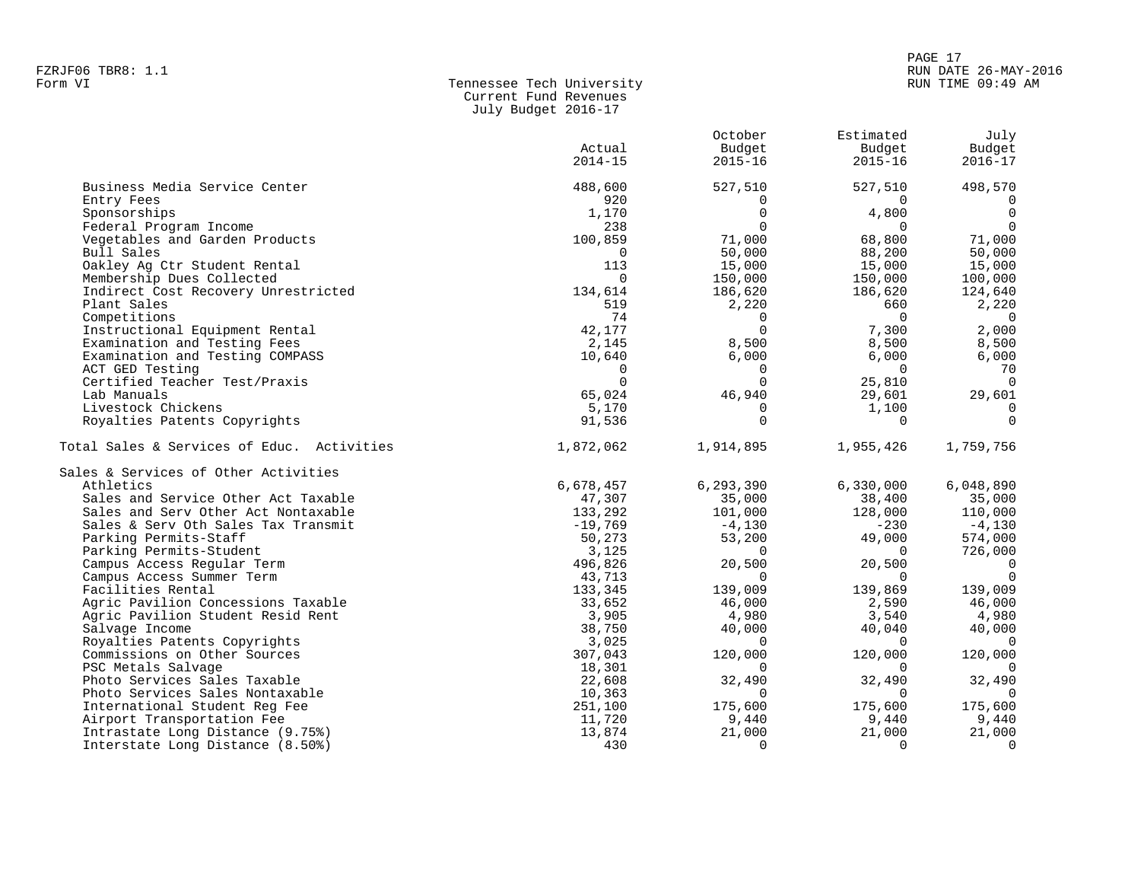## PAGE 17 FZRJF06 TBR8: 1.1 RUN DATE 26-MAY-2016 RUN TIME 09:49 AM

| Form VI | Tennessee Tech University |
|---------|---------------------------|
|         | Current Fund Revenues     |
|         | July Budget 2016-17       |

|                                            | Actual<br>$2014 - 15$ | October<br>Budget<br>$2015 - 16$ | Estimated<br>Budget<br>$2015 - 16$ | July<br>Budget<br>$2016 - 17$ |
|--------------------------------------------|-----------------------|----------------------------------|------------------------------------|-------------------------------|
| Business Media Service Center              | 488,600               | 527,510                          | 527,510                            | 498,570                       |
| Entry Fees                                 | 920                   | $\Omega$                         | $\Omega$                           |                               |
| Sponsorships                               | 1,170                 | $\Omega$                         | 4,800                              | $\Omega$                      |
| Federal Program Income                     | 238                   | $\Omega$                         | $\Omega$                           | $\cap$                        |
| Vegetables and Garden Products             | 100,859               | 71,000                           | 68,800                             | 71,000                        |
| Bull Sales                                 | $\Omega$              | 50,000                           | 88,200                             | 50,000                        |
| Oakley Ag Ctr Student Rental               | 113                   | 15,000                           | 15,000                             | 15,000                        |
| Membership Dues Collected                  | $\Omega$              | 150,000                          | 150,000                            | 100,000                       |
| Indirect Cost Recovery Unrestricted        | 134,614               | 186,620                          | 186,620                            | 124,640                       |
| Plant Sales                                | 519                   | 2,220                            | 660                                | 2,220                         |
| Competitions                               | 74                    | $\Omega$                         | $\Omega$                           | $\Omega$                      |
| Instructional Equipment Rental             | 42,177                | $\Omega$                         | 7,300                              | 2,000                         |
| Examination and Testing Fees               | 2,145                 | 8,500                            | 8,500                              | 8,500                         |
| Examination and Testing COMPASS            | 10,640                | 6,000                            | 6,000                              | 6,000                         |
| ACT GED Testing                            | $\Omega$              | $\Omega$                         | $\Omega$                           | 70                            |
| Certified Teacher Test/Praxis              | $\Omega$              | $\Omega$                         | 25,810                             | $\Omega$                      |
| Lab Manuals                                | 65,024                | 46,940                           | 29,601                             | 29,601                        |
| Livestock Chickens                         | 5,170                 | $\mathbf 0$                      | 1,100                              | 0                             |
| Royalties Patents Copyrights               | 91,536                | $\Omega$                         | $\Omega$                           | $\Omega$                      |
|                                            |                       |                                  |                                    |                               |
| Total Sales & Services of Educ. Activities | 1,872,062             | 1,914,895                        | 1,955,426                          | 1,759,756                     |
| Sales & Services of Other Activities       |                       |                                  |                                    |                               |
| Athletics                                  | 6,678,457             | 6,293,390                        | 6,330,000                          | 6,048,890                     |
| Sales and Service Other Act Taxable        | 47,307                | 35,000                           | 38,400                             | 35,000                        |
| Sales and Serv Other Act Nontaxable        | 133,292               | 101,000                          | 128,000                            | 110,000                       |
| Sales & Serv Oth Sales Tax Transmit        | $-19,769$             | $-4,130$                         | $-230$                             | $-4,130$                      |
| Parking Permits-Staff                      | 50,273                | 53,200                           | 49,000                             | 574,000                       |
| Parking Permits-Student                    | 3,125                 | $\Omega$                         | $\overline{0}$                     | 726,000                       |
| Campus Access Regular Term                 | 496,826               | 20,500                           | 20,500                             | $\Omega$                      |
| Campus Access Summer Term                  | 43,713                | $\Omega$                         | $\Omega$                           | $\Omega$                      |
| Facilities Rental                          | 133,345               | 139,009                          | 139,869                            | 139,009                       |
| Agric Pavilion Concessions Taxable         | 33,652                | 46,000                           | 2,590                              | 46,000                        |
| Agric Pavilion Student Resid Rent          | 3,905                 | 4,980                            | 3,540                              | 4,980                         |
| Salvage Income                             | 38,750                | 40,000                           | 40,040                             | 40,000                        |
| Royalties Patents Copyrights               | 3,025                 | $\Omega$                         | $\Omega$                           | $\Omega$                      |
| Commissions on Other Sources               | 307,043               | 120,000                          | 120,000                            | 120,000                       |
| PSC Metals Salvage                         | 18,301                | $\Omega$                         | $\Omega$                           | $\cap$                        |
| Photo Services Sales Taxable               | 22,608                | 32,490                           | 32,490                             | 32,490                        |
| Photo Services Sales Nontaxable            | 10,363                | $\Omega$                         | $\Omega$                           | $\Omega$                      |
| International Student Req Fee              | 251,100               | 175,600                          | 175,600                            | 175,600                       |
| Airport Transportation Fee                 | 11,720                | 9,440                            | 9,440                              | 9,440                         |
| Intrastate Long Distance (9.75%)           | 13,874                | 21,000                           | 21,000                             | 21,000                        |
| Interstate Long Distance (8.50%)           | 430                   | $\Omega$                         | $\Omega$                           | $\Omega$                      |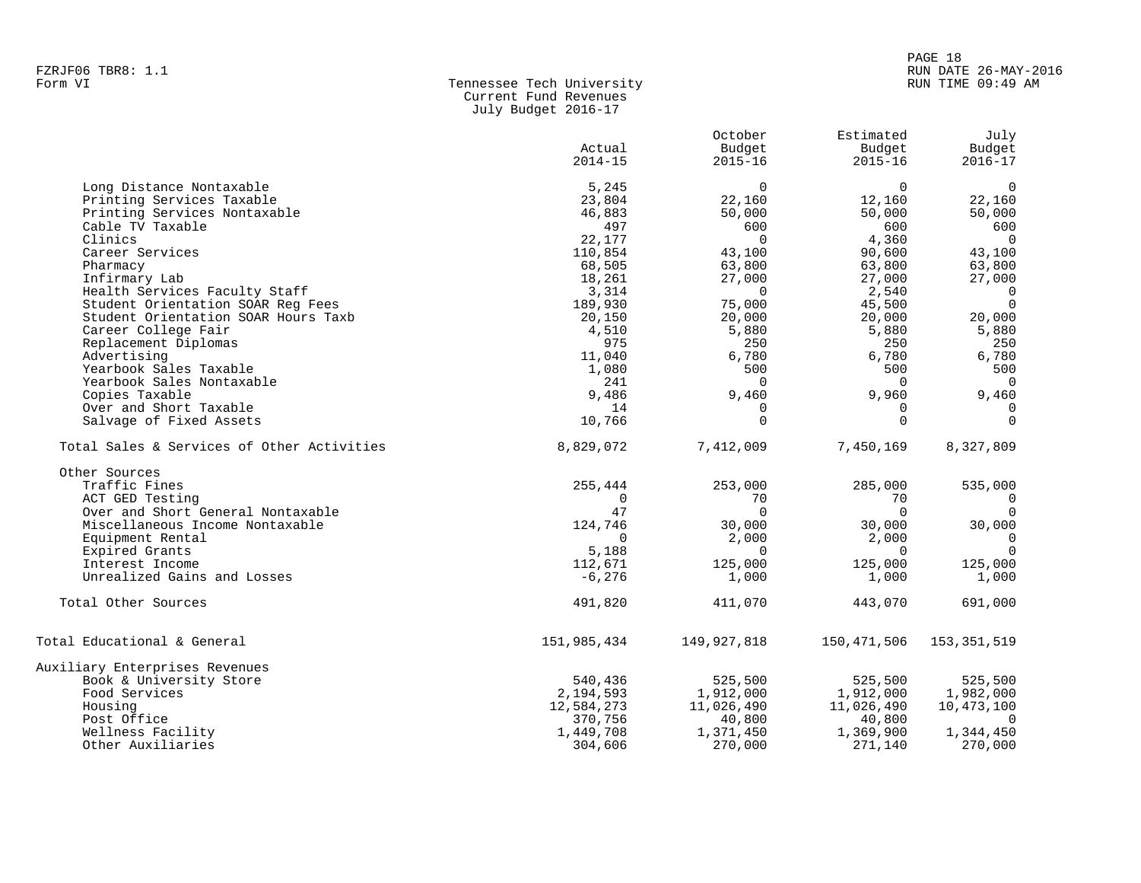## Tennessee Tech University Current Fund Revenues July Budget 2016-17

|                                            | Actual<br>$2014 - 15$ | October<br>Budget<br>$2015 - 16$ | Estimated<br>Budget<br>$2015 - 16$ | July<br>Budget<br>$2016 - 17$ |
|--------------------------------------------|-----------------------|----------------------------------|------------------------------------|-------------------------------|
|                                            |                       |                                  |                                    |                               |
| Long Distance Nontaxable                   | 5,245                 | 0                                | $\Omega$                           | $\overline{0}$                |
| Printing Services Taxable                  | 23,804                | 22,160                           | 12,160                             | 22,160                        |
| Printing Services Nontaxable               | 46,883                | 50,000                           | 50,000                             | 50,000                        |
| Cable TV Taxable                           | 497                   | 600                              | 600                                | 600                           |
| Clinics                                    | 22,177                | $\Omega$                         | 4,360                              | $\Omega$                      |
| Career Services                            | 110,854               | 43,100                           | 90,600                             | 43,100                        |
| Pharmacy                                   | 68,505                | 63,800                           | 63,800                             | 63,800                        |
| Infirmary Lab                              | 18,261                | 27,000                           | 27,000                             | 27,000                        |
| Health Services Faculty Staff              | 3,314                 | $\Omega$                         | 2,540                              | $\overline{0}$                |
| Student Orientation SOAR Reg Fees          | 189,930               | 75,000                           | 45,500                             | $\Omega$                      |
| Student Orientation SOAR Hours Taxb        | 20,150                | 20,000                           | 20,000                             | 20,000                        |
| Career College Fair                        | 4,510                 | 5,880                            | 5,880                              | 5,880                         |
| Replacement Diplomas                       | 975                   | 250                              | 250                                | 250                           |
| Advertising                                | 11,040                | 6,780                            | 6,780                              | 6,780                         |
| Yearbook Sales Taxable                     | 1,080                 | 500                              | 500                                | 500                           |
| Yearbook Sales Nontaxable                  | 241                   | $\Omega$                         | $\Omega$                           | $\Omega$                      |
| Copies Taxable                             | 9,486                 | 9,460                            | 9,960                              | 9,460                         |
| Over and Short Taxable                     | 14                    | $\Omega$                         | $\Omega$                           | $\mathbf 0$                   |
| Salvage of Fixed Assets                    | 10,766                | $\Omega$                         | $\Omega$                           | $\Omega$                      |
| Total Sales & Services of Other Activities | 8,829,072             | 7,412,009                        | 7,450,169                          | 8,327,809                     |
| Other Sources                              |                       |                                  |                                    |                               |
| Traffic Fines                              | 255,444               | 253,000                          | 285,000                            | 535,000                       |
| ACT GED Testing                            | $\Omega$              | 70                               | 70                                 | $\Omega$                      |
| Over and Short General Nontaxable          | 47                    | $\Omega$                         | $\Omega$                           | $\Omega$                      |
| Miscellaneous Income Nontaxable            | 124,746               | 30,000                           | 30,000                             | 30,000                        |
| Equipment Rental                           | $\Omega$              | 2,000                            | 2,000                              | $\overline{0}$                |
| Expired Grants                             | 5,188                 | $\Omega$                         | $\Omega$                           | $\Omega$                      |
| Interest Income                            | 112,671               | 125,000                          | 125,000                            | 125,000                       |
| Unrealized Gains and Losses                | $-6,276$              | 1,000                            | 1,000                              | 1,000                         |
| Total Other Sources                        | 491,820               | 411,070                          | 443,070                            | 691,000                       |
| Total Educational & General                | 151,985,434           | 149,927,818                      | 150,471,506                        | 153, 351, 519                 |
| Auxiliary Enterprises Revenues             |                       |                                  |                                    |                               |
| Book & University Store                    | 540,436               | 525,500                          | 525,500                            | 525,500                       |
| Food Services                              | 2,194,593             | 1,912,000                        | 1,912,000                          | 1,982,000                     |
| Housing                                    | 12,584,273            | 11,026,490                       | 11,026,490                         | 10,473,100                    |
| Post Office                                | 370,756               | 40,800                           | 40,800                             |                               |
| Wellness Facility                          | 1,449,708             | 1,371,450                        | 1,369,900                          | 1,344,450                     |
| Other Auxiliaries                          | 304,606               | 270,000                          | 271,140                            | 270,000                       |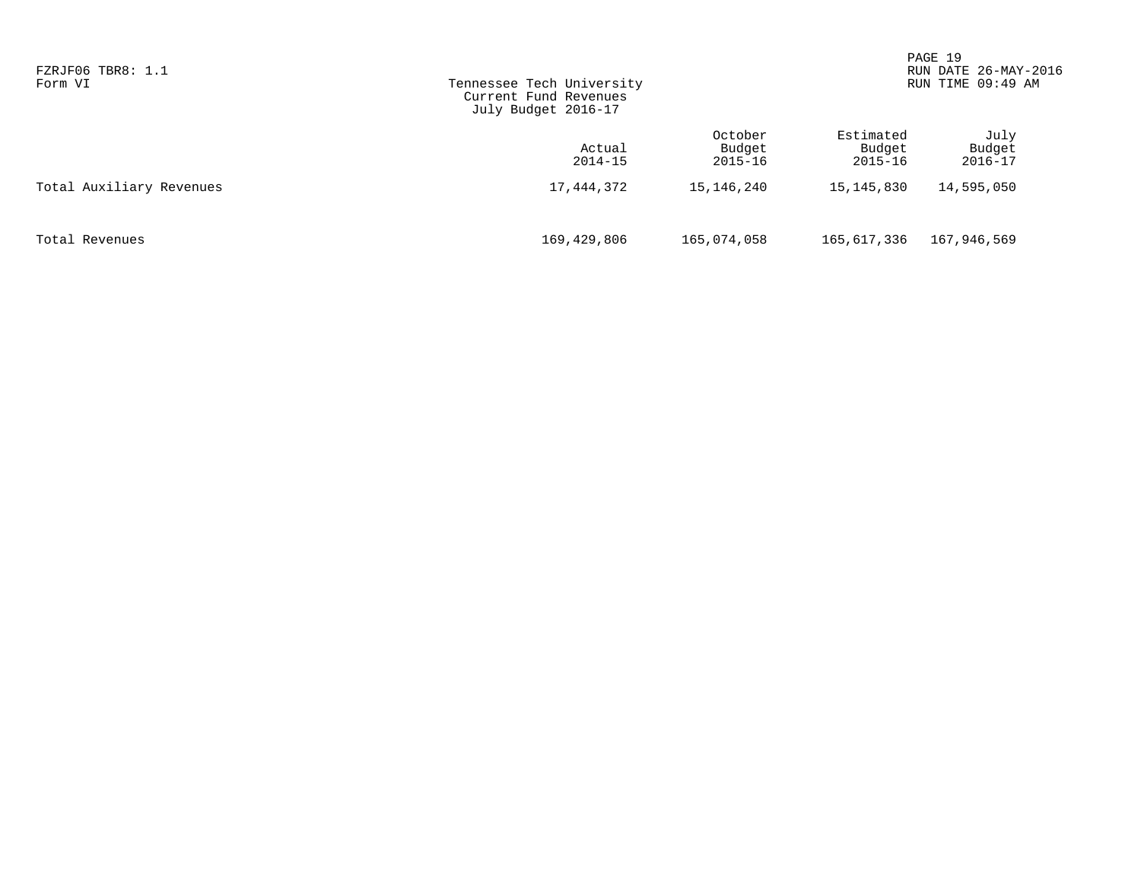| FZRJF06 TBR8: 1.1<br>Form VI | Tennessee Tech University<br>Current Fund Revenues<br>July Budget 2016-17 |                                  |                                    | PAGE 19<br>RUN DATE 26-MAY-2016<br>RUN TIME 09:49 AM |  |
|------------------------------|---------------------------------------------------------------------------|----------------------------------|------------------------------------|------------------------------------------------------|--|
|                              | Actual<br>$2014 - 15$                                                     | October<br>Budget<br>$2015 - 16$ | Estimated<br>Budget<br>$2015 - 16$ | July<br>Budget<br>$2016 - 17$                        |  |
| Total Auxiliary Revenues     | 17,444,372                                                                | 15,146,240                       | 15,145,830                         | 14,595,050                                           |  |
| Total Revenues               | 169,429,806                                                               | 165,074,058                      | 165,617,336                        | 167,946,569                                          |  |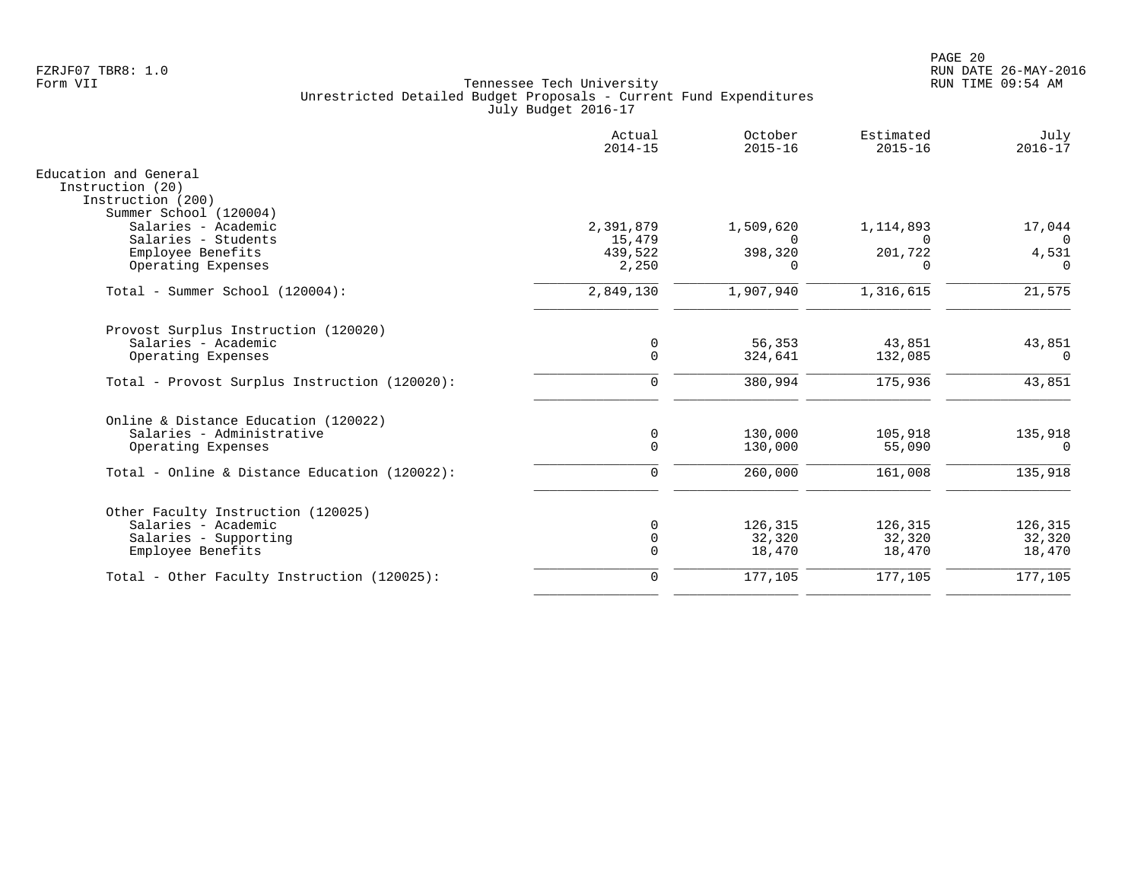|                                                                | Actual<br>$2014 - 15$ | October<br>$2015 - 16$ | Estimated<br>$2015 - 16$ | July<br>$2016 - 17$ |
|----------------------------------------------------------------|-----------------------|------------------------|--------------------------|---------------------|
| Education and General<br>Instruction (20)<br>Instruction (200) |                       |                        |                          |                     |
| Summer School (120004)                                         |                       |                        |                          |                     |
| Salaries - Academic                                            | 2,391,879             | 1,509,620              | 1,114,893                | 17,044              |
| Salaries - Students                                            | 15,479                | $\Omega$               | $\Omega$                 | $\overline{0}$      |
| Employee Benefits                                              | 439,522               | 398,320                | 201,722                  | 4,531               |
| Operating Expenses                                             | 2,250                 | $\Omega$               | $\Omega$                 | $\Omega$            |
| Total - Summer School (120004):                                | 2,849,130             | 1,907,940              | 1,316,615                | 21,575              |
| Provost Surplus Instruction (120020)                           |                       |                        |                          |                     |
| Salaries - Academic                                            | 0                     | 56,353                 | 43,851                   | 43,851              |
| Operating Expenses                                             | $\Omega$              | 324,641                | 132,085                  | $\Omega$            |
| Total - Provost Surplus Instruction (120020):                  | $\Omega$              | 380,994                | 175,936                  | 43,851              |
| Online & Distance Education (120022)                           |                       |                        |                          |                     |
| Salaries - Administrative                                      | 0                     | 130,000                | 105,918                  | 135,918             |
| Operating Expenses                                             | $\Omega$              | 130,000                | 55,090                   | $\Omega$            |
| Total - Online & Distance Education (120022):                  | $\Omega$              | 260,000                | 161,008                  | 135,918             |
| Other Faculty Instruction (120025)                             |                       |                        |                          |                     |
| Salaries - Academic                                            |                       | 126,315                | 126,315                  | 126,315             |
| Salaries - Supporting                                          | 0                     | 32,320                 | 32,320                   | 32,320              |
| Employee Benefits                                              | $\Omega$              | 18,470                 | 18,470                   | 18,470              |
| Total - Other Faculty Instruction (120025):                    | $\Omega$              | 177,105                | 177,105                  | 177,105             |
|                                                                |                       |                        |                          |                     |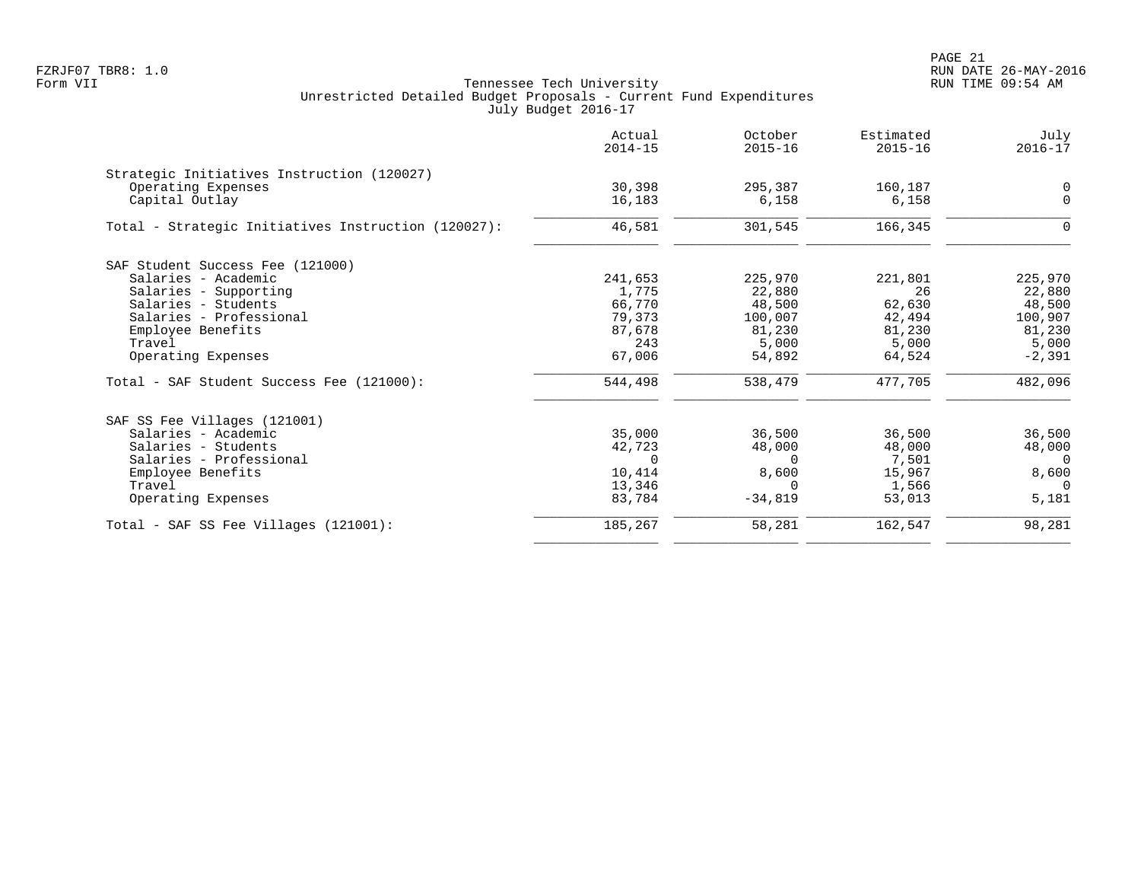|                                                     | Actual<br>$2014 - 15$ | October<br>$2015 - 16$ | Estimated<br>$2015 - 16$ | July<br>$2016 - 17$ |
|-----------------------------------------------------|-----------------------|------------------------|--------------------------|---------------------|
| Strategic Initiatives Instruction (120027)          |                       |                        |                          |                     |
| Operating Expenses                                  | 30,398                | 295,387                | 160,187                  | $\mathbf 0$         |
| Capital Outlay                                      | 16,183                | 6,158                  | 6,158                    | $\mathbf 0$         |
| Total - Strategic Initiatives Instruction (120027): | 46,581                | 301,545                | 166,345                  | $\Omega$            |
| SAF Student Success Fee (121000)                    |                       |                        |                          |                     |
| Salaries - Academic                                 | 241,653               | 225,970                | 221,801                  | 225,970             |
| Salaries - Supporting                               | 1,775                 | 22,880                 | 26                       | 22,880              |
| Salaries - Students                                 | 66,770                | 48,500                 | 62,630                   | 48,500              |
| Salaries - Professional                             | 79,373                | 100,007                | 42,494                   | 100,907             |
| Employee Benefits                                   | 87,678                | 81,230                 | 81,230                   | 81,230              |
| Travel                                              | 243                   | 5,000                  | 5,000                    | 5,000               |
| Operating Expenses                                  | 67,006                | 54,892                 | 64,524                   | $-2,391$            |
| Total - SAF Student Success Fee (121000):           | 544,498               | 538,479                | 477,705                  | 482,096             |
| SAF SS Fee Villages (121001)                        |                       |                        |                          |                     |
| Salaries - Academic                                 | 35,000                | 36,500                 | 36,500                   | 36,500              |
| Salaries - Students                                 | 42,723                | 48,000                 | 48,000                   | 48,000              |
| Salaries - Professional                             | $\Omega$              | $\Omega$               | 7,501                    | $\Omega$            |
| Employee Benefits                                   | 10,414                | 8,600                  | 15,967                   | 8,600               |
| Travel                                              | 13,346                | $\Omega$               | 1,566                    | $\Omega$            |
| Operating Expenses                                  | 83,784                | $-34,819$              | 53,013                   | 5,181               |
| Total - SAF SS Fee Villages (121001):               | 185,267               | 58,281                 | 162,547                  | 98,281              |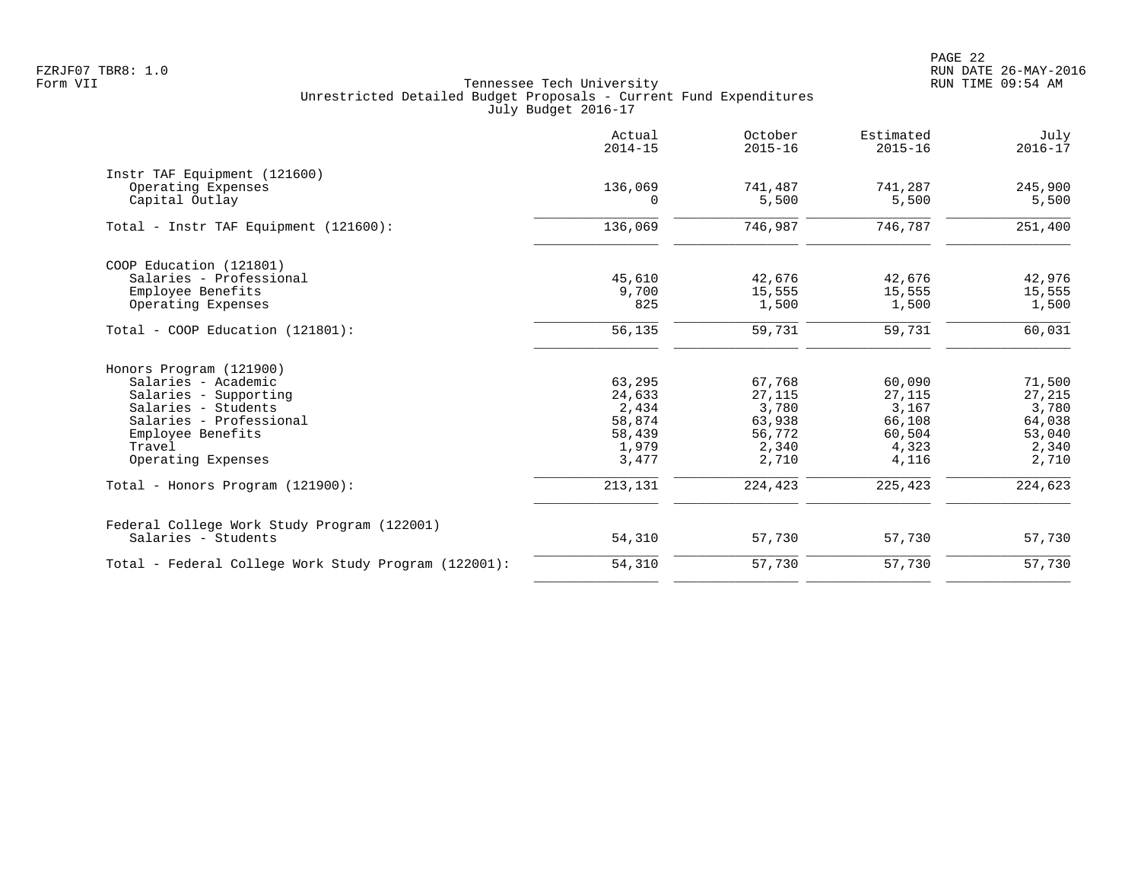|                                                      | Actual<br>$2014 - 15$ | October<br>$2015 - 16$ | Estimated<br>$2015 - 16$ | July<br>$2016 - 17$ |
|------------------------------------------------------|-----------------------|------------------------|--------------------------|---------------------|
| Instr TAF Equipment (121600)                         |                       |                        |                          |                     |
| Operating Expenses                                   | 136,069               | 741,487                | 741,287                  | 245,900             |
| Capital Outlay                                       | $\Omega$              | 5,500                  | 5,500                    | 5,500               |
| Total - Instr TAF Equipment (121600):                | 136,069               | 746,987                | 746,787                  | 251,400             |
| COOP Education (121801)                              |                       |                        |                          |                     |
| Salaries - Professional                              | 45,610                | 42,676                 | 42,676                   | 42,976              |
| Employee Benefits                                    | 9,700                 | 15,555                 | 15,555                   | 15,555              |
| Operating Expenses                                   | 825                   | 1,500                  | 1,500                    | 1,500               |
| Total - COOP Education (121801):                     | 56,135                | 59,731                 | 59,731                   | 60,031              |
| Honors Program (121900)                              |                       |                        |                          |                     |
| Salaries - Academic                                  | 63,295                | 67,768                 | 60,090                   | 71,500              |
| Salaries - Supporting                                | 24,633                | 27,115                 | 27,115                   | 27,215              |
| Salaries - Students                                  | 2,434                 | 3,780                  | 3,167                    | 3,780               |
| Salaries - Professional                              | 58,874                | 63,938                 | 66,108                   | 64,038              |
| Employee Benefits                                    | 58,439                | 56,772                 | 60,504                   | 53,040              |
| Travel                                               | 1,979                 | 2,340                  | 4,323                    | 2,340               |
| Operating Expenses                                   | 3,477                 | 2,710                  | 4,116                    | 2,710               |
| Total - Honors Program (121900):                     | 213,131               | 224,423                | 225,423                  | 224,623             |
| Federal College Work Study Program (122001)          |                       |                        |                          |                     |
| Salaries - Students                                  | 54,310                | 57,730                 | 57,730                   | 57,730              |
| Total - Federal College Work Study Program (122001): | 54,310                | 57,730                 | 57,730                   | 57,730              |
|                                                      |                       |                        |                          |                     |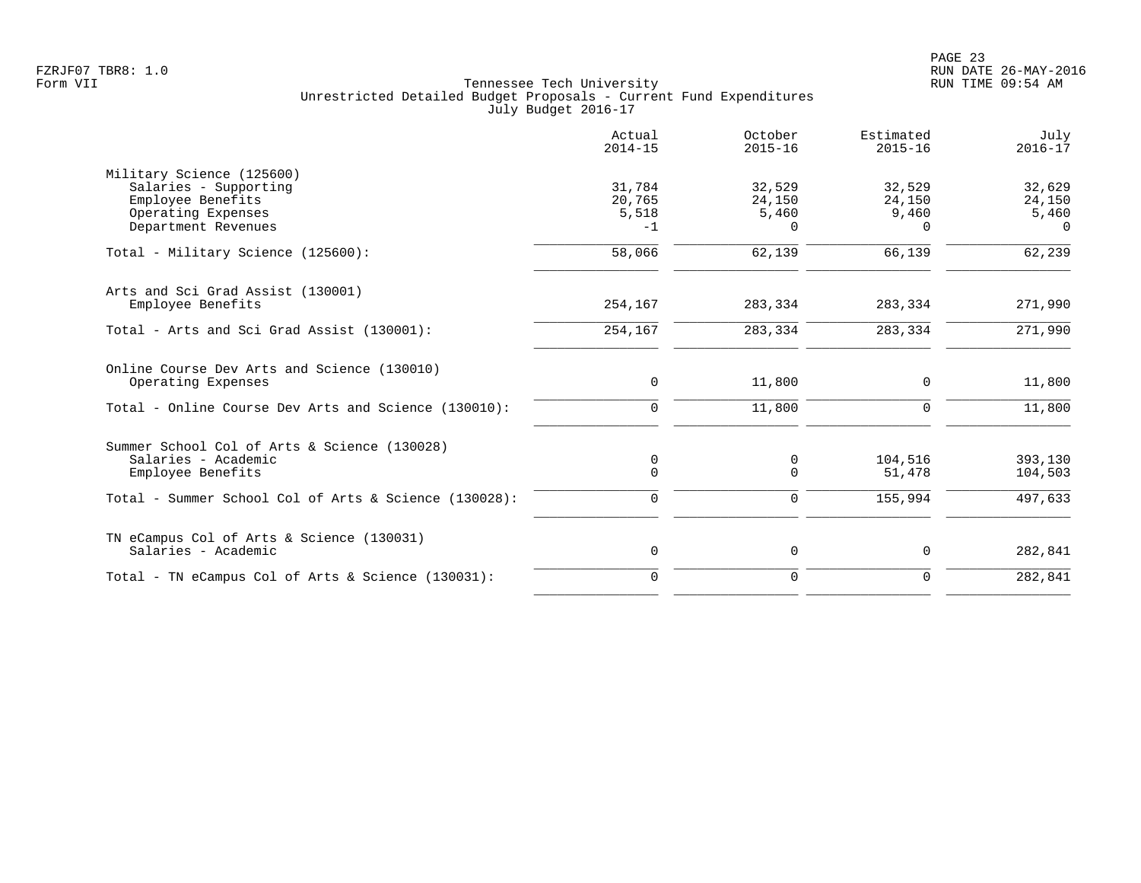|                                                       | Actual<br>$2014 - 15$ | October<br>$2015 - 16$ | Estimated<br>$2015 - 16$ | July<br>$2016 - 17$ |
|-------------------------------------------------------|-----------------------|------------------------|--------------------------|---------------------|
| Military Science (125600)                             |                       |                        |                          |                     |
| Salaries - Supporting                                 | 31,784                | 32,529                 | 32,529                   | 32,629              |
| Employee Benefits                                     | 20,765                | 24,150                 | 24,150                   | 24,150              |
| Operating Expenses                                    | 5,518                 | 5,460                  | 9,460                    | 5,460               |
| Department Revenues                                   | $-1$                  | $\Omega$               | $\Omega$                 | $\Omega$            |
| Total - Military Science (125600):                    | 58,066                | 62,139                 | 66,139                   | 62,239              |
| Arts and Sci Grad Assist (130001)                     |                       |                        |                          |                     |
| Employee Benefits                                     | 254,167               | 283,334                | 283,334                  | 271,990             |
| Total - Arts and Sci Grad Assist (130001):            | 254,167               | 283,334                | 283,334                  | 271,990             |
| Online Course Dev Arts and Science (130010)           |                       |                        |                          |                     |
| Operating Expenses                                    | 0                     | 11,800                 | $\mathbf 0$              | 11,800              |
| Total - Online Course Dev Arts and Science (130010):  | $\mathbf 0$           | 11,800                 | $\mathbf 0$              | 11,800              |
| Summer School Col of Arts & Science (130028)          |                       |                        |                          |                     |
| Salaries - Academic                                   | 0                     | 0                      | 104,516                  | 393,130             |
| Employee Benefits                                     | $\mathbf 0$           | $\Omega$               | 51,478                   | 104,503             |
| Total - Summer School Col of Arts & Science (130028): | 0                     | $\mathbf 0$            | 155,994                  | 497,633             |
| TN eCampus Col of Arts & Science (130031)             |                       |                        |                          |                     |
| Salaries - Academic                                   | 0                     | 0                      | $\mathbf 0$              | 282,841             |
| Total - TN eCampus Col of Arts & Science (130031):    | $\Omega$              | $\Omega$               | $\Omega$                 | 282,841             |
|                                                       |                       |                        |                          |                     |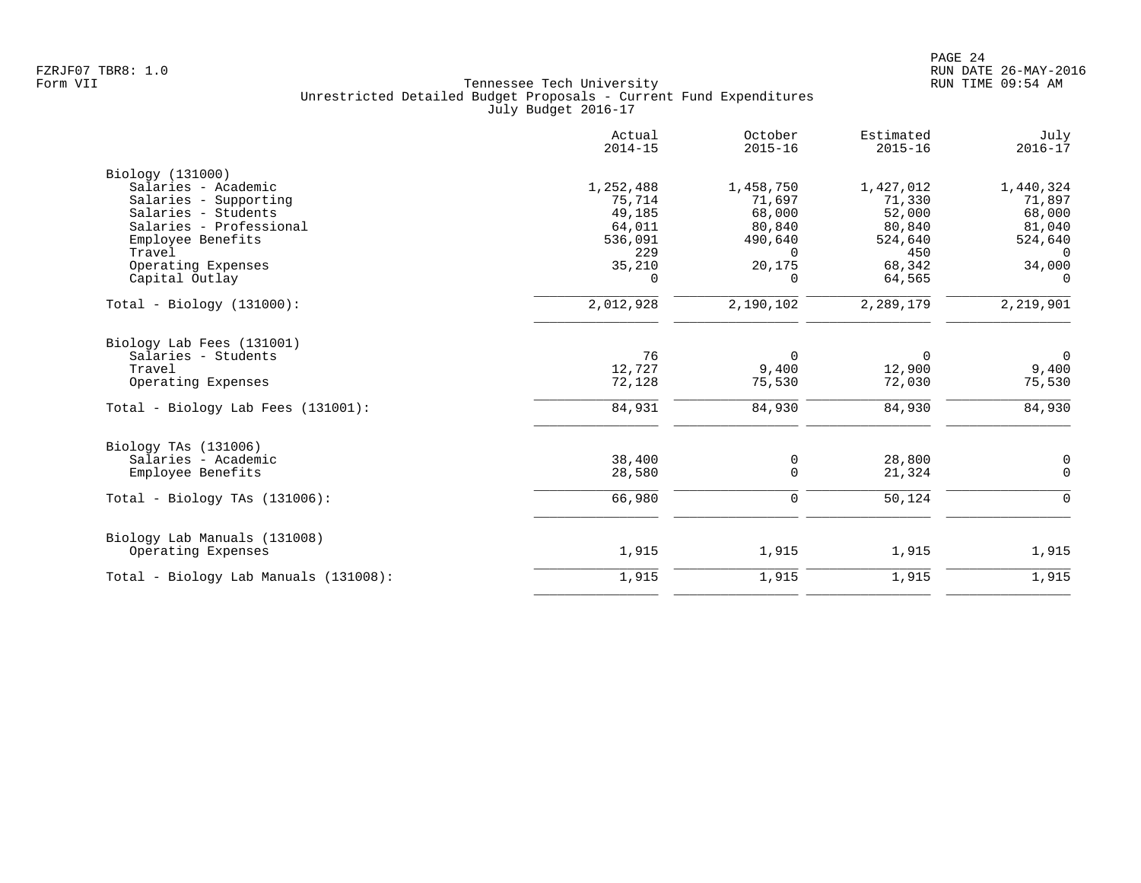|                                             | Actual<br>$2014 - 15$ | October<br>$2015 - 16$ | Estimated<br>$2015 - 16$ | July<br>$2016 - 17$ |
|---------------------------------------------|-----------------------|------------------------|--------------------------|---------------------|
| Biology (131000)                            |                       |                        |                          |                     |
| Salaries - Academic                         | 1,252,488             | 1,458,750              | 1,427,012                | 1,440,324           |
| Salaries - Supporting                       | 75,714                | 71,697                 | 71,330                   | 71,897              |
| Salaries - Students                         | 49,185                | 68,000                 | 52,000                   | 68,000              |
| Salaries - Professional                     | 64,011                | 80,840                 | 80,840                   | 81,040              |
| Employee Benefits                           | 536,091               | 490,640                | 524,640                  | 524,640             |
| Travel                                      | 229                   | $\Omega$               | 450                      | $\Omega$            |
| Operating Expenses                          | 35,210                | 20,175                 | 68,342                   | 34,000              |
| Capital Outlay                              | $\Omega$              | $\Omega$               | 64,565                   | $\Omega$            |
| $Total - Biology (131000):$                 | 2,012,928             | 2,190,102              | 2,289,179                | 2,219,901           |
| Biology Lab Fees (131001)                   |                       |                        |                          |                     |
| Salaries - Students                         | 76                    | $\Omega$               | $\Omega$                 | $\overline{0}$      |
| Travel                                      | 12,727                | 9,400                  | 12,900                   | 9,400               |
| Operating Expenses                          | 72,128                | 75,530                 | 72,030                   | 75,530              |
| Total - Biology Lab Fees (131001):          | 84,931                | 84,930                 | 84,930                   | 84,930              |
|                                             |                       |                        |                          |                     |
| Biology TAs (131006)<br>Salaries - Academic | 38,400                |                        | 28,800                   |                     |
| Employee Benefits                           | 28,580                | 0<br>$\mathbf 0$       | 21,324                   | 0<br>$\Omega$       |
|                                             |                       |                        |                          |                     |
| Total - Biology TAs $(131006)$ :            | 66,980                | $\mathbf 0$            | 50,124                   | 0                   |
| Biology Lab Manuals (131008)                |                       |                        |                          |                     |
| Operating Expenses                          | 1,915                 | 1,915                  | 1,915                    | 1,915               |
| Total - Biology Lab Manuals (131008):       | 1,915                 | 1,915                  | 1,915                    | 1,915               |
|                                             |                       |                        |                          |                     |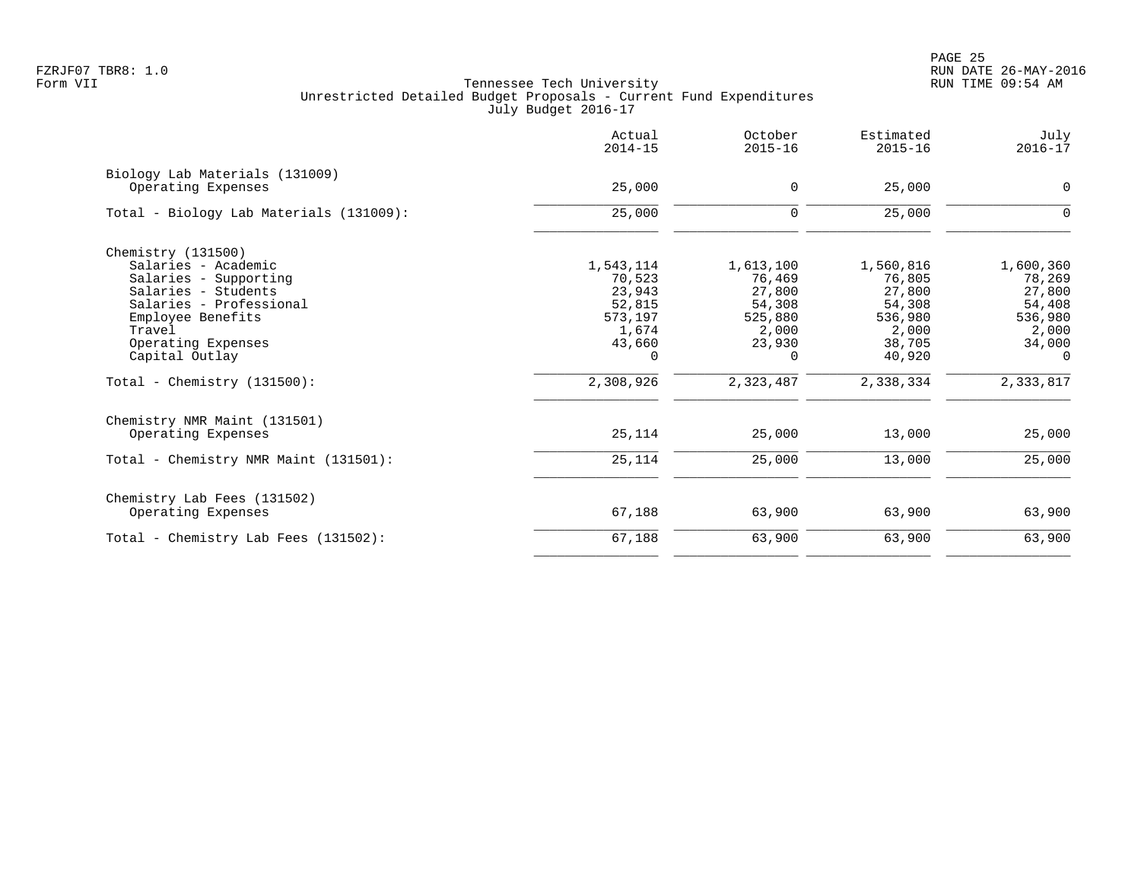PAGE 25 FZRJF07 TBR8: 1.0 RUN DATE 26-MAY-2016

|                                                      | Actual<br>$2014 - 15$ | October<br>$2015 - 16$ | Estimated<br>$2015 - 16$ | July<br>$2016 - 17$ |
|------------------------------------------------------|-----------------------|------------------------|--------------------------|---------------------|
| Biology Lab Materials (131009)<br>Operating Expenses | 25,000                | $\mathbf 0$            | 25,000                   | $\mathbf 0$         |
|                                                      |                       |                        |                          |                     |
| Total - Biology Lab Materials (131009):              | 25,000                | $\mathbf 0$            | 25,000                   | 0                   |
| Chemistry $(131500)$                                 |                       |                        |                          |                     |
| Salaries - Academic                                  | 1,543,114             | 1,613,100              | 1,560,816                | 1,600,360           |
| Salaries - Supporting                                | 70,523                | 76,469                 | 76,805                   | 78,269              |
| Salaries - Students                                  | 23,943                | 27,800                 | 27,800                   | 27,800              |
| Salaries - Professional                              | 52,815                | 54,308                 | 54,308                   | 54,408              |
| Employee Benefits                                    | 573,197               | 525,880                | 536,980                  | 536,980             |
| Travel                                               | 1,674                 | 2,000                  | 2,000                    | 2,000               |
| Operating Expenses                                   | 43,660                | 23,930                 | 38,705                   | 34,000              |
| Capital Outlay                                       | 0                     | $\Omega$               | 40,920                   | $\Omega$            |
| Total - Chemistry $(131500)$ :                       | 2,308,926             | 2,323,487              | 2,338,334                | 2,333,817           |
| Chemistry NMR Maint (131501)                         |                       |                        |                          |                     |
| Operating Expenses                                   | 25,114                | 25,000                 | 13,000                   | 25,000              |
| Total - Chemistry NMR Maint (131501):                | 25,114                | 25,000                 | 13,000                   | 25,000              |
| Chemistry Lab Fees (131502)                          |                       |                        |                          |                     |
| Operating Expenses                                   | 67,188                | 63,900                 | 63,900                   | 63,900              |
| Total - Chemistry Lab Fees (131502):                 | 67,188                | 63,900                 | 63,900                   | 63,900              |
|                                                      |                       |                        |                          |                     |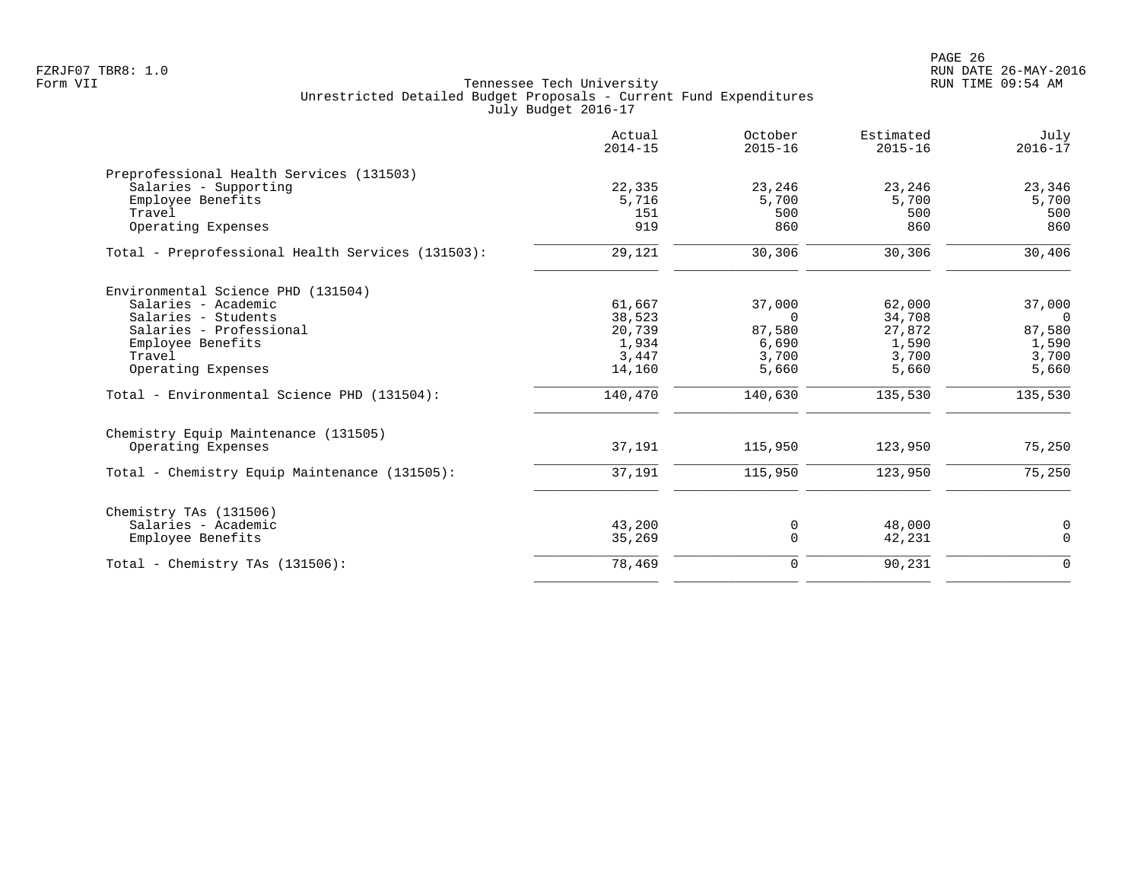PAGE 26 FZRJF07 TBR8: 1.0 RUN DATE 26-MAY-2016

| Actual<br>$2014 - 15$ | October<br>$2015 - 16$                    | Estimated<br>$2015 - 16$            | July<br>$2016 - 17$                      |
|-----------------------|-------------------------------------------|-------------------------------------|------------------------------------------|
|                       |                                           |                                     |                                          |
| 22,335                | 23,246                                    | 23,246                              | 23,346                                   |
| 5,716                 | 5,700                                     | 5,700                               | 5,700                                    |
| 151                   | 500                                       | 500                                 | 500                                      |
|                       |                                           |                                     | 860                                      |
| 29,121                | 30,306                                    | 30,306                              | 30,406                                   |
|                       |                                           |                                     |                                          |
| 61,667                | 37,000                                    | 62,000                              | 37,000                                   |
| 38,523                | $\Omega$                                  | 34,708                              | $\Omega$                                 |
| 20,739                | 87,580                                    | 27,872                              | 87,580                                   |
|                       |                                           |                                     | 1,590                                    |
|                       |                                           |                                     | 3,700                                    |
|                       |                                           |                                     | 5,660                                    |
| 140,470               | 140,630                                   | 135,530                             | 135,530                                  |
|                       |                                           |                                     |                                          |
| 37,191                | 115,950                                   | 123,950                             | 75,250                                   |
| 37,191                | 115,950                                   | 123,950                             | 75,250                                   |
|                       |                                           |                                     |                                          |
|                       |                                           |                                     | 0                                        |
| 35,269                | $\mathbf 0$                               | 42,231                              | $\mathsf 0$                              |
| 78,469                | $\mathbf 0$                               | 90,231                              | $\mathbf 0$                              |
|                       | 919<br>1,934<br>3,447<br>14,160<br>43,200 | 860<br>6,690<br>3,700<br>5,660<br>0 | 860<br>1,590<br>3,700<br>5,660<br>48,000 |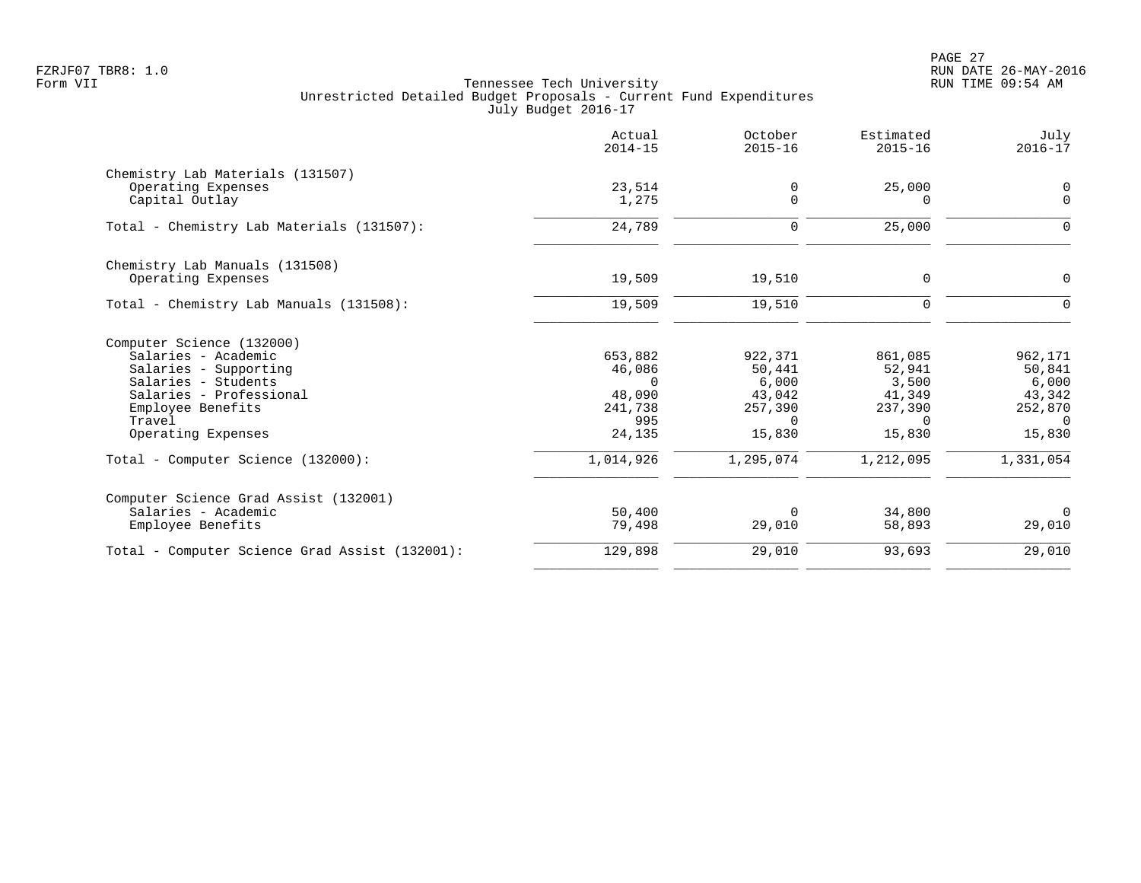|                                                | Actual<br>$2014 - 15$ | October<br>$2015 - 16$ | Estimated<br>$2015 - 16$ | July<br>$2016 - 17$ |
|------------------------------------------------|-----------------------|------------------------|--------------------------|---------------------|
| Chemistry Lab Materials (131507)               |                       |                        |                          |                     |
| Operating Expenses                             | 23,514                | 0                      | 25,000                   | 0                   |
| Capital Outlay                                 | 1,275                 | 0                      | $\Omega$                 | $\mathbf 0$         |
| Total - Chemistry Lab Materials (131507):      | 24,789                | 0                      | 25,000                   | $\Omega$            |
| Chemistry Lab Manuals (131508)                 |                       |                        |                          |                     |
| Operating Expenses                             | 19,509                | 19,510                 | 0                        | $\mathbf 0$         |
| Total - Chemistry Lab Manuals (131508):        | 19,509                | 19,510                 | $\mathbf 0$              | $\Omega$            |
| Computer Science (132000)                      |                       |                        |                          |                     |
| Salaries - Academic                            | 653,882               | 922,371                | 861,085                  | 962,171             |
| Salaries - Supporting                          | 46,086                | 50,441                 | 52,941                   | 50,841              |
| Salaries - Students                            | $\Omega$              | 6,000                  | 3,500                    | 6,000               |
| Salaries - Professional                        | 48,090                | 43,042                 | 41,349                   | 43,342              |
| Employee Benefits                              | 241,738               | 257,390                | 237,390                  | 252,870             |
| Travel                                         | 995                   | $\Omega$               | $\Omega$                 | 0                   |
| Operating Expenses                             | 24,135                | 15,830                 | 15,830                   | 15,830              |
| Total - Computer Science (132000):             | 1,014,926             | 1,295,074              | 1,212,095                | 1,331,054           |
| Computer Science Grad Assist (132001)          |                       |                        |                          |                     |
| Salaries - Academic                            | 50,400                | $\Omega$               | 34,800                   | $\Omega$            |
| Employee Benefits                              | 79,498                | 29,010                 | 58,893                   | 29,010              |
| Total - Computer Science Grad Assist (132001): | 129,898               | 29,010                 | 93,693                   | 29,010              |
|                                                |                       |                        |                          |                     |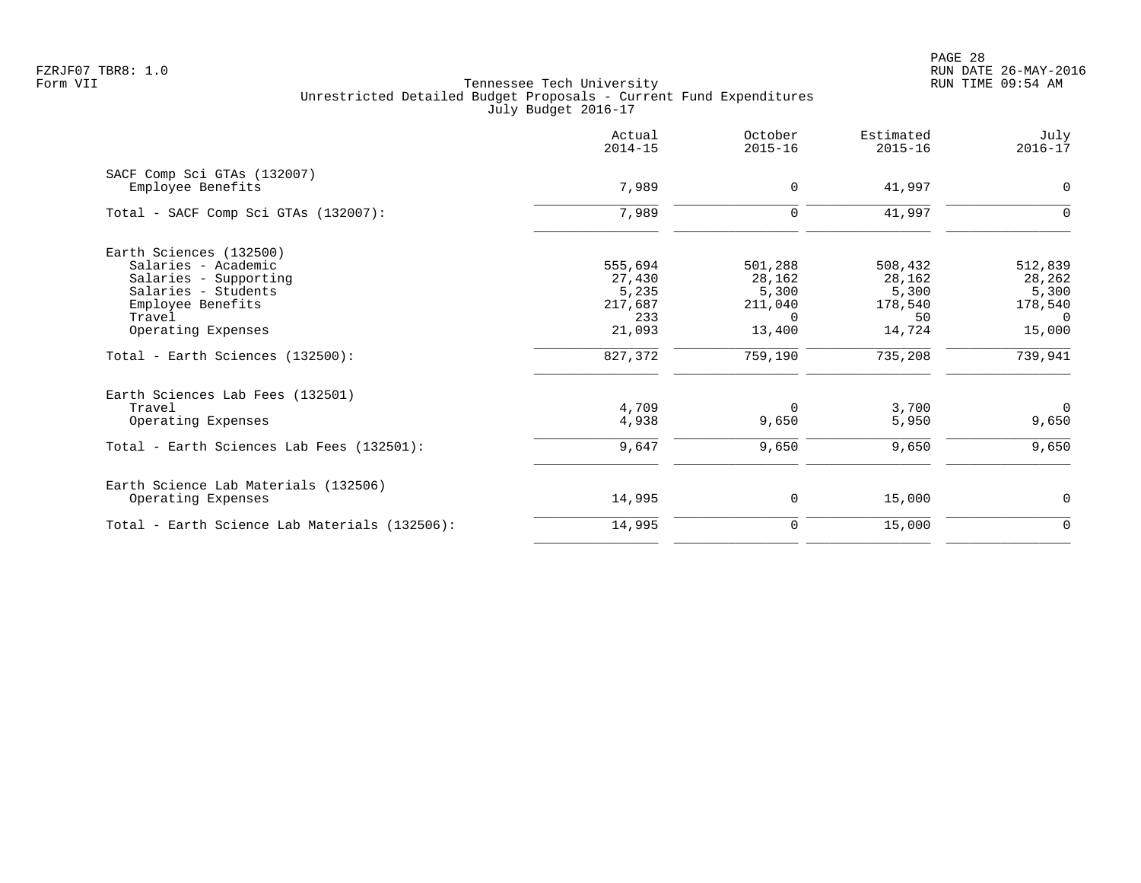PAGE 28 FZRJF07 TBR8: 1.0 RUN DATE 26-MAY-2016

|                                                  | Actual<br>$2014 - 15$ | October<br>$2015 - 16$ | Estimated<br>$2015 - 16$ | July<br>$2016 - 17$ |
|--------------------------------------------------|-----------------------|------------------------|--------------------------|---------------------|
| SACF Comp Sci GTAs (132007)<br>Employee Benefits | 7,989                 | $\mathbf 0$            | 41,997                   | $\mathbf 0$         |
| Total - SACF Comp Sci GTAs (132007):             | 7,989                 | $\mathbf 0$            | 41,997                   | $\mathbf 0$         |
| Earth Sciences (132500)                          |                       |                        |                          |                     |
| Salaries - Academic                              | 555,694               | 501,288                | 508,432                  | 512,839             |
| Salaries - Supporting                            | 27,430                | 28,162                 | 28,162                   | 28,262              |
| Salaries - Students                              | 5,235                 | 5,300                  | 5,300                    | 5,300               |
| Employee Benefits<br>Travel                      | 217,687<br>233        | 211,040<br>$\Omega$    | 178,540<br>50            | 178,540<br>$\Omega$ |
| Operating Expenses                               | 21,093                | 13,400                 | 14,724                   | 15,000              |
| Total - Earth Sciences (132500):                 | 827,372               | 759,190                | 735,208                  | 739,941             |
| Earth Sciences Lab Fees (132501)                 |                       |                        |                          |                     |
| Travel                                           | 4,709                 | $\Omega$               | 3,700                    | $\Omega$            |
| Operating Expenses                               | 4,938                 | 9,650                  | 5,950                    | 9,650               |
| Total - Earth Sciences Lab Fees (132501):        | 9,647                 | 9,650                  | 9,650                    | 9,650               |
| Earth Science Lab Materials (132506)             |                       |                        |                          |                     |
| Operating Expenses                               | 14,995                | 0                      | 15,000                   | $\mathbf 0$         |
| Total - Earth Science Lab Materials (132506):    | 14,995                | $\mathbf 0$            | 15,000                   | $\overline{0}$      |
|                                                  |                       |                        |                          |                     |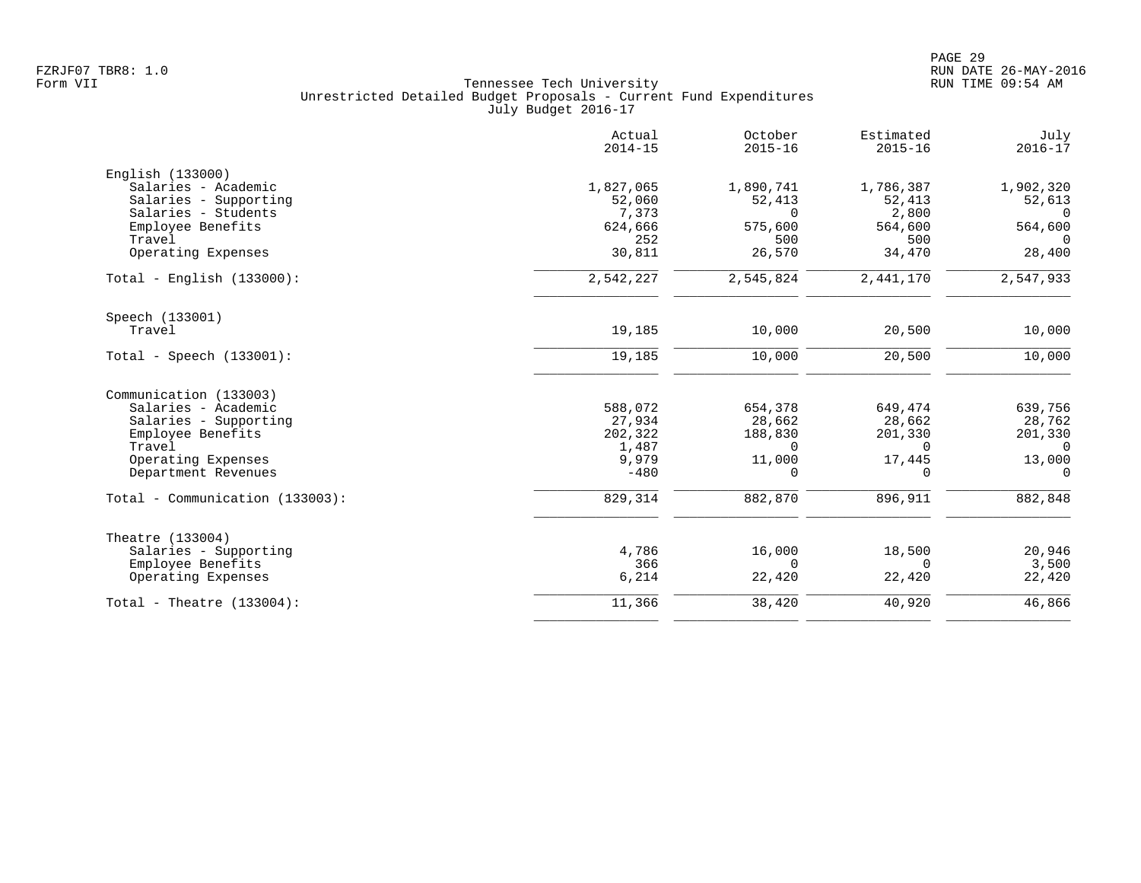|                                 | Actual<br>$2014 - 15$ | October<br>$2015 - 16$ | Estimated<br>$2015 - 16$ | July<br>$2016 - 17$ |
|---------------------------------|-----------------------|------------------------|--------------------------|---------------------|
| English (133000)                |                       |                        |                          |                     |
| Salaries - Academic             | 1,827,065             | 1,890,741              | 1,786,387                | 1,902,320           |
| Salaries - Supporting           | 52,060                | 52,413                 | 52,413                   | 52,613              |
| Salaries - Students             | 7,373                 | $\Omega$               | 2,800                    | $\Omega$            |
| Employee Benefits               | 624,666               | 575,600                | 564,600                  | 564,600             |
| Travel                          | 252                   | 500                    | 500                      | $\Omega$            |
| Operating Expenses              | 30,811                | 26,570                 | 34,470                   | 28,400              |
| Total - English $(133000)$ :    | 2,542,227             | 2,545,824              | 2,441,170                | 2,547,933           |
| Speech (133001)                 |                       |                        |                          |                     |
| Travel                          | 19,185                | 10,000                 | 20,500                   | 10,000              |
| Total - Speech $(133001)$ :     | 19,185                | 10,000                 | 20,500                   | 10,000              |
| Communication (133003)          |                       |                        |                          |                     |
| Salaries - Academic             | 588,072               | 654,378                | 649,474                  | 639,756             |
| Salaries - Supporting           | 27,934                | 28,662                 | 28,662                   | 28,762              |
| Employee Benefits               | 202,322               | 188,830                | 201,330                  | 201,330             |
| Travel                          | 1,487                 | $\Omega$               | $\Omega$                 | $\overline{0}$      |
| Operating Expenses              | 9,979                 | 11,000                 | 17,445                   | 13,000              |
| Department Revenues             | $-480$                | $\Omega$               | 0                        | $\Omega$            |
| Total - Communication (133003): | 829,314               | 882,870                | 896,911                  | 882,848             |
| Theatre (133004)                |                       |                        |                          |                     |
| Salaries - Supporting           | 4,786                 | 16,000                 | 18,500                   | 20,946              |
| Employee Benefits               | 366                   | $\Omega$               | $\Omega$                 | 3,500               |
| Operating Expenses              | 6,214                 | 22,420                 | 22,420                   | 22,420              |
| Total - Theatre $(133004)$ :    | 11,366                | 38,420                 | 40,920                   | 46,866              |
|                                 |                       |                        |                          |                     |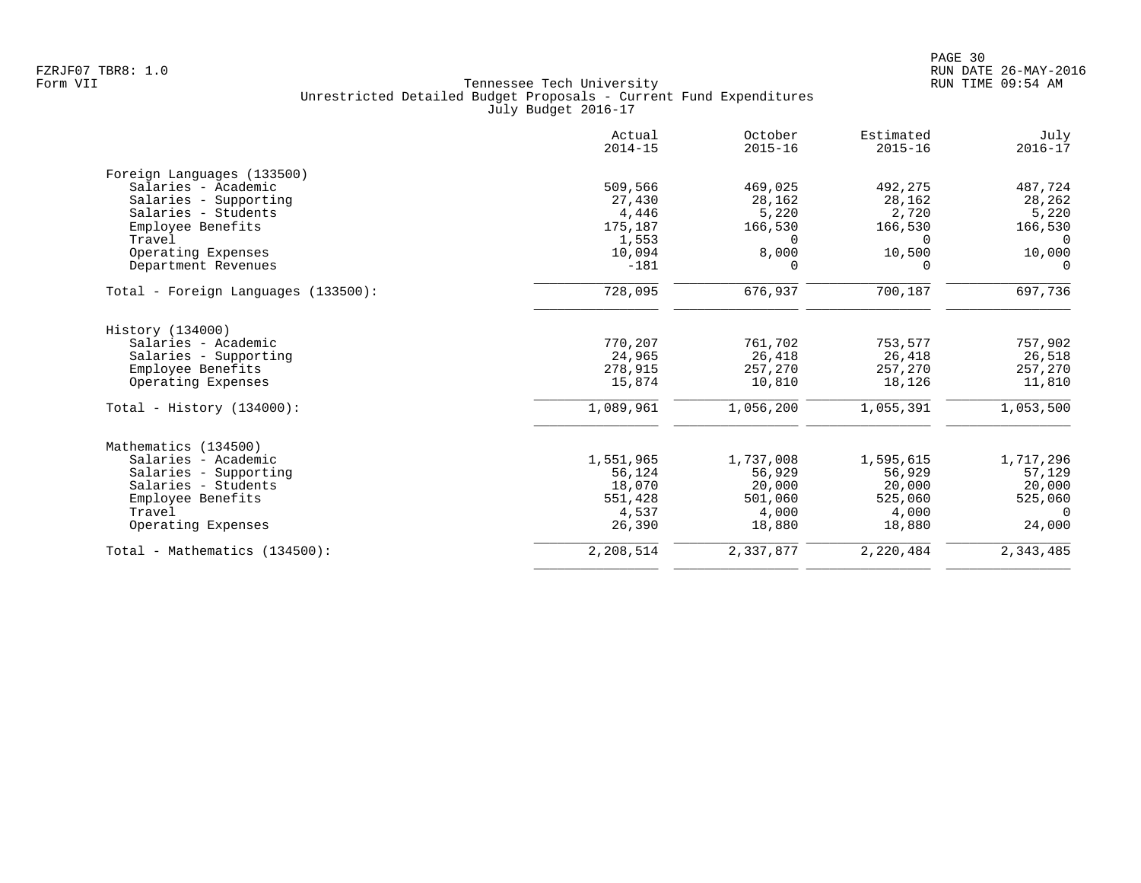|                                     | Actual<br>$2014 - 15$ | October<br>$2015 - 16$ | Estimated<br>$2015 - 16$ | July<br>$2016 - 17$ |
|-------------------------------------|-----------------------|------------------------|--------------------------|---------------------|
| Foreign Languages (133500)          |                       |                        |                          |                     |
| Salaries - Academic                 | 509,566               | 469,025                | 492,275                  | 487,724             |
| Salaries - Supporting               | 27,430                | 28,162                 | 28,162                   | 28,262              |
| Salaries - Students                 | 4,446                 | 5,220                  | 2,720                    | 5,220               |
| Employee Benefits                   | 175,187               | 166,530                | 166,530                  | 166,530             |
| Travel                              | 1,553                 | $\Omega$               | $\Omega$                 | $\Omega$            |
| Operating Expenses                  | 10,094                | 8,000                  | 10,500                   | 10,000              |
| Department Revenues                 | $-181$                | $\Omega$               | O                        | $\Omega$            |
| Total - Foreign Languages (133500): | 728,095               | 676,937                | 700,187                  | 697,736             |
| History (134000)                    |                       |                        |                          |                     |
| Salaries - Academic                 | 770,207               | 761,702                | 753,577                  | 757,902             |
| Salaries - Supporting               | 24,965                | 26,418                 | 26,418                   | 26,518              |
| Employee Benefits                   | 278,915               | 257,270                | 257,270                  | 257,270             |
| Operating Expenses                  | 15,874                | 10,810                 | 18,126                   | 11,810              |
| Total - History $(134000)$ :        | 1,089,961             | 1,056,200              | 1,055,391                | 1,053,500           |
| Mathematics (134500)                |                       |                        |                          |                     |
| Salaries - Academic                 | 1,551,965             | 1,737,008              | 1,595,615                | 1,717,296           |
| Salaries - Supporting               | 56,124                | 56,929                 | 56,929                   | 57,129              |
| Salaries - Students                 | 18,070                | 20,000                 | 20,000                   | 20,000              |
| Employee Benefits                   | 551,428               | 501,060                | 525,060                  | 525,060             |
| Travel                              | 4,537                 | 4,000                  | 4,000                    | $\Omega$            |
| Operating Expenses                  | 26,390                | 18,880                 | 18,880                   | 24,000              |
| Total - Mathematics (134500):       | 2,208,514             | 2,337,877              | 2,220,484                | 2,343,485           |
|                                     |                       |                        |                          |                     |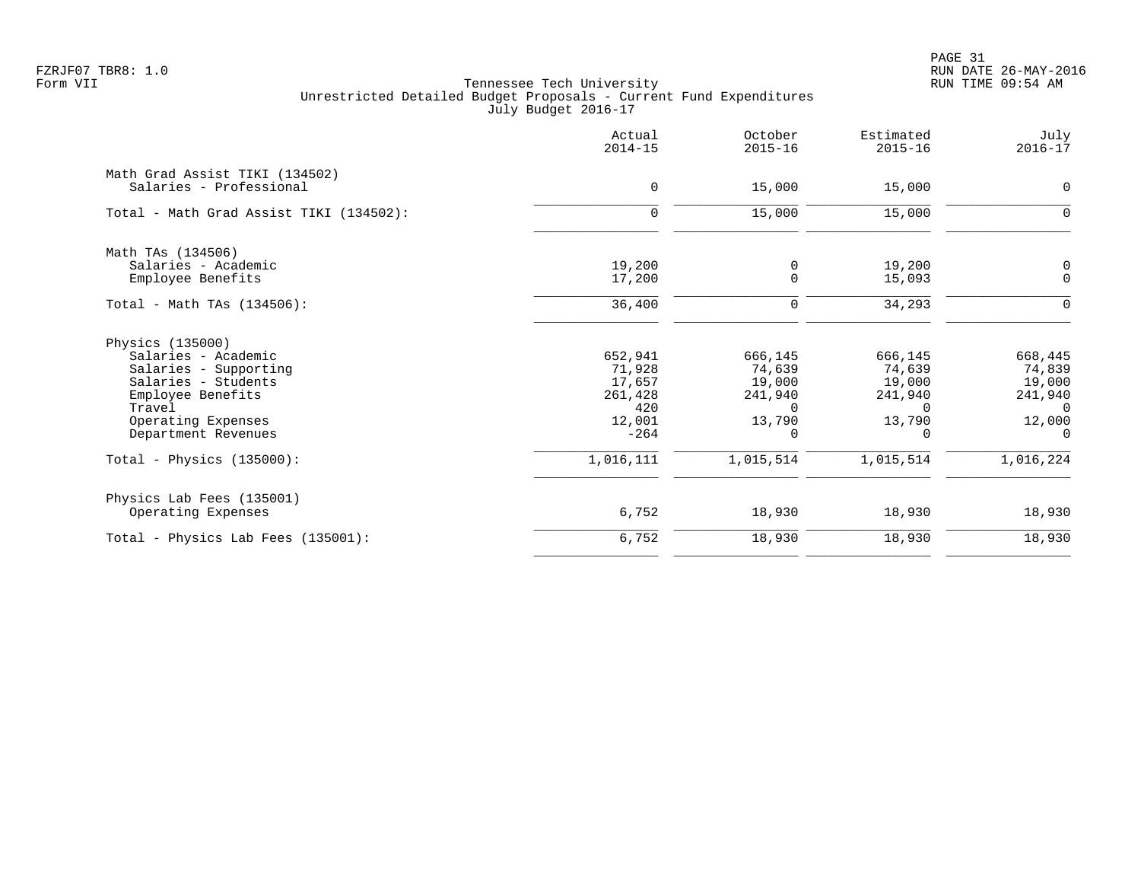PAGE 31 FZRJF07 TBR8: 1.0 RUN DATE 26-MAY-2016

|                                         | Actual<br>$2014 - 15$ | October<br>$2015 - 16$ | Estimated<br>$2015 - 16$ | July<br>$2016 - 17$ |
|-----------------------------------------|-----------------------|------------------------|--------------------------|---------------------|
| Math Grad Assist TIKI (134502)          |                       |                        |                          |                     |
| Salaries - Professional                 | $\mathbf 0$           | 15,000                 | 15,000                   | $\mathbf 0$         |
| Total - Math Grad Assist TIKI (134502): | $\mathbf 0$           | 15,000                 | 15,000                   | 0                   |
| Math TAs (134506)                       |                       |                        |                          |                     |
| Salaries - Academic                     | 19,200                | 0                      | 19,200                   | 0                   |
| Employee Benefits                       | 17,200                | 0                      | 15,093                   | $\mathbf 0$         |
| Total - Math TAs (134506):              | 36,400                | $\mathbf 0$            | 34,293                   | $\Omega$            |
| Physics (135000)                        |                       |                        |                          |                     |
| Salaries - Academic                     | 652,941               | 666,145                | 666,145                  | 668,445             |
| Salaries - Supporting                   | 71,928                | 74,639                 | 74,639                   | 74,839              |
| Salaries - Students                     | 17,657                | 19,000                 | 19,000                   | 19,000              |
| Employee Benefits                       | 261,428               | 241,940                | 241,940                  | 241,940             |
| Travel                                  | 420                   | $\Omega$               | $\Omega$                 | $\Omega$            |
| Operating Expenses                      | 12,001                | 13,790                 | 13,790                   | 12,000              |
| Department Revenues                     | $-264$                | 0                      | $\Omega$                 | $\Omega$            |
| Total - Physics $(135000)$ :            | 1,016,111             | 1,015,514              | 1,015,514                | 1,016,224           |
| Physics Lab Fees (135001)               |                       |                        |                          |                     |
| Operating Expenses                      | 6,752                 | 18,930                 | 18,930                   | 18,930              |
| Total - Physics Lab Fees (135001):      | 6,752                 | 18,930                 | 18,930                   | 18,930              |
|                                         |                       |                        |                          |                     |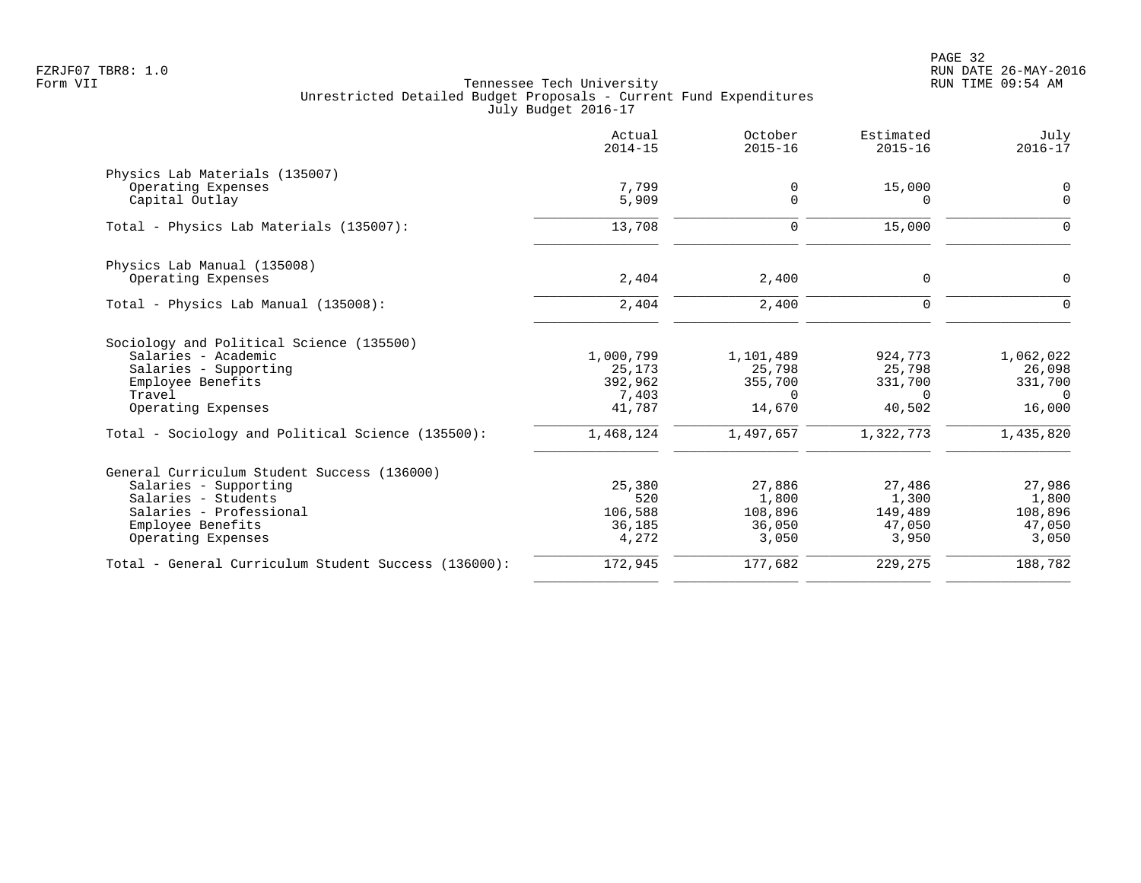PAGE 32 FZRJF07 TBR8: 1.0 RUN DATE 26-MAY-2016

|                                                      | Actual<br>$2014 - 15$ | October<br>$2015 - 16$ | Estimated<br>$2015 - 16$ | July<br>$2016 - 17$ |
|------------------------------------------------------|-----------------------|------------------------|--------------------------|---------------------|
| Physics Lab Materials (135007)                       |                       |                        |                          |                     |
| Operating Expenses                                   | 7,799                 | 0                      | 15,000                   | 0                   |
| Capital Outlay                                       | 5,909                 | $\Omega$               | 0                        | $\mathbf 0$         |
| Total - Physics Lab Materials (135007):              | 13,708                | $\Omega$               | 15,000                   | $\Omega$            |
| Physics Lab Manual (135008)                          |                       |                        |                          |                     |
| Operating Expenses                                   | 2,404                 | 2,400                  | 0                        | $\Omega$            |
| Total - Physics Lab Manual (135008):                 | 2,404                 | 2,400                  | $\Omega$                 | ∩                   |
| Sociology and Political Science (135500)             |                       |                        |                          |                     |
| Salaries - Academic                                  | 1,000,799             | 1,101,489              | 924,773                  | 1,062,022           |
| Salaries - Supporting                                | 25,173                | 25,798                 | 25,798                   | 26,098              |
| Employee Benefits                                    | 392,962               | 355,700                | 331,700                  | 331,700             |
| Travel                                               | 7,403                 | $\Omega$               | $\Omega$                 | $\Omega$            |
| Operating Expenses                                   | 41,787                | 14,670                 | 40,502                   | 16,000              |
| Total - Sociology and Political Science (135500):    | 1,468,124             | 1,497,657              | 1,322,773                | 1,435,820           |
| General Curriculum Student Success (136000)          |                       |                        |                          |                     |
| Salaries - Supporting                                | 25,380                | 27,886                 | 27,486                   | 27,986              |
| Salaries - Students                                  | 520                   | 1,800                  | 1,300                    | 1,800               |
| Salaries - Professional                              | 106,588               | 108,896                | 149,489                  | 108,896             |
| Employee Benefits                                    | 36,185                | 36,050                 | 47,050                   | 47,050              |
| Operating Expenses                                   | 4,272                 | 3,050                  | 3,950                    | 3,050               |
| Total - General Curriculum Student Success (136000): | 172,945               | 177,682                | 229,275                  | 188,782             |
|                                                      |                       |                        |                          |                     |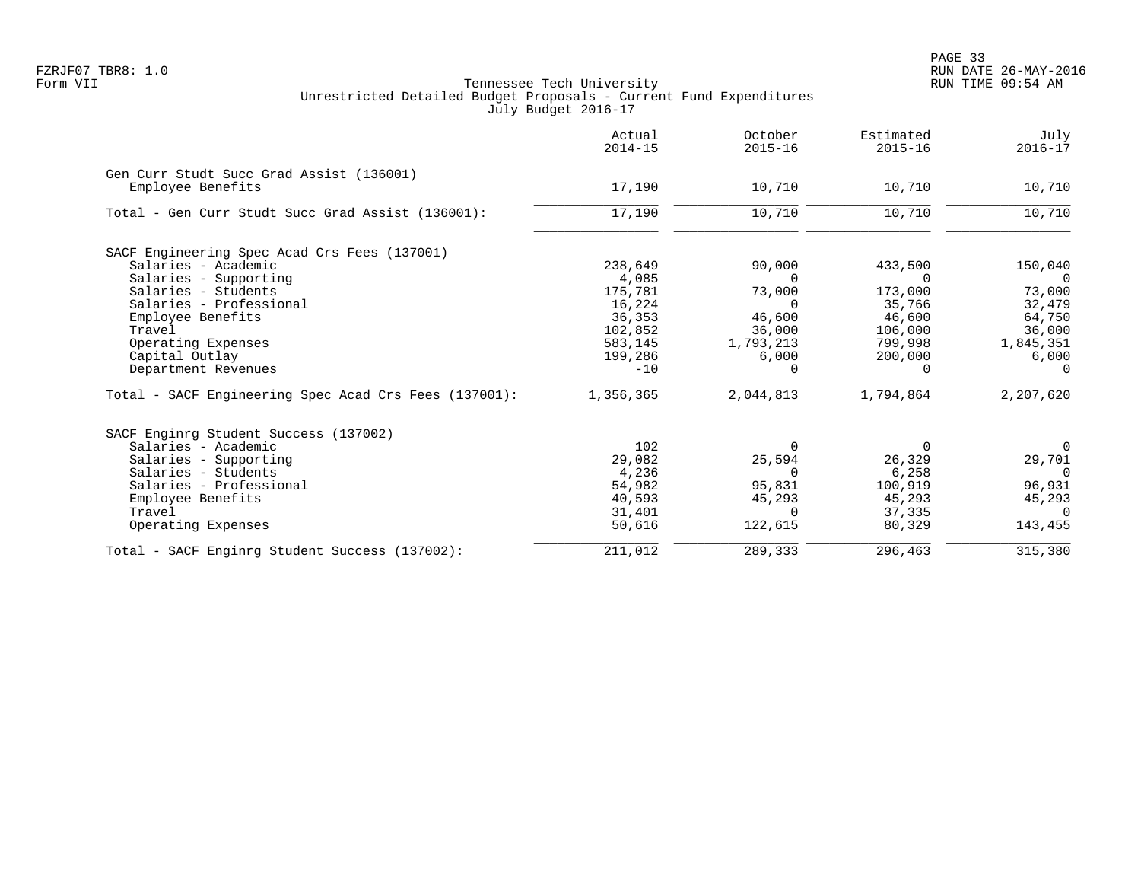|                                                       | Actual<br>$2014 - 15$ | October<br>$2015 - 16$ | Estimated<br>$2015 - 16$ | July<br>$2016 - 17$ |
|-------------------------------------------------------|-----------------------|------------------------|--------------------------|---------------------|
| Gen Curr Studt Succ Grad Assist (136001)              |                       |                        |                          |                     |
| Employee Benefits                                     | 17,190                | 10,710                 | 10,710                   | 10,710              |
| Total - Gen Curr Studt Succ Grad Assist (136001):     | 17,190                | 10,710                 | 10,710                   | 10,710              |
| SACF Engineering Spec Acad Crs Fees (137001)          |                       |                        |                          |                     |
| Salaries - Academic                                   | 238,649               | 90,000                 | 433,500                  | 150,040             |
| Salaries - Supporting                                 | 4,085                 | $\Omega$               | $\Omega$                 | $\overline{0}$      |
| Salaries - Students                                   | 175,781               | 73,000                 | 173,000                  | 73,000              |
| Salaries - Professional                               | 16,224                | $\Omega$               | 35,766                   | 32,479              |
| Employee Benefits                                     | 36,353                | 46,600                 | 46,600                   | 64,750              |
| Travel                                                | 102,852               | 36,000                 | 106,000                  | 36,000              |
| Operating Expenses                                    | 583,145               | 1,793,213              | 799,998                  | 1,845,351           |
| Capital Outlay                                        | 199,286               | 6,000                  | 200,000                  | 6,000               |
| Department Revenues                                   | $-10$                 | $\Omega$               | $\Omega$                 | $\Omega$            |
| Total - SACF Engineering Spec Acad Crs Fees (137001): | 1,356,365             | 2,044,813              | 1,794,864                | 2,207,620           |
| SACF Enginrg Student Success (137002)                 |                       |                        |                          |                     |
| Salaries - Academic                                   | 102                   | 0                      | $\Omega$                 | $\mathbf 0$         |
| Salaries - Supporting                                 | 29,082                | 25,594                 | 26,329                   | 29,701              |
| Salaries - Students                                   | 4,236                 | $\Omega$               | 6,258                    | $\Omega$            |
| Salaries - Professional                               | 54,982                | 95,831                 | 100,919                  | 96,931              |
| Employee Benefits                                     | 40,593                | 45,293                 | 45,293                   | 45,293              |
| Travel                                                | 31,401                | $\Omega$               | 37,335                   | $\Omega$            |
| Operating Expenses                                    | 50,616                | 122,615                | 80,329                   | 143,455             |
| Total - SACF Enginrg Student Success (137002):        | 211,012               | 289,333                | 296,463                  | 315,380             |
|                                                       |                       |                        |                          |                     |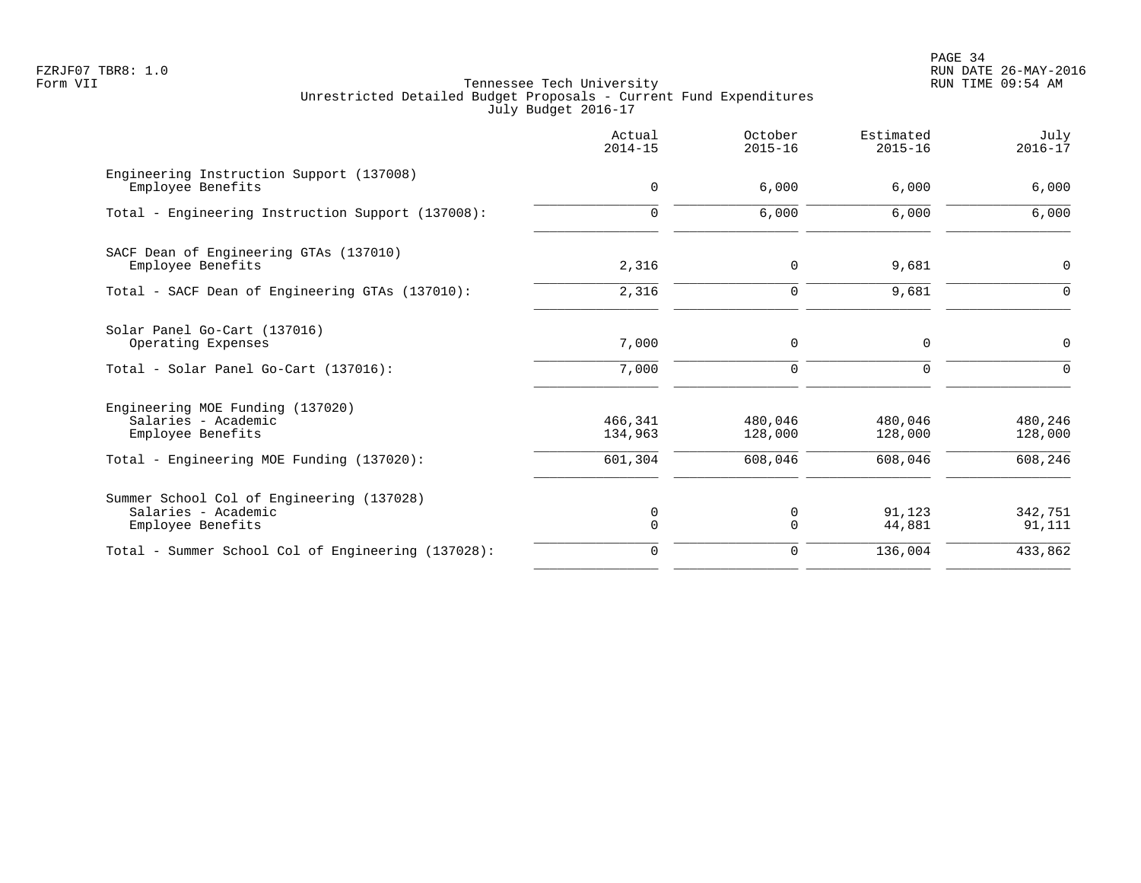PAGE 34 FZRJF07 TBR8: 1.0 RUN DATE 26-MAY-2016

|                                                                                                                           | Actual<br>$2014 - 15$         | October<br>$2015 - 16$        | Estimated<br>$2015 - 16$      | July<br>$2016 - 17$           |
|---------------------------------------------------------------------------------------------------------------------------|-------------------------------|-------------------------------|-------------------------------|-------------------------------|
| Engineering Instruction Support (137008)<br>Employee Benefits                                                             | $\mathbf 0$                   | 6.000                         | 6.000                         | 6,000                         |
| Total - Engineering Instruction Support (137008):                                                                         | $\Omega$                      | 6,000                         | 6,000                         | 6,000                         |
| SACF Dean of Engineering GTAs (137010)<br>Employee Benefits                                                               | 2,316                         | $\mathbf 0$                   | 9,681                         | 0                             |
| Total - SACF Dean of Engineering GTAs (137010):                                                                           | 2,316                         | 0                             | 9,681                         | $\overline{0}$                |
| Solar Panel Go-Cart (137016)<br>Operating Expenses                                                                        | 7,000                         | 0                             | 0                             | $\mathbf 0$                   |
| Total - Solar Panel Go-Cart (137016):                                                                                     | 7,000                         | 0                             | $\Omega$                      | ∩                             |
| Engineering MOE Funding (137020)<br>Salaries - Academic<br>Employee Benefits<br>Total - Engineering MOE Funding (137020): | 466,341<br>134,963<br>601,304 | 480,046<br>128,000<br>608,046 | 480,046<br>128,000<br>608,046 | 480,246<br>128,000<br>608,246 |
| Summer School Col of Engineering (137028)<br>Salaries - Academic<br>Employee Benefits                                     | 0<br>$\Omega$                 | 0<br>$\Omega$                 | 91,123<br>44,881              | 342,751<br>91,111             |
| Total - Summer School Col of Engineering (137028):                                                                        | $\mathbf 0$                   | 0                             | 136,004                       | 433,862                       |
|                                                                                                                           |                               |                               |                               |                               |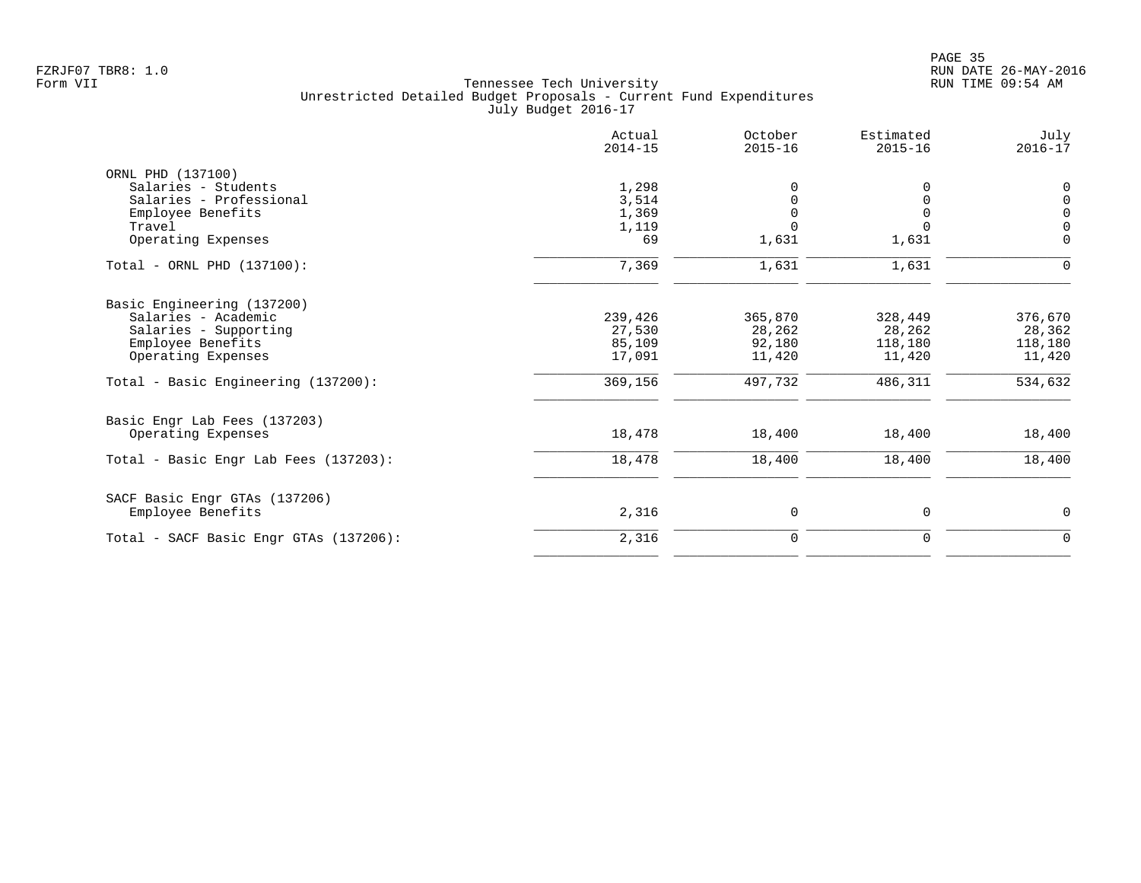|                                        | Actual<br>$2014 - 15$ | October<br>$2015 - 16$ | Estimated<br>$2015 - 16$ | July<br>$2016 - 17$                 |
|----------------------------------------|-----------------------|------------------------|--------------------------|-------------------------------------|
| ORNL PHD (137100)                      |                       |                        |                          |                                     |
| Salaries - Students                    | 1,298                 | $\Omega$               |                          | 0                                   |
| Salaries - Professional                | 3,514                 |                        |                          | $\mathsf 0$                         |
| Employee Benefits<br>Travel            | 1,369                 |                        |                          | $\mathsf{O}\xspace$<br>$\mathsf{O}$ |
| Operating Expenses                     | 1,119<br>69           | 1,631                  | 1,631                    | $\mathbf 0$                         |
| Total - ORNL PHD (137100):             | 7,369                 | 1,631                  | 1,631                    | $\mathbf 0$                         |
| Basic Engineering (137200)             |                       |                        |                          |                                     |
| Salaries - Academic                    | 239,426               | 365,870                | 328,449                  | 376,670                             |
| Salaries - Supporting                  | 27,530                | 28,262                 | 28,262                   | 28,362                              |
| Employee Benefits                      | 85,109                | 92,180                 | 118,180                  | 118,180                             |
| Operating Expenses                     | 17,091                | 11,420                 | 11,420                   | 11,420                              |
| Total - Basic Engineering (137200):    | 369,156               | 497,732                | 486,311                  | 534,632                             |
| Basic Engr Lab Fees (137203)           |                       |                        |                          |                                     |
| Operating Expenses                     | 18,478                | 18,400                 | 18,400                   | 18,400                              |
| Total - Basic Engr Lab Fees (137203):  | 18,478                | 18,400                 | 18,400                   | 18,400                              |
| SACF Basic Engr GTAs (137206)          |                       |                        |                          |                                     |
| Employee Benefits                      | 2,316                 | 0                      | 0                        | 0                                   |
| Total - SACF Basic Engr GTAs (137206): | 2,316                 | 0                      | 0                        | 0                                   |
|                                        |                       |                        |                          |                                     |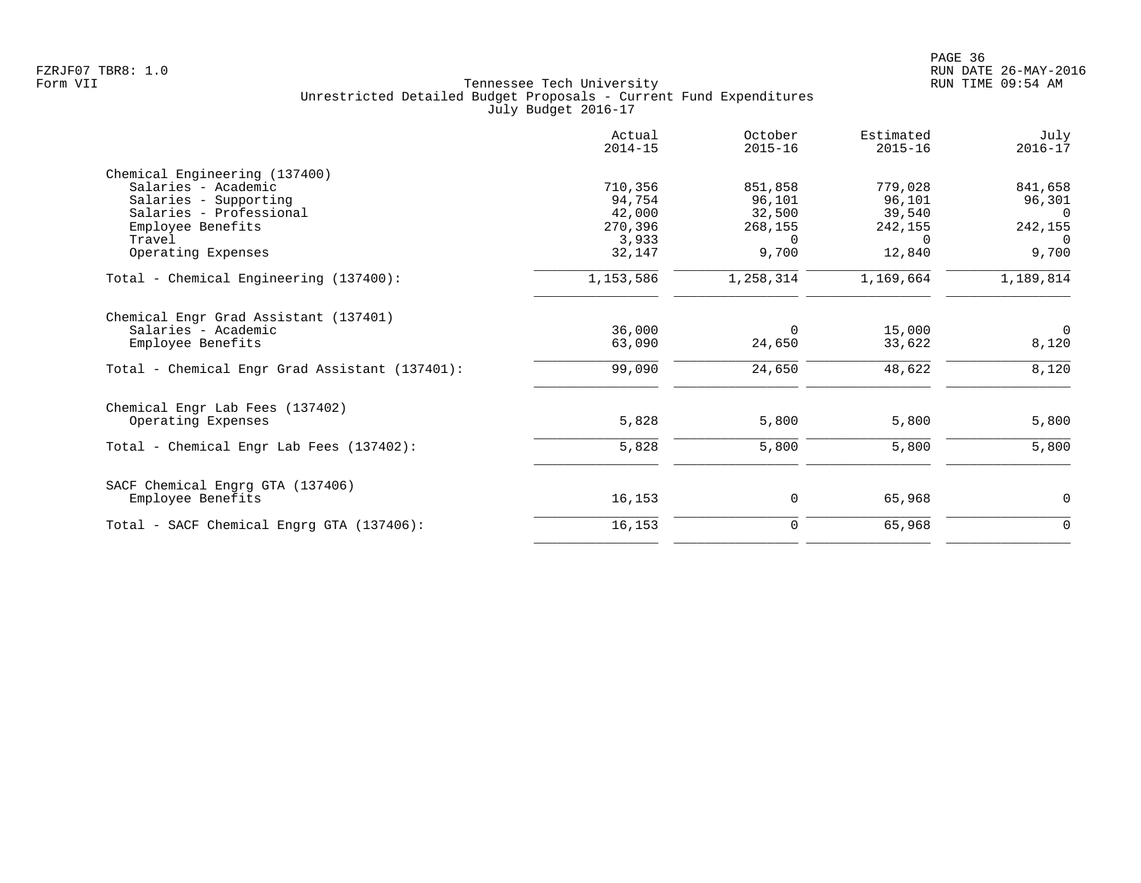|                                                | Actual<br>$2014 - 15$ | October<br>$2015 - 16$ | Estimated<br>$2015 - 16$ | July<br>$2016 - 17$ |
|------------------------------------------------|-----------------------|------------------------|--------------------------|---------------------|
| Chemical Engineering (137400)                  |                       |                        |                          |                     |
| Salaries - Academic                            | 710,356               | 851,858                | 779,028                  | 841,658             |
| Salaries - Supporting                          | 94,754                | 96,101                 | 96,101                   | 96,301              |
| Salaries - Professional                        | 42,000                | 32,500                 | 39,540                   | 0                   |
| Employee Benefits                              | 270,396               | 268,155                | 242,155                  | 242,155             |
| Travel                                         | 3,933                 | $\Omega$               | $\Omega$                 | $\Omega$            |
| Operating Expenses                             | 32,147                | 9,700                  | 12,840                   | 9,700               |
| Total - Chemical Engineering (137400):         | 1,153,586             | 1,258,314              | 1,169,664                | 1,189,814           |
| Chemical Engr Grad Assistant (137401)          |                       |                        |                          |                     |
| Salaries - Academic                            | 36,000                | $\Omega$               | 15,000                   | $\Omega$            |
| Employee Benefits                              | 63,090                | 24,650                 | 33,622                   | 8,120               |
| Total - Chemical Engr Grad Assistant (137401): | 99,090                | 24,650                 | 48,622                   | 8,120               |
| Chemical Engr Lab Fees (137402)                |                       |                        |                          |                     |
| Operating Expenses                             | 5,828                 | 5,800                  | 5,800                    | 5,800               |
| Total - Chemical Engr Lab Fees (137402):       | 5,828                 | 5,800                  | 5,800                    | 5,800               |
| SACF Chemical Engrg GTA (137406)               |                       |                        |                          |                     |
| Employee Benefits                              | 16,153                | 0                      | 65,968                   | 0                   |
| Total - SACF Chemical Engrg GTA (137406):      | 16,153                | $\mathbf 0$            | 65,968                   | $\mathbf 0$         |
|                                                |                       |                        |                          |                     |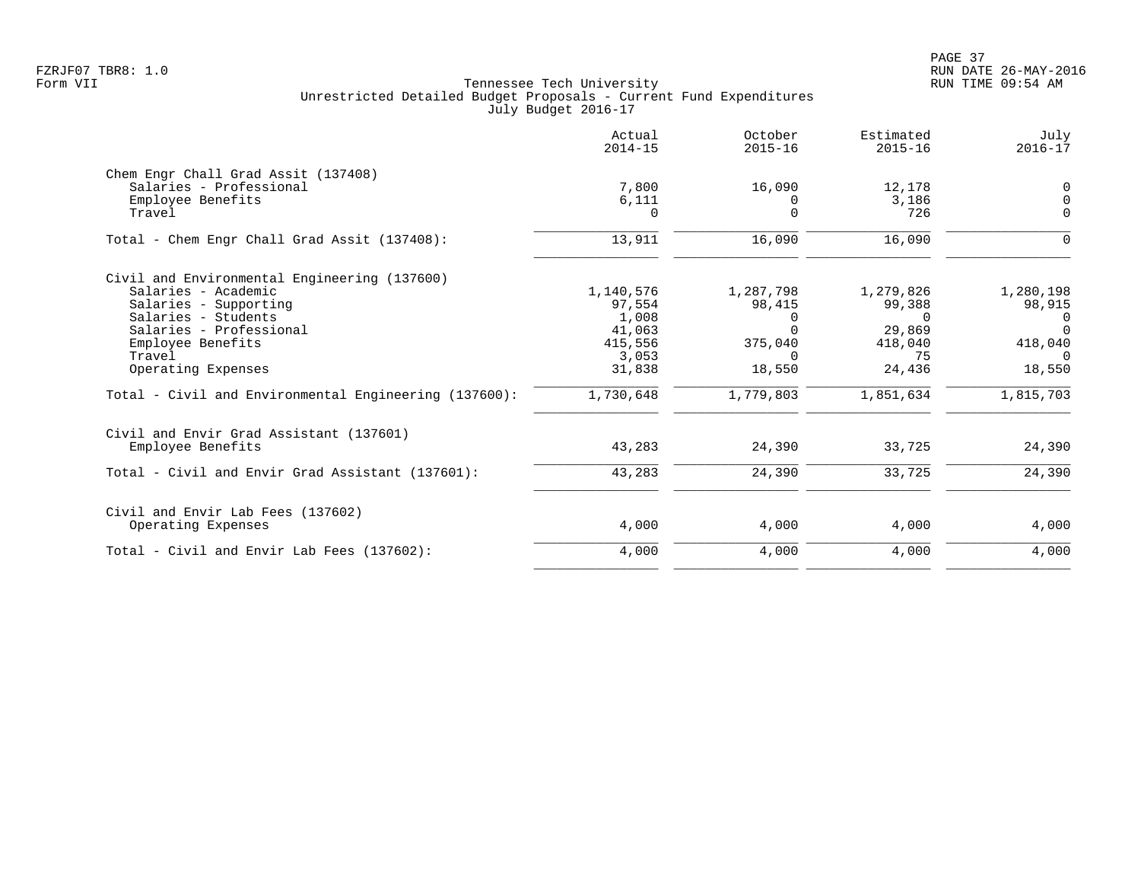PAGE 37 FZRJF07 TBR8: 1.0 RUN DATE 26-MAY-2016

| 0<br>$\mathbf 0$ |
|------------------|
|                  |
|                  |
|                  |
| $\Omega$         |
| $\Omega$         |
|                  |
| 1,280,198        |
| 98,915           |
| $\Omega$         |
| $\Omega$         |
| 418,040          |
| $\Omega$         |
| 18,550           |
| 1,815,703        |
|                  |
| 24,390           |
| 24,390           |
|                  |
| 4,000            |
| 4,000            |
|                  |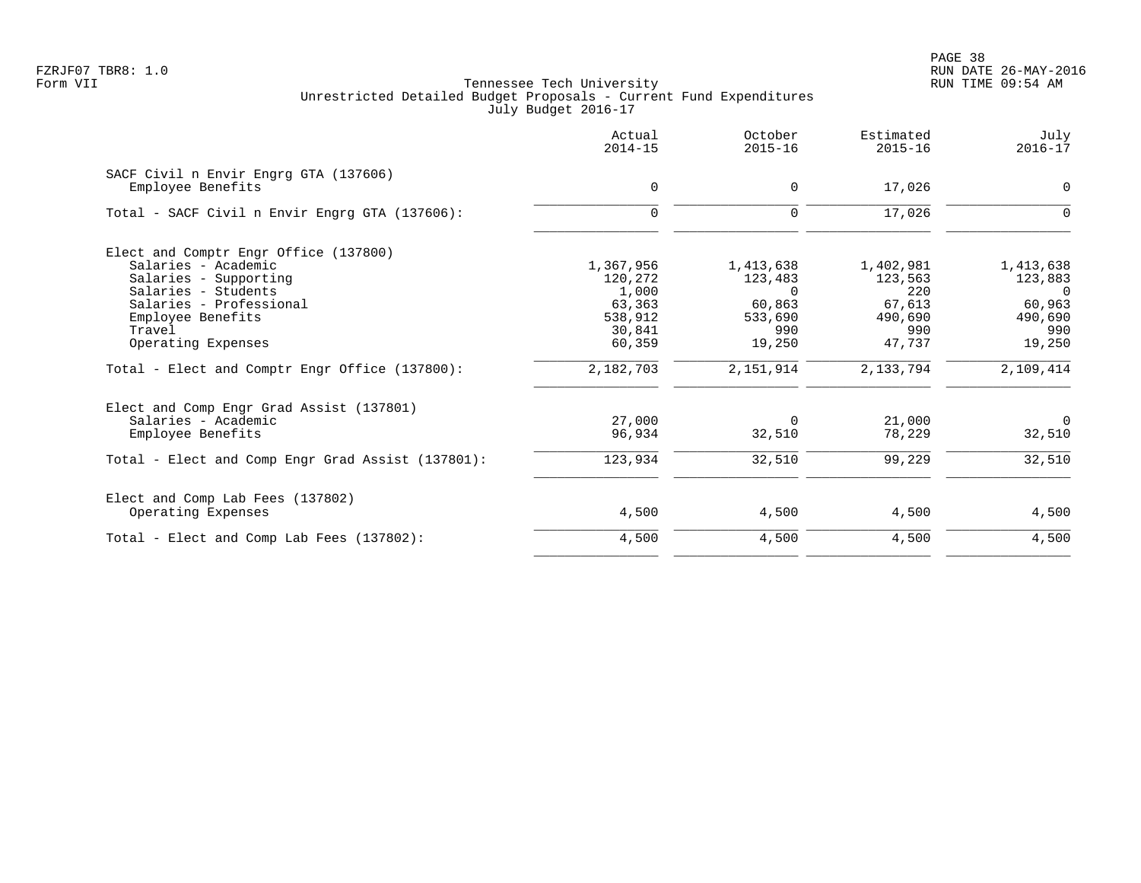PAGE 38 FZRJF07 TBR8: 1.0 RUN DATE 26-MAY-2016

|                                                   | Actual<br>$2014 - 15$ | October<br>$2015 - 16$ | Estimated<br>$2015 - 16$ | July<br>$2016 - 17$ |
|---------------------------------------------------|-----------------------|------------------------|--------------------------|---------------------|
| SACF Civil n Envir Engrg GTA (137606)             |                       |                        |                          |                     |
| Employee Benefits                                 | 0                     | $\mathbf 0$            | 17,026                   | $\mathbf 0$         |
| Total - SACF Civil n Envir Engrg GTA (137606):    | $\mathbf 0$           | $\mathbf 0$            | 17,026                   | $\Omega$            |
| Elect and Comptr Engr Office (137800)             |                       |                        |                          |                     |
| Salaries - Academic                               | 1,367,956             | 1,413,638              | 1,402,981                | 1,413,638           |
| Salaries - Supporting                             | 120,272               | 123,483                | 123,563                  | 123,883             |
| Salaries - Students                               | 1,000                 | $\Omega$               | 220                      | $\overline{0}$      |
| Salaries - Professional                           | 63,363                | 60,863                 | 67,613                   | 60,963              |
| Employee Benefits                                 | 538,912               | 533,690                | 490,690                  | 490,690             |
| Travel                                            | 30,841                | 990                    | 990                      | 990                 |
| Operating Expenses                                | 60,359                | 19,250                 | 47,737                   | 19,250              |
| Total - Elect and Comptr Engr Office (137800):    | 2,182,703             | 2,151,914              | 2,133,794                | 2,109,414           |
| Elect and Comp Engr Grad Assist (137801)          |                       |                        |                          |                     |
| Salaries - Academic                               | 27,000                | $\mathbf 0$            | 21,000                   | $\overline{0}$      |
| Employee Benefits                                 | 96,934                | 32,510                 | 78,229                   | 32,510              |
| Total - Elect and Comp Engr Grad Assist (137801): | 123,934               | 32,510                 | 99,229                   | 32,510              |
| Elect and Comp Lab Fees (137802)                  |                       |                        |                          |                     |
| Operating Expenses                                | 4,500                 | 4,500                  | 4,500                    | 4,500               |
| Total - Elect and Comp Lab Fees (137802):         | 4,500                 | 4,500                  | 4,500                    | 4,500               |
|                                                   |                       |                        |                          |                     |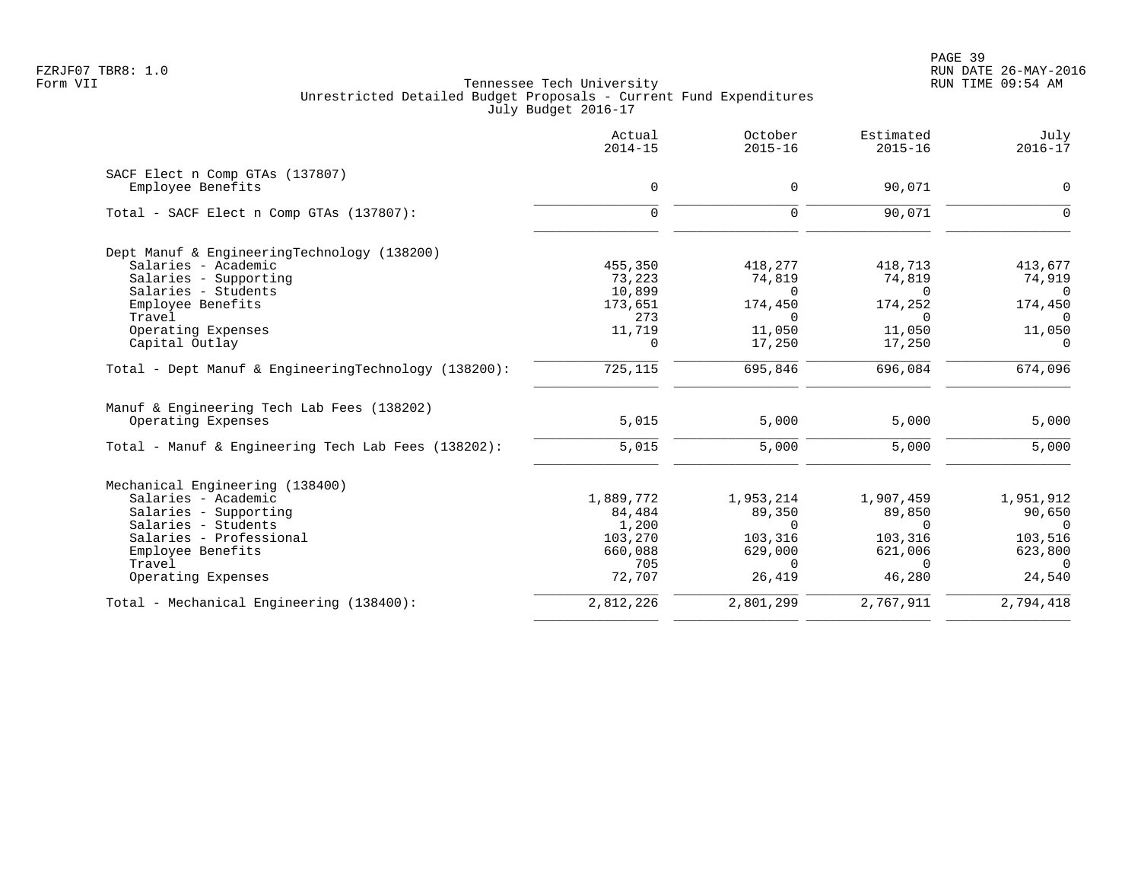|                                                      | Actual<br>$2014 - 15$ | October<br>$2015 - 16$ | Estimated<br>$2015 - 16$ | July<br>$2016 - 17$ |
|------------------------------------------------------|-----------------------|------------------------|--------------------------|---------------------|
| SACF Elect n Comp GTAs (137807)                      |                       |                        |                          |                     |
| Employee Benefits                                    | 0                     | $\Omega$               | 90,071                   | $\Omega$            |
| Total - SACF Elect n Comp GTAs (137807):             | $\Omega$              | $\Omega$               | 90,071                   | ∩                   |
| Dept Manuf & EngineeringTechnology (138200)          |                       |                        |                          |                     |
| Salaries - Academic                                  | 455,350               | 418,277                | 418,713                  | 413,677             |
| Salaries - Supporting                                | 73,223                | 74,819                 | 74,819                   | 74,919              |
| Salaries - Students                                  | 10,899                | $\Omega$               | $\Omega$                 | $\Omega$            |
| Employee Benefits                                    | 173,651               | 174,450                | 174,252                  | 174,450             |
| Travel                                               | 273                   | $\Omega$               | $\Omega$                 | $\cap$              |
| Operating Expenses                                   | 11,719                | 11,050                 | 11,050                   | 11,050              |
| Capital Outlay                                       | $\Omega$              | 17,250                 | 17,250                   | $\Omega$            |
| Total - Dept Manuf & EngineeringTechnology (138200): | 725,115               | 695,846                | 696,084                  | 674,096             |
| Manuf & Engineering Tech Lab Fees (138202)           |                       |                        |                          |                     |
| Operating Expenses                                   | 5,015                 | 5,000                  | 5,000                    | 5,000               |
| Total - Manuf & Engineering Tech Lab Fees (138202):  | 5,015                 | 5,000                  | 5,000                    | 5,000               |
| Mechanical Engineering (138400)                      |                       |                        |                          |                     |
| Salaries - Academic                                  | 1,889,772             | 1,953,214              | 1,907,459                | 1,951,912           |
| Salaries - Supporting                                | 84,484                | 89,350                 | 89,850                   | 90,650              |
| Salaries - Students                                  | 1,200                 | $\Omega$               | $\Omega$                 | $\Omega$            |
| Salaries - Professional                              | 103,270               | 103,316                | 103,316                  | 103,516             |
| Employee Benefits                                    | 660,088               | 629,000                | 621,006                  | 623,800             |
| Travel                                               | 705                   | $\Omega$               | $\Omega$                 | $\Omega$            |
| Operating Expenses                                   | 72,707                | 26,419                 | 46,280                   | 24,540              |
| Total - Mechanical Engineering (138400):             | 2,812,226             | 2,801,299              | 2,767,911                | 2,794,418           |
|                                                      |                       |                        |                          |                     |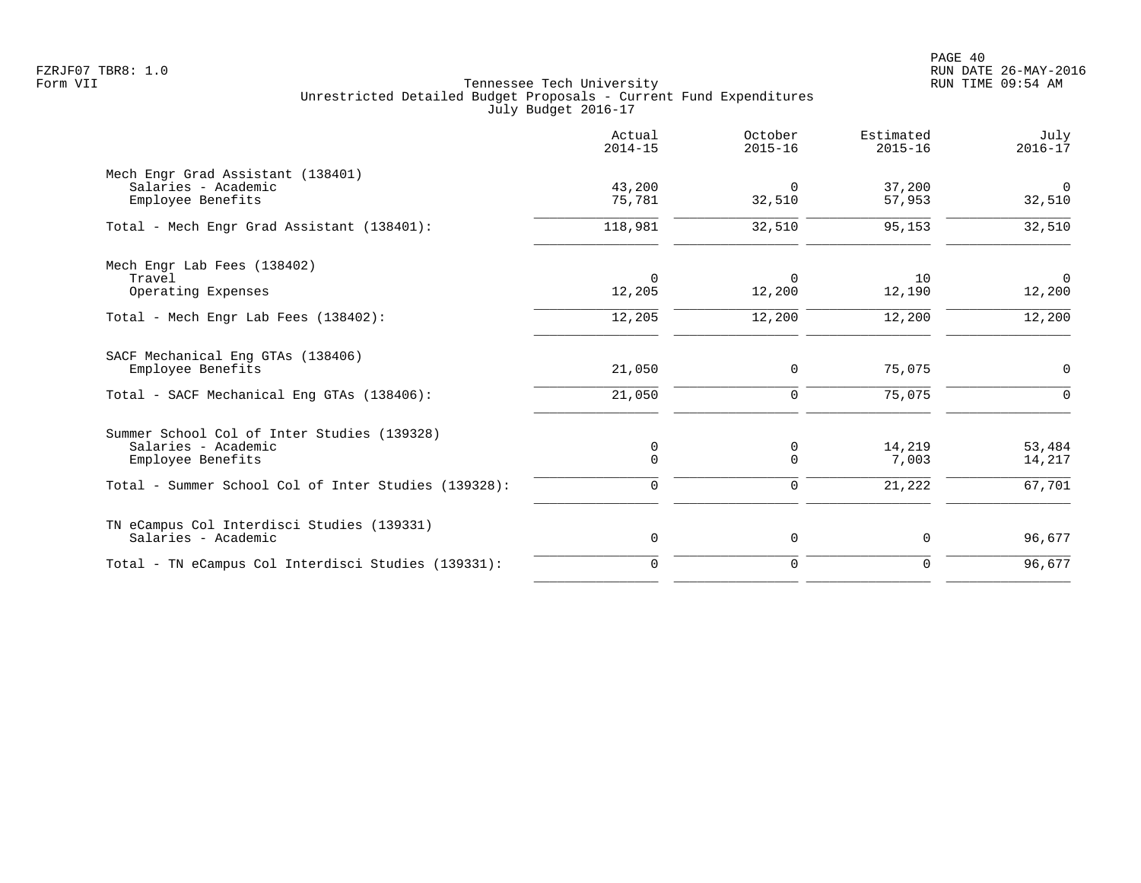|                                                                                         | Actual<br>$2014 - 15$ | October<br>$2015 - 16$ | Estimated<br>$2015 - 16$ | July<br>$2016 - 17$      |
|-----------------------------------------------------------------------------------------|-----------------------|------------------------|--------------------------|--------------------------|
| Mech Engr Grad Assistant (138401)<br>Salaries - Academic<br>Employee Benefits           | 43,200<br>75,781      | 0<br>32,510            | 37,200<br>57,953         | $\overline{0}$<br>32,510 |
| Total - Mech Engr Grad Assistant (138401):                                              | 118,981               | 32,510                 | 95,153                   | 32,510                   |
| Mech Engr Lab Fees (138402)<br>Travel<br>Operating Expenses                             | $\Omega$<br>12,205    | $\Omega$<br>12,200     | 10<br>12,190             | $\Omega$<br>12,200       |
| Total - Mech Engr Lab Fees (138402):                                                    | 12,205                | 12,200                 | 12,200                   | 12,200                   |
| SACF Mechanical Eng GTAs (138406)<br>Employee Benefits                                  | 21,050                | 0                      | 75,075                   | $\mathbf 0$              |
| Total - SACF Mechanical Eng GTAs (138406):                                              | 21,050                | $\mathbf 0$            | 75,075                   | $\Omega$                 |
| Summer School Col of Inter Studies (139328)<br>Salaries - Academic<br>Employee Benefits | 0<br>$\mathbf 0$      | 0<br>0                 | 14,219<br>7,003          | 53,484<br>14,217         |
| Total - Summer School Col of Inter Studies (139328):                                    | 0                     | $\mathbf 0$            | 21,222                   | 67,701                   |
| TN eCampus Col Interdisci Studies (139331)<br>Salaries - Academic                       | $\mathbf 0$           | 0                      | 0                        | 96,677                   |
| Total - TN eCampus Col Interdisci Studies (139331):                                     | $\Omega$              | $\mathbf 0$            | $\Omega$                 | 96,677                   |
|                                                                                         |                       |                        |                          |                          |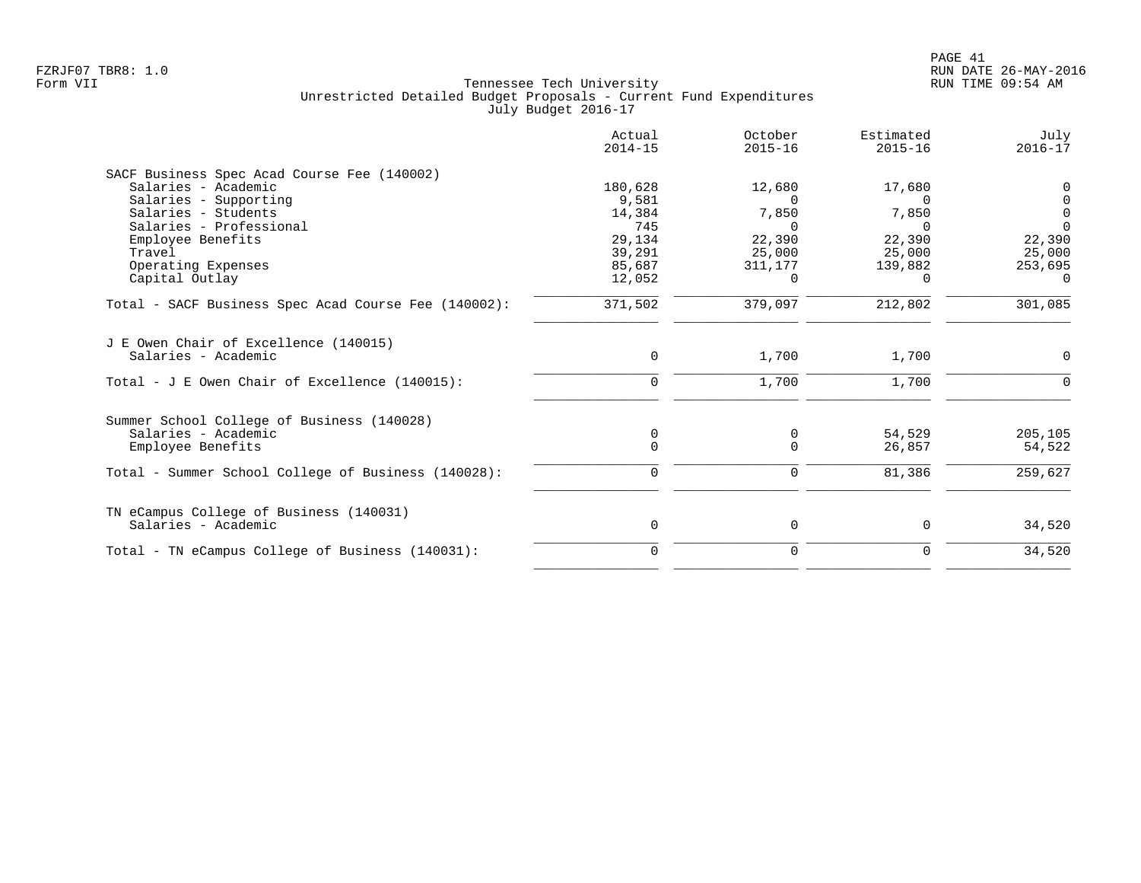| Actual<br>$2014 - 15$ | October<br>$2015 - 16$                              | Estimated<br>$2015 - 16$ | July<br>$2016 - 17$        |
|-----------------------|-----------------------------------------------------|--------------------------|----------------------------|
|                       |                                                     |                          |                            |
| 180,628               | 12,680                                              | 17,680                   | 0                          |
| 9,581                 | $\Omega$                                            | $\Omega$                 | 0                          |
| 14,384                | 7,850                                               | 7,850                    | $\mathbf 0$                |
| 745                   | $\Omega$                                            | $\cap$                   | $\Omega$                   |
|                       | 22,390                                              |                          | 22,390                     |
|                       | 25,000                                              | 25,000                   | 25,000                     |
|                       | 311,177                                             |                          | 253,695                    |
|                       | $\Omega$                                            | 0                        | $\Omega$                   |
| 371,502               | 379,097                                             | 212,802                  | 301,085                    |
|                       |                                                     |                          | $\Omega$                   |
|                       |                                                     |                          |                            |
| $\Omega$              | 1,700                                               | 1,700                    |                            |
|                       |                                                     |                          |                            |
| $\mathbf 0$           | 0                                                   | 54,529                   | 205,105                    |
| $\Omega$              | $\Omega$                                            | 26,857                   | 54,522                     |
| $\Omega$              | $\Omega$                                            | 81,386                   | 259,627                    |
|                       |                                                     |                          |                            |
| 0                     | $\mathbf 0$                                         | 0                        | 34,520                     |
| 0                     | $\mathbf 0$                                         | 0                        | 34,520                     |
|                       | 29,134<br>39,291<br>85,687<br>12,052<br>$\mathbf 0$ | 1,700                    | 22,390<br>139,882<br>1,700 |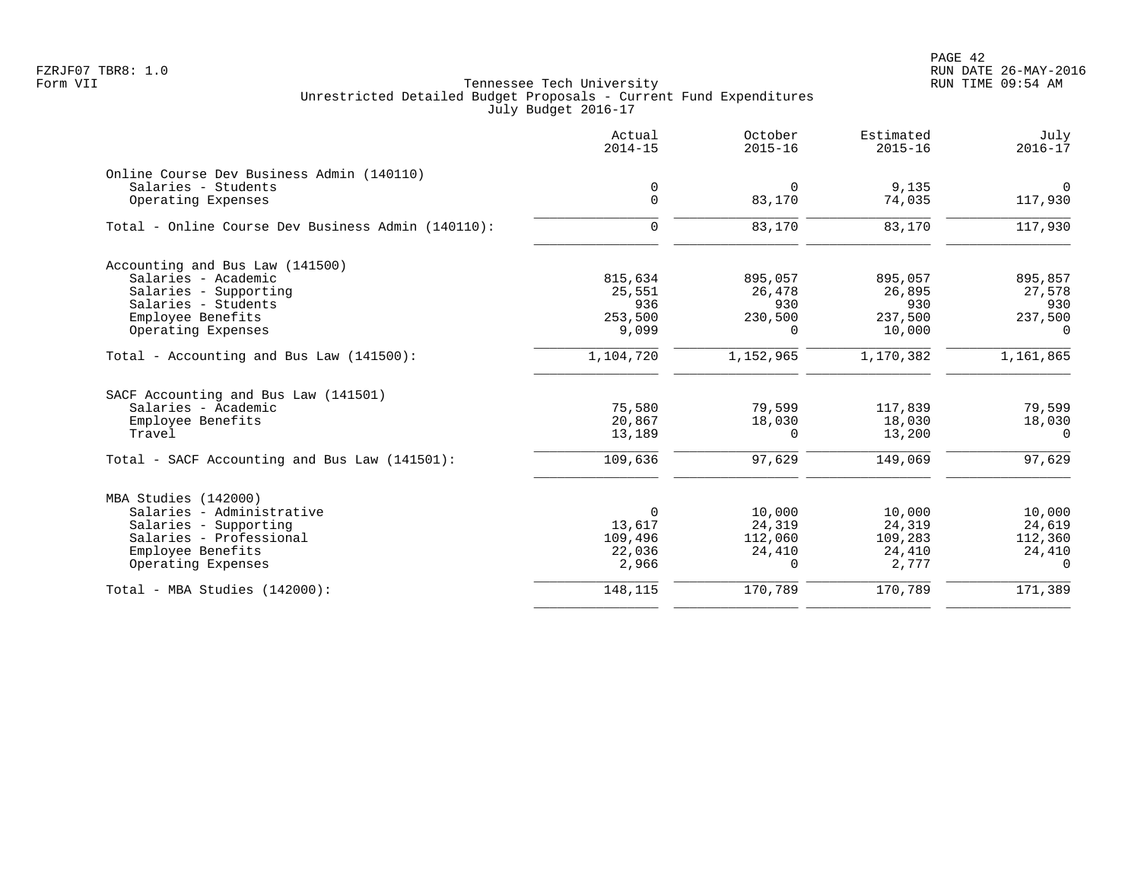|                                                    | Actual<br>$2014 - 15$ | October<br>$2015 - 16$ | Estimated<br>$2015 - 16$ | July<br>$2016 - 17$ |
|----------------------------------------------------|-----------------------|------------------------|--------------------------|---------------------|
| Online Course Dev Business Admin (140110)          |                       |                        |                          |                     |
| Salaries - Students                                | 0                     | $\Omega$               | 9,135                    | $\overline{0}$      |
| Operating Expenses                                 | $\mathbf 0$           | 83,170                 | 74,035                   | 117,930             |
| Total - Online Course Dev Business Admin (140110): | $\mathbf 0$           | 83,170                 | 83,170                   | 117,930             |
| Accounting and Bus Law (141500)                    |                       |                        |                          |                     |
| Salaries - Academic                                | 815,634               | 895,057                | 895,057                  | 895,857             |
| Salaries - Supporting                              | 25,551                | 26,478                 | 26,895                   | 27,578              |
| Salaries - Students                                | 936                   | 930                    | 930                      | 930                 |
| Employee Benefits                                  | 253,500               | 230,500                | 237,500                  | 237,500             |
| Operating Expenses                                 | 9,099                 | 0                      | 10,000                   | $\Omega$            |
| Total - Accounting and Bus Law (141500):           | 1,104,720             | 1,152,965              | 1,170,382                | 1,161,865           |
| SACF Accounting and Bus Law (141501)               |                       |                        |                          |                     |
| Salaries - Academic                                | 75,580                | 79,599                 | 117,839                  | 79,599              |
| Employee Benefits                                  | 20,867                | 18,030                 | 18,030                   | 18,030              |
| Travel                                             | 13,189                | $\Omega$               | 13,200                   | $\Omega$            |
| Total - SACF Accounting and Bus Law (141501):      | 109,636               | 97,629                 | 149,069                  | 97,629              |
| MBA Studies (142000)                               |                       |                        |                          |                     |
| Salaries - Administrative                          | $\Omega$              | 10,000                 | 10,000                   | 10,000              |
| Salaries - Supporting                              | 13,617                | 24,319                 | 24,319                   | 24,619              |
| Salaries - Professional                            | 109,496               | 112,060                | 109,283                  | 112,360             |
| Employee Benefits                                  | 22,036                | 24,410                 | 24,410                   | 24,410              |
| Operating Expenses                                 | 2,966                 | 0                      | 2,777                    | $\Omega$            |
| Total - MBA Studies (142000):                      | 148,115               | 170,789                | 170,789                  | 171,389             |
|                                                    |                       |                        |                          |                     |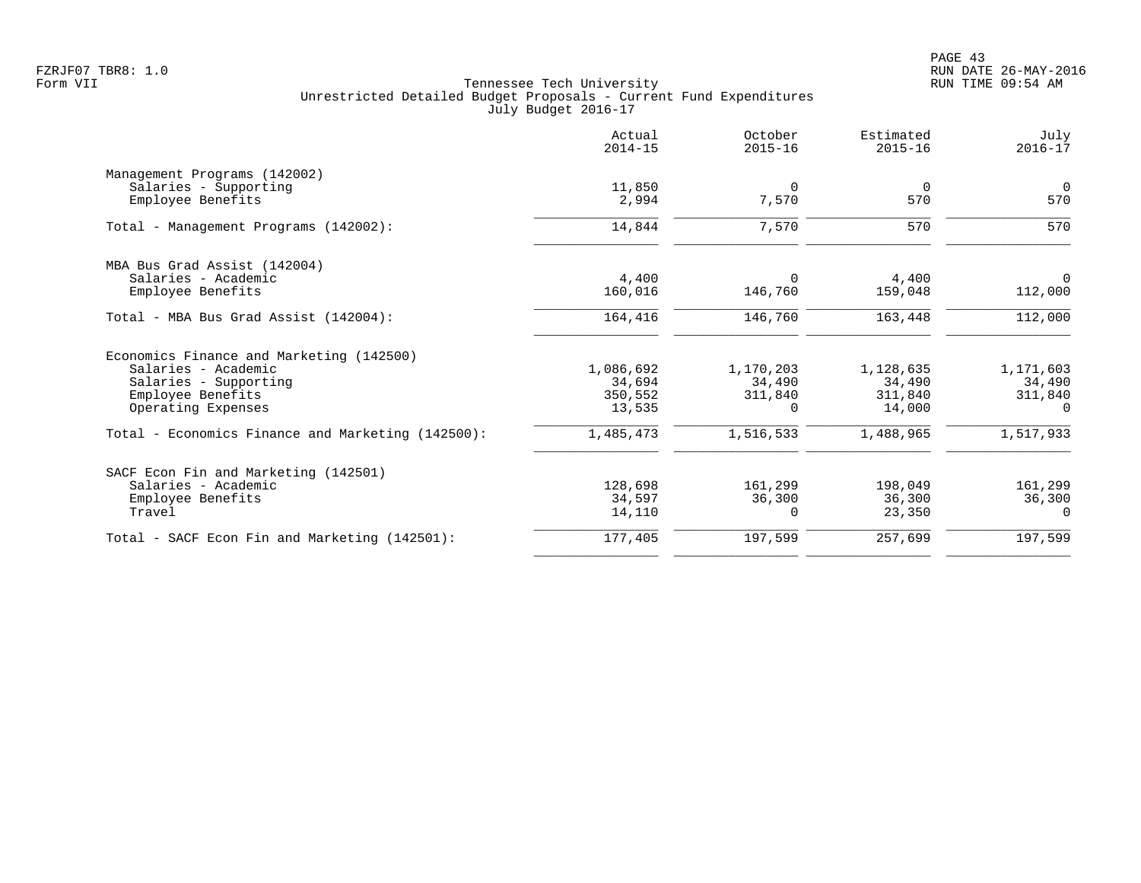|                                                   | Actual<br>$2014 - 15$ | October<br>$2015 - 16$ | Estimated<br>$2015 - 16$ | July<br>$2016 - 17$ |
|---------------------------------------------------|-----------------------|------------------------|--------------------------|---------------------|
| Management Programs (142002)                      |                       |                        |                          |                     |
| Salaries - Supporting                             | 11,850                | $\Omega$               | $\overline{0}$           | $\overline{0}$      |
| Employee Benefits                                 | 2,994                 | 7,570                  | 570                      | 570                 |
| Total - Management Programs (142002):             | 14,844                | 7,570                  | 570                      | 570                 |
| MBA Bus Grad Assist (142004)                      |                       |                        |                          |                     |
| Salaries - Academic                               | 4,400                 | $\Omega$               | 4,400                    | 0                   |
| Employee Benefits                                 | 160,016               | 146,760                | 159,048                  | 112,000             |
| Total - MBA Bus Grad Assist (142004):             | 164,416               | 146,760                | 163,448                  | 112,000             |
| Economics Finance and Marketing (142500)          |                       |                        |                          |                     |
| Salaries - Academic                               | 1,086,692             | 1,170,203              | 1,128,635                | 1,171,603           |
| Salaries - Supporting                             | 34,694                | 34,490                 | 34,490                   | 34,490              |
| Employee Benefits                                 | 350,552               | 311,840                | 311,840                  | 311,840             |
| Operating Expenses                                | 13,535                | $\Omega$               | 14,000                   | $\Omega$            |
| Total - Economics Finance and Marketing (142500): | 1,485,473             | 1,516,533              | 1,488,965                | 1,517,933           |
| SACF Econ Fin and Marketing (142501)              |                       |                        |                          |                     |
| Salaries - Academic                               | 128,698               | 161,299                | 198,049                  | 161,299             |
| Employee Benefits                                 | 34,597                | 36,300                 | 36,300                   | 36,300              |
| Travel                                            | 14,110                | $\Omega$               | 23,350                   | $\Omega$            |
| Total - SACF Econ Fin and Marketing (142501):     | 177,405               | 197,599                | 257,699                  | 197,599             |
|                                                   |                       |                        |                          |                     |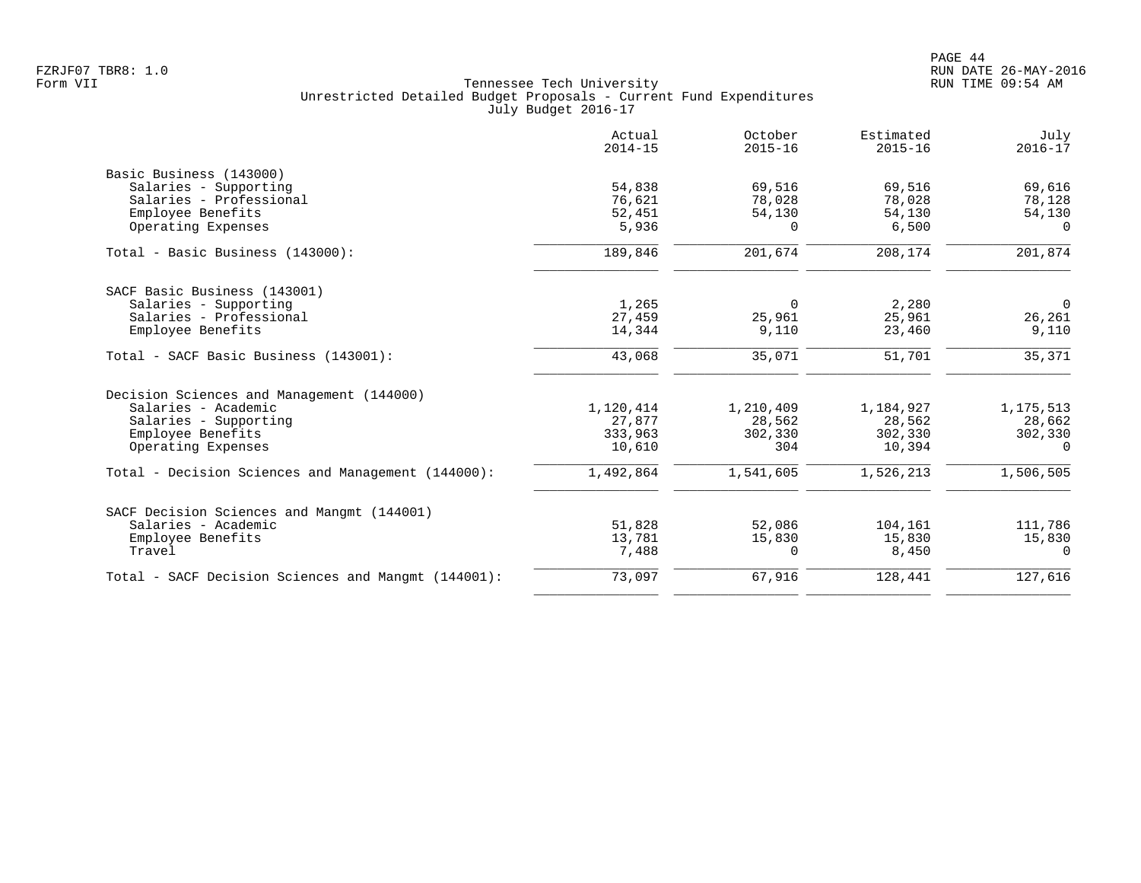|                                                     | Actual<br>$2014 - 15$ | October<br>$2015 - 16$ | Estimated<br>$2015 - 16$ | July<br>$2016 - 17$ |
|-----------------------------------------------------|-----------------------|------------------------|--------------------------|---------------------|
| Basic Business (143000)                             |                       |                        |                          |                     |
| Salaries - Supporting                               | 54,838                | 69,516                 | 69,516                   | 69,616              |
| Salaries - Professional                             | 76,621                | 78,028                 | 78,028                   | 78,128              |
| Employee Benefits                                   | 52,451                | 54,130                 | 54,130                   | 54,130              |
| Operating Expenses                                  | 5,936                 | $\Omega$               | 6,500                    | $\Omega$            |
| Total - Basic Business (143000):                    | 189,846               | 201,674                | 208,174                  | 201,874             |
| SACF Basic Business (143001)                        |                       |                        |                          |                     |
| Salaries - Supporting                               | 1,265                 | $\Omega$               | 2,280                    | $\overline{0}$      |
| Salaries - Professional                             | 27,459                | 25,961                 | 25,961                   | 26,261              |
| Employee Benefits                                   | 14,344                | 9,110                  | 23,460                   | 9,110               |
| Total - SACF Basic Business (143001):               | 43,068                | 35,071                 | 51,701                   | 35,371              |
| Decision Sciences and Management (144000)           |                       |                        |                          |                     |
| Salaries - Academic                                 | 1,120,414             | 1,210,409              | 1,184,927                | 1, 175, 513         |
| Salaries - Supporting                               | 27,877                | 28,562                 | 28,562                   | 28,662              |
| Employee Benefits                                   | 333,963               | 302,330                | 302,330                  | 302,330             |
| Operating Expenses                                  | 10,610                | 304                    | 10,394                   | $\Omega$            |
| Total - Decision Sciences and Management (144000):  | 1,492,864             | 1,541,605              | 1,526,213                | 1,506,505           |
| SACF Decision Sciences and Mangmt (144001)          |                       |                        |                          |                     |
| Salaries - Academic                                 | 51,828                | 52,086                 | 104,161                  | 111,786             |
| Employee Benefits                                   | 13,781                | 15,830                 | 15,830                   | 15,830              |
| Travel                                              | 7,488                 | $\Omega$               | 8,450                    | $\Omega$            |
| Total - SACF Decision Sciences and Mangmt (144001): | 73,097                | 67,916                 | 128,441                  | 127,616             |
|                                                     |                       |                        |                          |                     |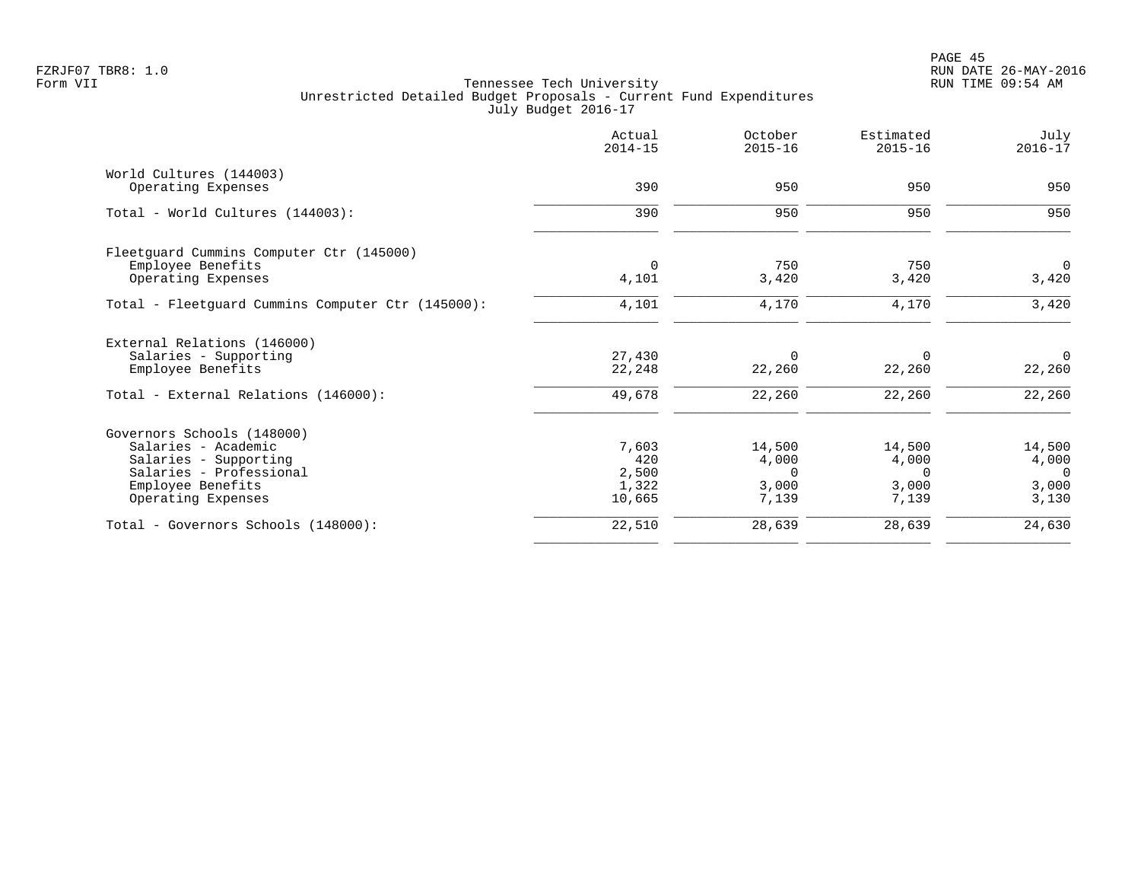|                                                   | Actual<br>$2014 - 15$ | October<br>$2015 - 16$ | Estimated<br>$2015 - 16$ | July<br>$2016 - 17$ |
|---------------------------------------------------|-----------------------|------------------------|--------------------------|---------------------|
| World Cultures (144003)                           |                       |                        |                          |                     |
| Operating Expenses                                | 390                   | 950                    | 950                      | 950                 |
| Total - World Cultures (144003):                  | 390                   | 950                    | 950                      | 950                 |
| Fleetquard Cummins Computer Ctr (145000)          |                       |                        |                          |                     |
| Employee Benefits                                 | $\mathbf 0$           | 750                    | 750                      | $\mathbf 0$         |
| Operating Expenses                                | 4,101                 | 3,420                  | 3,420                    | 3,420               |
| Total - Fleetguard Cummins Computer Ctr (145000): | 4,101                 | 4,170                  | 4,170                    | 3,420               |
| External Relations (146000)                       |                       |                        |                          |                     |
| Salaries - Supporting                             | 27,430                | 0                      | $\Omega$                 | $\Omega$            |
| Employee Benefits                                 | 22,248                | 22,260                 | 22,260                   | 22,260              |
| Total - External Relations (146000):              | 49,678                | 22,260                 | 22,260                   | 22,260              |
| Governors Schools (148000)                        |                       |                        |                          |                     |
| Salaries - Academic                               | 7,603                 | 14,500                 | 14,500                   | 14,500              |
| Salaries - Supporting                             | 420                   | 4,000                  | 4,000                    | 4,000               |
| Salaries - Professional                           | 2,500                 | $\Omega$               | $\Omega$                 | $\Omega$            |
| Employee Benefits<br>Operating Expenses           | 1,322<br>10,665       | 3,000<br>7,139         | 3,000<br>7,139           | 3,000<br>3,130      |
|                                                   |                       |                        |                          |                     |
| Total - Governors Schools (148000):               | 22,510                | 28,639                 | 28,639                   | 24,630              |
|                                                   |                       |                        |                          |                     |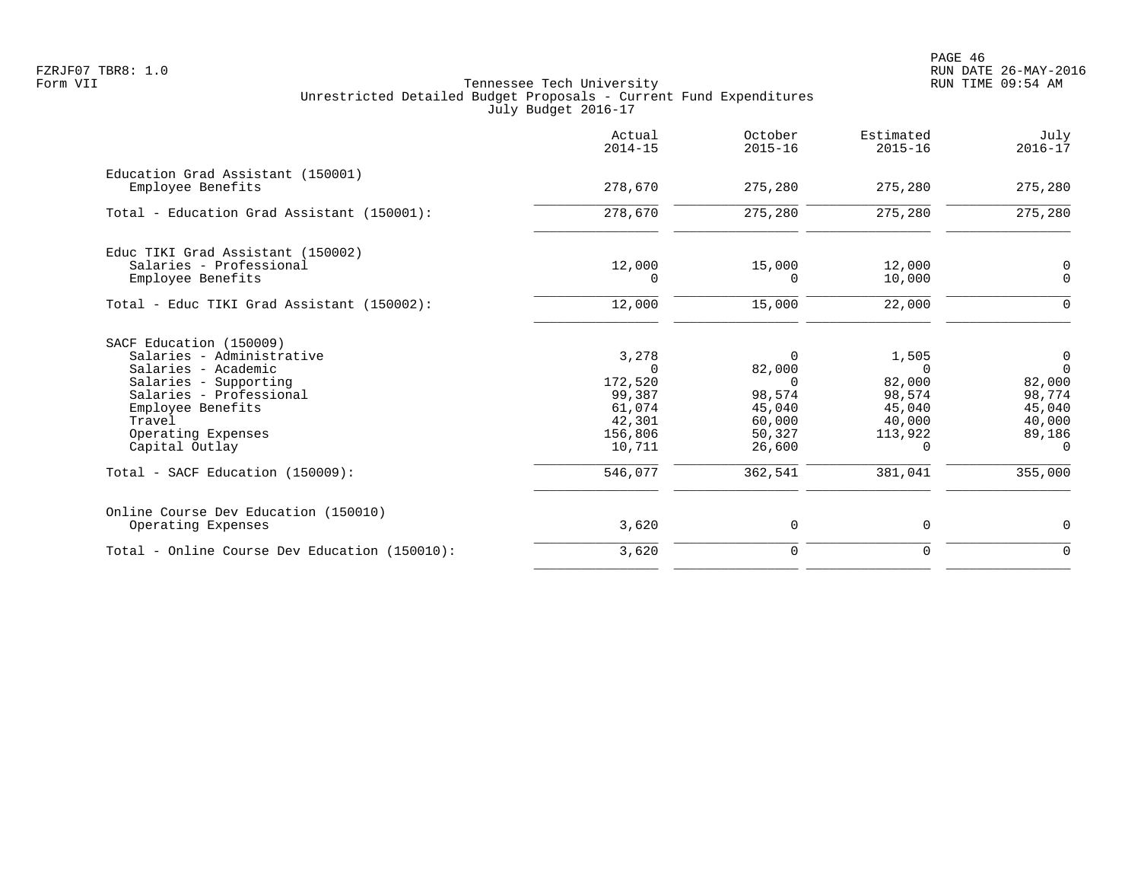|                                                                                                                                                                                                                                            | Actual<br>$2014 - 15$                                                                    | October<br>$2015 - 16$                                                                      | Estimated<br>$2015 - 16$                                                                  | July<br>$2016 - 17$                                                                              |
|--------------------------------------------------------------------------------------------------------------------------------------------------------------------------------------------------------------------------------------------|------------------------------------------------------------------------------------------|---------------------------------------------------------------------------------------------|-------------------------------------------------------------------------------------------|--------------------------------------------------------------------------------------------------|
| Education Grad Assistant (150001)<br>Employee Benefits                                                                                                                                                                                     | 278,670                                                                                  | 275,280                                                                                     | 275,280                                                                                   | 275,280                                                                                          |
| Total - Education Grad Assistant (150001):                                                                                                                                                                                                 | 278,670                                                                                  | 275,280                                                                                     | 275,280                                                                                   | 275,280                                                                                          |
| Educ TIKI Grad Assistant (150002)<br>Salaries - Professional<br>Employee Benefits                                                                                                                                                          | 12,000<br>0                                                                              | 15,000<br>0                                                                                 | 12,000<br>10,000                                                                          | $\mathbf 0$<br>$\mathbf 0$                                                                       |
| Total - Educ TIKI Grad Assistant (150002):                                                                                                                                                                                                 | 12,000                                                                                   | 15,000                                                                                      | 22,000                                                                                    | $\Omega$                                                                                         |
| SACF Education (150009)<br>Salaries - Administrative<br>Salaries - Academic<br>Salaries - Supporting<br>Salaries - Professional<br>Employee Benefits<br>Travel<br>Operating Expenses<br>Capital Outlay<br>Total - SACF Education (150009): | 3,278<br>$\cap$<br>172,520<br>99,387<br>61,074<br>42,301<br>156,806<br>10,711<br>546,077 | $\Omega$<br>82,000<br>$\Omega$<br>98,574<br>45,040<br>60,000<br>50,327<br>26,600<br>362,541 | 1,505<br>$\cap$<br>82,000<br>98,574<br>45,040<br>40,000<br>113,922<br>$\Omega$<br>381,041 | $\mathbf 0$<br>$\Omega$<br>82,000<br>98,774<br>45,040<br>40,000<br>89,186<br>$\Omega$<br>355,000 |
| Online Course Dev Education (150010)<br>Operating Expenses                                                                                                                                                                                 | 3,620                                                                                    | 0                                                                                           | 0                                                                                         | $\mathbf 0$                                                                                      |
| Total - Online Course Dev Education (150010):                                                                                                                                                                                              | 3,620                                                                                    | 0                                                                                           | 0                                                                                         | $\mathbf 0$                                                                                      |
|                                                                                                                                                                                                                                            |                                                                                          |                                                                                             |                                                                                           |                                                                                                  |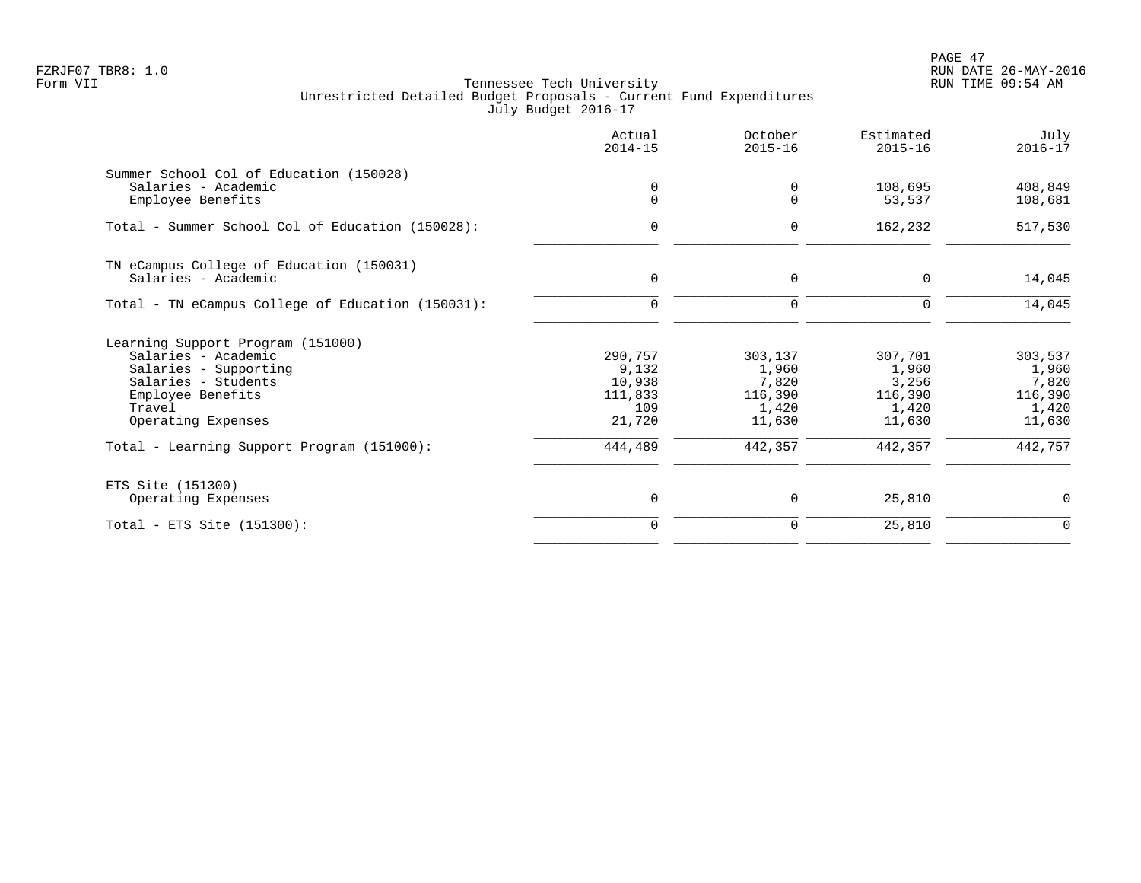PAGE 47 FZRJF07 TBR8: 1.0 RUN DATE 26-MAY-2016

| Actual<br>$2014 - 15$ | October<br>$2015 - 16$                 | Estimated<br>$2015 - 16$                | July<br>$2016 - 17$                           |
|-----------------------|----------------------------------------|-----------------------------------------|-----------------------------------------------|
|                       |                                        |                                         |                                               |
| $\mathbf 0$           | $\Omega$                               | 53,537                                  | 408,849<br>108,681                            |
| 0                     | 0                                      | 162,232                                 | 517,530                                       |
|                       |                                        |                                         |                                               |
| 0                     | 0                                      | 0                                       | 14,045                                        |
| $\mathbf 0$           | $\mathbf 0$                            | 0                                       | 14,045                                        |
|                       |                                        |                                         |                                               |
| 290,757               | 303,137                                | 307,701                                 | 303,537                                       |
|                       |                                        |                                         | 1,960                                         |
|                       |                                        |                                         | 7,820                                         |
|                       |                                        |                                         | 116,390<br>1,420                              |
| 21,720                | 11,630                                 | 11,630                                  | 11,630                                        |
| 444,489               | 442,357                                | 442,357                                 | 442,757                                       |
|                       |                                        |                                         |                                               |
| 0                     | 0                                      | 25,810                                  | $\mathbf 0$                                   |
| $\Omega$              | 0                                      | 25,810                                  | $\mathbf 0$                                   |
|                       | 0<br>9,132<br>10,938<br>111,833<br>109 | 0<br>1,960<br>7,820<br>116,390<br>1,420 | 108,695<br>1,960<br>3,256<br>116,390<br>1,420 |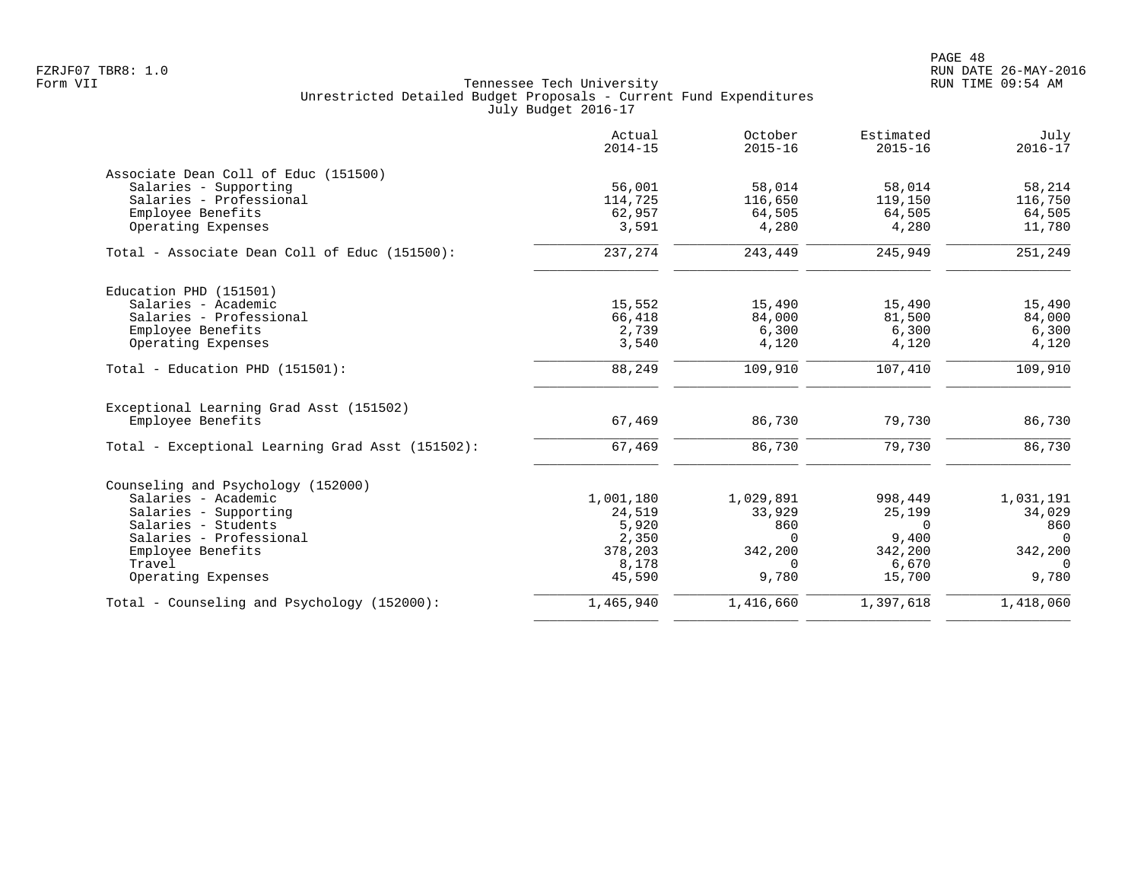|                                                  | Actual<br>$2014 - 15$ | October<br>$2015 - 16$ | Estimated<br>$2015 - 16$ | July<br>$2016 - 17$ |
|--------------------------------------------------|-----------------------|------------------------|--------------------------|---------------------|
| Associate Dean Coll of Educ (151500)             |                       |                        |                          |                     |
| Salaries - Supporting                            | 56,001                | 58,014                 | 58,014                   | 58,214              |
| Salaries - Professional                          | 114,725               | 116,650                | 119,150                  | 116,750             |
| Employee Benefits<br>Operating Expenses          | 62,957<br>3,591       | 64,505<br>4,280        | 64,505<br>4,280          | 64,505<br>11,780    |
|                                                  |                       |                        |                          |                     |
| Total - Associate Dean Coll of Educ (151500):    | 237,274               | 243,449                | 245,949                  | 251,249             |
| Education PHD (151501)                           |                       |                        |                          |                     |
| Salaries - Academic                              | 15,552                | 15,490                 | 15,490                   | 15,490              |
| Salaries - Professional                          | 66,418                | 84,000                 | 81,500                   | 84,000              |
| Employee Benefits                                | 2,739                 | 6,300                  | 6,300                    | 6,300               |
| Operating Expenses                               | 3,540                 | 4,120                  | 4,120                    | 4,120               |
| Total - Education PHD (151501):                  | 88,249                | 109,910                | 107,410                  | 109,910             |
| Exceptional Learning Grad Asst (151502)          |                       |                        |                          |                     |
| Employee Benefits                                | 67,469                | 86,730                 | 79,730                   | 86,730              |
| Total - Exceptional Learning Grad Asst (151502): | 67,469                | 86,730                 | 79,730                   | 86,730              |
| Counseling and Psychology (152000)               |                       |                        |                          |                     |
| Salaries - Academic                              | 1,001,180             | 1,029,891              | 998,449                  | 1,031,191           |
| Salaries - Supporting                            | 24,519                | 33,929                 | 25,199                   | 34,029              |
| Salaries - Students                              | 5,920                 | 860                    | $\Omega$                 | 860                 |
| Salaries - Professional                          | 2,350                 | $\Omega$               | 9,400                    | $\Omega$            |
| Employee Benefits                                | 378,203               | 342,200                | 342,200                  | 342,200<br>$\Omega$ |
| Travel<br>Operating Expenses                     | 8,178<br>45,590       | $\Omega$<br>9,780      | 6,670<br>15,700          | 9,780               |
|                                                  |                       |                        |                          |                     |
| Total - Counseling and Psychology (152000):      | 1,465,940             | 1,416,660              | 1,397,618                | 1,418,060           |
|                                                  |                       |                        |                          |                     |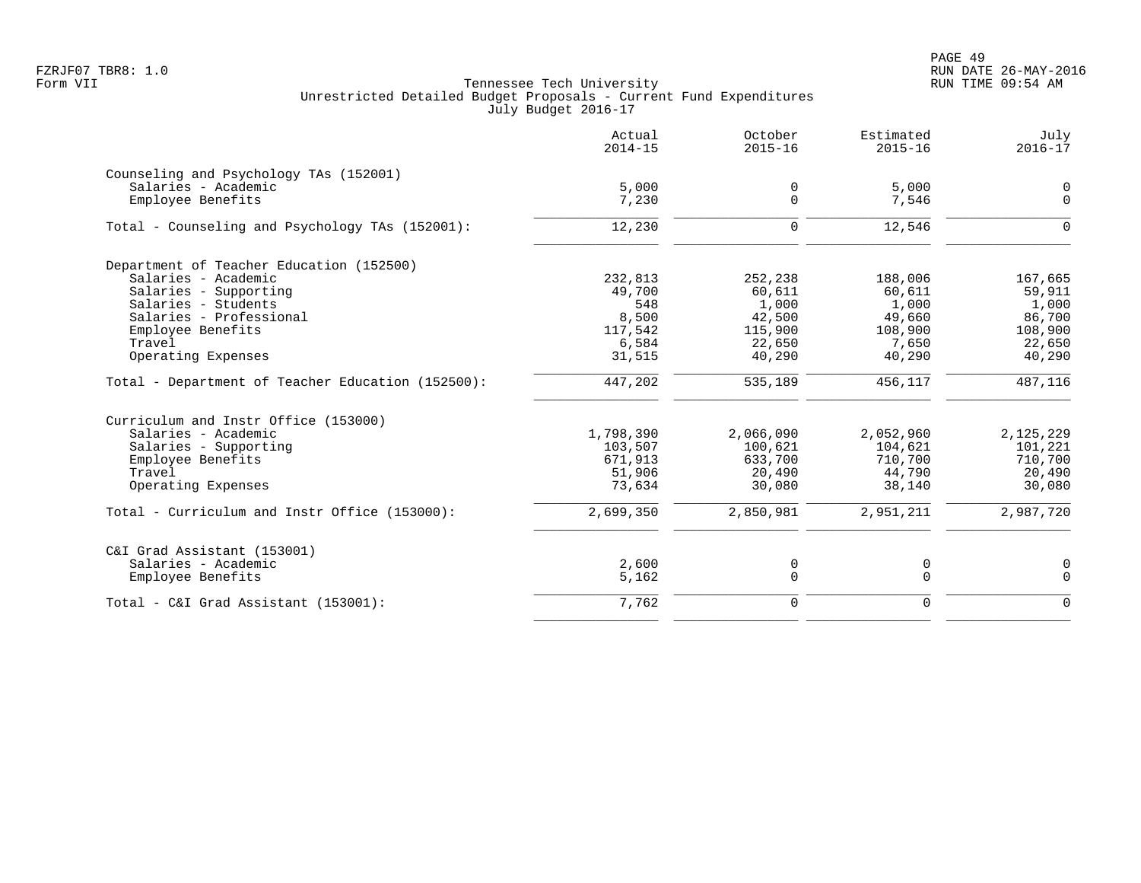PAGE 49 FZRJF07 TBR8: 1.0 RUN DATE 26-MAY-2016

|                                                   | Actual<br>$2014 - 15$ | October<br>$2015 - 16$ | Estimated<br>$2015 - 16$ | July<br>$2016 - 17$ |
|---------------------------------------------------|-----------------------|------------------------|--------------------------|---------------------|
| Counseling and Psychology TAs (152001)            |                       |                        |                          |                     |
| Salaries - Academic                               | 5,000                 | $\mathbf 0$            | 5,000                    | 0                   |
| Employee Benefits                                 | 7,230                 | $\Omega$               | 7,546                    | $\Omega$            |
| Total - Counseling and Psychology TAs (152001):   | 12,230                | $\mathbf 0$            | 12,546                   | $\Omega$            |
| Department of Teacher Education (152500)          |                       |                        |                          |                     |
| Salaries - Academic                               | 232,813               | 252,238                | 188,006                  | 167,665             |
| Salaries - Supporting                             | 49,700                | 60,611                 | 60,611                   | 59,911              |
| Salaries - Students                               | 548                   | 1,000                  | 1,000                    | 1,000               |
| Salaries - Professional                           | 8,500                 | 42,500                 | 49,660                   | 86,700              |
| Employee Benefits                                 | 117,542               | 115,900                | 108,900                  | 108,900             |
| Travel                                            | 6,584                 | 22,650                 | 7,650                    | 22,650              |
| Operating Expenses                                | 31,515                | 40,290                 | 40,290                   | 40,290              |
| Total - Department of Teacher Education (152500): | 447,202               | 535,189                | 456,117                  | 487,116             |
| Curriculum and Instr Office (153000)              |                       |                        |                          |                     |
| Salaries - Academic                               | 1,798,390             | 2,066,090              | 2,052,960                | 2,125,229           |
| Salaries - Supporting                             | 103,507               | 100,621                | 104,621                  | 101,221             |
| Employee Benefits                                 | 671,913               | 633,700                | 710,700                  | 710,700             |
| Travel                                            | 51,906                | 20,490                 | 44,790                   | 20,490              |
| Operating Expenses                                | 73,634                | 30,080                 | 38,140                   | 30,080              |
| Total - Curriculum and Instr Office (153000):     | 2,699,350             | 2,850,981              | 2,951,211                | 2,987,720           |
| C&I Grad Assistant (153001)                       |                       |                        |                          |                     |
| Salaries - Academic                               | 2,600                 | 0                      | 0                        | 0                   |
| Employee Benefits                                 | 5,162                 | $\mathbf 0$            | $\mathbf 0$              | $\mathbf 0$         |
| Total - C&I Grad Assistant (153001):              | 7,762                 | $\mathbf 0$            | $\Omega$                 | $\Omega$            |
|                                                   |                       |                        |                          |                     |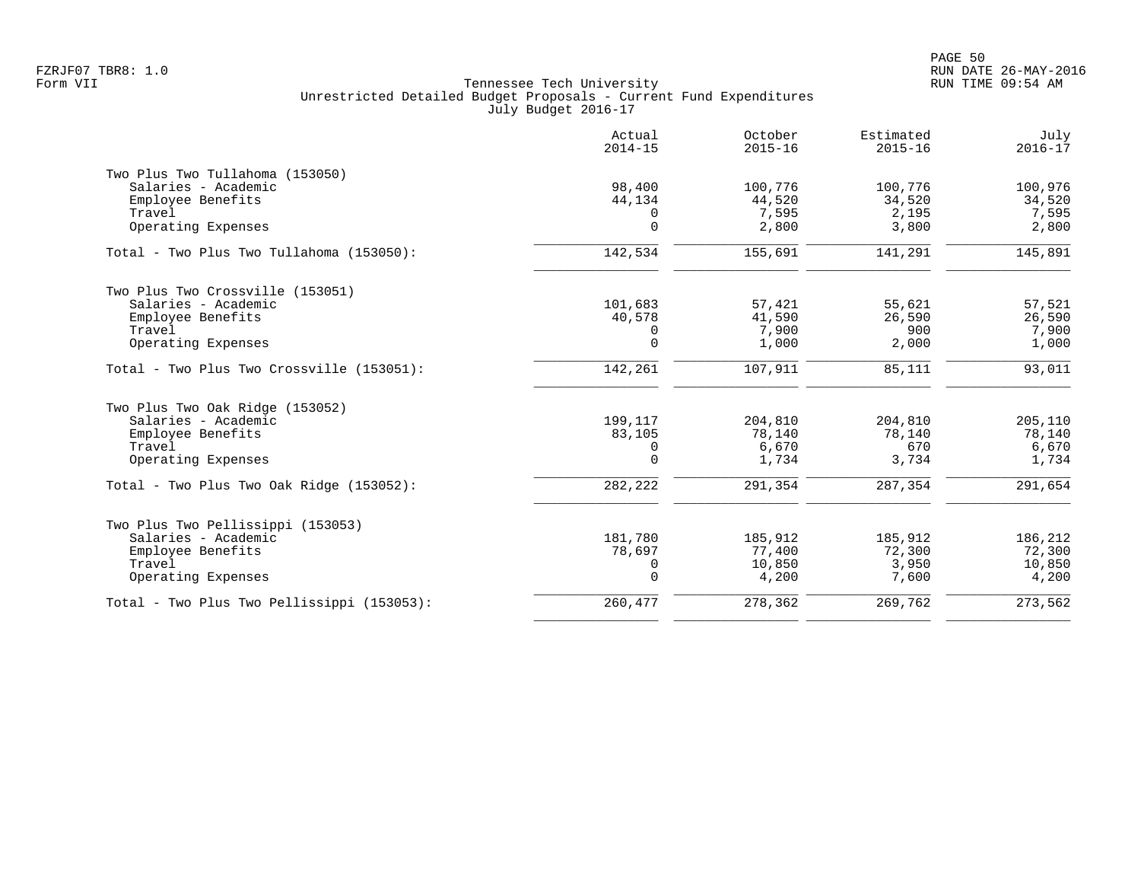|                                            | Actual<br>$2014 - 15$ | October<br>$2015 - 16$ | Estimated<br>$2015 - 16$ | July<br>$2016 - 17$ |
|--------------------------------------------|-----------------------|------------------------|--------------------------|---------------------|
| Two Plus Two Tullahoma (153050)            |                       |                        |                          |                     |
| Salaries - Academic                        | 98,400                | 100,776                | 100,776                  | 100,976             |
| Employee Benefits                          | 44,134                | 44,520                 | 34,520                   | 34,520              |
| Travel<br>Operating Expenses               | 0<br>$\mathbf 0$      | 7,595<br>2,800         | 2,195<br>3,800           | 7,595<br>2,800      |
|                                            |                       |                        |                          |                     |
| Total - Two Plus Two Tullahoma (153050):   | 142,534               | 155,691                | 141,291                  | 145,891             |
| Two Plus Two Crossville (153051)           |                       |                        |                          |                     |
| Salaries - Academic                        | 101,683               | 57,421                 | 55,621                   | 57,521              |
| Employee Benefits                          | 40,578                | 41,590                 | 26,590                   | 26,590              |
| Travel                                     | 0                     | 7,900                  | 900                      | 7,900               |
| Operating Expenses                         | $\mathbf 0$           | 1,000                  | 2,000                    | 1,000               |
| Total - Two Plus Two Crossville (153051):  | 142,261               | 107,911                | 85,111                   | 93,011              |
| Two Plus Two Oak Ridge (153052)            |                       |                        |                          |                     |
| Salaries - Academic                        | 199,117               | 204,810                | 204,810                  | 205,110             |
| Employee Benefits                          | 83,105                | 78,140                 | 78,140                   | 78,140              |
| Travel                                     | 0                     | 6,670                  | 670                      | 6,670               |
| Operating Expenses                         | $\Omega$              | 1,734                  | 3,734                    | 1,734               |
| Total - Two Plus Two Oak Ridge (153052):   | 282,222               | 291,354                | 287,354                  | 291,654             |
| Two Plus Two Pellissippi (153053)          |                       |                        |                          |                     |
| Salaries - Academic                        | 181,780               | 185,912                | 185,912                  | 186,212             |
| Employee Benefits                          | 78,697                | 77,400                 | 72,300                   | 72,300              |
| Travel                                     | $\mathbf 0$           | 10,850                 | 3,950                    | 10,850              |
| Operating Expenses                         | $\mathbf 0$           | 4,200                  | 7,600                    | 4,200               |
| Total - Two Plus Two Pellissippi (153053): | 260,477               | 278,362                | 269,762                  | 273,562             |
|                                            |                       |                        |                          |                     |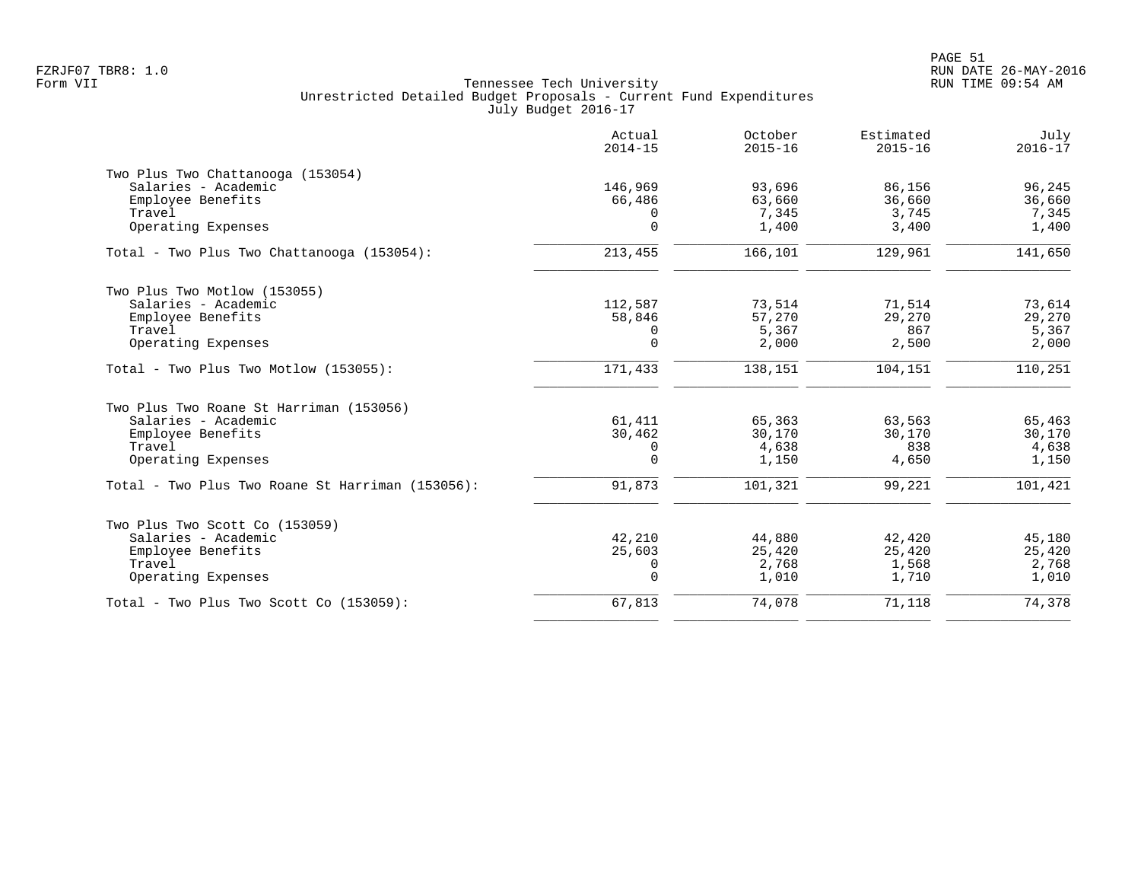|                                                  | Actual<br>$2014 - 15$ | October<br>$2015 - 16$ | Estimated<br>$2015 - 16$ | July<br>$2016 - 17$ |
|--------------------------------------------------|-----------------------|------------------------|--------------------------|---------------------|
| Two Plus Two Chattanooga (153054)                |                       |                        |                          |                     |
| Salaries - Academic                              | 146,969               | 93,696                 | 86,156                   | 96,245              |
| Employee Benefits                                | 66,486                | 63,660                 | 36,660                   | 36,660              |
| Travel<br>Operating Expenses                     | 0<br>$\Omega$         | 7,345<br>1,400         | 3,745<br>3,400           | 7,345<br>1,400      |
| Total - Two Plus Two Chattanooga (153054):       | 213,455               | 166,101                | 129,961                  | 141,650             |
| Two Plus Two Motlow (153055)                     |                       |                        |                          |                     |
| Salaries - Academic                              | 112,587               | 73,514                 | 71,514                   | 73,614              |
| Employee Benefits                                | 58,846                | 57,270                 | 29,270                   | 29,270              |
| Travel                                           | 0                     | 5,367                  | 867                      | 5,367               |
| Operating Expenses                               | $\mathbf 0$           | 2,000                  | 2,500                    | 2,000               |
| $Total - Two Plus Two Motion (153055):$          | 171,433               | 138,151                | 104,151                  | 110,251             |
| Two Plus Two Roane St Harriman (153056)          |                       |                        |                          |                     |
| Salaries - Academic                              | 61,411                | 65,363                 | 63,563                   | 65,463              |
| Employee Benefits                                | 30,462                | 30,170                 | 30,170                   | 30,170              |
| Travel                                           | 0                     | 4,638                  | 838                      | 4,638               |
| Operating Expenses                               | $\Omega$              | 1,150                  | 4,650                    | 1,150               |
| Total - Two Plus Two Roane St Harriman (153056): | 91,873                | 101,321                | 99,221                   | 101,421             |
| Two Plus Two Scott Co (153059)                   |                       |                        |                          |                     |
| Salaries - Academic                              | 42,210                | 44,880                 | 42,420                   | 45,180              |
| Employee Benefits                                | 25,603                | 25,420                 | 25,420                   | 25,420              |
| Travel                                           | 0                     | 2,768                  | 1,568                    | 2,768               |
| Operating Expenses                               | $\mathbf 0$           | 1,010                  | 1,710                    | 1,010               |
| $Total - Two Plus Two Scott Co (153059):$        | 67,813                | 74,078                 | 71,118                   | 74,378              |
|                                                  |                       |                        |                          |                     |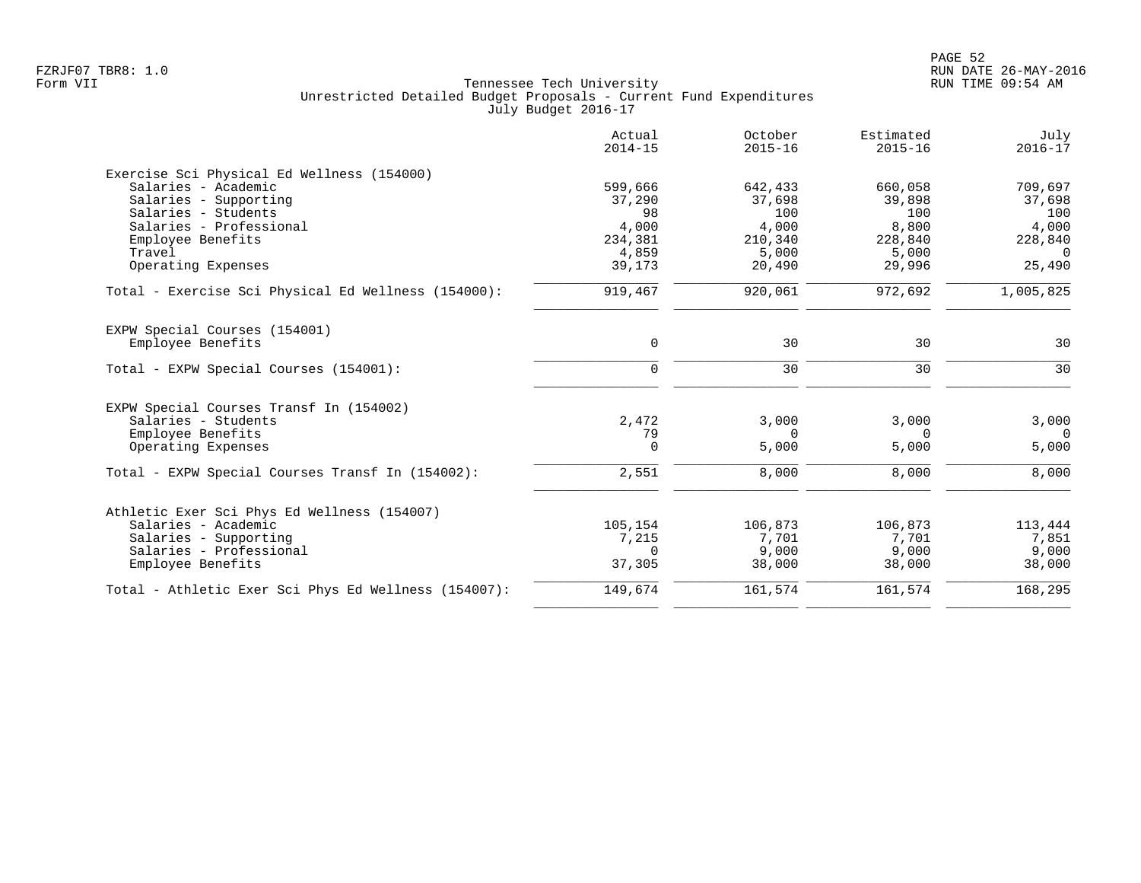|                                                      | Actual<br>$2014 - 15$ | October<br>$2015 - 16$ | Estimated<br>$2015 - 16$ | July<br>$2016 - 17$ |
|------------------------------------------------------|-----------------------|------------------------|--------------------------|---------------------|
| Exercise Sci Physical Ed Wellness (154000)           |                       |                        |                          |                     |
| Salaries - Academic                                  | 599,666               | 642,433                | 660,058                  | 709,697             |
| Salaries - Supporting                                | 37,290                | 37,698                 | 39,898                   | 37,698              |
| Salaries - Students                                  | 98                    | 100                    | 100                      | 100                 |
| Salaries - Professional                              | 4,000                 | 4,000                  | 8,800                    | 4,000               |
| Employee Benefits                                    | 234,381               | 210,340                | 228,840                  | 228,840             |
| Travel                                               | 4,859                 | 5,000                  | 5,000                    | $\Omega$            |
| Operating Expenses                                   | 39,173                | 20,490                 | 29,996                   | 25,490              |
| Total - Exercise Sci Physical Ed Wellness (154000):  | 919,467               | 920,061                | 972,692                  | 1,005,825           |
| EXPW Special Courses (154001)                        |                       |                        |                          |                     |
| Employee Benefits                                    | $\mathbf 0$           | 30                     | 30                       | 30                  |
| Total - EXPW Special Courses (154001):               | $\mathbf 0$           | 30                     | 30                       | 30                  |
| EXPW Special Courses Transf In (154002)              |                       |                        |                          |                     |
| Salaries - Students                                  | 2,472                 | 3,000                  | 3,000                    | 3,000               |
| Employee Benefits                                    | 79                    | $\Omega$               | $\Omega$                 | $\Omega$            |
| Operating Expenses                                   | 0                     | 5,000                  | 5,000                    | 5,000               |
| Total - EXPW Special Courses Transf In (154002):     | 2,551                 | 8,000                  | 8,000                    | 8,000               |
| Athletic Exer Sci Phys Ed Wellness (154007)          |                       |                        |                          |                     |
| Salaries - Academic                                  | 105,154               | 106,873                | 106,873                  | 113,444             |
| Salaries - Supporting                                | 7,215                 | 7,701                  | 7,701                    | 7,851               |
| Salaries - Professional                              | 0                     | 9,000                  | 9,000                    | 9,000               |
| Employee Benefits                                    | 37,305                | 38,000                 | 38,000                   | 38,000              |
| Total - Athletic Exer Sci Phys Ed Wellness (154007): | 149,674               | 161,574                | 161,574                  | 168,295             |
|                                                      |                       |                        |                          |                     |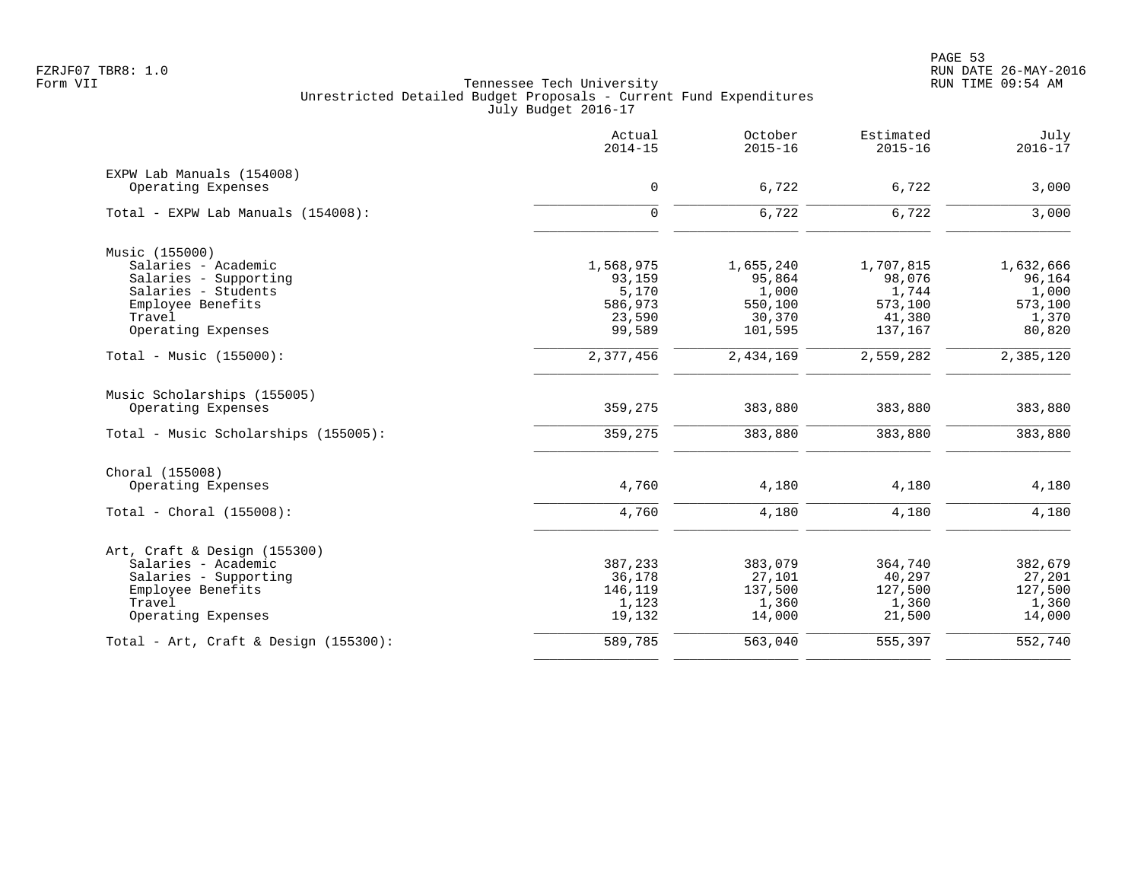|                                          | Actual<br>$2014 - 15$ | October<br>$2015 - 16$ | Estimated<br>$2015 - 16$ | July<br>$2016 - 17$ |
|------------------------------------------|-----------------------|------------------------|--------------------------|---------------------|
| EXPW Lab Manuals (154008)                |                       |                        |                          |                     |
| Operating Expenses                       | $\mathbf 0$           | 6,722                  | 6,722                    | 3,000               |
| Total - EXPW Lab Manuals (154008):       | $\mathbf 0$           | 6,722                  | 6,722                    | 3,000               |
| Music (155000)                           |                       |                        |                          |                     |
| Salaries - Academic                      | 1,568,975             | 1,655,240              | 1,707,815                | 1,632,666           |
| Salaries - Supporting                    | 93,159                | 95,864                 | 98,076                   | 96,164              |
| Salaries - Students                      | 5,170                 | 1,000                  | 1,744                    | 1,000               |
| Employee Benefits                        | 586,973               | 550,100                | 573,100                  | 573,100             |
| Travel<br>Operating Expenses             | 23,590<br>99,589      | 30,370<br>101,595      | 41,380<br>137,167        | 1,370<br>80,820     |
|                                          |                       |                        |                          |                     |
| Total - Music $(155000)$ :               | 2,377,456             | 2,434,169              | 2,559,282                | 2,385,120           |
| Music Scholarships (155005)              |                       |                        |                          |                     |
| Operating Expenses                       | 359,275               | 383,880                | 383,880                  | 383,880             |
| Total - Music Scholarships (155005):     | 359,275               | 383,880                | 383,880                  | 383,880             |
| Choral (155008)                          |                       |                        |                          |                     |
| Operating Expenses                       | 4,760                 | 4,180                  | 4,180                    | 4,180               |
| Total - Choral $(155008)$ :              | 4,760                 | 4,180                  | 4,180                    | 4,180               |
| Art, Craft & Design (155300)             |                       |                        |                          |                     |
| Salaries - Academic                      | 387,233               | 383,079                | 364,740                  | 382,679             |
| Salaries - Supporting                    | 36,178                | 27,101                 | 40,297                   | 27,201              |
| Employee Benefits                        | 146,119               | 137,500                | 127,500                  | 127,500             |
| Travel                                   | 1,123                 | 1,360                  | 1,360                    | 1,360               |
| Operating Expenses                       | 19,132                | 14,000                 | 21,500                   | 14,000              |
| Total - Art, Craft & Design $(155300)$ : | 589,785               | 563,040                | 555,397                  | 552,740             |
|                                          |                       |                        |                          |                     |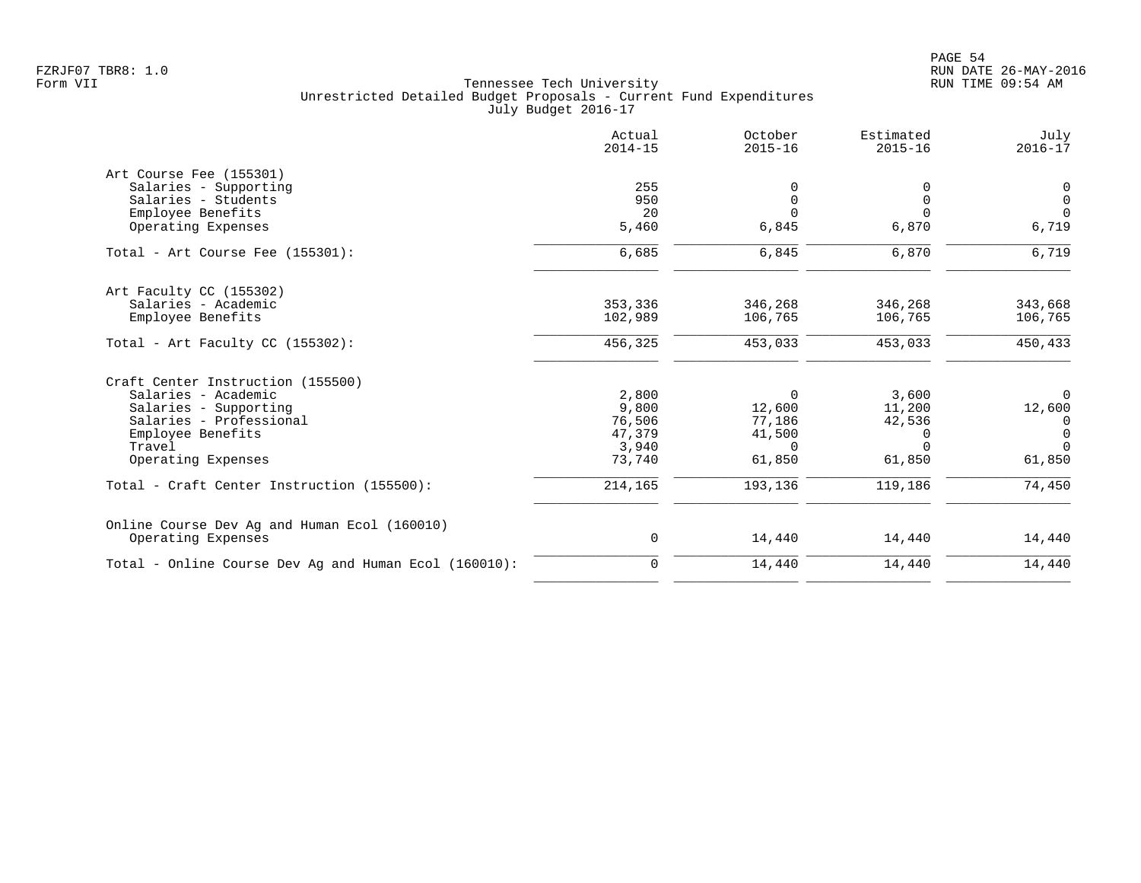|                                                       | Actual<br>$2014 - 15$ | October<br>$2015 - 16$ | Estimated<br>$2015 - 16$ | July<br>$2016 - 17$ |
|-------------------------------------------------------|-----------------------|------------------------|--------------------------|---------------------|
| Art Course Fee (155301)                               |                       |                        |                          |                     |
| Salaries - Supporting                                 | 255                   |                        | 0                        | 0                   |
| Salaries - Students                                   | 950                   | $\Omega$               | $\mathbf 0$              | $\mathsf{O}$        |
| Employee Benefits                                     | 20                    |                        | $\Omega$                 | $\Omega$            |
| Operating Expenses                                    | 5,460                 | 6,845                  | 6,870                    | 6,719               |
| Total - Art Course Fee (155301):                      | 6,685                 | 6,845                  | 6,870                    | 6,719               |
| Art Faculty CC (155302)                               |                       |                        |                          |                     |
| Salaries - Academic                                   | 353,336               | 346,268                | 346,268                  | 343,668             |
| Employee Benefits                                     | 102,989               | 106,765                | 106,765                  | 106,765             |
| Total - Art Faculty CC $(155302)$ :                   | 456,325               | 453,033                | 453,033                  | 450,433             |
| Craft Center Instruction (155500)                     |                       |                        |                          |                     |
| Salaries - Academic                                   | 2,800                 | 0                      | 3,600                    | $\mathbf 0$         |
| Salaries - Supporting                                 | 9,800                 | 12,600                 | 11,200                   | 12,600              |
| Salaries - Professional                               | 76,506                | 77,186                 | 42,536                   | 0                   |
| Employee Benefits                                     | 47,379                | 41,500                 | $\Omega$                 | $\Omega$            |
| Travel                                                | 3,940                 | $\Omega$               | $\Omega$                 | $\Omega$            |
| Operating Expenses                                    | 73,740                | 61,850                 | 61,850                   | 61,850              |
| Total - Craft Center Instruction (155500):            | 214,165               | 193,136                | 119,186                  | 74,450              |
| Online Course Dev Ag and Human Ecol (160010)          |                       |                        |                          |                     |
| Operating Expenses                                    | 0                     | 14,440                 | 14,440                   | 14,440              |
| Total - Online Course Dev Ag and Human Ecol (160010): | 0                     | 14,440                 | 14,440                   | 14,440              |
|                                                       |                       |                        |                          |                     |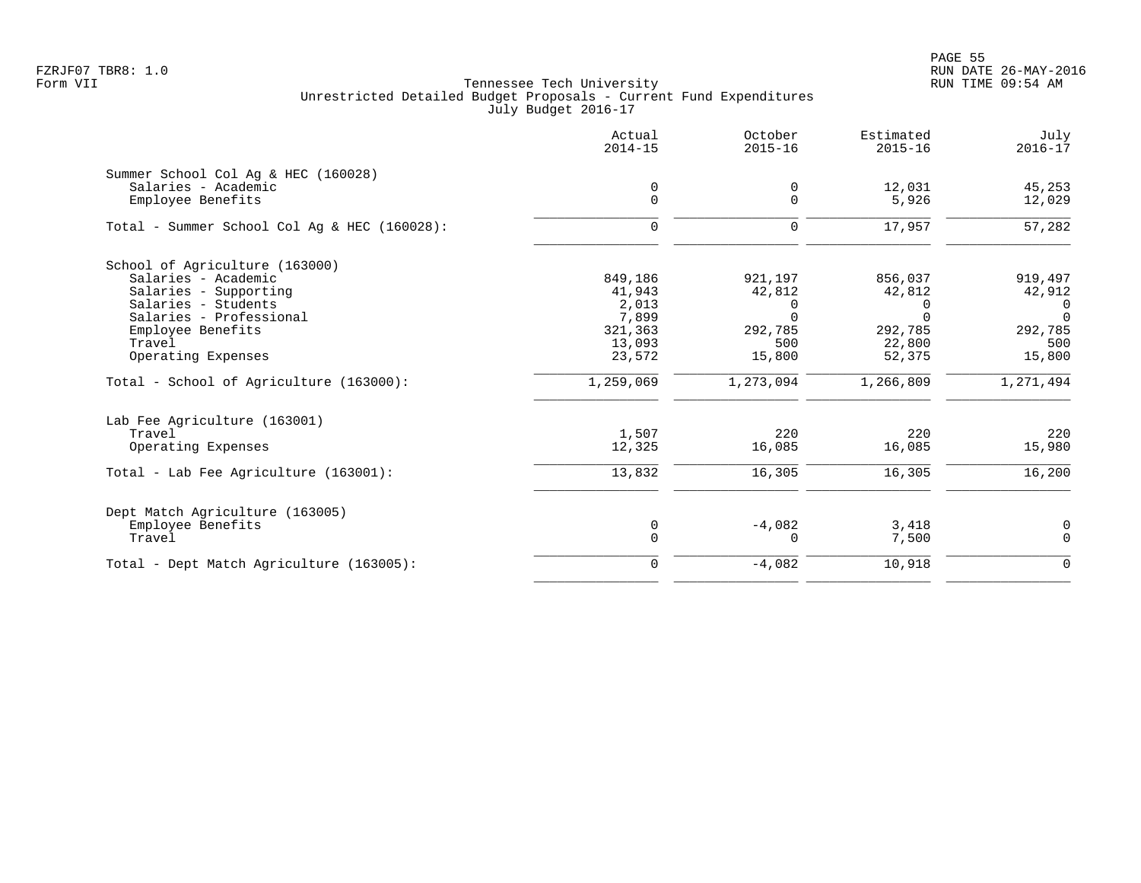PAGE 55 FZRJF07 TBR8: 1.0 RUN DATE 26-MAY-2016

|                                              | Actual<br>$2014 - 15$ | October<br>$2015 - 16$ | Estimated<br>$2015 - 16$ | July<br>$2016 - 17$ |
|----------------------------------------------|-----------------------|------------------------|--------------------------|---------------------|
| Summer School Col Aq & HEC (160028)          |                       |                        |                          |                     |
| Salaries - Academic                          | 0                     | 0                      | 12,031                   | 45,253              |
| Employee Benefits                            | $\mathbf 0$           | $\overline{0}$         | 5,926                    | 12,029              |
| Total - Summer School Col Aq & HEC (160028): | $\mathbf 0$           | $\Omega$               | 17,957                   | 57,282              |
| School of Agriculture (163000)               |                       |                        |                          |                     |
| Salaries - Academic                          | 849,186               | 921,197                | 856,037                  | 919,497             |
| Salaries - Supporting                        | 41,943                | 42,812                 | 42,812                   | 42,912              |
| Salaries - Students                          | 2,013                 | $\Omega$               | 0                        | 0                   |
| Salaries - Professional                      | 7,899                 | $\Omega$               | $\Omega$                 | $\Omega$            |
| Employee Benefits                            | 321,363               | 292,785                | 292,785                  | 292,785             |
| Travel                                       | 13,093                | 500                    | 22,800                   | 500                 |
| Operating Expenses                           | 23,572                | 15,800                 | 52,375                   | 15,800              |
| Total - School of Agriculture (163000):      | 1,259,069             | 1,273,094              | 1,266,809                | 1,271,494           |
| Lab Fee Agriculture (163001)                 |                       |                        |                          |                     |
| Travel                                       | 1,507                 | 220                    | 220                      | 220                 |
| Operating Expenses                           | 12,325                | 16,085                 | 16,085                   | 15,980              |
| Total - Lab Fee Agriculture (163001):        | 13,832                | 16,305                 | 16,305                   | 16,200              |
| Dept Match Agriculture (163005)              |                       |                        |                          |                     |
| Employee Benefits                            | 0                     | $-4,082$               | 3,418                    | 0                   |
| Travel                                       | $\mathsf 0$           | $\Omega$               | 7,500                    | $\mathbf 0$         |
| Total - Dept Match Agriculture (163005):     | $\mathbf 0$           | $-4,082$               | 10,918                   | $\mathbf{0}$        |
|                                              |                       |                        |                          |                     |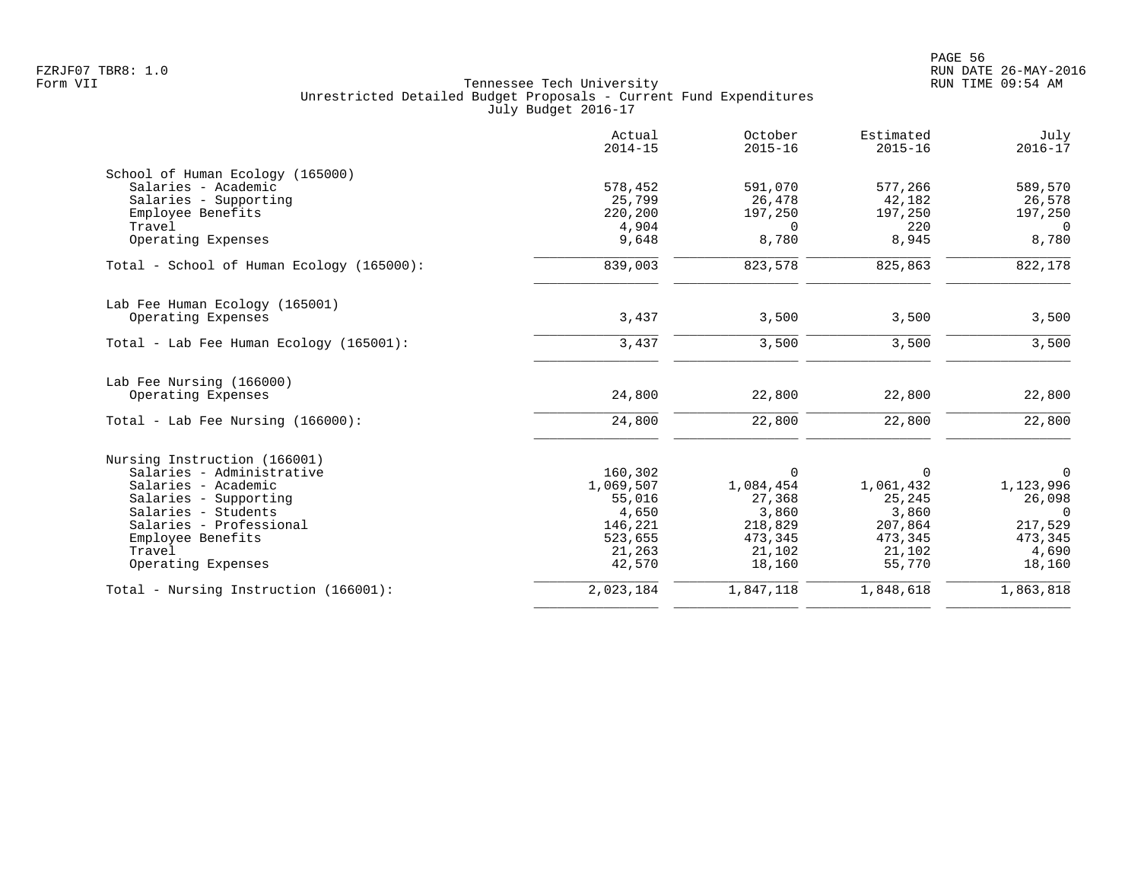|                                           | Actual<br>$2014 - 15$ | October<br>$2015 - 16$ | Estimated<br>$2015 - 16$ | July<br>$2016 - 17$ |
|-------------------------------------------|-----------------------|------------------------|--------------------------|---------------------|
| School of Human Ecology (165000)          |                       |                        |                          |                     |
| Salaries - Academic                       | 578,452               | 591,070                | 577,266                  | 589,570             |
| Salaries - Supporting                     | 25,799                | 26,478                 | 42,182                   | 26,578              |
| Employee Benefits                         | 220,200               | 197,250                | 197,250                  | 197,250             |
| Travel                                    | 4,904                 | $\Omega$               | 220                      | 0                   |
| Operating Expenses                        | 9,648                 | 8,780                  | 8,945                    | 8,780               |
| Total - School of Human Ecology (165000): | 839,003               | 823,578                | 825,863                  | 822,178             |
| Lab Fee Human Ecology (165001)            |                       |                        |                          |                     |
| Operating Expenses                        | 3,437                 | 3,500                  | 3,500                    | 3,500               |
| Total - Lab Fee Human Ecology (165001):   | 3,437                 | 3,500                  | 3,500                    | 3,500               |
| Lab Fee Nursing (166000)                  |                       |                        |                          |                     |
| Operating Expenses                        | 24,800                | 22,800                 | 22,800                   | 22,800              |
| Total - Lab Fee Nursing (166000):         | 24,800                | 22,800                 | 22,800                   | 22,800              |
| Nursing Instruction (166001)              |                       |                        |                          |                     |
| Salaries - Administrative                 | 160,302               | $\Omega$               | 0                        | $\mathbf 0$         |
| Salaries - Academic                       | 1,069,507             | 1,084,454              | 1,061,432                | 1,123,996           |
| Salaries - Supporting                     | 55,016                | 27,368                 | 25,245                   | 26,098              |
| Salaries - Students                       | 4,650                 | 3,860                  | 3,860                    | $\overline{0}$      |
| Salaries - Professional                   | 146,221               | 218,829                | 207,864                  | 217,529             |
| Employee Benefits                         | 523,655               | 473,345                | 473,345                  | 473,345             |
| Travel                                    | 21,263                | 21,102                 | 21,102                   | 4,690               |
| Operating Expenses                        | 42,570                | 18,160                 | 55,770                   | 18,160              |
| Total - Nursing Instruction (166001):     | 2,023,184             | 1,847,118              | 1,848,618                | 1,863,818           |
|                                           |                       |                        |                          |                     |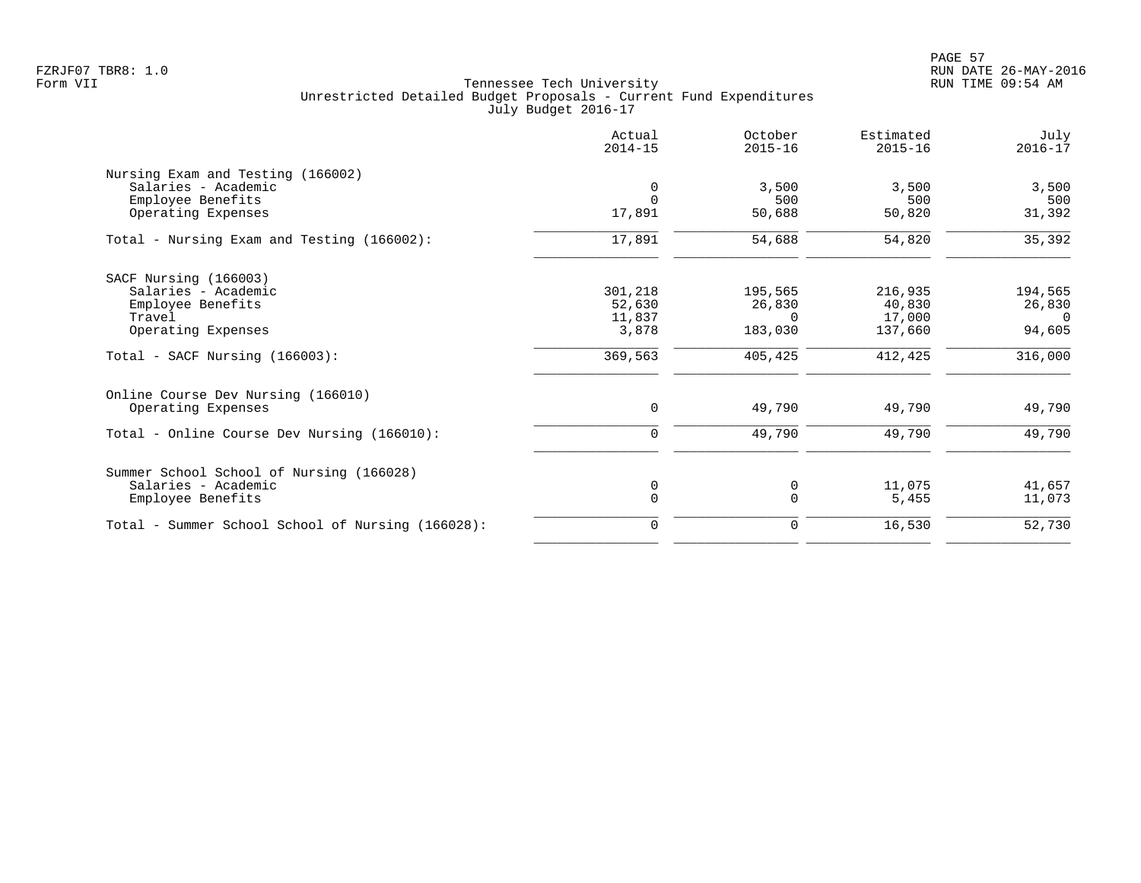|                                                   | Actual<br>$2014 - 15$ | October<br>$2015 - 16$ | Estimated<br>$2015 - 16$ | July<br>$2016 - 17$ |
|---------------------------------------------------|-----------------------|------------------------|--------------------------|---------------------|
| Nursing Exam and Testing (166002)                 |                       |                        |                          |                     |
| Salaries - Academic                               | 0                     | 3,500                  | 3,500                    | 3,500               |
| Employee Benefits                                 | $\Omega$              | 500                    | 500                      | 500                 |
| Operating Expenses                                | 17,891                | 50,688                 | 50,820                   | 31,392              |
| Total - Nursing Exam and Testing (166002):        | 17,891                | 54,688                 | 54,820                   | 35,392              |
| SACF Nursing (166003)                             |                       |                        |                          |                     |
| Salaries - Academic                               | 301,218               | 195,565                | 216,935                  | 194,565             |
| Employee Benefits                                 | 52,630                | 26,830                 | 40,830                   | 26,830              |
| Travel                                            | 11,837                | $\Omega$               | 17,000                   | $\Omega$            |
| Operating Expenses                                | 3,878                 | 183,030                | 137,660                  | 94,605              |
| $Total - SACF Nursing (166003):$                  | 369,563               | 405,425                | 412,425                  | 316,000             |
| Online Course Dev Nursing (166010)                |                       |                        |                          |                     |
| Operating Expenses                                | 0                     | 49,790                 | 49,790                   | 49,790              |
| Total - Online Course Dev Nursing (166010):       | 0                     | 49,790                 | 49,790                   | 49,790              |
| Summer School School of Nursing (166028)          |                       |                        |                          |                     |
| Salaries - Academic                               | 0                     | 0                      | 11,075                   | 41,657              |
| Employee Benefits                                 | $\mathbf 0$           | $\Omega$               | 5,455                    | 11,073              |
| Total - Summer School School of Nursing (166028): | 0                     | 0                      | 16,530                   | 52,730              |
|                                                   |                       |                        |                          |                     |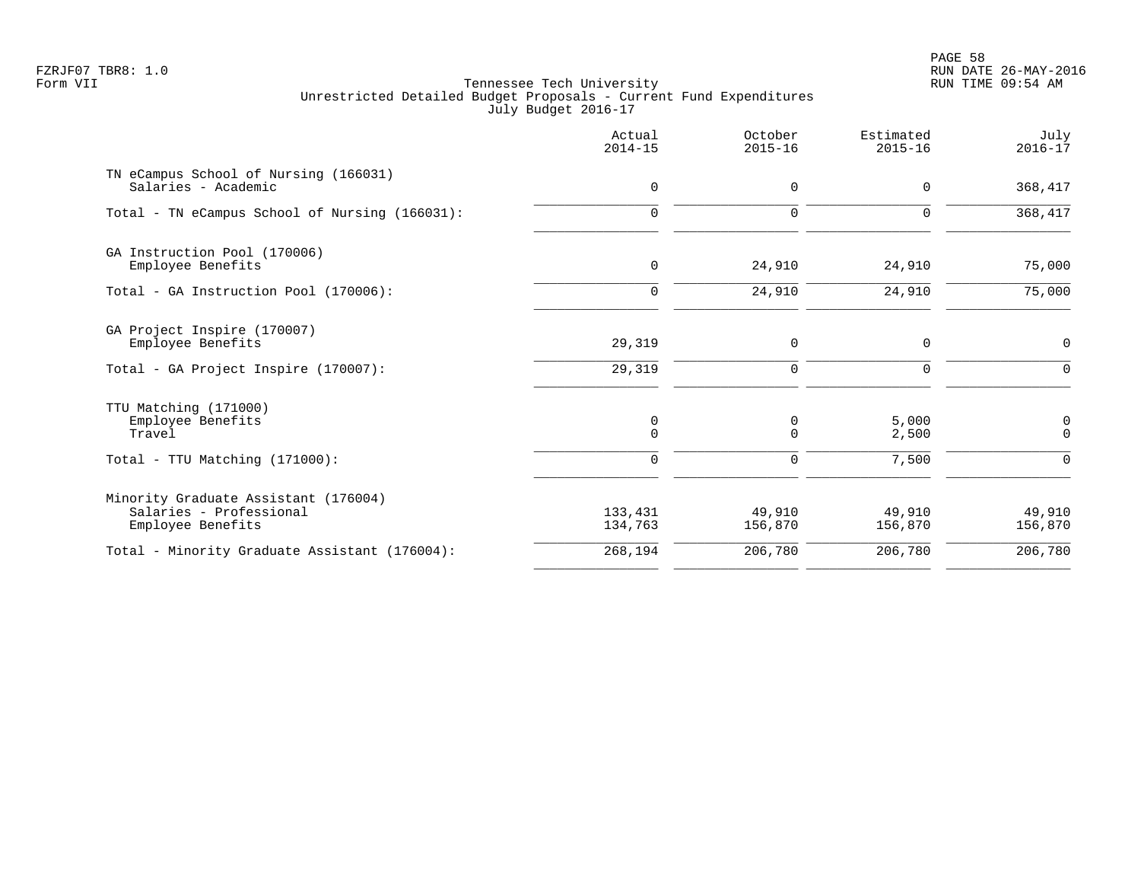PAGE 58 FZRJF07 TBR8: 1.0 RUN DATE 26-MAY-2016

|                                                                                      | Actual<br>$2014 - 15$ | October<br>$2015 - 16$ | Estimated<br>$2015 - 16$ | July<br>$2016 - 17$ |
|--------------------------------------------------------------------------------------|-----------------------|------------------------|--------------------------|---------------------|
| TN eCampus School of Nursing (166031)<br>Salaries - Academic                         | 0                     | 0                      | $\mathbf 0$              | 368,417             |
| Total - TN eCampus School of Nursing (166031):                                       | $\mathbf 0$           | $\mathbf 0$            | $\Omega$                 | 368,417             |
| GA Instruction Pool (170006)<br>Employee Benefits                                    | 0                     | 24,910                 | 24,910                   | 75,000              |
| Total - GA Instruction Pool (170006):                                                | $\mathbf 0$           | 24,910                 | 24,910                   | 75,000              |
| GA Project Inspire (170007)<br>Employee Benefits                                     | 29,319                | 0                      | $\mathbf 0$              | 0                   |
| Total - GA Project Inspire (170007):                                                 | 29,319                | $\mathbf 0$            | $\Omega$                 | $\Omega$            |
| TTU Matching (171000)<br>Employee Benefits<br>Travel                                 | 0<br>$\mathbf 0$      | 0<br>$\mathbf 0$       | 5,000<br>2,500           | 0<br>$\mathbf 0$    |
| $Total - TTU Matching (171000):$                                                     | $\mathbf 0$           | $\mathbf 0$            | 7,500                    | $\Omega$            |
| Minority Graduate Assistant (176004)<br>Salaries - Professional<br>Employee Benefits | 133,431<br>134,763    | 49,910<br>156,870      | 49,910<br>156,870        | 49,910<br>156,870   |
| Total - Minority Graduate Assistant (176004):                                        | 268,194               | 206,780                | 206,780                  | 206,780             |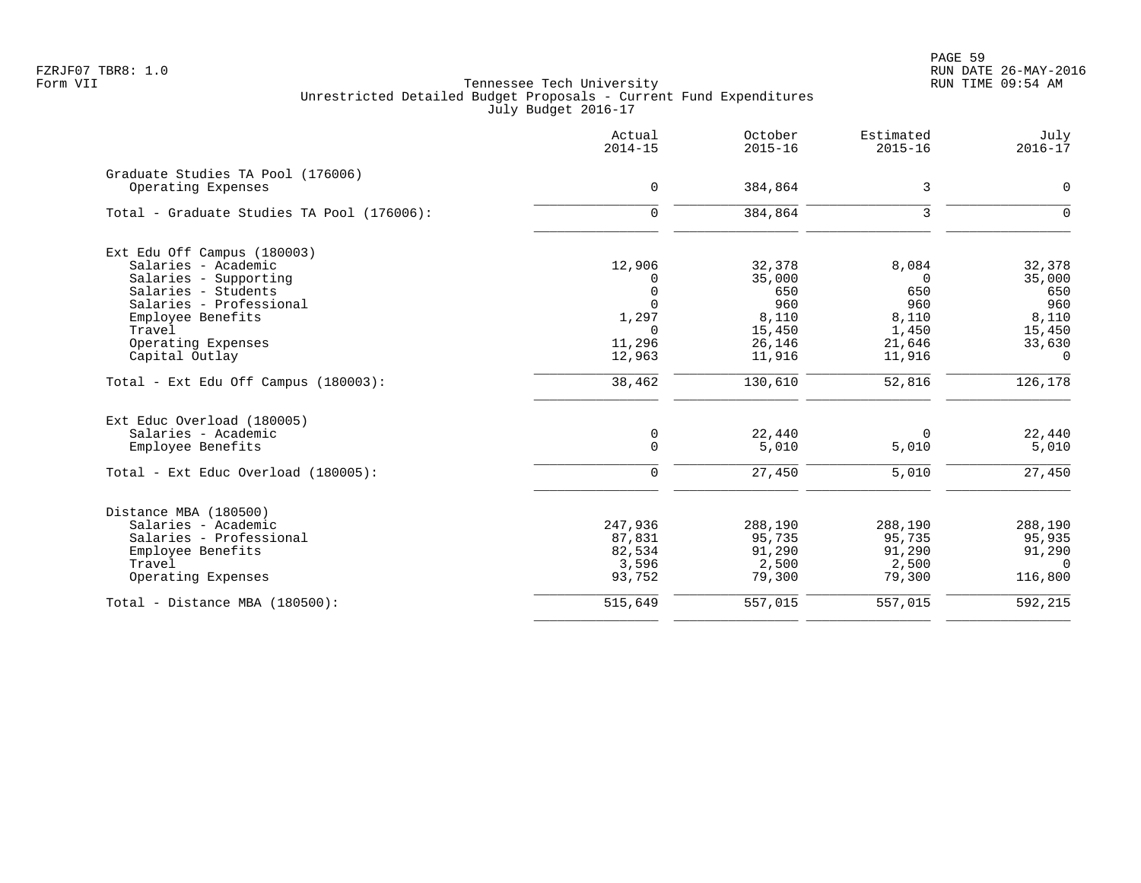PAGE 59 FZRJF07 TBR8: 1.0 RUN DATE 26-MAY-2016

|                                            | Actual<br>$2014 - 15$ | October<br>$2015 - 16$ | Estimated<br>$2015 - 16$ | July<br>$2016 - 17$ |
|--------------------------------------------|-----------------------|------------------------|--------------------------|---------------------|
| Graduate Studies TA Pool (176006)          |                       |                        |                          |                     |
| Operating Expenses                         | 0                     | 384,864                | 3                        | $\mathbf 0$         |
| Total - Graduate Studies TA Pool (176006): | $\Omega$              | 384,864                | 3                        | $\Omega$            |
| Ext Edu Off Campus (180003)                |                       |                        |                          |                     |
| Salaries - Academic                        | 12,906                | 32,378                 | 8,084                    | 32,378              |
| Salaries - Supporting                      |                       | 35,000                 | $\Omega$                 | 35,000              |
| Salaries - Students                        |                       | 650                    | 650                      | 650                 |
| Salaries - Professional                    |                       | 960                    | 960                      | 960                 |
| Employee Benefits                          | 1,297                 | 8,110                  | 8,110                    | 8,110               |
| Travel                                     | $\Omega$              | 15,450                 | 1,450                    | 15,450              |
| Operating Expenses                         | 11,296                | 26,146                 | 21,646                   | 33,630              |
| Capital Outlay                             | 12,963                | 11,916                 | 11,916                   | $\Omega$            |
| Total - Ext Edu Off Campus (180003):       | 38,462                | 130,610                | 52,816                   | 126,178             |
| Ext Educ Overload (180005)                 |                       |                        |                          |                     |
| Salaries - Academic                        | 0                     | 22,440                 | $\Omega$                 | 22,440              |
| Employee Benefits                          | $\mathbf{0}$          | 5,010                  | 5,010                    | 5,010               |
| Total - Ext Educ Overload (180005):        | $\Omega$              | 27,450                 | 5,010                    | 27,450              |
| Distance MBA (180500)                      |                       |                        |                          |                     |
| Salaries - Academic                        | 247,936               | 288,190                | 288,190                  | 288,190             |
| Salaries - Professional                    | 87,831                | 95,735                 | 95,735                   | 95,935              |
| Employee Benefits                          | 82,534                | 91,290                 | 91,290                   | 91,290              |
| Travel                                     | 3,596                 | 2,500                  | 2,500                    | $\Omega$            |
| Operating Expenses                         | 93,752                | 79,300                 | 79,300                   | 116,800             |
| Total - Distance MBA (180500):             | 515,649               | 557,015                | 557,015                  | 592,215             |
|                                            |                       |                        |                          |                     |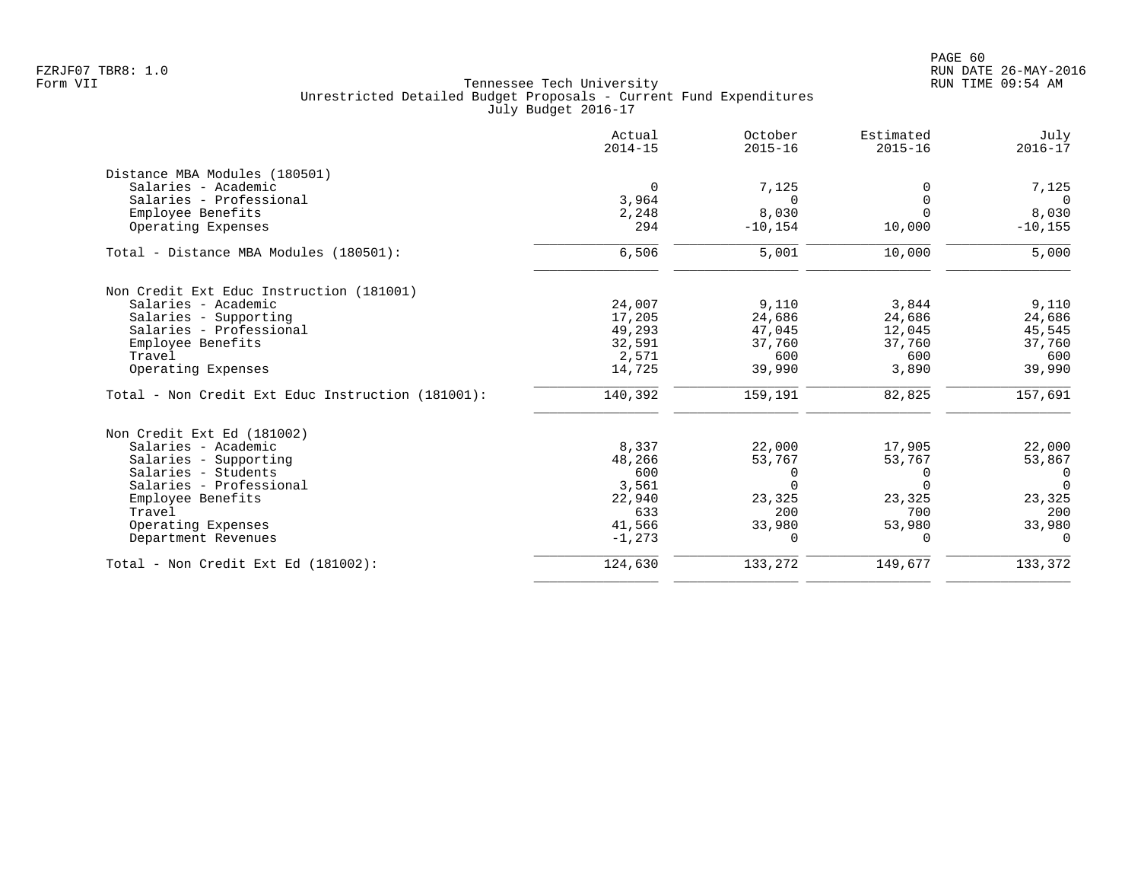|                                                   | Actual<br>$2014 - 15$ | October<br>$2015 - 16$ | Estimated<br>$2015 - 16$ | July<br>$2016 - 17$ |
|---------------------------------------------------|-----------------------|------------------------|--------------------------|---------------------|
| Distance MBA Modules (180501)                     |                       |                        |                          |                     |
| Salaries - Academic                               | 0                     | 7,125                  |                          | 7,125               |
| Salaries - Professional                           | 3,964                 | $\Omega$               |                          | $\Omega$            |
| Employee Benefits                                 | 2,248                 | 8,030                  | $\Omega$                 | 8,030               |
| Operating Expenses                                | 294                   | $-10, 154$             | 10,000                   | $-10, 155$          |
| Total - Distance MBA Modules (180501):            | 6,506                 | 5,001                  | 10,000                   | 5,000               |
| Non Credit Ext Educ Instruction (181001)          |                       |                        |                          |                     |
| Salaries - Academic                               | 24,007                | 9,110                  | 3,844                    | 9,110               |
| Salaries - Supporting                             | 17,205                | 24,686                 | 24,686                   | 24,686              |
| Salaries - Professional                           | 49,293                | 47,045                 | 12,045                   | 45,545              |
| Employee Benefits                                 | 32,591                | 37,760                 | 37,760                   | 37,760              |
| Travel                                            | 2,571                 | 600                    | 600                      | 600                 |
| Operating Expenses                                | 14,725                | 39,990                 | 3,890                    | 39,990              |
| Total - Non Credit Ext Educ Instruction (181001): | 140,392               | 159,191                | 82,825                   | 157,691             |
| Non Credit Ext Ed (181002)                        |                       |                        |                          |                     |
| Salaries - Academic                               | 8,337                 | 22,000                 | 17,905                   | 22,000              |
| Salaries - Supporting                             | 48,266                | 53,767                 | 53,767                   | 53,867              |
| Salaries - Students                               | 600                   | 0                      | 0                        | $\mathbf 0$         |
| Salaries - Professional                           | 3,561                 | $\Omega$               | $\Omega$                 | $\Omega$            |
| Employee Benefits                                 | 22,940                | 23,325                 | 23,325                   | 23,325              |
| Travel                                            | 633                   | 200                    | 700                      | 200                 |
| Operating Expenses                                | 41,566                | 33,980                 | 53,980                   | 33,980              |
| Department Revenues                               | $-1,273$              | $\Omega$               | $\mathbf 0$              | $\Omega$            |
| Total - Non Credit Ext Ed (181002):               | 124,630               | 133,272                | 149,677                  | 133,372             |
|                                                   |                       |                        |                          |                     |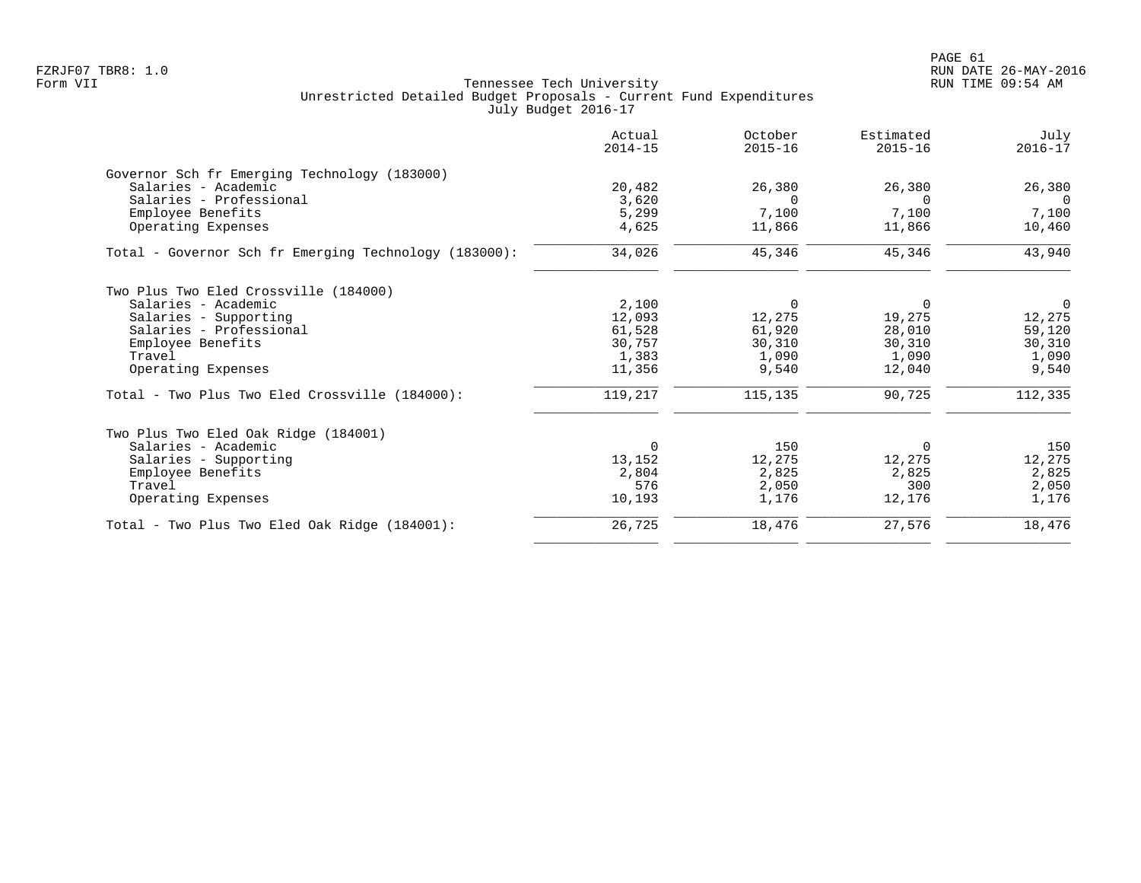|                                                       | Actual<br>$2014 - 15$ | October<br>$2015 - 16$ | Estimated<br>$2015 - 16$ | July<br>$2016 - 17$ |
|-------------------------------------------------------|-----------------------|------------------------|--------------------------|---------------------|
| Governor Sch fr Emerging Technology (183000)          |                       |                        |                          |                     |
| Salaries - Academic                                   | 20,482                | 26,380                 | 26,380                   | 26,380              |
| Salaries - Professional                               | 3,620                 | $\Omega$               | $\Omega$                 | $\Omega$            |
| Employee Benefits                                     | 5,299                 | 7,100                  | 7,100                    | 7,100               |
| Operating Expenses                                    | 4,625                 | 11,866                 | 11,866                   | 10,460              |
| Total - Governor Sch fr Emerging Technology (183000): | 34,026                | 45,346                 | 45,346                   | 43,940              |
| Two Plus Two Eled Crossville (184000)                 |                       |                        |                          |                     |
| Salaries - Academic                                   | 2,100                 | 0                      | 0                        | $\overline{0}$      |
| Salaries - Supporting                                 | 12,093                | 12,275                 | 19,275                   | 12,275              |
| Salaries - Professional                               | 61,528                | 61,920                 | 28,010                   | 59,120              |
| Employee Benefits                                     | 30,757                | 30,310                 | 30,310                   | 30,310              |
| Travel                                                | 1,383                 | 1,090                  | 1,090                    | 1,090               |
| Operating Expenses                                    | 11,356                | 9,540                  | 12,040                   | 9,540               |
| Total - Two Plus Two Eled Crossville (184000):        | 119,217               | 115,135                | 90,725                   | 112,335             |
| Two Plus Two Eled Oak Ridge (184001)                  |                       |                        |                          |                     |
| Salaries - Academic                                   | $\Omega$              | 150                    | $\Omega$                 | 150                 |
| Salaries - Supporting                                 | 13,152                | 12,275                 | 12,275                   | 12,275              |
| Employee Benefits                                     | 2,804                 | 2,825                  | 2,825                    | 2,825               |
| Travel                                                | 576                   | 2,050                  | 300                      | 2,050               |
| Operating Expenses                                    | 10,193                | 1,176                  | 12,176                   | 1,176               |
| Total - Two Plus Two Eled Oak Ridge (184001):         | 26,725                | 18,476                 | 27,576                   | 18,476              |
|                                                       |                       |                        |                          |                     |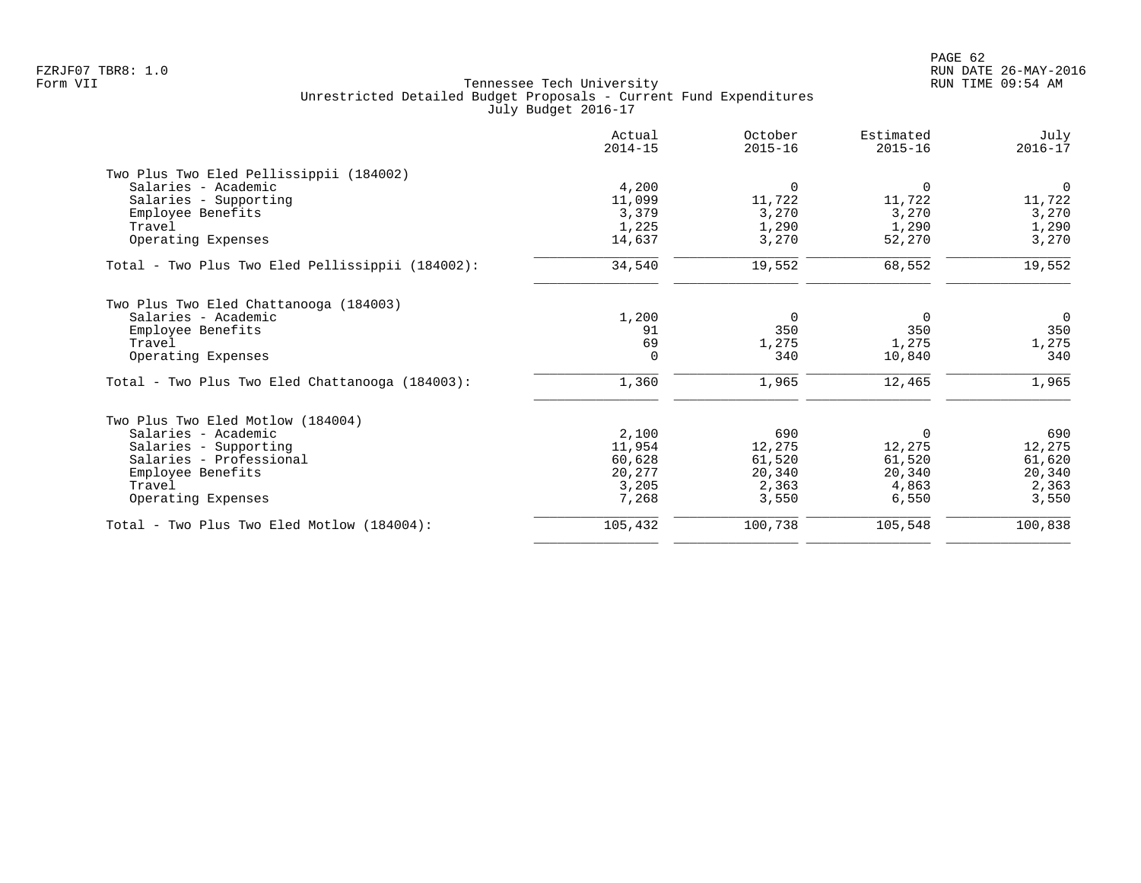|                                                  | Actual<br>$2014 - 15$ | October<br>$2015 - 16$ | Estimated<br>$2015 - 16$ | July<br>$2016 - 17$ |
|--------------------------------------------------|-----------------------|------------------------|--------------------------|---------------------|
| Two Plus Two Eled Pellissippii (184002)          |                       |                        |                          |                     |
| Salaries - Academic                              | 4,200                 | $\mathbf 0$            | $\Omega$                 | $\overline{0}$      |
| Salaries - Supporting                            | 11,099                | 11,722                 | 11,722                   | 11,722              |
| Employee Benefits                                | 3,379                 | 3,270                  | 3,270                    | 3,270               |
| Travel                                           | 1,225                 | 1,290                  | 1,290                    | 1,290               |
| Operating Expenses                               | 14,637                | 3,270                  | 52,270                   | 3,270               |
| Total - Two Plus Two Eled Pellissippii (184002): | 34,540                | 19,552                 | 68,552                   | 19,552              |
| Two Plus Two Eled Chattanooga (184003)           |                       |                        |                          |                     |
| Salaries - Academic                              | 1,200                 | 0                      | 0                        | $\overline{0}$      |
| Employee Benefits                                | 91                    | 350                    | 350                      | 350                 |
| Travel                                           | 69                    | 1,275                  | 1,275                    | 1,275               |
| Operating Expenses                               | $\Omega$              | 340                    | 10,840                   | 340                 |
| Total - Two Plus Two Eled Chattanooga (184003):  | 1,360                 | 1,965                  | 12,465                   | 1,965               |
| Two Plus Two Eled Motlow (184004)                |                       |                        |                          |                     |
| Salaries - Academic                              | 2,100                 | 690                    | $\Omega$                 | 690                 |
| Salaries - Supporting                            | 11,954                | 12,275                 | 12,275                   | 12,275              |
| Salaries - Professional                          | 60,628                | 61,520                 | 61,520                   | 61,620              |
| Employee Benefits                                | 20,277                | 20,340                 | 20,340                   | 20,340              |
| Travel                                           | 3,205                 | 2,363                  | 4,863                    | 2,363               |
| Operating Expenses                               | 7,268                 | 3,550                  | 6,550                    | 3,550               |
| Total - Two Plus Two Eled Motlow (184004):       | 105,432               | 100,738                | 105,548                  | 100,838             |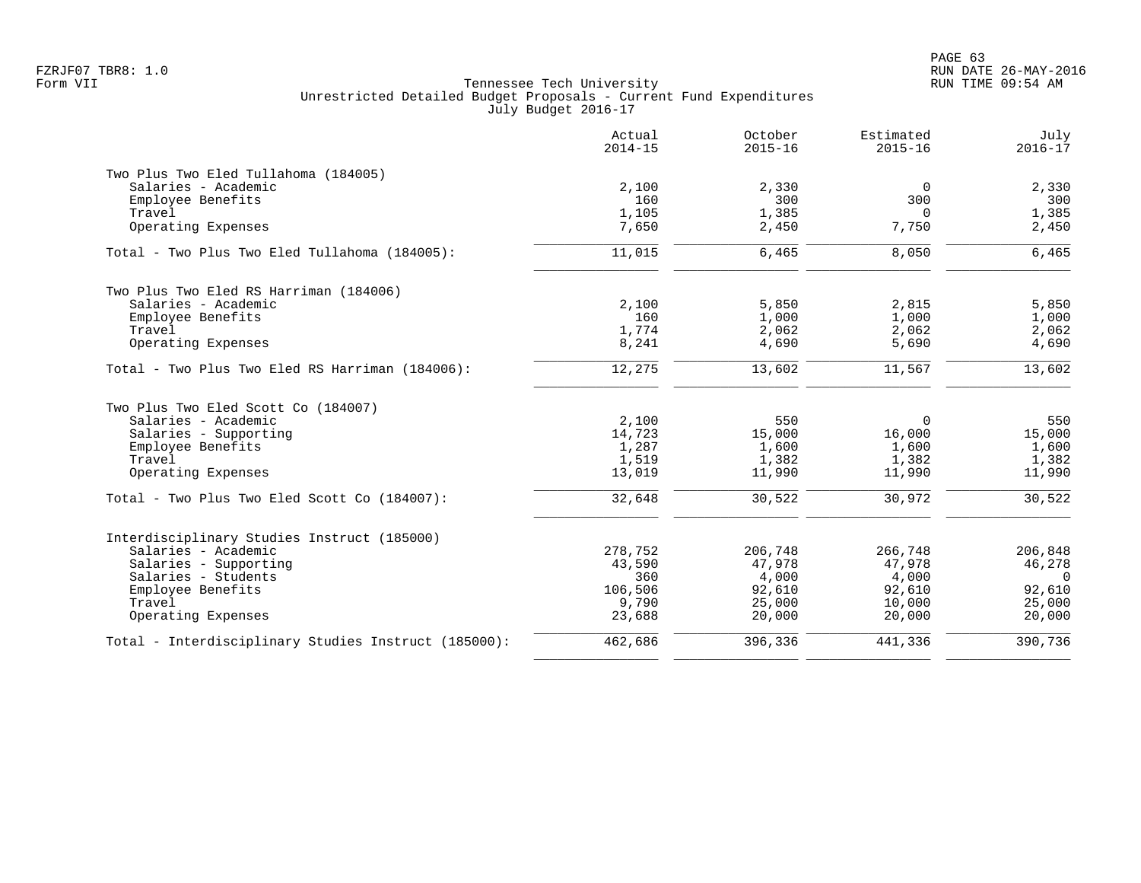|                                                      | Actual<br>$2014 - 15$ | October<br>$2015 - 16$ | Estimated<br>$2015 - 16$ | July<br>$2016 - 17$ |
|------------------------------------------------------|-----------------------|------------------------|--------------------------|---------------------|
| Two Plus Two Eled Tullahoma (184005)                 |                       |                        |                          |                     |
| Salaries - Academic                                  | 2,100                 | 2,330                  | $\overline{0}$           | 2,330               |
| Employee Benefits                                    | 160                   | 300                    | 300                      | 300                 |
| Travel                                               | 1,105                 | 1,385                  | 0                        | 1,385               |
| Operating Expenses                                   | 7,650                 | 2,450                  | 7,750                    | 2,450               |
| Total - Two Plus Two Eled Tullahoma (184005):        | 11,015                | 6,465                  | 8,050                    | 6,465               |
| Two Plus Two Eled RS Harriman (184006)               |                       |                        |                          |                     |
| Salaries - Academic                                  | 2,100                 | 5,850                  | 2,815                    | 5,850               |
| Employee Benefits                                    | 160                   | 1,000                  | 1,000                    | 1,000               |
| Travel                                               | 1,774                 | 2,062                  | 2,062                    | 2,062               |
| Operating Expenses                                   | 8,241                 | 4,690                  | 5,690                    | 4,690               |
| Total - Two Plus Two Eled RS Harriman (184006):      | 12,275                | 13,602                 | 11,567                   | 13,602              |
| Two Plus Two Eled Scott Co (184007)                  |                       |                        |                          |                     |
| Salaries - Academic                                  | 2,100                 | 550                    | $\Omega$                 | 550                 |
| Salaries - Supporting                                | 14,723                | 15,000                 | 16,000                   | 15,000              |
| Employee Benefits                                    | 1,287                 | 1,600                  | 1,600                    | 1,600               |
| Travel                                               | 1,519                 | 1,382                  | 1,382                    | 1,382               |
| Operating Expenses                                   | 13,019                | 11,990                 | 11,990                   | 11,990              |
| Total - Two Plus Two Eled Scott Co (184007):         | 32,648                | 30,522                 | 30,972                   | 30,522              |
| Interdisciplinary Studies Instruct (185000)          |                       |                        |                          |                     |
| Salaries - Academic                                  | 278,752               | 206,748                | 266,748                  | 206,848             |
| Salaries - Supporting                                | 43,590                | 47,978                 | 47,978                   | 46,278              |
| Salaries - Students                                  | 360                   | 4,000                  | 4,000                    | $\Omega$            |
| Employee Benefits                                    | 106,506               | 92,610                 | 92,610                   | 92,610              |
| Travel                                               | 9,790                 | 25,000                 | 10,000                   | 25,000              |
| Operating Expenses                                   | 23,688                | 20,000                 | 20,000                   | 20,000              |
| Total - Interdisciplinary Studies Instruct (185000): | 462,686               | 396,336                | 441,336                  | 390,736             |
|                                                      |                       |                        |                          |                     |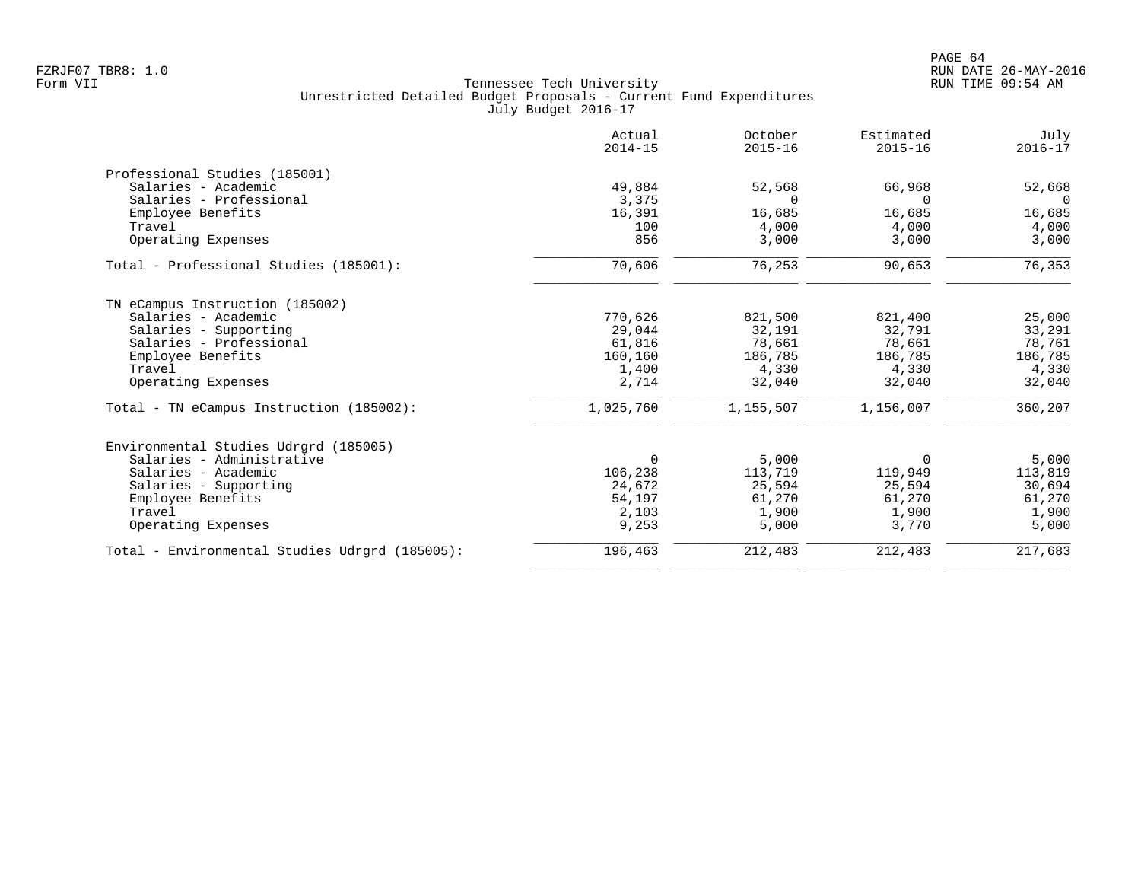|                                                | Actual<br>$2014 - 15$ | October<br>$2015 - 16$ | Estimated<br>$2015 - 16$ | July<br>$2016 - 17$ |
|------------------------------------------------|-----------------------|------------------------|--------------------------|---------------------|
| Professional Studies (185001)                  |                       |                        |                          |                     |
| Salaries - Academic                            | 49,884                | 52,568                 | 66,968                   | 52,668              |
| Salaries - Professional                        | 3,375                 | $\Omega$               | $\Omega$                 | $\Omega$            |
| Employee Benefits                              | 16,391                | 16,685                 | 16,685                   | 16,685              |
| Travel                                         | 100                   | 4,000                  | 4,000                    | 4,000               |
| Operating Expenses                             | 856                   | 3,000                  | 3,000                    | 3,000               |
| Total - Professional Studies (185001):         | 70,606                | 76,253                 | 90,653                   | 76,353              |
| TN eCampus Instruction (185002)                |                       |                        |                          |                     |
| Salaries - Academic                            | 770,626               | 821,500                | 821,400                  | 25,000              |
| Salaries - Supporting                          | 29,044                | 32,191                 | 32,791                   | 33,291              |
| Salaries - Professional                        | 61,816                | 78,661                 | 78,661                   | 78,761              |
| Employee Benefits                              | 160,160               | 186,785                | 186,785                  | 186,785             |
| Travel                                         | 1,400                 | 4,330                  | 4,330                    | 4,330               |
| Operating Expenses                             | 2,714                 | 32,040                 | 32,040                   | 32,040              |
| Total - TN eCampus Instruction (185002):       | 1,025,760             | 1,155,507              | 1,156,007                | 360,207             |
| Environmental Studies Udrgrd (185005)          |                       |                        |                          |                     |
| Salaries - Administrative                      | $\Omega$              | 5,000                  | 0                        | 5,000               |
| Salaries - Academic                            | 106,238               | 113,719                | 119,949                  | 113,819             |
| Salaries - Supporting                          | 24,672                | 25,594                 | 25,594                   | 30,694              |
| Employee Benefits                              | 54,197                | 61,270                 | 61,270                   | 61,270              |
| Travel                                         | 2,103                 | 1,900                  | 1,900                    | 1,900               |
| Operating Expenses                             | 9,253                 | 5,000                  | 3,770                    | 5,000               |
| Total - Environmental Studies Udrgrd (185005): | 196,463               | 212,483                | 212,483                  | 217,683             |
|                                                |                       |                        |                          |                     |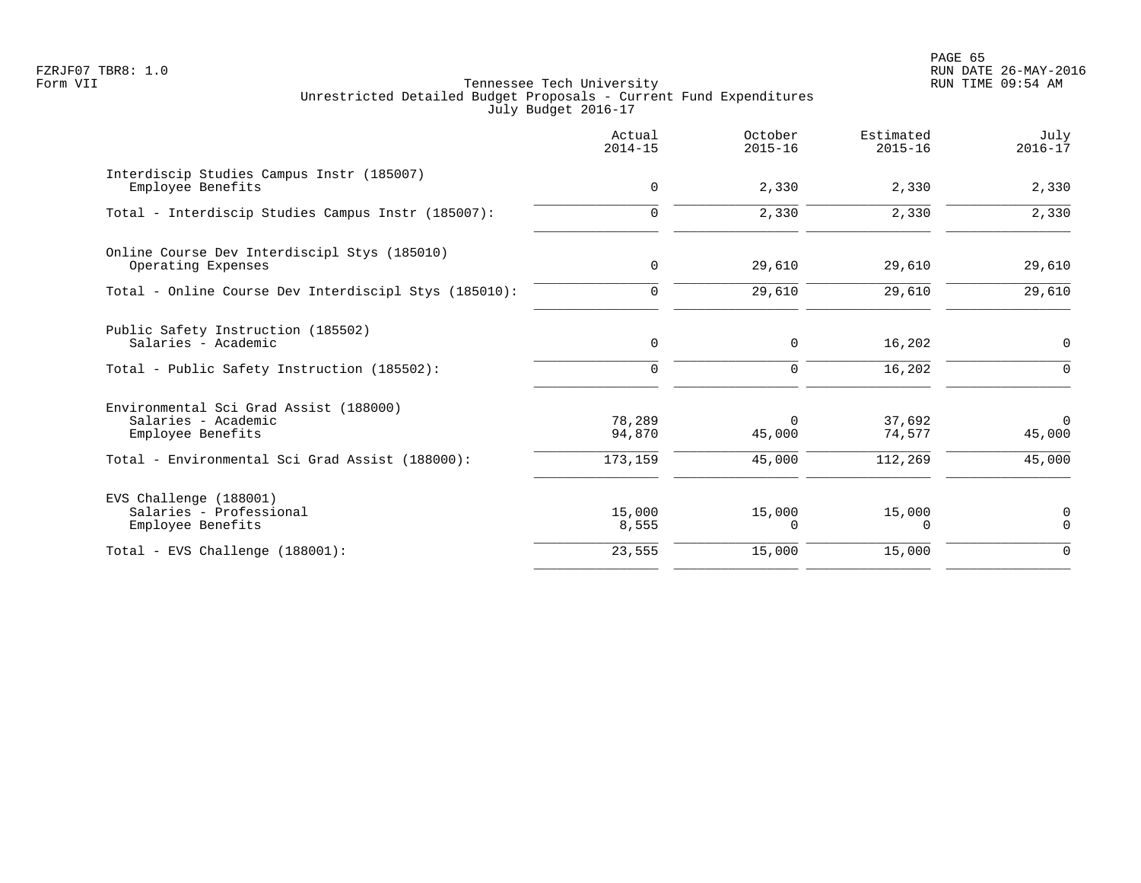PAGE 65 FZRJF07 TBR8: 1.0 RUN DATE 26-MAY-2016

|                                                                                                                                       | Actual<br>$2014 - 15$       | October<br>$2015 - 16$       | Estimated<br>$2015 - 16$    | July<br>$2016 - 17$                |
|---------------------------------------------------------------------------------------------------------------------------------------|-----------------------------|------------------------------|-----------------------------|------------------------------------|
| Interdiscip Studies Campus Instr (185007)<br>Employee Benefits                                                                        | 0                           | 2,330                        | 2,330                       | 2,330                              |
| Total - Interdiscip Studies Campus Instr (185007):                                                                                    | $\mathbf 0$                 | 2,330                        | 2,330                       | 2,330                              |
| Online Course Dev Interdiscipl Stys (185010)<br>Operating Expenses                                                                    | 0                           | 29,610                       | 29,610                      | 29,610                             |
| Total - Online Course Dev Interdiscipl Stys (185010):                                                                                 | $\mathbf 0$                 | 29,610                       | 29,610                      | 29,610                             |
| Public Safety Instruction (185502)<br>Salaries - Academic                                                                             | 0                           | 0                            | 16,202                      | $\mathbf 0$                        |
| Total - Public Safety Instruction (185502):                                                                                           | $\Omega$                    | $\mathbf 0$                  | 16,202                      | $\Omega$                           |
| Environmental Sci Grad Assist (188000)<br>Salaries - Academic<br>Employee Benefits<br>Total - Environmental Sci Grad Assist (188000): | 78,289<br>94,870<br>173,159 | $\Omega$<br>45,000<br>45,000 | 37,692<br>74,577<br>112,269 | $\overline{0}$<br>45,000<br>45,000 |
| EVS Challenge (188001)<br>Salaries - Professional<br>Employee Benefits                                                                | 15,000<br>8,555             | 15,000<br>$\Omega$           | 15,000<br>0                 | 0<br>$\Omega$                      |
| Total - EVS Challenge (188001):                                                                                                       | 23,555                      | 15,000                       | 15,000                      | $\mathbf 0$                        |
|                                                                                                                                       |                             |                              |                             |                                    |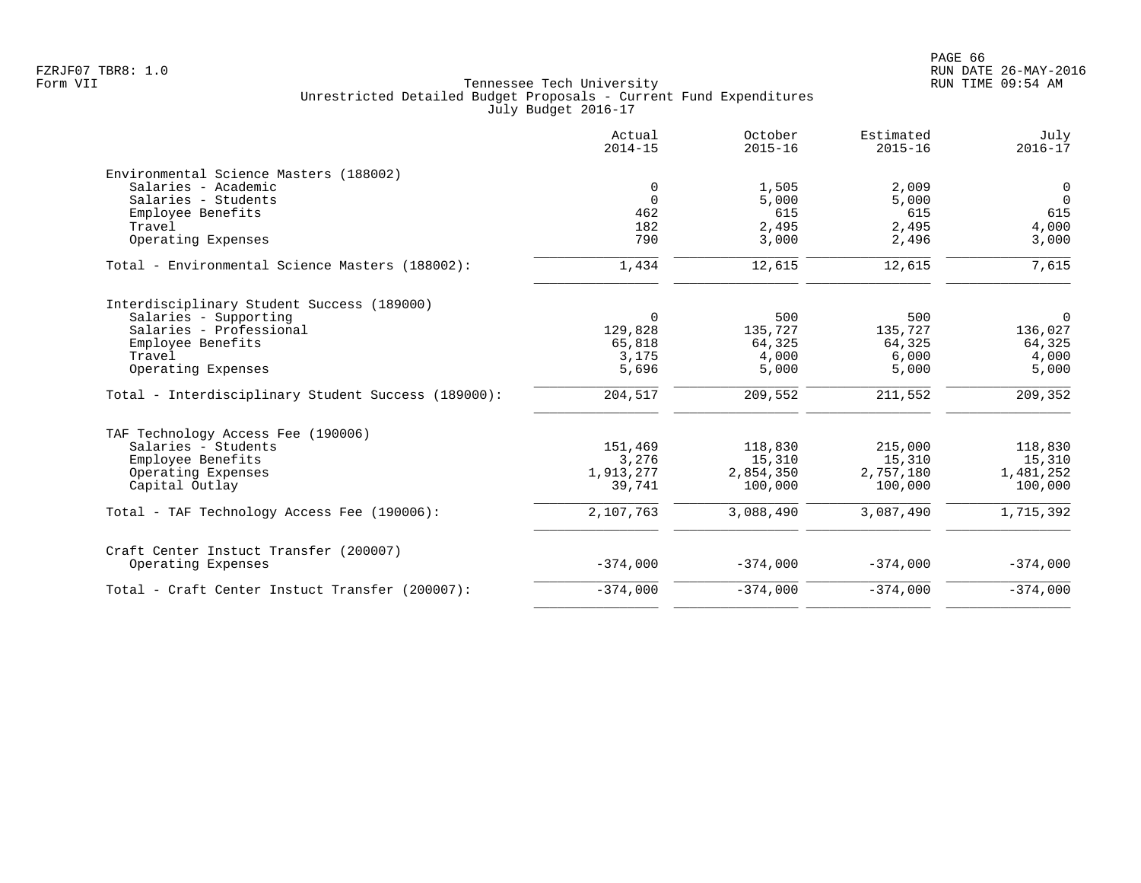|                                                     | Actual<br>$2014 - 15$ | October<br>$2015 - 16$ | Estimated<br>$2015 - 16$ | July<br>$2016 - 17$ |
|-----------------------------------------------------|-----------------------|------------------------|--------------------------|---------------------|
| Environmental Science Masters (188002)              |                       |                        |                          |                     |
| Salaries - Academic                                 | 0                     | 1,505                  | 2,009                    | $\mathbf 0$         |
| Salaries - Students                                 | $\mathbf 0$           | 5,000                  | 5,000                    | $\Omega$            |
| Employee Benefits                                   | 462                   | 615                    | 615                      | 615                 |
| Travel                                              | 182                   | 2,495                  | 2,495                    | 4,000               |
| Operating Expenses                                  | 790                   | 3,000                  | 2,496                    | 3,000               |
| Total - Environmental Science Masters (188002):     | 1,434                 | 12,615                 | 12,615                   | 7,615               |
| Interdisciplinary Student Success (189000)          |                       |                        |                          |                     |
| Salaries - Supporting                               | $\mathbf 0$           | 500                    | 500                      | 0                   |
| Salaries - Professional                             | 129,828               | 135,727                | 135,727                  | 136,027             |
| Employee Benefits                                   | 65,818                | 64,325                 | 64,325                   | 64,325              |
| Travel                                              | 3,175                 | 4,000                  | 6,000                    | 4,000               |
| Operating Expenses                                  | 5,696                 | 5,000                  | 5,000                    | 5,000               |
| Total - Interdisciplinary Student Success (189000): | 204,517               | 209,552                | 211,552                  | 209,352             |
| TAF Technology Access Fee (190006)                  |                       |                        |                          |                     |
| Salaries - Students                                 | 151,469               | 118,830                | 215,000                  | 118,830             |
| Employee Benefits                                   | 3,276                 | 15,310                 | 15,310                   | 15,310              |
| Operating Expenses                                  | 1,913,277             | 2,854,350              | 2,757,180                | 1,481,252           |
| Capital Outlay                                      | 39,741                | 100,000                | 100,000                  | 100,000             |
| Total - TAF Technology Access Fee (190006):         | 2,107,763             | 3,088,490              | 3,087,490                | 1,715,392           |
| Craft Center Instuct Transfer (200007)              |                       |                        |                          |                     |
| Operating Expenses                                  | $-374,000$            | $-374,000$             | $-374,000$               | $-374,000$          |
| Total - Craft Center Instuct Transfer (200007):     | $-374,000$            | $-374,000$             | $-374,000$               | $-374,000$          |
|                                                     |                       |                        |                          |                     |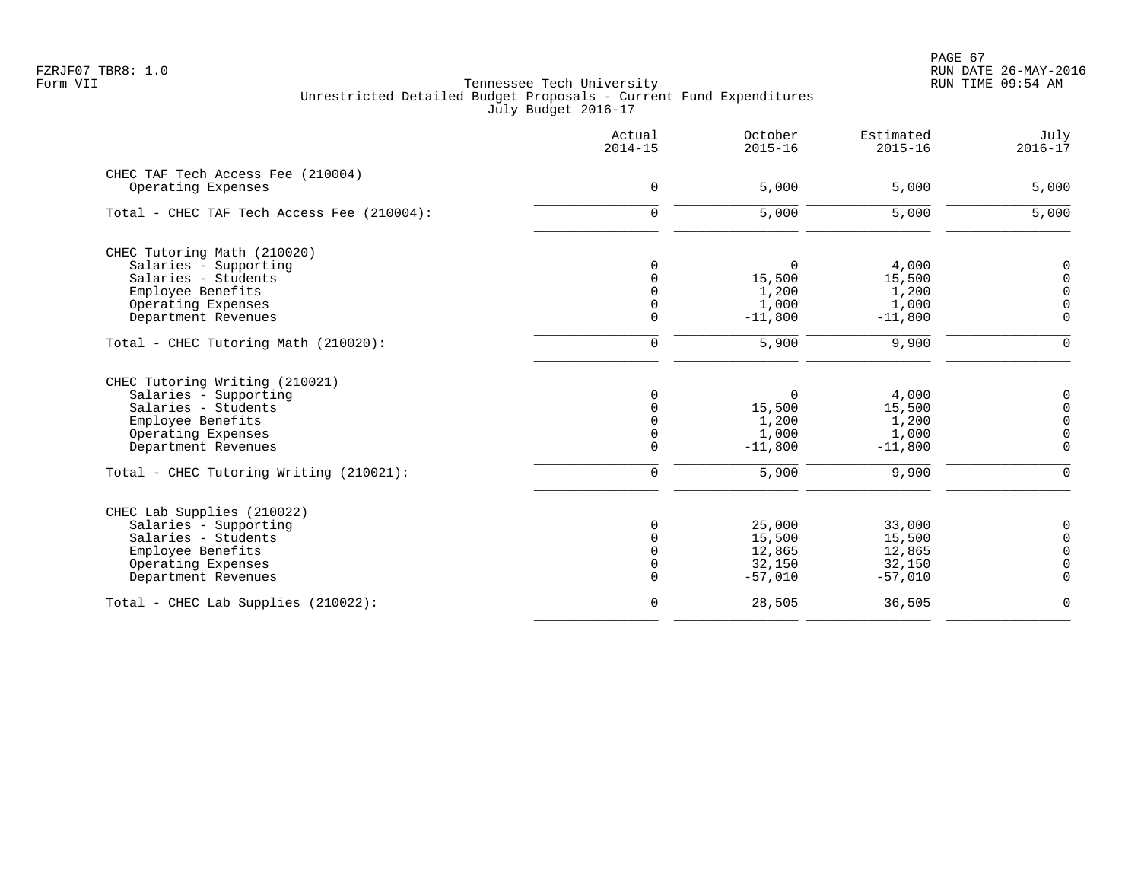|                                            | Actual<br>$2014 - 15$ | October<br>$2015 - 16$ | Estimated<br>$2015 - 16$ | July<br>$2016 - 17$ |
|--------------------------------------------|-----------------------|------------------------|--------------------------|---------------------|
| CHEC TAF Tech Access Fee (210004)          |                       |                        |                          |                     |
| Operating Expenses                         | $\mathbf 0$           | 5,000                  | 5,000                    | 5,000               |
| Total - CHEC TAF Tech Access Fee (210004): | $\Omega$              | 5,000                  | 5,000                    | 5,000               |
| CHEC Tutoring Math (210020)                |                       |                        |                          |                     |
| Salaries - Supporting                      | $\Omega$              | $\Omega$               | 4,000                    | $\Omega$            |
| Salaries - Students                        | $\Omega$              | 15,500                 | 15,500                   | $\Omega$            |
| Employee Benefits                          | 0                     | 1,200                  | 1,200                    | $\mathbf 0$         |
| Operating Expenses                         | 0                     | 1,000                  | 1,000                    | $\mathbf 0$         |
| Department Revenues                        | $\mathbf 0$           | $-11,800$              | $-11,800$                | $\Omega$            |
| Total - CHEC Tutoring Math (210020):       | $\mathbf 0$           | 5,900                  | 9,900                    | $\Omega$            |
| CHEC Tutoring Writing (210021)             |                       |                        |                          |                     |
| Salaries - Supporting                      | $\Omega$              | $\overline{0}$         | 4,000                    | 0                   |
| Salaries - Students                        | $\Omega$              | 15,500                 | 15,500                   | $\mathbf 0$         |
| Employee Benefits                          | $\Omega$              | 1,200                  | 1,200                    | $\mathbf 0$         |
| Operating Expenses                         | 0                     | 1,000                  | 1,000                    | $\mathbf 0$         |
| Department Revenues                        | $\Omega$              | $-11,800$              | $-11,800$                | $\mathbf 0$         |
| Total - CHEC Tutoring Writing (210021):    | $\mathbf 0$           | 5,900                  | 9,900                    | $\Omega$            |
| CHEC Lab Supplies (210022)                 |                       |                        |                          |                     |
| Salaries - Supporting                      | $\Omega$              | 25,000                 | 33,000                   | 0                   |
| Salaries - Students                        | $\Omega$              | 15,500                 | 15,500                   | $\Omega$            |
| Employee Benefits                          | $\Omega$              | 12,865                 | 12,865                   | $\Omega$            |
| Operating Expenses                         | 0                     | 32,150                 | 32,150                   | $\mathbf 0$         |
| Department Revenues                        | $\mathbf 0$           | $-57,010$              | $-57,010$                | $\mathbf 0$         |
| Total - CHEC Lab Supplies (210022):        | $\mathsf{O}$          | 28,505                 | 36,505                   | $\overline{0}$      |
|                                            |                       |                        |                          |                     |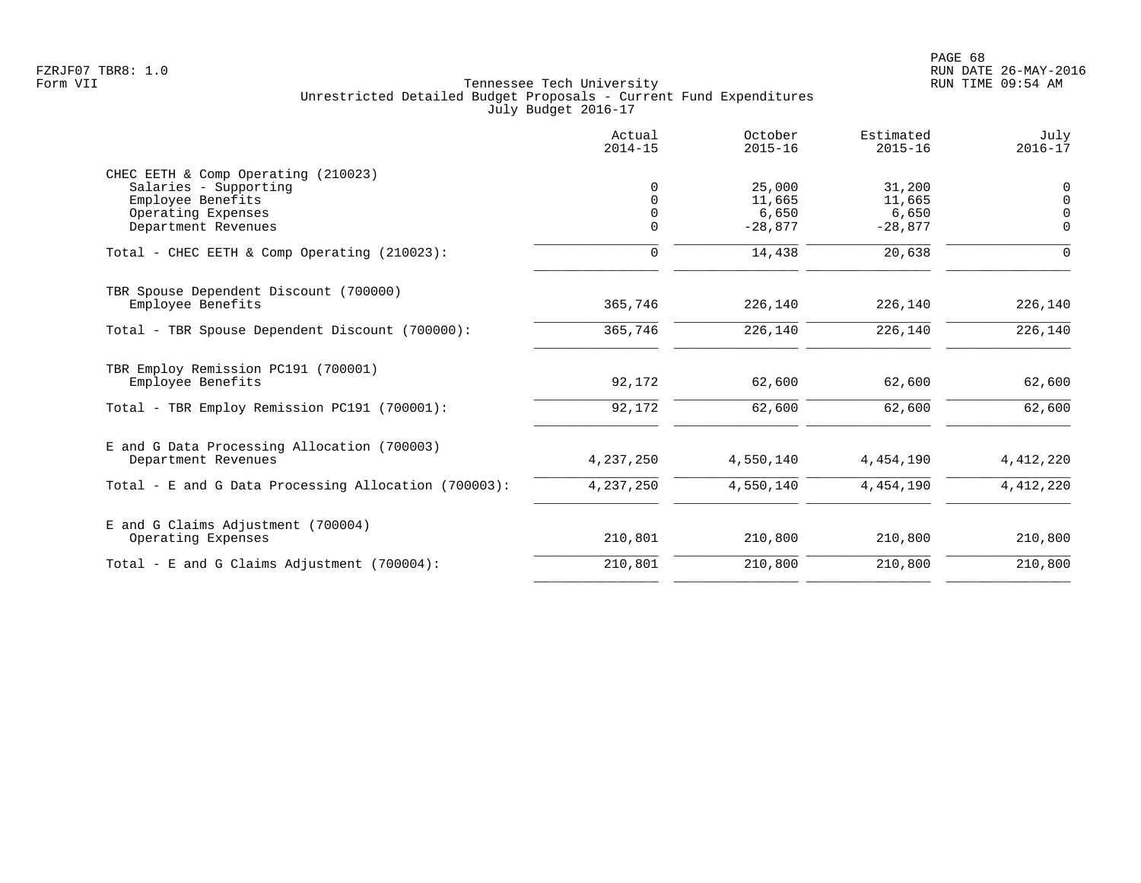|                                                                                                                                | Actual<br>$2014 - 15$ | October<br>$2015 - 16$                 | Estimated<br>$2015 - 16$               | July<br>$2016 - 17$                             |
|--------------------------------------------------------------------------------------------------------------------------------|-----------------------|----------------------------------------|----------------------------------------|-------------------------------------------------|
| CHEC EETH & Comp Operating (210023)<br>Salaries - Supporting<br>Employee Benefits<br>Operating Expenses<br>Department Revenues | $\Omega$<br>$\Omega$  | 25,000<br>11,665<br>6,650<br>$-28,877$ | 31,200<br>11,665<br>6,650<br>$-28,877$ | $\mathbf 0$<br>$\Omega$<br>$\Omega$<br>$\Omega$ |
| Total - CHEC EETH & Comp Operating (210023):                                                                                   | $\Omega$              | 14,438                                 | 20,638                                 | $\Omega$                                        |
| TBR Spouse Dependent Discount (700000)<br>Employee Benefits                                                                    | 365,746               | 226,140                                | 226,140                                | 226,140                                         |
| Total - TBR Spouse Dependent Discount (700000):                                                                                | 365,746               | 226,140                                | 226,140                                | 226,140                                         |
| TBR Employ Remission PC191 (700001)<br>Employee Benefits                                                                       | 92,172                | 62,600                                 | 62,600                                 | 62,600                                          |
| Total - TBR Employ Remission PC191 (700001):                                                                                   | 92,172                | 62,600                                 | 62,600                                 | 62,600                                          |
| E and G Data Processing Allocation (700003)<br>Department Revenues                                                             | 4,237,250             | 4,550,140                              | 4,454,190                              | 4,412,220                                       |
| Total - E and G Data Processing Allocation (700003):                                                                           | 4,237,250             | 4,550,140                              | 4,454,190                              | 4, 412, 220                                     |
| E and G Claims Adjustment (700004)<br>Operating Expenses                                                                       | 210,801               | 210,800                                | 210,800                                | 210,800                                         |
| Total - E and G Claims Adjustment $(700004)$ :                                                                                 | 210,801               | 210,800                                | 210,800                                | 210,800                                         |
|                                                                                                                                |                       |                                        |                                        |                                                 |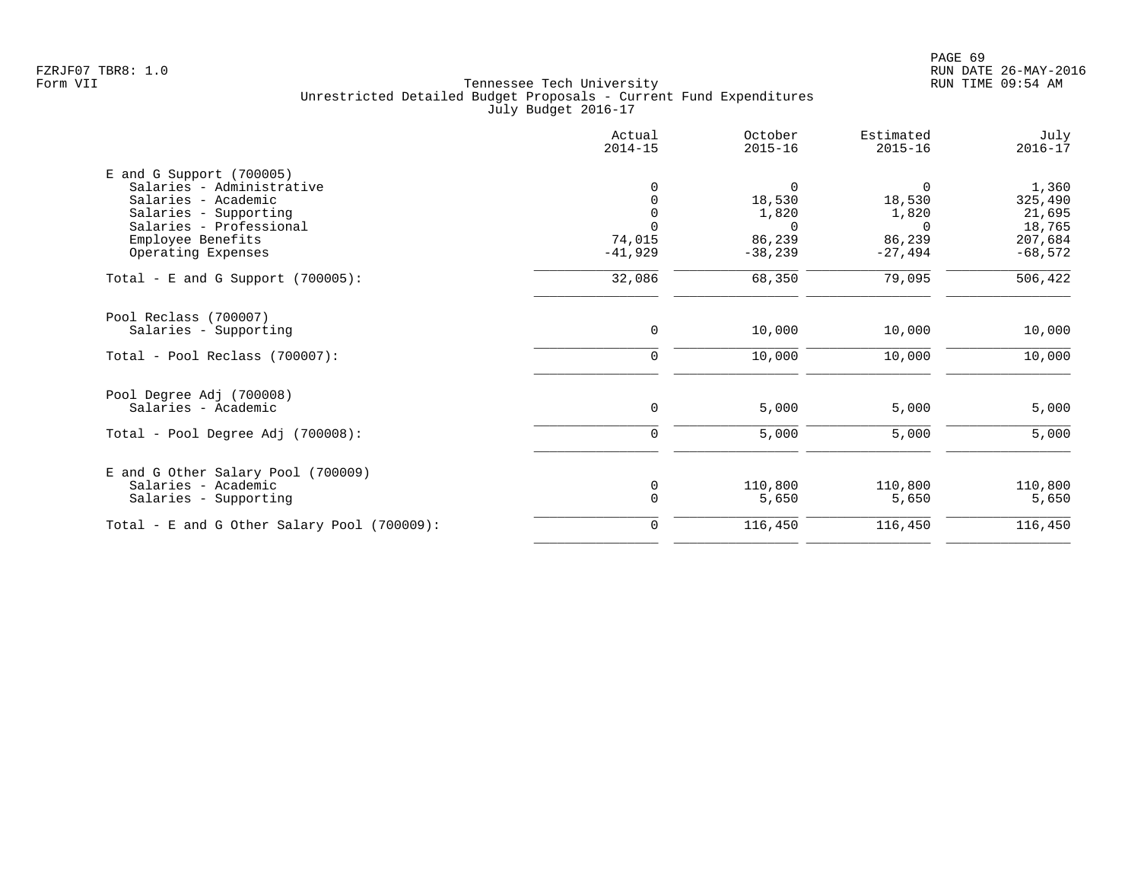|                                                           | Actual<br>$2014 - 15$ | October<br>$2015 - 16$ | Estimated<br>$2015 - 16$ | July<br>$2016 - 17$ |
|-----------------------------------------------------------|-----------------------|------------------------|--------------------------|---------------------|
| $E$ and G Support (700005)                                |                       |                        |                          |                     |
| Salaries - Administrative                                 | 0                     | 0                      | $\Omega$                 | 1,360               |
| Salaries - Academic                                       | 0                     | 18,530                 | 18,530                   | 325,490             |
| Salaries - Supporting                                     | 0                     | 1,820                  | 1,820                    | 21,695              |
| Salaries - Professional                                   | $\Omega$              | $\Omega$               | $\Omega$                 | 18,765              |
| Employee Benefits                                         | 74,015                | 86,239                 | 86,239                   | 207,684             |
| Operating Expenses                                        | $-41,929$             | $-38,239$              | $-27,494$                | $-68,572$           |
| Total - E and G Support $(700005)$ :                      | 32,086                | 68,350                 | 79,095                   | 506,422             |
| Pool Reclass (700007)                                     |                       |                        |                          |                     |
| Salaries - Supporting                                     | 0                     | 10,000                 | 10,000                   | 10,000              |
| $Total - Pool Reclass (700007):$                          | 0                     | 10,000                 | 10,000                   | 10,000              |
| Pool Degree Adj (700008)                                  |                       |                        |                          |                     |
| Salaries - Academic                                       | $\mathbf 0$           | 5,000                  | 5,000                    | 5,000               |
| Total - Pool Degree Adj (700008):                         | $\mathbf 0$           | 5,000                  | 5,000                    | 5,000               |
|                                                           |                       |                        |                          |                     |
| E and G Other Salary Pool (700009)<br>Salaries - Academic | 0                     | 110,800                | 110,800                  | 110,800             |
| Salaries - Supporting                                     | $\mathbf 0$           | 5,650                  | 5,650                    | 5,650               |
| Total - E and G Other Salary Pool (700009):               | 0                     | 116,450                | 116,450                  | 116,450             |
|                                                           |                       |                        |                          |                     |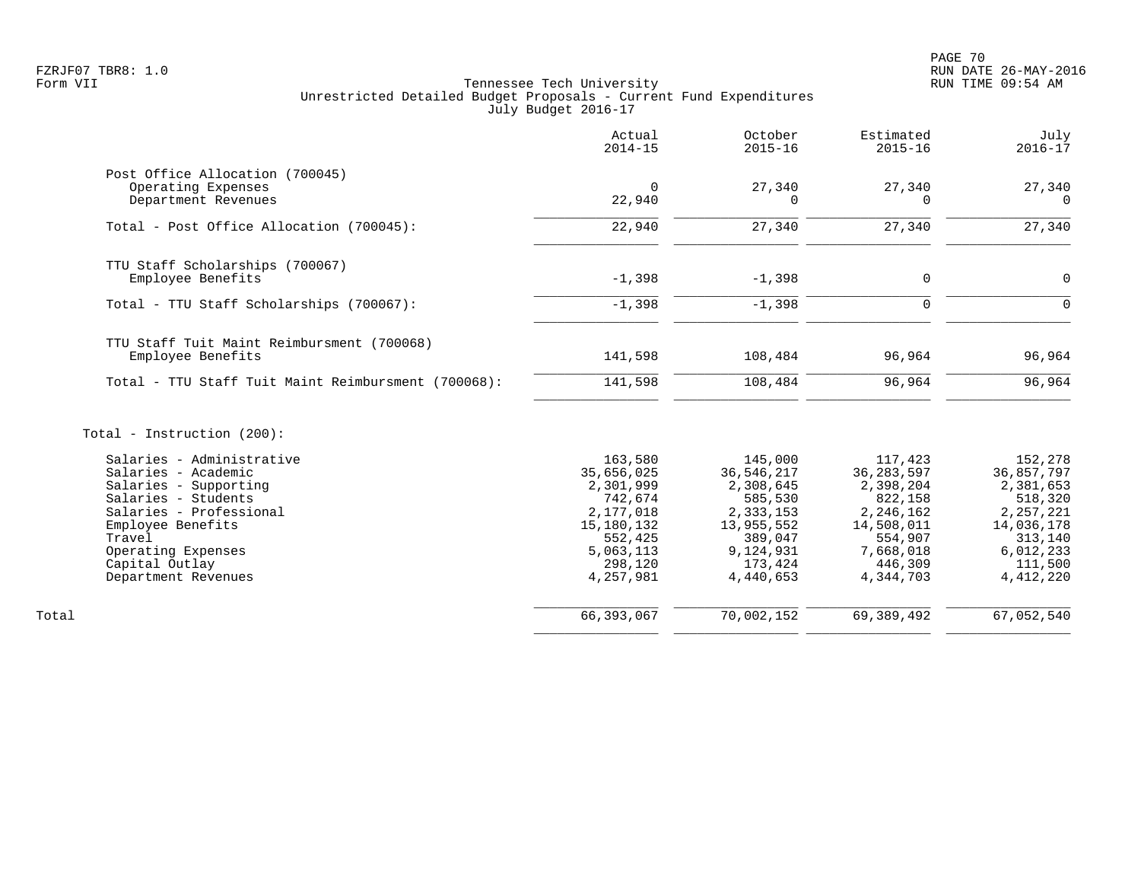|                                                                                                                                                                                                                           | Actual<br>$2014 - 15$                                                                                                    | October<br>$2015 - 16$                                                                                                     | Estimated<br>$2015 - 16$                                                                                                   | July<br>$2016 - 17$                                                                                                        |
|---------------------------------------------------------------------------------------------------------------------------------------------------------------------------------------------------------------------------|--------------------------------------------------------------------------------------------------------------------------|----------------------------------------------------------------------------------------------------------------------------|----------------------------------------------------------------------------------------------------------------------------|----------------------------------------------------------------------------------------------------------------------------|
| Post Office Allocation (700045)<br>Operating Expenses<br>Department Revenues                                                                                                                                              | $\mathbf 0$<br>22,940                                                                                                    | 27,340<br>$\Omega$                                                                                                         | 27,340                                                                                                                     | 27,340                                                                                                                     |
| Total - Post Office Allocation (700045):                                                                                                                                                                                  | 22,940                                                                                                                   | 27,340                                                                                                                     | 27,340                                                                                                                     | 27,340                                                                                                                     |
| TTU Staff Scholarships (700067)<br>Employee Benefits<br>Total - TTU Staff Scholarships (700067):                                                                                                                          | $-1,398$<br>$-1,398$                                                                                                     | $-1,398$<br>$-1,398$                                                                                                       | $\mathbf 0$<br>$\Omega$                                                                                                    | $\Omega$<br>$\Omega$                                                                                                       |
| TTU Staff Tuit Maint Reimbursment (700068)<br>Employee Benefits                                                                                                                                                           | 141,598                                                                                                                  | 108,484                                                                                                                    | 96,964                                                                                                                     | 96,964                                                                                                                     |
| Total - TTU Staff Tuit Maint Reimbursment (700068):                                                                                                                                                                       | 141,598                                                                                                                  | 108,484                                                                                                                    | 96,964                                                                                                                     | 96,964                                                                                                                     |
| Total - Instruction (200):                                                                                                                                                                                                |                                                                                                                          |                                                                                                                            |                                                                                                                            |                                                                                                                            |
| Salaries - Administrative<br>Salaries - Academic<br>Salaries - Supporting<br>Salaries - Students<br>Salaries - Professional<br>Employee Benefits<br>Travel<br>Operating Expenses<br>Capital Outlay<br>Department Revenues | 163,580<br>35,656,025<br>2,301,999<br>742,674<br>2,177,018<br>15,180,132<br>552,425<br>5,063,113<br>298,120<br>4,257,981 | 145,000<br>36, 546, 217<br>2,308,645<br>585,530<br>2,333,153<br>13,955,552<br>389,047<br>9,124,931<br>173,424<br>4,440,653 | 117,423<br>36, 283, 597<br>2,398,204<br>822,158<br>2,246,162<br>14,508,011<br>554,907<br>7,668,018<br>446,309<br>4,344,703 | 152,278<br>36,857,797<br>2,381,653<br>518,320<br>2, 257, 221<br>14,036,178<br>313,140<br>6,012,233<br>111,500<br>4,412,220 |
| Total                                                                                                                                                                                                                     | 66, 393, 067                                                                                                             | 70,002,152                                                                                                                 | 69, 389, 492                                                                                                               | 67,052,540                                                                                                                 |

\_\_\_\_\_\_\_\_\_\_\_\_\_\_\_\_ \_\_\_\_\_\_\_\_\_\_\_\_\_\_\_\_ \_\_\_\_\_\_\_\_\_\_\_\_\_\_\_\_ \_\_\_\_\_\_\_\_\_\_\_\_\_\_\_\_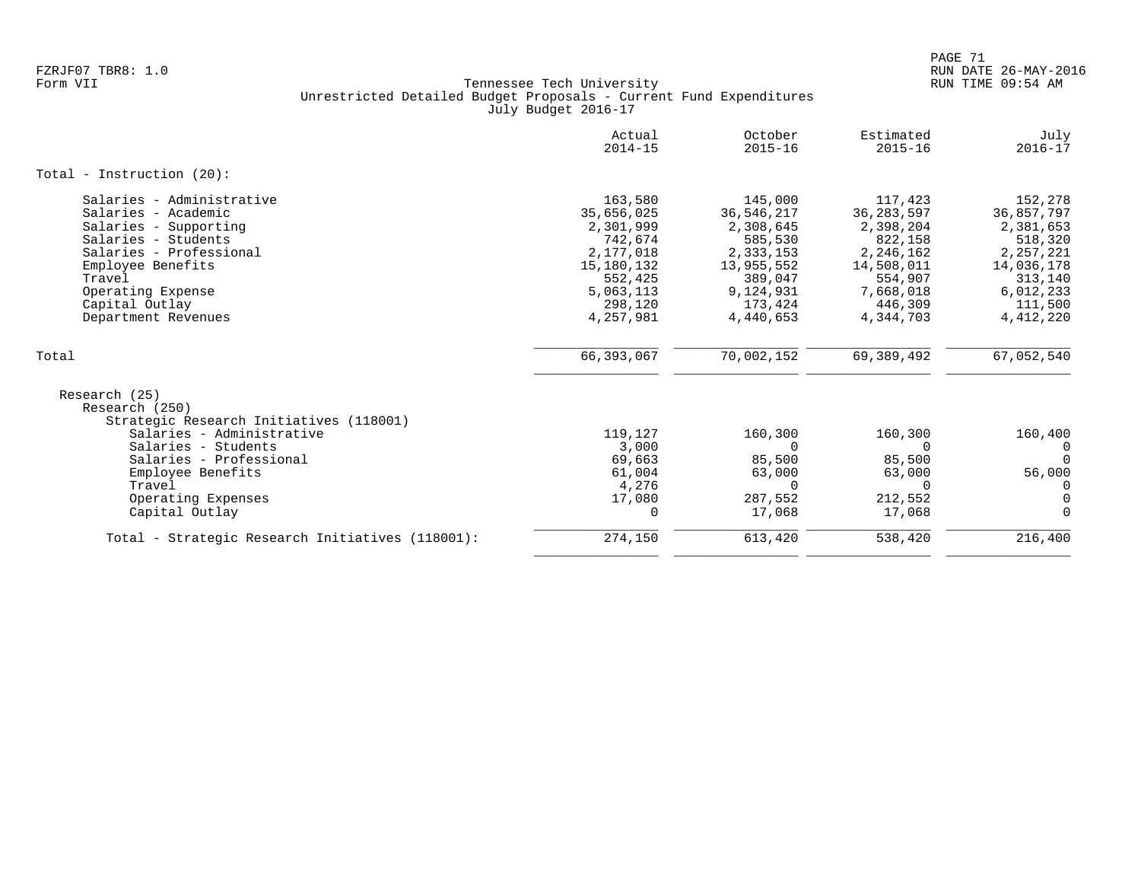|                                                                                                                                                                                                                          | Actual<br>$2014 - 15$                                                                                                    | October<br>$2015 - 16$                                                                                                   | Estimated<br>$2015 - 16$                                                                                                 | July<br>$2016 - 17$                                                                                                        |
|--------------------------------------------------------------------------------------------------------------------------------------------------------------------------------------------------------------------------|--------------------------------------------------------------------------------------------------------------------------|--------------------------------------------------------------------------------------------------------------------------|--------------------------------------------------------------------------------------------------------------------------|----------------------------------------------------------------------------------------------------------------------------|
| Total - Instruction $(20)$ :                                                                                                                                                                                             |                                                                                                                          |                                                                                                                          |                                                                                                                          |                                                                                                                            |
| Salaries - Administrative<br>Salaries - Academic<br>Salaries - Supporting<br>Salaries - Students<br>Salaries - Professional<br>Employee Benefits<br>Travel<br>Operating Expense<br>Capital Outlay<br>Department Revenues | 163,580<br>35,656,025<br>2,301,999<br>742,674<br>2,177,018<br>15,180,132<br>552,425<br>5,063,113<br>298,120<br>4,257,981 | 145,000<br>36,546,217<br>2,308,645<br>585,530<br>2,333,153<br>13,955,552<br>389,047<br>9,124,931<br>173,424<br>4,440,653 | 117,423<br>36,283,597<br>2,398,204<br>822,158<br>2,246,162<br>14,508,011<br>554,907<br>7,668,018<br>446,309<br>4,344,703 | 152,278<br>36,857,797<br>2,381,653<br>518,320<br>2, 257, 221<br>14,036,178<br>313,140<br>6,012,233<br>111,500<br>4,412,220 |
| Total                                                                                                                                                                                                                    | 66,393,067                                                                                                               | 70,002,152                                                                                                               | 69,389,492                                                                                                               | 67,052,540                                                                                                                 |
| Research (25)<br>Research (250)<br>Strategic Research Initiatives (118001)<br>Salaries - Administrative                                                                                                                  | 119,127                                                                                                                  | 160,300                                                                                                                  | 160,300                                                                                                                  | 160,400                                                                                                                    |
| Salaries - Students<br>Salaries - Professional<br>Employee Benefits<br>Travel                                                                                                                                            | 3,000<br>69,663<br>61,004<br>4,276                                                                                       | $\Omega$<br>85,500<br>63,000<br>$\Omega$                                                                                 | 0<br>85,500<br>63,000<br>$\Omega$                                                                                        | 0<br>$\Omega$<br>56,000                                                                                                    |
| Operating Expenses<br>Capital Outlay                                                                                                                                                                                     | 17,080<br>0                                                                                                              | 287,552<br>17,068                                                                                                        | 212,552<br>17,068                                                                                                        | 0<br>0<br>$\Omega$                                                                                                         |
| Total - Strategic Research Initiatives (118001):                                                                                                                                                                         | 274,150                                                                                                                  | 613,420                                                                                                                  | 538,420                                                                                                                  | 216,400                                                                                                                    |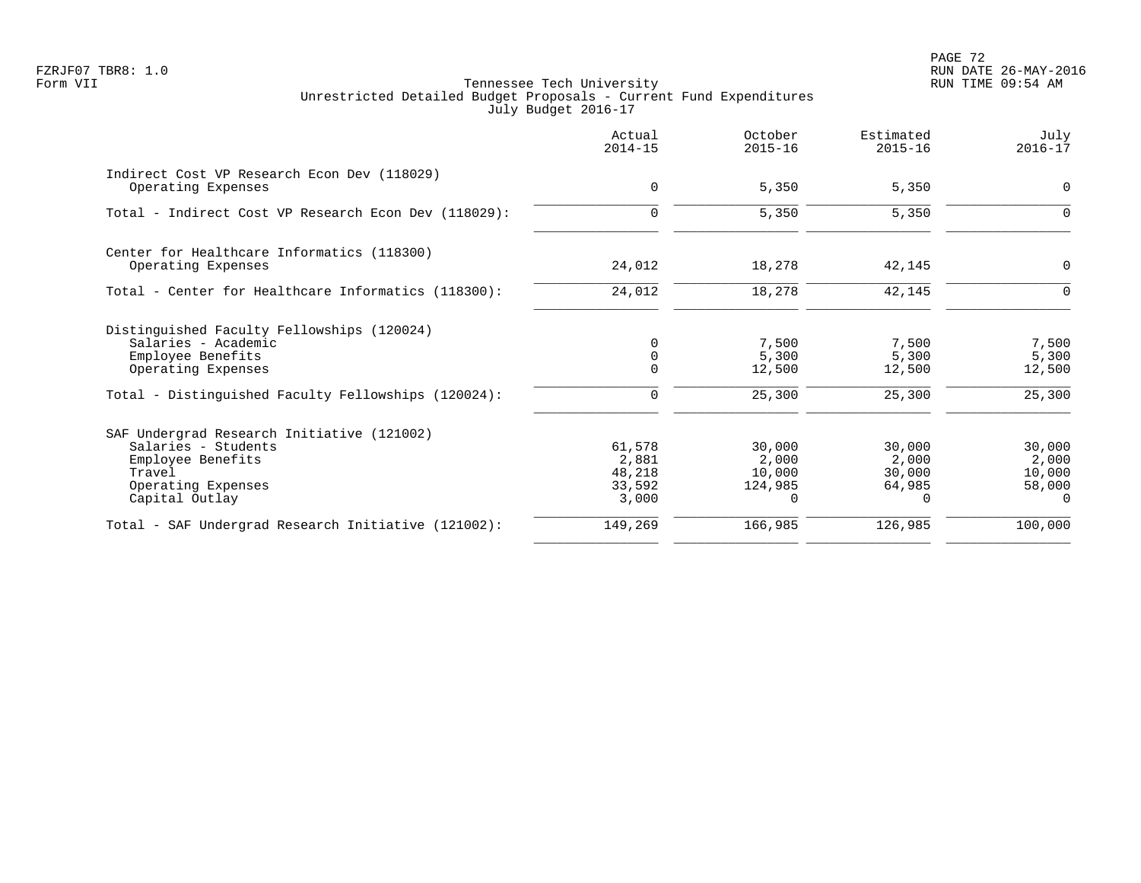PAGE 72 FZRJF07 TBR8: 1.0 RUN DATE 26-MAY-2016

|                                                                                                                                          | Actual<br>$2014 - 15$                        | October<br>$2015 - 16$                           | Estimated<br>$2015 - 16$                        | July<br>$2016 - 17$                             |
|------------------------------------------------------------------------------------------------------------------------------------------|----------------------------------------------|--------------------------------------------------|-------------------------------------------------|-------------------------------------------------|
| Indirect Cost VP Research Econ Dev (118029)<br>Operating Expenses                                                                        | $\mathbf 0$                                  | 5,350                                            | 5,350                                           | 0                                               |
| Total - Indirect Cost VP Research Econ Dev (118029):                                                                                     | $\mathbf 0$                                  | 5,350                                            | 5,350                                           | 0                                               |
| Center for Healthcare Informatics (118300)<br>Operating Expenses                                                                         | 24,012                                       | 18,278                                           | 42,145                                          | 0                                               |
| Total - Center for Healthcare Informatics (118300):                                                                                      | 24,012                                       | 18,278                                           | 42,145                                          | $\Omega$                                        |
| Distinguished Faculty Fellowships (120024)<br>Salaries - Academic<br>Employee Benefits<br>Operating Expenses                             | $\Omega$<br>$\Omega$                         | 7,500<br>5,300<br>12,500                         | 7,500<br>5,300<br>12,500                        | 7,500<br>5,300<br>12,500                        |
| Total - Distinguished Faculty Fellowships (120024):                                                                                      | 0                                            | 25,300                                           | 25,300                                          | 25,300                                          |
| SAF Undergrad Research Initiative (121002)<br>Salaries - Students<br>Employee Benefits<br>Travel<br>Operating Expenses<br>Capital Outlay | 61,578<br>2,881<br>48,218<br>33,592<br>3,000 | 30,000<br>2,000<br>10,000<br>124,985<br>$\Omega$ | 30,000<br>2,000<br>30,000<br>64,985<br>$\Omega$ | 30,000<br>2,000<br>10,000<br>58,000<br>$\Omega$ |
| Total - SAF Undergrad Research Initiative (121002):                                                                                      | 149,269                                      | 166,985                                          | 126,985                                         | 100,000                                         |
|                                                                                                                                          |                                              |                                                  |                                                 |                                                 |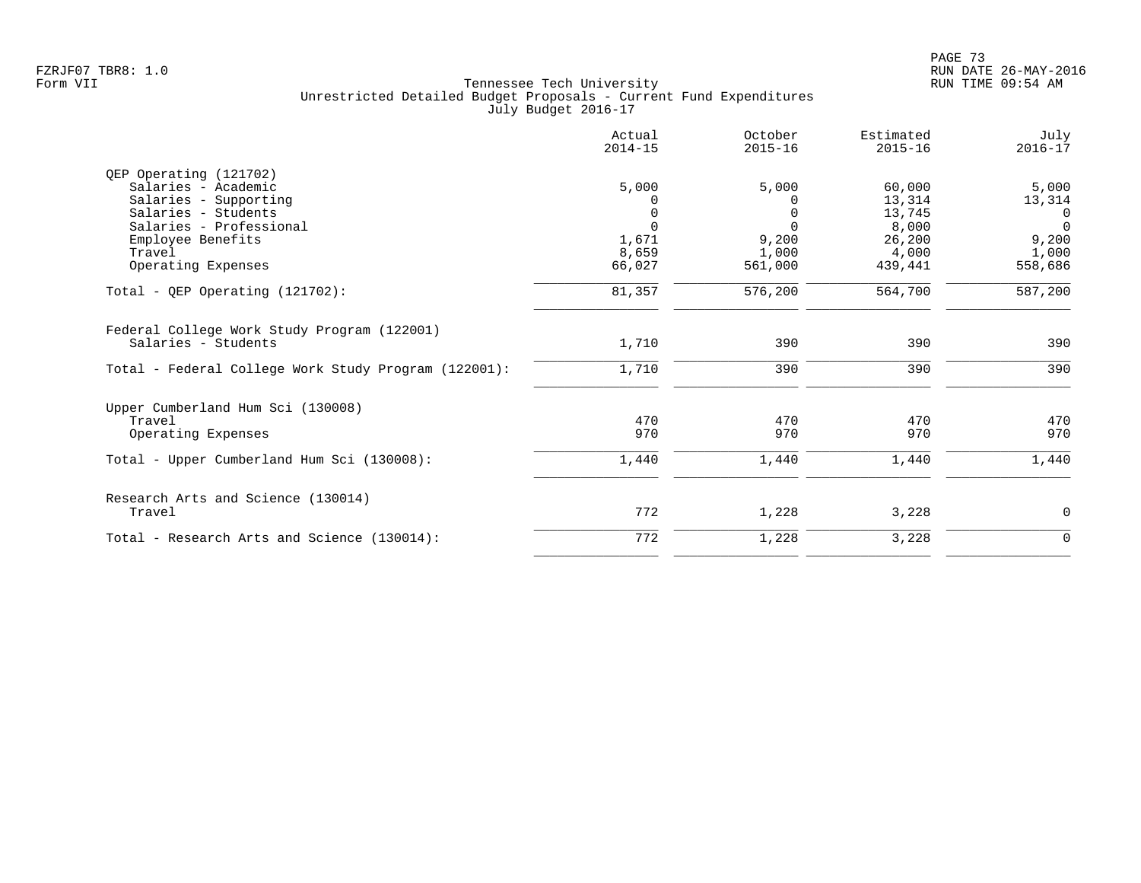|                                                                    | Actual<br>$2014 - 15$ | October<br>$2015 - 16$ | Estimated<br>$2015 - 16$ | July<br>$2016 - 17$ |
|--------------------------------------------------------------------|-----------------------|------------------------|--------------------------|---------------------|
| QEP Operating (121702)                                             |                       |                        |                          |                     |
| Salaries - Academic                                                | 5,000                 | 5,000                  | 60,000                   | 5,000               |
| Salaries - Supporting                                              |                       | 0                      | 13,314                   | 13,314              |
| Salaries - Students                                                | 0                     | $\Omega$               | 13,745                   | $\mathbf 0$         |
| Salaries - Professional                                            | $\Omega$              | $\Omega$               | 8,000                    | $\Omega$            |
| Employee Benefits                                                  | 1,671                 | 9,200                  | 26,200                   | 9,200               |
| Travel                                                             | 8,659                 | 1,000                  | 4,000                    | 1,000               |
| Operating Expenses                                                 | 66,027                | 561,000                | 439,441                  | 558,686             |
| Total - QEP Operating $(121702)$ :                                 | 81,357                | 576,200                | 564,700                  | 587,200             |
| Federal College Work Study Program (122001)<br>Salaries - Students | 1,710                 | 390                    | 390                      | 390                 |
|                                                                    |                       |                        |                          |                     |
| Total - Federal College Work Study Program (122001):               | 1,710                 | 390                    | 390                      | 390                 |
| Upper Cumberland Hum Sci (130008)                                  |                       |                        |                          |                     |
| Travel                                                             | 470                   | 470                    | 470                      | 470                 |
| Operating Expenses                                                 | 970                   | 970                    | 970                      | 970                 |
| Total - Upper Cumberland Hum Sci (130008):                         | 1,440                 | 1,440                  | 1,440                    | 1,440               |
| Research Arts and Science (130014)                                 |                       |                        |                          |                     |
| Travel                                                             | 772                   | 1,228                  | 3,228                    | 0                   |
| Total - Research Arts and Science (130014):                        | 772                   | 1,228                  | 3,228                    | 0                   |
|                                                                    |                       |                        |                          |                     |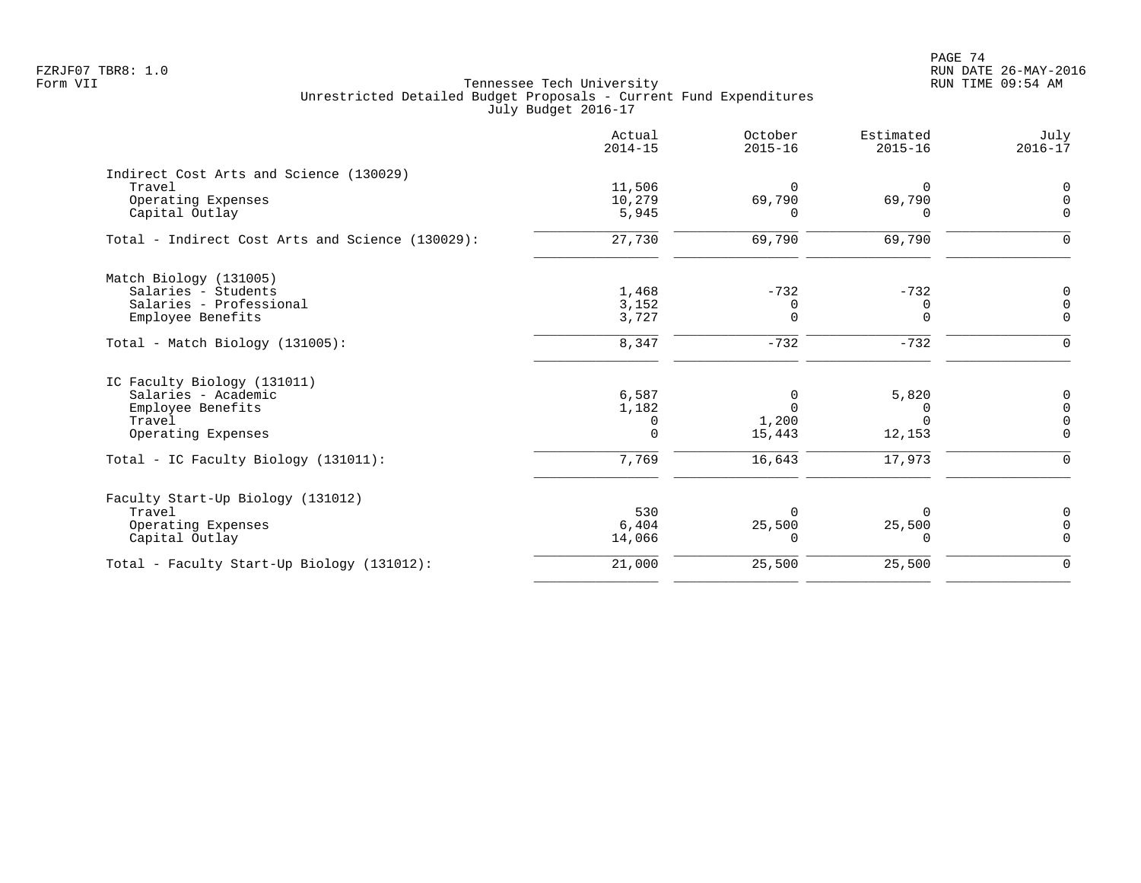|                                                  | Actual<br>$2014 - 15$ | October<br>$2015 - 16$ | Estimated<br>$2015 - 16$ | July<br>$2016 - 17$ |
|--------------------------------------------------|-----------------------|------------------------|--------------------------|---------------------|
| Indirect Cost Arts and Science (130029)          |                       |                        |                          |                     |
| Travel                                           | 11,506                | $\Omega$               | 0                        | 0                   |
| Operating Expenses                               | 10,279                | 69,790                 | 69,790                   | $\Omega$            |
| Capital Outlay                                   | 5,945                 | <sup>n</sup>           | $\Omega$                 | $\Omega$            |
| Total - Indirect Cost Arts and Science (130029): | 27,730                | 69,790                 | 69,790                   | $\Omega$            |
| Match Biology (131005)                           |                       |                        |                          |                     |
| Salaries - Students                              | 1,468                 | $-732$                 | $-732$                   | 0                   |
| Salaries - Professional                          | 3,152                 | 0                      | 0                        | $\Omega$            |
| Employee Benefits                                | 3,727                 | $\Omega$               | $\Omega$                 | $\Omega$            |
| $Total - Match Biology (131005):$                | 8,347                 | $-732$                 | $-732$                   | $\mathbf 0$         |
| IC Faculty Biology (131011)                      |                       |                        |                          |                     |
| Salaries - Academic                              | 6,587                 | $\Omega$               | 5,820                    |                     |
| Employee Benefits                                | 1,182                 | $\Omega$               | $\Omega$                 | $\Omega$            |
| Travel                                           | 0                     | 1,200                  |                          | $\Omega$            |
| Operating Expenses                               | $\Omega$              | 15,443                 | 12,153                   | $\Omega$            |
| Total - IC Faculty Biology (131011):             | 7,769                 | 16,643                 | 17,973                   | $\Omega$            |
| Faculty Start-Up Biology (131012)                |                       |                        |                          |                     |
| Travel                                           | 530                   | <sup>0</sup>           |                          | 0                   |
| Operating Expenses                               | 6,404                 | 25,500                 | 25,500                   | $\Omega$            |
| Capital Outlay                                   | 14,066                | $\Omega$               | 0                        | $\Omega$            |
| Total - Faculty Start-Up Biology (131012):       | 21,000                | 25,500                 | 25,500                   | $\mathbf 0$         |
|                                                  |                       |                        |                          |                     |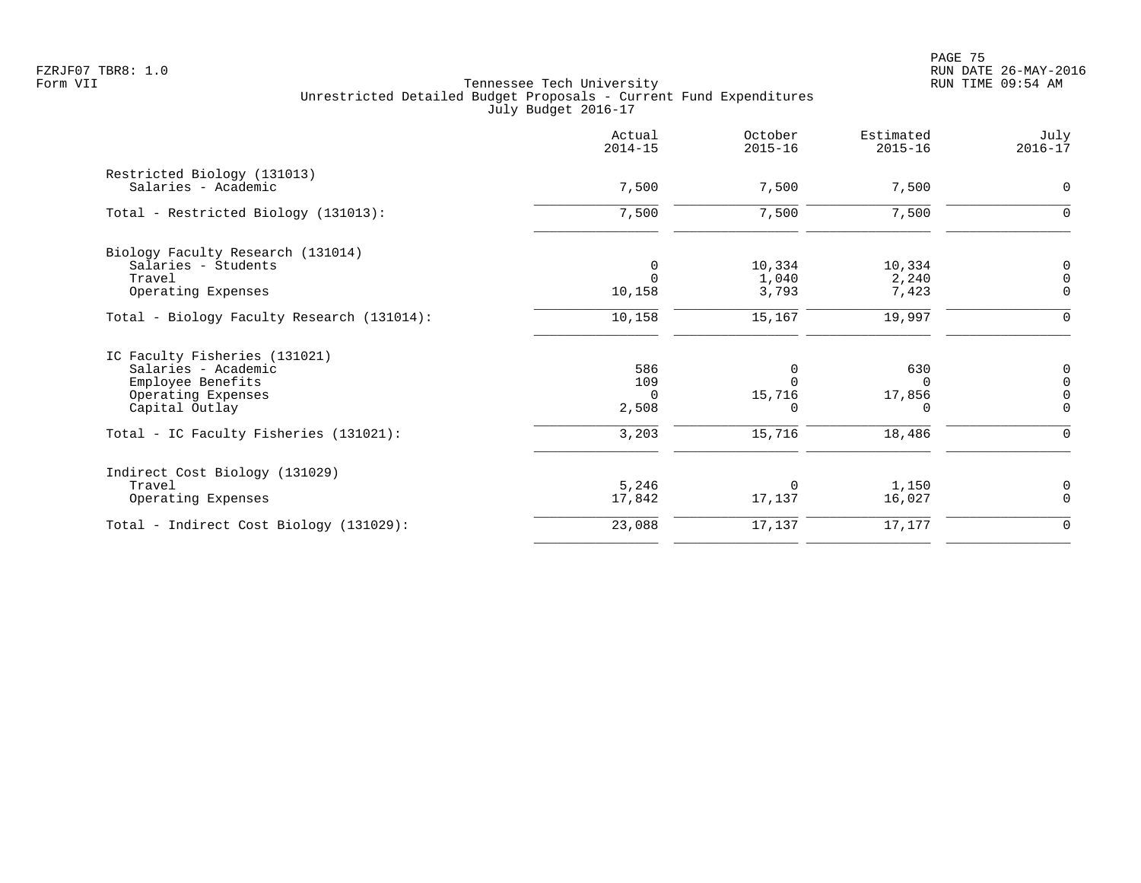|                                                          | Actual<br>$2014 - 15$ | October<br>$2015 - 16$ | Estimated<br>$2015 - 16$ | July<br>$2016 - 17$        |
|----------------------------------------------------------|-----------------------|------------------------|--------------------------|----------------------------|
| Restricted Biology (131013)<br>Salaries - Academic       | 7,500                 | 7,500                  | 7,500                    | $\mathbf 0$                |
| Total - Restricted Biology (131013):                     | 7,500                 | 7,500                  | 7,500                    | 0                          |
| Biology Faculty Research (131014)<br>Salaries - Students | 0                     | 10,334                 | 10,334                   | 0                          |
| Travel<br>Operating Expenses                             | $\Omega$<br>10,158    | 1,040<br>3,793         | 2,240<br>7,423           | $\mathbf 0$<br>$\mathbf 0$ |
| Total - Biology Faculty Research (131014):               | 10,158                | 15,167                 | 19,997                   | $\Omega$                   |
| IC Faculty Fisheries (131021)                            |                       |                        |                          |                            |
| Salaries - Academic<br>Employee Benefits                 | 586<br>109            | 0                      | 630<br>$\Omega$          | 0<br>$\Omega$              |
| Operating Expenses<br>Capital Outlay                     | $\Omega$<br>2,508     | 15,716                 | 17,856<br>$\Omega$       | $\Omega$                   |
| Total - IC Faculty Fisheries (131021):                   | 3,203                 | 15,716                 | 18,486                   |                            |
| Indirect Cost Biology (131029)                           |                       |                        |                          |                            |
| Travel<br>Operating Expenses                             | 5,246<br>17,842       | $\Omega$<br>17,137     | 1,150<br>16,027          | 0<br>$\Omega$              |
| Total - Indirect Cost Biology (131029):                  | 23,088                | 17,137                 | 17,177                   | $\mathbf 0$                |
|                                                          |                       |                        |                          |                            |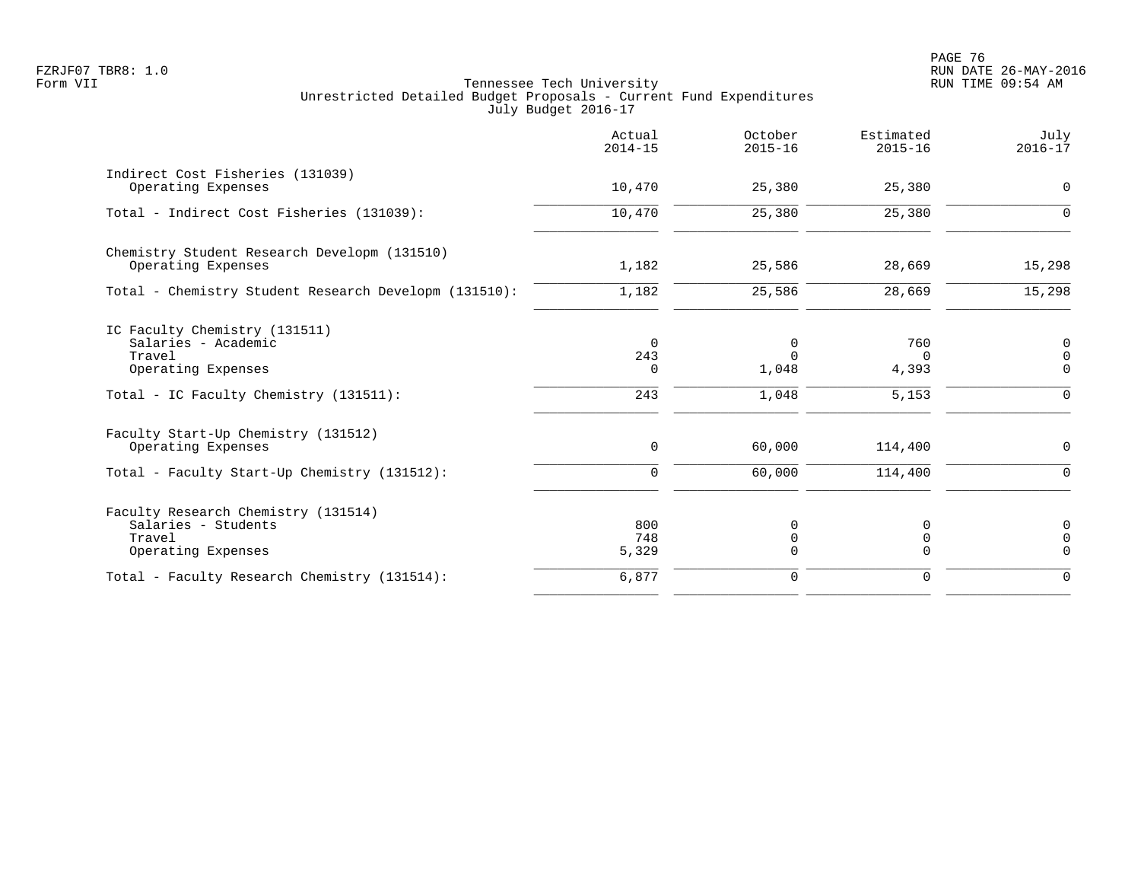|                                                                                                           | Actual<br>$2014 - 15$       | October<br>$2015 - 16$ | Estimated<br>$2015 - 16$ | July<br>$2016 - 17$                       |
|-----------------------------------------------------------------------------------------------------------|-----------------------------|------------------------|--------------------------|-------------------------------------------|
| Indirect Cost Fisheries (131039)<br>Operating Expenses                                                    | 10,470                      | 25,380                 | 25,380                   | $\mathbf 0$                               |
| Total - Indirect Cost Fisheries (131039):                                                                 | 10,470                      | 25,380                 | 25,380                   | $\mathbf 0$                               |
| Chemistry Student Research Developm (131510)<br>Operating Expenses                                        | 1,182                       | 25,586                 | 28,669                   | 15,298                                    |
| Total - Chemistry Student Research Developm (131510):                                                     | 1,182                       | 25,586                 | 28,669                   | 15,298                                    |
| IC Faculty Chemistry (131511)<br>Salaries - Academic<br>Travel<br>Operating Expenses                      | $\Omega$<br>243<br>$\Omega$ | 0<br>$\Omega$<br>1,048 | 760<br>$\Omega$<br>4,393 | $\mathbf 0$<br>$\Omega$<br>$\Omega$       |
| Total - IC Faculty Chemistry (131511):                                                                    | 243                         | 1,048                  | 5,153                    | $\Omega$                                  |
| Faculty Start-Up Chemistry (131512)<br>Operating Expenses<br>Total - Faculty Start-Up Chemistry (131512): | $\mathbf 0$<br>$\Omega$     | 60,000<br>60,000       | 114,400<br>114,400       | $\mathbf 0$<br>$\Omega$                   |
| Faculty Research Chemistry (131514)<br>Salaries - Students<br>Travel<br>Operating Expenses                | 800<br>748<br>5,329         | 0<br>0<br>$\Omega$     | 0<br>0<br>$\Omega$       | $\mathbf 0$<br>$\overline{0}$<br>$\Omega$ |
| Total - Faculty Research Chemistry (131514):                                                              | 6,877                       | 0                      | $\mathbf 0$              | $\Omega$                                  |
|                                                                                                           |                             |                        |                          |                                           |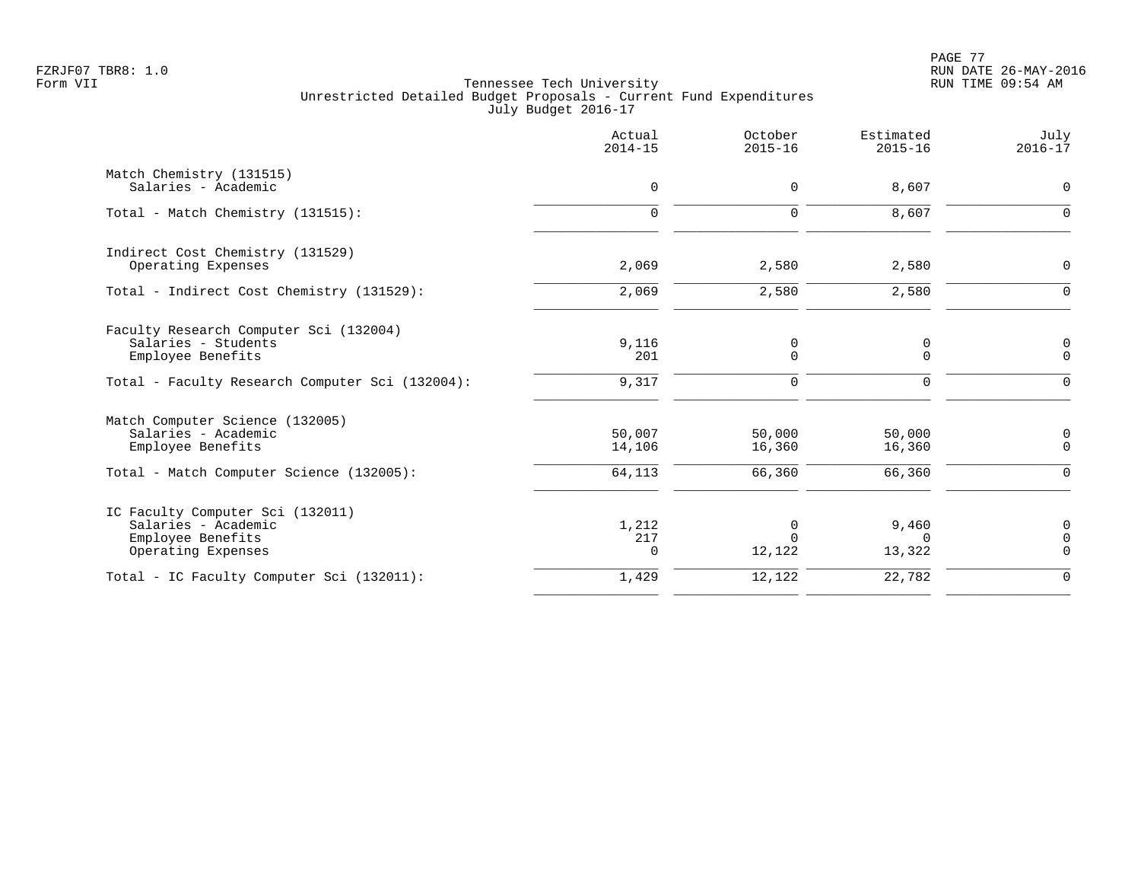PAGE 77 FZRJF07 TBR8: 1.0 RUN DATE 26-MAY-2016

|                                                                                                                         | Actual<br>$2014 - 15$      | October<br>$2015 - 16$     | Estimated<br>$2015 - 16$    | July<br>$2016 - 17$             |
|-------------------------------------------------------------------------------------------------------------------------|----------------------------|----------------------------|-----------------------------|---------------------------------|
| Match Chemistry (131515)<br>Salaries - Academic                                                                         | $\mathbf 0$                | 0                          | 8,607                       | $\mathbf 0$                     |
| Total - Match Chemistry (131515):                                                                                       | $\mathbf 0$                | 0                          | 8,607                       | $\mathbf 0$                     |
| Indirect Cost Chemistry (131529)<br>Operating Expenses                                                                  | 2,069                      | 2,580                      | 2,580                       | 0                               |
| Total - Indirect Cost Chemistry (131529):                                                                               | 2,069                      | 2,580                      | 2,580                       | $\Omega$                        |
| Faculty Research Computer Sci (132004)<br>Salaries - Students<br>Employee Benefits                                      | 9,116<br>201               | 0<br>0                     | 0<br>$\mathbf 0$            | 0<br>$\Omega$                   |
| Total - Faculty Research Computer Sci (132004):                                                                         | 9,317                      | $\mathbf 0$                | $\mathbf 0$                 | $\Omega$                        |
| Match Computer Science (132005)<br>Salaries - Academic<br>Employee Benefits<br>Total - Match Computer Science (132005): | 50,007<br>14,106<br>64,113 | 50,000<br>16,360<br>66,360 | 50,000<br>16,360<br>66,360  | 0<br>$\Omega$<br>$\Omega$       |
| IC Faculty Computer Sci (132011)<br>Salaries - Academic<br>Employee Benefits<br>Operating Expenses                      | 1,212<br>217<br>$\Omega$   | 0<br>12,122                | 9,460<br>$\Omega$<br>13,322 | 0<br>$\overline{0}$<br>$\Omega$ |
| Total - IC Faculty Computer Sci (132011):                                                                               | 1,429                      | 12,122                     | 22,782                      | $\mathbf 0$                     |
|                                                                                                                         |                            |                            |                             |                                 |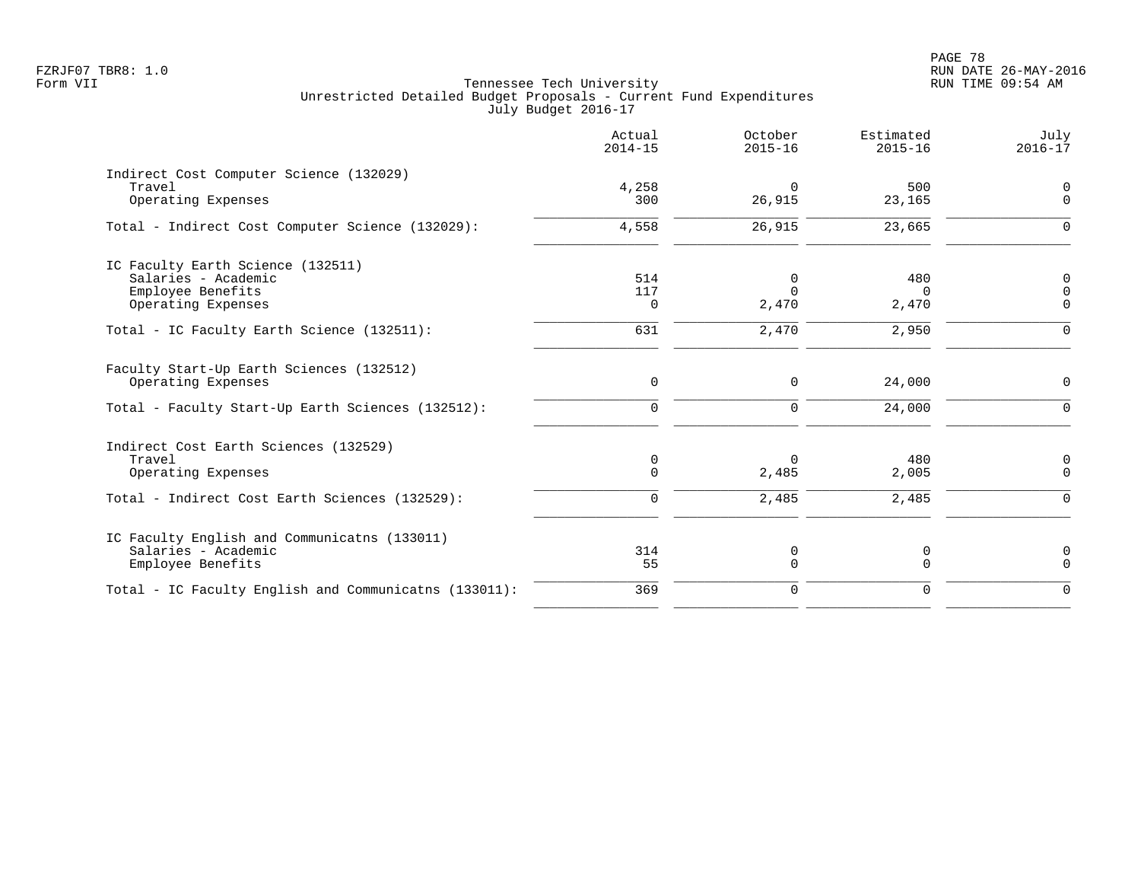|                                                                                                     | Actual<br>$2014 - 15$ | October<br>$2015 - 16$ | Estimated<br>$2015 - 16$ | July<br>$2016 - 17$                          |
|-----------------------------------------------------------------------------------------------------|-----------------------|------------------------|--------------------------|----------------------------------------------|
| Indirect Cost Computer Science (132029)<br>Travel<br>Operating Expenses                             | 4,258<br>300          | $\Omega$<br>26,915     | 500<br>23,165            | $\mathbf 0$<br>$\mathbf 0$                   |
| Total - Indirect Cost Computer Science (132029):                                                    | 4,558                 | 26,915                 | 23,665                   | $\mathbf 0$                                  |
| IC Faculty Earth Science (132511)<br>Salaries - Academic<br>Employee Benefits<br>Operating Expenses | 514<br>117<br>0       | 0<br>$\Omega$<br>2,470 | 480<br>$\Omega$<br>2,470 | $\mathbf 0$<br>$\overline{0}$<br>$\mathbf 0$ |
| Total - IC Faculty Earth Science (132511):                                                          | 631                   | 2,470                  | 2,950                    | $\mathbf 0$                                  |
| Faculty Start-Up Earth Sciences (132512)<br>Operating Expenses                                      | $\mathbf 0$           | 0                      | 24,000                   | $\mathbf 0$                                  |
| Total - Faculty Start-Up Earth Sciences (132512):                                                   | $\mathbf 0$           | $\mathbf 0$            | 24,000                   | $\mathbf 0$                                  |
| Indirect Cost Earth Sciences (132529)<br>Travel<br>Operating Expenses                               | 0<br>$\mathbf 0$      | $\Omega$<br>2,485      | 480<br>2,005             | 0<br>$\mathbf 0$                             |
| Total - Indirect Cost Earth Sciences (132529):                                                      | $\mathbf 0$           | 2,485                  | 2,485                    | $\Omega$                                     |
| IC Faculty English and Communicatns (133011)<br>Salaries - Academic<br>Employee Benefits            | 314<br>55             | 0<br>$\mathbf 0$       | 0<br>$\mathbf 0$         | $\mathbf 0$<br>$\Omega$                      |
| Total - IC Faculty English and Communicatns (133011):                                               | 369                   | $\mathbf 0$            | $\mathbf 0$              | $\mathbf 0$                                  |
|                                                                                                     |                       |                        |                          |                                              |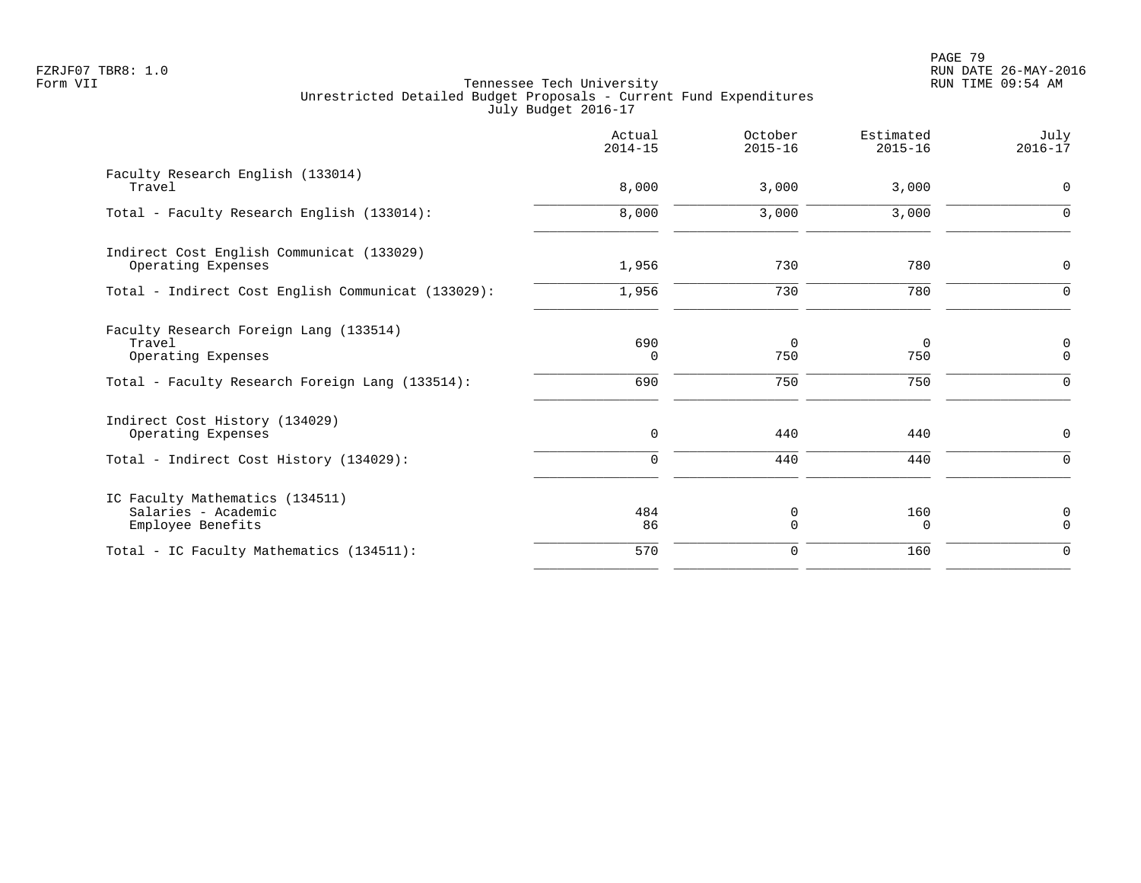|                                                                             | Actual<br>$2014 - 15$ | October<br>$2015 - 16$ | Estimated<br>$2015 - 16$ | July<br>$2016 - 17$     |
|-----------------------------------------------------------------------------|-----------------------|------------------------|--------------------------|-------------------------|
| Faculty Research English (133014)<br>Travel                                 | 8,000                 | 3,000                  | 3,000                    | $\mathbf 0$             |
| Total - Faculty Research English (133014):                                  | 8,000                 | 3,000                  | 3,000                    | $\Omega$                |
| Indirect Cost English Communicat (133029)<br>Operating Expenses             | 1,956                 | 730                    | 780                      | 0                       |
| Total - Indirect Cost English Communicat (133029):                          | 1,956                 | 730                    | 780                      | $\mathbf 0$             |
| Faculty Research Foreign Lang (133514)<br>Travel<br>Operating Expenses      | 690<br>$\Omega$       | 0<br>750               | 0<br>750                 | 0<br>$\mathbf 0$        |
| Total - Faculty Research Foreign Lang (133514):                             | 690                   | 750                    | 750                      | $\Omega$                |
| Indirect Cost History (134029)<br>Operating Expenses                        | $\mathbf 0$           | 440                    | 440                      | 0                       |
| Total - Indirect Cost History (134029):                                     | $\Omega$              | 440                    | 440                      | $\Omega$                |
| IC Faculty Mathematics (134511)<br>Salaries - Academic<br>Employee Benefits | 484<br>86             | 0<br>$\Omega$          | 160<br>$\Omega$          | $\mathbf 0$<br>$\Omega$ |
| Total - IC Faculty Mathematics (134511):                                    | 570                   | 0                      | 160                      | $\mathbf 0$             |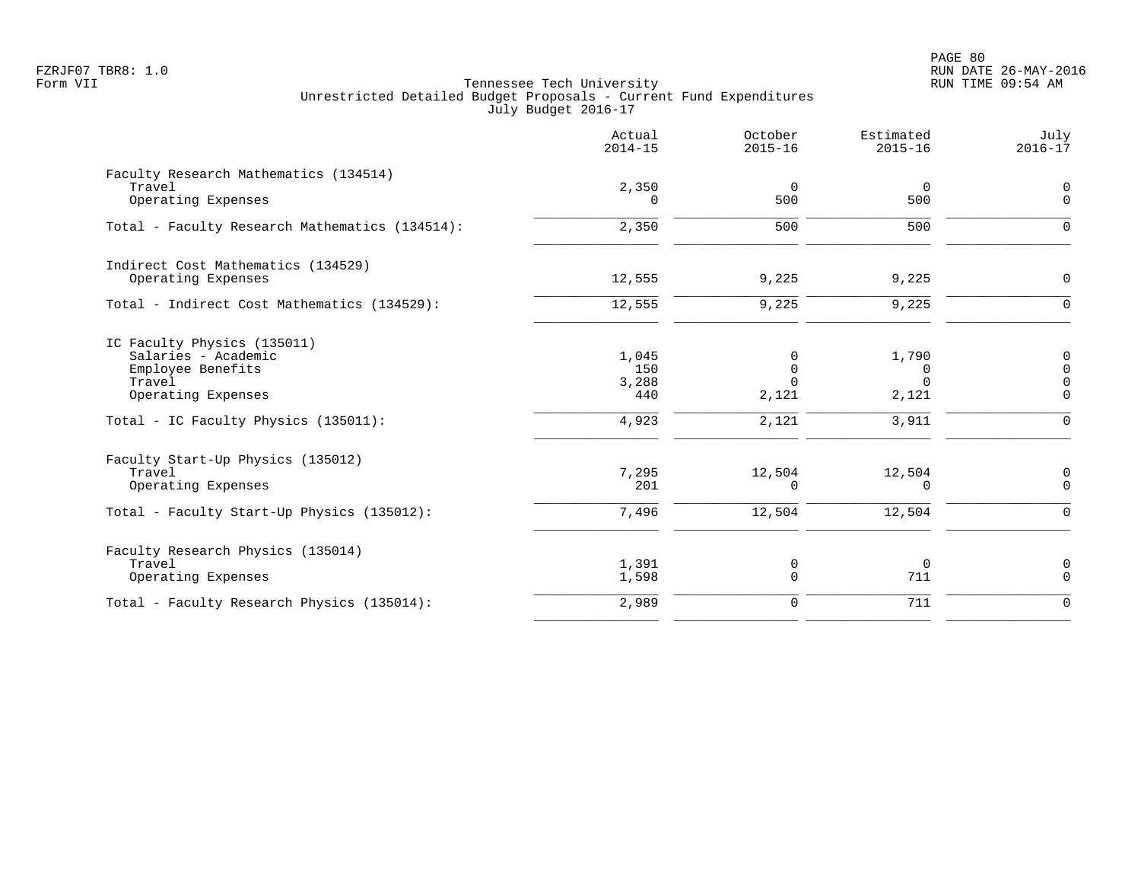PAGE 80 FZRJF07 TBR8: 1.0 RUN DATE 26-MAY-2016

|                                                                                                         | Actual<br>$2014 - 15$        | October<br>$2015 - 16$                    | Estimated<br>$2015 - 16$               | July<br>$2016 - 17$                                         |
|---------------------------------------------------------------------------------------------------------|------------------------------|-------------------------------------------|----------------------------------------|-------------------------------------------------------------|
| Faculty Research Mathematics (134514)<br>Travel<br>Operating Expenses                                   | 2,350<br>$\Omega$            | $\mathbf 0$<br>500                        | $\overline{0}$<br>500                  | $\mathbf 0$<br>$\Omega$                                     |
| Total - Faculty Research Mathematics (134514):                                                          | 2,350                        | 500                                       | 500                                    | $\Omega$                                                    |
| Indirect Cost Mathematics (134529)<br>Operating Expenses                                                | 12,555                       | 9,225                                     | 9,225                                  | $\mathbf 0$                                                 |
| Total - Indirect Cost Mathematics (134529):                                                             | 12,555                       | 9,225                                     | 9,225                                  | $\Omega$                                                    |
| IC Faculty Physics (135011)<br>Salaries - Academic<br>Employee Benefits<br>Travel<br>Operating Expenses | 1,045<br>150<br>3,288<br>440 | $\Omega$<br>$\Omega$<br>$\Omega$<br>2,121 | 1,790<br>$\Omega$<br>$\Omega$<br>2,121 | $\mathbf 0$<br>$\mathbf 0$<br>$\overline{0}$<br>$\mathbf 0$ |
| Total - IC Faculty Physics (135011):                                                                    | 4,923                        | 2,121                                     | 3,911                                  | $\Omega$                                                    |
| Faculty Start-Up Physics (135012)<br>Travel<br>Operating Expenses                                       | 7,295<br>201                 | 12,504<br>$\Omega$                        | 12,504<br>$\Omega$                     | $\mathbf 0$<br>$\Omega$                                     |
| Total - Faculty Start-Up Physics (135012):                                                              | 7,496                        | 12,504                                    | 12,504                                 | $\Omega$                                                    |
| Faculty Research Physics (135014)<br>Travel<br>Operating Expenses                                       | 1,391<br>1,598               | 0<br>0                                    | $\mathbf 0$<br>711                     | $\mathbf 0$<br>$\Omega$                                     |
| Total - Faculty Research Physics (135014):                                                              | 2,989                        | $\mathbf 0$                               | 711                                    | $\Omega$                                                    |
|                                                                                                         |                              |                                           |                                        |                                                             |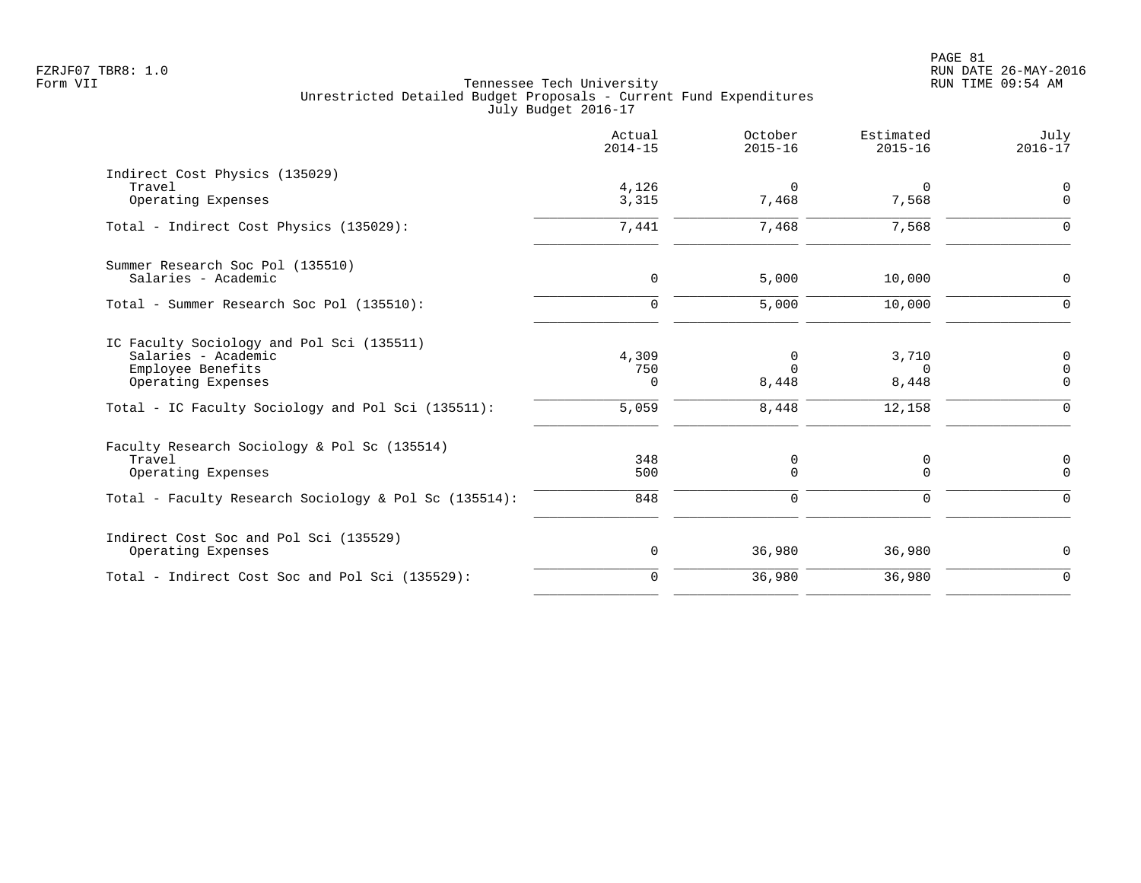|                                                         | Actual<br>$2014 - 15$ | October<br>$2015 - 16$ | Estimated<br>$2015 - 16$ | July<br>$2016 - 17$     |
|---------------------------------------------------------|-----------------------|------------------------|--------------------------|-------------------------|
| Indirect Cost Physics (135029)<br>Travel                | 4,126                 | 0                      | 0                        | $\mathbf 0$             |
| Operating Expenses                                      | 3,315                 | 7,468                  | 7,568                    | $\mathbf 0$             |
| Total - Indirect Cost Physics (135029):                 | 7,441                 | 7,468                  | 7,568                    | $\Omega$                |
| Summer Research Soc Pol (135510)<br>Salaries - Academic | $\mathbf 0$           | 5,000                  | 10,000                   | $\Omega$                |
|                                                         |                       |                        |                          |                         |
| Total - Summer Research Soc Pol (135510):               | $\Omega$              | 5,000                  | 10,000                   | $\Omega$                |
| IC Faculty Sociology and Pol Sci (135511)               |                       |                        |                          |                         |
| Salaries - Academic                                     | 4,309                 | 0<br>$\Omega$          | 3,710                    | $\mathbf 0$             |
| Employee Benefits<br>Operating Expenses                 | 750<br>$\Omega$       | 8,448                  | $\Omega$<br>8,448        | $\mathbf 0$<br>$\Omega$ |
| Total - IC Faculty Sociology and Pol Sci (135511):      | 5,059                 | 8,448                  | 12,158                   | $\Omega$                |
| Faculty Research Sociology & Pol Sc (135514)            |                       |                        |                          |                         |
| Travel                                                  | 348                   | 0                      | 0                        | 0                       |
| Operating Expenses                                      | 500                   | $\Omega$               | $\Omega$                 | $\Omega$                |
| Total - Faculty Research Sociology & Pol Sc (135514):   | 848                   | 0                      | $\Omega$                 | $\Omega$                |
| Indirect Cost Soc and Pol Sci (135529)                  |                       |                        |                          |                         |
| Operating Expenses                                      | 0                     | 36,980                 | 36,980                   | 0                       |
| Total - Indirect Cost Soc and Pol Sci (135529):         | $\mathbf 0$           | 36,980                 | 36,980                   | $\mathbf 0$             |
|                                                         |                       |                        |                          |                         |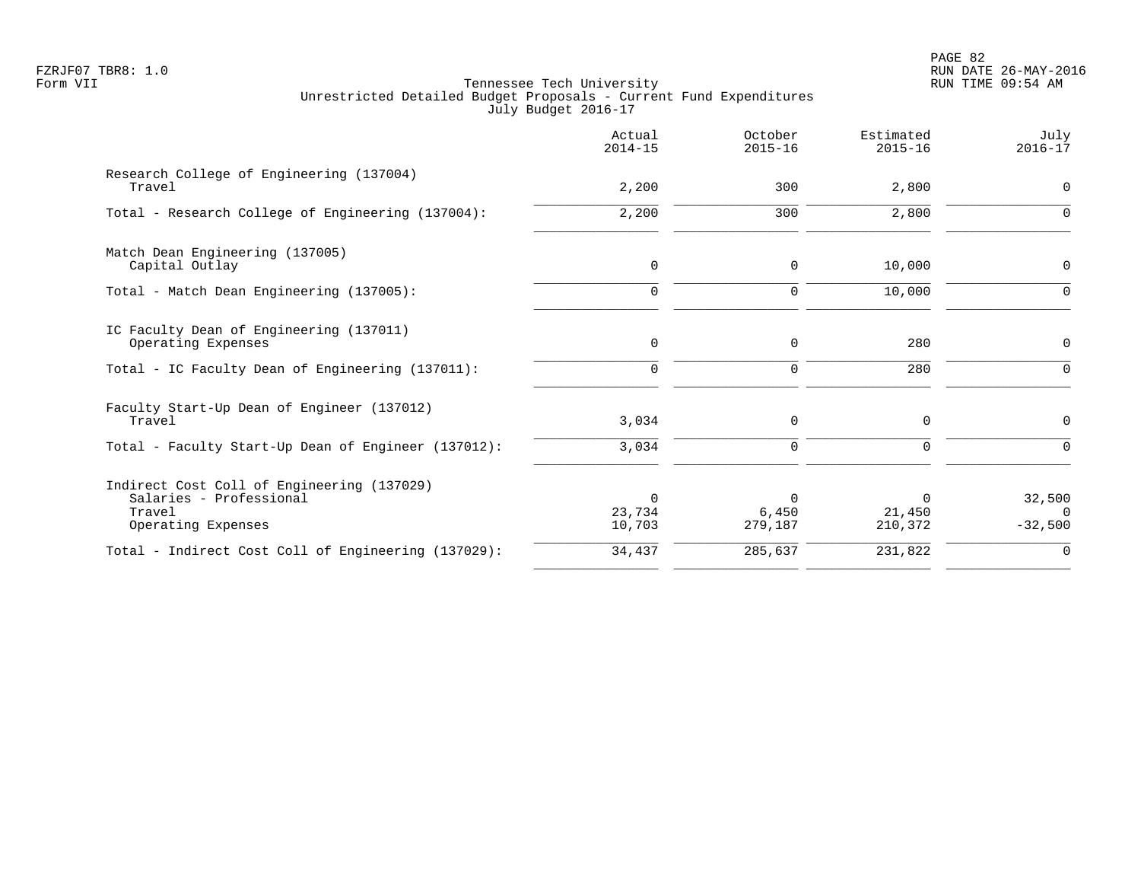|                                                                                                       | Actual<br>$2014 - 15$        | October<br>$2015 - 16$       | Estimated<br>$2015 - 16$      | July<br>$2016 - 17$           |
|-------------------------------------------------------------------------------------------------------|------------------------------|------------------------------|-------------------------------|-------------------------------|
| Research College of Engineering (137004)<br>Travel                                                    | 2,200                        | 300                          | 2,800                         | 0                             |
| Total - Research College of Engineering (137004):                                                     | 2,200                        | 300                          | 2,800                         | $\Omega$                      |
| Match Dean Engineering (137005)<br>Capital Outlay                                                     | $\mathbf 0$                  | 0                            | 10,000                        | 0                             |
| Total - Match Dean Engineering (137005):                                                              | $\mathbf 0$                  | $\mathbf 0$                  | 10,000                        | $\Omega$                      |
| IC Faculty Dean of Engineering (137011)<br>Operating Expenses                                         | $\mathbf 0$                  | $\mathbf 0$                  | 280                           | 0                             |
| Total - IC Faculty Dean of Engineering (137011):                                                      | $\Omega$                     | $\mathbf 0$                  | 280                           | $\Omega$                      |
| Faculty Start-Up Dean of Engineer (137012)<br>Travel                                                  | 3,034                        | 0                            | $\mathbf 0$                   | $\mathbf 0$                   |
| Total - Faculty Start-Up Dean of Engineer (137012):                                                   | 3,034                        | $\mathbf 0$                  | $\Omega$                      | $\Omega$                      |
| Indirect Cost Coll of Engineering (137029)<br>Salaries - Professional<br>Travel<br>Operating Expenses | $\Omega$<br>23,734<br>10,703 | $\Omega$<br>6,450<br>279,187 | $\Omega$<br>21,450<br>210,372 | 32,500<br>$\cap$<br>$-32,500$ |
| Total - Indirect Cost Coll of Engineering (137029):                                                   | 34,437                       | 285,637                      | 231,822                       | $\overline{0}$                |
|                                                                                                       |                              |                              |                               |                               |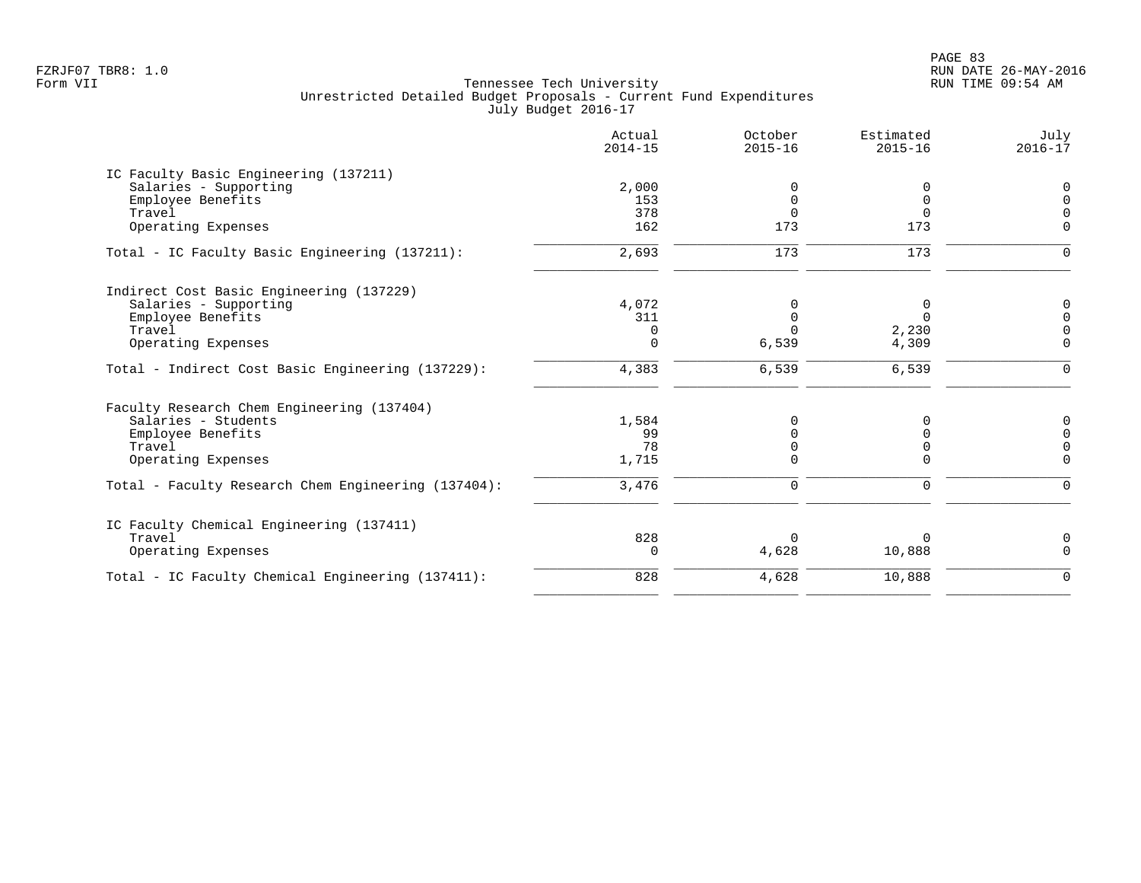| Actual<br>$2014 - 15$ | October<br>$2015 - 16$     | Estimated<br>$2015 - 16$ | July<br>$2016 - 17$ |
|-----------------------|----------------------------|--------------------------|---------------------|
|                       |                            |                          |                     |
| 2,000                 | $\Omega$                   | 0                        | $\mathbf 0$         |
| 153                   | 0                          | 0                        | $\Omega$            |
| 378                   | $\Omega$                   | $\Omega$                 |                     |
|                       |                            |                          | $\Omega$            |
| 2,693                 | $\frac{173}{}$             | $\frac{173}{}$           | $\Omega$            |
|                       |                            |                          |                     |
|                       | 0                          |                          | 0                   |
|                       |                            | $\Omega$                 | $\Omega$            |
| $\Omega$              |                            |                          |                     |
| $\Omega$              | 6,539                      | 4,309                    | $\Omega$            |
| 4,383                 | 6,539                      | 6,539                    | $\Omega$            |
|                       |                            |                          |                     |
| 1,584                 |                            |                          | 0                   |
| 99                    |                            |                          | $\Omega$            |
| 78                    |                            | 0                        | $\Omega$            |
| 1,715                 | $\Omega$                   | U                        | $\Omega$            |
| 3,476                 | 0                          | 0                        | ∩                   |
|                       |                            |                          |                     |
|                       |                            |                          | 0                   |
| $\Omega$              | 4,628                      | 10,888                   | $\Omega$            |
| 828                   | 4,628                      | 10,888                   | $\Omega$            |
|                       | 162<br>4,072<br>311<br>828 | 173<br>$\Omega$          | 173<br>0<br>2,230   |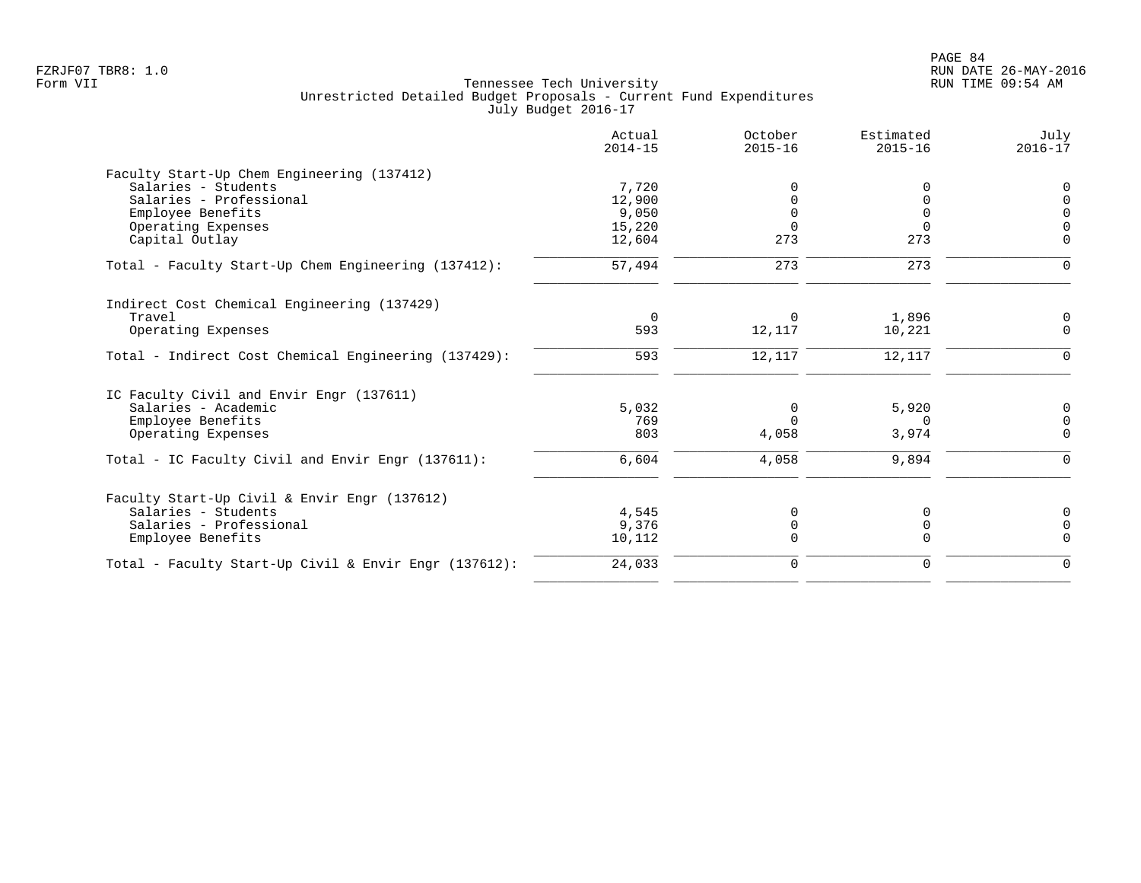|                                                       | Actual<br>$2014 - 15$ | October<br>$2015 - 16$ | Estimated<br>$2015 - 16$ | July<br>$2016 - 17$ |
|-------------------------------------------------------|-----------------------|------------------------|--------------------------|---------------------|
| Faculty Start-Up Chem Engineering (137412)            |                       |                        |                          |                     |
| Salaries - Students                                   | 7,720                 |                        | 0                        | $\Omega$            |
| Salaries - Professional                               | 12,900                |                        | $\Omega$                 |                     |
| Employee Benefits                                     | 9,050                 |                        | $\Omega$                 |                     |
| Operating Expenses                                    | 15,220                |                        | $\Omega$                 |                     |
| Capital Outlay                                        | 12,604                | 273                    | 273                      | $\Omega$            |
| Total - Faculty Start-Up Chem Engineering (137412):   | 57,494                | 273                    | 273                      | $\Omega$            |
| Indirect Cost Chemical Engineering (137429)           |                       |                        |                          |                     |
| Travel                                                | $\Omega$              | $\Omega$               | 1,896                    | 0                   |
| Operating Expenses                                    | 593                   | 12,117                 | 10,221                   | $\Omega$            |
| Total - Indirect Cost Chemical Engineering (137429):  | 593                   | 12,117                 | 12,117                   | $\Omega$            |
| IC Faculty Civil and Envir Engr (137611)              |                       |                        |                          |                     |
| Salaries - Academic                                   | 5,032                 | 0                      | 5,920                    | 0                   |
| Employee Benefits                                     | 769                   | $\cap$                 | $\Omega$                 | $\Omega$            |
| Operating Expenses                                    | 803                   | 4,058                  | 3,974                    | $\Omega$            |
| Total - IC Faculty Civil and Envir Engr (137611):     | 6,604                 | 4,058                  | 9,894                    | $\Omega$            |
| Faculty Start-Up Civil & Envir Engr (137612)          |                       |                        |                          |                     |
| Salaries - Students                                   | 4,545                 | $\Omega$               | 0                        | 0                   |
| Salaries - Professional                               | 9,376                 | $\Omega$               | 0                        | $\Omega$            |
| Employee Benefits                                     | 10,112                | $\Omega$               | $\Omega$                 | $\Omega$            |
| Total - Faculty Start-Up Civil & Envir Engr (137612): | 24,033                | 0                      | $\mathbf 0$              | $\Omega$            |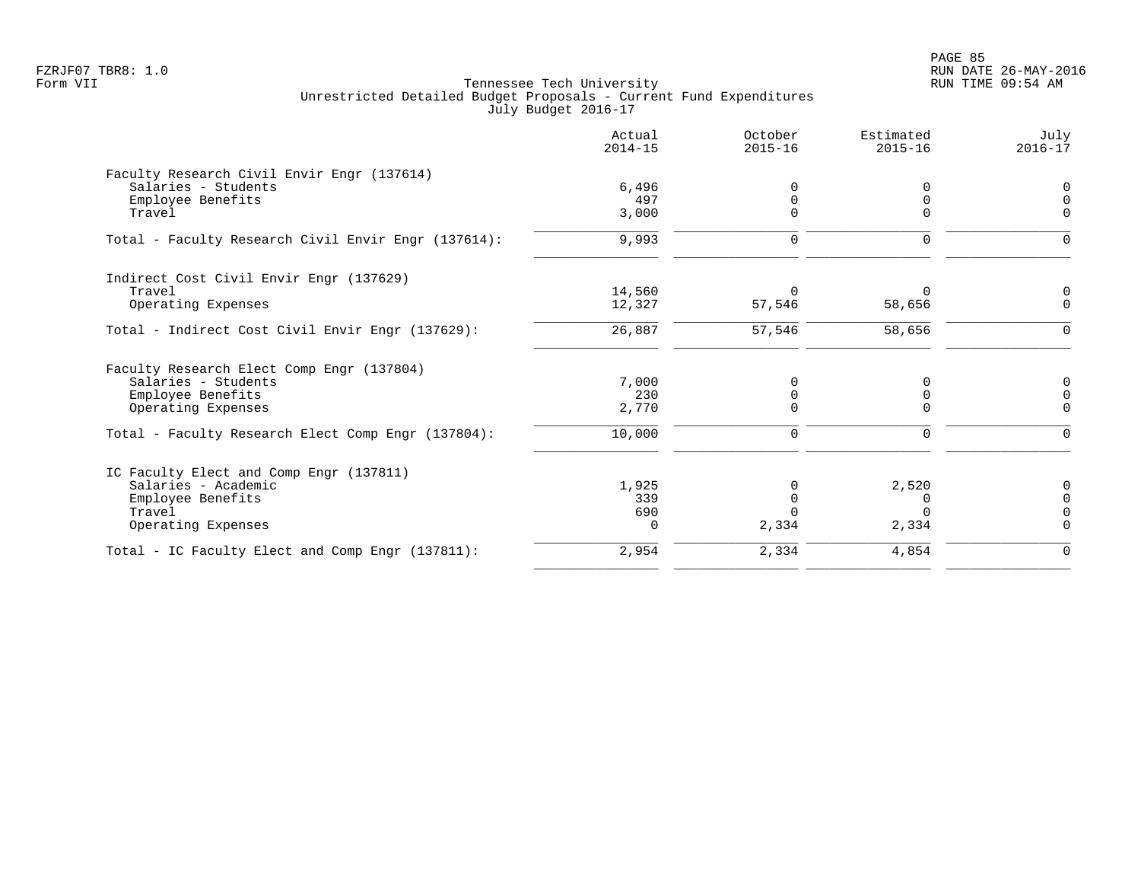PAGE 85 FZRJF07 TBR8: 1.0 RUN DATE 26-MAY-2016

|                                                     | Actual<br>$2014 - 15$ | October<br>$2015 - 16$ | Estimated<br>$2015 - 16$ | July<br>$2016 - 17$     |
|-----------------------------------------------------|-----------------------|------------------------|--------------------------|-------------------------|
| Faculty Research Civil Envir Engr (137614)          |                       |                        |                          |                         |
| Salaries - Students                                 | 6,496                 | $\Omega$               | 0                        | 0                       |
| Employee Benefits<br>Travel                         | 497<br>3,000          | $\Omega$<br>$\Omega$   | 0                        | $\mathbf 0$<br>$\Omega$ |
|                                                     |                       |                        |                          |                         |
| Total - Faculty Research Civil Envir Engr (137614): | 9,993                 | $\mathbf 0$            | $\Omega$                 | $\Omega$                |
| Indirect Cost Civil Envir Engr (137629)             |                       |                        |                          |                         |
| Travel                                              | 14,560                | $\Omega$               | $\Omega$                 | 0                       |
| Operating Expenses                                  | 12,327                | 57,546                 | 58,656                   | $\Omega$                |
| Total - Indirect Cost Civil Envir Engr (137629):    | 26,887                | 57,546                 | 58,656                   | $\Omega$                |
| Faculty Research Elect Comp Engr (137804)           |                       |                        |                          |                         |
| Salaries - Students                                 | 7,000                 | 0                      | 0                        | 0                       |
| Employee Benefits                                   | 230                   | $\mathbf 0$            | 0                        | $\mathbf 0$             |
| Operating Expenses                                  | 2,770                 | $\mathbf 0$            | $\Omega$                 | $\Omega$                |
| Total - Faculty Research Elect Comp Engr (137804):  | 10,000                | 0                      | $\mathbf 0$              | 0                       |
| IC Faculty Elect and Comp Engr (137811)             |                       |                        |                          |                         |
| Salaries - Academic                                 | 1,925                 | $\Omega$               | 2,520                    | 0                       |
| Employee Benefits                                   | 339                   | $\mathbf 0$            | 0                        | $\mathbf 0$             |
| Travel                                              | 690                   | $\Omega$               | $\Omega$                 | $\Omega$                |
| Operating Expenses                                  | $\Omega$              | 2,334                  | 2,334                    | $\Omega$                |
| Total - IC Faculty Elect and Comp Engr (137811):    | 2,954                 | 2,334                  | 4,854                    | $\mathbf 0$             |
|                                                     |                       |                        |                          |                         |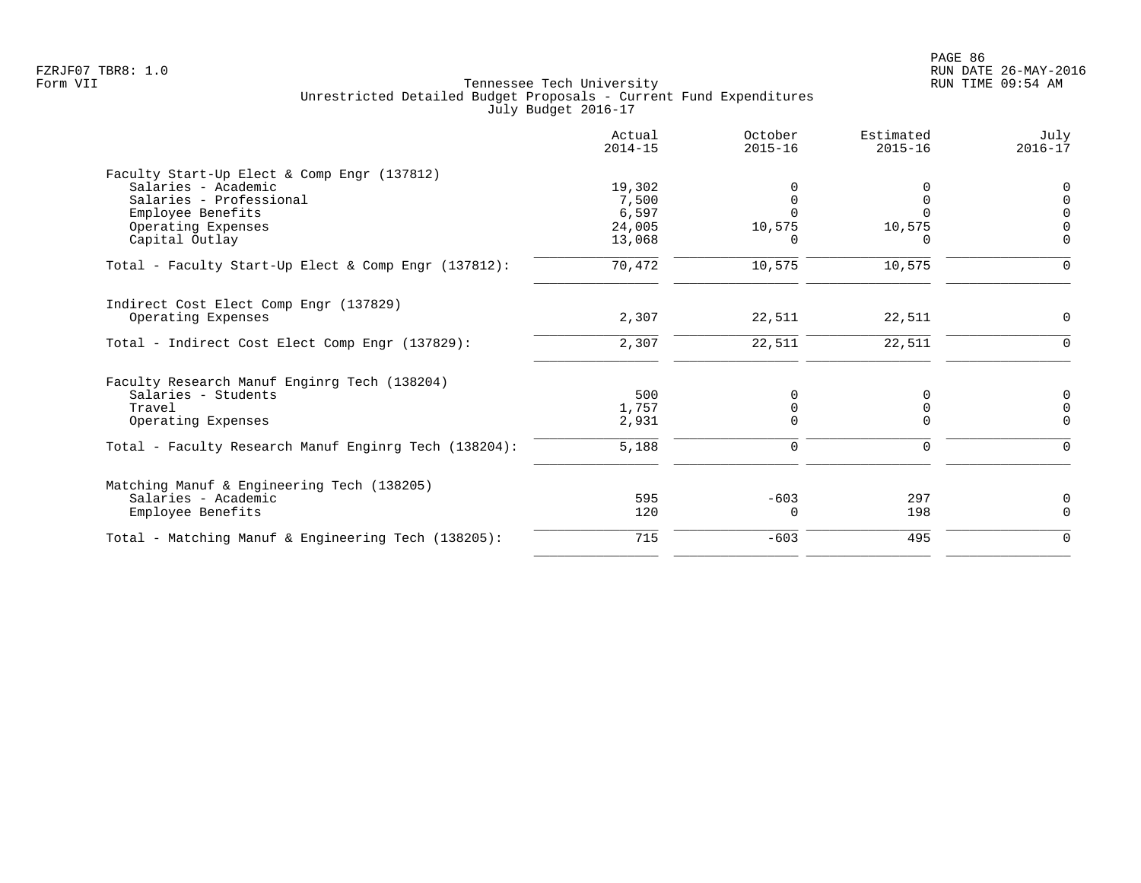|                                                       | Actual<br>$2014 - 15$ | October<br>$2015 - 16$ | Estimated<br>$2015 - 16$ | July<br>$2016 - 17$ |
|-------------------------------------------------------|-----------------------|------------------------|--------------------------|---------------------|
| Faculty Start-Up Elect & Comp Engr (137812)           |                       |                        |                          |                     |
| Salaries - Academic                                   | 19,302                |                        |                          |                     |
| Salaries - Professional<br>Employee Benefits          | 7,500<br>6,597        |                        | $\Omega$                 |                     |
| Operating Expenses                                    | 24,005                | 10,575                 | 10,575                   |                     |
| Capital Outlay                                        | 13,068                | O                      | $\Omega$                 | $\Omega$            |
| Total - Faculty Start-Up Elect & Comp Engr (137812):  | 70,472                | 10,575                 | 10,575                   | $\Omega$            |
| Indirect Cost Elect Comp Engr (137829)                |                       |                        |                          |                     |
| Operating Expenses                                    | 2,307                 | 22,511                 | 22,511                   | $\Omega$            |
| Total - Indirect Cost Elect Comp Engr (137829):       | 2,307                 | 22,511                 | 22,511                   | 0                   |
| Faculty Research Manuf Enginrg Tech (138204)          |                       |                        |                          |                     |
| Salaries - Students                                   | 500                   | $\Omega$               | 0                        | 0                   |
| Travel                                                | 1,757                 |                        | 0                        | $\Omega$            |
| Operating Expenses                                    | 2,931                 | <sup>n</sup>           | $\Omega$                 | $\Omega$            |
| Total - Faculty Research Manuf Enginrg Tech (138204): | 5,188                 | 0                      | 0                        | $\Omega$            |
| Matching Manuf & Engineering Tech (138205)            |                       |                        |                          |                     |
| Salaries - Academic                                   | 595                   | $-603$                 | 297                      | 0                   |
| Employee Benefits                                     | 120                   | <sup>0</sup>           | 198                      | $\Omega$            |
| Total - Matching Manuf & Engineering Tech (138205):   | 715                   | $-603$                 | 495                      | $\Omega$            |
|                                                       |                       |                        |                          |                     |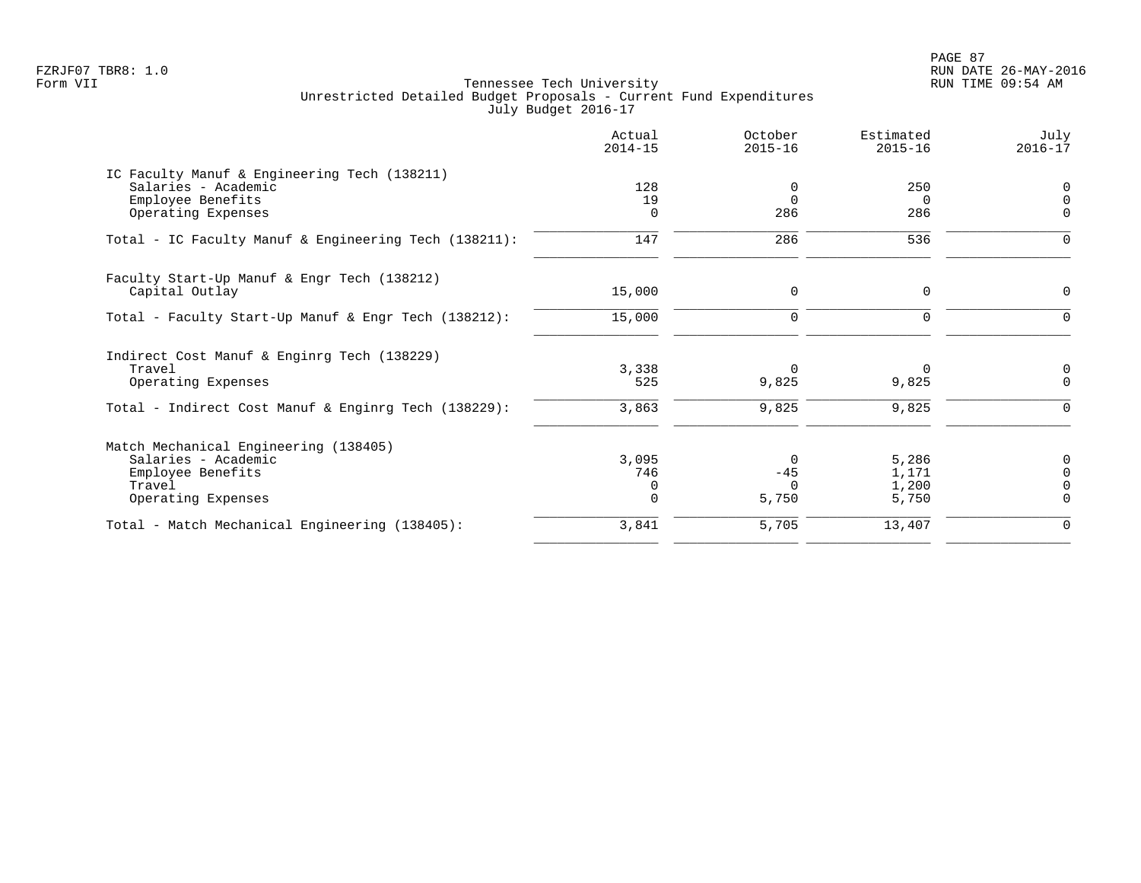PAGE 87 FZRJF07 TBR8: 1.0 RUN DATE 26-MAY-2016

|                                                                                                                                     | Actual<br>$2014 - 15$                | October<br>$2015 - 16$               | Estimated<br>$2015 - 16$         | July<br>$2016 - 17$                               |
|-------------------------------------------------------------------------------------------------------------------------------------|--------------------------------------|--------------------------------------|----------------------------------|---------------------------------------------------|
| IC Faculty Manuf & Engineering Tech (138211)<br>Salaries - Academic<br>Employee Benefits<br>Operating Expenses                      | 128<br>19<br>0                       | 0<br>$\Omega$<br>286                 | 250<br>$\Omega$<br>286           | 0<br>$\mathbf 0$<br>0                             |
| Total - IC Faculty Manuf & Engineering Tech (138211):                                                                               | 147                                  | 286                                  | 536                              | $\Omega$                                          |
| Faculty Start-Up Manuf & Engr Tech (138212)<br>Capital Outlay                                                                       | 15,000                               | 0                                    | 0                                | 0                                                 |
| Total - Faculty Start-Up Manuf & Engr Tech (138212):                                                                                | 15,000                               | $\mathbf 0$                          | $\Omega$                         | $\Omega$                                          |
| Indirect Cost Manuf & Enginrg Tech (138229)<br>Travel<br>Operating Expenses<br>Total - Indirect Cost Manuf & Enginrg Tech (138229): | 3,338<br>525<br>3,863                | $\Omega$<br>9,825<br>9,825           | 0<br>9,825<br>9,825              | 0<br>$\mathbf 0$<br>$\Omega$                      |
| Match Mechanical Engineering (138405)<br>Salaries - Academic<br>Employee Benefits<br>Travel<br>Operating Expenses                   | 3,095<br>746<br>$\Omega$<br>$\Omega$ | $\Omega$<br>$-45$<br>$\cap$<br>5,750 | 5,286<br>1,171<br>1,200<br>5,750 | 0<br>$\overline{0}$<br>$\overline{0}$<br>$\Omega$ |
| Total - Match Mechanical Engineering (138405):                                                                                      | 3,841                                | 5,705                                | 13,407                           | 0                                                 |
|                                                                                                                                     |                                      |                                      |                                  |                                                   |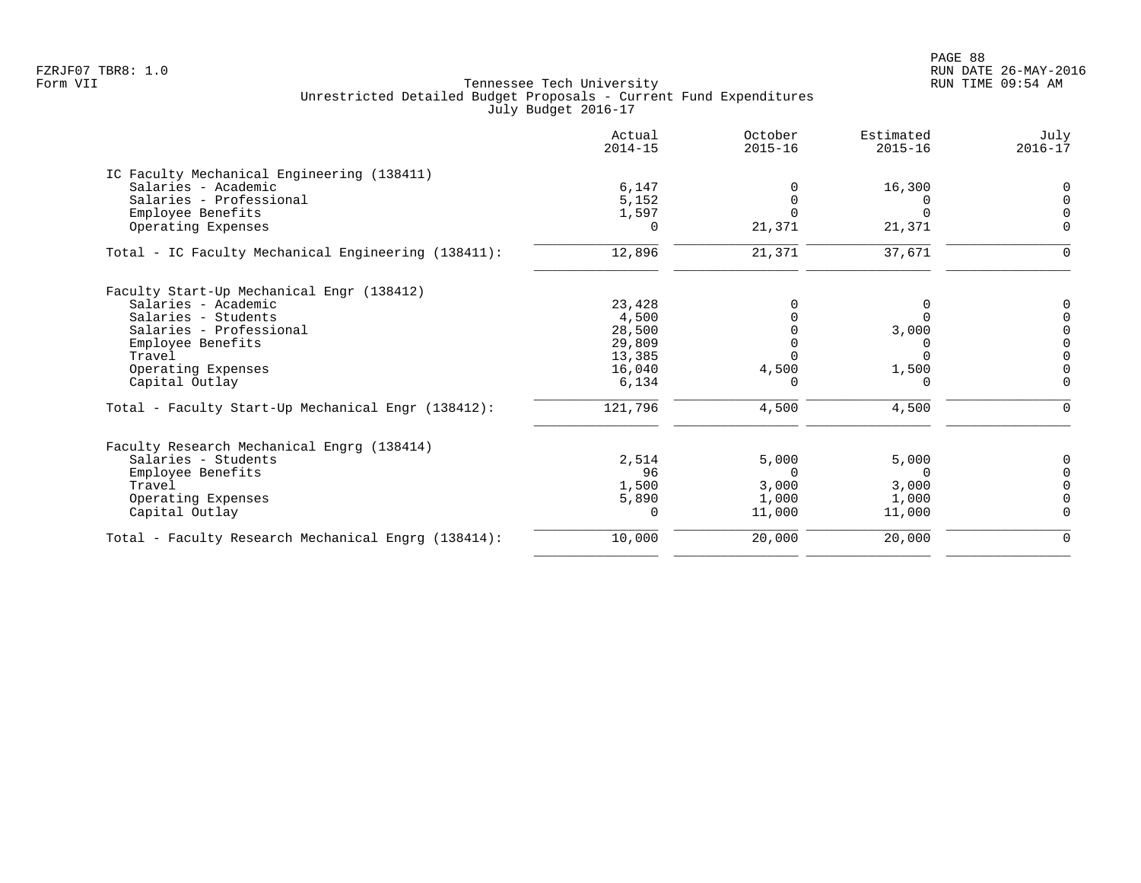|                                                     | Actual<br>$2014 - 15$ | October<br>$2015 - 16$ | Estimated<br>$2015 - 16$ | July<br>$2016 - 17$ |
|-----------------------------------------------------|-----------------------|------------------------|--------------------------|---------------------|
| IC Faculty Mechanical Engineering (138411)          |                       |                        |                          |                     |
| Salaries - Academic                                 | 6,147                 |                        | 16,300                   |                     |
| Salaries - Professional                             | 5,152                 |                        |                          |                     |
| Employee Benefits                                   | 1,597                 |                        |                          |                     |
| Operating Expenses                                  | 0                     | 21,371                 | 21,371                   | O                   |
| Total - IC Faculty Mechanical Engineering (138411): | 12,896                | 21,371                 | 37,671                   | O                   |
| Faculty Start-Up Mechanical Engr (138412)           |                       |                        |                          |                     |
| Salaries - Academic                                 | 23,428                |                        |                          |                     |
| Salaries - Students                                 | 4,500                 |                        | 0                        |                     |
| Salaries - Professional                             | 28,500                |                        | 3,000                    |                     |
| Employee Benefits                                   | 29,809                |                        | 0                        |                     |
| Travel                                              | 13,385                |                        | <sup>n</sup>             |                     |
| Operating Expenses                                  | 16,040                | 4,500                  | 1,500                    |                     |
| Capital Outlay                                      | 6,134                 |                        | O                        |                     |
| Total - Faculty Start-Up Mechanical Engr (138412):  | 121,796               | 4,500                  | 4,500                    |                     |
| Faculty Research Mechanical Engrg (138414)          |                       |                        |                          |                     |
| Salaries - Students                                 | 2,514                 | 5,000                  | 5,000                    |                     |
| Employee Benefits                                   | 96                    | $\Omega$               | $\Omega$                 |                     |
| Travel                                              | 1,500                 | 3,000                  | 3,000                    |                     |
| Operating Expenses                                  | 5,890                 | 1,000                  | 1,000                    |                     |
| Capital Outlay                                      | 0                     | 11,000                 | 11,000                   |                     |
| Total - Faculty Research Mechanical Engrg (138414): | 10,000                | 20,000                 | 20,000                   | $\Omega$            |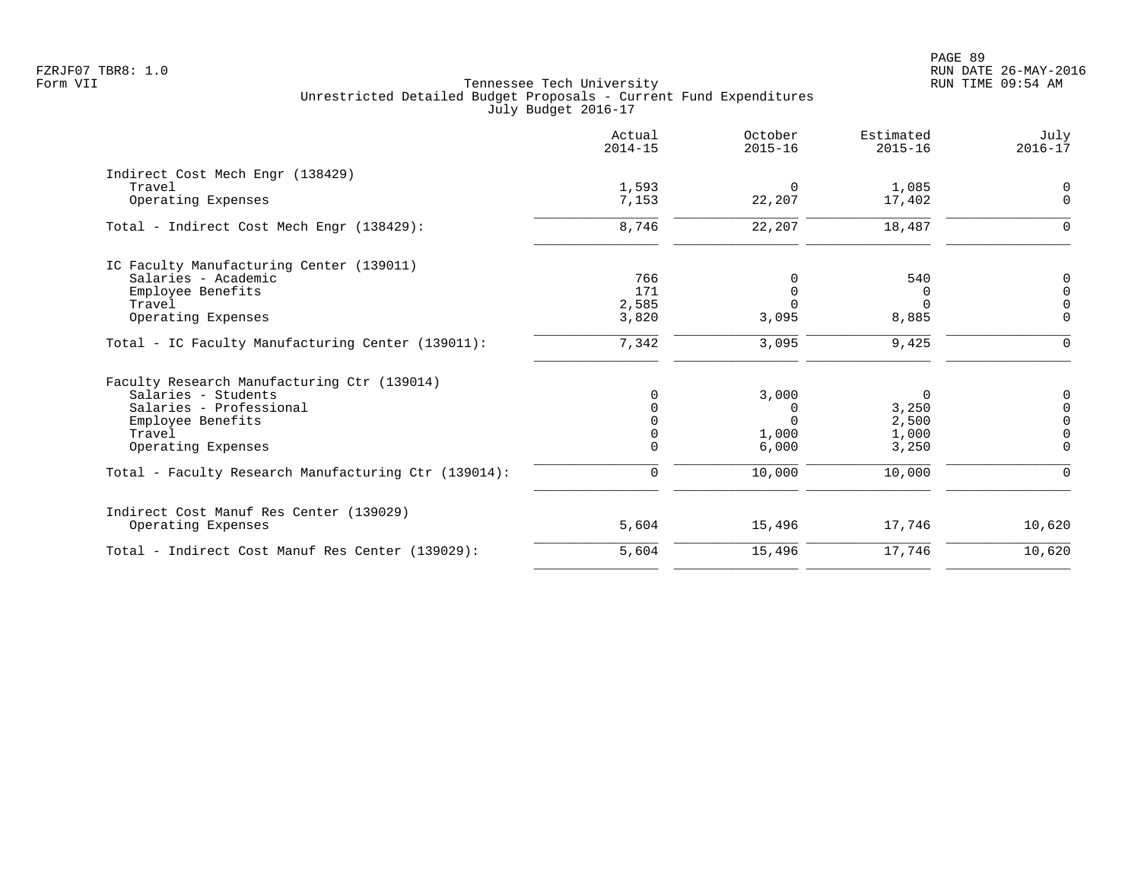|                                                      | Actual<br>$2014 - 15$ | October<br>$2015 - 16$ | Estimated<br>$2015 - 16$ | July<br>$2016 - 17$  |
|------------------------------------------------------|-----------------------|------------------------|--------------------------|----------------------|
| Indirect Cost Mech Engr (138429)                     |                       |                        |                          |                      |
| Travel<br>Operating Expenses                         | 1,593<br>7,153        | $\Omega$<br>22,207     | 1,085<br>17,402          | $\Omega$<br>$\Omega$ |
| Total - Indirect Cost Mech Engr (138429):            | 8,746                 | 22,207                 | 18,487                   | ∩                    |
| IC Faculty Manufacturing Center (139011)             |                       |                        |                          |                      |
| Salaries - Academic                                  | 766                   | 0                      | 540                      | $\Omega$             |
| Employee Benefits                                    | 171                   | $\Omega$               | $\Omega$                 | $\Omega$             |
| Travel                                               | 2,585                 | $\Omega$               | $\Omega$                 | $\Omega$             |
| Operating Expenses                                   | 3,820                 | 3,095                  | 8,885                    | $\Omega$             |
| Total - IC Faculty Manufacturing Center (139011):    | 7,342                 | 3,095                  | 9,425                    | $\Omega$             |
| Faculty Research Manufacturing Ctr (139014)          |                       |                        |                          |                      |
| Salaries - Students                                  | O                     | 3,000                  | 0                        | 0                    |
| Salaries - Professional                              |                       | 0                      | 3,250                    | $\Omega$             |
| Employee Benefits                                    |                       | $\Omega$               | 2,500                    | $\Omega$             |
| Travel                                               |                       | 1,000                  | 1,000                    |                      |
| Operating Expenses                                   | $\Omega$              | 6,000                  | 3,250                    | $\Omega$             |
| Total - Faculty Research Manufacturing Ctr (139014): | $\Omega$              | 10,000                 | 10,000                   | $\Omega$             |
| Indirect Cost Manuf Res Center (139029)              |                       |                        |                          |                      |
| Operating Expenses                                   | 5,604                 | 15,496                 | 17,746                   | 10,620               |
| Total - Indirect Cost Manuf Res Center (139029):     | 5,604                 | 15,496                 | 17,746                   | 10,620               |
|                                                      |                       |                        |                          |                      |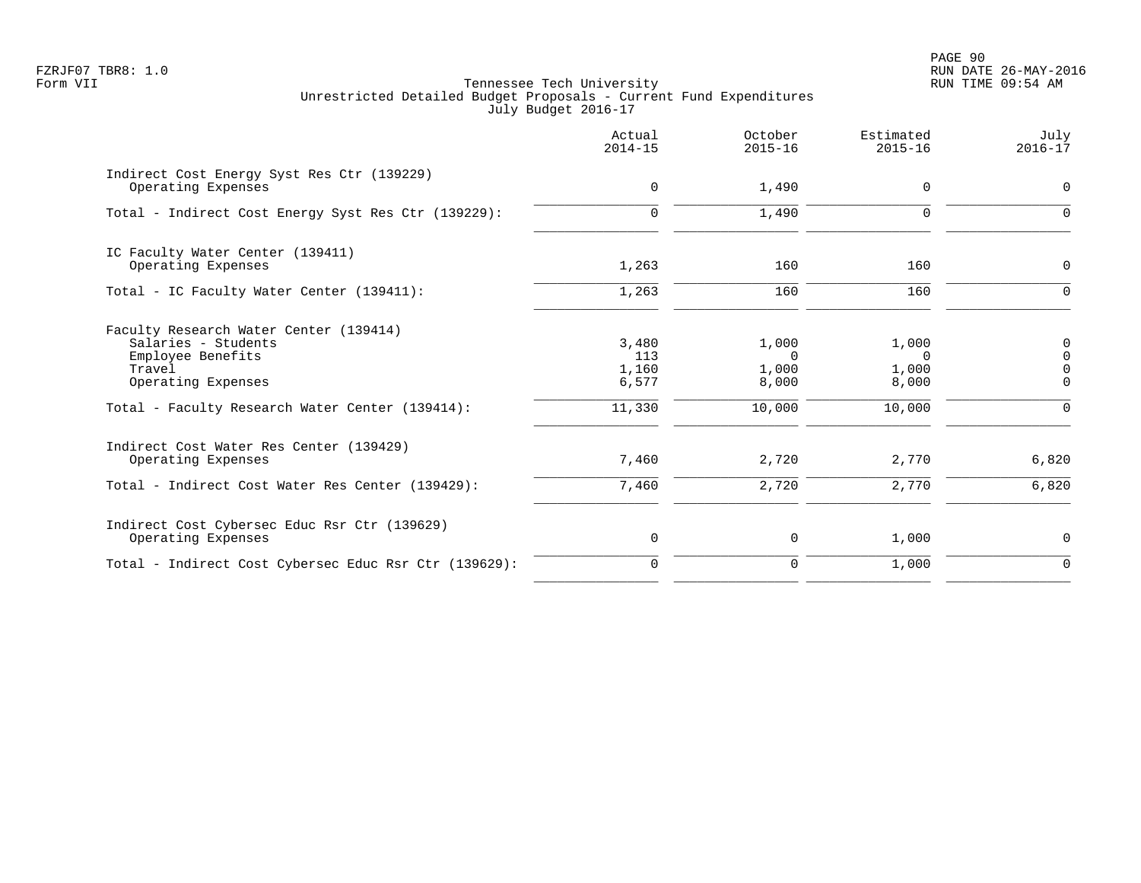PAGE 90 FZRJF07 TBR8: 1.0 RUN DATE 26-MAY-2016

| Actual<br>$2014 - 15$                    | October<br>$2015 - 16$                        | Estimated<br>$2015 - 16$                      | July<br>$2016 - 17$                                        |
|------------------------------------------|-----------------------------------------------|-----------------------------------------------|------------------------------------------------------------|
| $\mathbf 0$                              | 1,490                                         | $\Omega$                                      | 0                                                          |
| $\Omega$                                 | 1,490                                         | $\mathbf 0$                                   | $\Omega$                                                   |
| 1,263                                    | 160                                           | 160                                           | $\mathbf 0$                                                |
| 1,263                                    | 160                                           | 160                                           | $\Omega$                                                   |
| 3,480<br>113<br>1,160<br>6,577<br>11,330 | 1,000<br>$\Omega$<br>1,000<br>8,000<br>10,000 | 1,000<br>$\Omega$<br>1,000<br>8,000<br>10,000 | 0<br>$\mathbf 0$<br>$\mathbf 0$<br>$\mathbf 0$<br>$\Omega$ |
| 7,460                                    | 2,720                                         | 2,770                                         | 6,820<br>6,820                                             |
| 0                                        | 0                                             | 1,000                                         | 0                                                          |
| $\Omega$                                 | $\mathbf 0$                                   | 1,000                                         | $\Omega$                                                   |
|                                          | 7,460                                         | 2,720                                         | 2,770                                                      |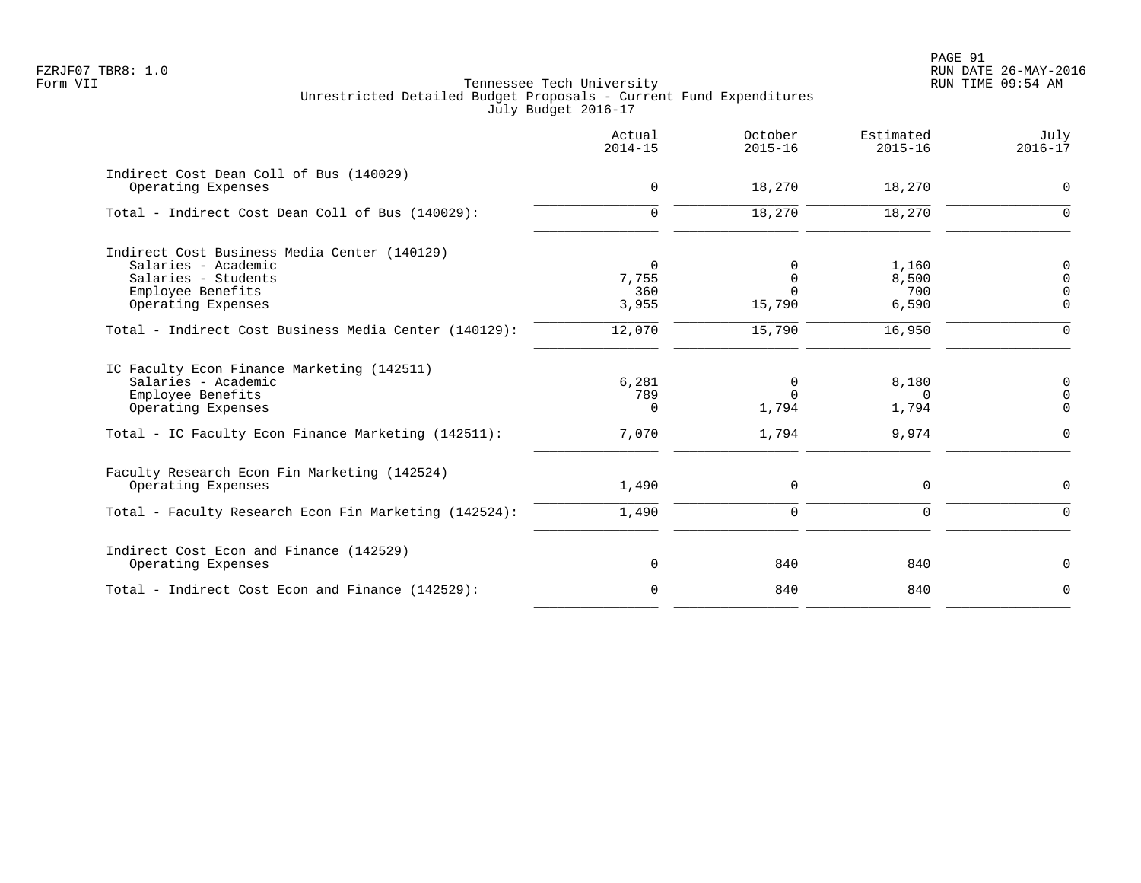|                                                                                                                 | Actual<br>$2014 - 15$          | October<br>$2015 - 16$              | Estimated<br>$2015 - 16$   | July<br>$2016 - 17$             |
|-----------------------------------------------------------------------------------------------------------------|--------------------------------|-------------------------------------|----------------------------|---------------------------------|
| Indirect Cost Dean Coll of Bus (140029)<br>Operating Expenses                                                   | $\mathbf 0$                    | 18,270                              | 18,270                     | $\mathbf 0$                     |
| Total - Indirect Cost Dean Coll of Bus (140029):                                                                | $\Omega$                       | 18,270                              | 18,270                     | $\Omega$                        |
| Indirect Cost Business Media Center (140129)<br>Salaries - Academic<br>Salaries - Students<br>Employee Benefits | $\overline{0}$<br>7,755<br>360 | $\Omega$<br>$\mathbf 0$<br>$\Omega$ | 1,160<br>8,500<br>700      | 0<br>$\mathbf 0$<br>$\mathbf 0$ |
| Operating Expenses                                                                                              | 3,955                          | 15,790                              | 6,590                      | $\Omega$                        |
| Total - Indirect Cost Business Media Center (140129):                                                           | 12,070                         | 15,790                              | 16,950                     | $\mathbf 0$                     |
| IC Faculty Econ Finance Marketing (142511)<br>Salaries - Academic<br>Employee Benefits<br>Operating Expenses    | 6,281<br>789<br>$\Omega$       | 0<br>$\Omega$<br>1,794              | 8,180<br>$\Omega$<br>1,794 | 0<br>$\mathbf 0$<br>$\mathbf 0$ |
| Total - IC Faculty Econ Finance Marketing (142511):                                                             | 7,070                          | 1,794                               | 9,974                      | $\mathbf 0$                     |
| Faculty Research Econ Fin Marketing (142524)<br>Operating Expenses                                              | 1,490                          | 0                                   | 0                          | $\mathsf{O}$                    |
| Total - Faculty Research Econ Fin Marketing (142524):                                                           | 1,490                          | $\mathbf 0$                         | $\mathbf 0$                | $\mathbf 0$                     |
| Indirect Cost Econ and Finance (142529)<br>Operating Expenses                                                   | $\mathbf 0$                    | 840                                 | 840                        | $\mathbf 0$                     |
| Total - Indirect Cost Econ and Finance (142529):                                                                | $\mathbf 0$                    | 840                                 | 840                        | $\mathbf 0$                     |
|                                                                                                                 |                                |                                     |                            |                                 |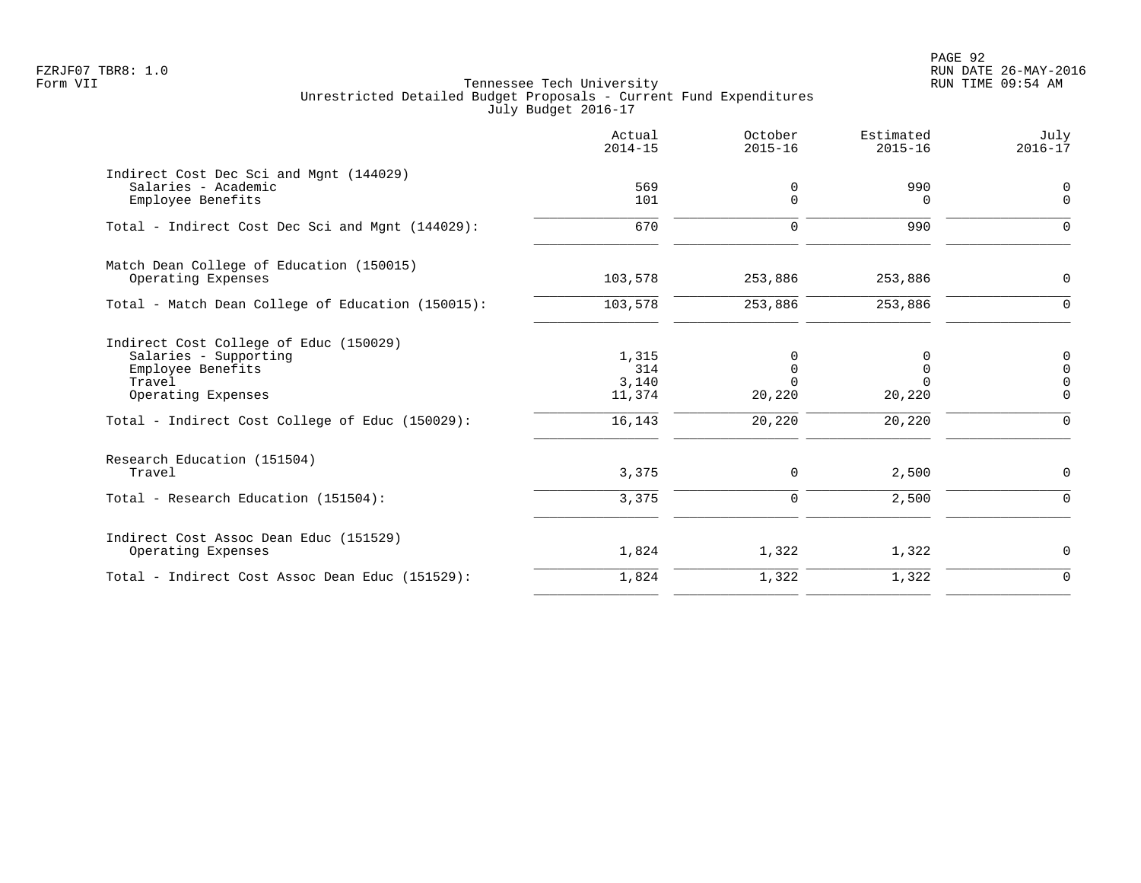PAGE 92 FZRJF07 TBR8: 1.0 RUN DATE 26-MAY-2016

|                                                                                                                                                                         | Actual<br>$2014 - 15$                     | October<br>$2015 - 16$                 | Estimated<br>$2015 - 16$                         | July<br>$2016 - 17$                                               |
|-------------------------------------------------------------------------------------------------------------------------------------------------------------------------|-------------------------------------------|----------------------------------------|--------------------------------------------------|-------------------------------------------------------------------|
| Indirect Cost Dec Sci and Mgnt (144029)<br>Salaries - Academic<br>Employee Benefits                                                                                     | 569<br>101                                | 0<br>0                                 | 990<br>0                                         | $\mathbf 0$<br>$\mathbf 0$                                        |
| Total - Indirect Cost Dec Sci and Mgnt (144029):                                                                                                                        | 670                                       | $\mathbf 0$                            | 990                                              | $\Omega$                                                          |
| Match Dean College of Education (150015)<br>Operating Expenses                                                                                                          | 103,578                                   | 253,886                                | 253,886                                          | $\mathbf 0$                                                       |
| Total - Match Dean College of Education (150015):                                                                                                                       | 103,578                                   | 253,886                                | 253,886                                          | $\Omega$                                                          |
| Indirect Cost College of Educ (150029)<br>Salaries - Supporting<br>Employee Benefits<br>Travel<br>Operating Expenses<br>Total - Indirect Cost College of Educ (150029): | 1,315<br>314<br>3,140<br>11,374<br>16,143 | 0<br>0<br>$\Omega$<br>20,220<br>20,220 | 0<br>$\mathbf 0$<br>$\Omega$<br>20,220<br>20,220 | $\mathbf 0$<br>$\mathbf 0$<br>$\mathbf 0$<br>$\Omega$<br>$\Omega$ |
| Research Education (151504)<br>Travel                                                                                                                                   | 3,375                                     | 0                                      | 2,500                                            | 0                                                                 |
| Total - Research Education (151504):                                                                                                                                    | 3,375                                     | $\mathbf 0$                            | 2,500                                            | $\Omega$                                                          |
| Indirect Cost Assoc Dean Educ (151529)<br>Operating Expenses                                                                                                            | 1,824                                     | 1,322                                  | 1,322                                            | 0                                                                 |
| Total - Indirect Cost Assoc Dean Educ (151529):                                                                                                                         | 1,824                                     | 1,322                                  | 1,322                                            | $\Omega$                                                          |
|                                                                                                                                                                         |                                           |                                        |                                                  |                                                                   |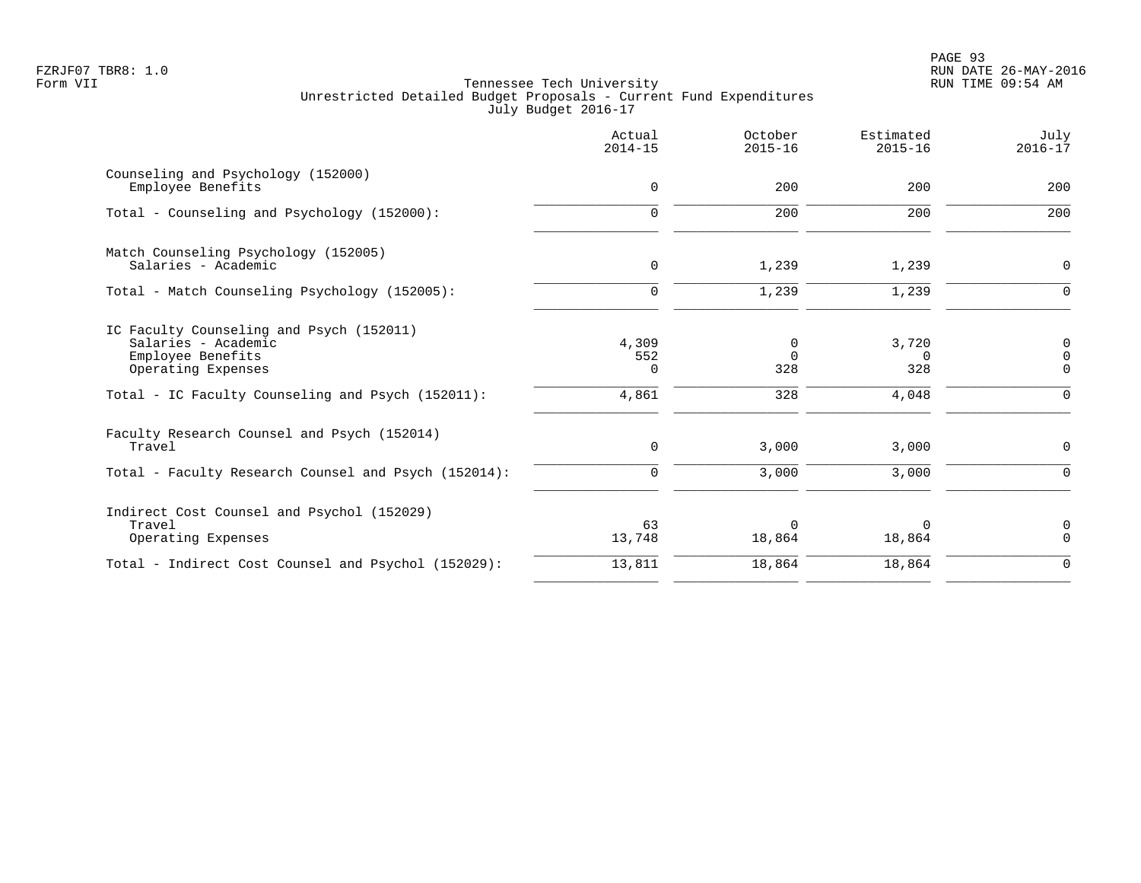|                                                                                                                                                                 | Actual<br>$2014 - 15$      | October<br>$2015 - 16$      | Estimated<br>$2015 - 16$          | July<br>$2016 - 17$                            |
|-----------------------------------------------------------------------------------------------------------------------------------------------------------------|----------------------------|-----------------------------|-----------------------------------|------------------------------------------------|
| Counseling and Psychology (152000)<br>Employee Benefits                                                                                                         | 0                          | 200                         | 200                               | 200                                            |
| Total - Counseling and Psychology (152000):                                                                                                                     | $\Omega$                   | 200                         | 200                               | 200                                            |
| Match Counseling Psychology (152005)<br>Salaries - Academic                                                                                                     | $\mathbf 0$                | 1,239                       | 1,239                             | $\mathbf 0$                                    |
| Total - Match Counseling Psychology (152005):                                                                                                                   | $\Omega$                   | 1,239                       | 1,239                             | $\Omega$                                       |
| IC Faculty Counseling and Psych (152011)<br>Salaries - Academic<br>Employee Benefits<br>Operating Expenses<br>Total - IC Faculty Counseling and Psych (152011): | 4,309<br>552<br>0<br>4,861 | 0<br>$\Omega$<br>328<br>328 | 3,720<br>$\Omega$<br>328<br>4,048 | 0<br>$\overline{0}$<br>$\mathbf 0$<br>$\Omega$ |
| Faculty Research Counsel and Psych (152014)<br>Travel                                                                                                           | $\mathbf 0$                | 3,000                       | 3,000                             | 0                                              |
| Total - Faculty Research Counsel and Psych (152014):                                                                                                            | $\mathbf 0$                | 3,000                       | 3,000                             | $\Omega$                                       |
| Indirect Cost Counsel and Psychol (152029)<br>Travel<br>Operating Expenses                                                                                      | 63<br>13,748               | $\Omega$<br>18,864          | $\Omega$<br>18,864                | $\mathbf 0$<br>$\Omega$                        |
| Total - Indirect Cost Counsel and Psychol (152029):                                                                                                             | 13,811                     | 18,864                      | 18,864                            | $\Omega$                                       |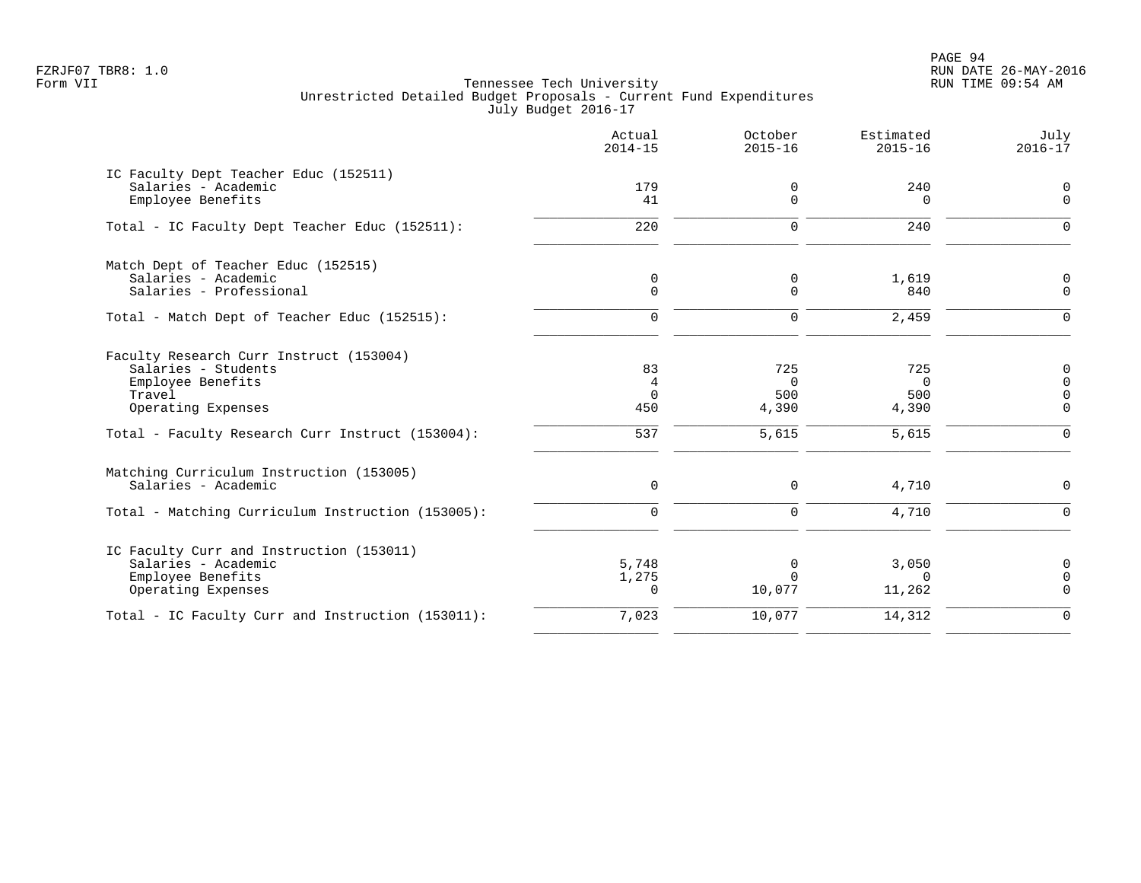PAGE 94 FZRJF07 TBR8: 1.0 RUN DATE 26-MAY-2016

|                                                                                                                                                                         | Actual<br>$2014 - 15$             | October<br>$2015 - 16$                   | Estimated<br>$2015 - 16$                 | July<br>$2016 - 17$                                                  |
|-------------------------------------------------------------------------------------------------------------------------------------------------------------------------|-----------------------------------|------------------------------------------|------------------------------------------|----------------------------------------------------------------------|
| IC Faculty Dept Teacher Educ (152511)<br>Salaries - Academic<br>Employee Benefits                                                                                       | 179<br>41                         | 0<br>$\Omega$                            | 240<br>$\Omega$                          | 0<br>$\Omega$                                                        |
| Total - IC Faculty Dept Teacher Educ (152511):                                                                                                                          | 220                               | $\mathbf 0$                              | 240                                      | $\Omega$                                                             |
| Match Dept of Teacher Educ (152515)<br>Salaries - Academic<br>Salaries - Professional                                                                                   | 0<br>$\mathbf 0$                  | 0<br>$\Omega$                            | 1,619<br>840                             | 0<br>$\overline{0}$                                                  |
| Total - Match Dept of Teacher Educ (152515):                                                                                                                            | $\mathbf 0$                       | $\mathbf 0$                              | 2,459                                    | $\Omega$                                                             |
| Faculty Research Curr Instruct (153004)<br>Salaries - Students<br>Employee Benefits<br>Travel<br>Operating Expenses<br>Total - Faculty Research Curr Instruct (153004): | 83<br>4<br>$\Omega$<br>450<br>537 | 725<br>$\Omega$<br>500<br>4,390<br>5,615 | 725<br>$\Omega$<br>500<br>4,390<br>5,615 | $\mathbf 0$<br>$\overline{0}$<br>$\Omega$<br>$\mathbf 0$<br>$\Omega$ |
| Matching Curriculum Instruction (153005)<br>Salaries - Academic<br>Total - Matching Curriculum Instruction (153005):                                                    | $\mathbf 0$<br>$\Omega$           | $\Omega$<br>$\Omega$                     | 4,710<br>4,710                           | $\Omega$<br>$\Omega$                                                 |
| IC Faculty Curr and Instruction (153011)<br>Salaries - Academic<br>Employee Benefits<br>Operating Expenses                                                              | 5,748<br>1,275<br>$\Omega$        | 0<br>$\Omega$<br>10,077                  | 3,050<br>$\Omega$<br>11,262              | $\Omega$<br>$\Omega$<br>$\Omega$                                     |
| Total - IC Faculty Curr and Instruction (153011):                                                                                                                       | 7,023                             | 10,077                                   | 14,312                                   | $\Omega$                                                             |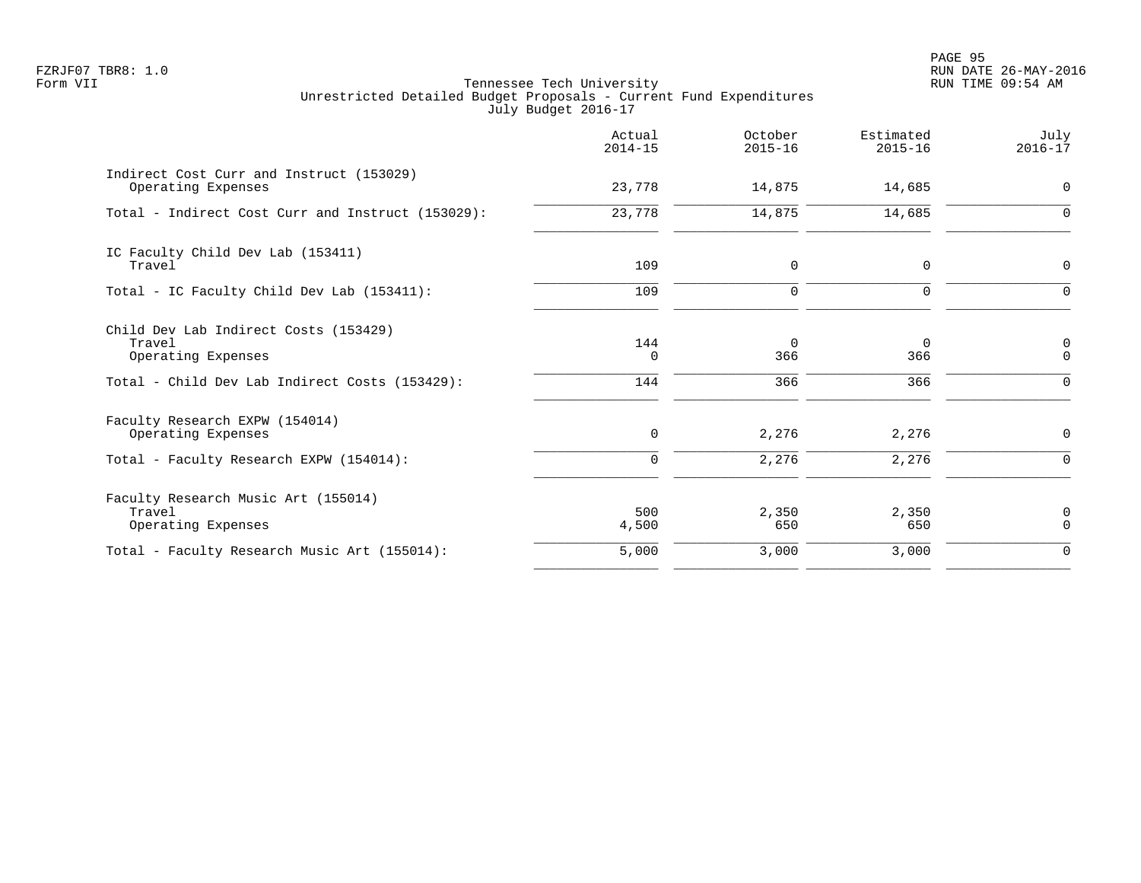PAGE 95 FZRJF07 TBR8: 1.0 RUN DATE 26-MAY-2016

|                                                                                                                         | Actual<br>$2014 - 15$ | October<br>$2015 - 16$    | Estimated<br>$2015 - 16$ | July<br>$2016 - 17$                    |
|-------------------------------------------------------------------------------------------------------------------------|-----------------------|---------------------------|--------------------------|----------------------------------------|
| Indirect Cost Curr and Instruct (153029)<br>Operating Expenses                                                          | 23,778                | 14,875                    | 14,685                   | $\mathbf 0$                            |
| Total - Indirect Cost Curr and Instruct (153029):                                                                       | 23,778                | 14,875                    | 14,685                   | $\Omega$                               |
| IC Faculty Child Dev Lab (153411)<br>Travel                                                                             | 109                   | 0                         | 0                        | $\mathbf 0$                            |
| Total - IC Faculty Child Dev Lab (153411):                                                                              | 109                   | 0                         | $\mathbf 0$              | $\Omega$                               |
| Child Dev Lab Indirect Costs (153429)<br>Travel<br>Operating Expenses<br>Total - Child Dev Lab Indirect Costs (153429): | 144<br>0<br>144       | $\mathbf 0$<br>366<br>366 | 0<br>366<br>366          | $\mathbf 0$<br>$\mathbf 0$<br>$\Omega$ |
| Faculty Research EXPW (154014)<br>Operating Expenses                                                                    | $\mathbf 0$           | 2,276                     | 2,276                    | $\mathbf 0$                            |
| Total - Faculty Research EXPW (154014):                                                                                 | $\Omega$              | 2,276                     | 2,276                    | $\Omega$                               |
| Faculty Research Music Art (155014)<br>Travel<br>Operating Expenses                                                     | 500<br>4,500          | 2,350<br>650              | 2,350<br>650             | 0<br>$\Omega$                          |
| Total - Faculty Research Music Art (155014):                                                                            | 5,000                 | 3,000                     | 3,000                    | $\mathbf 0$                            |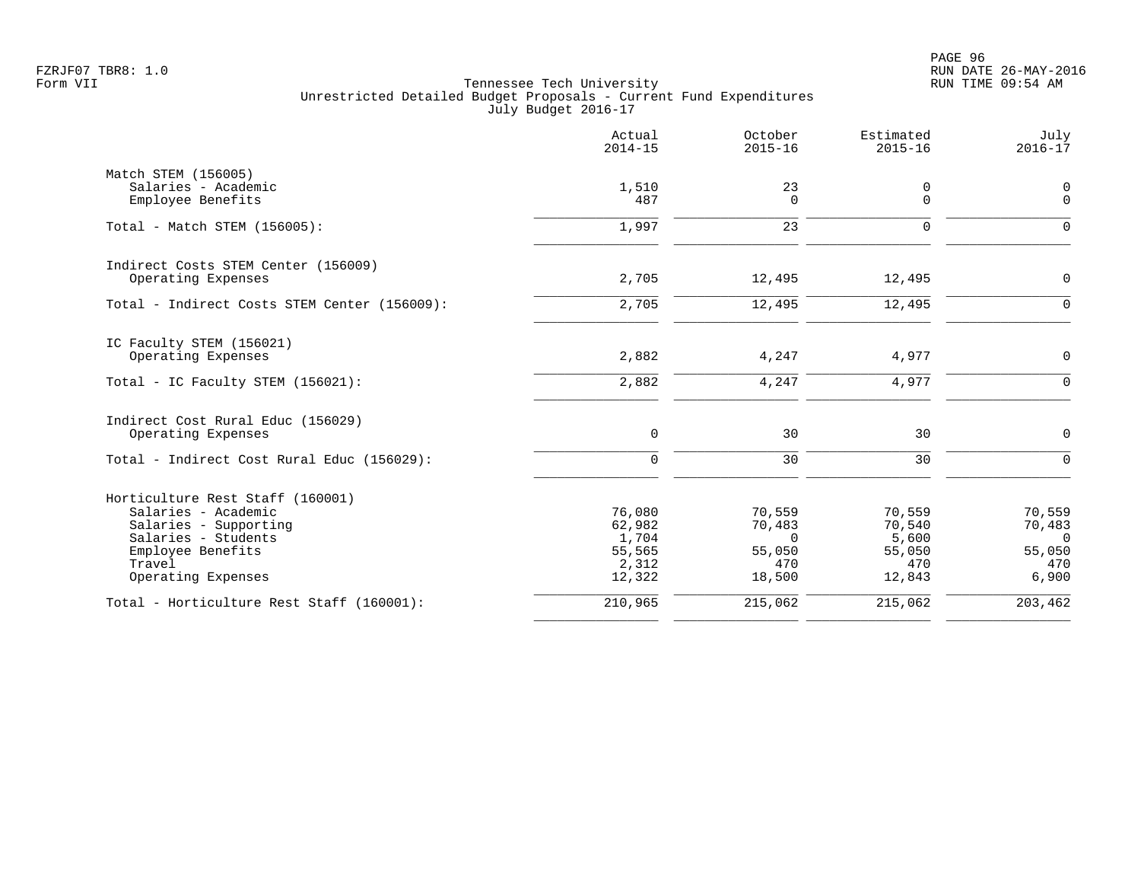|                                                | Actual<br>$2014 - 15$ | October<br>$2015 - 16$ | Estimated<br>$2015 - 16$ | July<br>$2016 - 17$      |
|------------------------------------------------|-----------------------|------------------------|--------------------------|--------------------------|
| Match STEM (156005)                            |                       |                        |                          |                          |
| Salaries - Academic<br>Employee Benefits       | 1,510<br>487          | 23<br>$\Omega$         | 0<br>0                   | 0<br>$\mathbf 0$         |
| Total - Match STEM (156005):                   | 1,997                 | 23                     | $\Omega$                 | $\Omega$                 |
| Indirect Costs STEM Center (156009)            |                       |                        |                          |                          |
| Operating Expenses                             | 2,705                 | 12,495                 | 12,495                   | $\mathbf 0$              |
| Total - Indirect Costs STEM Center (156009):   | 2,705                 | 12,495                 | 12,495                   | $\mathbf 0$              |
| IC Faculty STEM (156021)<br>Operating Expenses | 2,882                 | 4,247                  | 4,977                    | $\Omega$                 |
| Total - IC Faculty STEM (156021):              | 2,882                 | 4,247                  | 4,977                    | $\Omega$                 |
| Indirect Cost Rural Educ (156029)              |                       |                        |                          |                          |
| Operating Expenses                             | $\mathbf 0$           | 30                     | 30                       | $\mathbf 0$              |
| Total - Indirect Cost Rural Educ (156029):     | $\Omega$              | 30                     | 30                       | $\Omega$                 |
| Horticulture Rest Staff (160001)               |                       |                        |                          |                          |
| Salaries - Academic                            | 76,080                | 70,559                 | 70,559                   | 70,559                   |
| Salaries - Supporting<br>Salaries - Students   | 62,982<br>1,704       | 70,483<br>$\Omega$     | 70,540<br>5,600          | 70,483<br>$\overline{0}$ |
| Employee Benefits                              | 55,565                | 55,050                 | 55,050                   | 55,050                   |
| Travel                                         | 2,312                 | 470                    | 470                      | 470                      |
| Operating Expenses                             | 12,322                | 18,500                 | 12,843                   | 6,900                    |
| Total - Horticulture Rest Staff (160001):      | 210,965               | 215,062                | 215,062                  | 203,462                  |
|                                                |                       |                        |                          |                          |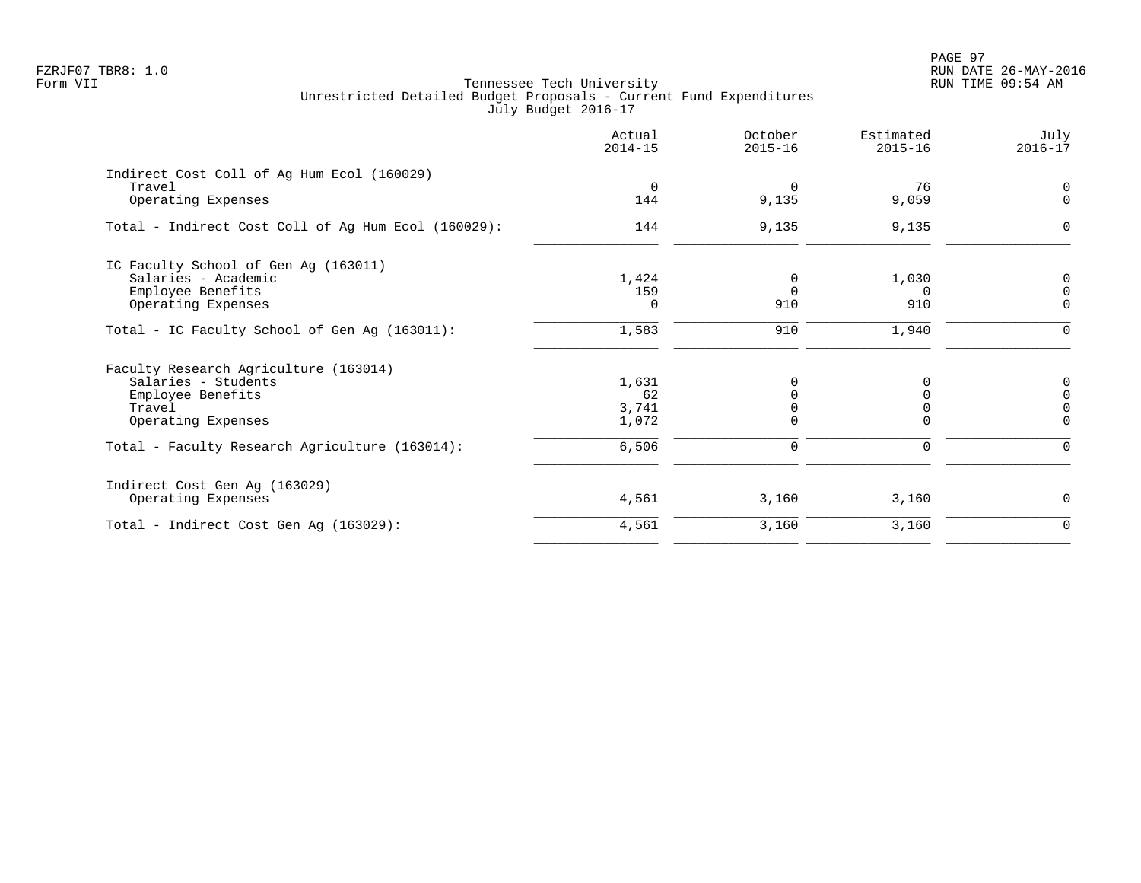PAGE 97 FZRJF07 TBR8: 1.0 RUN DATE 26-MAY-2016

|                                                     | Actual<br>$2014 - 15$ | October<br>$2015 - 16$  | Estimated<br>$2015 - 16$ | July<br>$2016 - 17$     |
|-----------------------------------------------------|-----------------------|-------------------------|--------------------------|-------------------------|
| Indirect Cost Coll of Ag Hum Ecol (160029)          |                       |                         |                          |                         |
| Travel<br>Operating Expenses                        | $\mathbf 0$<br>144    | $\overline{0}$<br>9,135 | 76<br>9,059              | $\Omega$<br>$\mathbf 0$ |
| Total - Indirect Cost Coll of Aq Hum Ecol (160029): | 144                   | 9,135                   | 9,135                    | 0                       |
| IC Faculty School of Gen Ag (163011)                |                       |                         |                          |                         |
| Salaries - Academic                                 | 1,424                 | 0                       | 1,030                    | 0                       |
| Employee Benefits                                   | 159                   | $\Omega$                | $\Omega$                 | $\Omega$                |
| Operating Expenses                                  | 0                     | 910                     | 910                      | $\mathbf 0$             |
| Total - IC Faculty School of Gen Ag (163011):       | 1,583                 | 910                     | 1,940                    | $\Omega$                |
| Faculty Research Agriculture (163014)               |                       |                         |                          |                         |
| Salaries - Students                                 | 1,631                 | 0                       |                          | 0                       |
| Employee Benefits                                   | 62                    | $\Omega$                | ∩                        | $\Omega$                |
| Travel                                              | 3,741                 |                         |                          |                         |
| Operating Expenses                                  | 1,072                 | $\Omega$                | $\Omega$                 | $\Omega$                |
| Total - Faculty Research Agriculture (163014):      | 6,506                 | $\mathbf 0$             | 0                        | 0                       |
| Indirect Cost Gen Ag (163029)                       |                       |                         |                          |                         |
| Operating Expenses                                  | 4,561                 | 3,160                   | 3,160                    | 0                       |
| Total - Indirect Cost Gen Ag (163029):              | 4,561                 | 3,160                   | 3,160                    | $\mathbf 0$             |
|                                                     |                       |                         |                          |                         |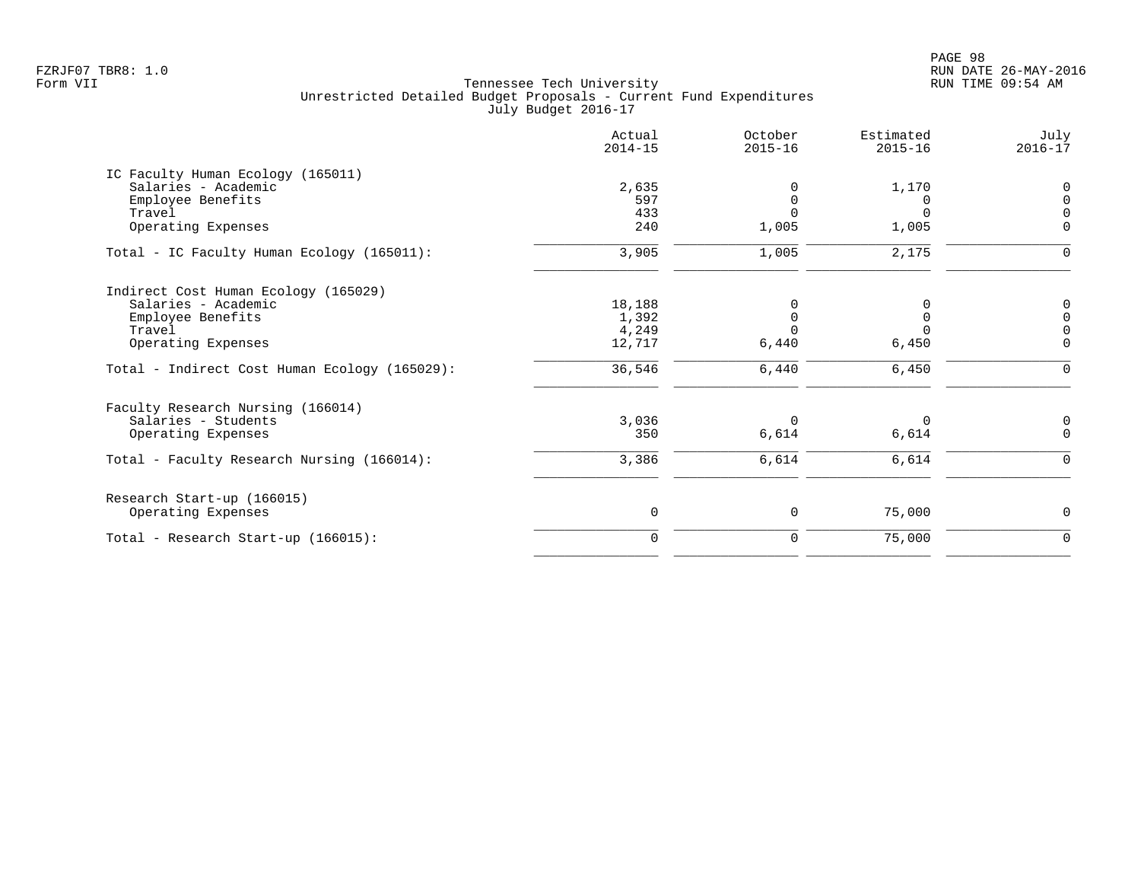|                                               | Actual<br>$2014 - 15$ | October<br>$2015 - 16$ | Estimated<br>$2015 - 16$ | July<br>$2016 - 17$ |
|-----------------------------------------------|-----------------------|------------------------|--------------------------|---------------------|
| IC Faculty Human Ecology (165011)             |                       |                        |                          |                     |
| Salaries - Academic                           | 2,635                 |                        | 1,170                    | $\Omega$            |
| Employee Benefits                             | 597                   |                        | $\Omega$                 | $\Omega$            |
| Travel                                        | 433                   | $\cap$                 | $\Omega$                 | $\cap$              |
| Operating Expenses                            | 240                   | 1,005                  | 1,005                    | $\Omega$            |
| Total - IC Faculty Human Ecology (165011):    | 3,905                 | 1,005                  | 2,175                    | $\Omega$            |
| Indirect Cost Human Ecology (165029)          |                       |                        |                          |                     |
| Salaries - Academic                           | 18,188                |                        |                          | $\Omega$            |
| Employee Benefits                             | 1,392                 | $\Omega$               | $\Omega$                 | $\Omega$            |
| Travel                                        | 4,249                 |                        |                          | $\Omega$            |
| Operating Expenses                            | 12,717                | 6,440                  | 6,450                    | $\mathbf 0$         |
| Total - Indirect Cost Human Ecology (165029): | 36,546                | 6,440                  | 6,450                    | $\Omega$            |
| Faculty Research Nursing (166014)             |                       |                        |                          |                     |
| Salaries - Students                           | 3,036                 | 0                      | 0                        | 0                   |
| Operating Expenses                            | 350                   | 6,614                  | 6,614                    | $\mathbf 0$         |
| Total - Faculty Research Nursing (166014):    | 3,386                 | 6,614                  | 6,614                    | $\mathbf 0$         |
| Research Start-up (166015)                    |                       |                        |                          |                     |
| Operating Expenses                            | $\mathsf{O}$          | 0                      | 75,000                   | $\mathbf 0$         |
| Total - Research Start-up (166015):           | $\mathbf 0$           | 0                      | 75,000                   | $\mathbf 0$         |
|                                               |                       |                        |                          |                     |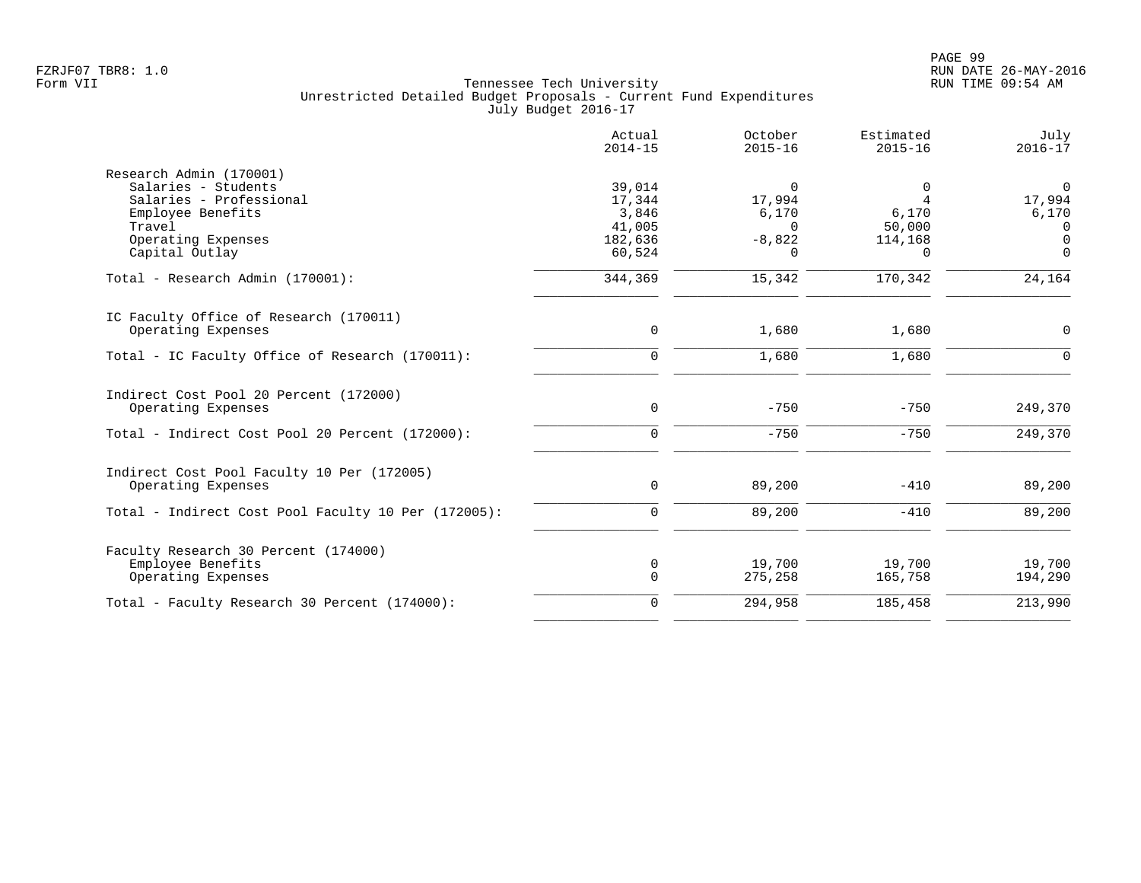|                                                     | Actual<br>$2014 - 15$ | October<br>$2015 - 16$ | Estimated<br>$2015 - 16$ | July<br>$2016 - 17$        |
|-----------------------------------------------------|-----------------------|------------------------|--------------------------|----------------------------|
| Research Admin (170001)                             |                       |                        |                          |                            |
| Salaries - Students                                 | 39,014                | 0                      | $\Omega$                 | $\Omega$                   |
| Salaries - Professional                             | 17,344                | 17,994                 | 4                        | 17,994                     |
| Employee Benefits                                   | 3,846                 | 6,170                  | 6,170                    | 6,170                      |
| Travel                                              | 41,005                | $\Omega$               | 50,000                   | $\Omega$                   |
| Operating Expenses<br>Capital Outlay                | 182,636<br>60,524     | $-8,822$<br>$\Omega$   | 114,168<br>$\Omega$      | $\overline{0}$<br>$\Omega$ |
| Total - Research Admin (170001):                    | 344,369               | 15,342                 | 170,342                  | 24,164                     |
| IC Faculty Office of Research (170011)              |                       |                        |                          |                            |
| Operating Expenses                                  | $\mathbf{0}$          | 1,680                  | 1,680                    | $\Omega$                   |
| Total - IC Faculty Office of Research (170011):     | $\Omega$              | 1,680                  | 1,680                    | $\Omega$                   |
| Indirect Cost Pool 20 Percent (172000)              |                       |                        |                          |                            |
| Operating Expenses                                  | $\mathbf 0$           | $-750$                 | $-750$                   | 249,370                    |
| Total - Indirect Cost Pool 20 Percent (172000):     | $\Omega$              | $-750$                 | $-750$                   | 249,370                    |
| Indirect Cost Pool Faculty 10 Per (172005)          |                       |                        |                          |                            |
| Operating Expenses                                  | $\mathbf 0$           | 89,200                 | $-410$                   | 89,200                     |
| Total - Indirect Cost Pool Faculty 10 Per (172005): | $\mathbf 0$           | 89,200                 | $-410$                   | 89,200                     |
| Faculty Research 30 Percent (174000)                |                       |                        |                          |                            |
| Employee Benefits                                   | 0                     | 19,700                 | 19,700                   | 19,700                     |
| Operating Expenses                                  | $\Omega$              | 275,258                | 165,758                  | 194,290                    |
| Total - Faculty Research 30 Percent (174000):       | $\Omega$              | 294,958                | 185,458                  | 213,990                    |
|                                                     |                       |                        |                          |                            |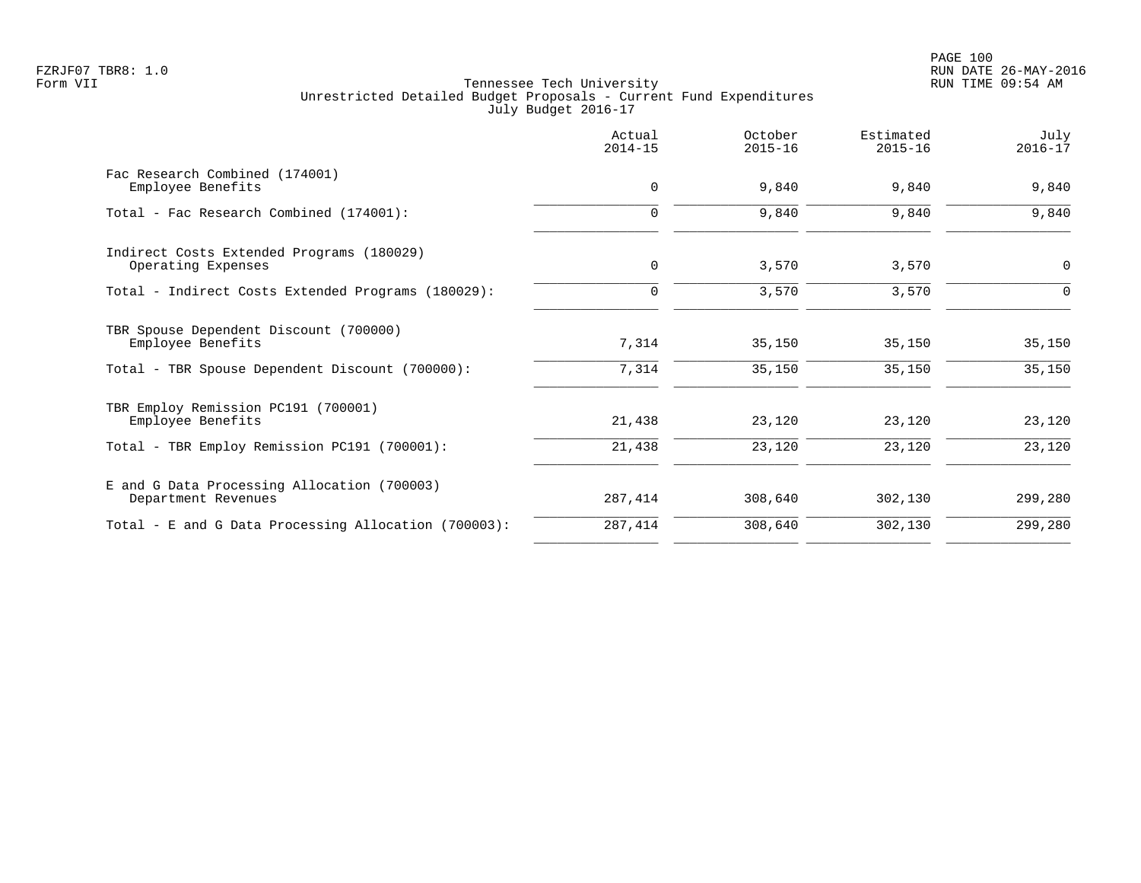|                                                                    | Actual<br>$2014 - 15$ | October<br>$2015 - 16$ | Estimated<br>$2015 - 16$ | July<br>$2016 - 17$ |
|--------------------------------------------------------------------|-----------------------|------------------------|--------------------------|---------------------|
| Fac Research Combined (174001)<br>Employee Benefits                | $\mathbf 0$           | 9,840                  | 9,840                    | 9,840               |
| Total - Fac Research Combined (174001):                            | $\Omega$              | 9,840                  | 9,840                    | 9,840               |
| Indirect Costs Extended Programs (180029)<br>Operating Expenses    | $\mathbf 0$           | 3,570                  | 3,570                    | $\mathbf 0$         |
| Total - Indirect Costs Extended Programs (180029):                 | $\Omega$              | 3,570                  | 3,570                    | $\Omega$            |
| TBR Spouse Dependent Discount (700000)<br>Employee Benefits        | 7,314                 | 35,150                 | 35,150                   | 35,150              |
| Total - TBR Spouse Dependent Discount (700000):                    | 7,314                 | 35,150                 | 35,150                   | 35,150              |
| TBR Employ Remission PC191 (700001)<br>Employee Benefits           | 21,438                | 23,120                 | 23,120                   | 23,120              |
| Total - TBR Employ Remission PC191 (700001):                       | 21,438                | 23,120                 | 23,120                   | 23,120              |
| E and G Data Processing Allocation (700003)<br>Department Revenues | 287,414               | 308,640                | 302,130                  | 299,280             |
| Total - E and G Data Processing Allocation (700003):               | 287,414               | 308,640                | 302,130                  | 299,280             |
|                                                                    |                       |                        |                          |                     |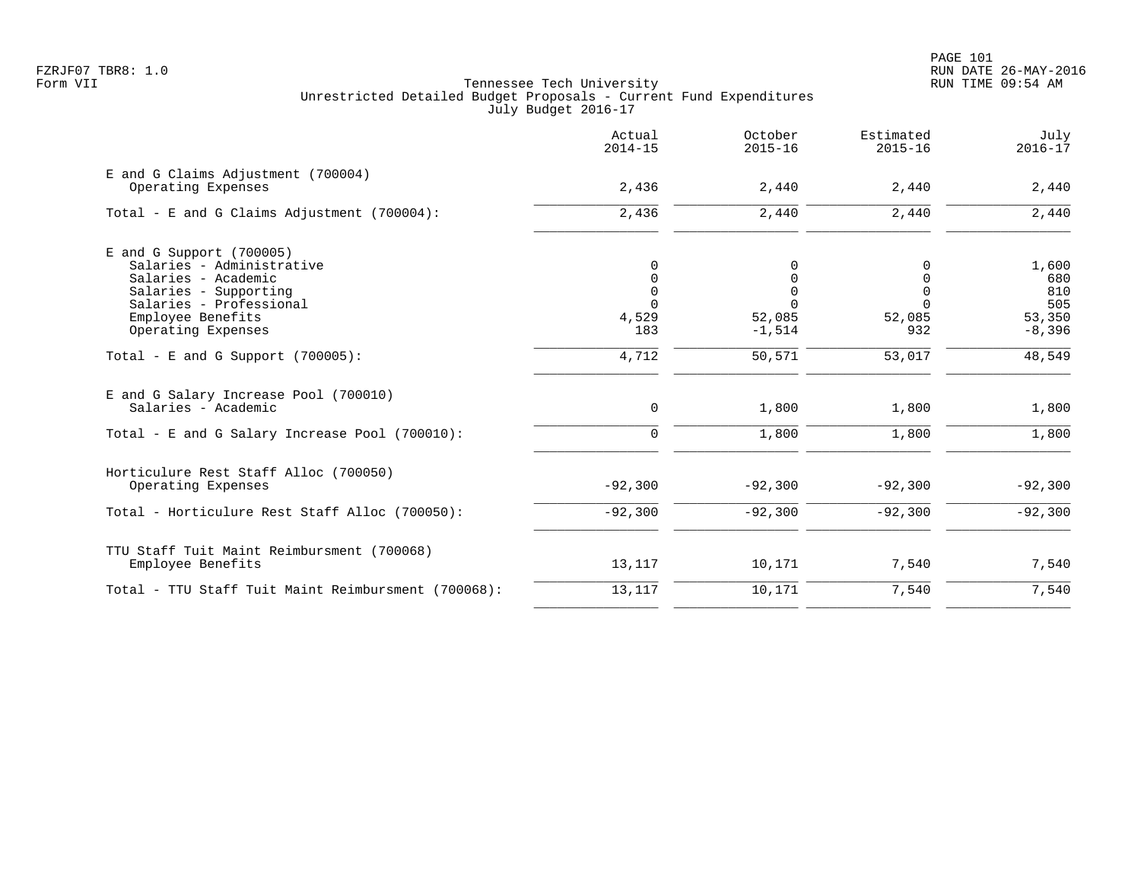|                                                                                             | Actual<br>$2014 - 15$       | October<br>$2015 - 16$              | Estimated<br>$2015 - 16$                 | July<br>$2016 - 17$              |
|---------------------------------------------------------------------------------------------|-----------------------------|-------------------------------------|------------------------------------------|----------------------------------|
| E and G Claims Adjustment (700004)<br>Operating Expenses                                    | 2,436                       | 2,440                               | 2,440                                    | 2,440                            |
| Total - E and G Claims Adjustment (700004):                                                 | 2,436                       | 2,440                               | 2,440                                    | 2,440                            |
| $E$ and G Support (700005)<br>Salaries - Administrative<br>Salaries - Academic              | $\Omega$<br>$\Omega$        | 0                                   | 0<br>$\mathbf 0$                         | 1,600<br>680                     |
| Salaries - Supporting<br>Salaries - Professional<br>Employee Benefits<br>Operating Expenses | $\mathbf 0$<br>4,529<br>183 | 0<br>$\Omega$<br>52,085<br>$-1,514$ | $\mathbf 0$<br>$\Omega$<br>52,085<br>932 | 810<br>505<br>53,350<br>$-8,396$ |
| Total - E and G Support $(700005)$ :                                                        | 4,712                       | 50,571                              | 53,017                                   | 48,549                           |
| E and G Salary Increase Pool (700010)<br>Salaries - Academic                                | $\mathbf 0$                 | 1,800                               | 1,800                                    | 1,800                            |
| Total - E and G Salary Increase Pool (700010):                                              | $\mathbf 0$                 | 1,800                               | 1,800                                    | 1,800                            |
| Horticulure Rest Staff Alloc (700050)<br>Operating Expenses                                 | $-92,300$                   | $-92,300$                           | $-92,300$                                | $-92,300$                        |
| Total - Horticulure Rest Staff Alloc (700050):                                              | $-92,300$                   | $-92,300$                           | $-92,300$                                | $-92,300$                        |
| TTU Staff Tuit Maint Reimbursment (700068)<br>Employee Benefits                             | 13,117                      | 10,171                              | 7,540                                    | 7,540                            |
| Total - TTU Staff Tuit Maint Reimbursment (700068):                                         | 13,117                      | 10,171                              | 7,540                                    | 7,540                            |
|                                                                                             |                             |                                     |                                          |                                  |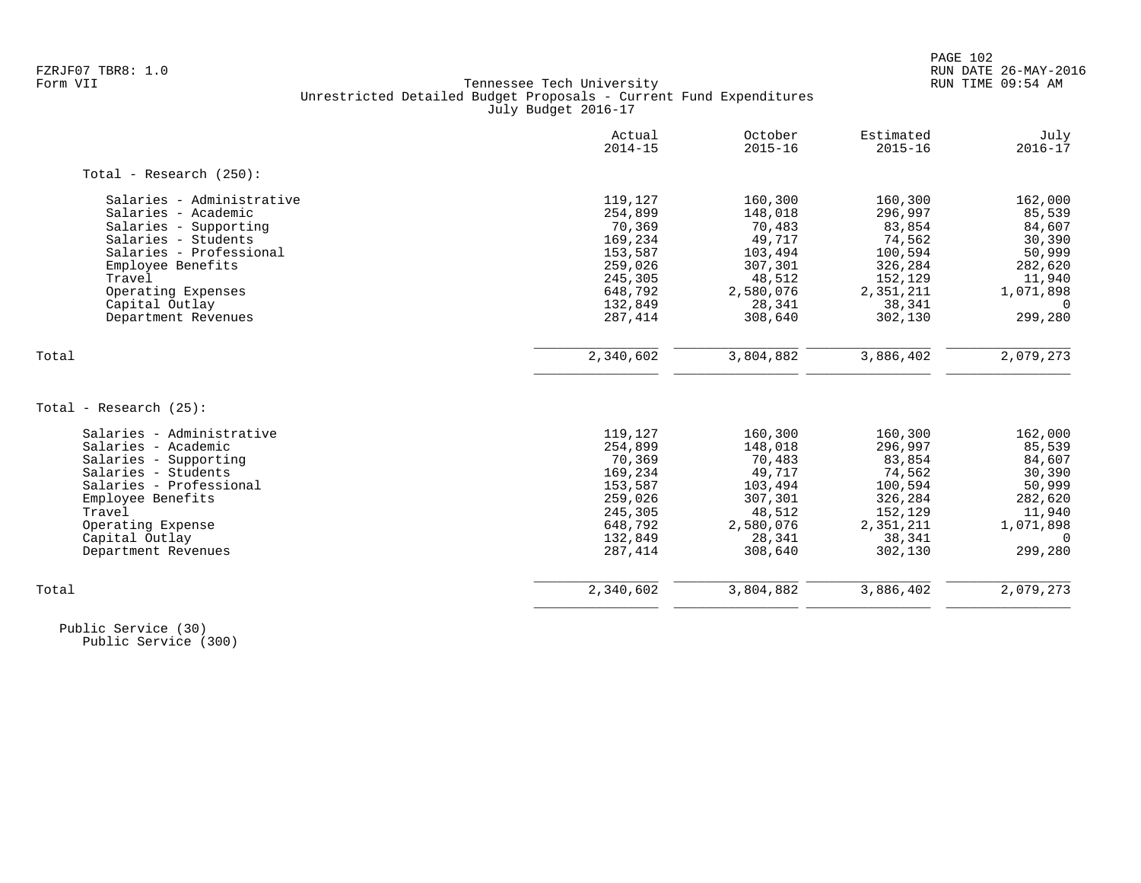# FZRJF07 TBR8: 1.0 RUN DATE 26-MAY-2016 Tennessee Tech University Unrestricted Detailed Budget Proposals - Current Fund Expenditures July Budget 2016-17

|                            | Actual<br>$2014 - 15$ | October<br>$2015 - 16$ | Estimated<br>$2015 - 16$ | July<br>$2016 - 17$ |
|----------------------------|-----------------------|------------------------|--------------------------|---------------------|
| Total - Research $(250)$ : |                       |                        |                          |                     |
| Salaries - Administrative  | 119,127               | 160,300                | 160,300                  | 162,000             |
| Salaries - Academic        | 254,899               | 148,018                | 296,997                  | 85,539              |
| Salaries - Supporting      | 70,369                | 70,483                 | 83,854                   | 84,607              |
| Salaries - Students        | 169,234               | 49,717                 | 74,562                   | 30,390              |
| Salaries - Professional    | 153,587               | 103,494                | 100,594                  | 50,999              |
| Employee Benefits          | 259,026               | 307,301                | 326,284                  | 282,620             |
| Travel                     | 245,305               | 48,512                 | 152,129                  | 11,940              |
| Operating Expenses         | 648,792               | 2,580,076              | 2,351,211                | 1,071,898           |
| Capital Outlay             | 132,849               | 28,341                 | 38,341                   | $\Omega$            |
| Department Revenues        | 287,414               | 308,640                | 302,130                  | 299,280             |
| Total                      | 2,340,602             | 3,804,882              | 3,886,402                | 2,079,273           |
|                            |                       |                        |                          |                     |
| Total - Research $(25)$ :  |                       |                        |                          |                     |
| Salaries - Administrative  | 119,127               | 160,300                | 160,300                  | 162,000             |
| Salaries - Academic        | 254,899               | 148,018                | 296,997                  | 85,539              |
| Salaries - Supporting      | 70,369                | 70,483                 | 83,854                   | 84,607              |
| Salaries - Students        | 169,234               | 49,717                 | 74,562                   | 30,390              |
| Salaries - Professional    | 153,587               | 103,494                | 100,594                  | 50,999              |
| Employee Benefits          | 259,026               | 307,301                | 326,284                  | 282,620             |
| Travel                     | 245,305               | 48,512                 | 152,129                  | 11,940              |
| Operating Expense          | 648,792               | 2,580,076              | 2,351,211                | 1,071,898           |
| Capital Outlay             | 132,849               | 28,341                 | 38,341                   | $\Omega$            |
| Department Revenues        | 287, 414              | 308,640                | 302,130                  | 299,280             |
| Total                      | 2,340,602             | 3,804,882              | 3,886,402                | 2,079,273           |
|                            |                       |                        |                          |                     |

 Public Service (30) Public Service (300)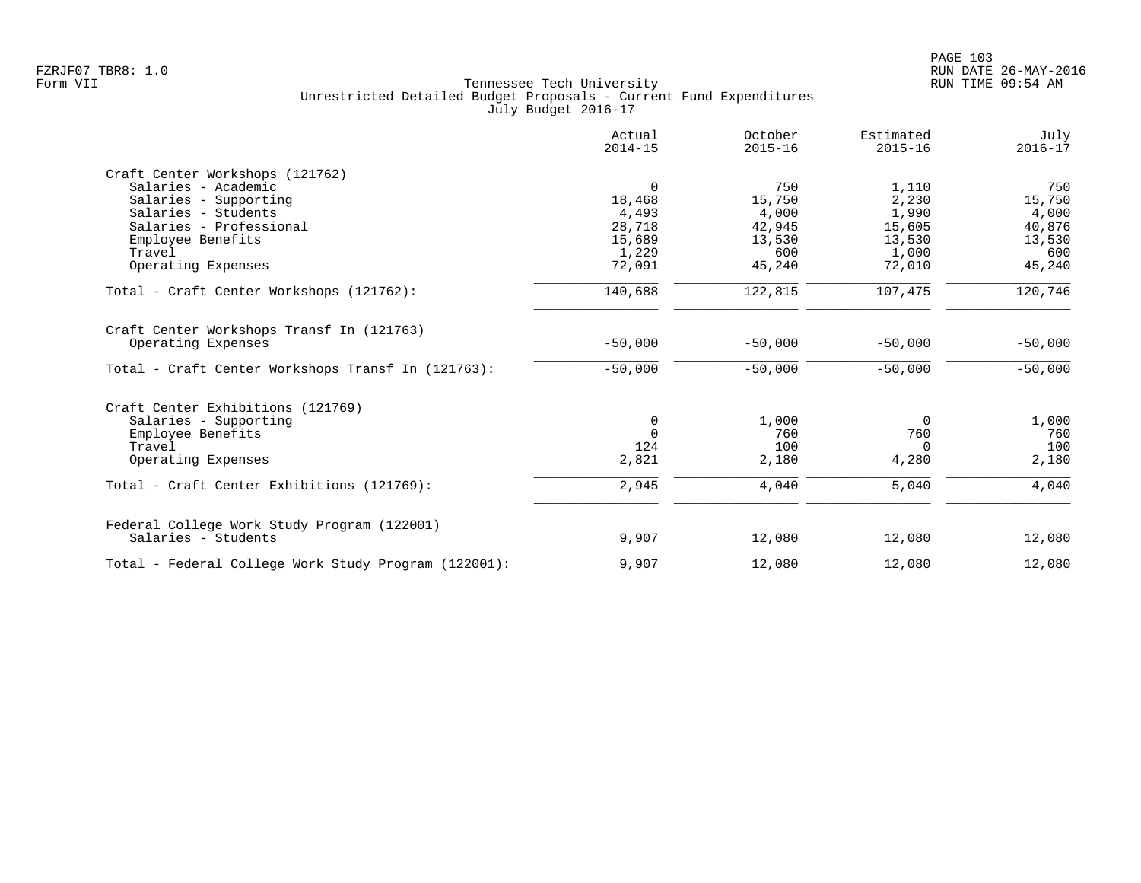|                                                      | Actual<br>$2014 - 15$ | October<br>$2015 - 16$ | Estimated<br>$2015 - 16$ | July<br>$2016 - 17$ |
|------------------------------------------------------|-----------------------|------------------------|--------------------------|---------------------|
| Craft Center Workshops (121762)                      |                       |                        |                          |                     |
| Salaries - Academic                                  | $\mathbf 0$           | 750                    | 1,110                    | 750                 |
| Salaries - Supporting                                | 18,468                | 15,750                 | 2,230                    | 15,750              |
| Salaries - Students                                  | 4,493                 | 4,000                  | 1,990                    | 4,000               |
| Salaries - Professional                              | 28,718                | 42,945                 | 15,605                   | 40,876              |
| Employee Benefits                                    | 15,689                | 13,530                 | 13,530                   | 13,530              |
| Travel                                               | 1,229                 | 600                    | 1,000                    | 600                 |
| Operating Expenses                                   | 72,091                | 45,240                 | 72,010                   | 45,240              |
| Total - Craft Center Workshops (121762):             | 140,688               | 122,815                | 107,475                  | 120,746             |
| Craft Center Workshops Transf In (121763)            |                       |                        |                          |                     |
| Operating Expenses                                   | $-50,000$             | $-50,000$              | $-50,000$                | $-50,000$           |
| Total - Craft Center Workshops Transf In (121763):   | $-50,000$             | $-50,000$              | $-50,000$                | $-50,000$           |
| Craft Center Exhibitions (121769)                    |                       |                        |                          |                     |
| Salaries - Supporting                                | 0                     | 1,000                  | 0                        | 1,000               |
| Employee Benefits                                    | $\Omega$              | 760                    | 760                      | 760                 |
| Travel                                               | 124                   | 100                    | $\Omega$                 | 100                 |
| Operating Expenses                                   | 2,821                 | 2,180                  | 4,280                    | 2,180               |
| Total - Craft Center Exhibitions (121769):           | 2,945                 | 4,040                  | 5,040                    | 4,040               |
| Federal College Work Study Program (122001)          |                       |                        |                          |                     |
| Salaries - Students                                  | 9,907                 | 12,080                 | 12,080                   | 12,080              |
| Total - Federal College Work Study Program (122001): | 9,907                 | 12,080                 | 12,080                   | 12,080              |
|                                                      |                       |                        |                          |                     |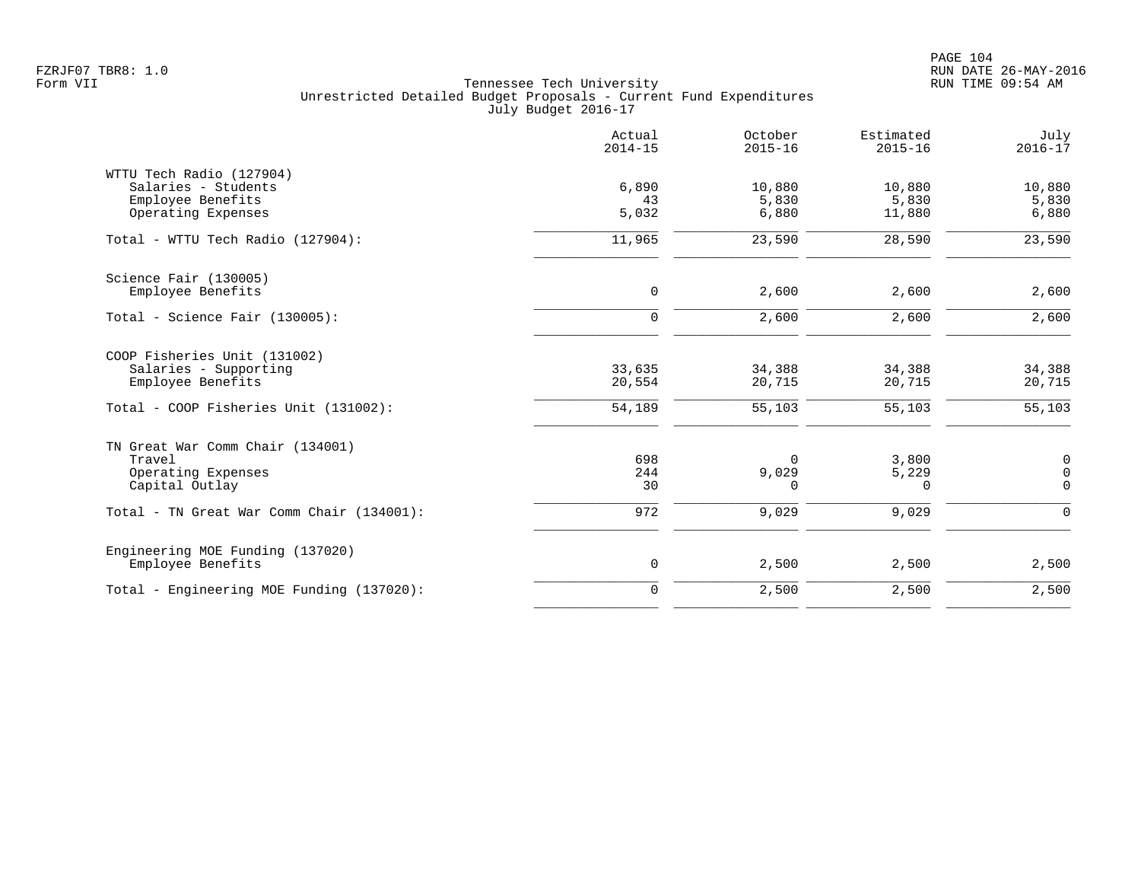|                                                                                            | Actual<br>$2014 - 15$ | October<br>$2015 - 16$   | Estimated<br>$2015 - 16$  | July<br>$2016 - 17$                     |
|--------------------------------------------------------------------------------------------|-----------------------|--------------------------|---------------------------|-----------------------------------------|
| WTTU Tech Radio (127904)<br>Salaries - Students<br>Employee Benefits<br>Operating Expenses | 6,890<br>43<br>5,032  | 10,880<br>5,830<br>6,880 | 10,880<br>5,830<br>11,880 | 10,880<br>5,830<br>6,880                |
| Total - WTTU Tech Radio (127904):                                                          | 11,965                | 23,590                   | 28,590                    | 23,590                                  |
| Science Fair (130005)<br>Employee Benefits                                                 | $\mathbf 0$           | 2,600                    | 2,600                     | 2,600                                   |
| Total - Science Fair (130005):                                                             | $\mathbf 0$           | 2,600                    | 2,600                     | $\overline{2}$ , 600                    |
| COOP Fisheries Unit (131002)<br>Salaries - Supporting<br>Employee Benefits                 | 33,635<br>20,554      | 34,388<br>20,715         | 34,388<br>20,715          | 34,388<br>20,715                        |
| Total - COOP Fisheries Unit (131002):                                                      | 54,189                | 55,103                   | 55,103                    | 55,103                                  |
| TN Great War Comm Chair (134001)<br>Travel<br>Operating Expenses<br>Capital Outlay         | 698<br>244<br>30      | $\Omega$<br>9,029<br>0   | 3,800<br>5,229<br>0       | 0<br>$\mathsf{O}\xspace$<br>$\mathbf 0$ |
| Total - TN Great War Comm Chair (134001):                                                  | 972                   | 9,029                    | 9,029                     | $\mathbf 0$                             |
| Engineering MOE Funding (137020)<br>Employee Benefits                                      | $\mathsf{O}$          | 2,500                    | 2,500                     | 2,500                                   |
| Total - Engineering MOE Funding (137020):                                                  | $\mathbf 0$           | 2,500                    | 2,500                     | 2,500                                   |
|                                                                                            |                       |                          |                           |                                         |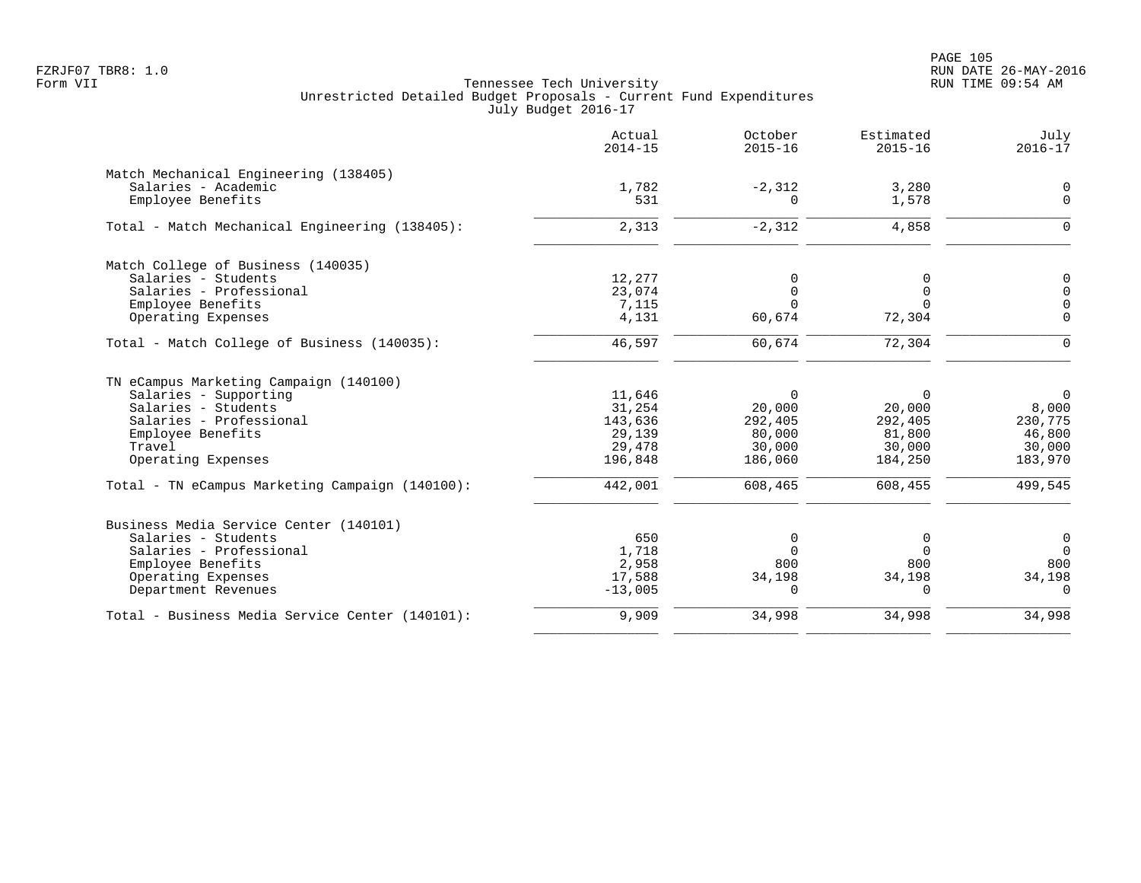PAGE 105 FZRJF07 TBR8: 1.0 RUN DATE 26-MAY-2016

|                                                 | Actual<br>$2014 - 15$ | October<br>$2015 - 16$ | Estimated<br>$2015 - 16$ | July<br>$2016 - 17$ |
|-------------------------------------------------|-----------------------|------------------------|--------------------------|---------------------|
| Match Mechanical Engineering (138405)           |                       |                        |                          |                     |
| Salaries - Academic                             | 1,782                 | $-2,312$               | 3,280                    | 0                   |
| Employee Benefits                               | 531                   | $\Omega$               | 1,578                    | $\Omega$            |
| Total - Match Mechanical Engineering (138405):  | 2,313                 | $-2,312$               | 4,858                    | ∩                   |
| Match College of Business (140035)              |                       |                        |                          |                     |
| Salaries - Students                             | 12,277                | $\Omega$               | $\Omega$                 | 0                   |
| Salaries - Professional                         | 23,074                | 0                      | $\mathbf 0$              | $\mathbf 0$         |
| Employee Benefits                               | 7,115                 | $\Omega$               | $\Omega$                 | $\mathbf 0$         |
| Operating Expenses                              | 4,131                 | 60,674                 | 72,304                   | $\Omega$            |
| Total - Match College of Business (140035):     | 46,597                | 60,674                 | 72,304                   | $\Omega$            |
| TN eCampus Marketing Campaign (140100)          |                       |                        |                          |                     |
| Salaries - Supporting                           | 11,646                | $\mathbf 0$            | $\Omega$                 | $\Omega$            |
| Salaries - Students                             | 31,254                | 20,000                 | 20,000                   | 8,000               |
| Salaries - Professional                         | 143,636               | 292,405                | 292,405                  | 230,775             |
| Employee Benefits                               | 29,139                | 80,000                 | 81,800                   | 46,800              |
| Travel                                          | 29,478                | 30,000                 | 30,000                   | 30,000              |
| Operating Expenses                              | 196,848               | 186,060                | 184,250                  | 183,970             |
| Total - TN eCampus Marketing Campaign (140100): | 442,001               | 608,465                | 608,455                  | 499,545             |
| Business Media Service Center (140101)          |                       |                        |                          |                     |
| Salaries - Students                             | 650                   | $\Omega$               | 0                        | $\mathbf 0$         |
| Salaries - Professional                         | 1,718                 | $\Omega$               | $\Omega$                 | $\Omega$            |
| Employee Benefits                               | 2,958                 | 800                    | 800                      | 800                 |
| Operating Expenses                              | 17,588                | 34,198                 | 34,198                   | 34,198              |
| Department Revenues                             | $-13,005$             | $\Omega$               | $\Omega$                 | $\Omega$            |
| Total - Business Media Service Center (140101): | 9,909                 | 34,998                 | 34,998                   | 34,998              |
|                                                 |                       |                        |                          |                     |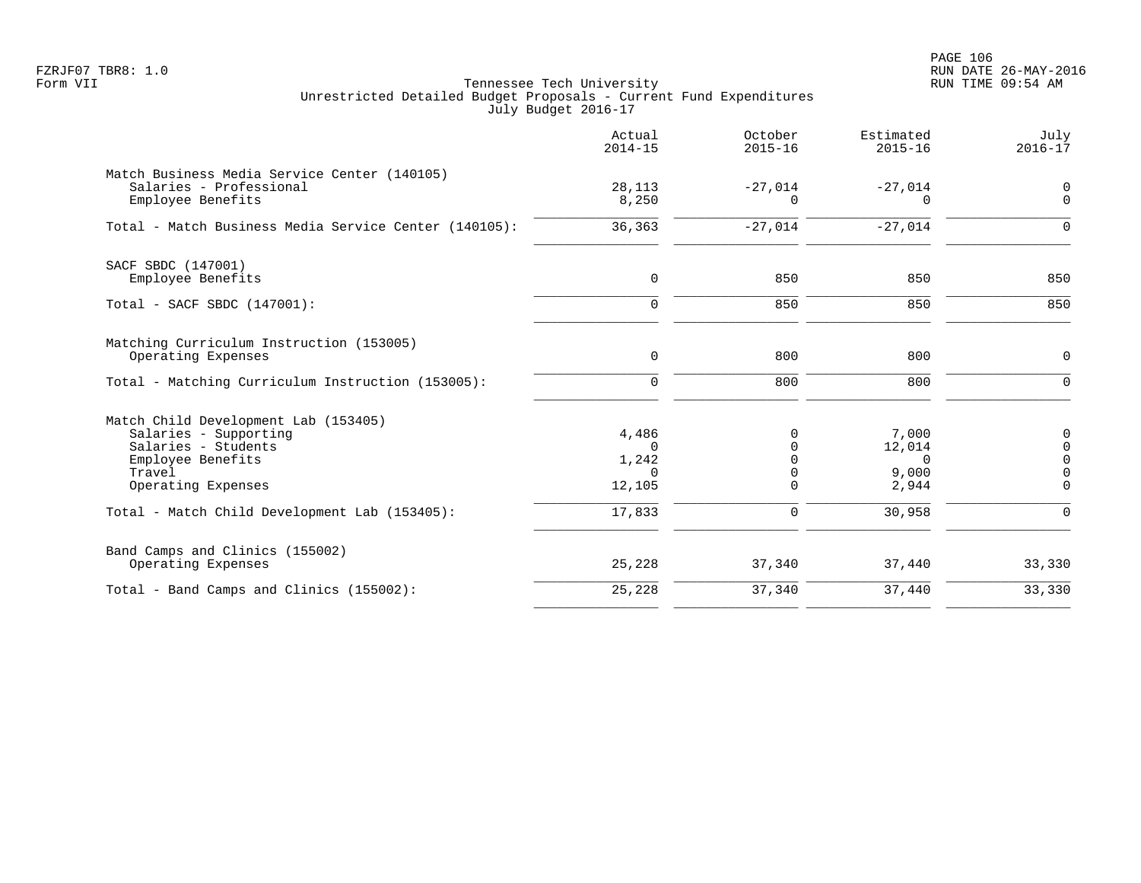|                                                                                                                                           | Actual<br>$2014 - 15$                            | October<br>$2015 - 16$                 | Estimated<br>$2015 - 16$                      | July<br>$2016 - 17$                                           |
|-------------------------------------------------------------------------------------------------------------------------------------------|--------------------------------------------------|----------------------------------------|-----------------------------------------------|---------------------------------------------------------------|
| Match Business Media Service Center (140105)<br>Salaries - Professional<br>Employee Benefits                                              | 28,113<br>8,250                                  | $-27,014$<br>0                         | $-27,014$<br>$\Omega$                         | 0<br>$\mathbf 0$                                              |
| Total - Match Business Media Service Center (140105):                                                                                     | 36,363                                           | $-27,014$                              | $-27,014$                                     | $\mathbf 0$                                                   |
| SACF SBDC (147001)<br>Employee Benefits                                                                                                   | $\mathbf 0$                                      | 850                                    | 850                                           | 850                                                           |
| Total - SACF SBDC (147001):                                                                                                               | $\mathbf 0$                                      | 850                                    | 850                                           | 850                                                           |
| Matching Curriculum Instruction (153005)<br>Operating Expenses                                                                            | $\mathsf{O}$                                     | 800                                    | 800                                           | 0                                                             |
| Total - Matching Curriculum Instruction (153005):                                                                                         | $\mathbf 0$                                      | 800                                    | 800                                           | $\mathbf 0$                                                   |
| Match Child Development Lab (153405)<br>Salaries - Supporting<br>Salaries - Students<br>Employee Benefits<br>Travel<br>Operating Expenses | 4,486<br>$\Omega$<br>1,242<br>$\Omega$<br>12,105 | 0<br>$\Omega$<br>0<br>0<br>$\mathbf 0$ | 7,000<br>12,014<br>$\Omega$<br>9,000<br>2,944 | 0<br>$\mathbf 0$<br>$\mathbf 0$<br>$\mathbf 0$<br>$\mathbf 0$ |
| Total - Match Child Development Lab (153405):                                                                                             | 17,833                                           | $\mathbf 0$                            | 30,958                                        | $\mathbf 0$                                                   |
| Band Camps and Clinics (155002)<br>Operating Expenses                                                                                     | 25,228                                           | 37,340                                 | 37,440                                        | 33,330                                                        |
| Total - Band Camps and Clinics (155002):                                                                                                  | 25,228                                           | 37,340                                 | 37,440                                        | 33,330                                                        |
|                                                                                                                                           |                                                  |                                        |                                               |                                                               |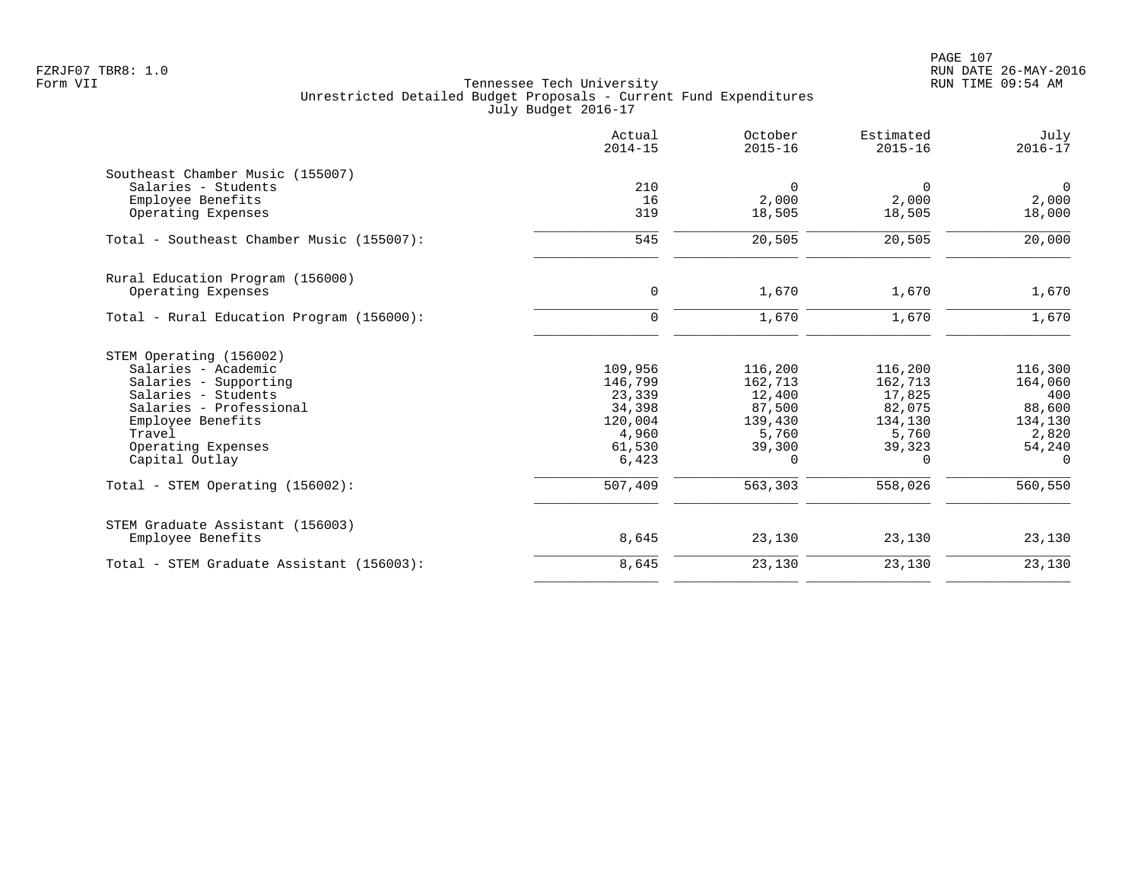|                                           | Actual<br>$2014 - 15$ | October<br>$2015 - 16$ | Estimated<br>$2015 - 16$ | July<br>$2016 - 17$ |
|-------------------------------------------|-----------------------|------------------------|--------------------------|---------------------|
| Southeast Chamber Music (155007)          |                       |                        |                          |                     |
| Salaries - Students                       | 210                   | $\Omega$               | 0                        | $\mathbf 0$         |
| Employee Benefits                         | 16                    | 2,000                  | 2,000                    | 2,000               |
| Operating Expenses                        | 319                   | 18,505                 | 18,505                   | 18,000              |
| Total - Southeast Chamber Music (155007): | 545                   | 20,505                 | 20,505                   | 20,000              |
| Rural Education Program (156000)          |                       |                        |                          |                     |
| Operating Expenses                        | 0                     | 1,670                  | 1,670                    | 1,670               |
| Total - Rural Education Program (156000): | $\Omega$              | 1,670                  | 1,670                    | 1,670               |
| STEM Operating (156002)                   |                       |                        |                          |                     |
| Salaries - Academic                       | 109,956               | 116,200                | 116,200                  | 116,300             |
| Salaries - Supporting                     | 146,799               | 162,713                | 162,713                  | 164,060             |
| Salaries - Students                       | 23,339                | 12,400                 | 17,825                   | 400                 |
| Salaries - Professional                   | 34,398                | 87,500                 | 82,075                   | 88,600              |
| Employee Benefits                         | 120,004               | 139,430                | 134,130                  | 134,130             |
| Travel                                    | 4,960                 | 5,760                  | 5,760                    | 2,820               |
| Operating Expenses                        | 61,530                | 39,300                 | 39,323                   | 54,240              |
| Capital Outlay                            | 6,423                 | 0                      | $\Omega$                 | $\Omega$            |
| Total - STEM Operating (156002):          | 507,409               | 563,303                | 558,026                  | 560,550             |
| STEM Graduate Assistant (156003)          |                       |                        |                          |                     |
| Employee Benefits                         | 8,645                 | 23,130                 | 23,130                   | 23,130              |
| Total - STEM Graduate Assistant (156003): | 8,645                 | 23,130                 | 23,130                   | 23,130              |
|                                           |                       |                        |                          |                     |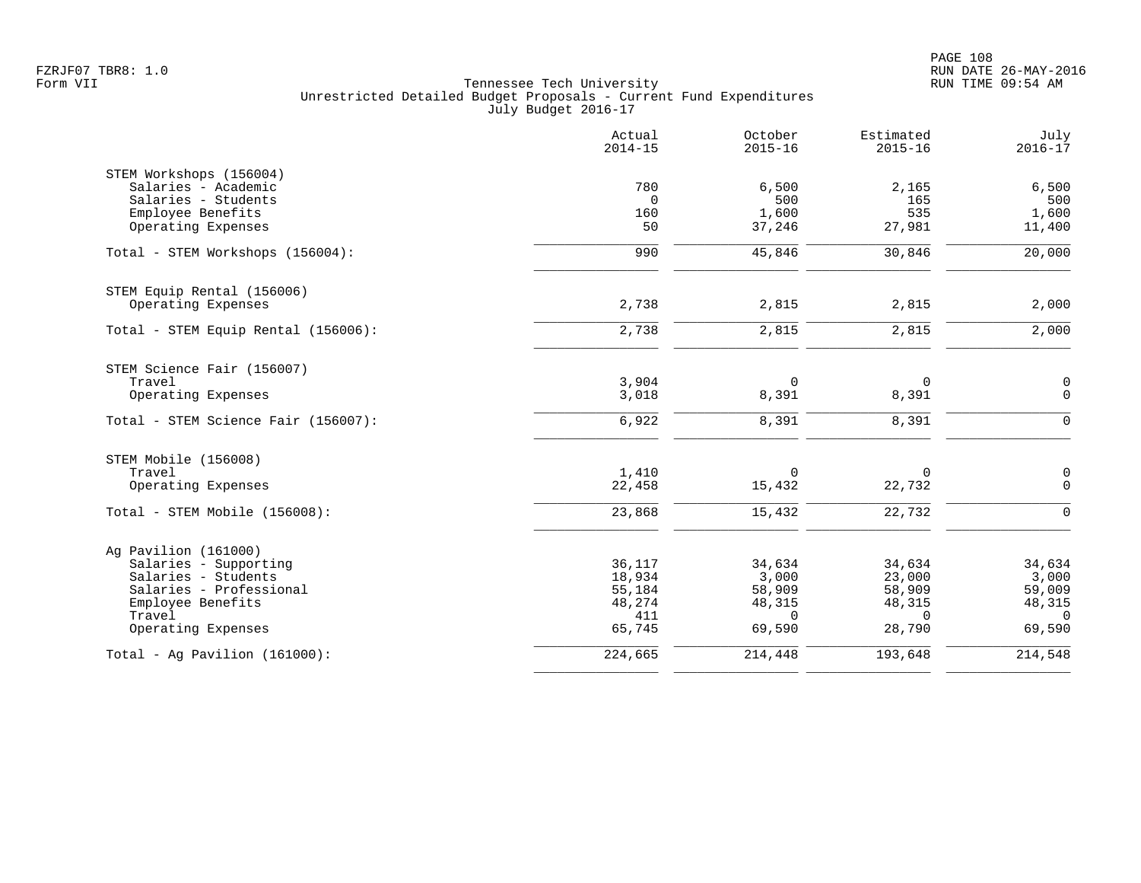|                                     | Actual<br>$2014 - 15$ | October<br>$2015 - 16$ | Estimated<br>$2015 - 16$ | July<br>$2016 - 17$ |
|-------------------------------------|-----------------------|------------------------|--------------------------|---------------------|
| STEM Workshops (156004)             |                       |                        |                          |                     |
| Salaries - Academic                 | 780                   | 6,500                  | 2,165                    | 6,500               |
| Salaries - Students                 | $\Omega$              | 500                    | 165                      | 500                 |
| Employee Benefits                   | 160                   | 1,600                  | 535                      | 1,600               |
| Operating Expenses                  | 50                    | 37,246                 | 27,981                   | 11,400              |
| Total - STEM Workshops (156004):    | 990                   | 45,846                 | 30,846                   | 20,000              |
| STEM Equip Rental (156006)          |                       |                        |                          |                     |
| Operating Expenses                  | 2,738                 | 2,815                  | 2,815                    | 2,000               |
| Total - STEM Equip Rental (156006): | 2,738                 | 2,815                  | 2,815                    | 2,000               |
| STEM Science Fair (156007)          |                       |                        |                          |                     |
| Travel                              | 3,904                 | $\Omega$               | $\mathbf 0$              | $\mathsf 0$         |
| Operating Expenses                  | 3,018                 | 8,391                  | 8,391                    | $\mathbf 0$         |
| Total - STEM Science Fair (156007): | 6,922                 | 8,391                  | 8,391                    | $\Omega$            |
| STEM Mobile (156008)                |                       |                        |                          |                     |
| Travel                              | 1,410                 | 0                      | 0                        | $\pmb{0}$           |
| Operating Expenses                  | 22,458                | 15,432                 | 22,732                   | $\Omega$            |
| Total - STEM Mobile (156008):       | 23,868                | 15,432                 | 22,732                   | $\Omega$            |
| Ag Pavilion (161000)                |                       |                        |                          |                     |
| Salaries - Supporting               | 36,117                | 34,634                 | 34,634                   | 34,634              |
| Salaries - Students                 | 18,934                | 3,000                  | 23,000                   | 3,000               |
| Salaries - Professional             | 55,184                | 58,909                 | 58,909                   | 59,009              |
| Employee Benefits                   | 48,274                | 48,315                 | 48,315                   | 48,315              |
| Travel<br>Operating Expenses        | 411<br>65,745         | $\Omega$<br>69,590     | $\Omega$<br>28,790       | $\Omega$<br>69,590  |
| Total - Aq Pavilion $(161000)$ :    | 224,665               | 214,448                | 193,648                  | 214,548             |
|                                     |                       |                        |                          |                     |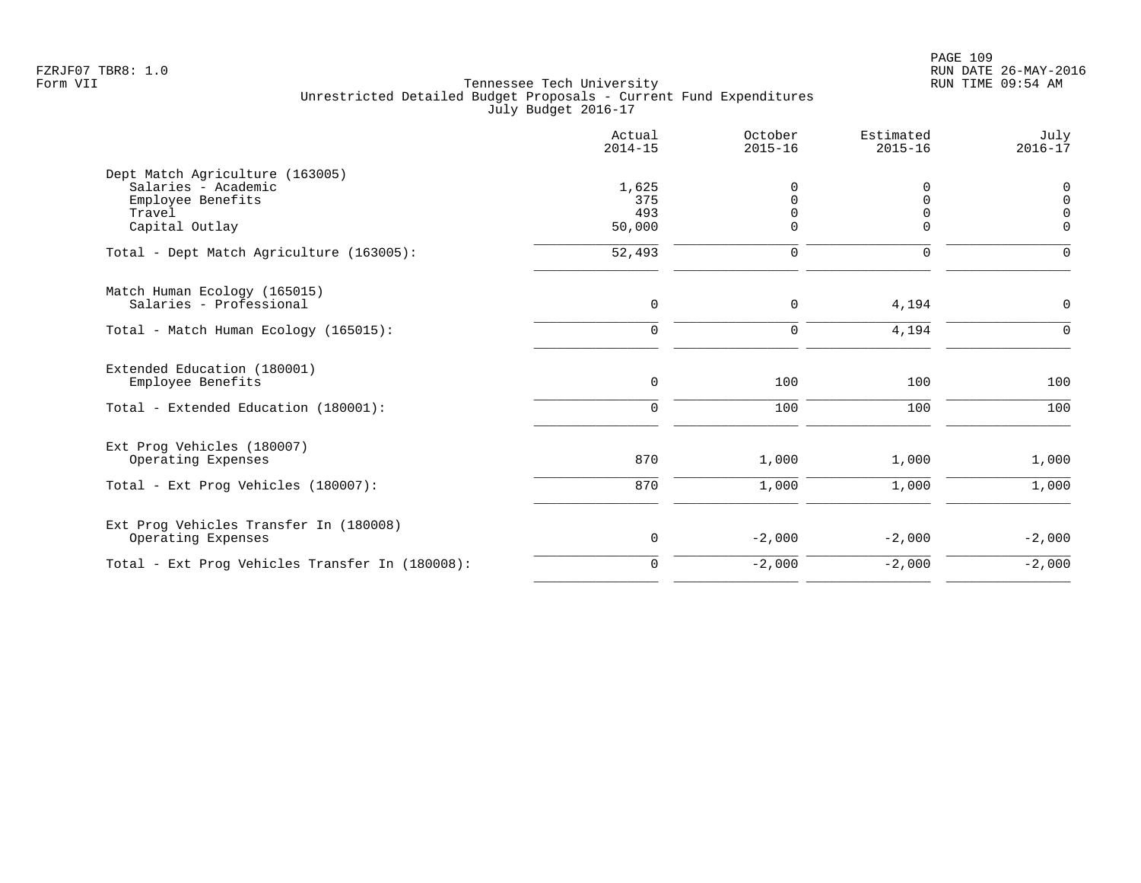|                                                                                                         | Actual<br>$2014 - 15$         | October<br>$2015 - 16$    | Estimated<br>$2015 - 16$                 | July<br>$2016 - 17$                             |
|---------------------------------------------------------------------------------------------------------|-------------------------------|---------------------------|------------------------------------------|-------------------------------------------------|
| Dept Match Agriculture (163005)<br>Salaries - Academic<br>Employee Benefits<br>Travel<br>Capital Outlay | 1,625<br>375<br>493<br>50,000 | O<br>$\Omega$<br>$\Omega$ | 0<br>$\Omega$<br>$\mathbf 0$<br>$\Omega$ | $\mathbf 0$<br>$\Omega$<br>$\Omega$<br>$\Omega$ |
| Total - Dept Match Agriculture (163005):                                                                | 52,493                        | $\mathbf 0$               | $\mathbf 0$                              | $\Omega$                                        |
| Match Human Ecology (165015)<br>Salaries - Professional                                                 | $\mathbf 0$                   | 0                         | 4,194                                    | $\mathbf 0$                                     |
| Total - Match Human Ecology (165015):                                                                   | $\mathbf 0$                   | $\mathbf 0$               | 4,194                                    | $\Omega$                                        |
| Extended Education (180001)<br>Employee Benefits                                                        | $\mathsf 0$                   | 100                       | 100                                      | 100                                             |
| Total - Extended Education (180001):                                                                    | $\mathbf 0$                   | 100                       | 100                                      | 100                                             |
| Ext Prog Vehicles (180007)<br>Operating Expenses                                                        | 870                           | 1,000                     | 1,000                                    | 1,000                                           |
| Total - Ext Prog Vehicles (180007):                                                                     | 870                           | 1,000                     | 1,000                                    | 1,000                                           |
| Ext Prog Vehicles Transfer In (180008)<br>Operating Expenses                                            | 0                             | $-2,000$                  | $-2,000$                                 | $-2,000$                                        |
| Total - Ext Prog Vehicles Transfer In (180008):                                                         | $\mathbf 0$                   | $-2,000$                  | $-2,000$                                 | $-2,000$                                        |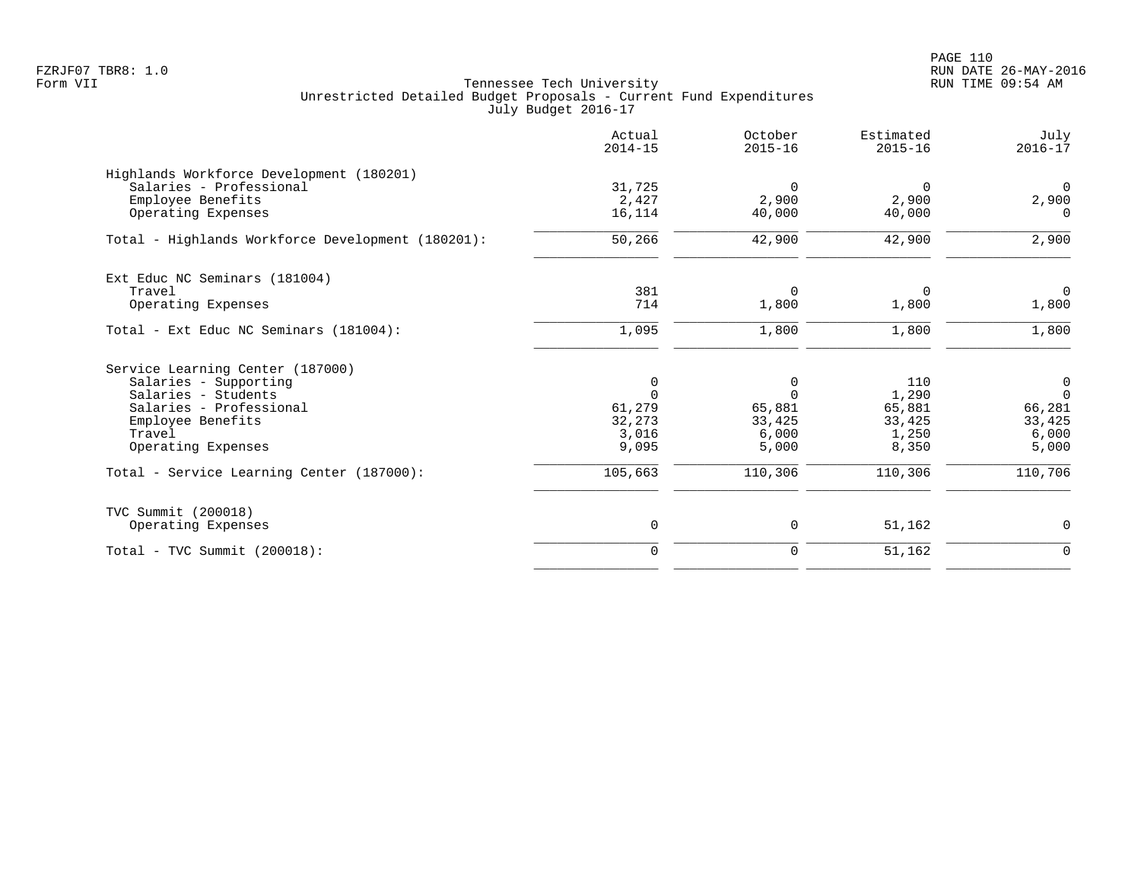PAGE 110 FZRJF07 TBR8: 1.0 RUN DATE 26-MAY-2016

|                                                                     | Actual<br>$2014 - 15$ | October<br>$2015 - 16$ | Estimated<br>$2015 - 16$ | July<br>$2016 - 17$  |
|---------------------------------------------------------------------|-----------------------|------------------------|--------------------------|----------------------|
| Highlands Workforce Development (180201)<br>Salaries - Professional | 31,725                | 0                      | 0                        | $\mathbf{0}$         |
| Employee Benefits<br>Operating Expenses                             | 2,427<br>16,114       | 2,900<br>40,000        | 2,900<br>40,000          | 2,900<br>$\Omega$    |
| Total - Highlands Workforce Development (180201):                   | 50,266                | 42,900                 | 42,900                   | 2,900                |
| Ext Educ NC Seminars (181004)                                       |                       |                        |                          |                      |
| Travel<br>Operating Expenses                                        | 381<br>714            | $\mathbf 0$<br>1,800   | 0<br>1,800               | $\mathbf 0$<br>1,800 |
| Total - Ext Educ NC Seminars (181004):                              | 1,095                 | 1,800                  | 1,800                    | 1,800                |
| Service Learning Center (187000)                                    |                       |                        |                          |                      |
| Salaries - Supporting                                               | 0                     | 0                      | 110                      | 0                    |
| Salaries - Students<br>Salaries - Professional                      | $\Omega$<br>61,279    | $\Omega$<br>65,881     | 1,290<br>65,881          | $\Omega$<br>66,281   |
| Employee Benefits                                                   | 32,273                | 33,425                 | 33,425                   | 33,425               |
| Travel                                                              | 3,016                 | 6,000                  | 1,250                    | 6,000                |
| Operating Expenses                                                  | 9,095                 | 5,000                  | 8,350                    | 5,000                |
| Total - Service Learning Center (187000):                           | 105,663               | 110,306                | 110,306                  | 110,706              |
| TVC Summit (200018)                                                 |                       |                        |                          |                      |
| Operating Expenses                                                  | 0                     | 0                      | 51,162                   | $\mathbf 0$          |
| $Total - TVC Summit (200018):$                                      | $\mathbf 0$           | 0                      | 51,162                   | $\mathbf 0$          |
|                                                                     |                       |                        |                          |                      |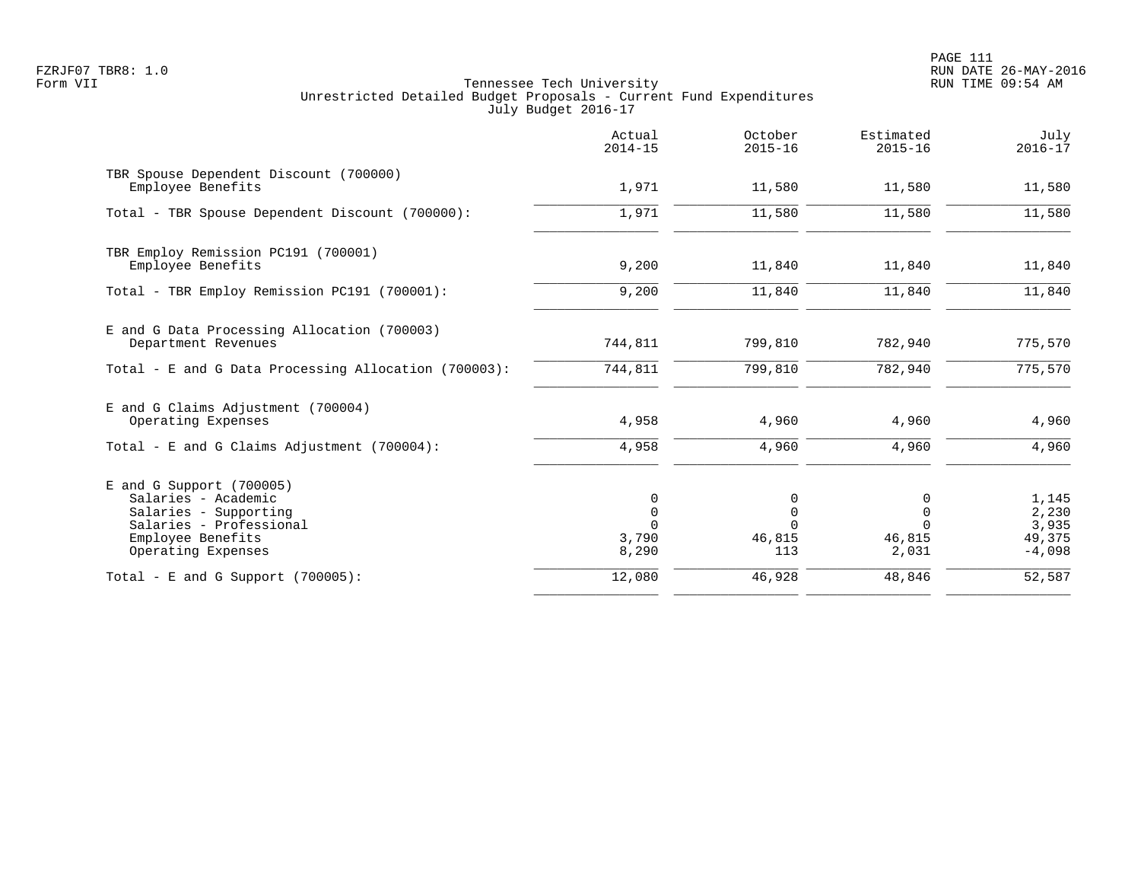PAGE 111 FZRJF07 TBR8: 1.0 RUN DATE 26-MAY-2016

|                                                                                                                                                  | Actual<br>$2014 - 15$              | October<br>$2015 - 16$            | Estimated<br>$2015 - 16$                        | July<br>$2016 - 17$                           |
|--------------------------------------------------------------------------------------------------------------------------------------------------|------------------------------------|-----------------------------------|-------------------------------------------------|-----------------------------------------------|
| TBR Spouse Dependent Discount (700000)<br>Employee Benefits                                                                                      | 1,971                              | 11,580                            | 11,580                                          | 11,580                                        |
| Total - TBR Spouse Dependent Discount (700000):                                                                                                  | 1,971                              | 11,580                            | 11,580                                          | 11,580                                        |
| TBR Employ Remission PC191 (700001)<br>Employee Benefits                                                                                         | 9,200                              | 11,840                            | 11,840                                          | 11,840                                        |
| Total - TBR Employ Remission PC191 (700001):                                                                                                     | 9,200                              | 11,840                            | 11,840                                          | 11,840                                        |
| E and G Data Processing Allocation (700003)<br>Department Revenues                                                                               | 744,811                            | 799,810                           | 782,940                                         | 775,570                                       |
| Total - E and G Data Processing Allocation (700003):                                                                                             | 744,811                            | 799,810                           | 782,940                                         | 775, 570                                      |
| E and G Claims Adjustment (700004)<br>Operating Expenses                                                                                         | 4,958                              | 4,960                             | 4,960                                           | 4,960                                         |
| Total - E and G Claims Adjustment $(700004)$ :                                                                                                   | 4,958                              | 4,960                             | 4,960                                           | 4,960                                         |
| $E$ and G Support (700005)<br>Salaries - Academic<br>Salaries - Supporting<br>Salaries - Professional<br>Employee Benefits<br>Operating Expenses | 0<br>$\mathbf 0$<br>3,790<br>8,290 | 0<br>$\mathbf 0$<br>46,815<br>113 | 0<br>$\mathbf 0$<br>$\Omega$<br>46,815<br>2,031 | 1,145<br>2,230<br>3,935<br>49,375<br>$-4,098$ |
| Total - E and G Support $(700005)$ :                                                                                                             | 12,080                             | 46,928                            | 48,846                                          | 52,587                                        |
|                                                                                                                                                  |                                    |                                   |                                                 |                                               |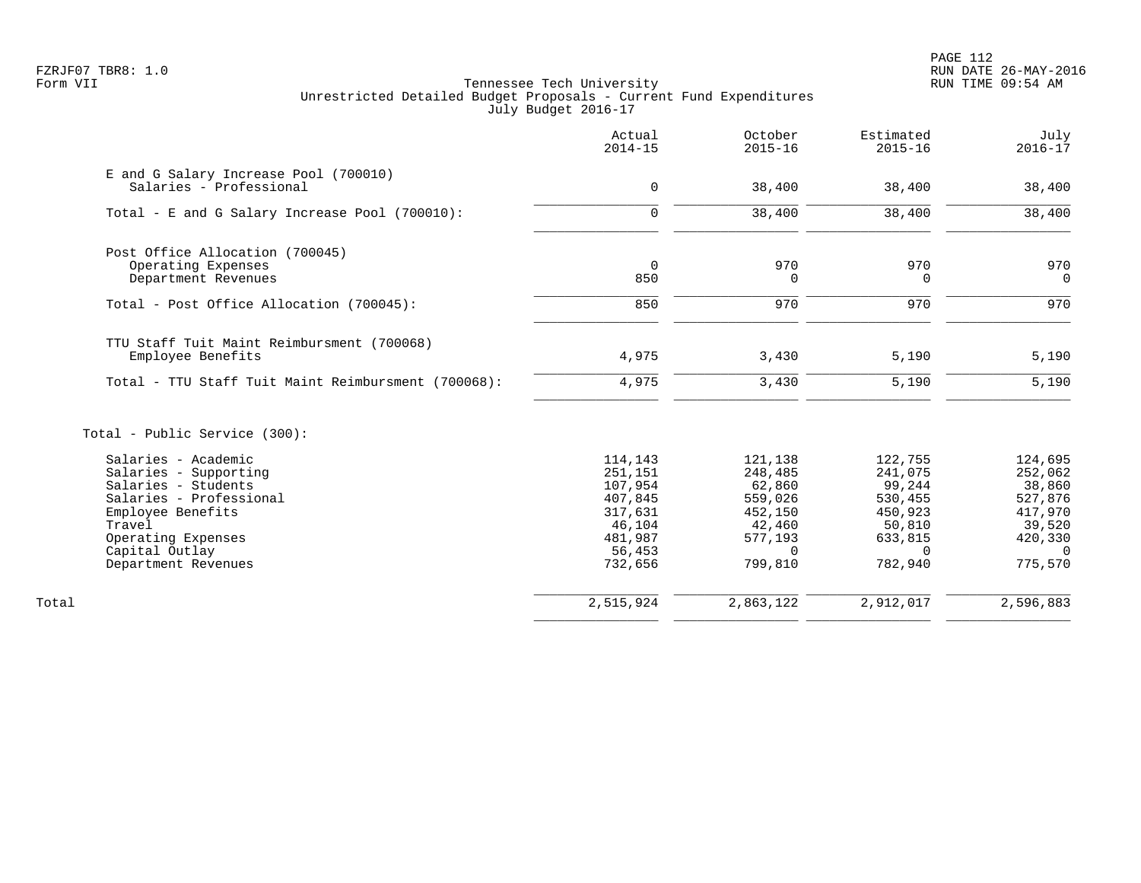|                                                     | Actual<br>$2014 - 15$ | October<br>$2015 - 16$ | Estimated<br>$2015 - 16$ | July<br>$2016 - 17$ |
|-----------------------------------------------------|-----------------------|------------------------|--------------------------|---------------------|
| E and G Salary Increase Pool (700010)               |                       |                        |                          |                     |
| Salaries - Professional                             | $\mathbf 0$           | 38,400                 | 38,400                   | 38,400              |
| Total - E and G Salary Increase Pool (700010):      | $\mathbf 0$           | 38,400                 | 38,400                   | 38,400              |
| Post Office Allocation (700045)                     |                       |                        |                          |                     |
| Operating Expenses                                  | $\Omega$              | 970                    | 970                      | 970                 |
| Department Revenues                                 | 850                   | 0                      | $\overline{0}$           | $\Omega$            |
| Total - Post Office Allocation (700045):            | 850                   | 970                    | 970                      | 970                 |
| TTU Staff Tuit Maint Reimbursment (700068)          |                       |                        |                          |                     |
| Employee Benefits                                   | 4,975                 | 3,430                  | 5,190                    | 5,190               |
| Total - TTU Staff Tuit Maint Reimbursment (700068): | 4,975                 | 3,430                  | 5,190                    | 5,190               |
| Total - Public Service (300):                       |                       |                        |                          |                     |
| Salaries - Academic                                 | 114,143               | 121,138                | 122,755                  | 124,695             |
| Salaries - Supporting                               | 251,151               | 248,485                | 241,075                  | 252,062             |
| Salaries - Students                                 | 107,954               | 62,860                 | 99,244                   | 38,860              |
| Salaries - Professional                             | 407,845               | 559,026                | 530,455                  | 527,876             |
| Employee Benefits                                   | 317,631               | 452,150                | 450,923                  | 417,970             |
| Travel                                              | 46,104                | 42,460                 | 50,810                   | 39,520              |
| Operating Expenses                                  | 481,987               | 577,193                | 633,815                  | 420,330             |
| Capital Outlay                                      | 56,453                | $\Omega$               | $\Omega$                 | $\overline{0}$      |
| Department Revenues                                 | 732,656               | 799,810                | 782,940                  | 775,570             |
| Total                                               | 2,515,924             | 2,863,122              | 2,912,017                | 2,596,883           |
|                                                     |                       |                        |                          |                     |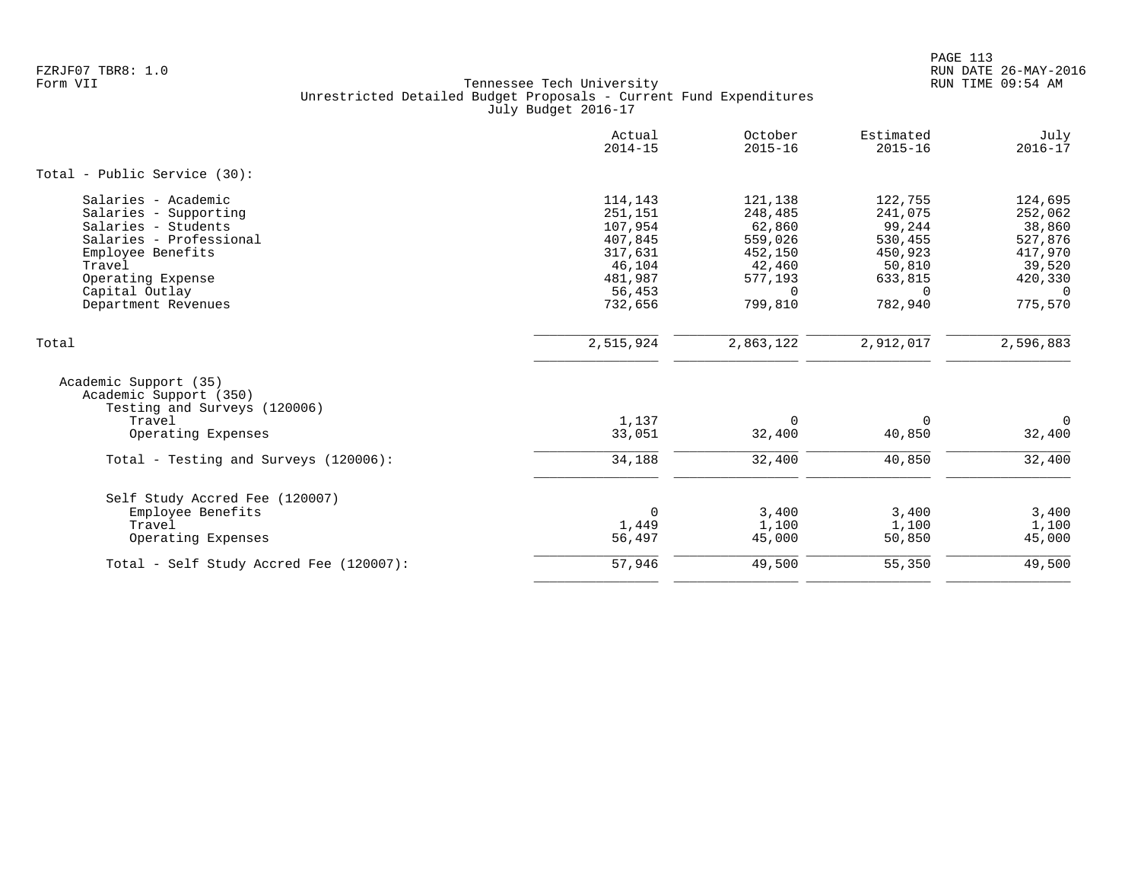|                                                                                 | Actual<br>$2014 - 15$ | October<br>$2015 - 16$ | Estimated<br>$2015 - 16$ | July<br>$2016 - 17$ |
|---------------------------------------------------------------------------------|-----------------------|------------------------|--------------------------|---------------------|
| Total - Public Service (30):                                                    |                       |                        |                          |                     |
| Salaries - Academic                                                             | 114,143               | 121,138                | 122,755                  | 124,695             |
| Salaries - Supporting                                                           | 251,151               | 248,485                | 241,075                  | 252,062             |
| Salaries - Students                                                             | 107,954               | 62,860                 | 99,244                   | 38,860              |
| Salaries - Professional                                                         | 407,845               | 559,026                | 530,455                  | 527,876             |
| Employee Benefits                                                               | 317,631               | 452,150                | 450,923                  | 417,970             |
| Travel                                                                          | 46,104                | 42,460                 | 50,810                   | 39,520              |
| Operating Expense                                                               | 481,987               | 577,193                | 633,815                  | 420,330             |
| Capital Outlay                                                                  | 56,453                | $\Omega$               | $\Omega$                 | $\Omega$            |
| Department Revenues                                                             | 732,656               | 799,810                | 782,940                  | 775,570             |
| Total                                                                           | 2,515,924             | 2,863,122              | 2,912,017                | 2,596,883           |
| Academic Support (35)<br>Academic Support (350)<br>Testing and Surveys (120006) |                       |                        |                          |                     |
| Travel                                                                          | 1,137                 | $\Omega$               | $\Omega$                 | $\mathbf 0$         |
| Operating Expenses                                                              | 33,051                | 32,400                 | 40,850                   | 32,400              |
| Total - Testing and Surveys (120006):                                           | 34,188                | 32,400                 | 40,850                   | 32,400              |
| Self Study Accred Fee (120007)                                                  |                       |                        |                          |                     |
| Employee Benefits                                                               | $\Omega$              | 3,400                  | 3,400                    | 3,400               |
| Travel                                                                          | 1,449                 | 1,100                  | 1,100                    | 1,100               |
| Operating Expenses                                                              | 56,497                | 45,000                 | 50,850                   | 45,000              |
| Total - Self Study Accred Fee (120007):                                         | 57,946                | 49,500                 | 55,350                   | 49,500              |
|                                                                                 |                       |                        |                          |                     |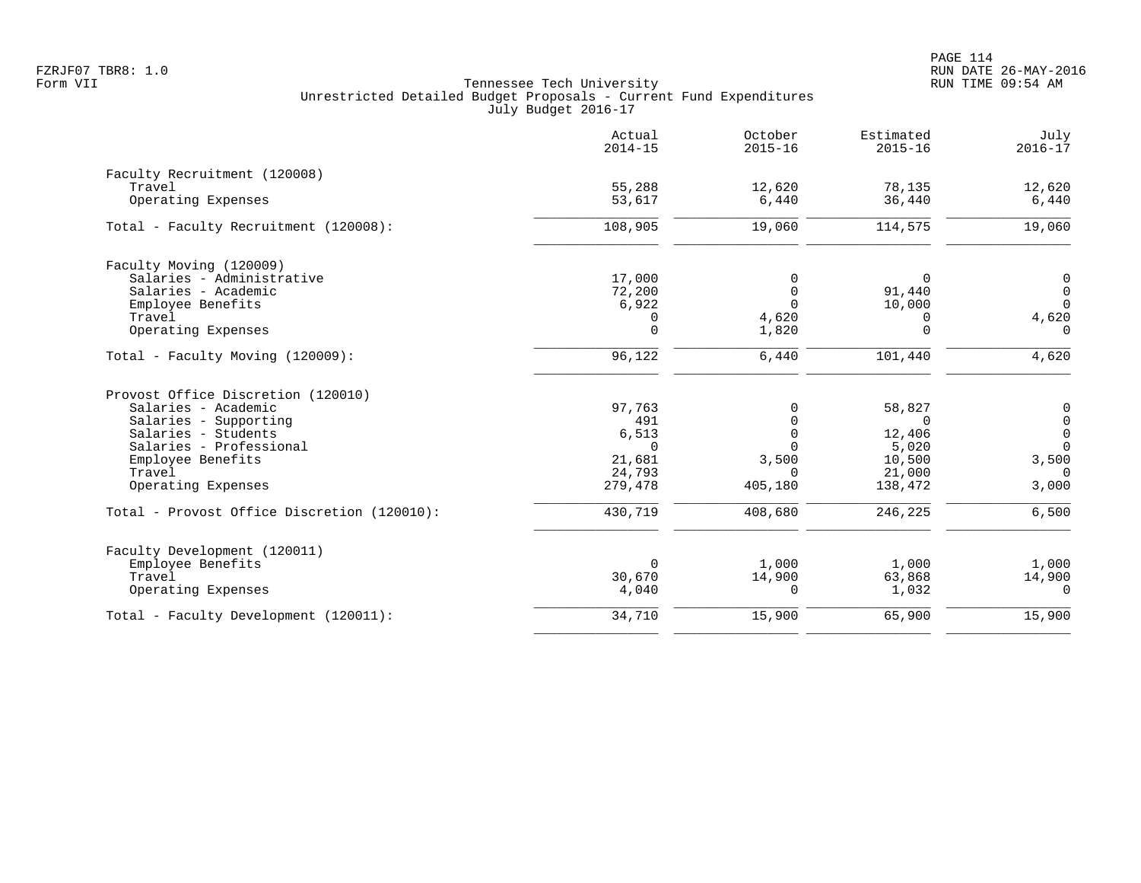|                                             | Actual<br>$2014 - 15$ | October<br>$2015 - 16$ | Estimated<br>$2015 - 16$ | July<br>$2016 - 17$ |
|---------------------------------------------|-----------------------|------------------------|--------------------------|---------------------|
| Faculty Recruitment (120008)                |                       |                        |                          |                     |
| Travel                                      | 55,288                | 12,620                 | 78,135                   | 12,620              |
| Operating Expenses                          | 53,617                | 6,440                  | 36,440                   | 6,440               |
| Total - Faculty Recruitment (120008):       | 108,905               | 19,060                 | 114,575                  | 19,060              |
| Faculty Moving (120009)                     |                       |                        |                          |                     |
| Salaries - Administrative                   | 17,000                | 0                      | $\Omega$                 | 0                   |
| Salaries - Academic                         | 72,200                | $\mathbf 0$            | 91,440                   | $\mathsf{O}$        |
| Employee Benefits                           | 6,922                 | $\Omega$               | 10,000                   | $\mathbf 0$         |
| Travel                                      | 0                     | 4,620                  | 0                        | 4,620               |
| Operating Expenses                          | $\Omega$              | 1,820                  | $\Omega$                 | $\Omega$            |
| Total - Faculty Moving (120009):            | 96,122                | 6,440                  | 101,440                  | 4,620               |
| Provost Office Discretion (120010)          |                       |                        |                          |                     |
| Salaries - Academic                         | 97,763                | 0                      | 58,827                   | $\mathbf 0$         |
| Salaries - Supporting                       | 491                   | $\mathbf 0$            | $\Omega$                 | $\mathsf{O}$        |
| Salaries - Students                         | 6,513                 | $\mathbf 0$            | 12,406                   | $\mathsf{O}$        |
| Salaries - Professional                     | $\Omega$              | $\Omega$               | 5,020                    | $\Omega$            |
| Employee Benefits                           | 21,681                | 3,500                  | 10,500                   | 3,500               |
| Travel                                      | 24,793                | $\Omega$               | 21,000                   | $\cap$              |
| Operating Expenses                          | 279,478               | 405,180                | 138,472                  | 3,000               |
| Total - Provost Office Discretion (120010): | 430,719               | 408,680                | 246,225                  | 6,500               |
| Faculty Development (120011)                |                       |                        |                          |                     |
| Employee Benefits                           | $\Omega$              | 1,000                  | 1,000                    | 1,000               |
| Travel                                      | 30,670                | 14,900                 | 63,868                   | 14,900              |
| Operating Expenses                          | 4,040                 | $\Omega$               | 1,032                    | $\Omega$            |
| Total - Faculty Development (120011):       | 34,710                | 15,900                 | 65,900                   | 15,900              |
|                                             |                       |                        |                          |                     |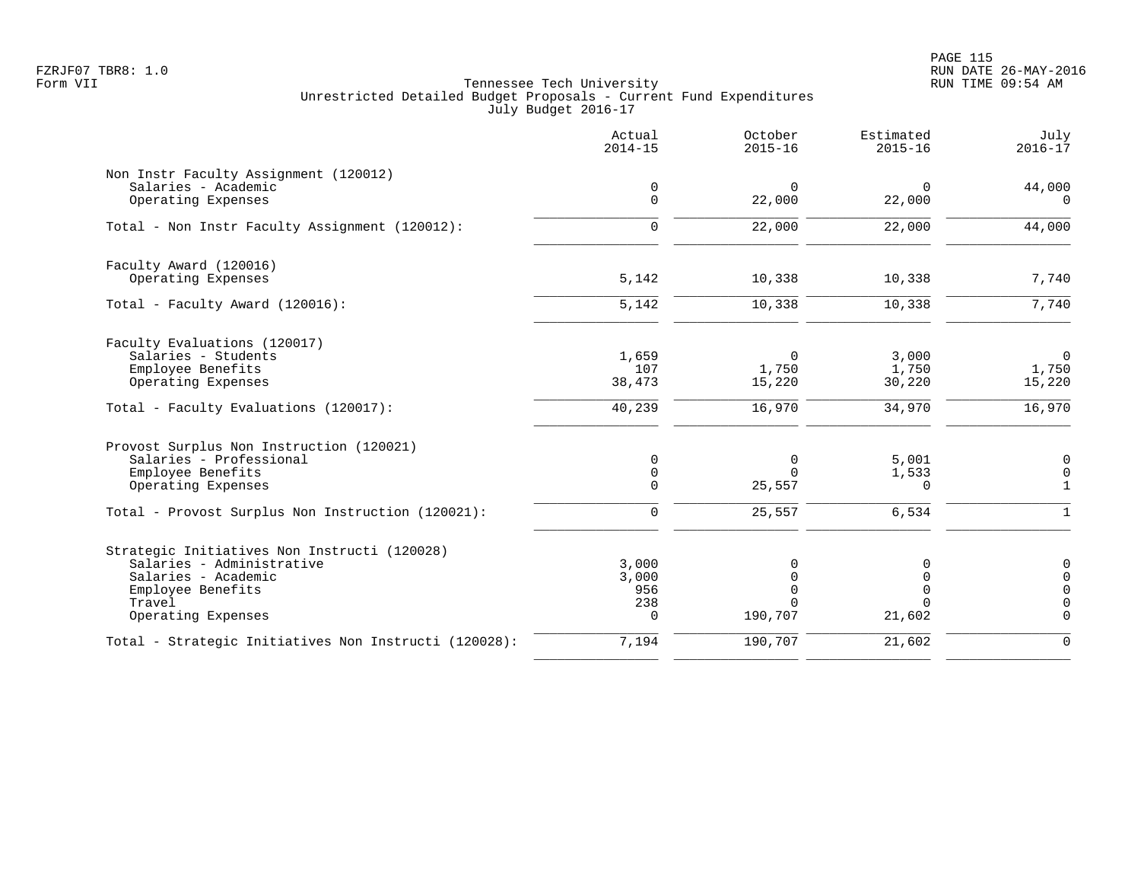PAGE 115 FZRJF07 TBR8: 1.0 RUN DATE 26-MAY-2016

|                                                       | Actual<br>$2014 - 15$ | October<br>$2015 - 16$ | Estimated<br>$2015 - 16$ | July<br>$2016 - 17$ |
|-------------------------------------------------------|-----------------------|------------------------|--------------------------|---------------------|
| Non Instr Faculty Assignment (120012)                 |                       |                        |                          |                     |
| Salaries - Academic                                   | 0                     | $\mathbf 0$            | 0                        | 44,000              |
| Operating Expenses                                    | $\mathbf 0$           | 22,000                 | 22,000                   | $\Omega$            |
| Total - Non Instr Faculty Assignment (120012):        | $\mathbf 0$           | 22,000                 | 22,000                   | 44,000              |
| Faculty Award (120016)                                |                       |                        |                          |                     |
| Operating Expenses                                    | 5,142                 | 10,338                 | 10,338                   | 7,740               |
| Total - Faculty Award (120016):                       | 5,142                 | 10,338                 | 10,338                   | 7,740               |
| Faculty Evaluations (120017)                          |                       |                        |                          |                     |
| Salaries - Students                                   | 1,659                 | 0                      | 3,000                    | $\mathbf 0$         |
| Employee Benefits                                     | 107                   | 1,750                  | 1,750                    | 1,750               |
| Operating Expenses                                    | 38,473                | 15,220                 | 30,220                   | 15,220              |
| Total - Faculty Evaluations (120017):                 | 40,239                | 16,970                 | 34,970                   | 16,970              |
| Provost Surplus Non Instruction (120021)              |                       |                        |                          |                     |
| Salaries - Professional                               | $\mathbf 0$           | 0                      | 5,001                    | $\mathbf 0$         |
| Employee Benefits                                     | $\mathsf{O}$          | $\Omega$               | 1,533                    | $\mathbf 0$         |
| Operating Expenses                                    | $\Omega$              | 25,557                 | $\Omega$                 | $\mathbf{1}$        |
| Total - Provost Surplus Non Instruction (120021):     | 0                     | 25,557                 | 6,534                    | $\mathbf{1}$        |
| Strategic Initiatives Non Instructi (120028)          |                       |                        |                          |                     |
| Salaries - Administrative                             | 3,000                 | 0                      |                          | $\mathbf 0$         |
| Salaries - Academic                                   | 3,000                 | $\Omega$               | 0                        | $\Omega$            |
| Employee Benefits                                     | 956                   | $\Omega$               | $\mathbf 0$              | $\Omega$            |
| Travel                                                | 238                   | U                      | $\Omega$                 | $\Omega$            |
| Operating Expenses                                    | $\Omega$              | 190,707                | 21,602                   | $\Omega$            |
| Total - Strategic Initiatives Non Instructi (120028): | 7,194                 | 190,707                | 21,602                   | $\overline{0}$      |
|                                                       |                       |                        |                          |                     |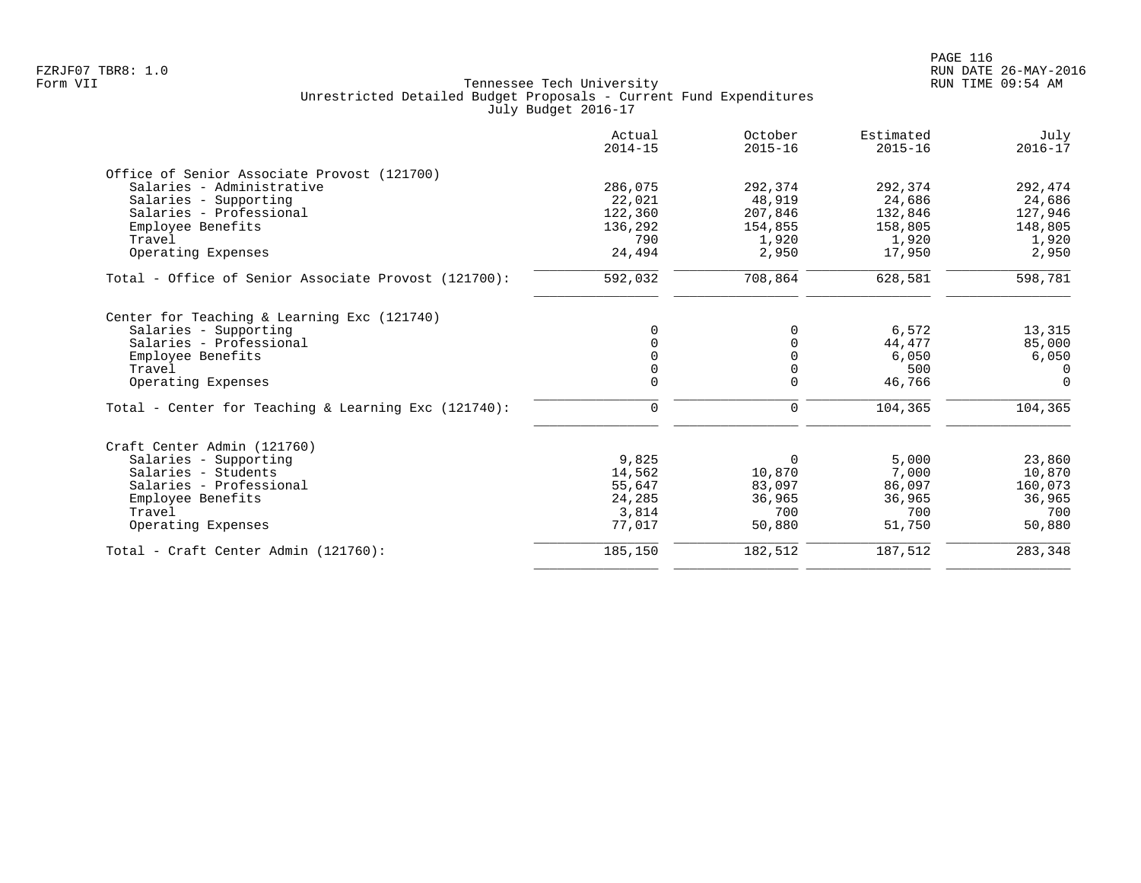|                                                      | Actual<br>$2014 - 15$ | October<br>$2015 - 16$ | Estimated<br>$2015 - 16$ | July<br>$2016 - 17$ |
|------------------------------------------------------|-----------------------|------------------------|--------------------------|---------------------|
| Office of Senior Associate Provost (121700)          |                       |                        |                          |                     |
| Salaries - Administrative                            | 286,075               | 292,374                | 292,374                  | 292,474             |
| Salaries - Supporting                                | 22,021                | 48,919                 | 24,686                   | 24,686              |
| Salaries - Professional                              | 122,360               | 207,846                | 132,846                  | 127,946             |
| Employee Benefits                                    | 136,292               | 154,855                | 158,805                  | 148,805             |
| Travel                                               | 790                   | 1,920                  | 1,920                    | 1,920               |
| Operating Expenses                                   | 24,494                | 2,950                  | 17,950                   | 2,950               |
| Total - Office of Senior Associate Provost (121700): | 592,032               | 708,864                | 628,581                  | 598,781             |
| Center for Teaching & Learning Exc (121740)          |                       |                        |                          |                     |
| Salaries - Supporting                                | $\Omega$              | 0                      | 6,572                    | 13,315              |
| Salaries - Professional                              |                       | $\Omega$               | 44,477                   | 85,000              |
| Employee Benefits                                    | $\Omega$              | 0                      | 6,050                    | 6,050               |
| Travel                                               |                       | 0                      | 500                      | $\Omega$            |
| Operating Expenses                                   | $\Omega$              | $\Omega$               | 46,766                   | $\Omega$            |
| Total - Center for Teaching & Learning Exc (121740): | 0                     | 0                      | 104,365                  | 104,365             |
| Craft Center Admin (121760)                          |                       |                        |                          |                     |
| Salaries - Supporting                                | 9,825                 | 0                      | 5,000                    | 23,860              |
| Salaries - Students                                  | 14,562                | 10,870                 | 7,000                    | 10,870              |
| Salaries - Professional                              | 55,647                | 83,097                 | 86,097                   | 160,073             |
| Employee Benefits                                    | 24,285                | 36,965                 | 36,965                   | 36,965              |
| Travel                                               | 3,814                 | 700                    | 700                      | 700                 |
| Operating Expenses                                   | 77,017                | 50,880                 | 51,750                   | 50,880              |
| Total - Craft Center Admin (121760):                 | 185,150               | 182,512                | 187,512                  | 283,348             |
|                                                      |                       |                        |                          |                     |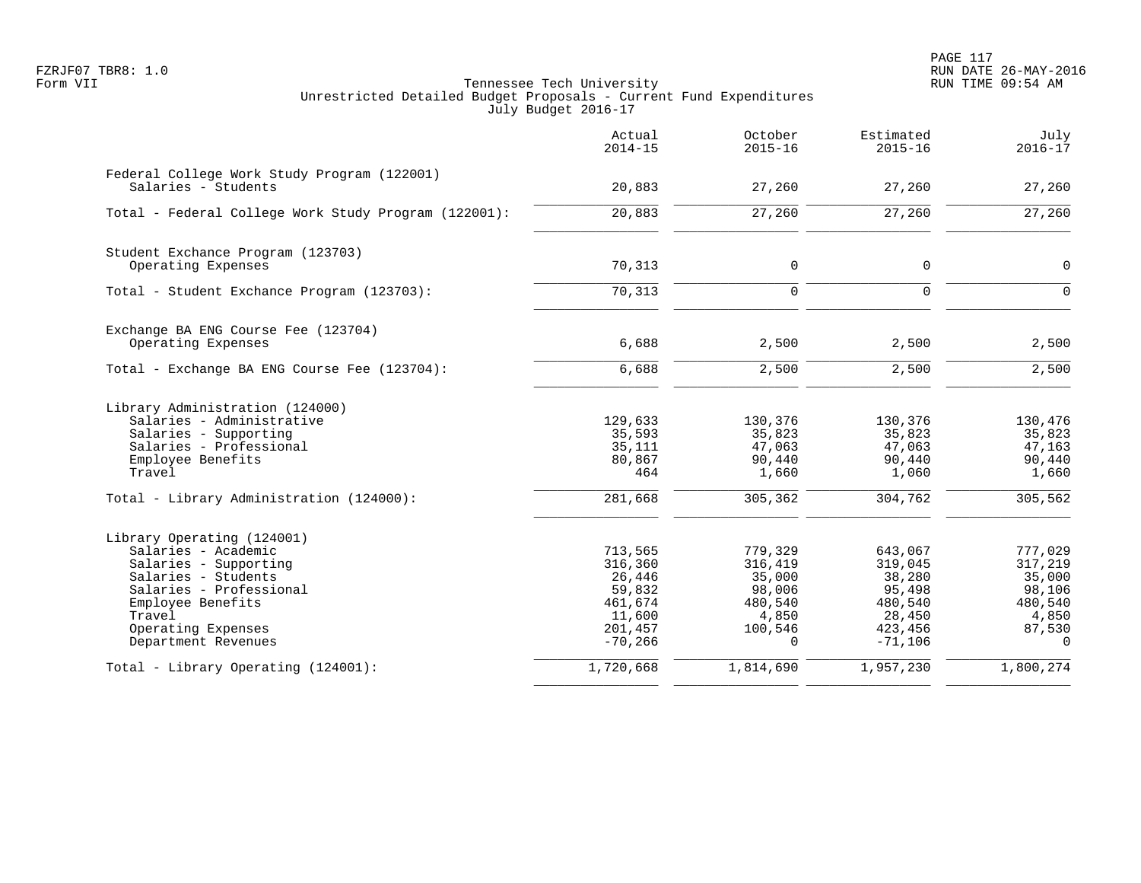|                                                                                                                                                                                                          | Actual<br>$2014 - 15$                                                               | October<br>$2015 - 16$                                                            | Estimated<br>$2015 - 16$                                                            | July<br>$2016 - 17$                                                              |
|----------------------------------------------------------------------------------------------------------------------------------------------------------------------------------------------------------|-------------------------------------------------------------------------------------|-----------------------------------------------------------------------------------|-------------------------------------------------------------------------------------|----------------------------------------------------------------------------------|
| Federal College Work Study Program (122001)<br>Salaries - Students                                                                                                                                       | 20,883                                                                              | 27,260                                                                            | 27,260                                                                              | 27,260                                                                           |
| Total - Federal College Work Study Program (122001):                                                                                                                                                     | 20,883                                                                              | 27,260                                                                            | 27,260                                                                              | 27,260                                                                           |
| Student Exchance Program (123703)<br>Operating Expenses                                                                                                                                                  | 70,313                                                                              | 0                                                                                 | 0                                                                                   | $\mathbf 0$                                                                      |
| Total - Student Exchance Program (123703):                                                                                                                                                               | 70,313                                                                              | $\mathbf 0$                                                                       | $\mathsf{O}$                                                                        | $\Omega$                                                                         |
| Exchange BA ENG Course Fee (123704)<br>Operating Expenses                                                                                                                                                | 6,688                                                                               | 2,500                                                                             | 2,500                                                                               | 2,500                                                                            |
| Total - Exchange BA ENG Course Fee (123704):                                                                                                                                                             | 6,688                                                                               | 2,500                                                                             | 2,500                                                                               | 2,500                                                                            |
| Library Administration (124000)<br>Salaries - Administrative<br>Salaries - Supporting<br>Salaries - Professional<br>Employee Benefits<br>Travel                                                          | 129,633<br>35,593<br>35,111<br>80,867<br>464                                        | 130,376<br>35,823<br>47,063<br>90,440<br>1,660                                    | 130,376<br>35,823<br>47,063<br>90,440<br>1,060                                      | 130,476<br>35,823<br>47,163<br>90,440<br>1,660                                   |
| Total - Library Administration (124000):                                                                                                                                                                 | 281,668                                                                             | 305,362                                                                           | 304,762                                                                             | 305, 562                                                                         |
| Library Operating (124001)<br>Salaries - Academic<br>Salaries - Supporting<br>Salaries - Students<br>Salaries - Professional<br>Employee Benefits<br>Travel<br>Operating Expenses<br>Department Revenues | 713,565<br>316,360<br>26,446<br>59,832<br>461,674<br>11,600<br>201,457<br>$-70,266$ | 779,329<br>316,419<br>35,000<br>98,006<br>480,540<br>4,850<br>100,546<br>$\Omega$ | 643,067<br>319,045<br>38,280<br>95,498<br>480,540<br>28,450<br>423,456<br>$-71,106$ | 777,029<br>317,219<br>35,000<br>98,106<br>480,540<br>4,850<br>87,530<br>$\Omega$ |
| Total - Library Operating (124001):                                                                                                                                                                      | 1,720,668                                                                           | 1,814,690                                                                         | 1,957,230                                                                           | 1,800,274                                                                        |
|                                                                                                                                                                                                          |                                                                                     |                                                                                   |                                                                                     |                                                                                  |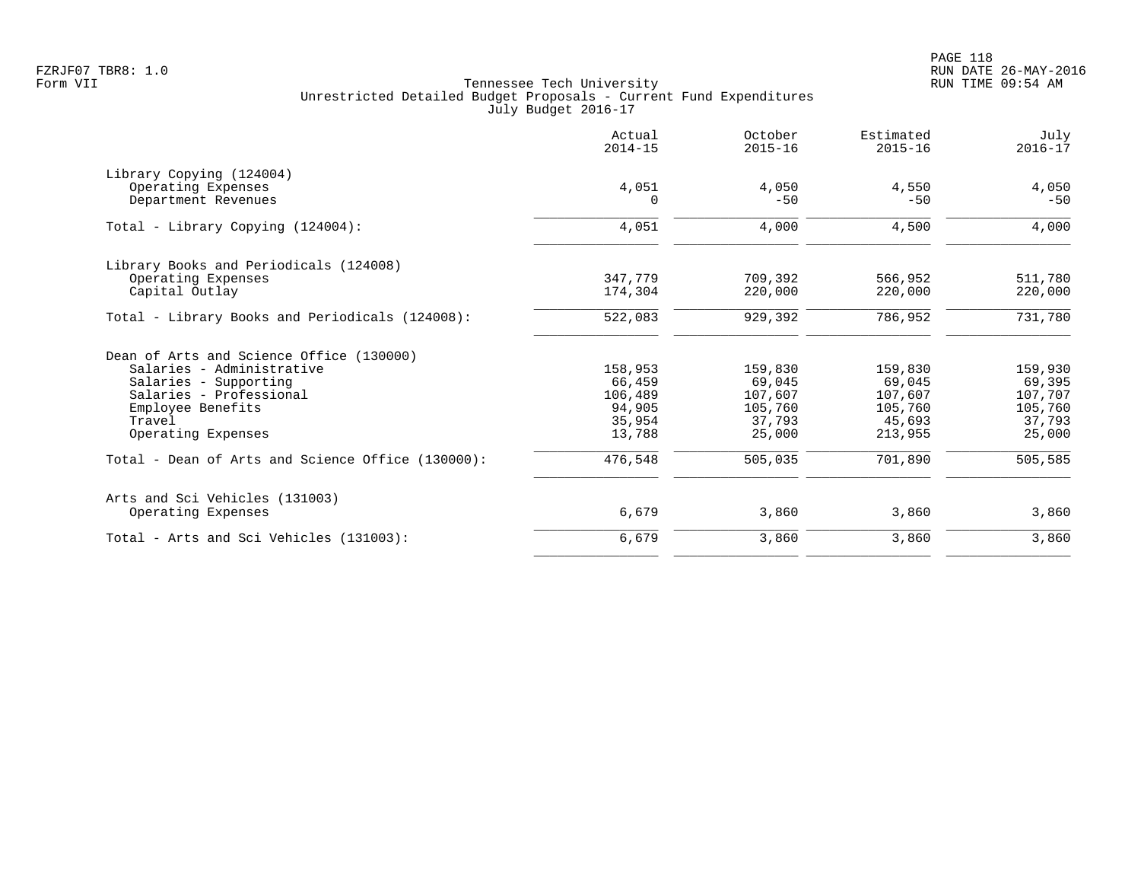|                                                   | Actual<br>$2014 - 15$ | October<br>$2015 - 16$ | Estimated<br>$2015 - 16$ | July<br>$2016 - 17$ |
|---------------------------------------------------|-----------------------|------------------------|--------------------------|---------------------|
| Library Copying (124004)                          |                       |                        |                          |                     |
| Operating Expenses<br>Department Revenues         | 4,051<br>$\Omega$     | 4,050<br>$-50$         | 4,550<br>$-50$           | 4,050<br>$-50$      |
| Total - Library Copying (124004):                 | 4,051                 | 4,000                  | 4,500                    | 4,000               |
|                                                   |                       |                        |                          |                     |
| Library Books and Periodicals (124008)            |                       |                        |                          |                     |
| Operating Expenses                                | 347,779               | 709,392                | 566,952                  | 511,780             |
| Capital Outlay                                    | 174,304               | 220,000                | 220,000                  | 220,000             |
| Total - Library Books and Periodicals (124008):   | 522,083               | 929,392                | 786,952                  | 731,780             |
| Dean of Arts and Science Office (130000)          |                       |                        |                          |                     |
| Salaries - Administrative                         | 158,953               | 159,830                | 159,830                  | 159,930             |
| Salaries - Supporting                             | 66,459                | 69,045                 | 69,045                   | 69,395              |
| Salaries - Professional                           | 106,489               | 107,607                | 107,607                  | 107,707             |
| Employee Benefits                                 | 94,905                | 105,760                | 105,760                  | 105,760             |
| Travel                                            | 35,954                | 37,793                 | 45,693                   | 37,793              |
| Operating Expenses                                | 13,788                | 25,000                 | 213,955                  | 25,000              |
| Total - Dean of Arts and Science Office (130000): | 476,548               | 505,035                | 701,890                  | 505,585             |
| Arts and Sci Vehicles (131003)                    |                       |                        |                          |                     |
| Operating Expenses                                | 6,679                 | 3,860                  | 3,860                    | 3,860               |
| Total - Arts and Sci Vehicles (131003):           | 6,679                 | 3,860                  | 3,860                    | 3,860               |
|                                                   |                       |                        |                          |                     |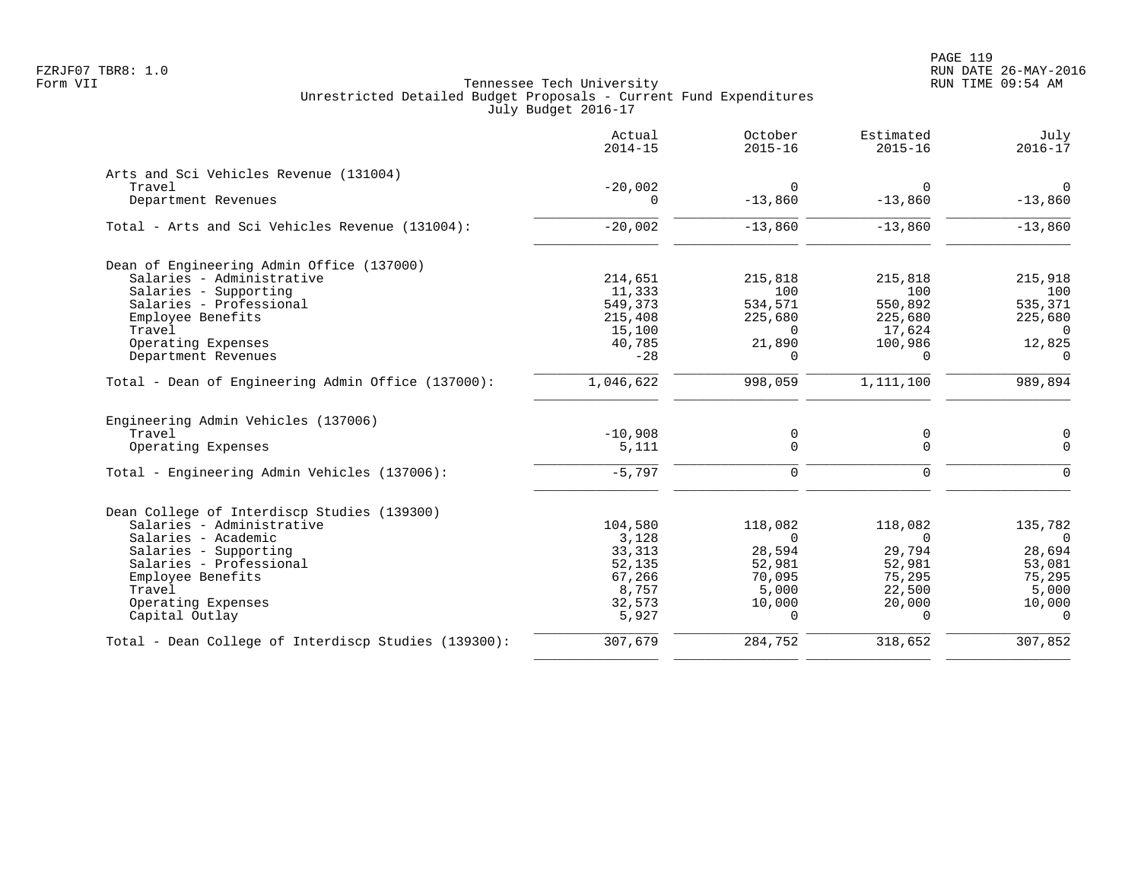|                                                      | Actual<br>$2014 - 15$ | October<br>$2015 - 16$ | Estimated<br>$2015 - 16$ | July<br>$2016 - 17$ |
|------------------------------------------------------|-----------------------|------------------------|--------------------------|---------------------|
| Arts and Sci Vehicles Revenue (131004)               |                       |                        |                          |                     |
| Travel                                               | $-20,002$             | $\Omega$               | $\Omega$                 | $\Omega$            |
| Department Revenues                                  | $\Omega$              | $-13,860$              | $-13,860$                | $-13,860$           |
| Total - Arts and Sci Vehicles Revenue (131004):      | $-20,002$             | $-13,860$              | $-13,860$                | $-13,860$           |
| Dean of Engineering Admin Office (137000)            |                       |                        |                          |                     |
| Salaries - Administrative                            | 214,651               | 215,818                | 215,818                  | 215,918             |
| Salaries - Supporting                                | 11,333                | 100                    | 100                      | 100                 |
| Salaries - Professional                              | 549,373               | 534,571                | 550,892                  | 535,371             |
| Employee Benefits                                    | 215,408               | 225,680                | 225,680                  | 225,680             |
| Travel                                               | 15,100                | $\Omega$               | 17,624                   | $\Omega$            |
| Operating Expenses                                   | 40,785                | 21,890                 | 100,986                  | 12,825              |
| Department Revenues                                  | $-28$                 | $\Omega$               | $\Omega$                 | $\Omega$            |
| Total - Dean of Engineering Admin Office (137000):   | 1,046,622             | 998,059                | 1,111,100                | 989,894             |
| Engineering Admin Vehicles (137006)                  |                       |                        |                          |                     |
| Travel                                               | $-10,908$             | 0                      | 0                        | $\mathbf 0$         |
| Operating Expenses                                   | 5,111                 | 0                      | $\mathbf 0$              | $\Omega$            |
| Total - Engineering Admin Vehicles (137006):         | $-5,797$              | $\Omega$               | $\Omega$                 | $\Omega$            |
| Dean College of Interdiscp Studies (139300)          |                       |                        |                          |                     |
| Salaries - Administrative                            | 104,580               | 118,082                | 118,082                  | 135,782             |
| Salaries - Academic                                  | 3,128                 | $\Omega$               | $\Omega$                 | $\overline{0}$      |
| Salaries - Supporting                                | 33,313                | 28,594                 | 29,794                   | 28,694              |
| Salaries - Professional                              | 52,135                | 52,981                 | 52,981                   | 53,081              |
| Employee Benefits                                    | 67,266                | 70,095                 | 75,295                   | 75,295              |
| Travel                                               | 8,757                 | 5,000                  | 22,500                   | 5,000               |
| Operating Expenses                                   | 32,573                | 10,000                 | 20,000                   | 10,000              |
| Capital Outlay                                       | 5,927                 | $\Omega$               | $\Omega$                 | $\Omega$            |
| Total - Dean College of Interdiscp Studies (139300): | 307,679               | 284,752                | 318,652                  | 307,852             |
|                                                      |                       |                        |                          |                     |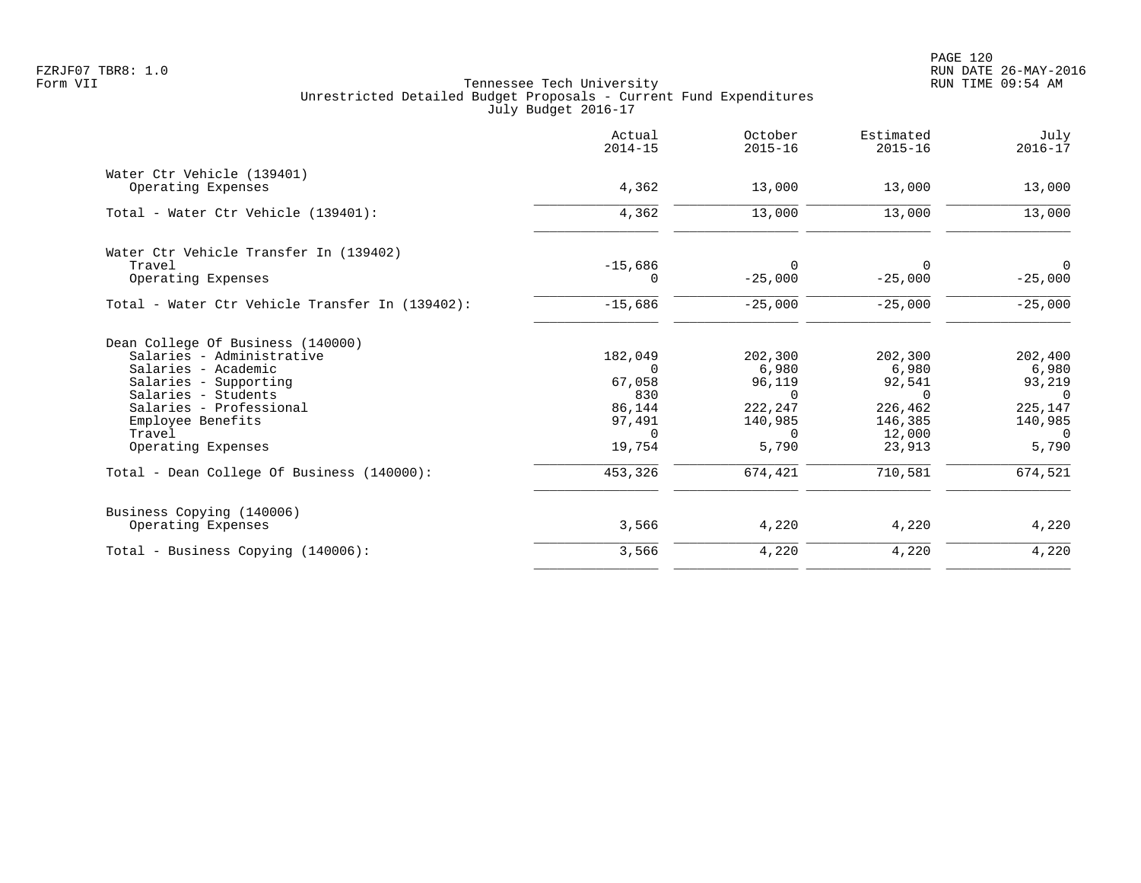|                                                 | Actual<br>$2014 - 15$ | October<br>$2015 - 16$ | Estimated<br>$2015 - 16$ | July<br>$2016 - 17$     |
|-------------------------------------------------|-----------------------|------------------------|--------------------------|-------------------------|
| Water Ctr Vehicle (139401)                      |                       |                        |                          |                         |
| Operating Expenses                              | 4,362                 | 13,000                 | 13,000                   | 13,000                  |
| Total - Water Ctr Vehicle (139401):             | 4,362                 | 13,000                 | 13,000                   | 13,000                  |
| Water Ctr Vehicle Transfer In (139402)          |                       |                        |                          |                         |
| Travel                                          | $-15,686$             | $\Omega$               | 0                        | $\overline{0}$          |
| Operating Expenses                              | 0                     | $-25,000$              | $-25,000$                | $-25,000$               |
| Total - Water Ctr Vehicle Transfer In (139402): | $-15,686$             | $-25,000$              | $-25,000$                | $-25,000$               |
| Dean College Of Business (140000)               |                       |                        |                          |                         |
| Salaries - Administrative                       | 182,049               | 202,300                | 202,300                  | 202,400                 |
| Salaries - Academic                             | $\Omega$              | 6,980                  | 6,980                    | 6,980                   |
| Salaries - Supporting                           | 67,058                | 96,119                 | 92,541                   | 93,219                  |
| Salaries - Students                             | 830                   | $\Omega$               | $\Omega$                 | $\Omega$                |
| Salaries - Professional                         | 86,144                | 222,247                | 226,462                  | 225,147                 |
| Employee Benefits                               | 97,491                | 140,985                | 146,385                  | 140,985                 |
| Travel<br>Operating Expenses                    | $\Omega$<br>19,754    | $\Omega$<br>5,790      | 12,000<br>23,913         | $\overline{0}$<br>5,790 |
| Total - Dean College Of Business (140000):      | 453,326               | 674,421                | 710,581                  | 674,521                 |
| Business Copying (140006)<br>Operating Expenses | 3,566                 | 4,220                  | 4,220                    | 4,220                   |
|                                                 |                       |                        |                          |                         |
| Total - Business Copying (140006):              | 3,566                 | 4,220                  | 4,220                    | 4,220                   |
|                                                 |                       |                        |                          |                         |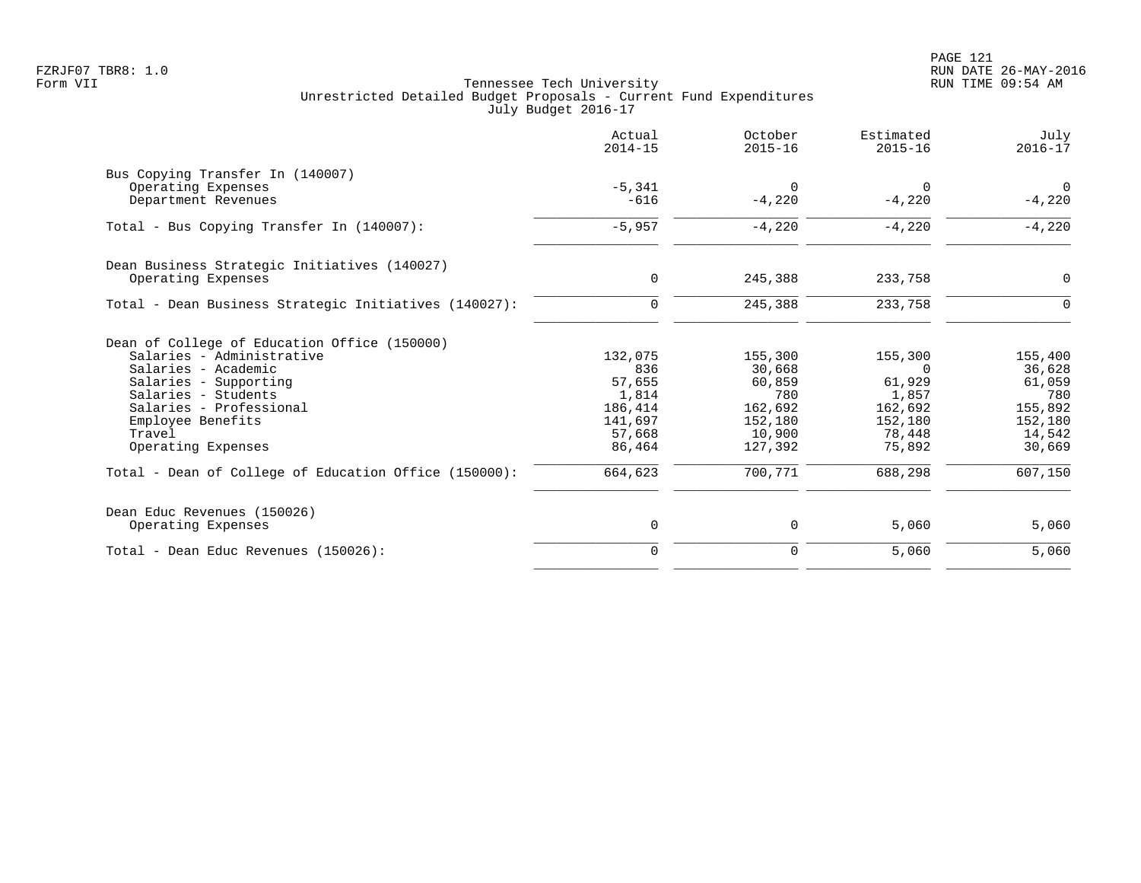|                                                       | Actual<br>$2014 - 15$ | October<br>$2015 - 16$ | Estimated<br>$2015 - 16$ | July<br>$2016 - 17$ |
|-------------------------------------------------------|-----------------------|------------------------|--------------------------|---------------------|
| Bus Copying Transfer In (140007)                      |                       |                        |                          |                     |
| Operating Expenses                                    | $-5.341$              | $\Omega$               | $\Omega$                 | $\Omega$            |
| Department Revenues                                   | $-616$                | $-4,220$               | $-4,220$                 | $-4,220$            |
| Total - Bus Copying Transfer In (140007):             | $-5,957$              | $-4,220$               | $-4,220$                 | $-4,220$            |
| Dean Business Strategic Initiatives (140027)          |                       |                        |                          |                     |
| Operating Expenses                                    | $\mathbf 0$           | 245,388                | 233,758                  | $\mathbf 0$         |
| Total - Dean Business Strategic Initiatives (140027): | 0                     | 245,388                | 233,758                  | $\Omega$            |
| Dean of College of Education Office (150000)          |                       |                        |                          |                     |
| Salaries - Administrative                             | 132,075               | 155,300                | 155,300                  | 155,400             |
| Salaries - Academic                                   | 836                   | 30,668                 | $\Omega$                 | 36,628              |
| Salaries - Supporting                                 | 57,655                | 60,859                 | 61,929                   | 61,059              |
| Salaries - Students                                   | 1,814                 | 780                    | 1,857                    | 780                 |
| Salaries - Professional                               | 186,414               | 162,692                | 162,692                  | 155,892             |
| Employee Benefits                                     | 141,697               | 152,180                | 152,180                  | 152,180             |
| Travel                                                | 57,668                | 10,900                 | 78,448                   | 14,542              |
| Operating Expenses                                    | 86,464                | 127,392                | 75,892                   | 30,669              |
| Total - Dean of College of Education Office (150000): | 664,623               | 700,771                | 688,298                  | 607,150             |
| Dean Educ Revenues (150026)                           |                       |                        |                          |                     |
| Operating Expenses                                    | 0                     | 0                      | 5,060                    | 5,060               |
| Total - Dean Educ Revenues (150026):                  | $\mathbf 0$           | 0                      | 5,060                    | 5,060               |
|                                                       |                       |                        |                          |                     |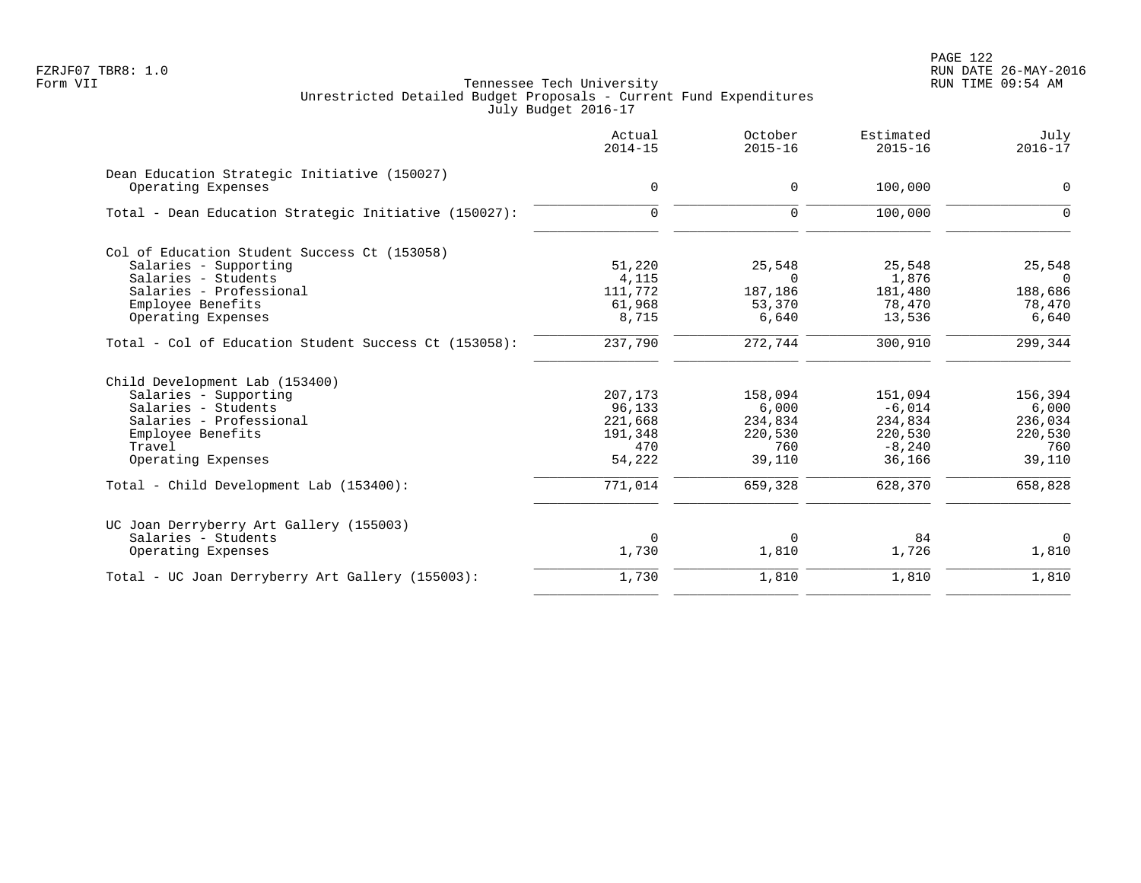|                                                       | Actual<br>$2014 - 15$ | October<br>$2015 - 16$ | Estimated<br>$2015 - 16$ | July<br>$2016 - 17$ |
|-------------------------------------------------------|-----------------------|------------------------|--------------------------|---------------------|
| Dean Education Strategic Initiative (150027)          | $\mathbf 0$           |                        | 100,000                  | $\mathsf{O}$        |
| Operating Expenses                                    |                       | 0                      |                          |                     |
| Total - Dean Education Strategic Initiative (150027): | $\mathbf 0$           | $\mathbf 0$            | 100,000                  | $\Omega$            |
| Col of Education Student Success Ct (153058)          |                       |                        |                          |                     |
| Salaries - Supporting                                 | 51,220                | 25,548                 | 25,548                   | 25,548              |
| Salaries - Students                                   | 4,115                 | $\Omega$               | 1,876                    | $\Omega$            |
| Salaries - Professional                               | 111,772               | 187,186                | 181,480                  | 188,686             |
| Employee Benefits                                     | 61,968                | 53,370                 | 78,470                   | 78,470              |
| Operating Expenses                                    | 8,715                 | 6,640                  | 13,536                   | 6,640               |
| Total - Col of Education Student Success Ct (153058): | 237,790               | 272,744                | 300,910                  | 299,344             |
| Child Development Lab (153400)                        |                       |                        |                          |                     |
| Salaries - Supporting                                 | 207,173               | 158,094                | 151,094                  | 156,394             |
| Salaries - Students                                   | 96,133                | 6,000                  | $-6,014$                 | 6,000               |
| Salaries - Professional                               | 221,668               | 234,834                | 234,834                  | 236,034             |
| Employee Benefits                                     | 191,348               | 220,530                | 220,530                  | 220,530             |
| Travel                                                | 470                   | 760                    | $-8,240$                 | 760                 |
| Operating Expenses                                    | 54,222                | 39,110                 | 36,166                   | 39,110              |
| Total - Child Development Lab (153400):               | 771,014               | 659,328                | 628,370                  | 658,828             |
| UC Joan Derryberry Art Gallery (155003)               |                       |                        |                          |                     |
| Salaries - Students                                   | $\overline{0}$        | 0                      | 84                       | $\mathbf 0$         |
| Operating Expenses                                    | 1,730                 | 1,810                  | 1,726                    | 1,810               |
| Total - UC Joan Derryberry Art Gallery (155003):      | 1,730                 | 1,810                  | 1,810                    | 1,810               |
|                                                       |                       |                        |                          |                     |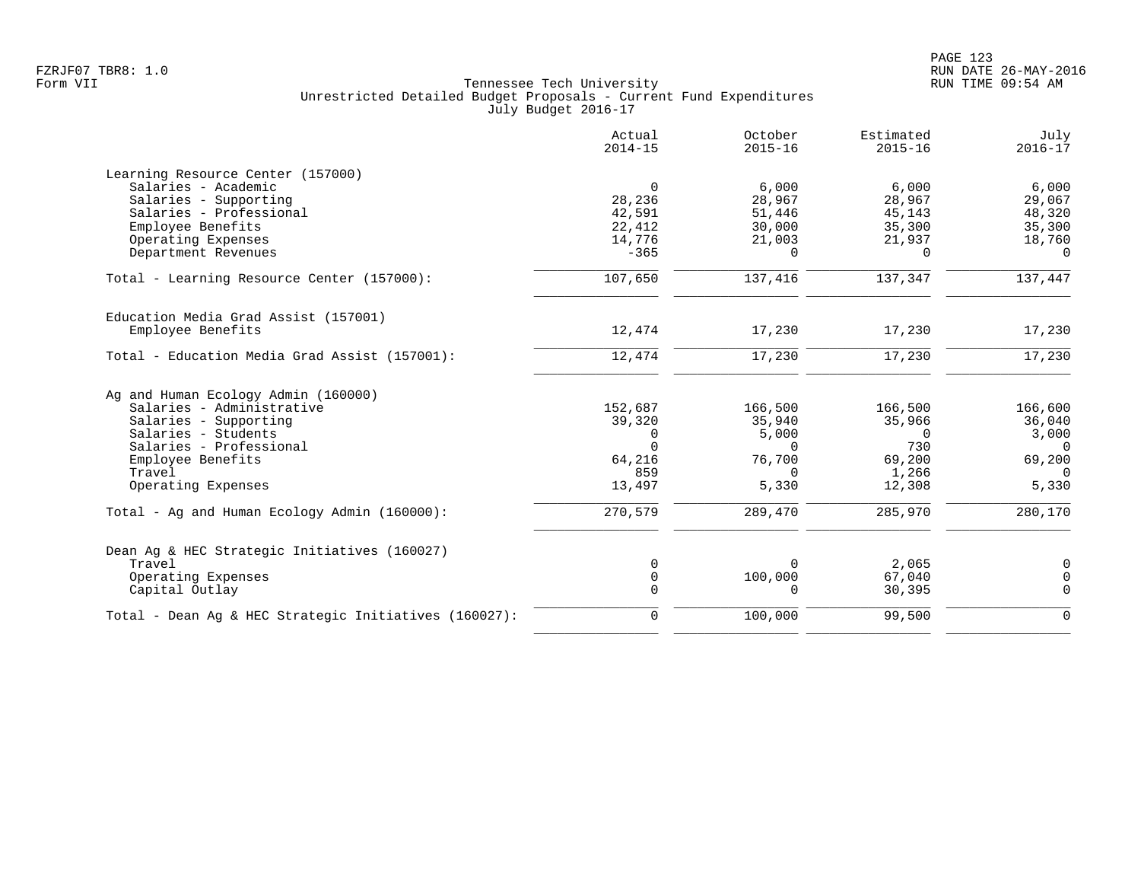|                                                        | Actual<br>$2014 - 15$ | October<br>$2015 - 16$ | Estimated<br>$2015 - 16$ | July<br>$2016 - 17$        |
|--------------------------------------------------------|-----------------------|------------------------|--------------------------|----------------------------|
| Learning Resource Center (157000)                      |                       |                        |                          |                            |
| Salaries - Academic                                    | $\mathbf 0$           | 6,000                  | 6,000                    | 6,000                      |
| Salaries - Supporting                                  | 28,236                | 28,967                 | 28,967                   | 29,067                     |
| Salaries - Professional                                | 42,591                | 51,446                 | 45,143                   | 48,320                     |
| Employee Benefits                                      | 22,412                | 30,000                 | 35,300                   | 35,300                     |
| Operating Expenses                                     | 14,776                | 21,003                 | 21,937                   | 18,760                     |
| Department Revenues                                    | $-365$                | $\Omega$               | $\Omega$                 | $\Omega$                   |
| Total - Learning Resource Center (157000):             | 107,650               | 137,416                | 137,347                  | 137,447                    |
| Education Media Grad Assist (157001)                   |                       |                        |                          |                            |
| Employee Benefits                                      | 12,474                | 17,230                 | 17,230                   | 17,230                     |
| Total - Education Media Grad Assist (157001):          | 12,474                | 17,230                 | 17,230                   | 17,230                     |
| Ag and Human Ecology Admin (160000)                    |                       |                        |                          |                            |
| Salaries - Administrative                              | 152,687               | 166,500                | 166,500                  | 166,600                    |
| Salaries - Supporting                                  | 39,320                | 35,940                 | 35,966                   | 36,040                     |
| Salaries - Students                                    | $\Omega$              | 5,000                  | $\Omega$                 | 3,000                      |
| Salaries - Professional                                | $\Omega$              | $\Omega$               | 730                      | $\Omega$                   |
| Employee Benefits                                      | 64,216                | 76,700                 | 69,200                   | 69,200                     |
| Travel                                                 | 859                   | $\Omega$               | 1,266                    | $\Omega$                   |
| Operating Expenses                                     | 13,497                | 5,330                  | 12,308                   | 5,330                      |
| Total - Ag and Human Ecology Admin (160000):           | 270,579               | 289,470                | 285,970                  | 280,170                    |
|                                                        |                       |                        |                          |                            |
| Dean Aq & HEC Strategic Initiatives (160027)<br>Travel |                       | $\Omega$               | 2,065                    |                            |
| Operating Expenses                                     | 0<br>$\mathbf 0$      | 100,000                | 67,040                   | $\mathbf 0$<br>$\mathbf 0$ |
| Capital Outlay                                         | $\Omega$              | $\Omega$               | 30,395                   | $\Omega$                   |
| Total - Dean Ag & HEC Strategic Initiatives (160027):  | 0                     | 100,000                | 99,500                   | $\mathbf 0$                |
|                                                        |                       |                        |                          |                            |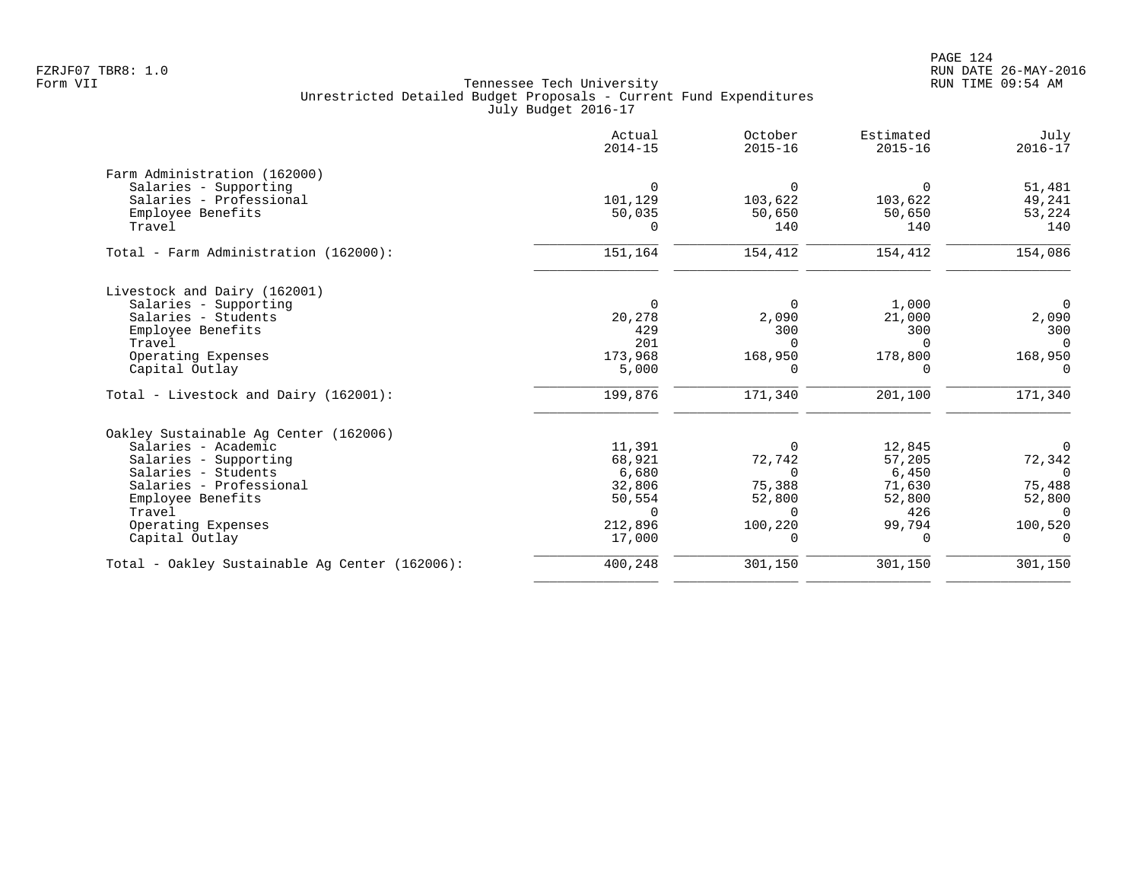|                                                | Actual<br>$2014 - 15$ | October<br>$2015 - 16$ | Estimated<br>$2015 - 16$ | July<br>$2016 - 17$ |
|------------------------------------------------|-----------------------|------------------------|--------------------------|---------------------|
| Farm Administration (162000)                   |                       |                        |                          |                     |
| Salaries - Supporting                          | $\Omega$              | $\Omega$               | $\Omega$                 | 51,481              |
| Salaries - Professional                        | 101,129               | 103,622                | 103,622                  | 49,241              |
| Employee Benefits                              | 50,035                | 50,650                 | 50,650                   | 53,224              |
| Travel                                         | $\Omega$              | 140                    | 140                      | 140                 |
| Total - Farm Administration (162000):          | 151, 164              | 154,412                | 154,412                  | 154,086             |
| Livestock and Dairy (162001)                   |                       |                        |                          |                     |
| Salaries - Supporting                          | $\Omega$              | $\overline{0}$         | 1,000                    | $\overline{0}$      |
| Salaries - Students                            | 20,278                | 2,090                  | 21,000                   | 2,090               |
| Employee Benefits                              | 429                   | 300                    | 300                      | 300                 |
| Travel                                         | 201                   | $\Omega$               | $\Omega$                 | $\Omega$            |
| Operating Expenses                             | 173,968               | 168,950                | 178,800                  | 168,950             |
| Capital Outlay                                 | 5,000                 | 0                      | $\Omega$                 | $\Omega$            |
| Total - Livestock and Dairy (162001):          | 199,876               | 171,340                | 201,100                  | 171,340             |
| Oakley Sustainable Ag Center (162006)          |                       |                        |                          |                     |
| Salaries - Academic                            | 11,391                | $\Omega$               | 12,845                   | $\Omega$            |
| Salaries - Supporting                          | 68,921                | 72,742                 | 57,205                   | 72,342              |
| Salaries - Students                            | 6,680                 | $\Omega$               | 6,450                    | $\Omega$            |
| Salaries - Professional                        | 32,806                | 75,388                 | 71,630                   | 75,488              |
| Employee Benefits                              | 50,554                | 52,800                 | 52,800                   | 52,800              |
| Travel                                         | $\Omega$              | $\cap$                 | 426                      | $\Omega$            |
| Operating Expenses                             | 212,896               | 100,220                | 99,794                   | 100,520             |
| Capital Outlay                                 | 17,000                | $\Omega$               | $\Omega$                 | $\mathbf 0$         |
| Total - Oakley Sustainable Aq Center (162006): | 400,248               | 301,150                | 301,150                  | 301,150             |
|                                                |                       |                        |                          |                     |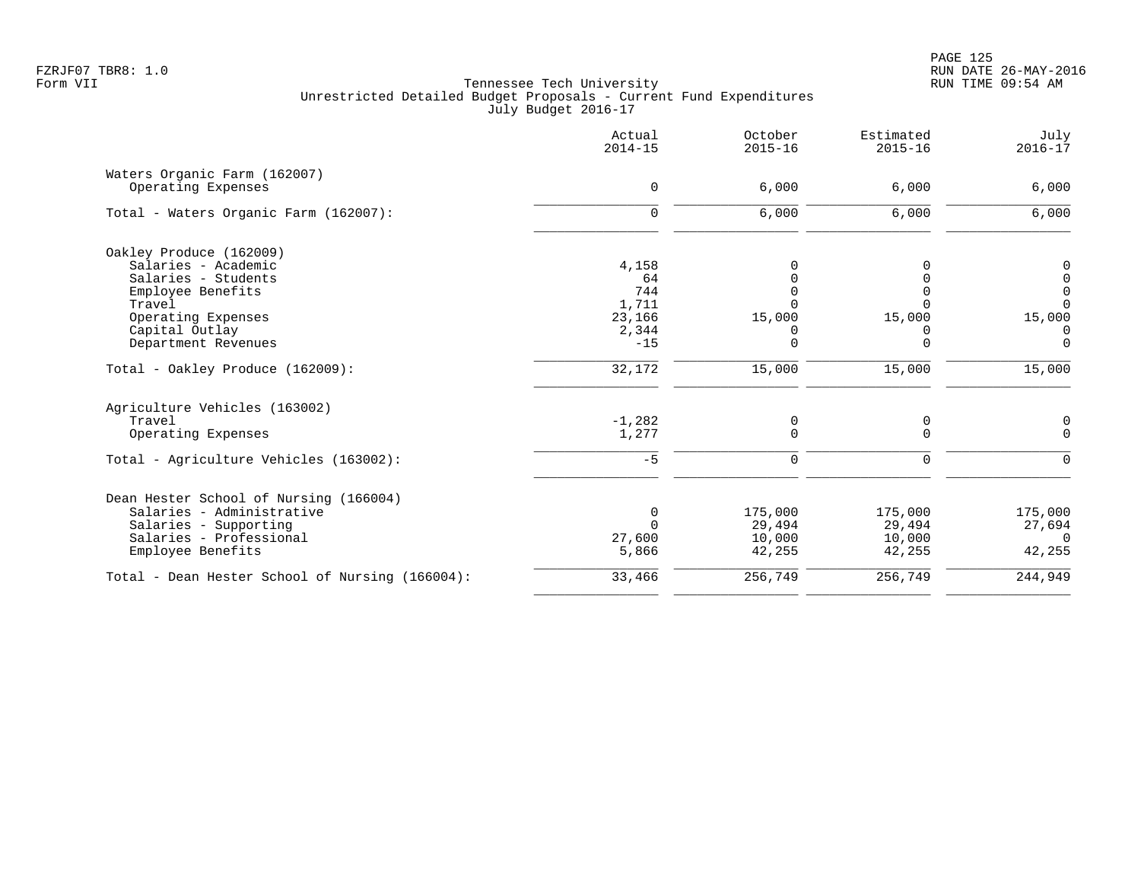PAGE 125 FZRJF07 TBR8: 1.0 RUN DATE 26-MAY-2016

|                                                    | Actual<br>$2014 - 15$ | October<br>$2015 - 16$ | Estimated<br>$2015 - 16$ | July<br>$2016 - 17$ |
|----------------------------------------------------|-----------------------|------------------------|--------------------------|---------------------|
| Waters Organic Farm (162007)<br>Operating Expenses | $\mathbf 0$           | 6,000                  | 6,000                    | 6,000               |
| Total - Waters Organic Farm (162007):              | $\mathbf 0$           | 6,000                  | 6,000                    | 6,000               |
| Oakley Produce (162009)                            |                       |                        |                          |                     |
| Salaries - Academic                                | 4,158                 |                        |                          | 0                   |
| Salaries - Students                                | 64                    |                        |                          | $\mathbf 0$         |
| Employee Benefits                                  | 744                   |                        | U                        | 0                   |
| Travel                                             | 1,711                 |                        |                          | $\Omega$            |
| Operating Expenses                                 | 23,166                | 15,000                 | 15,000                   | 15,000              |
| Capital Outlay                                     | 2,344                 |                        |                          | $\Omega$            |
| Department Revenues                                | $-15$                 | $\Omega$               | $\Omega$                 | $\Omega$            |
| Total - Oakley Produce (162009):                   | 32,172                | 15,000                 | 15,000                   | 15,000              |
| Agriculture Vehicles (163002)                      |                       |                        |                          |                     |
| Travel                                             | $-1,282$              | 0                      | 0                        | 0                   |
| Operating Expenses                                 | 1,277                 | $\Omega$               | $\Omega$                 | $\Omega$            |
| Total - Agriculture Vehicles (163002):             | $-5$                  | 0                      | 0                        | ∩                   |
| Dean Hester School of Nursing (166004)             |                       |                        |                          |                     |
| Salaries - Administrative                          | 0                     | 175,000                | 175,000                  | 175,000             |
| Salaries - Supporting                              | $\Omega$              | 29,494                 | 29,494                   | 27,694              |
| Salaries - Professional                            | 27,600                | 10,000                 | 10,000                   | $\Omega$            |
| Employee Benefits                                  | 5,866                 | 42,255                 | 42,255                   | 42,255              |
| Total - Dean Hester School of Nursing (166004):    | 33,466                | 256,749                | 256,749                  | 244,949             |
|                                                    |                       |                        |                          |                     |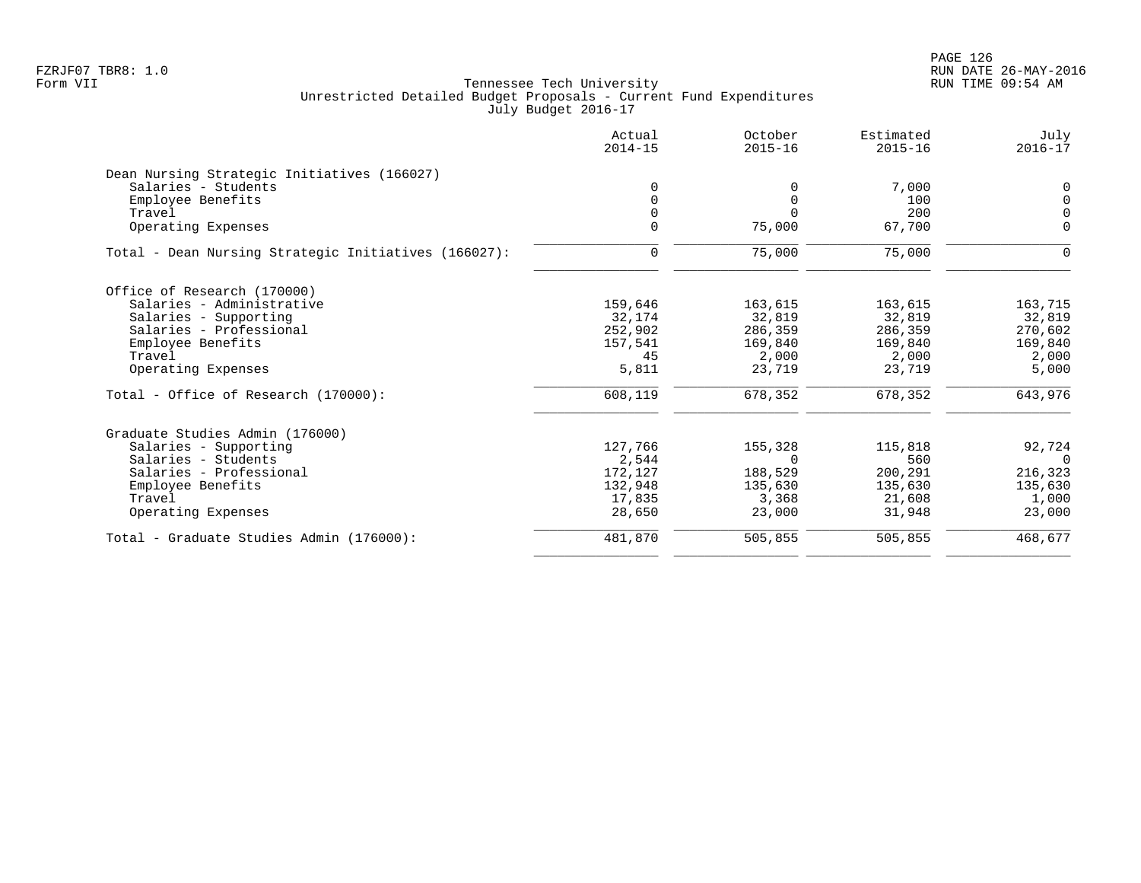|                                                      | Actual<br>$2014 - 15$ | October<br>$2015 - 16$ | Estimated<br>$2015 - 16$ | July<br>$2016 - 17$ |
|------------------------------------------------------|-----------------------|------------------------|--------------------------|---------------------|
| Dean Nursing Strategic Initiatives (166027)          |                       |                        |                          |                     |
| Salaries - Students                                  | $\Omega$              | <sup>0</sup>           | 7,000                    | $\mathbf 0$         |
| Employee Benefits                                    | $\Omega$              | $\Omega$               | 100                      | $\mathbf 0$         |
| Travel                                               | $\Omega$              | $\cap$                 | 200                      | $\Omega$            |
| Operating Expenses                                   |                       | 75,000                 | 67,700                   | $\mathbf 0$         |
| Total - Dean Nursing Strategic Initiatives (166027): | $\mathbf 0$           | 75,000                 | 75,000                   | $\Omega$            |
| Office of Research (170000)                          |                       |                        |                          |                     |
| Salaries - Administrative                            | 159,646               | 163,615                | 163,615                  | 163,715             |
| Salaries - Supporting                                | 32,174                | 32,819                 | 32,819                   | 32,819              |
| Salaries - Professional                              | 252,902               | 286,359                | 286,359                  | 270,602             |
| Employee Benefits                                    | 157,541               | 169,840                | 169,840                  | 169,840             |
| Travel                                               | 45                    | 2,000                  | 2,000                    | 2,000               |
| Operating Expenses                                   | 5,811                 | 23,719                 | 23,719                   | 5,000               |
| Total - Office of Research (170000):                 | 608,119               | 678,352                | 678,352                  | 643,976             |
| Graduate Studies Admin (176000)                      |                       |                        |                          |                     |
| Salaries - Supporting                                | 127,766               | 155,328                | 115,818                  | 92,724              |
| Salaries - Students                                  | 2,544                 | $\Omega$               | 560                      | $\Omega$            |
| Salaries - Professional                              | 172,127               | 188,529                | 200,291                  | 216,323             |
| Employee Benefits                                    | 132,948               | 135,630                | 135,630                  | 135,630             |
| Travel                                               | 17,835                | 3,368                  | 21,608                   | 1,000               |
| Operating Expenses                                   | 28,650                | 23,000                 | 31,948                   | 23,000              |
| Total - Graduate Studies Admin (176000):             | 481,870               | 505,855                | 505,855                  | 468,677             |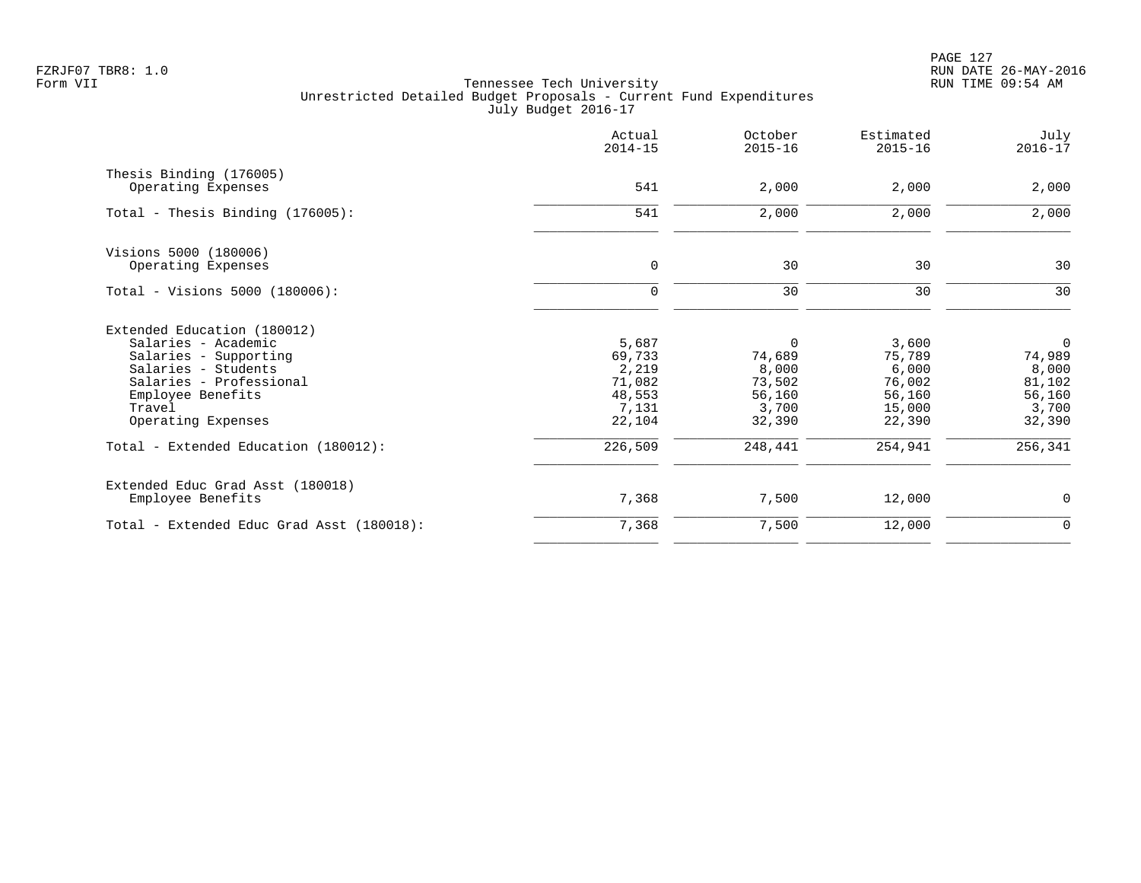PAGE 127 FZRJF07 TBR8: 1.0 RUN DATE 26-MAY-2016

|                                                                                                                                                                                                                            | Actual<br>$2014 - 15$                                                      | October<br>$2015 - 16$                                                        | Estimated<br>$2015 - 16$                                                    | July<br>$2016 - 17$                                                                 |
|----------------------------------------------------------------------------------------------------------------------------------------------------------------------------------------------------------------------------|----------------------------------------------------------------------------|-------------------------------------------------------------------------------|-----------------------------------------------------------------------------|-------------------------------------------------------------------------------------|
| Thesis Binding (176005)<br>Operating Expenses                                                                                                                                                                              | 541                                                                        | 2,000                                                                         | 2,000                                                                       | 2,000                                                                               |
| Total - Thesis Binding $(176005)$ :                                                                                                                                                                                        | 541                                                                        | 2,000                                                                         | 2,000                                                                       | 2,000                                                                               |
| Visions 5000 (180006)<br>Operating Expenses                                                                                                                                                                                | $\mathbf 0$                                                                | 30                                                                            | 30                                                                          | 30                                                                                  |
| Total - Visions 5000 (180006):                                                                                                                                                                                             | 0                                                                          | 30                                                                            | 30                                                                          | 30                                                                                  |
| Extended Education (180012)<br>Salaries - Academic<br>Salaries - Supporting<br>Salaries - Students<br>Salaries - Professional<br>Employee Benefits<br>Travel<br>Operating Expenses<br>Total - Extended Education (180012): | 5,687<br>69,733<br>2,219<br>71,082<br>48,553<br>7,131<br>22,104<br>226,509 | $\Omega$<br>74,689<br>8,000<br>73,502<br>56,160<br>3,700<br>32,390<br>248,441 | 3,600<br>75,789<br>6,000<br>76,002<br>56,160<br>15,000<br>22,390<br>254,941 | $\overline{0}$<br>74,989<br>8,000<br>81,102<br>56,160<br>3,700<br>32,390<br>256,341 |
| Extended Educ Grad Asst (180018)<br>Employee Benefits                                                                                                                                                                      | 7,368                                                                      | 7,500                                                                         | 12,000                                                                      | 0                                                                                   |
| Total - Extended Educ Grad Asst (180018):                                                                                                                                                                                  | 7,368                                                                      | 7,500                                                                         | 12,000                                                                      | $\mathbf 0$                                                                         |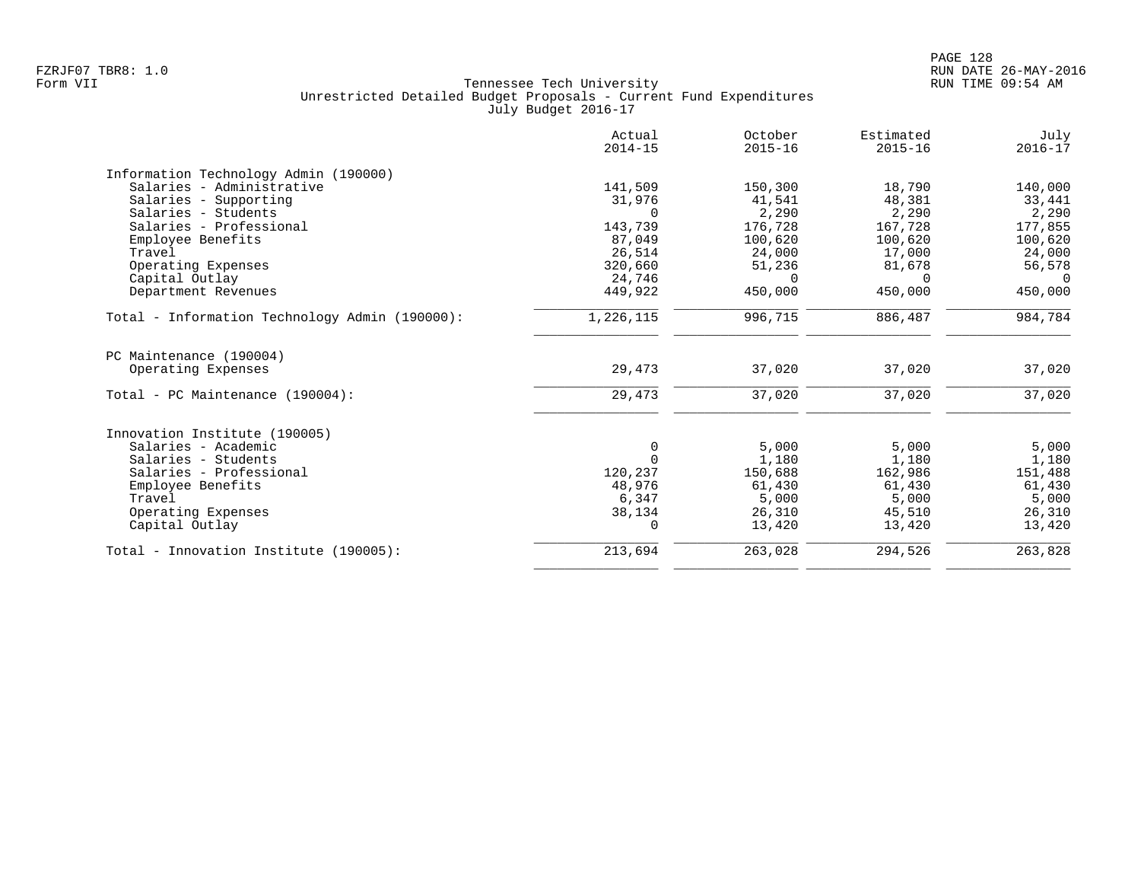|                                                | Actual<br>$2014 - 15$ | October<br>$2015 - 16$ | Estimated<br>$2015 - 16$ | July<br>$2016 - 17$ |
|------------------------------------------------|-----------------------|------------------------|--------------------------|---------------------|
| Information Technology Admin (190000)          |                       |                        |                          |                     |
| Salaries - Administrative                      | 141,509               | 150,300                | 18,790                   | 140,000             |
| Salaries - Supporting                          | 31,976                | 41,541                 | 48,381                   | 33,441              |
| Salaries - Students                            | $\Omega$              | 2,290                  | 2,290                    | 2,290               |
| Salaries - Professional                        | 143,739               | 176,728                | 167,728                  | 177,855             |
| Employee Benefits                              | 87,049                | 100,620                | 100,620                  | 100,620             |
| Travel                                         | 26,514                | 24,000                 | 17,000                   | 24,000              |
| Operating Expenses                             | 320,660               | 51,236                 | 81,678                   | 56,578              |
| Capital Outlay                                 | 24,746                | $\Omega$               | $\Omega$                 | $\Omega$            |
| Department Revenues                            | 449,922               | 450,000                | 450,000                  | 450,000             |
| Total - Information Technology Admin (190000): | 1,226,115             | 996,715                | 886,487                  | 984,784             |
| PC Maintenance (190004)                        |                       |                        |                          |                     |
| Operating Expenses                             | 29,473                | 37,020                 | 37,020                   | 37,020              |
| Total - PC Maintenance (190004):               | 29,473                | 37,020                 | 37,020                   | 37,020              |
| Innovation Institute (190005)                  |                       |                        |                          |                     |
| Salaries - Academic                            | $\mathbf 0$           | 5,000                  | 5,000                    | 5,000               |
| Salaries - Students                            | $\Omega$              | 1,180                  | 1,180                    | 1,180               |
| Salaries - Professional                        | 120,237               | 150,688                | 162,986                  | 151,488             |
| Employee Benefits                              | 48,976                | 61,430                 | 61,430                   | 61,430              |
| Travel                                         | 6,347                 | 5,000                  | 5,000                    | 5,000               |
| Operating Expenses                             | 38,134                | 26,310                 | 45,510                   | 26,310              |
| Capital Outlay                                 | 0                     | 13,420                 | 13,420                   | 13,420              |
| Total - Innovation Institute (190005):         | 213,694               | 263,028                | 294,526                  | 263,828             |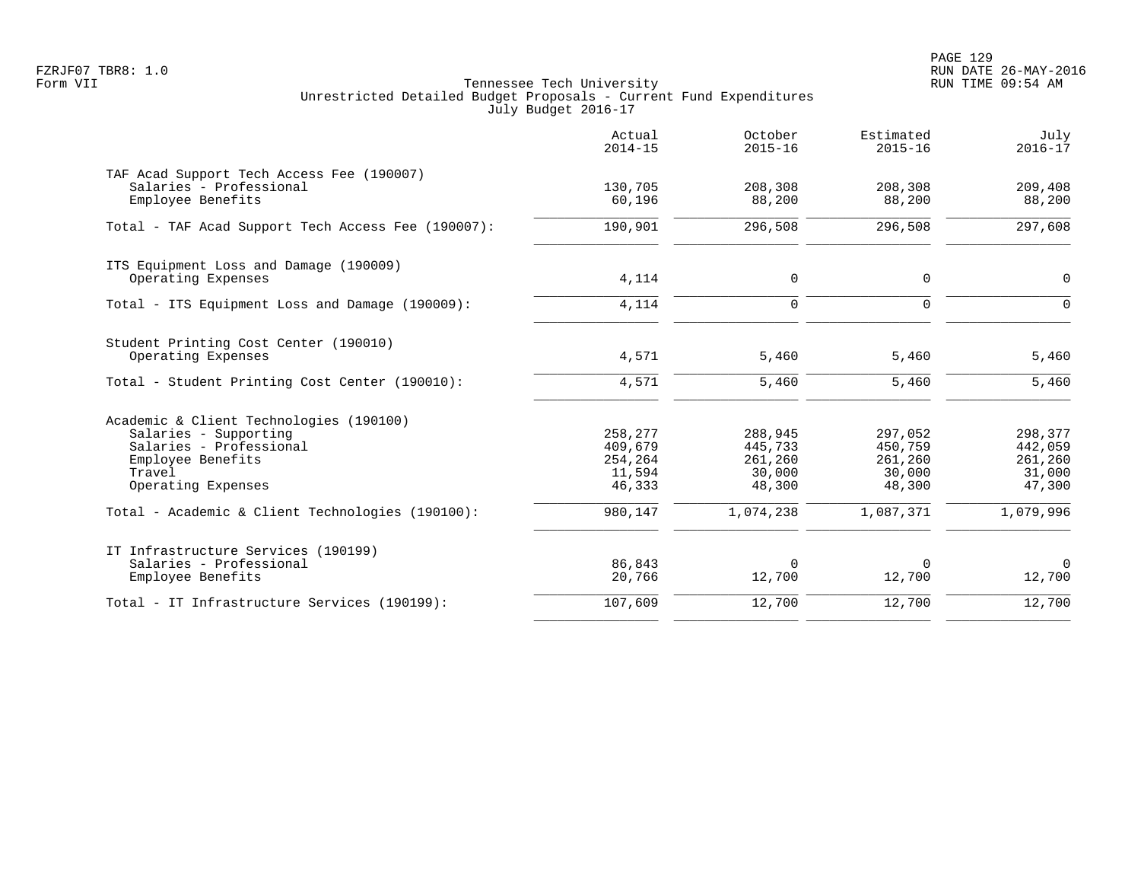|                                                                                                                                                  | Actual<br>$2014 - 15$                             | October<br>$2015 - 16$                            | Estimated<br>$2015 - 16$                          | July<br>$2016 - 17$                               |
|--------------------------------------------------------------------------------------------------------------------------------------------------|---------------------------------------------------|---------------------------------------------------|---------------------------------------------------|---------------------------------------------------|
| TAF Acad Support Tech Access Fee (190007)<br>Salaries - Professional<br>Employee Benefits                                                        | 130,705<br>60,196                                 | 208,308<br>88,200                                 | 208,308<br>88,200                                 | 209,408<br>88,200                                 |
| Total - TAF Acad Support Tech Access Fee (190007):                                                                                               | 190,901                                           | 296,508                                           | 296,508                                           | 297,608                                           |
| ITS Equipment Loss and Damage (190009)<br>Operating Expenses                                                                                     | 4,114                                             | 0                                                 | 0                                                 | $\Omega$                                          |
| Total - ITS Equipment Loss and Damage (190009):                                                                                                  | 4,114                                             | $\mathbf 0$                                       | $\Omega$                                          | $\Omega$                                          |
| Student Printing Cost Center (190010)<br>Operating Expenses<br>Total - Student Printing Cost Center (190010):                                    | 4,571<br>4,571                                    | 5,460<br>5,460                                    | 5,460<br>5,460                                    | 5,460<br>5,460                                    |
| Academic & Client Technologies (190100)<br>Salaries - Supporting<br>Salaries - Professional<br>Employee Benefits<br>Travel<br>Operating Expenses | 258,277<br>409,679<br>254,264<br>11,594<br>46,333 | 288,945<br>445,733<br>261,260<br>30,000<br>48,300 | 297,052<br>450,759<br>261,260<br>30,000<br>48,300 | 298,377<br>442,059<br>261,260<br>31,000<br>47,300 |
| Total - Academic & Client Technologies (190100):                                                                                                 | 980,147                                           | 1,074,238                                         | 1,087,371                                         | 1,079,996                                         |
| IT Infrastructure Services (190199)<br>Salaries - Professional<br>Employee Benefits                                                              | 86,843<br>20,766                                  | 0<br>12,700                                       | 0<br>12,700                                       | 0<br>12,700                                       |
| Total - IT Infrastructure Services (190199):                                                                                                     | 107,609                                           | 12,700                                            | 12,700                                            | 12,700                                            |
|                                                                                                                                                  |                                                   |                                                   |                                                   |                                                   |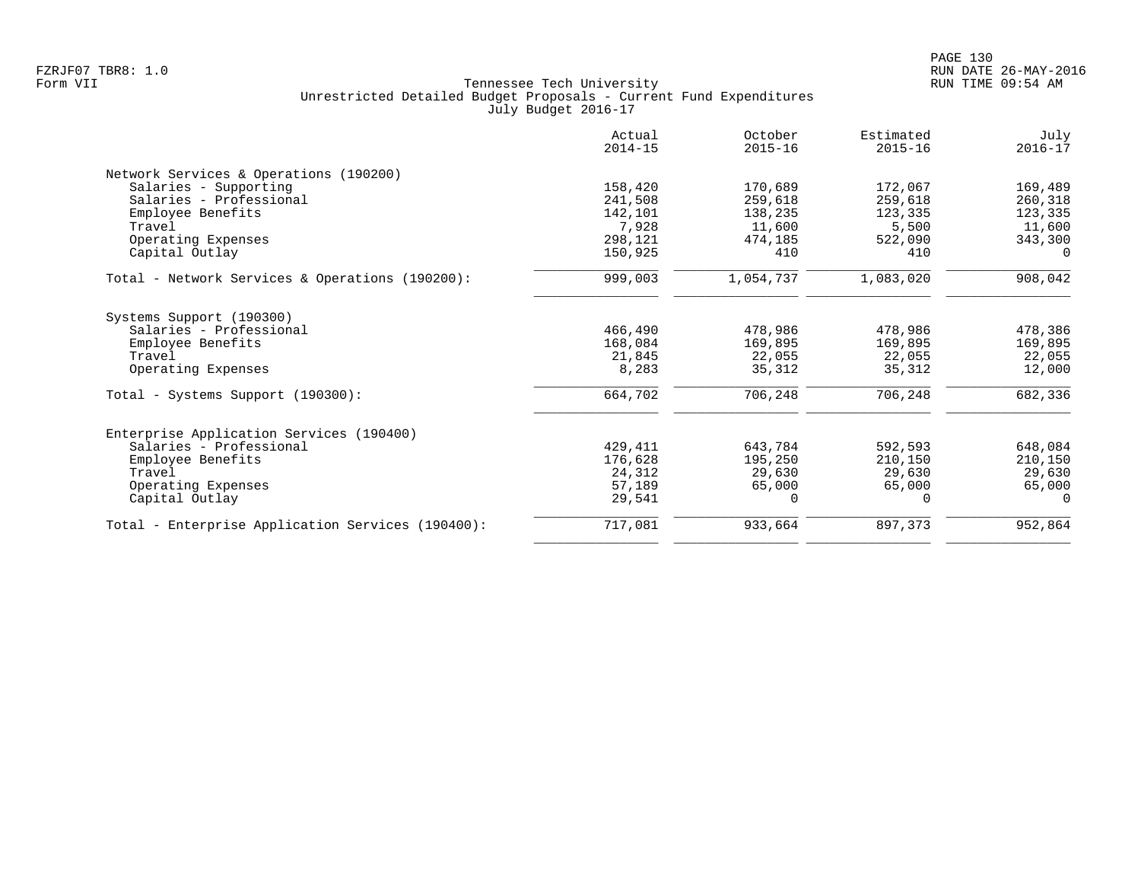|                                                   | Actual<br>$2014 - 15$ | October<br>$2015 - 16$ | Estimated<br>$2015 - 16$ | July<br>$2016 - 17$ |
|---------------------------------------------------|-----------------------|------------------------|--------------------------|---------------------|
| Network Services & Operations (190200)            |                       |                        |                          |                     |
| Salaries - Supporting                             | 158,420               | 170,689                | 172,067                  | 169,489             |
| Salaries - Professional                           | 241,508               | 259,618                | 259,618                  | 260,318             |
| Employee Benefits                                 | 142,101               | 138,235                | 123,335                  | 123,335             |
| Travel                                            | 7,928                 | 11,600                 | 5,500                    | 11,600              |
| Operating Expenses                                | 298,121               | 474,185                | 522,090                  | 343,300             |
| Capital Outlay                                    | 150,925               | 410                    | 410                      | $\Omega$            |
| Total - Network Services & Operations (190200):   | 999,003               | 1,054,737              | 1,083,020                | 908,042             |
| Systems Support (190300)                          |                       |                        |                          |                     |
| Salaries - Professional                           | 466,490               | 478,986                | 478,986                  | 478,386             |
| Employee Benefits                                 | 168,084               | 169,895                | 169,895                  | 169,895             |
| Travel                                            | 21,845                | 22,055                 | 22,055                   | 22,055              |
| Operating Expenses                                | 8,283                 | 35,312                 | 35,312                   | 12,000              |
| Total - Systems Support (190300):                 | 664,702               | 706,248                | 706,248                  | 682,336             |
| Enterprise Application Services (190400)          |                       |                        |                          |                     |
| Salaries - Professional                           | 429,411               | 643,784                | 592,593                  | 648,084             |
| Employee Benefits                                 | 176,628               | 195,250                | 210,150                  | 210,150             |
| Travel                                            | 24,312                | 29,630                 | 29,630                   | 29,630              |
| Operating Expenses                                | 57,189                | 65,000                 | 65,000                   | 65,000              |
| Capital Outlay                                    | 29,541                | $\Omega$               | 0                        | $\Omega$            |
| Total - Enterprise Application Services (190400): | 717,081               | 933,664                | 897,373                  | 952,864             |
|                                                   |                       |                        |                          |                     |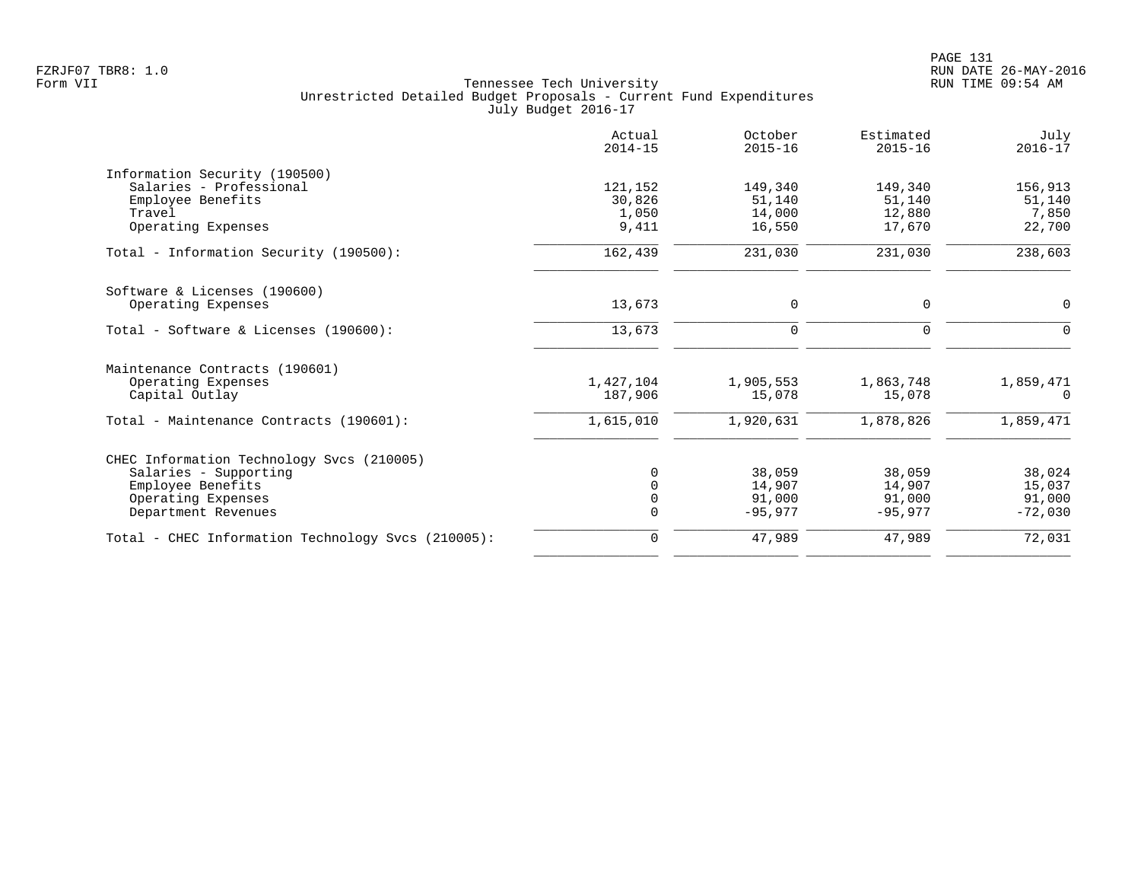|                                                    | Actual<br>$2014 - 15$ | October<br>$2015 - 16$ | Estimated<br>$2015 - 16$ | July<br>$2016 - 17$ |
|----------------------------------------------------|-----------------------|------------------------|--------------------------|---------------------|
| Information Security (190500)                      |                       |                        |                          |                     |
| Salaries - Professional                            | 121,152               | 149,340                | 149,340                  | 156,913             |
| Employee Benefits                                  | 30,826                | 51,140                 | 51,140                   | 51,140              |
| Travel                                             | 1,050                 | 14,000                 | 12,880                   | 7,850               |
| Operating Expenses                                 | 9,411                 | 16,550                 | 17,670                   | 22,700              |
| Total - Information Security (190500):             | 162,439               | 231,030                | 231,030                  | 238,603             |
| Software & Licenses (190600)                       |                       |                        |                          |                     |
| Operating Expenses                                 | 13,673                | 0                      | 0                        | $\mathbf 0$         |
| Total - Software & Licenses (190600):              | 13,673                | 0                      | 0                        | $\Omega$            |
| Maintenance Contracts (190601)                     |                       |                        |                          |                     |
| Operating Expenses                                 | 1,427,104             | 1,905,553              | 1,863,748                | 1,859,471           |
| Capital Outlay                                     | 187,906               | 15,078                 | 15,078                   | $\Omega$            |
| Total - Maintenance Contracts (190601):            | 1,615,010             | 1,920,631              | 1,878,826                | 1,859,471           |
| CHEC Information Technology Svcs (210005)          |                       |                        |                          |                     |
| Salaries - Supporting                              | ∩                     | 38,059                 | 38,059                   | 38,024              |
| Employee Benefits                                  |                       | 14,907                 | 14,907                   | 15,037              |
| Operating Expenses                                 | $\Omega$              | 91,000                 | 91,000                   | 91,000              |
| Department Revenues                                |                       | $-95,977$              | $-95.977$                | $-72,030$           |
| Total - CHEC Information Technology Svcs (210005): | 0                     | 47,989                 | 47,989                   | 72,031              |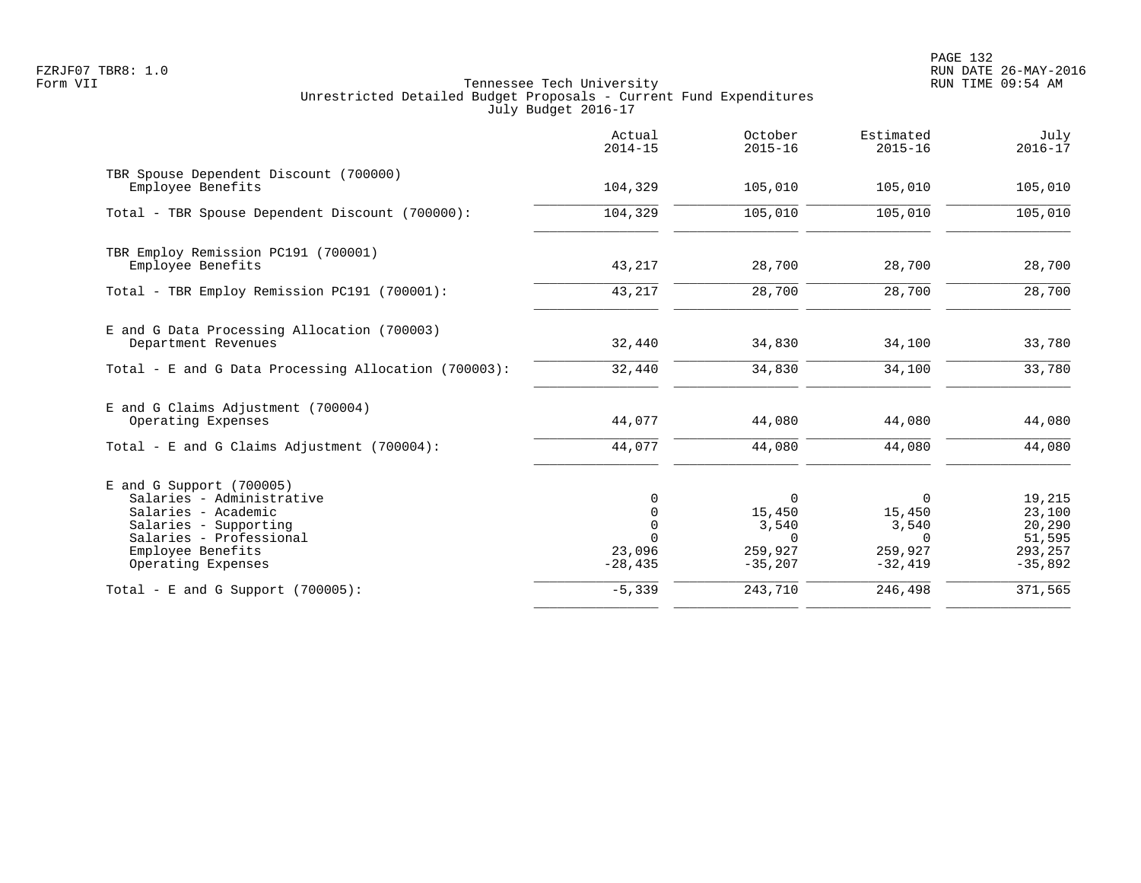PAGE 132 FZRJF07 TBR8: 1.0 RUN DATE 26-MAY-2016

|                                                                                                                                                                               | Actual<br>$2014 - 15$                                                   | October<br>$2015 - 16$                                          | Estimated<br>$2015 - 16$                                        | July<br>$2016 - 17$                                          |
|-------------------------------------------------------------------------------------------------------------------------------------------------------------------------------|-------------------------------------------------------------------------|-----------------------------------------------------------------|-----------------------------------------------------------------|--------------------------------------------------------------|
| TBR Spouse Dependent Discount (700000)<br>Employee Benefits                                                                                                                   | 104,329                                                                 | 105,010                                                         | 105,010                                                         | 105,010                                                      |
| Total - TBR Spouse Dependent Discount (700000):                                                                                                                               | 104,329                                                                 | 105,010                                                         | 105,010                                                         | 105,010                                                      |
| TBR Employ Remission PC191 (700001)<br>Employee Benefits                                                                                                                      | 43,217                                                                  | 28,700                                                          | 28,700                                                          | 28,700                                                       |
| Total - TBR Employ Remission PC191 (700001):                                                                                                                                  | 43,217                                                                  | 28,700                                                          | 28,700                                                          | 28,700                                                       |
| E and G Data Processing Allocation (700003)<br>Department Revenues                                                                                                            | 32,440                                                                  | 34,830                                                          | 34,100                                                          | 33,780                                                       |
| Total - E and G Data Processing Allocation (700003):                                                                                                                          | 32,440                                                                  | 34,830                                                          | 34,100                                                          | 33,780                                                       |
| E and G Claims Adjustment (700004)<br>Operating Expenses                                                                                                                      | 44,077                                                                  | 44,080                                                          | 44,080                                                          | 44,080                                                       |
| Total - E and G Claims Adjustment $(700004)$ :                                                                                                                                | 44,077                                                                  | 44,080                                                          | 44,080                                                          | 44,080                                                       |
| $E$ and G Support (700005)<br>Salaries - Administrative<br>Salaries - Academic<br>Salaries - Supporting<br>Salaries - Professional<br>Employee Benefits<br>Operating Expenses | $\Omega$<br>$\mathbf 0$<br>$\Omega$<br>$\Omega$<br>23,096<br>$-28, 435$ | $\Omega$<br>15,450<br>3,540<br>$\Omega$<br>259,927<br>$-35,207$ | $\Omega$<br>15,450<br>3,540<br>$\Omega$<br>259,927<br>$-32,419$ | 19,215<br>23,100<br>20,290<br>51,595<br>293,257<br>$-35,892$ |
| Total - E and G Support $(700005)$ :                                                                                                                                          | $-5,339$                                                                | 243,710                                                         | 246,498                                                         | 371,565                                                      |
|                                                                                                                                                                               |                                                                         |                                                                 |                                                                 |                                                              |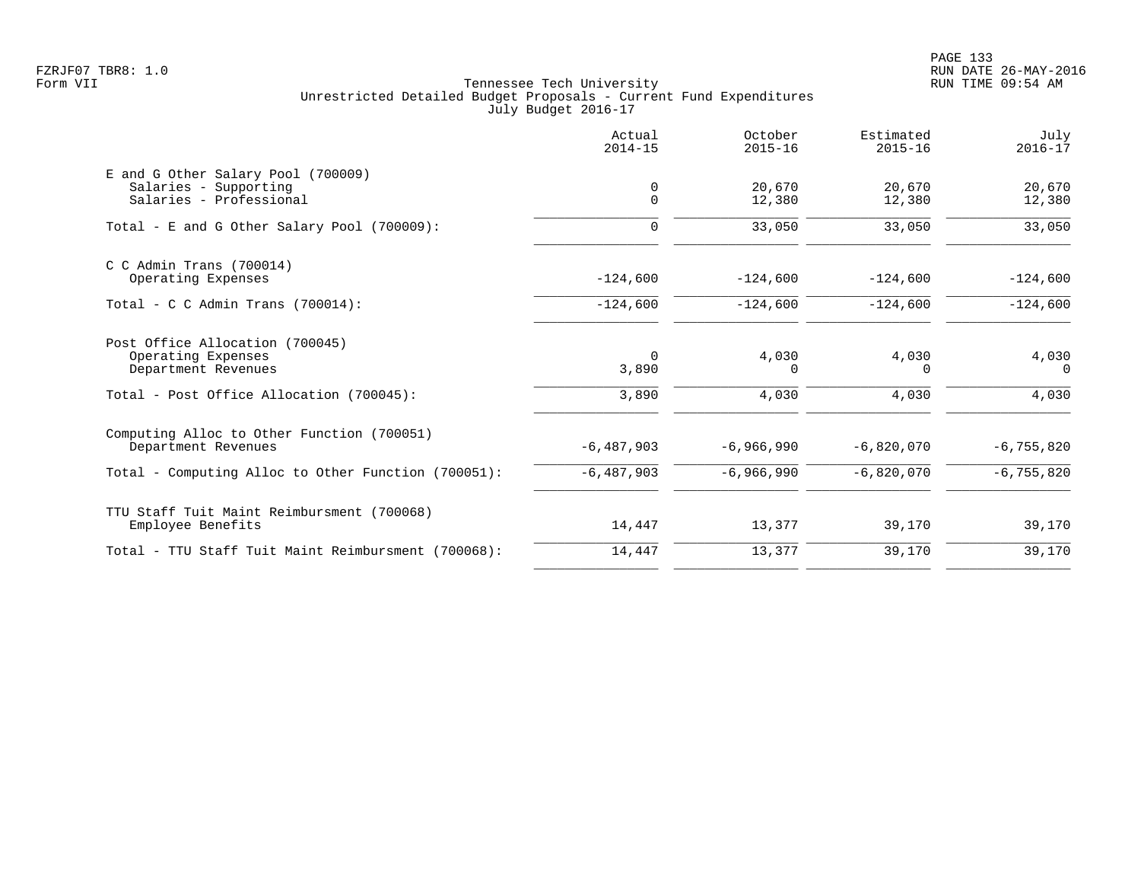|                                                                                        | Actual<br>$2014 - 15$ | October<br>$2015 - 16$ | Estimated<br>$2015 - 16$ | July<br>$2016 - 17$ |
|----------------------------------------------------------------------------------------|-----------------------|------------------------|--------------------------|---------------------|
| E and G Other Salary Pool (700009)<br>Salaries - Supporting<br>Salaries - Professional | 0<br>$\mathbf 0$      | 20,670<br>12,380       | 20,670<br>12,380         | 20,670<br>12,380    |
| Total - E and G Other Salary Pool (700009):                                            | $\Omega$              | 33,050                 | 33,050                   | 33,050              |
| $C$ C Admin Trans (700014)<br>Operating Expenses                                       | $-124,600$            | $-124,600$             | $-124,600$               | $-124,600$          |
| Total - C C Admin Trans $(700014)$ :                                                   | $-124,600$            | $-124,600$             | $-124,600$               | $-124,600$          |
| Post Office Allocation (700045)<br>Operating Expenses<br>Department Revenues           | $\Omega$<br>3,890     | 4,030<br>$\Omega$      | 4,030<br>$\Omega$        | 4,030<br>$\Omega$   |
| Total - Post Office Allocation (700045):                                               | 3,890                 | 4,030                  | 4,030                    | 4,030               |
| Computing Alloc to Other Function (700051)<br>Department Revenues                      | $-6,487,903$          | $-6,966,990$           | $-6,820,070$             | $-6, 755, 820$      |
| Total - Computing Alloc to Other Function (700051):                                    | $-6,487,903$          | $-6,966,990$           | $-6,820,070$             | $-6, 755, 820$      |
| TTU Staff Tuit Maint Reimbursment (700068)<br>Employee Benefits                        | 14,447                | 13,377                 | 39,170                   | 39,170              |
| Total - TTU Staff Tuit Maint Reimbursment (700068):                                    | 14,447                | 13,377                 | 39,170                   | 39,170              |
|                                                                                        |                       |                        |                          |                     |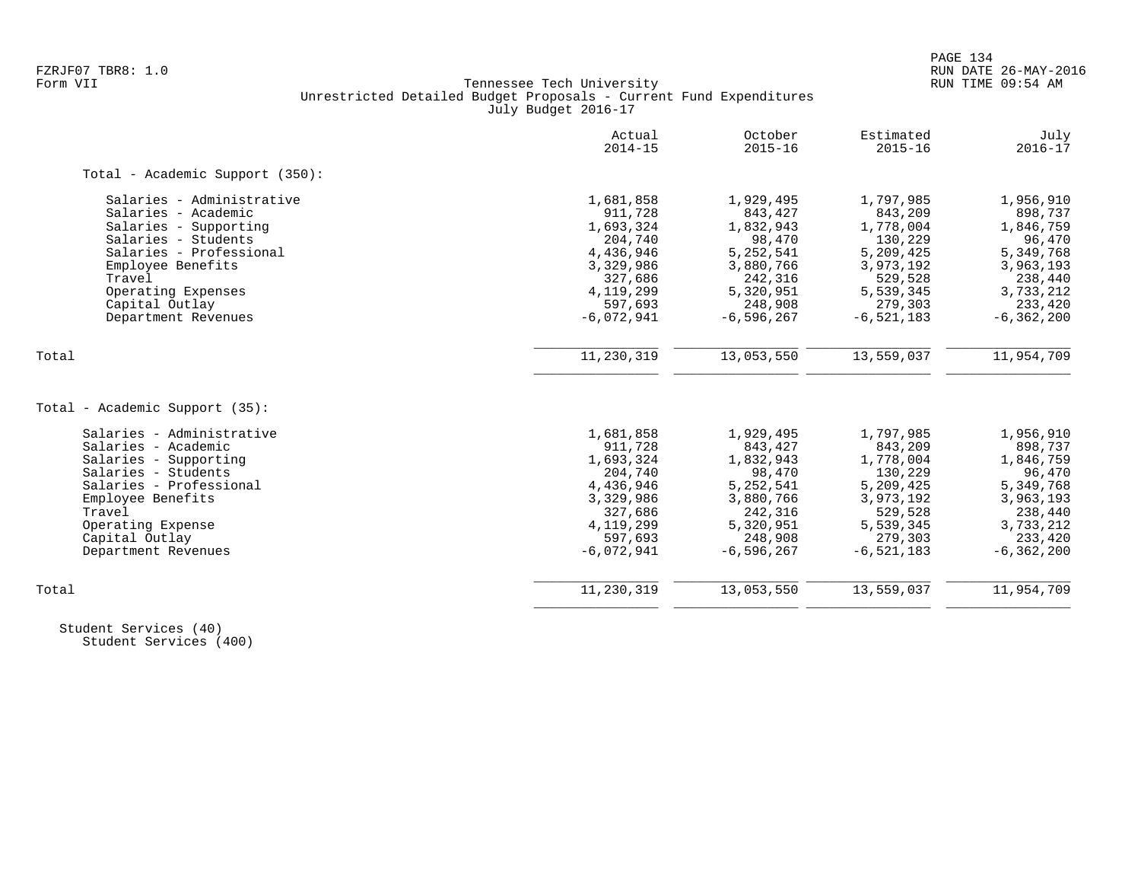# FZRJF07 TBR8: 1.0 RUN DATE 26-MAY-2016 Tennessee Tech University Unrestricted Detailed Budget Proposals - Current Fund Expenditures July Budget 2016-17

|                                 | Actual<br>$2014 - 15$ | October<br>$2015 - 16$ | Estimated<br>$2015 - 16$ | July<br>$2016 - 17$ |
|---------------------------------|-----------------------|------------------------|--------------------------|---------------------|
| Total - Academic Support (350): |                       |                        |                          |                     |
| Salaries - Administrative       | 1,681,858             | 1,929,495              | 1,797,985                | 1,956,910           |
| Salaries - Academic             | 911,728               | 843,427                | 843,209                  | 898,737             |
| Salaries - Supporting           | 1,693,324             | 1,832,943              | 1,778,004                | 1,846,759           |
| Salaries - Students             | 204,740               | 98,470                 | 130,229                  | 96,470              |
| Salaries - Professional         | 4,436,946             | 5, 252, 541            | 5,209,425                | 5,349,768           |
| Employee Benefits               | 3,329,986             | 3,880,766              | 3,973,192                | 3,963,193           |
| Travel                          | 327,686               | 242,316                | 529,528                  | 238,440             |
| Operating Expenses              | 4, 119, 299           | 5,320,951              | 5,539,345                | 3,733,212           |
| Capital Outlay                  | 597,693               | 248,908                | 279,303                  | 233,420             |
| Department Revenues             | $-6,072,941$          | $-6, 596, 267$         | $-6, 521, 183$           | $-6, 362, 200$      |
| Total                           | 11,230,319            | 13,053,550             | 13,559,037               | 11,954,709          |
|                                 |                       |                        |                          |                     |
| Total - Academic Support (35):  |                       |                        |                          |                     |
| Salaries - Administrative       | 1,681,858             | 1,929,495              | 1,797,985                | 1,956,910           |
| Salaries - Academic             | 911,728               | 843,427                | 843,209                  | 898,737             |
| Salaries - Supporting           | 1,693,324             | 1,832,943              | 1,778,004                | 1,846,759           |
| Salaries - Students             | 204,740               | 98,470                 | 130,229                  | 96,470              |
| Salaries - Professional         | 4,436,946             | 5,252,541              | 5,209,425                | 5,349,768           |
| Employee Benefits               | 3,329,986             | 3,880,766              | 3,973,192                | 3,963,193           |
| Travel                          | 327,686               | 242,316                | 529,528                  | 238,440             |
| Operating Expense               | 4, 119, 299           | 5,320,951              | 5,539,345                | 3,733,212           |
| Capital Outlay                  | 597,693               | 248,908                | 279,303                  | 233,420             |
| Department Revenues             | $-6,072,941$          | $-6, 596, 267$         | $-6,521,183$             | $-6, 362, 200$      |
| Total                           | 11,230,319            | 13,053,550             | 13,559,037               | 11,954,709          |
|                                 |                       |                        |                          |                     |

 Student Services (40) Student Services (400)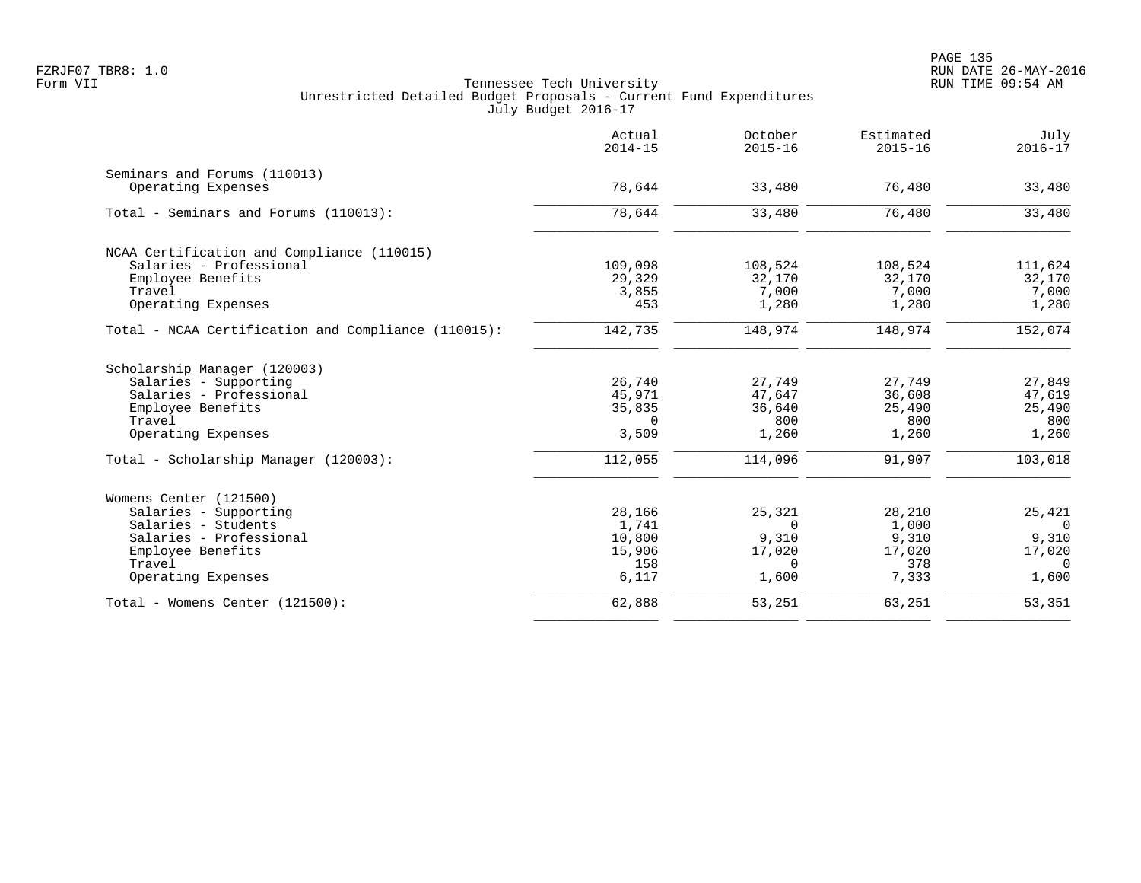|                                                     | Actual<br>$2014 - 15$ | October<br>$2015 - 16$ | Estimated<br>$2015 - 16$ | July<br>$2016 - 17$ |
|-----------------------------------------------------|-----------------------|------------------------|--------------------------|---------------------|
| Seminars and Forums (110013)                        |                       |                        |                          |                     |
| Operating Expenses                                  | 78,644                | 33,480                 | 76,480                   | 33,480              |
| Total - Seminars and Forums (110013):               | 78,644                | 33,480                 | 76,480                   | 33,480              |
| NCAA Certification and Compliance (110015)          |                       |                        |                          |                     |
| Salaries - Professional                             | 109,098               | 108,524                | 108,524                  | 111,624             |
| Employee Benefits                                   | 29,329                | 32,170                 | 32,170                   | 32,170              |
| Travel                                              | 3,855                 | 7,000                  | 7,000                    | 7,000               |
| Operating Expenses                                  | 453                   | 1,280                  | 1,280                    | 1,280               |
| Total - NCAA Certification and Compliance (110015): | 142,735               | 148,974                | 148,974                  | 152,074             |
| Scholarship Manager (120003)                        |                       |                        |                          |                     |
| Salaries - Supporting                               | 26,740                | 27,749                 | 27,749                   | 27,849              |
| Salaries - Professional                             | 45,971                | 47,647                 | 36,608                   | 47,619              |
| Employee Benefits                                   | 35,835                | 36,640                 | 25,490                   | 25,490              |
| Travel                                              | $\Omega$              | 800                    | 800                      | 800                 |
| Operating Expenses                                  | 3,509                 | 1,260                  | 1,260                    | 1,260               |
| Total - Scholarship Manager (120003):               | 112,055               | 114,096                | 91,907                   | 103,018             |
| Womens Center (121500)                              |                       |                        |                          |                     |
| Salaries - Supporting                               | 28,166                | 25,321                 | 28,210                   | 25,421              |
| Salaries - Students                                 | 1,741                 | $\Omega$               | 1,000                    | $\Omega$            |
| Salaries - Professional                             | 10,800                | 9,310                  | 9,310                    | 9,310               |
| Employee Benefits                                   | 15,906                | 17,020                 | 17,020                   | 17,020              |
| Travel<br>Operating Expenses                        | 158<br>6,117          | $\Omega$<br>1,600      | 378<br>7,333             | $\Omega$<br>1,600   |
|                                                     |                       |                        |                          |                     |
| Total - Womens Center (121500):                     | 62,888                | 53,251                 | 63,251                   | 53,351              |
|                                                     |                       |                        |                          |                     |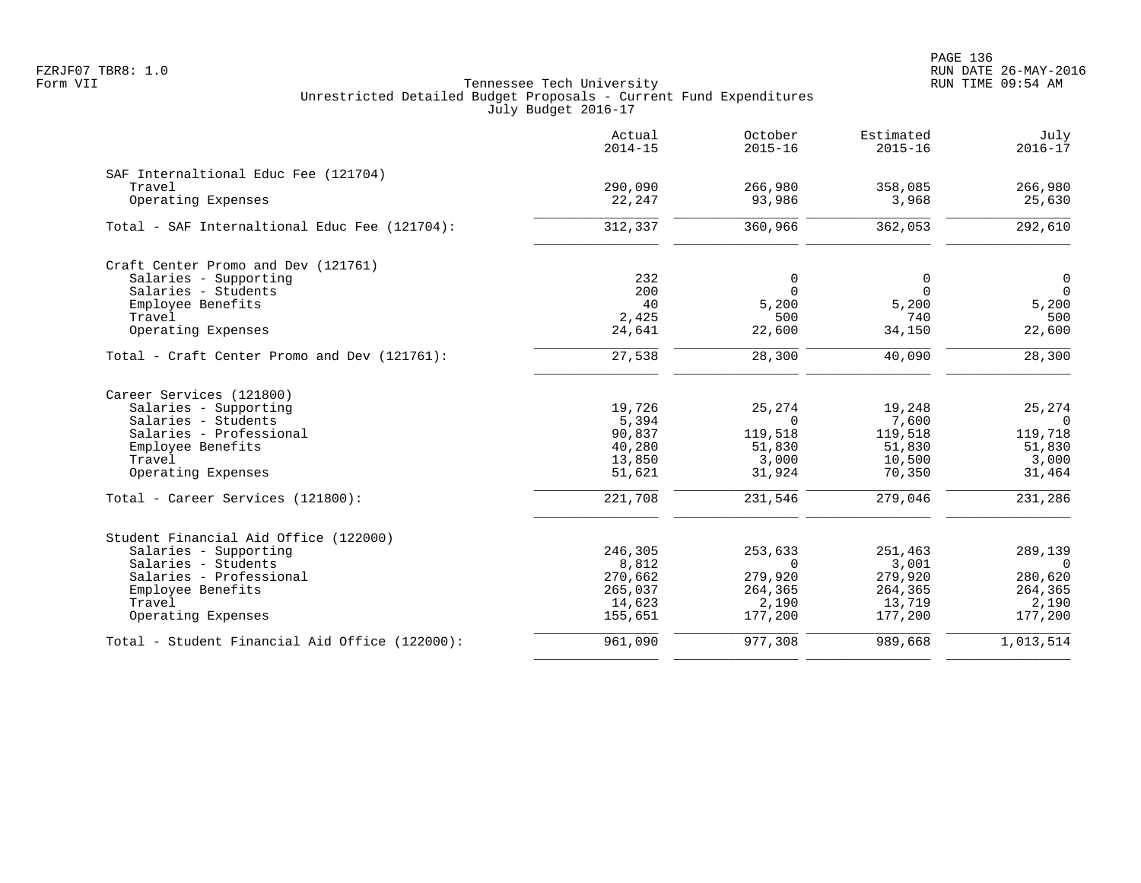|                                                | Actual<br>$2014 - 15$ | October<br>$2015 - 16$ | Estimated<br>$2015 - 16$ | July<br>$2016 - 17$ |
|------------------------------------------------|-----------------------|------------------------|--------------------------|---------------------|
| SAF Internaltional Educ Fee (121704)           |                       |                        |                          |                     |
| Travel                                         | 290,090               | 266,980                | 358,085                  | 266,980             |
| Operating Expenses                             | 22,247                | 93,986                 | 3,968                    | 25,630              |
| Total - SAF Internaltional Educ Fee (121704):  | 312,337               | 360,966                | 362,053                  | 292,610             |
| Craft Center Promo and Dev (121761)            |                       |                        |                          |                     |
| Salaries - Supporting                          | 232                   | 0                      | 0                        | $\mathsf{O}$        |
| Salaries - Students                            | 200                   | $\Omega$               | $\Omega$                 | $\mathbf 0$         |
| Employee Benefits                              | 40                    | 5,200                  | 5,200                    | 5,200               |
| Travel                                         | 2,425                 | 500                    | 740                      | 500                 |
| Operating Expenses                             | 24,641                | 22,600                 | 34,150                   | 22,600              |
| Total - Craft Center Promo and Dev (121761):   | 27,538                | 28,300                 | 40,090                   | 28,300              |
| Career Services (121800)                       |                       |                        |                          |                     |
| Salaries - Supporting                          | 19,726                | 25,274                 | 19,248                   | 25,274              |
| Salaries - Students                            | 5,394                 | $\Omega$               | 7,600                    | $\Omega$            |
| Salaries - Professional                        | 90,837                | 119,518                | 119,518                  | 119,718             |
| Employee Benefits                              | 40,280                | 51,830                 | 51,830                   | 51,830              |
| Travel<br>Operating Expenses                   | 13,850<br>51,621      | 3,000<br>31,924        | 10,500<br>70,350         | 3,000<br>31,464     |
|                                                |                       |                        |                          |                     |
| Total - Career Services (121800):              | 221,708               | 231,546                | 279,046                  | 231,286             |
| Student Financial Aid Office (122000)          |                       |                        |                          |                     |
| Salaries - Supporting                          | 246,305               | 253,633                | 251,463                  | 289,139             |
| Salaries - Students                            | 8,812                 | $\Omega$               | 3,001                    | $\Omega$            |
| Salaries - Professional                        | 270,662               | 279,920                | 279,920                  | 280,620             |
| Employee Benefits                              | 265,037               | 264,365                | 264,365                  | 264,365             |
| Travel                                         | 14,623                | 2,190                  | 13,719                   | 2,190               |
| Operating Expenses                             | 155,651               | 177,200                | 177,200                  | 177,200             |
| Total - Student Financial Aid Office (122000): | 961,090               | 977,308                | 989,668                  | 1,013,514           |
|                                                |                       |                        |                          |                     |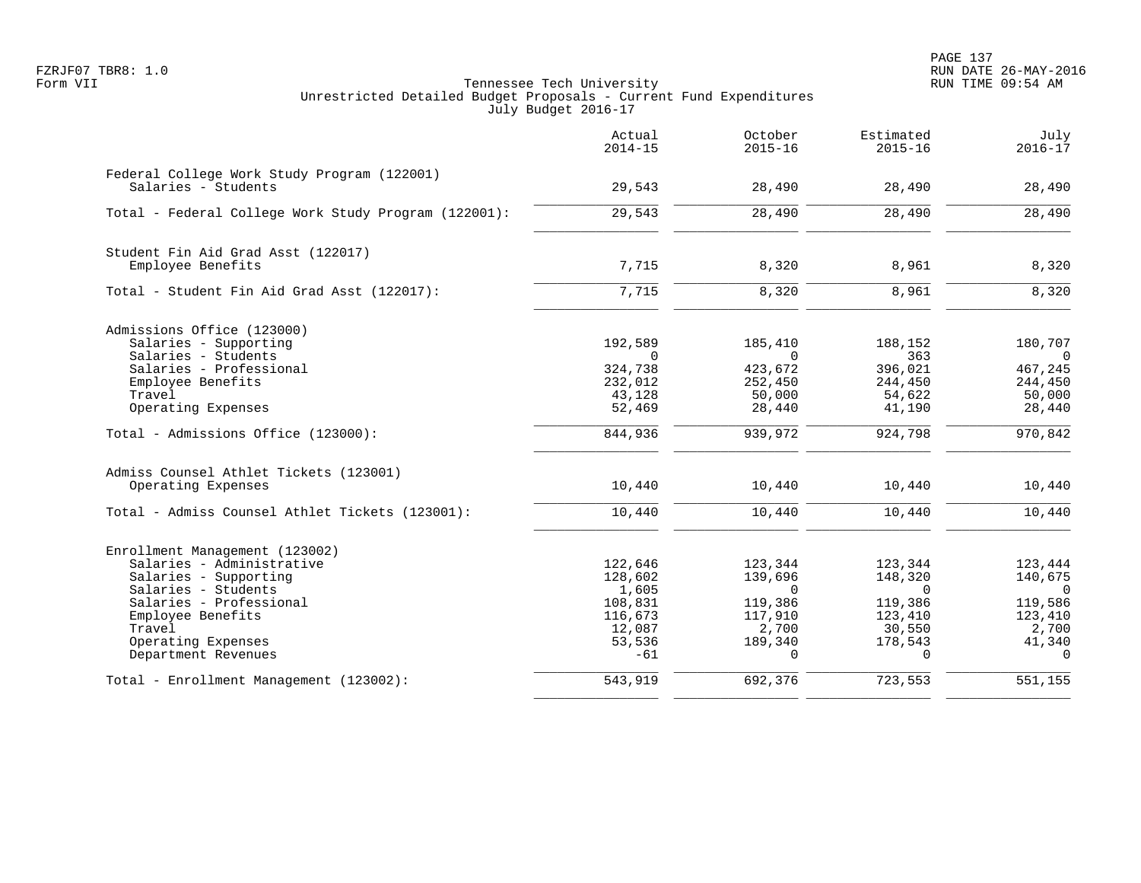|                                                      | Actual<br>$2014 - 15$ | October<br>$2015 - 16$ | Estimated<br>$2015 - 16$ | July<br>$2016 - 17$       |
|------------------------------------------------------|-----------------------|------------------------|--------------------------|---------------------------|
| Federal College Work Study Program (122001)          |                       |                        |                          |                           |
| Salaries - Students                                  | 29,543                | 28,490                 | 28,490                   | 28,490                    |
| Total - Federal College Work Study Program (122001): | 29,543                | 28,490                 | 28,490                   | 28,490                    |
| Student Fin Aid Grad Asst (122017)                   |                       |                        |                          |                           |
| Employee Benefits                                    | 7,715                 | 8,320                  | 8,961                    | 8,320                     |
| Total - Student Fin Aid Grad Asst (122017):          | 7,715                 | 8,320                  | 8,961                    | 8,320                     |
| Admissions Office (123000)                           |                       |                        |                          |                           |
| Salaries - Supporting                                | 192,589               | 185,410                | 188,152                  | 180,707                   |
| Salaries - Students<br>Salaries - Professional       | $\Omega$<br>324,738   | $\Omega$<br>423,672    | 363<br>396,021           | $\overline{0}$<br>467,245 |
| Employee Benefits                                    | 232,012               | 252,450                | 244,450                  | 244,450                   |
| Travel                                               | 43,128                | 50,000                 | 54,622                   | 50,000                    |
| Operating Expenses                                   | 52,469                | 28,440                 | 41,190                   | 28,440                    |
| Total - Admissions Office (123000):                  | 844,936               | 939,972                | 924,798                  | 970,842                   |
| Admiss Counsel Athlet Tickets (123001)               |                       |                        |                          |                           |
| Operating Expenses                                   | 10,440                | 10,440                 | 10,440                   | 10,440                    |
| Total - Admiss Counsel Athlet Tickets (123001):      | 10,440                | 10,440                 | 10,440                   | 10,440                    |
| Enrollment Management (123002)                       |                       |                        |                          |                           |
| Salaries - Administrative                            | 122,646               | 123,344                | 123,344                  | 123,444                   |
| Salaries - Supporting                                | 128,602               | 139,696                | 148,320                  | 140,675                   |
| Salaries - Students                                  | 1,605                 | $\Omega$               | $\Omega$                 | $\overline{0}$            |
| Salaries - Professional                              | 108,831               | 119,386                | 119,386                  | 119,586                   |
| Employee Benefits<br>Travel                          | 116,673<br>12,087     | 117,910                | 123,410<br>30,550        | 123,410                   |
| Operating Expenses                                   | 53,536                | 2,700<br>189,340       | 178,543                  | 2,700<br>41,340           |
| Department Revenues                                  | $-61$                 | $\Omega$               | $\Omega$                 | $\Omega$                  |
| Total - Enrollment Management (123002):              | 543,919               | 692,376                | 723,553                  | 551,155                   |
|                                                      |                       |                        |                          |                           |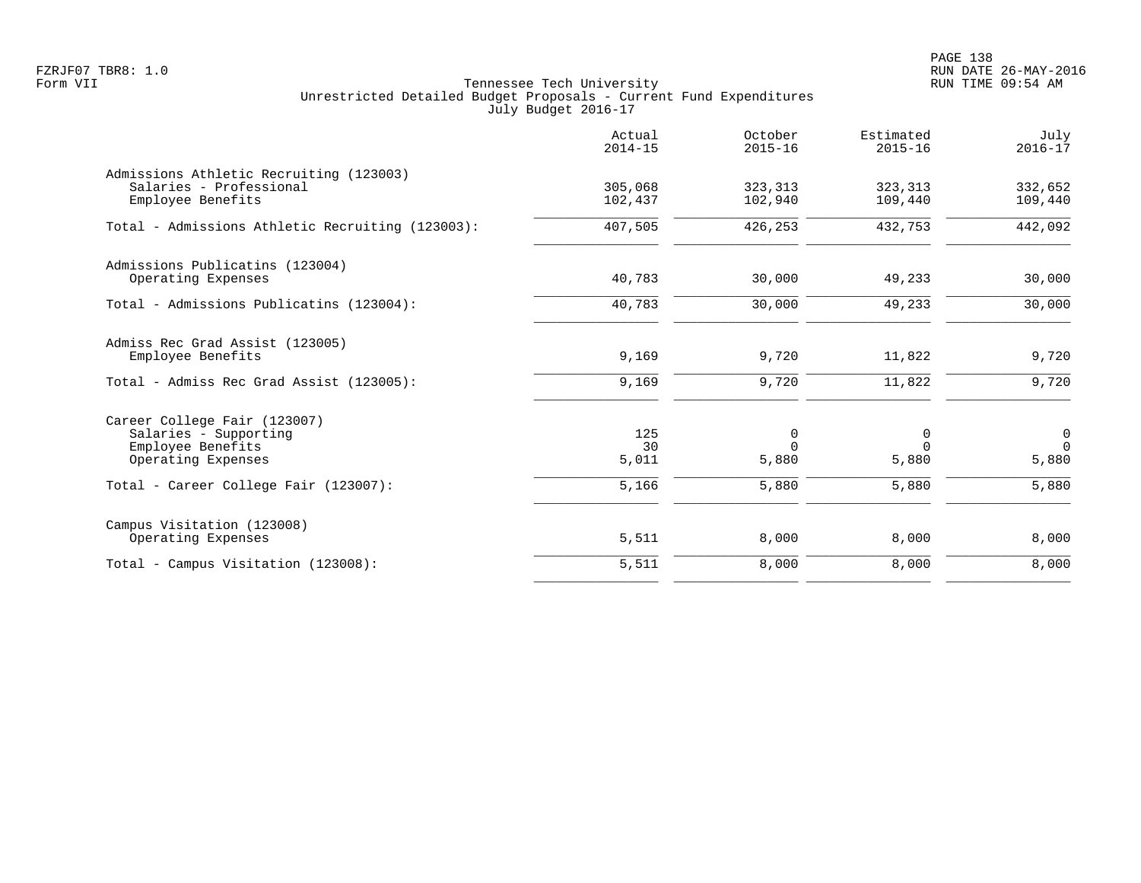PAGE 138 FZRJF07 TBR8: 1.0 RUN DATE 26-MAY-2016

|                                                                                                  | Actual<br>$2014 - 15$ | October<br>$2015 - 16$ | Estimated<br>$2015 - 16$ | July<br>$2016 - 17$              |
|--------------------------------------------------------------------------------------------------|-----------------------|------------------------|--------------------------|----------------------------------|
| Admissions Athletic Recruiting (123003)<br>Salaries - Professional<br>Employee Benefits          | 305,068<br>102,437    | 323, 313<br>102,940    | 323, 313<br>109,440      | 332,652<br>109,440               |
| Total - Admissions Athletic Recruiting (123003):                                                 | 407,505               | 426,253                | 432,753                  | 442,092                          |
| Admissions Publicatins (123004)<br>Operating Expenses                                            | 40,783                | 30,000                 | 49,233                   | 30,000                           |
| Total - Admissions Publicatins (123004):                                                         | 40,783                | 30,000                 | 49,233                   | 30,000                           |
| Admiss Rec Grad Assist (123005)<br>Employee Benefits<br>Total - Admiss Rec Grad Assist (123005): | 9,169<br>9,169        | 9,720<br>9,720         | 11,822<br>11,822         | 9,720<br>9,720                   |
| Career College Fair (123007)<br>Salaries - Supporting<br>Employee Benefits<br>Operating Expenses | 125<br>30<br>5,011    | 0<br>$\Omega$<br>5,880 | 0<br>$\Omega$<br>5,880   | $\mathbf 0$<br>$\Omega$<br>5,880 |
| Total - Career College Fair (123007):                                                            | 5,166                 | 5,880                  | 5,880                    | 5,880                            |
| Campus Visitation (123008)<br>Operating Expenses                                                 | 5,511                 | 8,000                  | 8,000                    | 8,000                            |
| Total - Campus Visitation (123008):                                                              | 5,511                 | 8,000                  | 8,000                    | 8,000                            |
|                                                                                                  |                       |                        |                          |                                  |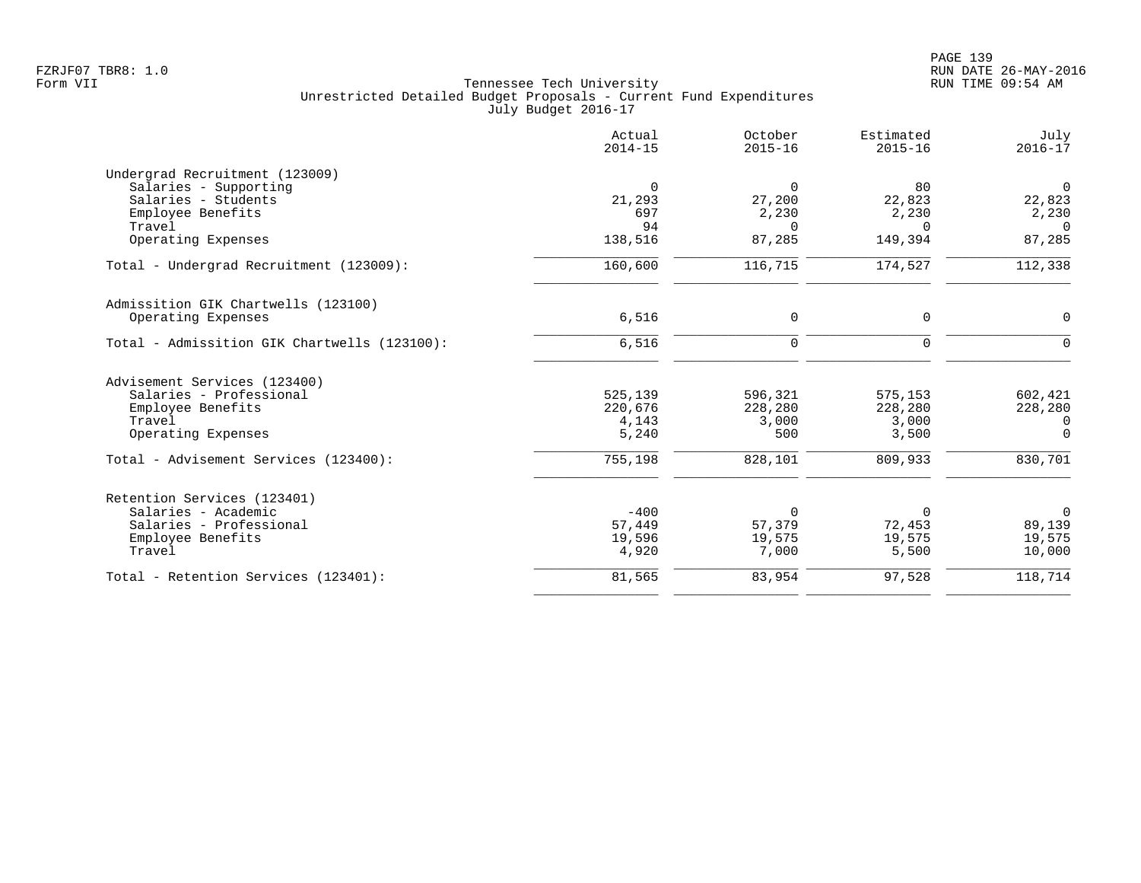| Actual<br>$2014 - 15$ | October<br>$2015 - 16$                                                            | Estimated<br>$2015 - 16$                                                | July<br>$2016 - 17$                                                      |
|-----------------------|-----------------------------------------------------------------------------------|-------------------------------------------------------------------------|--------------------------------------------------------------------------|
|                       |                                                                                   |                                                                         |                                                                          |
| $\Omega$              | $\Omega$                                                                          | 80                                                                      | $\mathsf{O}$                                                             |
| 21,293                | 27,200                                                                            | 22,823                                                                  | 22,823                                                                   |
|                       |                                                                                   |                                                                         | 2,230                                                                    |
|                       | $\Omega$                                                                          | $\Omega$                                                                | $\Omega$                                                                 |
|                       |                                                                                   |                                                                         | 87,285                                                                   |
| 160,600               | 116,715                                                                           | 174,527                                                                 | 112,338                                                                  |
|                       |                                                                                   |                                                                         |                                                                          |
| 6,516                 | $\mathbf 0$                                                                       | $\mathbf 0$                                                             | $\mathbf 0$                                                              |
| 6,516                 | $\Omega$                                                                          | $\Omega$                                                                | $\Omega$                                                                 |
|                       |                                                                                   |                                                                         |                                                                          |
|                       |                                                                                   |                                                                         | 602,421                                                                  |
|                       |                                                                                   |                                                                         | 228,280                                                                  |
|                       |                                                                                   |                                                                         | 0                                                                        |
| 5,240                 | 500                                                                               | 3,500                                                                   | $\Omega$                                                                 |
| 755,198               | 828,101                                                                           | 809,933                                                                 | 830,701                                                                  |
|                       |                                                                                   |                                                                         |                                                                          |
|                       |                                                                                   |                                                                         | $\overline{0}$                                                           |
|                       |                                                                                   |                                                                         | 89,139                                                                   |
|                       |                                                                                   |                                                                         | 19,575                                                                   |
| 4,920                 | 7,000                                                                             | 5,500                                                                   | 10,000                                                                   |
| 81,565                | 83,954                                                                            | 97,528                                                                  | 118,714                                                                  |
|                       | 697<br>94<br>138,516<br>525,139<br>220,676<br>4,143<br>$-400$<br>57,449<br>19,596 | 2,230<br>87,285<br>596,321<br>228,280<br>3,000<br>0<br>57,379<br>19,575 | 2,230<br>149,394<br>575,153<br>228,280<br>3,000<br>0<br>72,453<br>19,575 |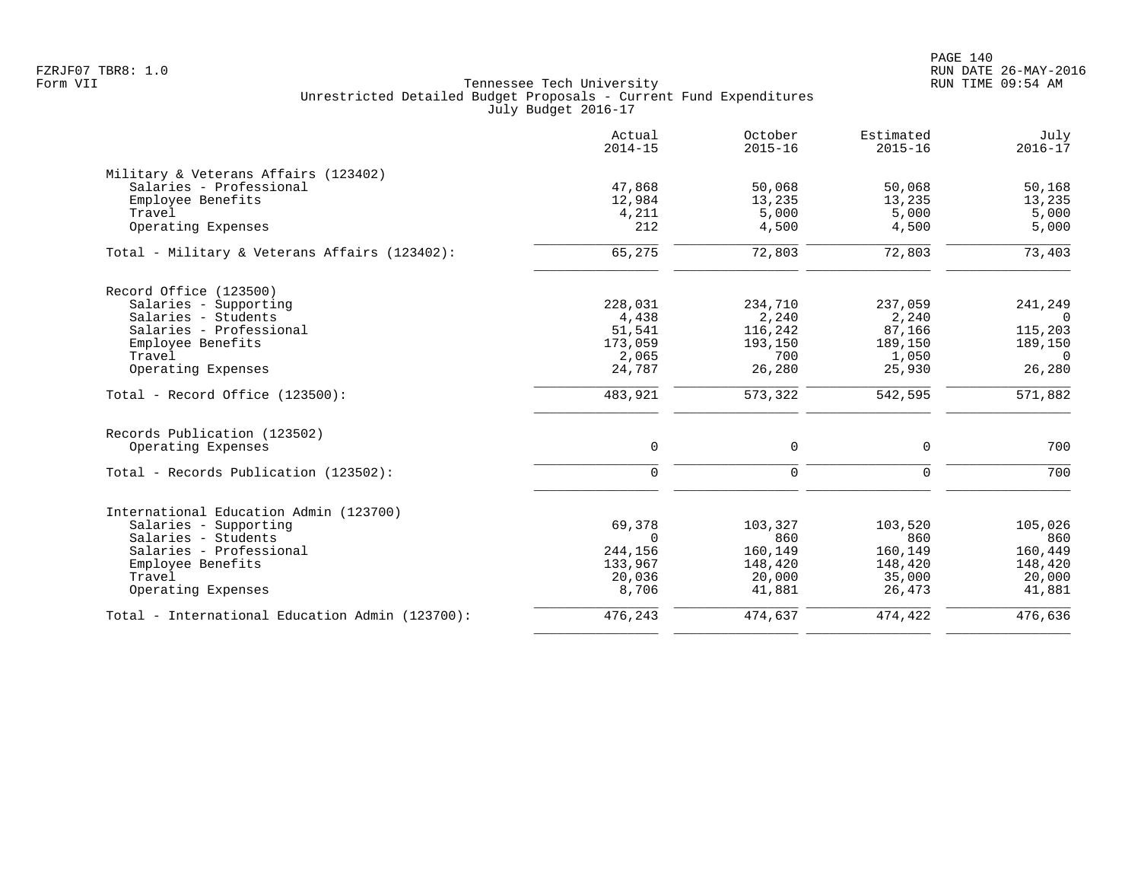|                                                 | Actual<br>$2014 - 15$ | October<br>$2015 - 16$ | Estimated<br>$2015 - 16$ | July<br>$2016 - 17$ |
|-------------------------------------------------|-----------------------|------------------------|--------------------------|---------------------|
| Military & Veterans Affairs (123402)            |                       |                        |                          |                     |
| Salaries - Professional                         | 47,868                | 50,068                 | 50,068                   | 50,168              |
| Employee Benefits                               | 12,984                | 13,235                 | 13,235                   | 13,235              |
| Travel                                          | 4,211                 | 5,000                  | 5,000                    | 5,000               |
| Operating Expenses                              | 212                   | 4,500                  | 4,500                    | 5,000               |
| Total - Military & Veterans Affairs (123402):   | 65,275                | 72,803                 | 72,803                   | 73,403              |
| Record Office (123500)                          |                       |                        |                          |                     |
| Salaries - Supporting                           | 228,031               | 234,710                | 237,059                  | 241,249             |
| Salaries - Students                             | 4,438                 | 2,240                  | 2,240                    | $\Omega$            |
| Salaries - Professional                         | 51,541                | 116,242                | 87,166                   | 115,203             |
| Employee Benefits                               | 173,059               | 193,150                | 189,150                  | 189,150             |
| Travel                                          | 2,065                 | 700                    | 1,050                    | $\Omega$            |
| Operating Expenses                              | 24,787                | 26,280                 | 25,930                   | 26,280              |
| Total - Record Office (123500):                 | 483,921               | 573,322                | 542,595                  | 571,882             |
| Records Publication (123502)                    |                       |                        |                          |                     |
| Operating Expenses                              | $\mathbf 0$           | $\mathbf 0$            | $\mathbf 0$              | 700                 |
| Total - Records Publication (123502):           | $\mathbf 0$           | $\Omega$               | $\Omega$                 | 700                 |
| International Education Admin (123700)          |                       |                        |                          |                     |
| Salaries - Supporting                           | 69,378                | 103,327                | 103,520                  | 105,026             |
| Salaries - Students                             | $\Omega$              | 860                    | 860                      | 860                 |
| Salaries - Professional                         | 244,156               | 160,149                | 160,149                  | 160,449             |
| Employee Benefits                               | 133,967               | 148,420                | 148,420                  | 148,420             |
| Travel                                          | 20,036                | 20,000                 | 35,000                   | 20,000              |
| Operating Expenses                              | 8,706                 | 41,881                 | 26,473                   | 41,881              |
| Total - International Education Admin (123700): | 476,243               | 474,637                | 474,422                  | 476,636             |
|                                                 |                       |                        |                          |                     |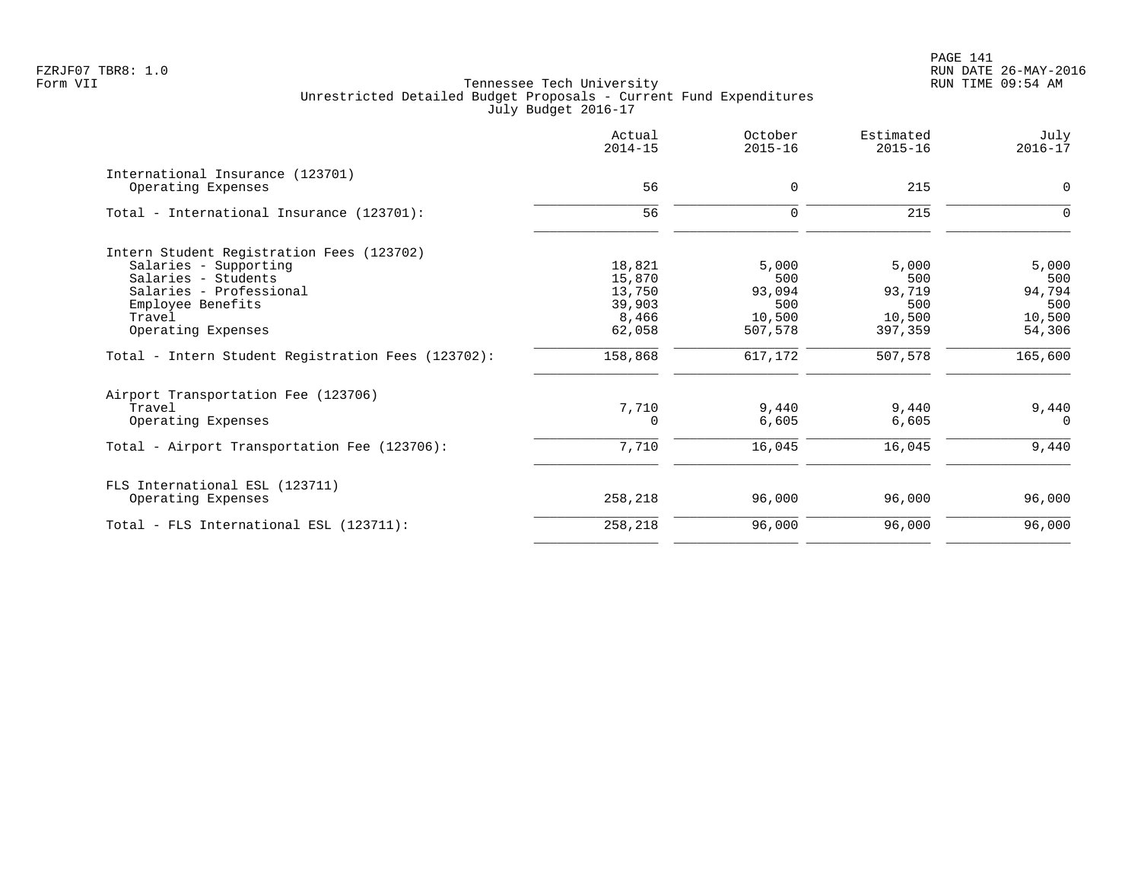|                                                    | Actual<br>$2014 - 15$ | October<br>$2015 - 16$ | Estimated<br>$2015 - 16$ | July<br>$2016 - 17$ |
|----------------------------------------------------|-----------------------|------------------------|--------------------------|---------------------|
| International Insurance (123701)                   |                       |                        |                          |                     |
| Operating Expenses                                 | 56                    | $\mathbf 0$            | 215                      | $\Omega$            |
| Total - International Insurance (123701):          | 56                    | 0                      | 215                      | $\Omega$            |
| Intern Student Registration Fees (123702)          |                       |                        |                          |                     |
| Salaries - Supporting                              | 18,821                | 5,000                  | 5,000                    | 5,000               |
| Salaries - Students                                | 15,870                | 500                    | 500                      | 500                 |
| Salaries - Professional                            | 13,750                | 93,094                 | 93,719                   | 94,794              |
| Employee Benefits                                  | 39,903                | 500                    | 500                      | 500                 |
| Travel                                             | 8,466                 | 10,500                 | 10,500                   | 10,500              |
| Operating Expenses                                 | 62,058                | 507,578                | 397,359                  | 54,306              |
| Total - Intern Student Registration Fees (123702): | 158,868               | 617,172                | 507,578                  | 165,600             |
| Airport Transportation Fee (123706)                |                       |                        |                          |                     |
| Travel                                             | 7,710                 | 9,440                  | 9,440                    | 9,440               |
| Operating Expenses                                 | $\Omega$              | 6,605                  | 6,605                    | $\Omega$            |
| Total - Airport Transportation Fee (123706):       | 7,710                 | 16,045                 | 16,045                   | 9,440               |
| FLS International ESL (123711)                     |                       |                        |                          |                     |
| Operating Expenses                                 | 258,218               | 96,000                 | 96,000                   | 96,000              |
| Total - FLS International ESL (123711):            | 258,218               | 96,000                 | 96,000                   | 96,000              |
|                                                    |                       |                        |                          |                     |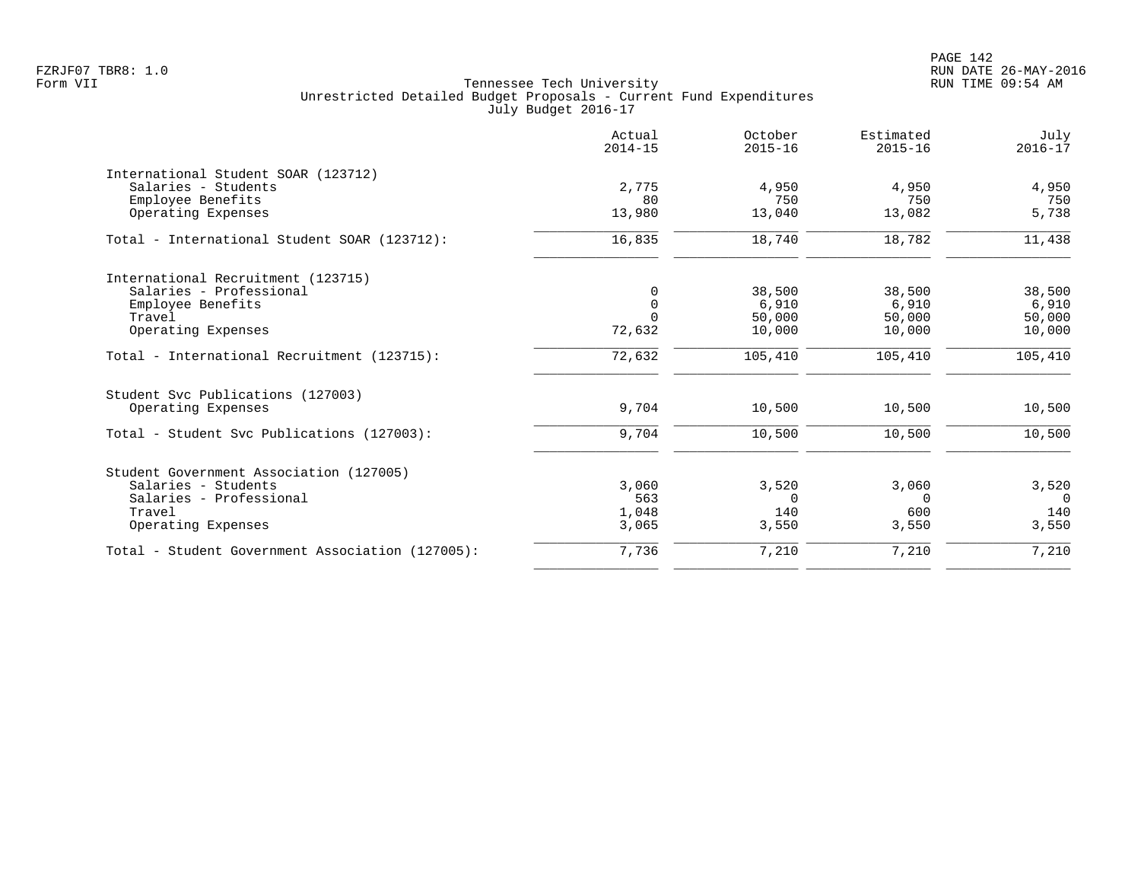|                                                  | Actual<br>$2014 - 15$ | October<br>$2015 - 16$ | Estimated<br>$2015 - 16$ | July<br>$2016 - 17$ |
|--------------------------------------------------|-----------------------|------------------------|--------------------------|---------------------|
| International Student SOAR (123712)              |                       |                        |                          |                     |
| Salaries - Students                              | 2,775                 | 4,950                  | 4,950                    | 4,950               |
| Employee Benefits                                | 80                    | 750                    | 750                      | 750                 |
| Operating Expenses                               | 13,980                | 13,040                 | 13,082                   | 5,738               |
| Total - International Student SOAR (123712):     | 16,835                | 18,740                 | 18,782                   | 11,438              |
| International Recruitment (123715)               |                       |                        |                          |                     |
| Salaries - Professional                          | $\Omega$              | 38,500                 | 38,500                   | 38,500              |
| Employee Benefits                                | $\Omega$              | 6,910                  | 6,910                    | 6,910               |
| Travel                                           | $\Omega$              | 50,000                 | 50,000                   | 50,000              |
| Operating Expenses                               | 72,632                | 10,000                 | 10,000                   | 10,000              |
| Total - International Recruitment (123715):      | 72,632                | 105,410                | 105,410                  | 105,410             |
| Student Svc Publications (127003)                |                       |                        |                          |                     |
| Operating Expenses                               | 9,704                 | 10,500                 | 10,500                   | 10,500              |
| Total - Student Svc Publications (127003):       | 9,704                 | 10,500                 | 10,500                   | 10,500              |
| Student Government Association (127005)          |                       |                        |                          |                     |
| Salaries - Students                              | 3,060                 | 3,520                  | 3,060                    | 3,520               |
| Salaries - Professional                          | 563                   | $\Omega$               | $\Omega$                 | $\Omega$            |
| Travel                                           | 1,048                 | 140                    | 600                      | 140                 |
| Operating Expenses                               | 3,065                 | 3,550                  | 3,550                    | 3,550               |
| Total - Student Government Association (127005): | 7,736                 | 7,210                  | 7,210                    | 7,210               |
|                                                  |                       |                        |                          |                     |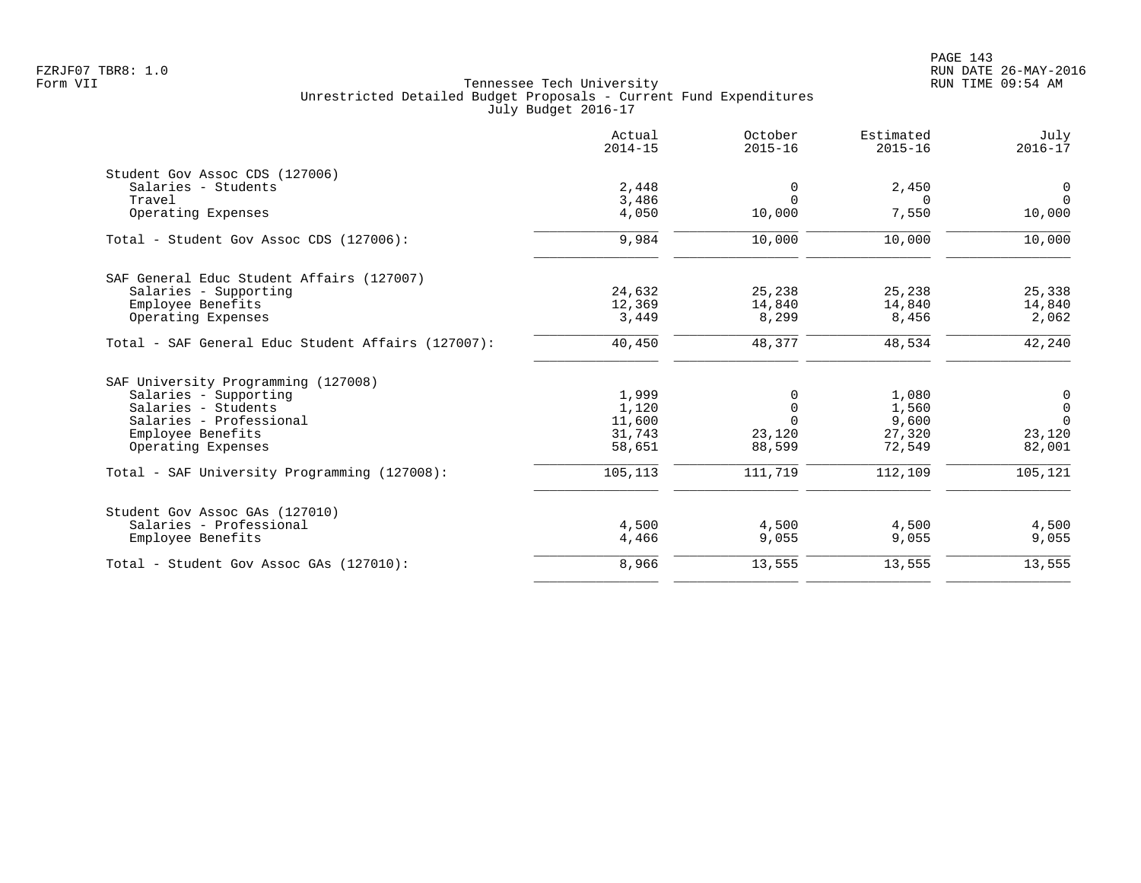| Actual<br>$2014 - 15$ | October<br>$2015 - 16$ | Estimated<br>$2015 - 16$ | July<br>$2016 - 17$ |
|-----------------------|------------------------|--------------------------|---------------------|
|                       |                        |                          |                     |
| 2,448                 | 0                      | 2,450                    | 0                   |
| 3,486                 | $\Omega$               | $\Omega$                 | $\Omega$            |
| 4,050                 | 10,000                 | 7,550                    | 10,000              |
| 9,984                 | 10,000                 | 10,000                   | 10,000              |
|                       |                        |                          |                     |
| 24,632                | 25,238                 | 25,238                   | 25,338              |
| 12,369                | 14,840                 | 14,840                   | 14,840              |
| 3,449                 | 8,299                  | 8,456                    | 2,062               |
| 40,450                | 48,377                 | 48,534                   | 42,240              |
|                       |                        |                          |                     |
| 1,999                 | 0                      | 1,080                    | 0                   |
| 1,120                 | $\Omega$               | 1,560                    | $\mathbf 0$         |
| 11,600                | $\Omega$               | 9,600                    | $\Omega$            |
| 31,743                | 23,120                 | 27,320                   | 23,120              |
| 58,651                | 88,599                 | 72,549                   | 82,001              |
| 105,113               | 111,719                | 112,109                  | 105,121             |
|                       |                        |                          |                     |
|                       |                        |                          | 4,500               |
| 4,466                 | 9,055                  | 9,055                    | 9,055               |
| 8,966                 | 13,555                 | 13,555                   | 13,555              |
|                       | 4,500                  | 4,500                    | 4,500               |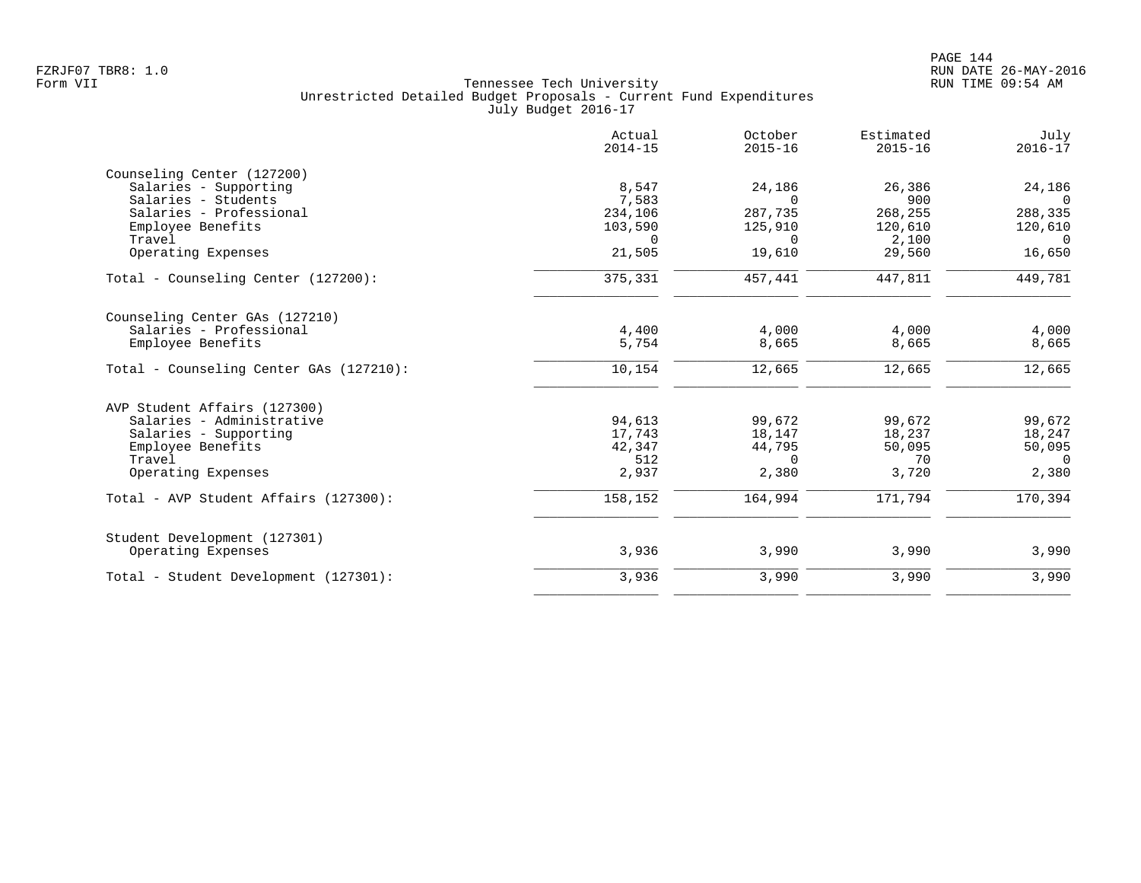| Actual<br>$2014 - 15$ | October<br>$2015 - 16$                              | Estimated<br>$2015 - 16$                      | July<br>$2016 - 17$                           |
|-----------------------|-----------------------------------------------------|-----------------------------------------------|-----------------------------------------------|
|                       |                                                     |                                               |                                               |
|                       |                                                     |                                               | 24,186                                        |
| 7,583                 | $\Omega$                                            | 900                                           | $\overline{0}$                                |
| 234,106               | 287,735                                             | 268,255                                       | 288,335                                       |
| 103,590               | 125,910                                             | 120,610                                       | 120,610                                       |
| $\Omega$              | $\Omega$                                            | 2,100                                         | $\Omega$                                      |
| 21,505                | 19,610                                              | 29,560                                        | 16,650                                        |
| 375,331               | 457,441                                             | 447,811                                       | 449,781                                       |
|                       |                                                     |                                               |                                               |
|                       |                                                     |                                               | 4,000                                         |
| 5,754                 | 8,665                                               | 8,665                                         | 8,665                                         |
| 10,154                | 12,665                                              | 12,665                                        | 12,665                                        |
|                       |                                                     |                                               |                                               |
|                       |                                                     |                                               | 99,672                                        |
|                       |                                                     |                                               | 18,247                                        |
|                       |                                                     |                                               | 50,095                                        |
|                       | $\Omega$                                            | 70                                            | $\Omega$                                      |
| 2,937                 | 2,380                                               | 3,720                                         | 2,380                                         |
| 158,152               | 164,994                                             | 171,794                                       | 170,394                                       |
|                       |                                                     |                                               |                                               |
| 3,936                 | 3,990                                               | 3,990                                         | 3,990                                         |
| 3,936                 | 3,990                                               | 3,990                                         | 3,990                                         |
|                       | 8,547<br>4,400<br>94,613<br>17,743<br>42,347<br>512 | 24,186<br>4,000<br>99,672<br>18,147<br>44,795 | 26,386<br>4,000<br>99,672<br>18,237<br>50,095 |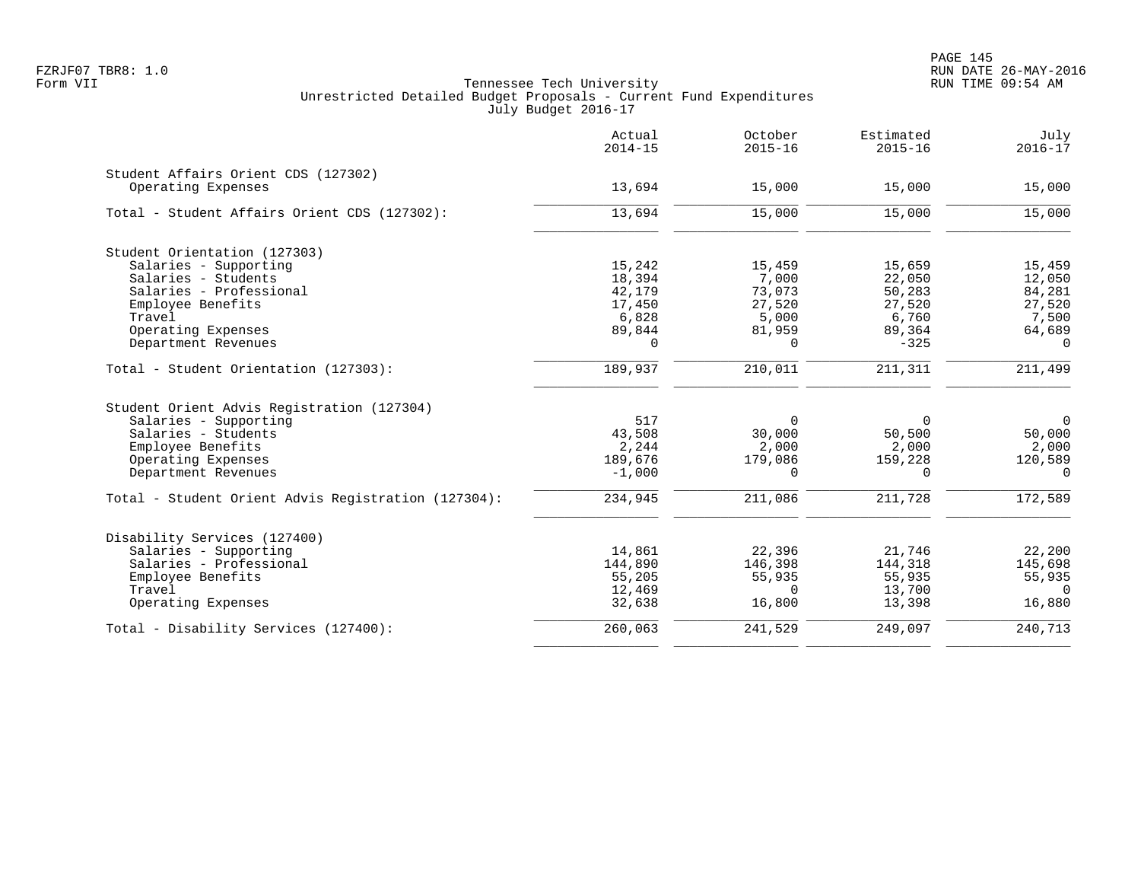| 15,000<br>15,000<br>15,459<br>12,050 |
|--------------------------------------|
|                                      |
|                                      |
|                                      |
|                                      |
|                                      |
|                                      |
| 84,281                               |
| 27,520                               |
| 7,500                                |
| 64,689                               |
| $\Omega$                             |
| 211,499                              |
|                                      |
| $\mathbf 0$                          |
| 50,000                               |
| 2,000                                |
| 120,589                              |
| $\Omega$                             |
| 172,589                              |
|                                      |
| 22,200                               |
| 145,698                              |
| 55,935                               |
| $\Omega$                             |
|                                      |
| 16,880                               |
|                                      |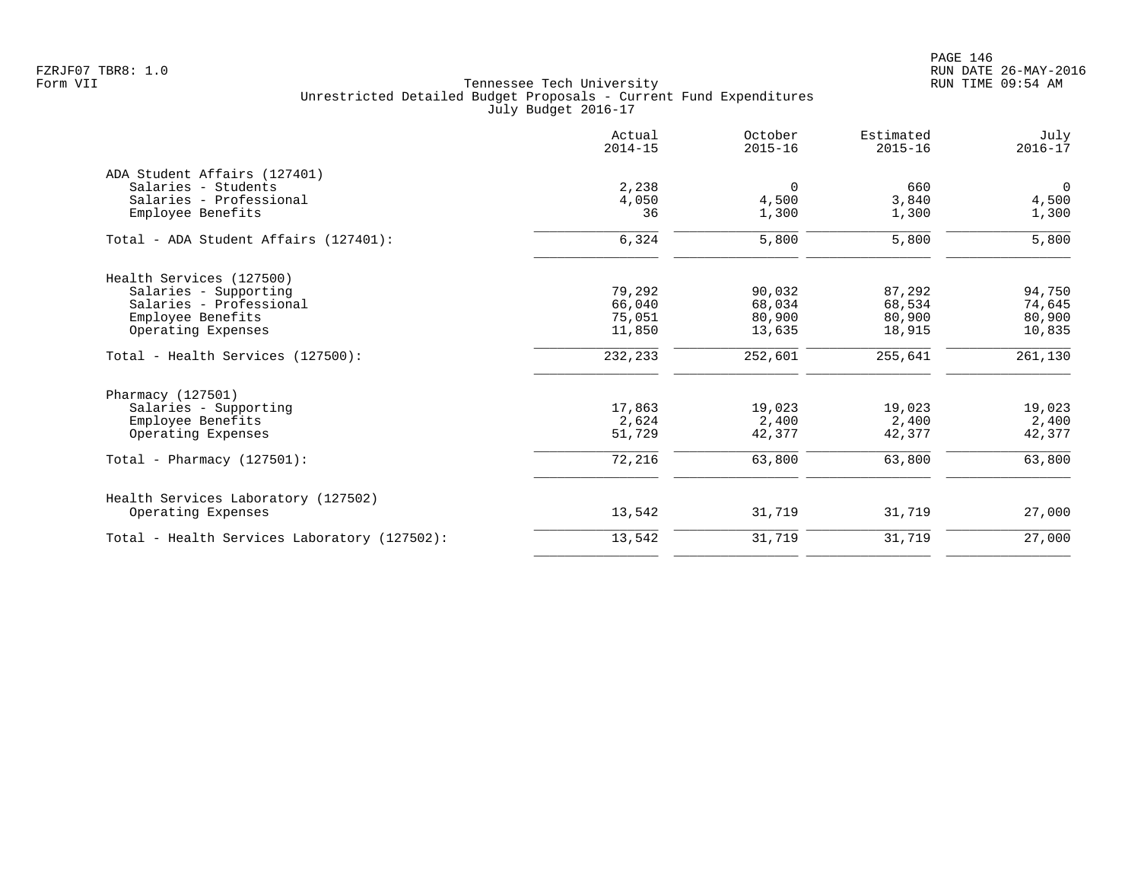|                                              | Actual<br>$2014 - 15$ | October<br>$2015 - 16$ | Estimated<br>$2015 - 16$ | July<br>$2016 - 17$ |
|----------------------------------------------|-----------------------|------------------------|--------------------------|---------------------|
| ADA Student Affairs (127401)                 |                       |                        |                          |                     |
| Salaries - Students                          | 2,238                 | $\overline{0}$         | 660                      | $\Omega$            |
| Salaries - Professional                      | 4,050                 | 4,500                  | 3,840                    | 4,500               |
| Employee Benefits                            | 36                    | 1,300                  | 1,300                    | 1,300               |
| Total - ADA Student Affairs (127401):        | 6,324                 | 5,800                  | 5,800                    | 5,800               |
| Health Services (127500)                     |                       |                        |                          |                     |
| Salaries - Supporting                        | 79,292                | 90,032                 | 87,292                   | 94,750              |
| Salaries - Professional                      | 66,040                | 68,034                 | 68,534                   | 74,645              |
| Employee Benefits                            | 75,051                | 80,900                 | 80,900                   | 80,900              |
| Operating Expenses                           | 11,850                | 13,635                 | 18,915                   | 10,835              |
| Total - Health Services (127500):            | 232,233               | 252,601                | 255,641                  | 261,130             |
| Pharmacy (127501)                            |                       |                        |                          |                     |
| Salaries - Supporting                        | 17,863                | 19,023                 | 19,023                   | 19,023              |
| Employee Benefits                            | 2,624                 | 2,400                  | 2,400                    | 2,400               |
| Operating Expenses                           | 51,729                | 42,377                 | 42,377                   | 42,377              |
| Total - Pharmacy $(127501)$ :                | 72,216                | 63,800                 | 63,800                   | 63,800              |
| Health Services Laboratory (127502)          |                       |                        |                          |                     |
| Operating Expenses                           | 13,542                | 31,719                 | 31,719                   | 27,000              |
| Total - Health Services Laboratory (127502): | 13,542                | 31,719                 | 31,719                   | 27,000              |
|                                              |                       |                        |                          |                     |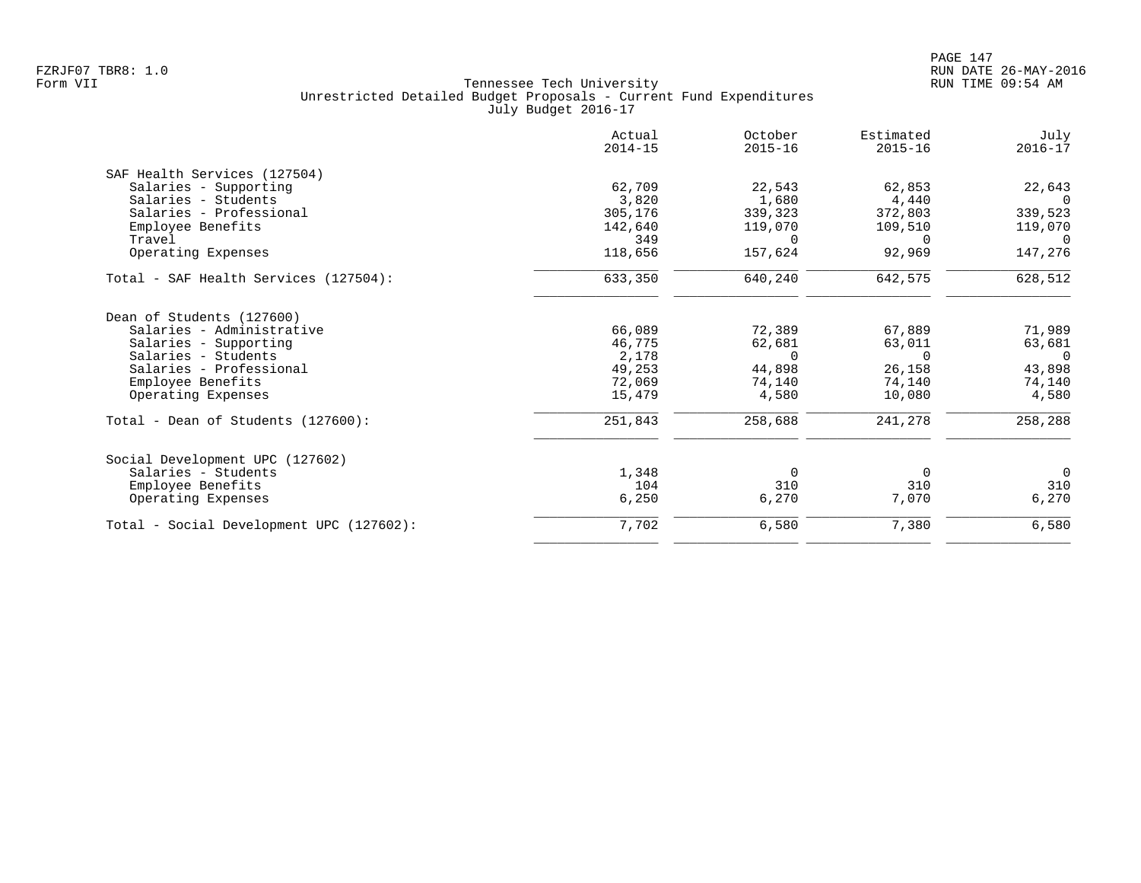|                                          | Actual<br>$2014 - 15$ | October<br>$2015 - 16$ | Estimated<br>$2015 - 16$ | July<br>$2016 - 17$ |
|------------------------------------------|-----------------------|------------------------|--------------------------|---------------------|
| SAF Health Services (127504)             |                       |                        |                          |                     |
| Salaries - Supporting                    | 62,709                | 22,543                 | 62,853                   | 22,643              |
| Salaries - Students                      | 3,820                 | 1,680                  | 4,440                    |                     |
| Salaries - Professional                  | 305,176               | 339,323                | 372,803                  | 339,523             |
| Employee Benefits                        | 142,640               | 119,070                | 109,510                  | 119,070             |
| Travel                                   | 349                   | $\Omega$               | $\Omega$                 | $\bigcirc$          |
| Operating Expenses                       | 118,656               | 157,624                | 92,969                   | 147,276             |
| Total - SAF Health Services (127504):    | 633,350               | 640,240                | 642,575                  | 628,512             |
| Dean of Students (127600)                |                       |                        |                          |                     |
| Salaries - Administrative                | 66,089                | 72,389                 | 67,889                   | 71,989              |
| Salaries - Supporting                    | 46,775                | 62,681                 | 63,011                   | 63,681              |
| Salaries - Students                      | 2,178                 | $\Omega$               | $\cap$                   | $\Omega$            |
| Salaries - Professional                  | 49,253                | 44,898                 | 26,158                   | 43,898              |
| Employee Benefits                        | 72,069                | 74,140                 | 74,140                   | 74,140              |
| Operating Expenses                       | 15,479                | 4,580                  | 10,080                   | 4,580               |
| Total - Dean of Students (127600):       | 251,843               | 258,688                | 241,278                  | 258,288             |
| Social Development UPC (127602)          |                       |                        |                          |                     |
| Salaries - Students                      | 1,348                 | 0                      | 0                        | $\overline{0}$      |
| Employee Benefits                        | 104                   | 310                    | 310                      | 310                 |
| Operating Expenses                       | 6,250                 | 6,270                  | 7,070                    | 6,270               |
| Total - Social Development UPC (127602): | 7,702                 | 6,580                  | 7,380                    | 6,580               |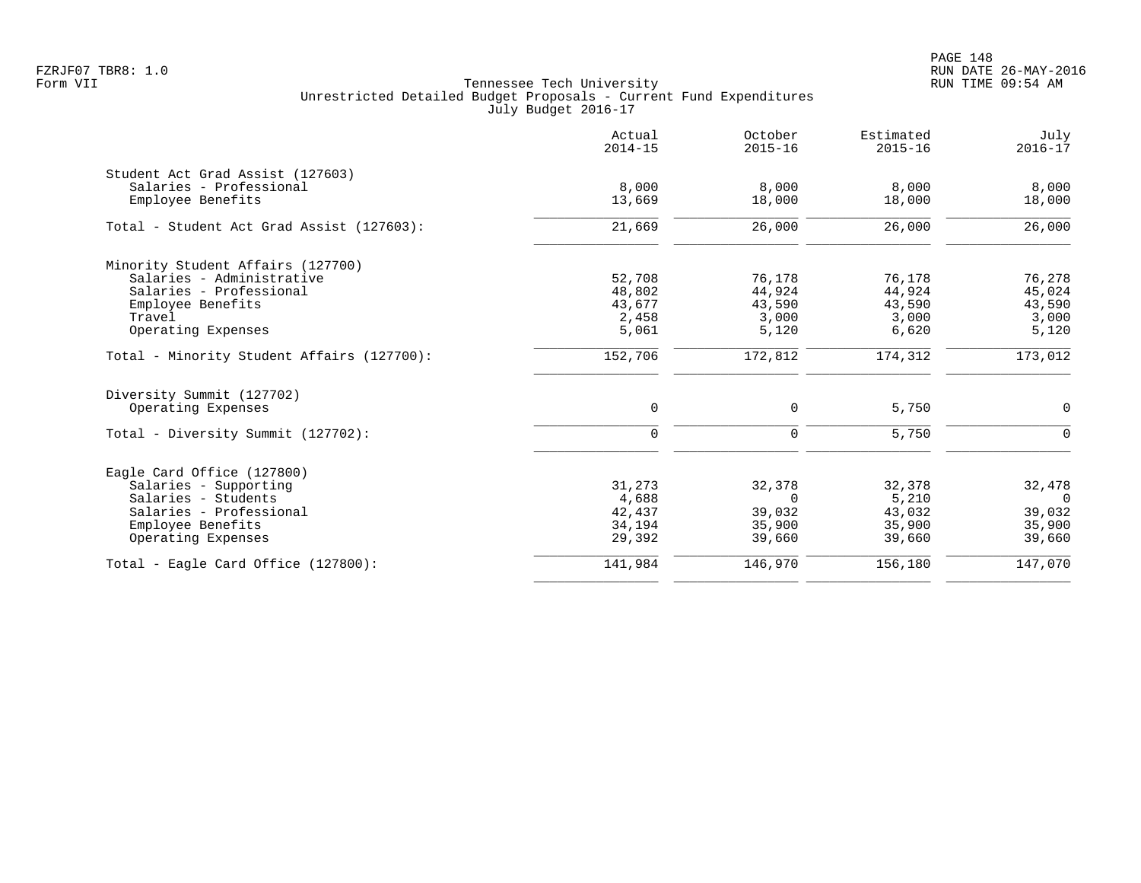|                                            | Actual<br>$2014 - 15$ | October<br>$2015 - 16$ | Estimated<br>$2015 - 16$ | July<br>$2016 - 17$ |
|--------------------------------------------|-----------------------|------------------------|--------------------------|---------------------|
| Student Act Grad Assist (127603)           |                       |                        |                          |                     |
| Salaries - Professional                    | 8,000                 | 8,000                  | 8,000                    | 8,000               |
| Employee Benefits                          | 13,669                | 18,000                 | 18,000                   | 18,000              |
| Total - Student Act Grad Assist (127603):  | 21,669                | 26,000                 | 26,000                   | 26,000              |
| Minority Student Affairs (127700)          |                       |                        |                          |                     |
| Salaries - Administrative                  | 52,708                | 76,178                 | 76,178                   | 76,278              |
| Salaries - Professional                    | 48,802                | 44,924                 | 44,924                   | 45,024              |
| Employee Benefits                          | 43,677                | 43,590                 | 43,590                   | 43,590              |
| Travel                                     | 2,458                 | 3,000                  | 3,000                    | 3,000               |
| Operating Expenses                         | 5,061                 | 5,120                  | 6,620                    | 5,120               |
| Total - Minority Student Affairs (127700): | 152,706               | 172,812                | 174,312                  | 173,012             |
| Diversity Summit (127702)                  |                       |                        |                          |                     |
| Operating Expenses                         | 0                     | 0                      | 5,750                    | $\mathbf 0$         |
| Total - Diversity Summit (127702):         | $\mathbf 0$           | $\mathbf 0$            | 5,750                    | $\Omega$            |
| Eagle Card Office (127800)                 |                       |                        |                          |                     |
| Salaries - Supporting                      | 31,273                | 32,378                 | 32,378                   | 32,478              |
| Salaries - Students                        | 4,688                 | $\Omega$               | 5,210                    | $\Omega$            |
| Salaries - Professional                    | 42,437                | 39,032                 | 43,032                   | 39,032              |
| Employee Benefits                          | 34,194                | 35,900                 | 35,900                   | 35,900              |
| Operating Expenses                         | 29,392                | 39,660                 | 39,660                   | 39,660              |
| Total - Eagle Card Office $(127800)$ :     | 141,984               | 146,970                | 156,180                  | 147,070             |
|                                            |                       |                        |                          |                     |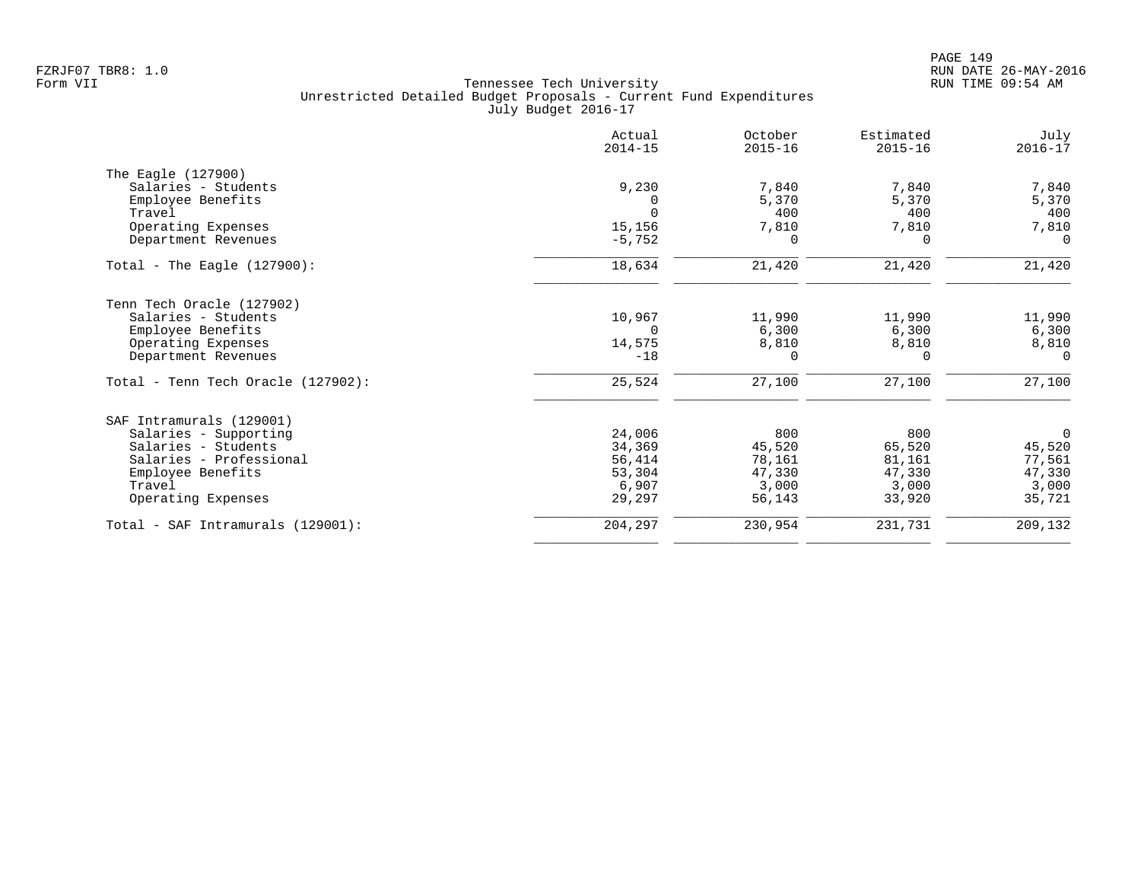|                                    | Actual<br>$2014 - 15$ | October<br>$2015 - 16$ | Estimated<br>$2015 - 16$ | July<br>$2016 - 17$ |
|------------------------------------|-----------------------|------------------------|--------------------------|---------------------|
| The Eagle (127900)                 |                       |                        |                          |                     |
| Salaries - Students                | 9,230                 | 7,840                  | 7,840                    | 7,840               |
| Employee Benefits                  | 0                     | 5,370                  | 5,370                    | 5,370               |
| Travel                             | $\Omega$              | 400                    | 400                      | 400                 |
| Operating Expenses                 | 15,156                | 7,810                  | 7,810                    | 7,810               |
| Department Revenues                | $-5,752$              | $\Omega$               | $\Omega$                 | $\Omega$            |
| Total - The Eagle $(127900)$ :     | 18,634                | 21,420                 | 21,420                   | 21,420              |
| Tenn Tech Oracle (127902)          |                       |                        |                          |                     |
| Salaries - Students                | 10,967                | 11,990                 | 11,990                   | 11,990              |
| Employee Benefits                  | $\Omega$              | 6,300                  | 6,300                    | 6,300               |
| Operating Expenses                 | 14,575                | 8,810                  | 8,810                    | 8,810               |
| Department Revenues                | $-18$                 | $\Omega$               | $\Omega$                 | $\Omega$            |
| Total - Tenn Tech Oracle (127902): | 25,524                | 27,100                 | 27,100                   | 27,100              |
| SAF Intramurals (129001)           |                       |                        |                          |                     |
| Salaries - Supporting              | 24,006                | 800                    | 800                      | $\mathbf 0$         |
| Salaries - Students                | 34,369                | 45,520                 | 65,520                   | 45,520              |
| Salaries - Professional            | 56,414                | 78,161                 | 81,161                   | 77,561              |
| Employee Benefits                  | 53,304                | 47,330                 | 47,330                   | 47,330              |
| Travel                             | 6,907                 | 3,000                  | 3,000                    | 3,000               |
| Operating Expenses                 | 29,297                | 56,143                 | 33,920                   | 35,721              |
| Total - SAF Intramurals (129001):  | 204,297               | 230,954                | 231,731                  | 209,132             |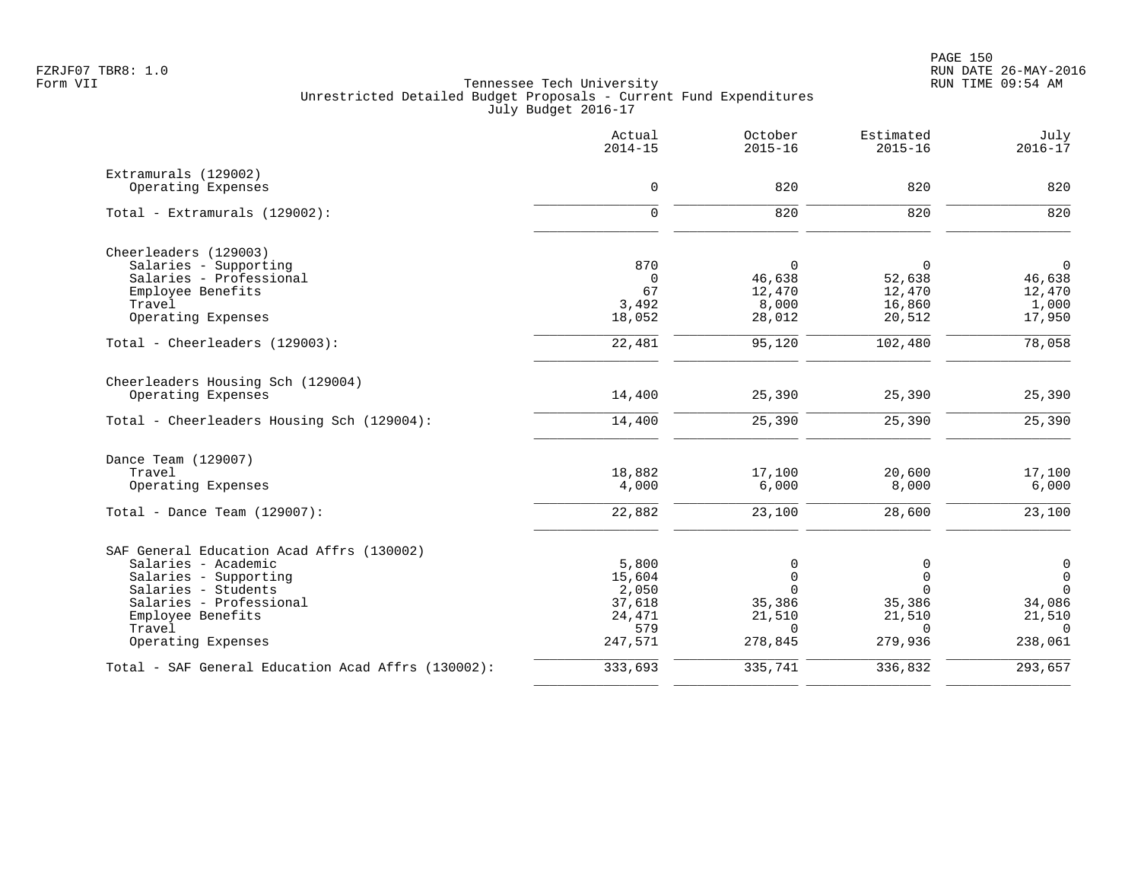|                                                    | Actual<br>$2014 - 15$ | October<br>$2015 - 16$ | Estimated<br>$2015 - 16$ | July<br>$2016 - 17$ |
|----------------------------------------------------|-----------------------|------------------------|--------------------------|---------------------|
| Extramurals (129002)                               |                       |                        |                          |                     |
| Operating Expenses                                 | $\mathbf 0$           | 820                    | 820                      | 820                 |
| Total - Extramurals (129002):                      | $\mathbf 0$           | 820                    | 820                      | 820                 |
| Cheerleaders (129003)                              |                       |                        |                          |                     |
| Salaries - Supporting                              | 870                   | $\mathbf 0$            | 0                        | $\mathbf 0$         |
| Salaries - Professional                            | $\mathbf 0$           | 46,638                 | 52,638                   | 46,638              |
| Employee Benefits                                  | 67                    | 12,470                 | 12,470                   | 12,470              |
| Travel<br>Operating Expenses                       | 3,492<br>18,052       | 8,000<br>28,012        | 16,860<br>20,512         | 1,000<br>17,950     |
|                                                    |                       |                        |                          |                     |
| Total - Cheerleaders (129003):                     | 22,481                | 95,120                 | 102,480                  | 78,058              |
| Cheerleaders Housing Sch (129004)                  |                       |                        |                          |                     |
| Operating Expenses                                 | 14,400                | 25,390                 | 25,390                   | 25,390              |
| Total - Cheerleaders Housing Sch (129004):         | 14,400                | 25,390                 | 25,390                   | 25,390              |
| Dance Team (129007)                                |                       |                        |                          |                     |
| Travel                                             | 18,882                | 17,100                 | 20,600                   | 17,100              |
| Operating Expenses                                 | 4,000                 | 6,000                  | 8,000                    | 6,000               |
| Total - Dance Team $(129007)$ :                    | 22,882                | 23,100                 | 28,600                   | 23,100              |
| SAF General Education Acad Affrs (130002)          |                       |                        |                          |                     |
| Salaries - Academic                                | 5,800                 | 0                      | 0                        | 0                   |
| Salaries - Supporting                              | 15,604                | $\mathbf 0$            | $\mathbf 0$              | $\mathbf 0$         |
| Salaries - Students                                | 2,050                 | $\Omega$               | $\Omega$                 | $\Omega$            |
| Salaries - Professional<br>Employee Benefits       | 37,618<br>24,471      | 35,386<br>21,510       | 35,386<br>21,510         | 34,086<br>21,510    |
| Travel                                             | 579                   | $\Omega$               | $\Omega$                 | $\Omega$            |
| Operating Expenses                                 | 247,571               | 278,845                | 279,936                  | 238,061             |
| Total - SAF General Education Acad Affrs (130002): | 333,693               | 335,741                | 336,832                  | 293,657             |
|                                                    |                       |                        |                          |                     |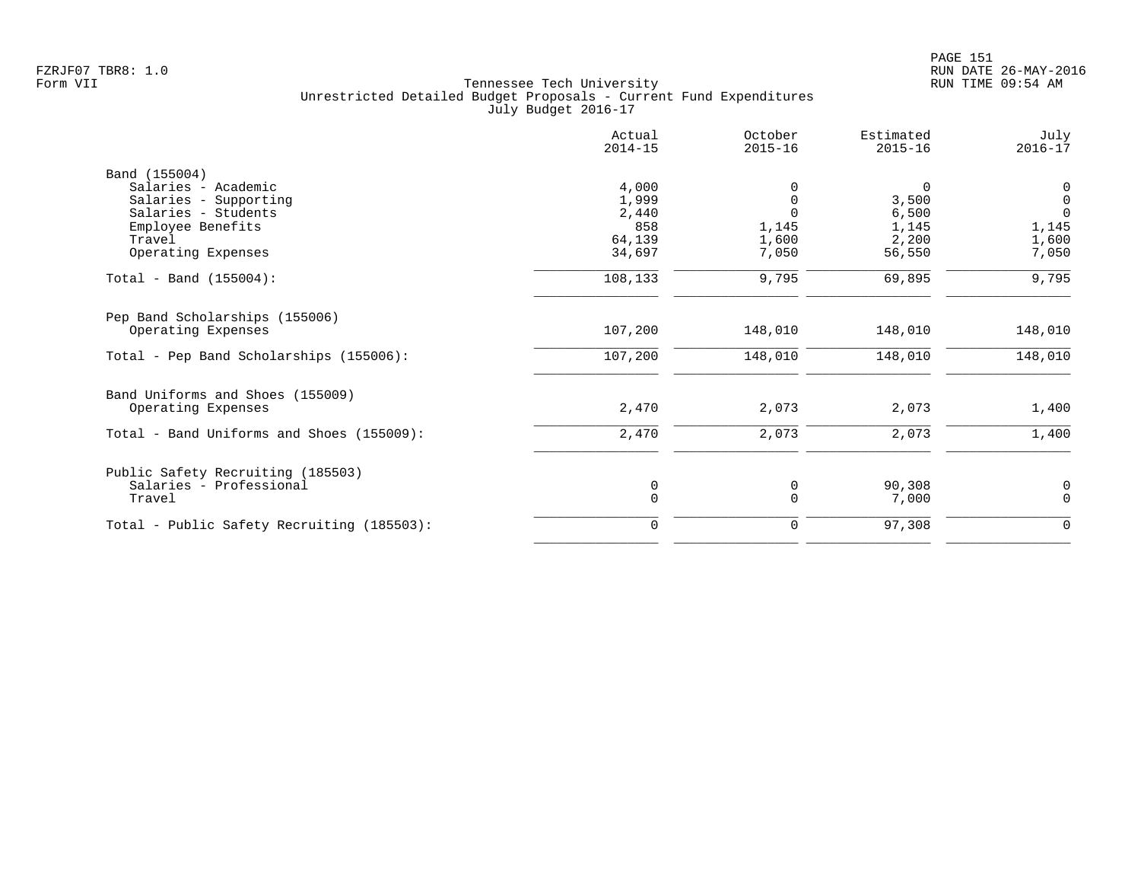|                                            | Actual<br>$2014 - 15$ | October<br>$2015 - 16$ | Estimated<br>$2015 - 16$ | July<br>$2016 - 17$ |
|--------------------------------------------|-----------------------|------------------------|--------------------------|---------------------|
| Band (155004)                              |                       |                        |                          |                     |
| Salaries - Academic                        | 4,000                 |                        | 0                        | 0                   |
| Salaries - Supporting                      | 1,999                 |                        | 3,500                    | $\mathbf 0$         |
| Salaries - Students                        | 2,440                 |                        | 6,500                    | $\Omega$            |
| Employee Benefits                          | 858                   | 1,145                  | 1,145                    | 1,145               |
| Travel                                     | 64,139                | 1,600                  | 2,200                    | 1,600               |
| Operating Expenses                         | 34,697                | 7,050                  | 56,550                   | 7,050               |
| Total - Band $(155004)$ :                  | 108,133               | 9,795                  | 69,895                   | 9,795               |
| Pep Band Scholarships (155006)             |                       |                        |                          |                     |
| Operating Expenses                         | 107,200               | 148,010                | 148,010                  | 148,010             |
| Total - Pep Band Scholarships (155006):    | 107,200               | 148,010                | 148,010                  | 148,010             |
| Band Uniforms and Shoes (155009)           |                       |                        |                          |                     |
| Operating Expenses                         | 2,470                 | 2,073                  | 2,073                    | 1,400               |
| Total - Band Uniforms and Shoes (155009):  | 2,470                 | 2,073                  | 2,073                    | 1,400               |
| Public Safety Recruiting (185503)          |                       |                        |                          |                     |
| Salaries - Professional                    | 0                     | 0                      | 90,308                   | 0                   |
| Travel                                     | $\mathbf 0$           | 0                      | 7,000                    | $\mathbf 0$         |
| Total - Public Safety Recruiting (185503): | $\Omega$              | 0                      | 97,308                   | 0                   |
|                                            |                       |                        |                          |                     |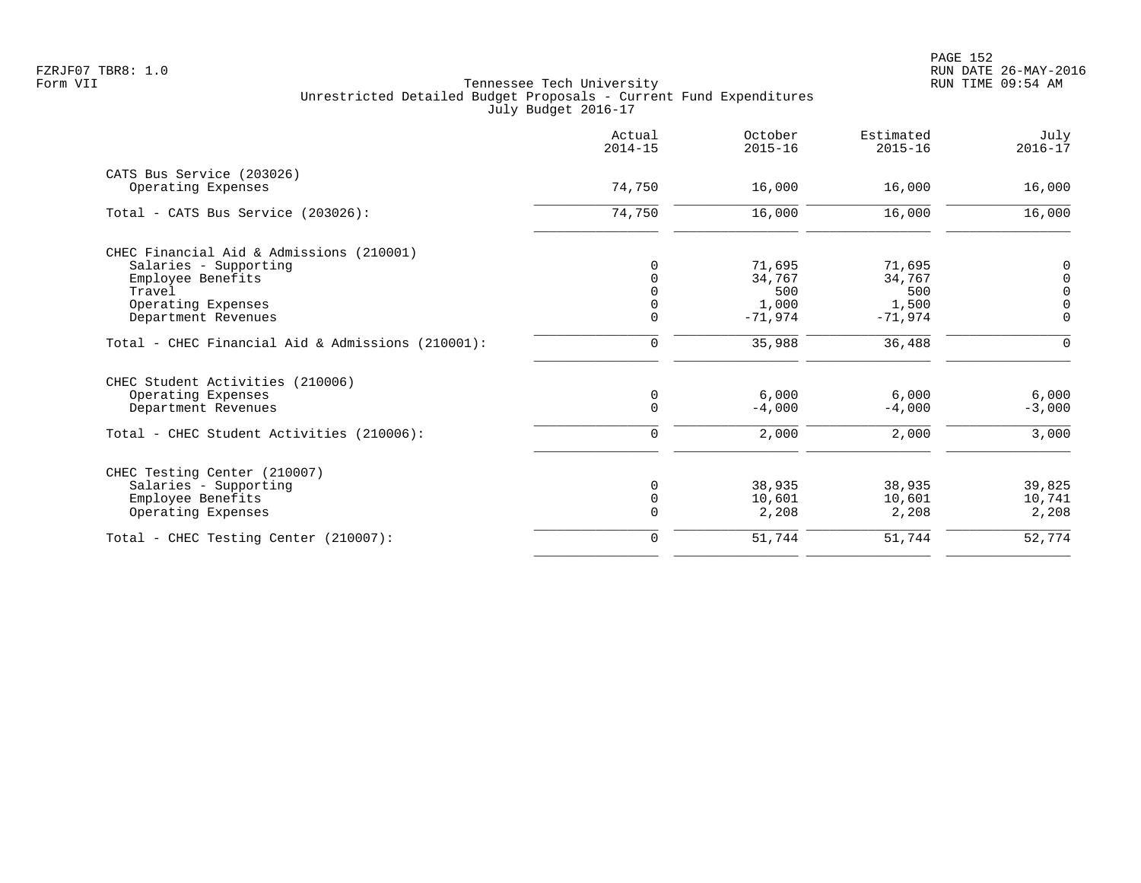|                                                   | Actual<br>$2014 - 15$ | October<br>$2015 - 16$ | Estimated<br>$2015 - 16$ | July<br>$2016 - 17$ |
|---------------------------------------------------|-----------------------|------------------------|--------------------------|---------------------|
| CATS Bus Service (203026)                         |                       |                        |                          |                     |
| Operating Expenses                                | 74,750                | 16,000                 | 16,000                   | 16,000              |
| Total - CATS Bus Service (203026):                | 74,750                | 16,000                 | 16,000                   | 16,000              |
| CHEC Financial Aid & Admissions (210001)          |                       |                        |                          |                     |
| Salaries - Supporting                             |                       | 71,695                 | 71,695                   | 0                   |
| Employee Benefits                                 |                       | 34,767                 | 34,767                   | $\overline{0}$      |
| Travel                                            |                       | 500                    | 500                      | $\mathbf 0$         |
| Operating Expenses                                |                       | 1,000                  | 1,500                    | $\overline{0}$      |
| Department Revenues                               | $\mathbf 0$           | $-71,974$              | $-71,974$                | $\overline{0}$      |
|                                                   |                       |                        |                          |                     |
| Total - CHEC Financial Aid & Admissions (210001): | 0                     | 35,988                 | 36,488                   | $\mathbf 0$         |
| CHEC Student Activities (210006)                  |                       |                        |                          |                     |
| Operating Expenses                                | 0                     | 6.000                  | 6,000                    | 6,000               |
| Department Revenues                               | $\Omega$              | $-4,000$               | $-4,000$                 | $-3,000$            |
| Total - CHEC Student Activities (210006):         | 0                     | 2,000                  | 2,000                    | 3,000               |
|                                                   |                       |                        |                          |                     |
| CHEC Testing Center (210007)                      |                       |                        |                          |                     |
| Salaries - Supporting                             | $\Omega$              | 38,935                 | 38,935                   | 39,825              |
| Employee Benefits                                 | $\mathbf 0$           | 10,601                 | 10,601                   | 10,741              |
| Operating Expenses                                | $\Omega$              | 2,208                  | 2,208                    | 2,208               |
| Total - CHEC Testing Center (210007):             | $\mathbf 0$           | 51,744                 | 51,744                   | 52,774              |
|                                                   |                       |                        |                          |                     |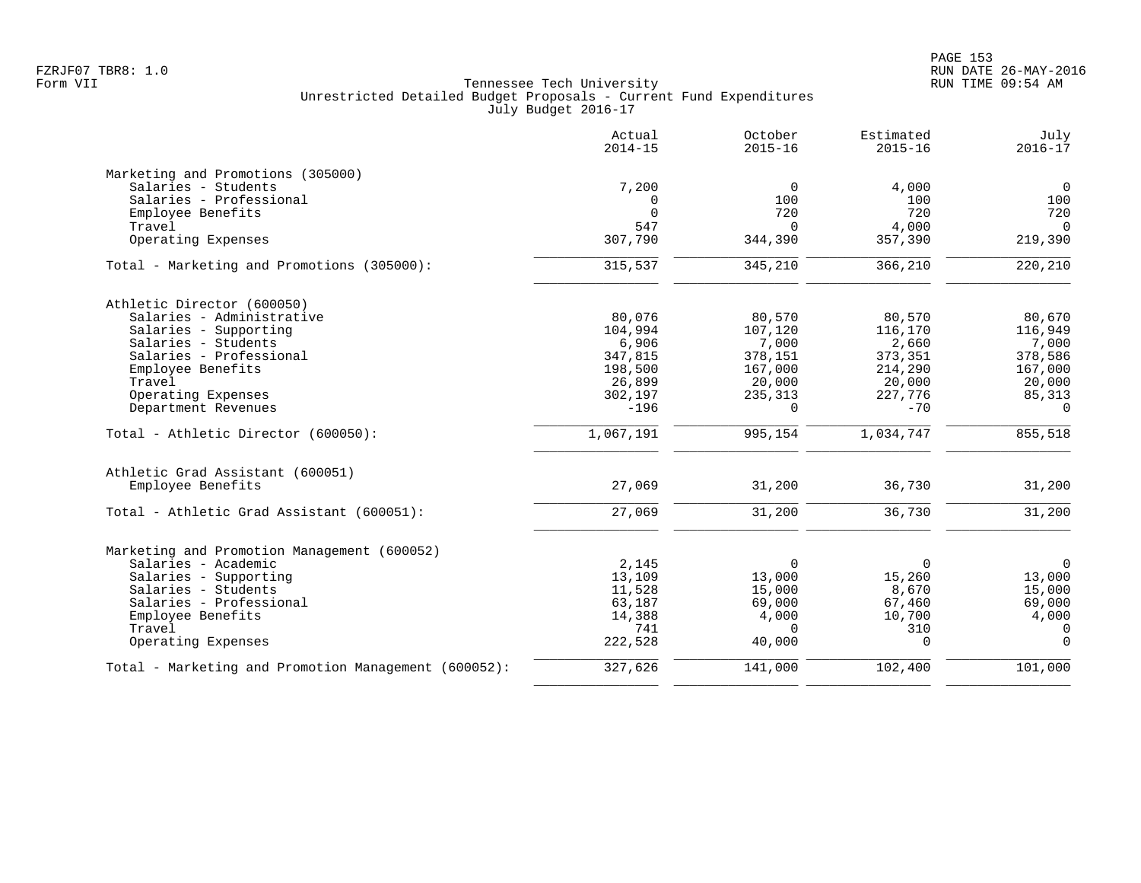|                                                      | Actual<br>$2014 - 15$ | October<br>$2015 - 16$ | Estimated<br>$2015 - 16$ | July<br>$2016 - 17$ |
|------------------------------------------------------|-----------------------|------------------------|--------------------------|---------------------|
| Marketing and Promotions (305000)                    |                       |                        |                          |                     |
| Salaries - Students                                  | 7,200                 | $\mathbf 0$            | 4,000                    | $\mathbf 0$         |
| Salaries - Professional                              | $\mathbf 0$           | 100                    | 100                      | 100                 |
| Employee Benefits                                    | $\Omega$              | 720                    | 720                      | 720                 |
| Travel                                               | 547                   | $\Omega$               | 4,000                    | $\mathbf 0$         |
| Operating Expenses                                   | 307,790               | 344,390                | 357,390                  | 219,390             |
| Total - Marketing and Promotions (305000):           | 315,537               | 345,210                | 366,210                  | 220,210             |
| Athletic Director (600050)                           |                       |                        |                          |                     |
| Salaries - Administrative                            | 80,076                | 80,570                 | 80,570                   | 80,670              |
| Salaries - Supporting                                | 104,994               | 107,120                | 116,170                  | 116,949             |
| Salaries - Students                                  | 6,906                 | 7,000                  | 2,660                    | 7,000               |
| Salaries - Professional                              | 347,815               | 378,151                | 373,351                  | 378,586             |
| Employee Benefits                                    | 198,500               | 167,000                | 214,290                  | 167,000             |
| Travel                                               | 26,899                | 20,000                 | 20,000                   | 20,000              |
| Operating Expenses                                   | 302,197               | 235,313                | 227,776                  | 85,313              |
| Department Revenues                                  | $-196$                | 0                      | $-70$                    | $\overline{0}$      |
| Total - Athletic Director (600050):                  | 1,067,191             | 995,154                | 1,034,747                | 855,518             |
| Athletic Grad Assistant (600051)                     |                       |                        |                          |                     |
| Employee Benefits                                    | 27,069                | 31,200                 | 36,730                   | 31,200              |
| Total - Athletic Grad Assistant (600051):            | 27,069                | 31,200                 | 36,730                   | 31,200              |
| Marketing and Promotion Management (600052)          |                       |                        |                          |                     |
| Salaries - Academic                                  | 2,145                 | $\mathbf 0$            | $\Omega$                 | $\mathbf 0$         |
| Salaries - Supporting                                | 13,109                | 13,000                 | 15,260                   | 13,000              |
| Salaries - Students                                  | 11,528                | 15,000                 | 8,670                    | 15,000              |
| Salaries - Professional                              | 63,187                | 69,000                 | 67,460                   | 69,000              |
| Employee Benefits                                    | 14,388                | 4,000                  | 10,700                   | 4,000               |
| Travel                                               | 741                   | $\Omega$               | 310                      | $\mathbf 0$         |
| Operating Expenses                                   | 222,528               | 40,000                 | $\Omega$                 | $\Omega$            |
| Total - Marketing and Promotion Management (600052): | 327,626               | 141,000                | 102,400                  | 101,000             |
|                                                      |                       |                        |                          |                     |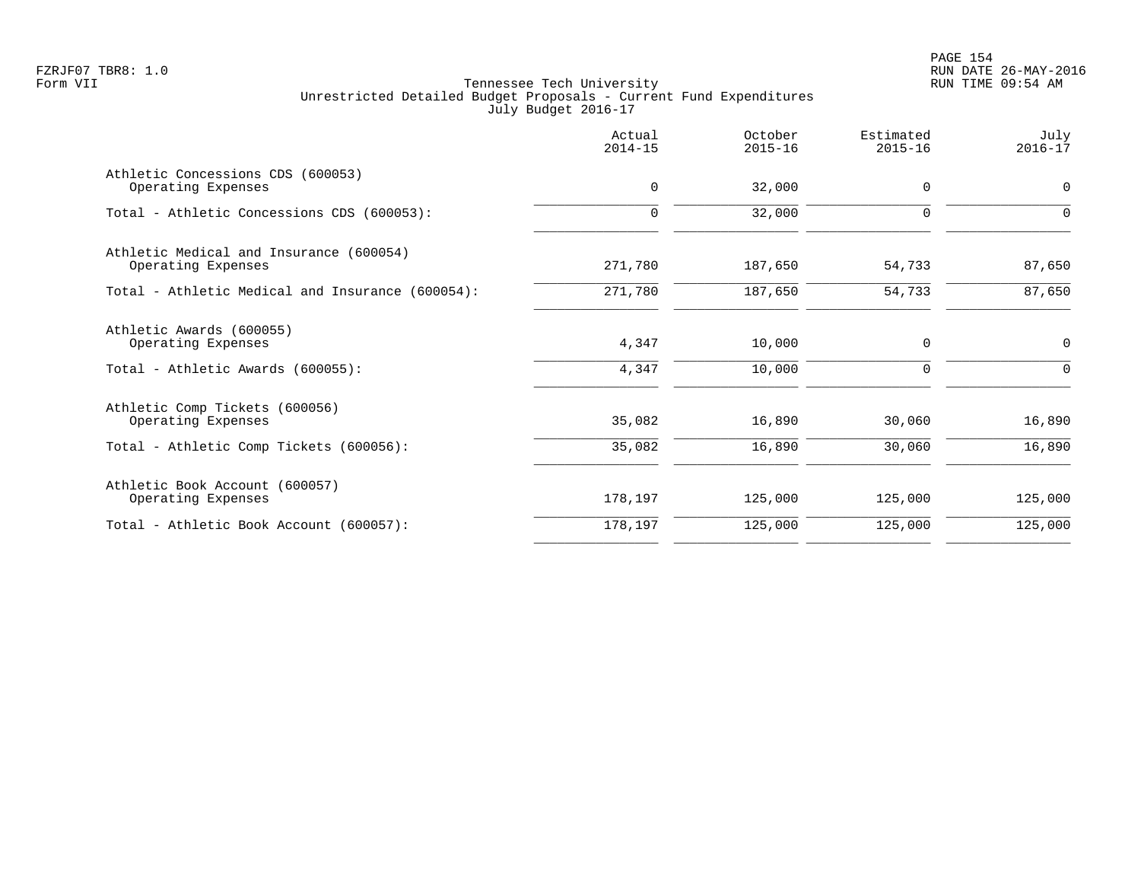PAGE 154 FZRJF07 TBR8: 1.0 RUN DATE 26-MAY-2016

|                                                                                                 | Actual<br>$2014 - 15$ | October<br>$2015 - 16$ | Estimated<br>$2015 - 16$   | July<br>$2016 - 17$ |
|-------------------------------------------------------------------------------------------------|-----------------------|------------------------|----------------------------|---------------------|
| Athletic Concessions CDS (600053)<br>Operating Expenses                                         | $\mathbf 0$           | 32,000                 | 0                          | 0                   |
| Total - Athletic Concessions CDS (600053):                                                      | $\mathbf 0$           | 32,000                 | $\mathbf 0$                | 0                   |
| Athletic Medical and Insurance (600054)<br>Operating Expenses                                   | 271,780               | 187,650                | 54,733                     | 87,650              |
| Total - Athletic Medical and Insurance (600054):                                                | 271,780               | 187,650                | 54,733                     | 87,650              |
| Athletic Awards (600055)<br>Operating Expenses<br>Total - Athletic Awards (600055):             | 4,347<br>4,347        | 10,000<br>10,000       | $\mathbf 0$<br>$\mathbf 0$ | 0<br>$\Omega$       |
| Athletic Comp Tickets (600056)<br>Operating Expenses<br>Total - Athletic Comp Tickets (600056): | 35,082<br>35,082      | 16,890<br>16,890       | 30,060<br>30,060           | 16,890<br>16,890    |
| Athletic Book Account (600057)<br>Operating Expenses                                            | 178,197               | 125,000                | 125,000                    | 125,000             |
| Total - Athletic Book Account (600057):                                                         | 178,197               | 125,000                | 125,000                    | 125,000             |
|                                                                                                 |                       |                        |                            |                     |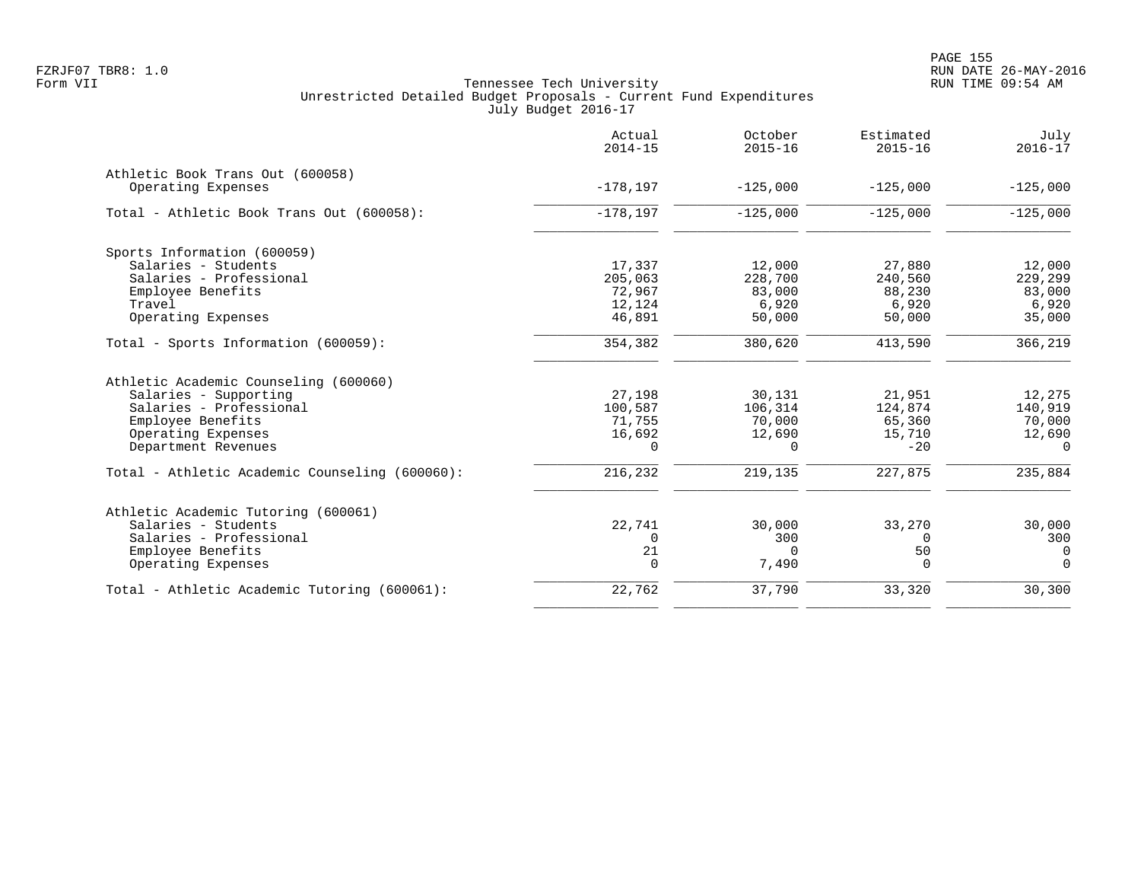|                                                | Actual<br>$2014 - 15$ | October<br>$2015 - 16$ | Estimated<br>$2015 - 16$ | July<br>$2016 - 17$ |
|------------------------------------------------|-----------------------|------------------------|--------------------------|---------------------|
| Athletic Book Trans Out (600058)               |                       |                        |                          |                     |
| Operating Expenses                             | $-178, 197$           | $-125,000$             | $-125.000$               | $-125,000$          |
| Total - Athletic Book Trans Out (600058):      | $-178, 197$           | $-125,000$             | $-125,000$               | $-125,000$          |
| Sports Information (600059)                    |                       |                        |                          |                     |
| Salaries - Students                            | 17,337                | 12,000                 | 27,880                   | 12,000              |
| Salaries - Professional                        | 205,063               | 228,700                | 240,560                  | 229,299             |
| Employee Benefits                              | 72,967                | 83,000                 | 88,230                   | 83,000              |
| Travel                                         | 12,124                | 6,920                  | 6,920                    | 6,920               |
| Operating Expenses                             | 46,891                | 50,000                 | 50,000                   | 35,000              |
| Total - Sports Information (600059):           | 354,382               | 380,620                | 413,590                  | 366,219             |
| Athletic Academic Counseling (600060)          |                       |                        |                          |                     |
| Salaries - Supporting                          | 27,198                | 30,131                 | 21,951                   | 12,275              |
| Salaries - Professional                        | 100,587               | 106,314                | 124,874                  | 140,919             |
| Employee Benefits                              | 71,755                | 70,000                 | 65,360                   | 70,000              |
| Operating Expenses                             | 16,692                | 12,690                 | 15,710                   | 12,690              |
| Department Revenues                            | 0                     | 0                      | $-20$                    | $\Omega$            |
| Total - Athletic Academic Counseling (600060): | 216,232               | 219,135                | 227,875                  | 235,884             |
| Athletic Academic Tutoring (600061)            |                       |                        |                          |                     |
| Salaries - Students                            | 22,741                | 30,000                 | 33,270                   | 30,000              |
| Salaries - Professional                        | 0                     | 300                    | 0                        | 300                 |
| Employee Benefits                              | 21                    | $\Omega$               | 50                       | $\mathbf 0$         |
| Operating Expenses                             | $\mathbf 0$           | 7,490                  | 0                        | $\mathbf 0$         |
| Total - Athletic Academic Tutoring (600061):   | 22,762                | 37,790                 | 33,320                   | 30,300              |
|                                                |                       |                        |                          |                     |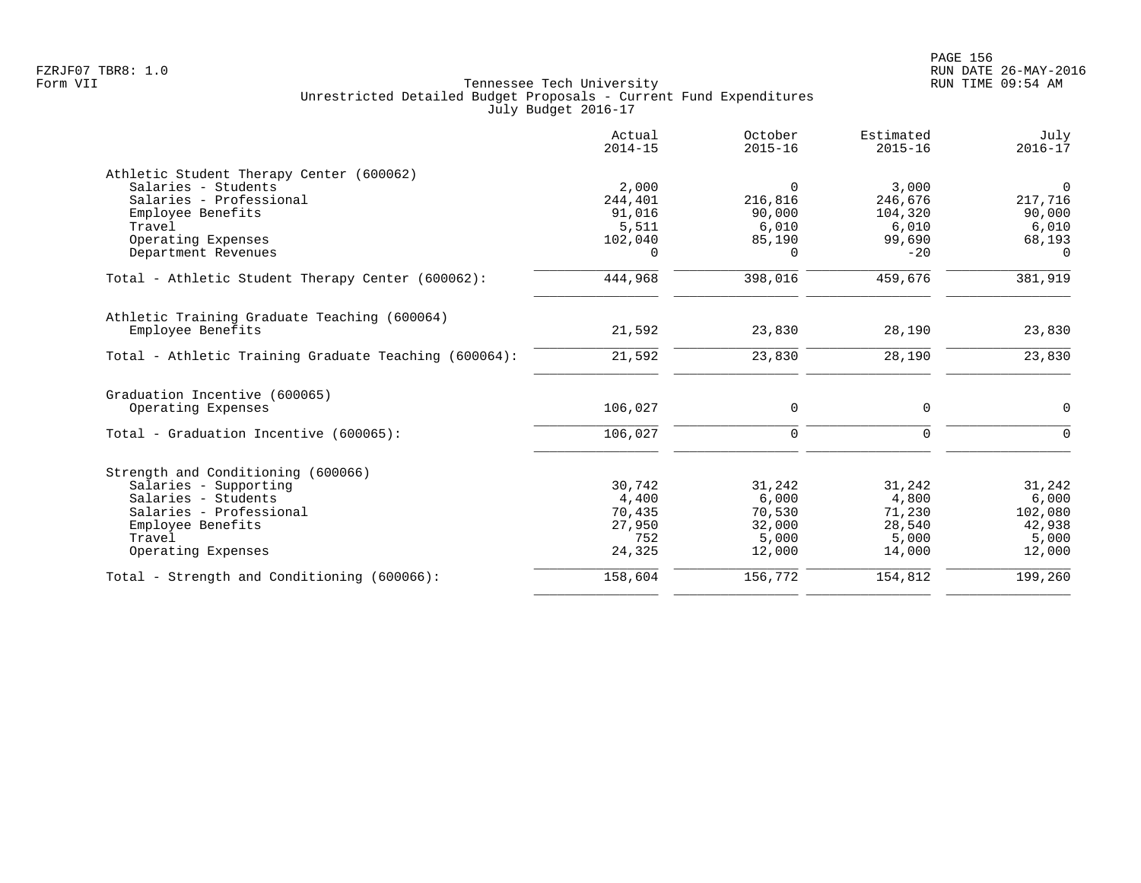|                                                       | Actual<br>$2014 - 15$ | October<br>$2015 - 16$ | Estimated<br>$2015 - 16$ | July<br>$2016 - 17$ |
|-------------------------------------------------------|-----------------------|------------------------|--------------------------|---------------------|
| Athletic Student Therapy Center (600062)              |                       |                        |                          |                     |
| Salaries - Students                                   | 2,000                 | $\Omega$               | 3,000                    | $\overline{0}$      |
| Salaries - Professional                               | 244,401               | 216,816                | 246,676                  | 217,716             |
| Employee Benefits                                     | 91,016                | 90,000                 | 104,320                  | 90,000              |
| Travel                                                | 5,511                 | 6,010                  | 6,010                    | 6,010               |
| Operating Expenses                                    | 102,040               | 85,190                 | 99,690                   | 68,193              |
| Department Revenues                                   | 0                     | $\Omega$               | $-20$                    | $\Omega$            |
| Total - Athletic Student Therapy Center (600062):     | 444,968               | 398,016                | 459,676                  | 381,919             |
| Athletic Training Graduate Teaching (600064)          |                       |                        |                          |                     |
| Employee Benefits                                     | 21,592                | 23,830                 | 28,190                   | 23,830              |
| Total - Athletic Training Graduate Teaching (600064): | 21,592                | 23,830                 | 28,190                   | 23,830              |
| Graduation Incentive (600065)                         |                       |                        |                          |                     |
| Operating Expenses                                    | 106,027               | 0                      | 0                        | $\mathbf 0$         |
| Total - Graduation Incentive (600065):                | 106,027               | $\mathbf 0$            | 0                        | $\Omega$            |
| Strength and Conditioning (600066)                    |                       |                        |                          |                     |
| Salaries - Supporting                                 | 30,742                | 31,242                 | 31,242                   | 31,242              |
| Salaries - Students                                   | 4,400                 | 6,000                  | 4,800                    | 6,000               |
| Salaries - Professional                               | 70,435                | 70,530                 | 71,230                   | 102,080             |
| Employee Benefits                                     | 27,950                | 32,000                 | 28,540                   | 42,938              |
| Travel                                                | 752                   | 5,000                  | 5,000                    | 5,000               |
| Operating Expenses                                    | 24,325                | 12,000                 | 14,000                   | 12,000              |
| Total - Strength and Conditioning (600066):           | 158,604               | 156,772                | 154,812                  | 199,260             |
|                                                       |                       |                        |                          |                     |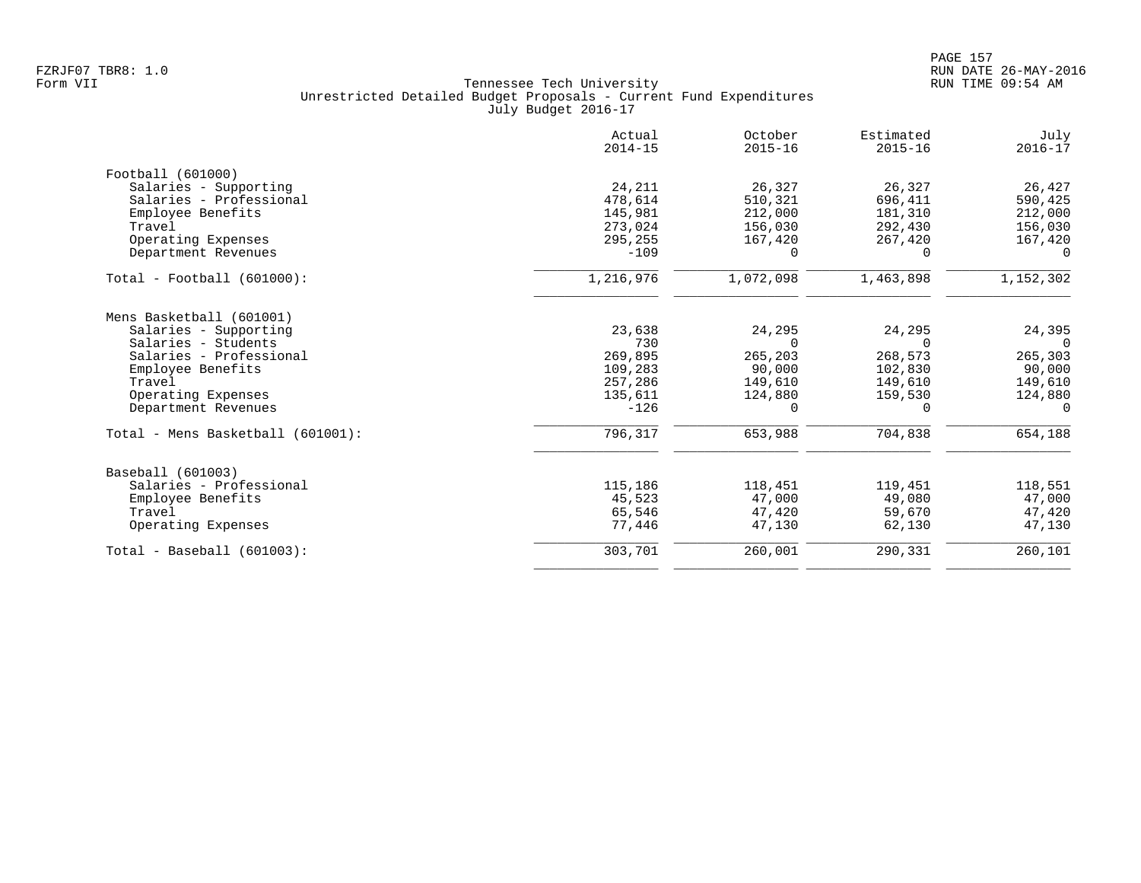|                                   | Actual<br>$2014 - 15$ | October<br>$2015 - 16$ | Estimated<br>$2015 - 16$ | July<br>$2016 - 17$ |
|-----------------------------------|-----------------------|------------------------|--------------------------|---------------------|
| Football (601000)                 |                       |                        |                          |                     |
| Salaries - Supporting             | 24,211                | 26,327                 | 26,327                   | 26,427              |
| Salaries - Professional           | 478,614               | 510,321                | 696,411                  | 590,425             |
| Employee Benefits                 | 145,981               | 212,000                | 181,310                  | 212,000             |
| Travel                            | 273,024               | 156,030                | 292,430                  | 156,030             |
| Operating Expenses                | 295,255               | 167,420                | 267,420                  | 167,420             |
| Department Revenues               | $-109$                | $\Omega$               | $\Omega$                 | $\Omega$            |
| Total - Football (601000):        | 1,216,976             | 1,072,098              | 1,463,898                | 1,152,302           |
| Mens Basketball (601001)          |                       |                        |                          |                     |
| Salaries - Supporting             | 23,638                | 24,295                 | 24,295                   | 24,395              |
| Salaries - Students               | 730                   | $\Omega$               | $\Omega$                 | $\Omega$            |
| Salaries - Professional           | 269,895               | 265,203                | 268,573                  | 265,303             |
| Employee Benefits                 | 109,283               | 90,000                 | 102,830                  | 90,000              |
| Travel                            | 257,286               | 149,610                | 149,610                  | 149,610             |
| Operating Expenses                | 135,611               | 124,880                | 159,530                  | 124,880             |
| Department Revenues               | $-126$                | 0                      | 0                        | 0                   |
| Total - Mens Basketball (601001): | 796,317               | 653,988                | 704,838                  | 654,188             |
| Baseball (601003)                 |                       |                        |                          |                     |
| Salaries - Professional           | 115,186               | 118,451                | 119,451                  | 118,551             |
| Employee Benefits                 | 45,523                | 47,000                 | 49,080                   | 47,000              |
| Travel                            | 65,546                | 47,420                 | 59,670                   | 47,420              |
| Operating Expenses                | 77.446                | 47,130                 | 62,130                   | 47,130              |
| $Total - Baseball (601003):$      | 303,701               | 260,001                | 290,331                  | 260,101             |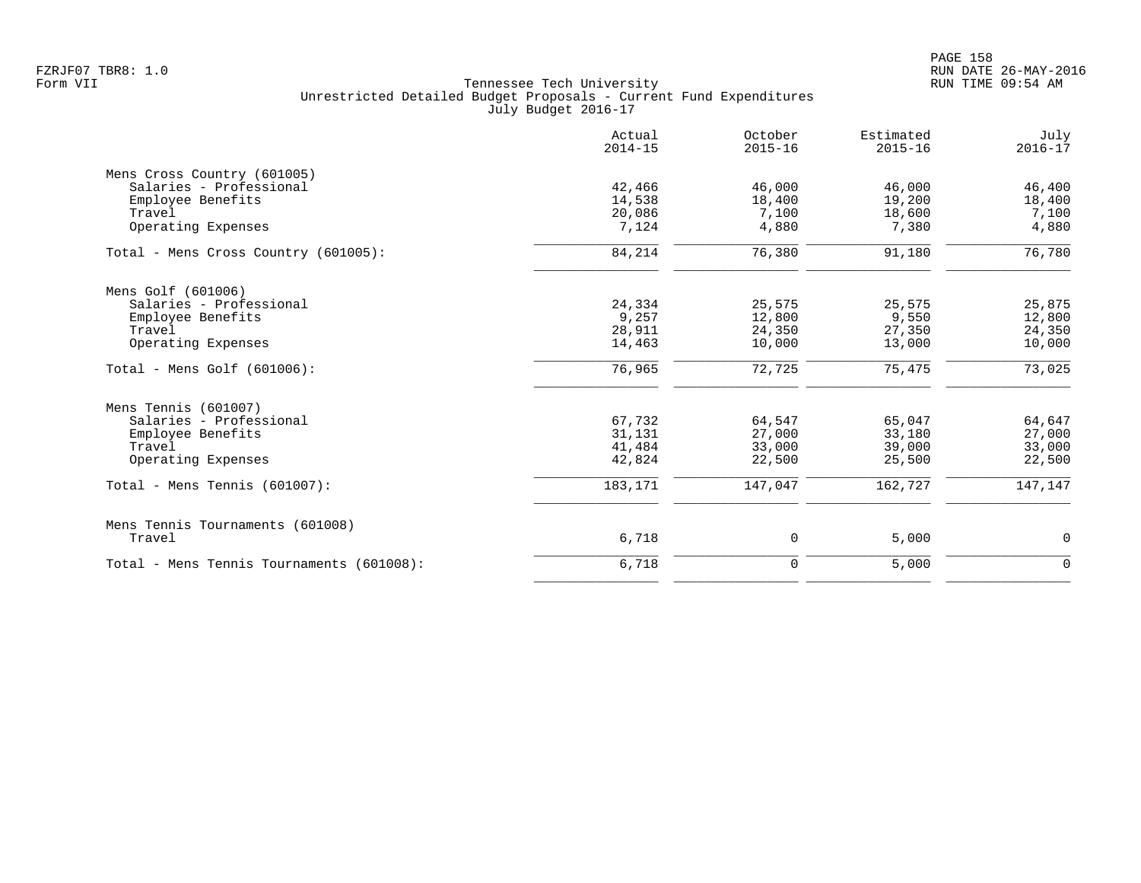|                                           | Actual<br>$2014 - 15$ | October<br>$2015 - 16$ | Estimated<br>$2015 - 16$ | July<br>$2016 - 17$ |
|-------------------------------------------|-----------------------|------------------------|--------------------------|---------------------|
| Mens Cross Country (601005)               |                       |                        |                          |                     |
| Salaries - Professional                   | 42,466                | 46,000                 | 46,000                   | 46,400              |
| Employee Benefits                         | 14,538                | 18,400                 | 19,200                   | 18,400              |
| Travel                                    | 20,086                | 7,100                  | 18,600                   | 7,100               |
| Operating Expenses                        | 7,124                 | 4,880                  | 7,380                    | 4,880               |
| Total - Mens Cross Country (601005):      | 84,214                | 76,380                 | 91,180                   | 76,780              |
| Mens Golf (601006)                        |                       |                        |                          |                     |
| Salaries - Professional                   | 24,334                | 25,575                 | 25,575                   | 25,875              |
| Employee Benefits                         | 9,257                 | 12,800                 | 9,550                    | 12,800              |
| Travel                                    | 28,911                | 24,350                 | 27,350                   | 24,350              |
| Operating Expenses                        | 14,463                | 10,000                 | 13,000                   | 10,000              |
| Total - Mens Golf (601006):               | 76,965                | 72,725                 | 75,475                   | 73,025              |
| Mens Tennis (601007)                      |                       |                        |                          |                     |
| Salaries - Professional                   | 67,732                | 64,547                 | 65,047                   | 64,647              |
| Employee Benefits                         | 31,131                | 27,000                 | 33,180                   | 27,000              |
| Travel                                    | 41,484                | 33,000                 | 39,000                   | 33,000              |
| Operating Expenses                        | 42,824                | 22,500                 | 25,500                   | 22,500              |
| Total - Mens Tennis $(601007)$ :          | 183,171               | 147,047                | 162,727                  | 147,147             |
| Mens Tennis Tournaments (601008)          |                       |                        |                          |                     |
| Travel                                    | 6,718                 | 0                      | 5,000                    | 0                   |
| Total - Mens Tennis Tournaments (601008): | 6,718                 | $\mathbf 0$            | 5,000                    | $\mathbf 0$         |
|                                           |                       |                        |                          |                     |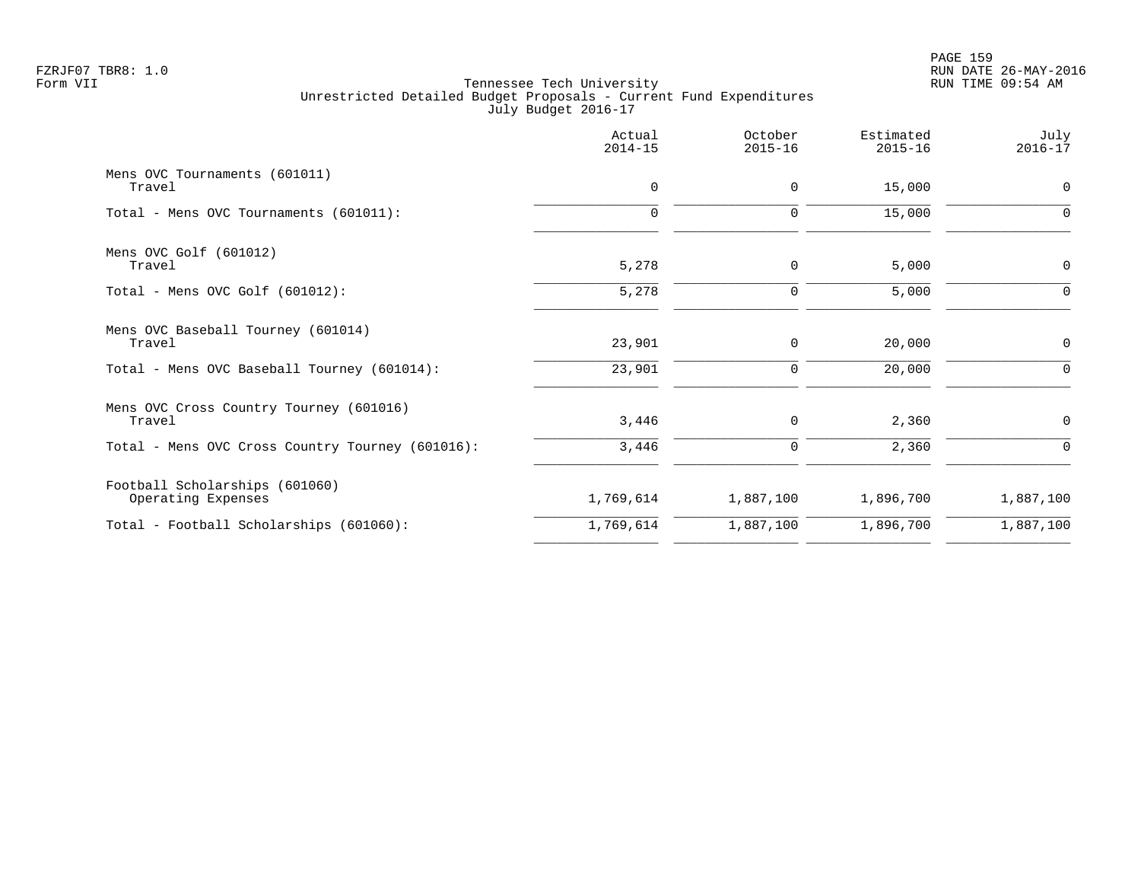|                                                      | Actual<br>$2014 - 15$ | October<br>$2015 - 16$ | Estimated<br>$2015 - 16$ | July<br>$2016 - 17$ |
|------------------------------------------------------|-----------------------|------------------------|--------------------------|---------------------|
| Mens OVC Tournaments (601011)<br>Travel              | $\mathbf 0$           | $\mathbf 0$            | 15,000                   | $\mathbf 0$         |
| Total - Mens OVC Tournaments (601011):               | 0                     | 0                      | 15,000                   | $\Omega$            |
| Mens OVC Golf (601012)<br>Travel                     | 5,278                 | $\mathbf 0$            | 5,000                    | $\mathbf 0$         |
| Total - Mens OVC Golf $(601012)$ :                   | 5,278                 | 0                      | 5,000                    | $\Omega$            |
| Mens OVC Baseball Tourney (601014)<br>Travel         | 23,901                | 0                      | 20,000                   | $\mathbf 0$         |
| Total - Mens OVC Baseball Tourney (601014):          | 23,901                | 0                      | 20,000                   | 0                   |
| Mens OVC Cross Country Tourney (601016)<br>Travel    | 3,446                 | 0                      | 2,360                    | $\mathbf 0$         |
| Total - Mens OVC Cross Country Tourney (601016):     | 3,446                 | 0                      | 2,360                    | 0                   |
| Football Scholarships (601060)<br>Operating Expenses | 1,769,614             | 1,887,100              | 1,896,700                | 1,887,100           |
| Total - Football Scholarships (601060):              | 1,769,614             | 1,887,100              | 1,896,700                | 1,887,100           |
|                                                      |                       |                        |                          |                     |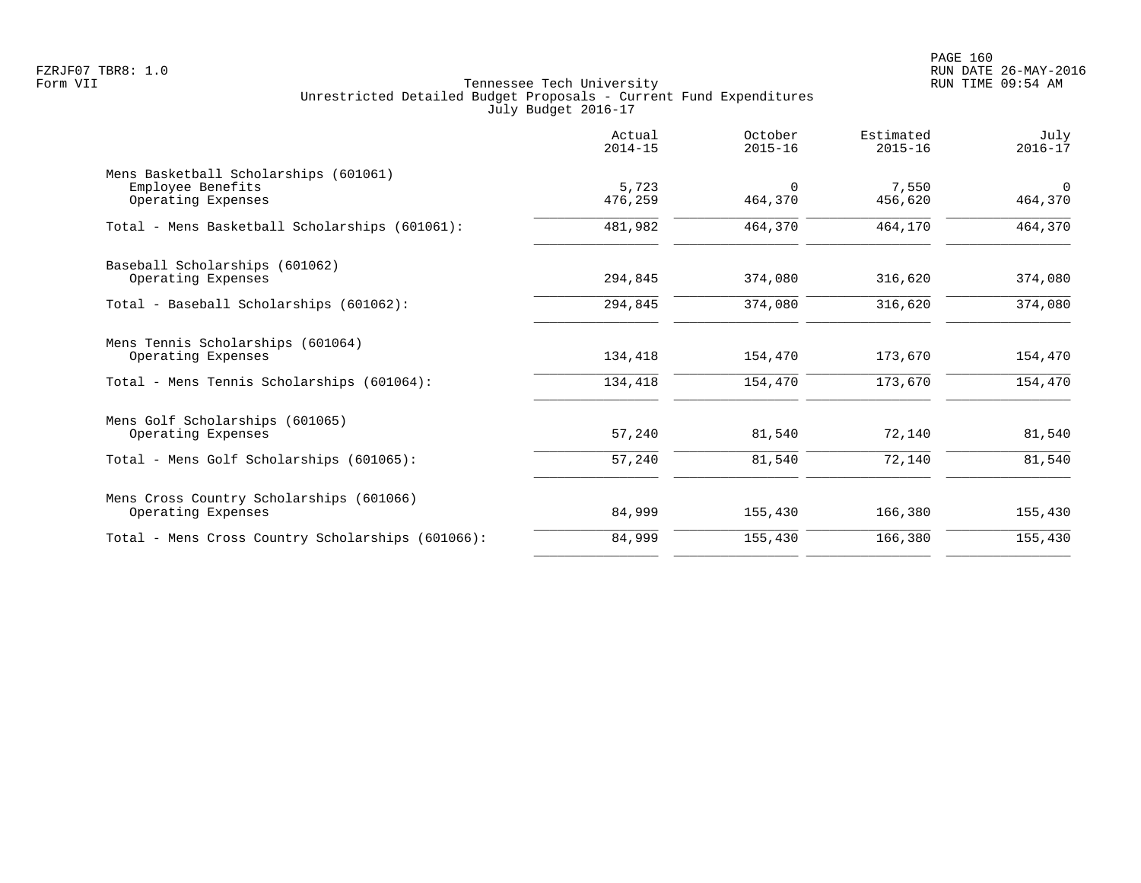PAGE 160 FZRJF07 TBR8: 1.0 RUN DATE 26-MAY-2016

|                                                                                  | Actual<br>$2014 - 15$ | October<br>$2015 - 16$ | Estimated<br>$2015 - 16$ | July<br>$2016 - 17$ |
|----------------------------------------------------------------------------------|-----------------------|------------------------|--------------------------|---------------------|
| Mens Basketball Scholarships (601061)<br>Employee Benefits<br>Operating Expenses | 5,723<br>476,259      | $\Omega$<br>464,370    | 7,550<br>456,620         | $\Omega$<br>464,370 |
| Total - Mens Basketball Scholarships (601061):                                   | 481,982               | 464,370                | 464,170                  | 464,370             |
| Baseball Scholarships (601062)<br>Operating Expenses                             | 294,845               | 374,080                | 316,620                  | 374,080             |
| Total - Baseball Scholarships (601062):                                          | 294,845               | 374,080                | 316,620                  | 374,080             |
| Mens Tennis Scholarships (601064)<br>Operating Expenses                          | 134,418               | 154,470                | 173,670                  | 154,470             |
| Total - Mens Tennis Scholarships (601064):                                       | 134,418               | 154,470                | 173,670                  | 154,470             |
| Mens Golf Scholarships (601065)<br>Operating Expenses                            | 57,240                | 81,540                 | 72,140                   | 81,540              |
| Total - Mens Golf Scholarships (601065):                                         | 57,240                | 81,540                 | 72,140                   | 81,540              |
| Mens Cross Country Scholarships (601066)<br>Operating Expenses                   | 84,999                | 155,430                | 166,380                  | 155,430             |
| Total - Mens Cross Country Scholarships (601066):                                | 84,999                | 155,430                | 166,380                  | 155,430             |
|                                                                                  |                       |                        |                          |                     |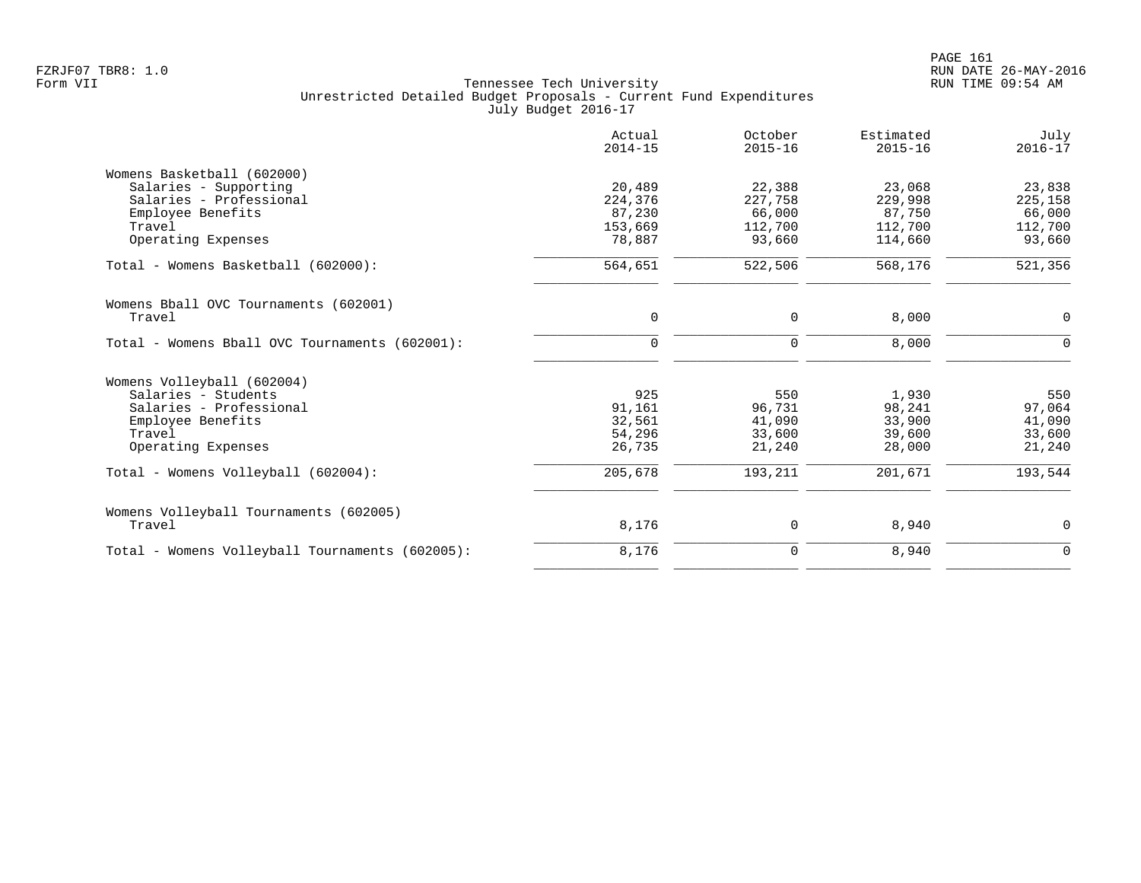|                                                 | Actual<br>$2014 - 15$ | October<br>$2015 - 16$ | Estimated<br>$2015 - 16$ | July<br>$2016 - 17$ |
|-------------------------------------------------|-----------------------|------------------------|--------------------------|---------------------|
| Womens Basketball (602000)                      |                       |                        |                          |                     |
| Salaries - Supporting                           | 20,489                | 22,388                 | 23,068                   | 23,838              |
| Salaries - Professional                         | 224,376               | 227,758                | 229,998                  | 225,158             |
| Employee Benefits                               | 87,230                | 66,000                 | 87,750                   | 66,000              |
| Travel                                          | 153,669               | 112,700                | 112,700                  | 112,700             |
| Operating Expenses                              | 78,887                | 93,660                 | 114,660                  | 93,660              |
| Total - Womens Basketball (602000):             | 564,651               | 522,506                | 568,176                  | 521,356             |
| Womens Bball OVC Tournaments (602001)           |                       |                        |                          |                     |
| Travel                                          | 0                     | $\mathbf 0$            | 8,000                    | 0                   |
| Total - Womens Bball OVC Tournaments (602001):  | $\mathbf 0$           | $\mathbf 0$            | 8,000                    | $\Omega$            |
| Womens Volleyball (602004)                      |                       |                        |                          |                     |
| Salaries - Students                             | 925                   | 550                    | 1,930                    | 550                 |
| Salaries - Professional                         | 91,161                | 96,731                 | 98,241                   | 97,064              |
| Employee Benefits                               | 32,561                | 41,090                 | 33,900                   | 41,090              |
| Travel                                          | 54,296                | 33,600                 | 39,600                   | 33,600              |
| Operating Expenses                              | 26,735                | 21,240                 | 28,000                   | 21,240              |
| Total - Womens Volleyball (602004):             | 205,678               | 193,211                | 201,671                  | 193,544             |
| Womens Volleyball Tournaments (602005)          |                       |                        |                          |                     |
| Travel                                          | 8,176                 | 0                      | 8,940                    | $\mathbf 0$         |
| Total - Womens Volleyball Tournaments (602005): | 8,176                 | $\mathbf 0$            | 8,940                    | $\mathbf 0$         |
|                                                 |                       |                        |                          |                     |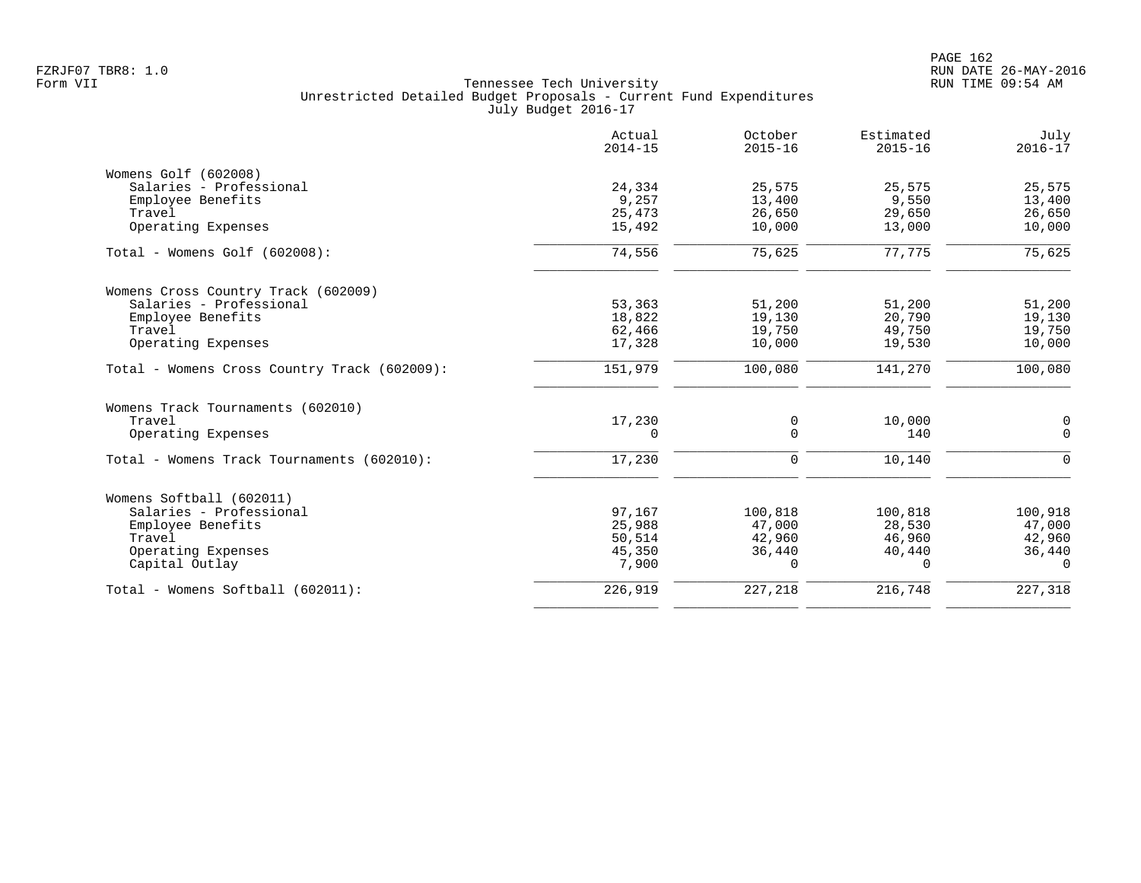|                                              | Actual<br>$2014 - 15$ | October<br>$2015 - 16$ | Estimated<br>$2015 - 16$ | July<br>$2016 - 17$ |
|----------------------------------------------|-----------------------|------------------------|--------------------------|---------------------|
| Womens Golf (602008)                         |                       |                        |                          |                     |
| Salaries - Professional                      | 24,334                | 25,575                 | 25,575                   | 25,575              |
| Employee Benefits                            | 9,257                 | 13,400                 | 9,550                    | 13,400              |
| Travel                                       | 25,473                | 26,650                 | 29,650                   | 26,650              |
| Operating Expenses                           | 15,492                | 10,000                 | 13,000                   | 10,000              |
| $Total - Womens Golf (602008):$              | 74,556                | 75,625                 | 77,775                   | 75,625              |
| Womens Cross Country Track (602009)          |                       |                        |                          |                     |
| Salaries - Professional                      | 53,363                | 51,200                 | 51,200                   | 51,200              |
| Employee Benefits                            | 18,822                | 19,130                 | 20,790                   | 19,130              |
| Travel                                       | 62,466                | 19,750                 | 49,750                   | 19,750              |
| Operating Expenses                           | 17,328                | 10,000                 | 19,530                   | 10,000              |
| Total - Womens Cross Country Track (602009): | 151,979               | 100,080                | 141,270                  | 100,080             |
| Womens Track Tournaments (602010)            |                       |                        |                          |                     |
| Travel                                       | 17,230                | 0                      | 10,000                   | 0                   |
| Operating Expenses                           | 0                     | $\Omega$               | 140                      | $\mathbf 0$         |
| Total - Womens Track Tournaments (602010):   | 17,230                | $\mathbf 0$            | 10,140                   | $\mathbf 0$         |
| Womens Softball (602011)                     |                       |                        |                          |                     |
| Salaries - Professional                      | 97,167                | 100,818                | 100,818                  | 100,918             |
| Employee Benefits                            | 25,988                | 47,000                 | 28,530                   | 47,000              |
| Travel                                       | 50,514                | 42,960                 | 46,960                   | 42,960              |
| Operating Expenses                           | 45,350                | 36,440                 | 40,440                   | 36,440              |
| Capital Outlay                               | 7,900                 | $\mathbf 0$            | $\Omega$                 | $\Omega$            |
| Total - Womens Softball (602011):            | 226,919               | 227,218                | 216,748                  | 227,318             |
|                                              |                       |                        |                          |                     |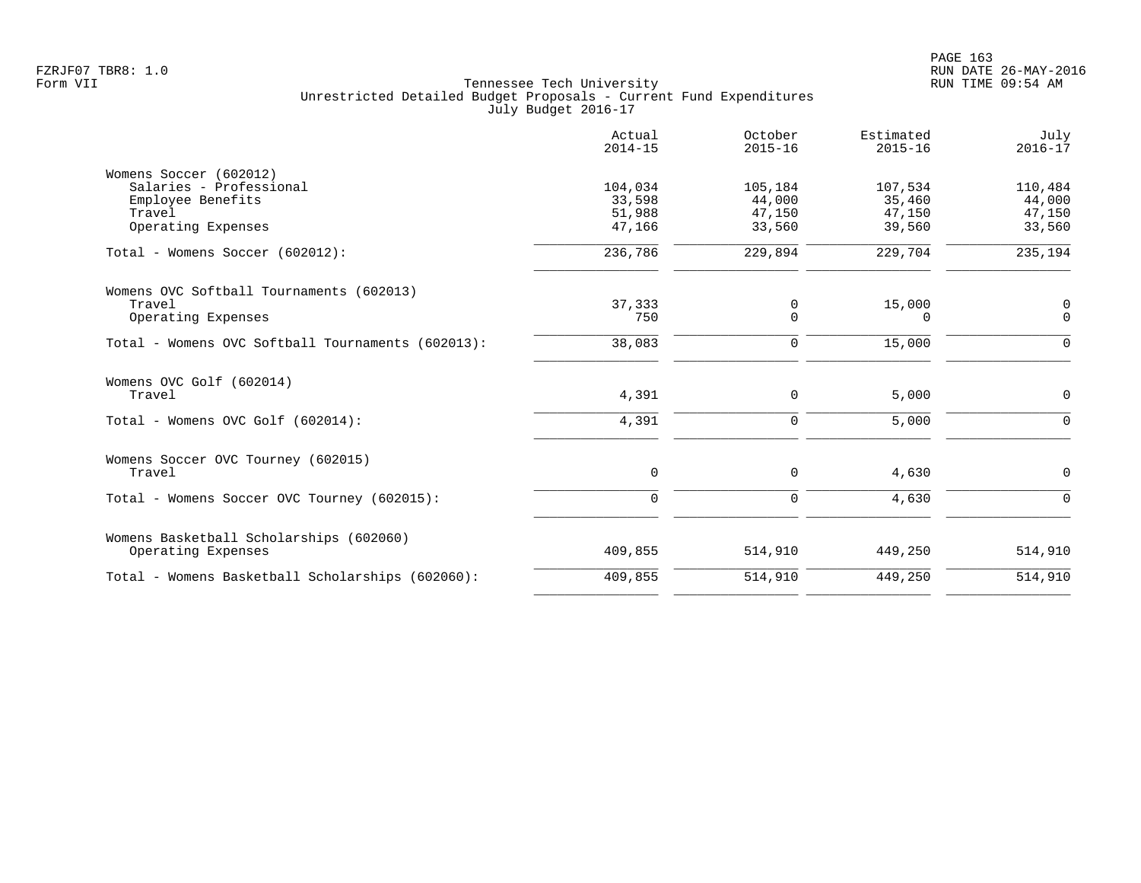|                                                   | Actual<br>$2014 - 15$ | October<br>$2015 - 16$ | Estimated<br>$2015 - 16$ | July<br>$2016 - 17$ |
|---------------------------------------------------|-----------------------|------------------------|--------------------------|---------------------|
| Womens Soccer (602012)                            |                       |                        |                          |                     |
| Salaries - Professional                           | 104,034               | 105,184                | 107,534                  | 110,484             |
| Employee Benefits                                 | 33,598                | 44,000                 | 35,460                   | 44,000              |
| Travel                                            | 51,988                | 47,150                 | 47,150                   | 47,150              |
| Operating Expenses                                | 47,166                | 33,560                 | 39,560                   | 33,560              |
| Total - Womens Soccer (602012):                   | 236,786               | 229,894                | 229,704                  | 235,194             |
| Womens OVC Softball Tournaments (602013)          |                       |                        |                          |                     |
| Travel                                            | 37,333                | $\mathbf 0$            | 15,000                   | 0                   |
| Operating Expenses                                | 750                   | $\Omega$               | $\Omega$                 | $\overline{0}$      |
| Total - Womens OVC Softball Tournaments (602013): | 38,083                | $\mathbf 0$            | 15,000                   | $\Omega$            |
| Womens OVC Golf (602014)                          |                       |                        |                          |                     |
| Travel                                            | 4,391                 | 0                      | 5,000                    | $\overline{0}$      |
| Total - Womens OVC Golf (602014):                 | 4,391                 | $\mathbf 0$            | 5,000                    | $\Omega$            |
| Womens Soccer OVC Tourney (602015)                |                       |                        |                          |                     |
| Travel                                            | 0                     | $\mathbf 0$            | 4,630                    | 0                   |
| Total - Womens Soccer OVC Tourney (602015):       | $\mathbf 0$           | $\mathbf 0$            | 4,630                    | $\Omega$            |
| Womens Basketball Scholarships (602060)           |                       |                        |                          |                     |
| Operating Expenses                                | 409,855               | 514,910                | 449,250                  | 514,910             |
| Total - Womens Basketball Scholarships (602060):  | 409,855               | 514,910                | 449,250                  | 514,910             |
|                                                   |                       |                        |                          |                     |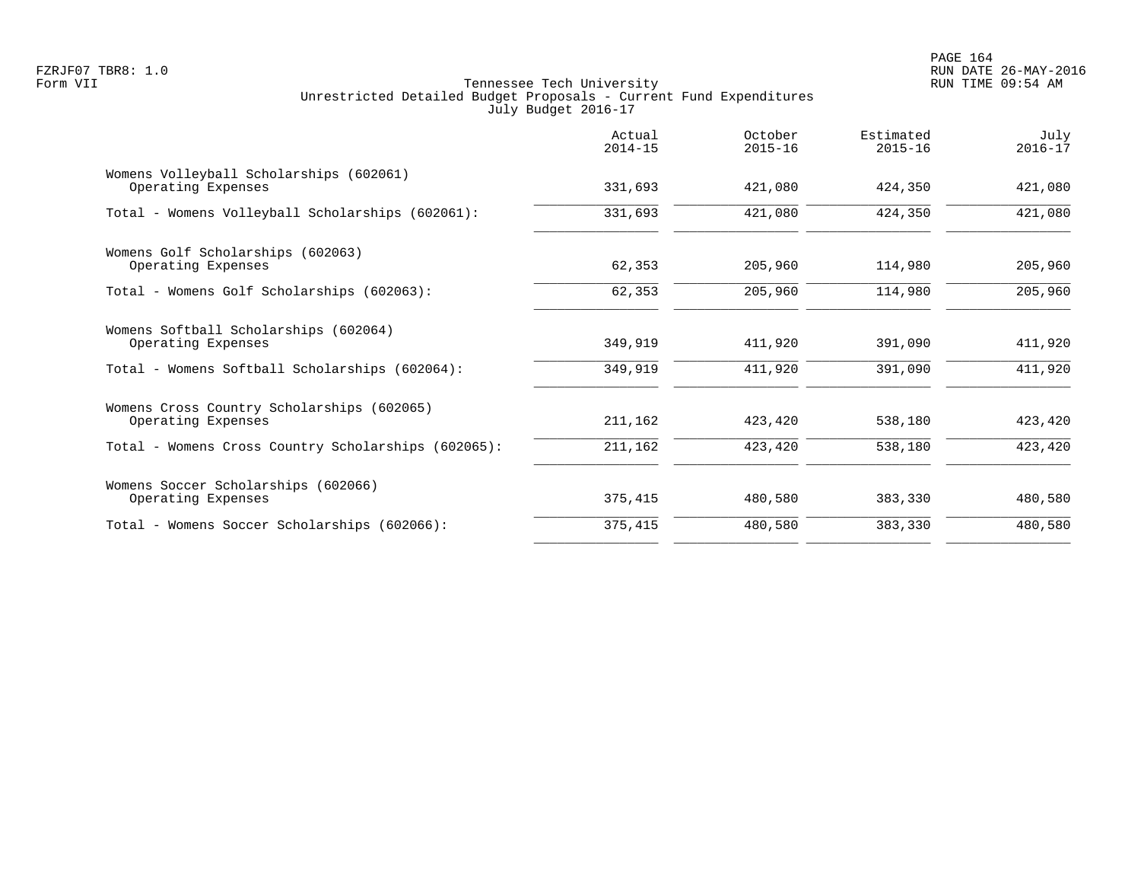PAGE 164 FZRJF07 TBR8: 1.0 RUN DATE 26-MAY-2016

|                                                                  | Actual<br>$2014 - 15$ | October<br>$2015 - 16$ | Estimated<br>$2015 - 16$ | July<br>$2016 - 17$ |
|------------------------------------------------------------------|-----------------------|------------------------|--------------------------|---------------------|
| Womens Volleyball Scholarships (602061)<br>Operating Expenses    | 331,693               | 421,080                | 424,350                  | 421,080             |
| Total - Womens Volleyball Scholarships (602061):                 | 331,693               | 421,080                | 424,350                  | 421,080             |
| Womens Golf Scholarships (602063)<br>Operating Expenses          | 62,353                | 205,960                | 114,980                  | 205,960             |
| Total - Womens Golf Scholarships (602063):                       | 62,353                | 205,960                | 114,980                  | 205,960             |
| Womens Softball Scholarships (602064)<br>Operating Expenses      | 349,919               | 411,920                | 391,090                  | 411,920             |
| Total - Womens Softball Scholarships (602064):                   | 349,919               | 411,920                | 391,090                  | 411,920             |
| Womens Cross Country Scholarships (602065)<br>Operating Expenses | 211,162               | 423,420                | 538,180                  | 423,420             |
| Total - Womens Cross Country Scholarships (602065):              | 211,162               | 423,420                | 538,180                  | 423,420             |
| Womens Soccer Scholarships (602066)<br>Operating Expenses        | 375,415               | 480,580                | 383,330                  | 480,580             |
| Total - Womens Soccer Scholarships (602066):                     | 375,415               | 480,580                | 383,330                  | 480,580             |
|                                                                  |                       |                        |                          |                     |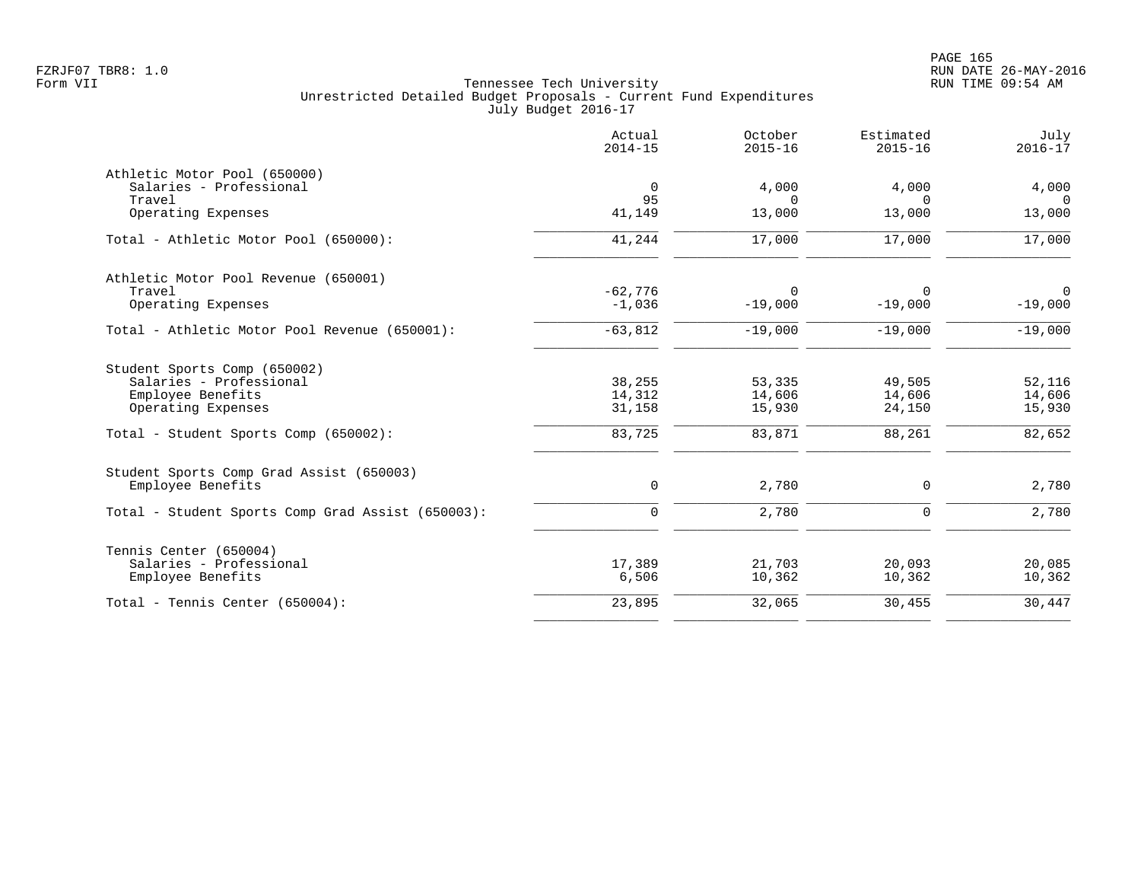|                                                                   | Actual<br>$2014 - 15$ | October<br>$2015 - 16$ | Estimated<br>$2015 - 16$ | July<br>$2016 - 17$      |
|-------------------------------------------------------------------|-----------------------|------------------------|--------------------------|--------------------------|
| Athletic Motor Pool (650000)<br>Salaries - Professional<br>Travel | $\overline{0}$<br>95  | 4,000<br>$\Omega$      | 4,000<br>∩               | 4,000<br>$\Omega$        |
| Operating Expenses                                                | 41,149                | 13,000                 | 13,000                   | 13,000                   |
| Total - Athletic Motor Pool (650000):                             | 41,244                | 17,000                 | 17,000                   | 17,000                   |
| Athletic Motor Pool Revenue (650001)                              |                       |                        |                          |                          |
| Travel<br>Operating Expenses                                      | $-62,776$<br>$-1,036$ | 0<br>$-19,000$         | $\Omega$<br>$-19,000$    | $\mathbf 0$<br>$-19,000$ |
| Total - Athletic Motor Pool Revenue (650001):                     | $-63,812$             | $-19,000$              | $-19,000$                | $-19,000$                |
| Student Sports Comp (650002)                                      |                       |                        |                          |                          |
| Salaries - Professional                                           | 38,255                | 53,335                 | 49,505                   | 52,116                   |
| Employee Benefits<br>Operating Expenses                           | 14,312<br>31,158      | 14,606<br>15,930       | 14,606<br>24,150         | 14,606<br>15,930         |
| Total - Student Sports Comp (650002):                             | 83,725                | 83,871                 | 88,261                   | 82,652                   |
| Student Sports Comp Grad Assist (650003)                          |                       |                        |                          |                          |
| Employee Benefits                                                 | 0                     | 2,780                  | 0                        | 2,780                    |
| Total - Student Sports Comp Grad Assist (650003):                 | $\mathbf 0$           | 2,780                  | $\mathbf 0$              | 2,780                    |
| Tennis Center (650004)                                            |                       |                        |                          |                          |
| Salaries - Professional<br>Employee Benefits                      | 17,389<br>6,506       | 21,703<br>10,362       | 20,093<br>10,362         | 20,085<br>10,362         |
| Total - Tennis Center (650004):                                   | 23,895                | 32,065                 | 30,455                   | 30,447                   |
|                                                                   |                       |                        |                          |                          |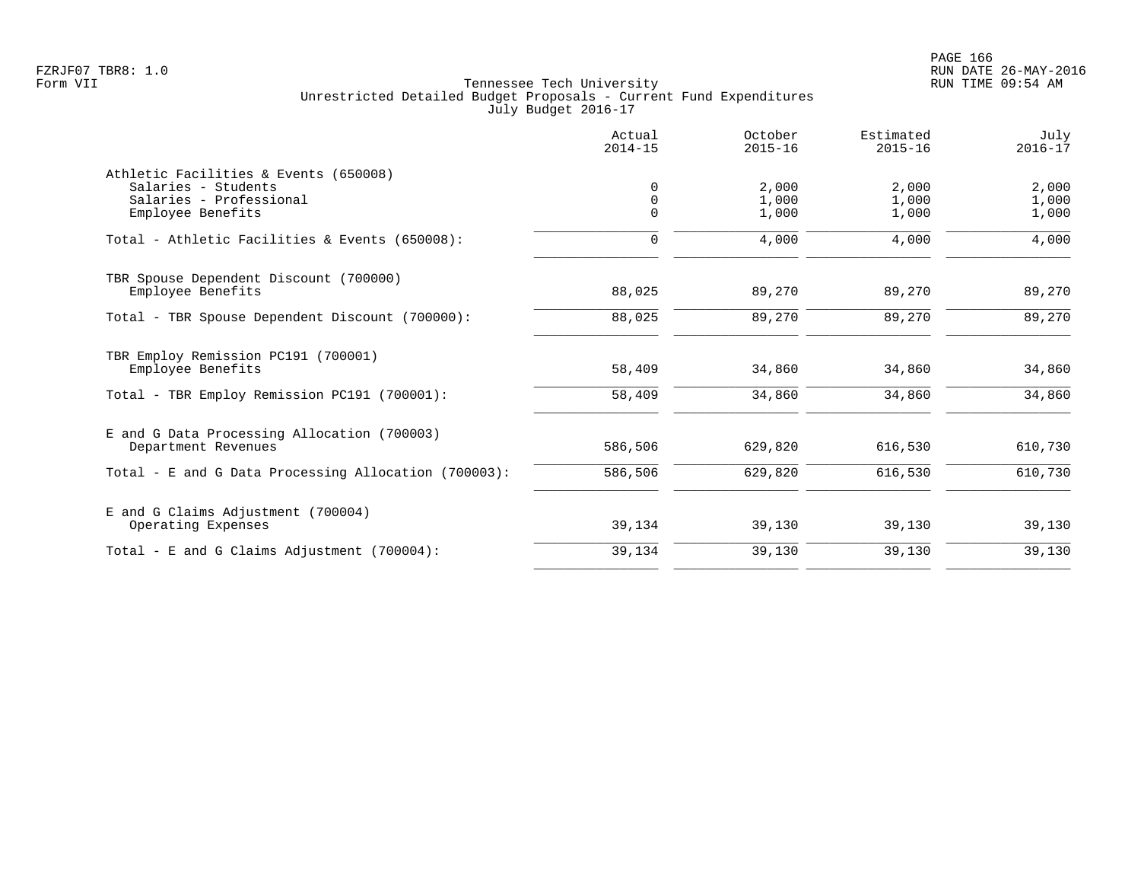|                                                                                                              | Actual<br>$2014 - 15$ | October<br>$2015 - 16$  | Estimated<br>$2015 - 16$ | July<br>$2016 - 17$     |
|--------------------------------------------------------------------------------------------------------------|-----------------------|-------------------------|--------------------------|-------------------------|
| Athletic Facilities & Events (650008)<br>Salaries - Students<br>Salaries - Professional<br>Employee Benefits | $\Omega$<br>$\Omega$  | 2,000<br>1,000<br>1,000 | 2,000<br>1,000<br>1,000  | 2,000<br>1,000<br>1,000 |
| Total - Athletic Facilities & Events (650008):                                                               | $\Omega$              | 4,000                   | 4,000                    | 4,000                   |
| TBR Spouse Dependent Discount (700000)<br>Employee Benefits                                                  | 88,025                | 89,270                  | 89,270                   | 89,270                  |
| Total - TBR Spouse Dependent Discount (700000):                                                              | 88,025                | 89,270                  | 89,270                   | 89,270                  |
| TBR Employ Remission PC191 (700001)<br>Employee Benefits                                                     | 58,409                | 34,860                  | 34,860                   | 34,860                  |
| Total - TBR Employ Remission PC191 (700001):                                                                 | 58,409                | 34,860                  | 34,860                   | 34,860                  |
| E and G Data Processing Allocation (700003)<br>Department Revenues                                           | 586,506               | 629,820                 | 616,530                  | 610,730                 |
| Total - E and G Data Processing Allocation (700003):                                                         | 586,506               | 629,820                 | 616,530                  | 610,730                 |
| E and G Claims Adjustment (700004)<br>Operating Expenses                                                     | 39,134                | 39,130                  | 39,130                   | 39,130                  |
| Total - E and G Claims Adjustment $(700004)$ :                                                               | 39,134                | 39,130                  | 39,130                   | 39,130                  |
|                                                                                                              |                       |                         |                          |                         |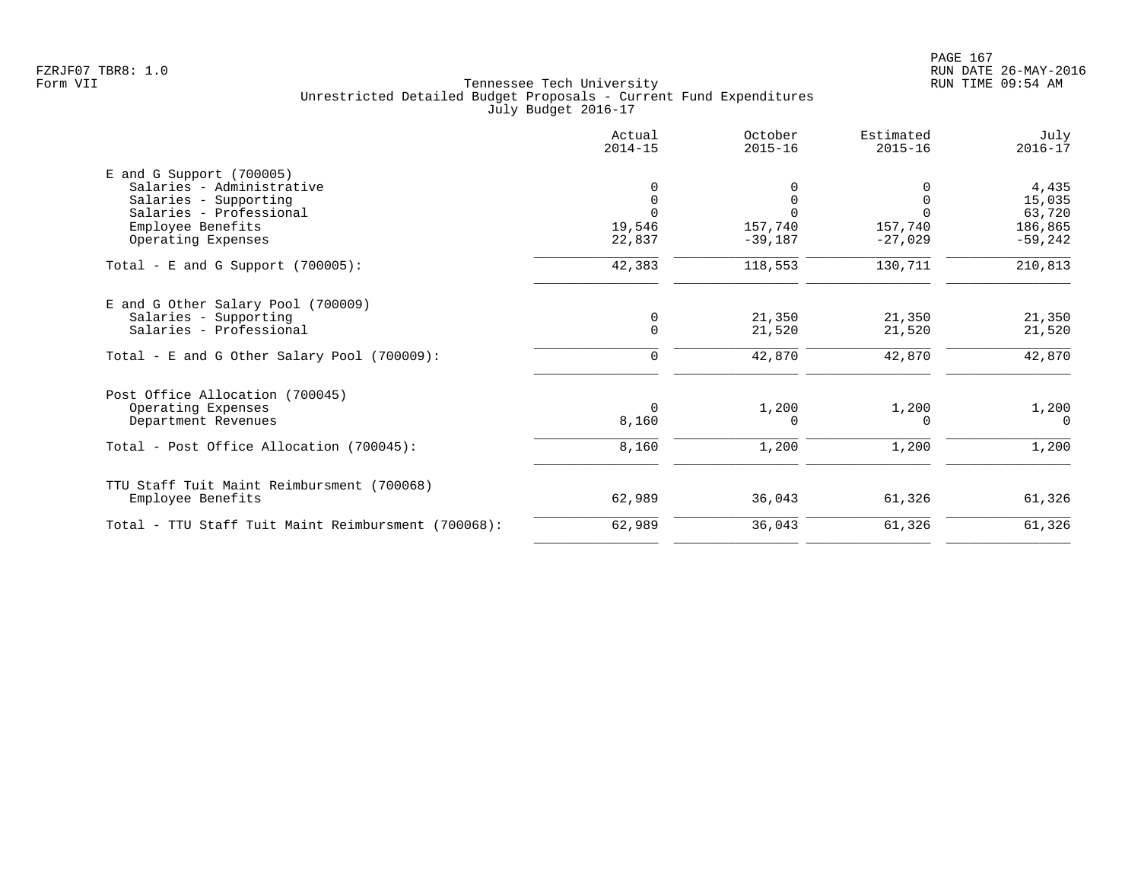|                                                             | Actual<br>$2014 - 15$ | October<br>$2015 - 16$ | Estimated<br>$2015 - 16$ | July<br>$2016 - 17$ |
|-------------------------------------------------------------|-----------------------|------------------------|--------------------------|---------------------|
| $E$ and G Support (700005)                                  |                       |                        |                          |                     |
| Salaries - Administrative                                   |                       |                        |                          | 4,435               |
| Salaries - Supporting                                       | 0                     | $\Omega$               | $\Omega$                 | 15,035              |
| Salaries - Professional                                     |                       |                        |                          | 63,720              |
| Employee Benefits                                           | 19,546                | 157,740                | 157,740<br>$-27,029$     | 186,865             |
| Operating Expenses                                          | 22,837                | $-39,187$              |                          | $-59,242$           |
| Total - E and G Support $(700005)$ :                        | 42,383                | 118,553                | 130,711                  | 210,813             |
|                                                             |                       |                        |                          |                     |
| E and G Other Salary Pool (700009)<br>Salaries - Supporting | 0                     | 21,350                 | 21,350                   | 21,350              |
| Salaries - Professional                                     | $\Omega$              | 21,520                 | 21,520                   | 21,520              |
|                                                             |                       |                        |                          |                     |
| Total - E and G Other Salary Pool (700009):                 | $\Omega$              | 42,870                 | 42,870                   | 42,870              |
| Post Office Allocation (700045)                             |                       |                        |                          |                     |
| Operating Expenses                                          | $\Omega$              | 1,200                  | 1,200                    | 1,200               |
| Department Revenues                                         | 8,160                 | 0                      | $\Omega$                 | $\Omega$            |
| Total - Post Office Allocation (700045):                    | 8,160                 | 1,200                  | 1,200                    | 1,200               |
| TTU Staff Tuit Maint Reimbursment (700068)                  |                       |                        |                          |                     |
| Employee Benefits                                           | 62,989                | 36,043                 | 61,326                   | 61,326              |
| Total - TTU Staff Tuit Maint Reimbursment (700068):         | 62,989                | 36,043                 | 61,326                   | 61,326              |
|                                                             |                       |                        |                          |                     |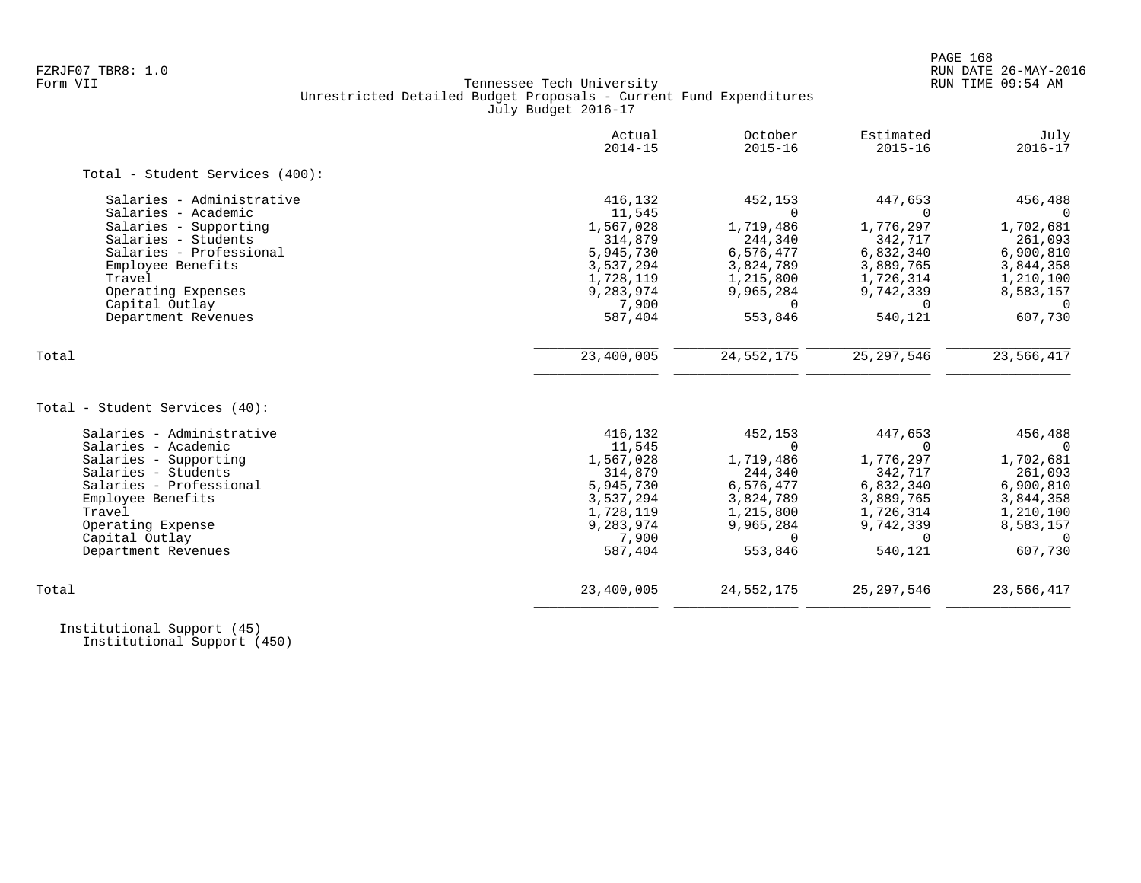# FZRJF07 TBR8: 1.0 RUN DATE 26-MAY-2016 Tennessee Tech University Unrestricted Detailed Budget Proposals - Current Fund Expenditures July Budget 2016-17

|                                 | Actual<br>$2014 - 15$ | October<br>$2015 - 16$ | Estimated<br>$2015 - 16$ | July<br>$2016 - 17$ |
|---------------------------------|-----------------------|------------------------|--------------------------|---------------------|
| Total - Student Services (400): |                       |                        |                          |                     |
| Salaries - Administrative       | 416,132               | 452,153                | 447,653                  | 456,488             |
| Salaries - Academic             | 11,545                | <sup>n</sup>           |                          |                     |
| Salaries - Supporting           | 1,567,028             | 1,719,486              | 1,776,297                | 1,702,681           |
| Salaries - Students             | 314,879               | 244,340                | 342,717                  | 261,093             |
| Salaries - Professional         | 5,945,730             | 6,576,477              | 6,832,340                | 6,900,810           |
| Employee Benefits               | 3,537,294             | 3,824,789              | 3,889,765                | 3,844,358           |
| Travel                          | 1,728,119             | 1,215,800              | 1,726,314                | 1,210,100           |
| Operating Expenses              | 9,283,974             | 9,965,284              | 9,742,339                | 8,583,157           |
| Capital Outlay                  | 7,900                 | $\Omega$               | $\Omega$                 | $\Omega$            |
| Department Revenues             | 587,404               | 553,846                | 540,121                  | 607,730             |
| Total                           | 23,400,005            | 24, 552, 175           | 25, 297, 546             | 23,566,417          |
|                                 |                       |                        |                          |                     |
| Total - Student Services (40):  |                       |                        |                          |                     |
| Salaries - Administrative       | 416,132               | 452,153                | 447,653                  | 456,488             |
| Salaries - Academic             | 11,545                | $\Omega$               | $\Omega$                 |                     |
| Salaries - Supporting           | 1,567,028             | 1,719,486              | 1,776,297                | 1,702,681           |
| Salaries - Students             | 314,879               | 244,340                | 342,717                  | 261,093             |
| Salaries - Professional         | 5,945,730             | 6,576,477              | 6,832,340                | 6,900,810           |
| Employee Benefits               | 3,537,294             | 3,824,789              | 3,889,765                | 3,844,358           |
| Travel                          | 1,728,119             | 1,215,800              | 1,726,314                | 1,210,100           |
| Operating Expense               | 9,283,974             | 9,965,284              | 9,742,339                | 8,583,157           |
| Capital Outlay                  | 7,900                 | $\Omega$               | $\Omega$                 | $\Omega$            |
| Department Revenues             | 587,404               | 553,846                | 540,121                  | 607,730             |
| Total                           | 23,400,005            | 24, 552, 175           | 25, 297, 546             | 23,566,417          |
|                                 |                       |                        |                          |                     |

 Institutional Support (45) Institutional Support (450)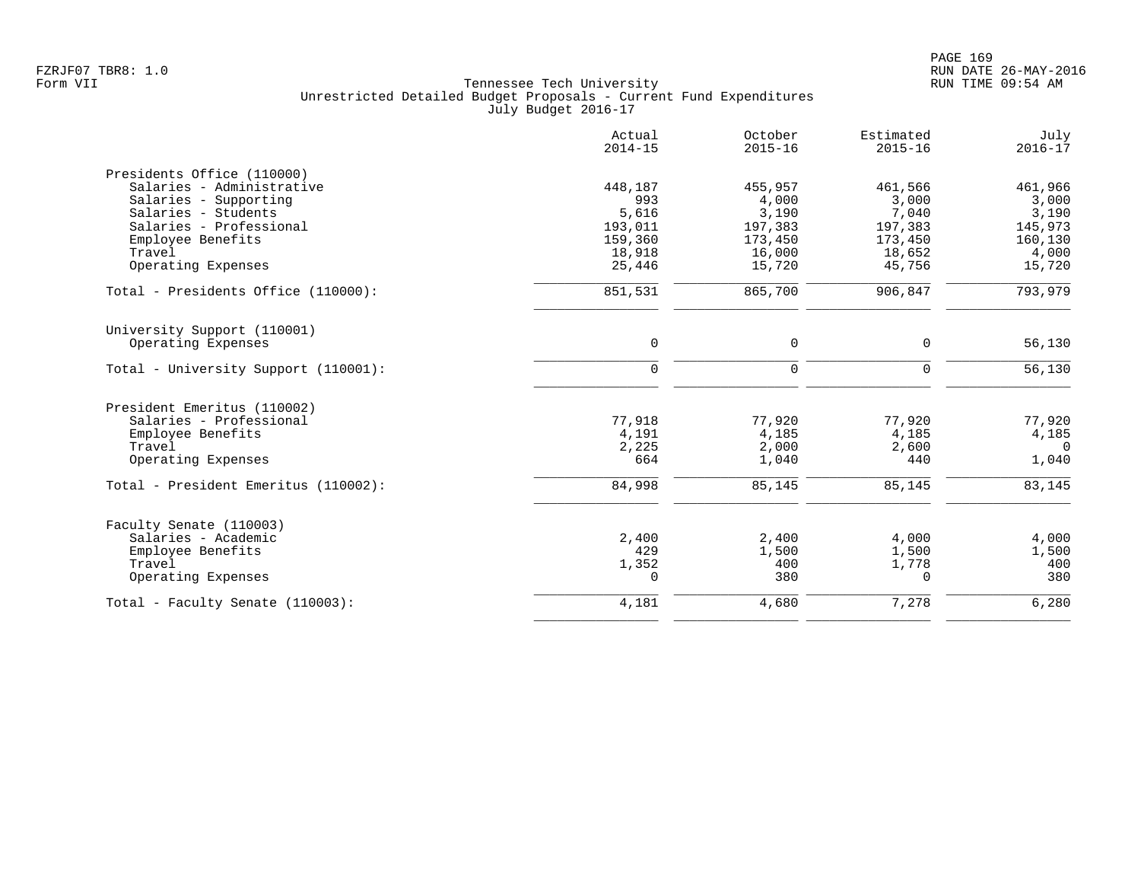|                                      | Actual<br>$2014 - 15$ | October<br>$2015 - 16$ | Estimated<br>$2015 - 16$ | July<br>$2016 - 17$ |
|--------------------------------------|-----------------------|------------------------|--------------------------|---------------------|
| Presidents Office (110000)           |                       |                        |                          |                     |
| Salaries - Administrative            | 448,187               | 455,957                | 461,566                  | 461,966             |
| Salaries - Supporting                | 993                   | 4,000                  | 3,000                    | 3,000               |
| Salaries - Students                  | 5,616                 | 3,190                  | 7,040                    | 3,190               |
| Salaries - Professional              | 193,011               | 197,383                | 197,383                  | 145,973             |
| Employee Benefits                    | 159,360               | 173,450                | 173,450                  | 160,130             |
| Travel                               | 18,918                | 16,000                 | 18,652                   | 4,000               |
| Operating Expenses                   | 25,446                | 15,720                 | 45,756                   | 15,720              |
| Total - Presidents Office (110000):  | 851,531               | 865,700                | 906,847                  | 793,979             |
| University Support (110001)          |                       |                        |                          |                     |
| Operating Expenses                   | $\mathbf 0$           | $\mathsf{O}$           | 0                        | 56,130              |
| Total - University Support (110001): | $\Omega$              | $\Omega$               | $\Omega$                 | 56,130              |
| President Emeritus (110002)          |                       |                        |                          |                     |
| Salaries - Professional              | 77,918                | 77,920                 | 77,920                   | 77,920              |
| Employee Benefits                    | 4,191                 | 4,185                  | 4,185                    | 4,185               |
| Travel                               | 2,225                 | 2,000                  | 2,600                    | $\Omega$            |
| Operating Expenses                   | 664                   | 1,040                  | 440                      | 1,040               |
| Total - President Emeritus (110002): | 84,998                | 85,145                 | 85,145                   | 83,145              |
| Faculty Senate (110003)              |                       |                        |                          |                     |
| Salaries - Academic                  | 2,400                 | 2,400                  | 4,000                    | 4,000               |
| Employee Benefits                    | 429                   | 1,500                  | 1,500                    | 1,500               |
| Travel                               | 1,352                 | 400                    | 1,778                    | 400                 |
| Operating Expenses                   | 0                     | 380                    | $\Omega$                 | 380                 |
| Total - Faculty Senate (110003):     | 4,181                 | 4,680                  | 7,278                    | 6,280               |
|                                      |                       |                        |                          |                     |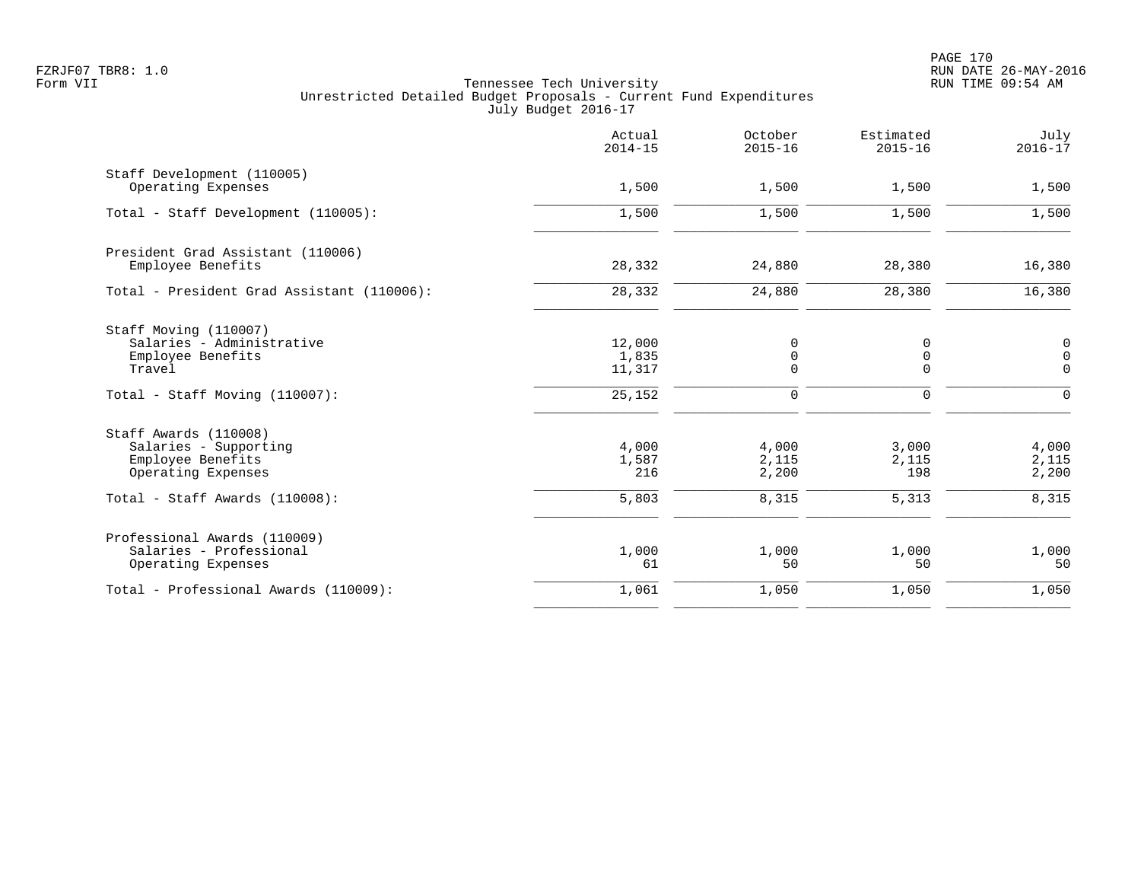|                                                                                           | Actual<br>$2014 - 15$     | October<br>$2015 - 16$          | Estimated<br>$2015 - 16$ | July<br>$2016 - 17$                          |
|-------------------------------------------------------------------------------------------|---------------------------|---------------------------------|--------------------------|----------------------------------------------|
| Staff Development (110005)<br>Operating Expenses                                          | 1,500                     | 1,500                           | 1,500                    | 1,500                                        |
| Total - Staff Development (110005):                                                       | 1,500                     | 1,500                           | 1,500                    | 1,500                                        |
| President Grad Assistant (110006)<br>Employee Benefits                                    | 28,332                    | 24,880                          | 28,380                   | 16,380                                       |
| Total - President Grad Assistant (110006):                                                | 28,332                    | 24,880                          | 28,380                   | 16,380                                       |
| Staff Moving (110007)<br>Salaries - Administrative<br>Employee Benefits<br>Travel         | 12,000<br>1,835<br>11,317 | 0<br>$\mathbf 0$<br>$\mathbf 0$ | 0<br>0<br>0              | $\mathbf 0$<br>$\overline{0}$<br>$\mathbf 0$ |
| Total - Staff Moving (110007):                                                            | 25,152                    | 0                               | 0                        | $\mathbf 0$                                  |
| Staff Awards (110008)<br>Salaries - Supporting<br>Employee Benefits<br>Operating Expenses | 4,000<br>1,587<br>216     | 4,000<br>2,115<br>2,200         | 3,000<br>2,115<br>198    | 4,000<br>2,115<br>2,200                      |
| Total - Staff Awards (110008):                                                            | 5,803                     | 8,315                           | 5,313                    | 8,315                                        |
| Professional Awards (110009)<br>Salaries - Professional<br>Operating Expenses             | 1,000<br>61               | 1,000<br>50                     | 1,000<br>50              | 1,000<br>50                                  |
| Total - Professional Awards (110009):                                                     | 1,061                     | 1,050                           | 1,050                    | 1,050                                        |
|                                                                                           |                           |                                 |                          |                                              |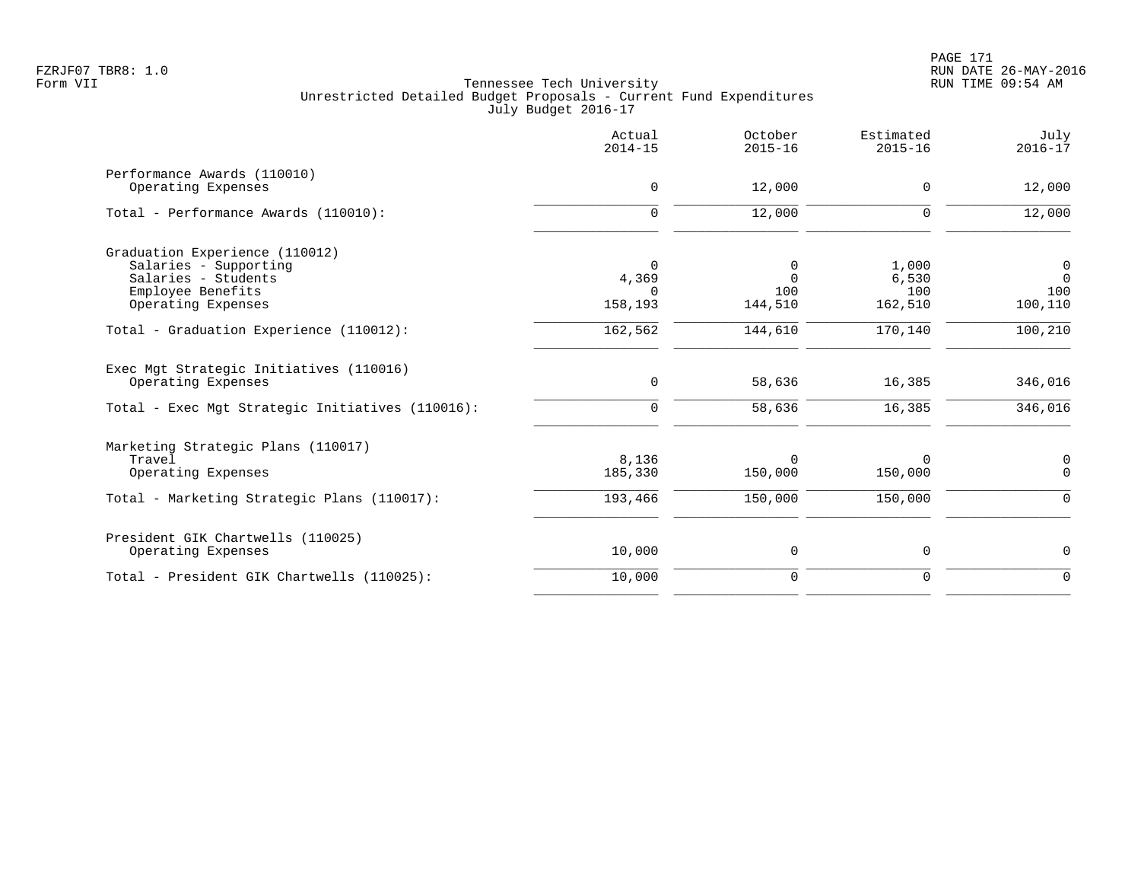|                                                                                                                   | Actual<br>$2014 - 15$      | October<br>$2015 - 16$          | Estimated<br>$2015 - 16$ | July<br>$2016 - 17$            |
|-------------------------------------------------------------------------------------------------------------------|----------------------------|---------------------------------|--------------------------|--------------------------------|
| Performance Awards (110010)<br>Operating Expenses                                                                 | $\mathbf 0$                | 12,000                          | $\mathbf 0$              | 12,000                         |
| Total - Performance Awards (110010):                                                                              | $\mathbf 0$                | 12,000                          | $\mathbf 0$              | 12,000                         |
| Graduation Experience (110012)<br>Salaries - Supporting<br>Salaries - Students<br>Employee Benefits               | 0<br>4,369<br>$\Omega$     | 0<br>$\Omega$<br>100<br>144,510 | 1,000<br>6,530<br>100    | $\mathbf 0$<br>$\Omega$<br>100 |
| Operating Expenses<br>Total - Graduation Experience (110012):                                                     | 158,193<br>162,562         | 144,610                         | 162,510<br>170,140       | 100,110<br>100, 210            |
| Exec Mgt Strategic Initiatives (110016)<br>Operating Expenses<br>Total - Exec Mgt Strategic Initiatives (110016): | $\mathbf 0$<br>$\mathbf 0$ | 58,636<br>58,636                | 16,385<br>16,385         | 346,016<br>346,016             |
| Marketing Strategic Plans (110017)<br>Travel<br>Operating Expenses                                                | 8,136<br>185,330           | 0<br>150,000                    | 150,000                  | 0<br>$\Omega$                  |
| Total - Marketing Strategic Plans (110017):                                                                       | 193,466                    | 150,000                         | 150,000                  | $\mathbf 0$                    |
| President GIK Chartwells (110025)<br>Operating Expenses                                                           | 10,000                     | 0                               | 0                        | 0                              |
| Total - President GIK Chartwells (110025):                                                                        | 10,000                     | $\mathbf 0$                     | $\mathbf 0$              | $\Omega$                       |
|                                                                                                                   |                            |                                 |                          |                                |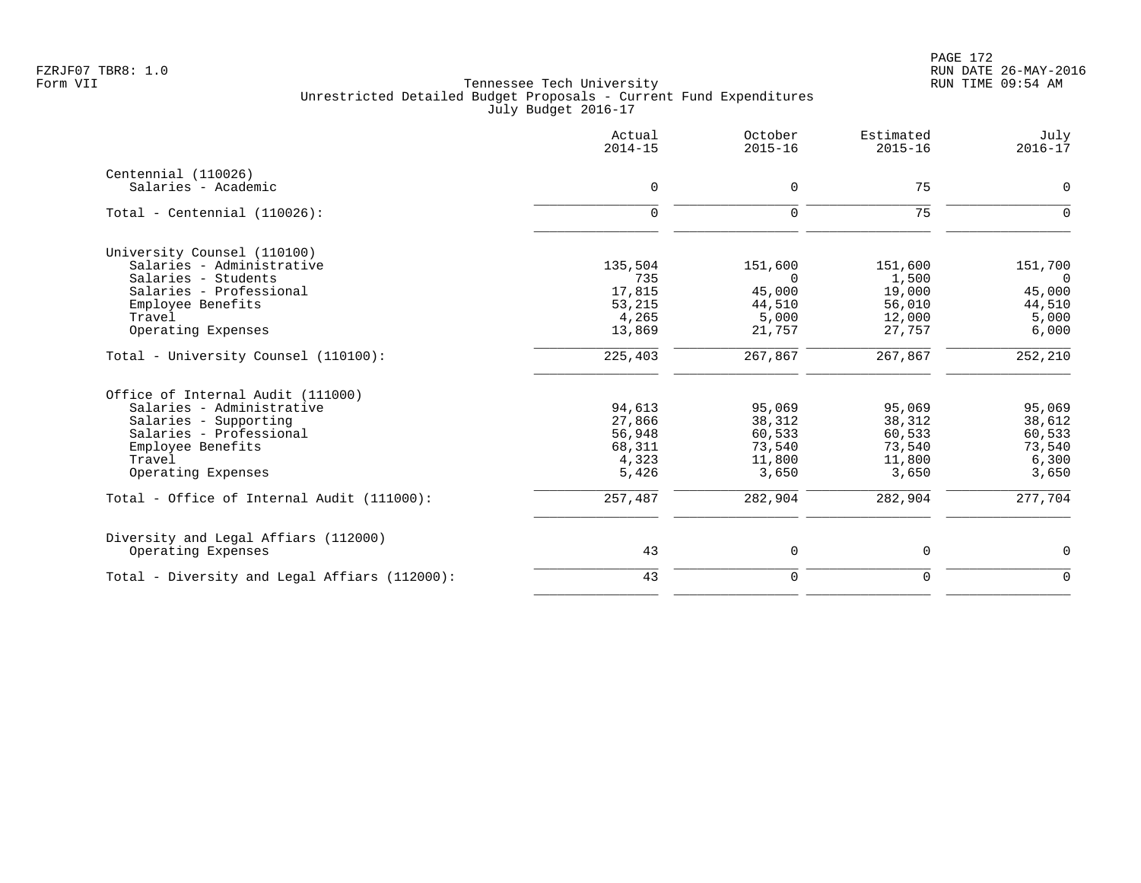|                                               | Actual<br>$2014 - 15$ | October<br>$2015 - 16$ | Estimated<br>$2015 - 16$ | July<br>$2016 - 17$ |
|-----------------------------------------------|-----------------------|------------------------|--------------------------|---------------------|
| Centennial (110026)<br>Salaries - Academic    | $\mathsf{O}$          | 0                      | 75                       | $\mathbf 0$         |
|                                               |                       |                        |                          |                     |
| Total - Centennial $(110026)$ :               | $\mathbf 0$           | $\mathbf 0$            | 75                       | $\Omega$            |
| University Counsel (110100)                   |                       |                        |                          |                     |
| Salaries - Administrative                     | 135,504               | 151,600                | 151,600                  | 151,700             |
| Salaries - Students                           | 735                   | $\Omega$               | 1,500                    | $\Omega$            |
| Salaries - Professional                       | 17,815                | 45,000                 | 19,000                   | 45,000              |
| Employee Benefits                             | 53,215                | 44,510                 | 56,010                   | 44,510              |
| Travel                                        | 4,265                 | 5,000                  | 12,000                   | 5,000               |
| Operating Expenses                            | 13,869                | 21,757                 | 27,757                   | 6,000               |
| Total - University Counsel (110100):          | 225,403               | 267,867                | 267,867                  | 252,210             |
| Office of Internal Audit (111000)             |                       |                        |                          |                     |
| Salaries - Administrative                     | 94,613                | 95,069                 | 95,069                   | 95,069              |
| Salaries - Supporting                         | 27,866                | 38,312                 | 38,312                   | 38,612              |
| Salaries - Professional                       | 56,948                | 60,533                 | 60,533                   | 60,533              |
| Employee Benefits                             | 68,311                | 73,540                 | 73,540                   | 73,540              |
| Travel                                        | 4,323                 | 11,800                 | 11,800                   | 6,300               |
| Operating Expenses                            | 5,426                 | 3,650                  | 3,650                    | 3,650               |
| Total - Office of Internal Audit (111000):    | 257,487               | 282,904                | 282,904                  | 277,704             |
| Diversity and Legal Affiars (112000)          |                       |                        |                          |                     |
| Operating Expenses                            | 43                    | 0                      | 0                        | $\mathbf 0$         |
| Total - Diversity and Legal Affiars (112000): | 43                    | $\mathbf 0$            | $\mathbf 0$              | $\Omega$            |
|                                               |                       |                        |                          |                     |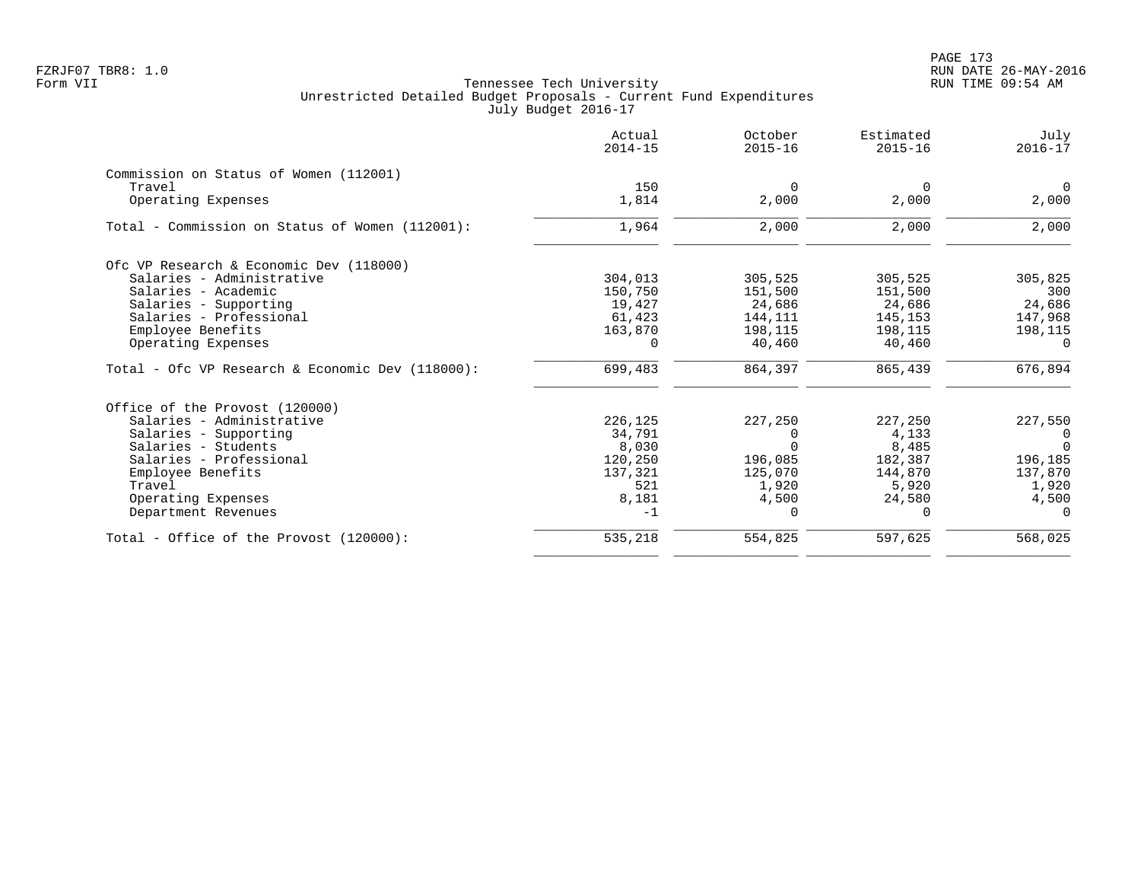PAGE 173 FZRJF07 TBR8: 1.0 RUN DATE 26-MAY-2016

|                                                     | Actual<br>$2014 - 15$ | October<br>$2015 - 16$ | Estimated<br>$2015 - 16$ | July<br>$2016 - 17$ |
|-----------------------------------------------------|-----------------------|------------------------|--------------------------|---------------------|
| Commission on Status of Women (112001)              |                       |                        |                          |                     |
| Travel                                              | 150                   | $\Omega$               | $\Omega$                 | $\Omega$            |
| Operating Expenses                                  | 1,814                 | 2,000                  | 2,000                    | 2,000               |
| Total - Commission on Status of Women (112001):     | 1,964                 | 2,000                  | 2,000                    | 2,000               |
| Ofc VP Research & Economic Dev (118000)             |                       |                        |                          |                     |
| Salaries - Administrative                           | 304,013               | 305,525                | 305,525                  | 305,825             |
| Salaries - Academic                                 | 150,750               | 151,500                | 151,500                  | 300                 |
| Salaries - Supporting                               | 19,427                | 24,686                 | 24,686                   | 24,686              |
| Salaries - Professional                             | 61,423                | 144,111                | 145,153                  | 147,968             |
| Employee Benefits                                   | 163,870               | 198,115                | 198,115                  | 198,115             |
| Operating Expenses                                  | 0                     | 40,460                 | 40,460                   | 0                   |
| Total - Ofc VP Research & Economic Dev $(118000)$ : | 699,483               | 864,397                | 865,439                  | 676,894             |
| Office of the Provost (120000)                      |                       |                        |                          |                     |
| Salaries - Administrative                           | 226,125               | 227,250                | 227,250                  | 227,550             |
| Salaries - Supporting                               | 34,791                | $\Omega$               | 4,133                    | - 0                 |
| Salaries - Students                                 | 8,030                 | $\Omega$               | 8,485                    | $\Omega$            |
| Salaries - Professional                             | 120,250               | 196,085                | 182,387                  | 196,185             |
| Employee Benefits                                   | 137,321               | 125,070                | 144,870                  | 137,870             |
| Travel                                              | 521                   | 1,920                  | 5,920                    | 1,920               |
| Operating Expenses                                  | 8,181                 | 4,500                  | 24,580                   | 4,500               |
| Department Revenues                                 | $-1$                  | $\Omega$               |                          |                     |
| Total - Office of the Provost (120000):             | 535,218               | 554,825                | 597,625                  | 568,025             |
|                                                     |                       |                        |                          |                     |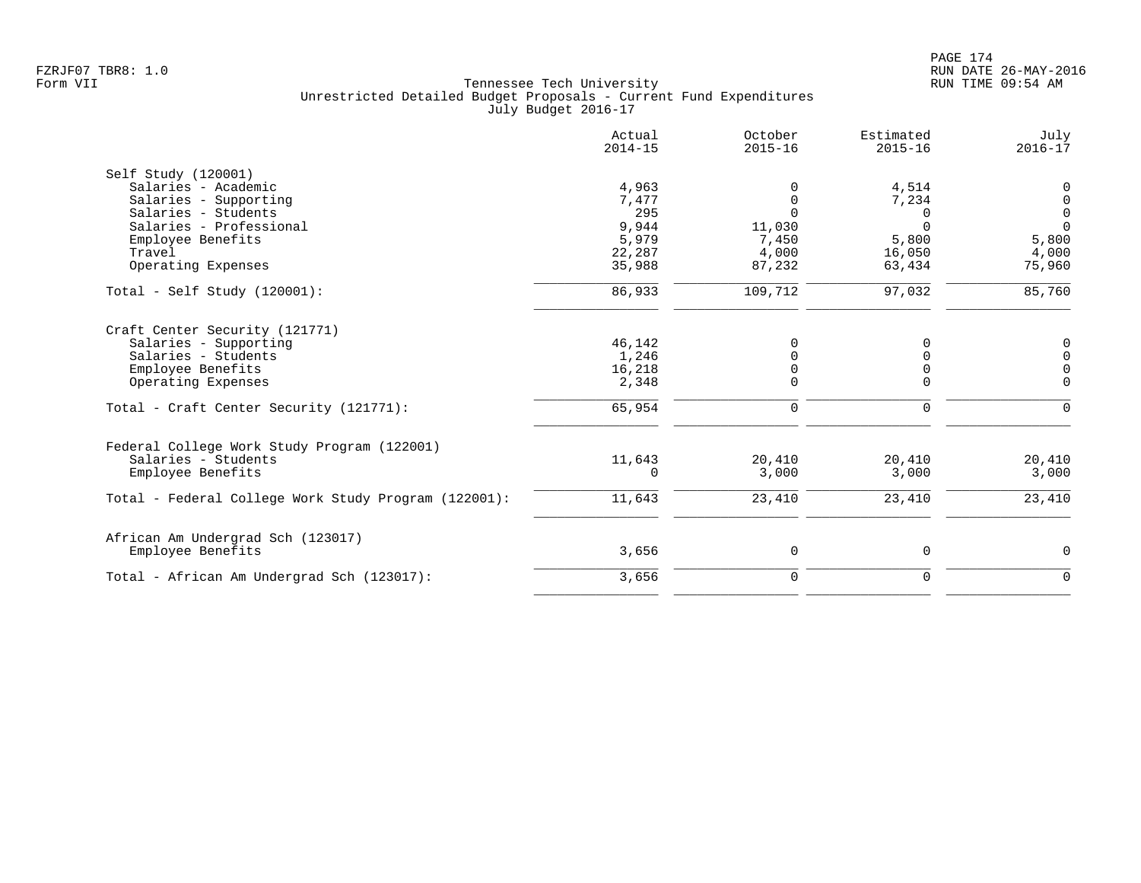|                                                      | Actual<br>$2014 - 15$ | October<br>$2015 - 16$ | Estimated<br>$2015 - 16$ | July<br>$2016 - 17$ |
|------------------------------------------------------|-----------------------|------------------------|--------------------------|---------------------|
| Self Study (120001)                                  |                       |                        |                          |                     |
| Salaries - Academic                                  | 4,963                 | 0                      | 4,514                    | 0                   |
| Salaries - Supporting                                | 7,477                 | $\mathbf 0$            | 7,234                    | 0                   |
| Salaries - Students                                  | 295                   | $\Omega$               | 0                        | 0                   |
| Salaries - Professional                              | 9,944                 | 11,030                 | $\Omega$                 | $\Omega$            |
| Employee Benefits                                    | 5,979                 | 7,450                  | 5,800                    | 5,800               |
| Travel                                               | 22,287                | 4,000                  | 16,050                   | 4,000               |
| Operating Expenses                                   | 35,988                | 87,232                 | 63,434                   | 75,960              |
| Total - Self Study $(120001)$ :                      | 86,933                | 109,712                | 97,032                   | 85,760              |
| Craft Center Security (121771)                       |                       |                        |                          |                     |
| Salaries - Supporting                                | 46,142                | $\Omega$               | 0                        | 0                   |
| Salaries - Students                                  | 1,246                 | $\Omega$               |                          | $\mathsf 0$         |
| Employee Benefits                                    | 16,218                | 0                      | $\Omega$                 | $\mathbf 0$         |
| Operating Expenses                                   | 2,348                 | $\mathbf 0$            | $\Omega$                 | $\Omega$            |
| Total - Craft Center Security (121771):              | 65,954                | $\mathbf 0$            | $\mathbf 0$              | $\Omega$            |
| Federal College Work Study Program (122001)          |                       |                        |                          |                     |
| Salaries - Students                                  | 11,643                | 20,410                 | 20,410                   | 20,410              |
| Employee Benefits                                    | 0                     | 3,000                  | 3,000                    | 3,000               |
| Total - Federal College Work Study Program (122001): | 11,643                | 23,410                 | 23,410                   | 23,410              |
| African Am Undergrad Sch (123017)                    |                       |                        |                          |                     |
| Employee Benefits                                    | 3,656                 | $\mathbf 0$            | 0                        | 0                   |
| Total - African Am Undergrad Sch (123017):           | 3,656                 | $\mathbf 0$            | $\Omega$                 | $\Omega$            |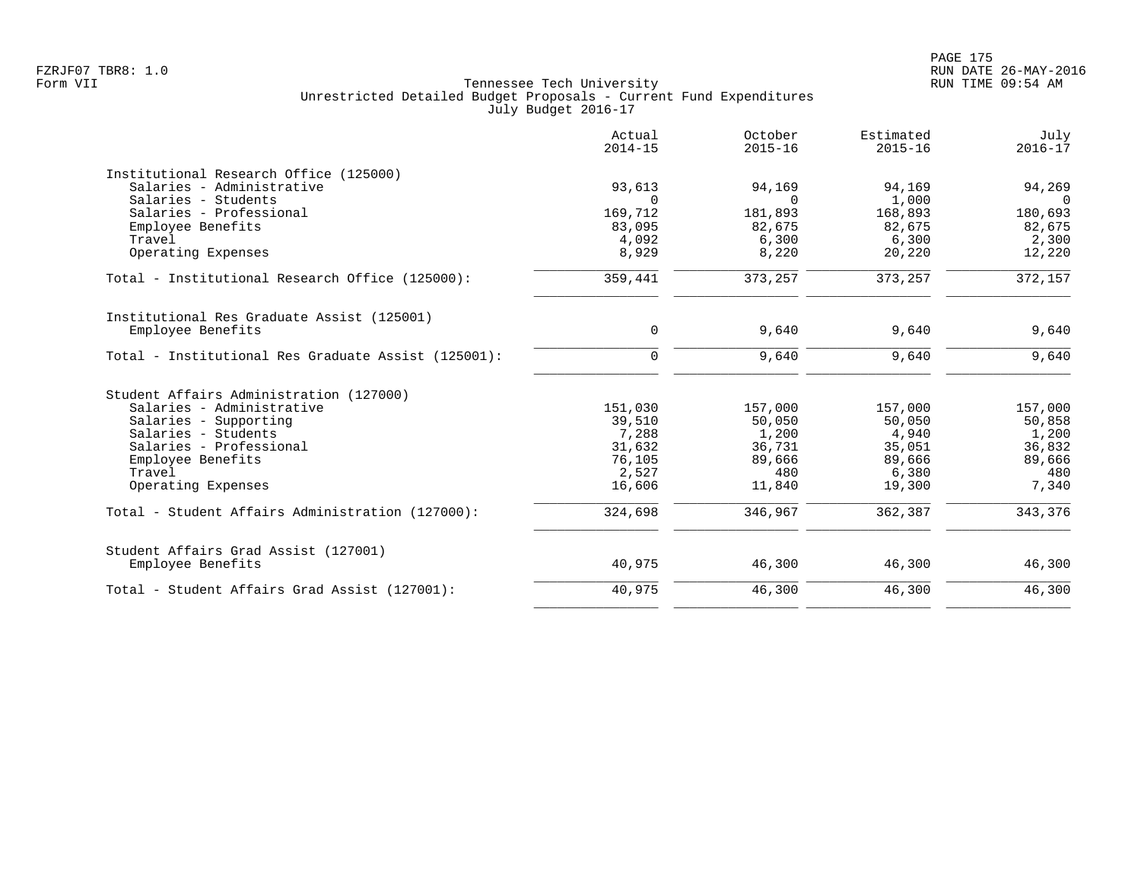|                                                     | Actual<br>$2014 - 15$ | October<br>$2015 - 16$ | Estimated<br>$2015 - 16$ | July<br>$2016 - 17$ |
|-----------------------------------------------------|-----------------------|------------------------|--------------------------|---------------------|
| Institutional Research Office (125000)              |                       |                        |                          |                     |
| Salaries - Administrative                           | 93,613                | 94,169                 | 94,169                   | 94,269              |
| Salaries - Students                                 | $\Omega$              | $\Omega$               | 1,000                    | $\Omega$            |
| Salaries - Professional                             | 169,712               | 181,893                | 168,893                  | 180,693             |
| Employee Benefits                                   | 83,095                | 82,675                 | 82,675                   | 82,675              |
| Travel                                              | 4,092                 | 6,300                  | 6,300                    | 2,300               |
| Operating Expenses                                  | 8,929                 | 8,220                  | 20,220                   | 12,220              |
| Total - Institutional Research Office (125000):     | 359,441               | 373,257                | 373,257                  | 372,157             |
| Institutional Res Graduate Assist (125001)          |                       |                        |                          |                     |
| Employee Benefits                                   | $\mathbf 0$           | 9,640                  | 9,640                    | 9,640               |
| Total - Institutional Res Graduate Assist (125001): | $\mathbf 0$           | 9,640                  | 9,640                    | 9,640               |
| Student Affairs Administration (127000)             |                       |                        |                          |                     |
| Salaries - Administrative                           | 151,030               | 157,000                | 157,000                  | 157,000             |
| Salaries - Supporting                               | 39,510                | 50,050                 | 50,050                   | 50,858              |
| Salaries - Students                                 | 7,288                 | 1,200                  | 4,940                    | 1,200               |
| Salaries - Professional                             | 31,632                | 36,731                 | 35,051                   | 36,832              |
| Employee Benefits                                   | 76,105                | 89,666                 | 89,666                   | 89,666              |
| Travel                                              | 2,527                 | 480                    | 6,380                    | 480                 |
| Operating Expenses                                  | 16,606                | 11,840                 | 19,300                   | 7,340               |
| Total - Student Affairs Administration (127000):    | 324,698               | 346,967                | 362,387                  | 343,376             |
| Student Affairs Grad Assist (127001)                |                       |                        |                          |                     |
| Employee Benefits                                   | 40,975                | 46,300                 | 46,300                   | 46,300              |
| Total - Student Affairs Grad Assist (127001):       | 40,975                | 46,300                 | 46,300                   | 46,300              |
|                                                     |                       |                        |                          |                     |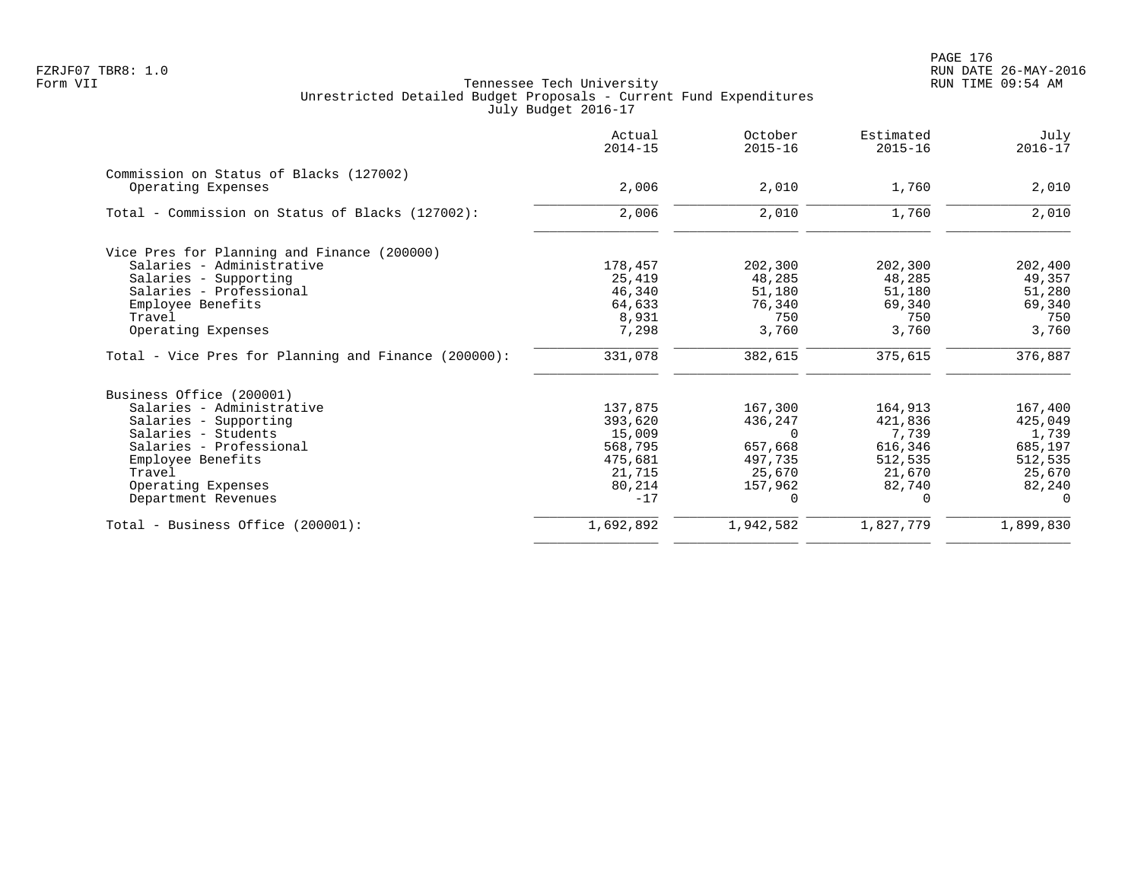|                                                      | Actual<br>$2014 - 15$ | October<br>$2015 - 16$ | Estimated<br>$2015 - 16$ | July<br>$2016 - 17$ |
|------------------------------------------------------|-----------------------|------------------------|--------------------------|---------------------|
| Commission on Status of Blacks (127002)              |                       |                        |                          |                     |
| Operating Expenses                                   | 2,006                 | 2,010                  | 1,760                    | 2,010               |
| Total - Commission on Status of Blacks (127002):     | 2,006                 | 2,010                  | 1,760                    | 2,010               |
| Vice Pres for Planning and Finance (200000)          |                       |                        |                          |                     |
| Salaries - Administrative                            | 178,457               | 202,300                | 202,300                  | 202,400             |
| Salaries - Supporting                                | 25,419                | 48,285                 | 48,285                   | 49,357              |
| Salaries - Professional                              | 46,340                | 51,180                 | 51,180                   | 51,280              |
| Employee Benefits                                    | 64,633                | 76,340                 | 69,340                   | 69,340              |
| Travel                                               | 8,931                 | 750                    | 750                      | 750                 |
| Operating Expenses                                   | 7,298                 | 3,760                  | 3,760                    | 3,760               |
| Total - Vice Pres for Planning and Finance (200000): | 331,078               | 382,615                | 375,615                  | 376,887             |
| Business Office (200001)                             |                       |                        |                          |                     |
| Salaries - Administrative                            | 137,875               | 167,300                | 164,913                  | 167,400             |
| Salaries - Supporting                                | 393,620               | 436,247                | 421,836                  | 425,049             |
| Salaries - Students                                  | 15,009                | $\Omega$               | 7,739                    | 1,739               |
| Salaries - Professional                              | 568,795               | 657,668                | 616,346                  | 685,197             |
| Employee Benefits                                    | 475,681               | 497,735                | 512,535                  | 512,535             |
| Travel                                               | 21,715                | 25,670                 | 21,670                   | 25,670              |
| Operating Expenses                                   | 80,214                | 157,962                | 82,740                   | 82,240              |
| Department Revenues                                  | $-17$                 | $\Omega$               | 0                        | $\Omega$            |
| Total - Business Office (200001):                    | 1,692,892             | 1,942,582              | 1,827,779                | 1,899,830           |
|                                                      |                       |                        |                          |                     |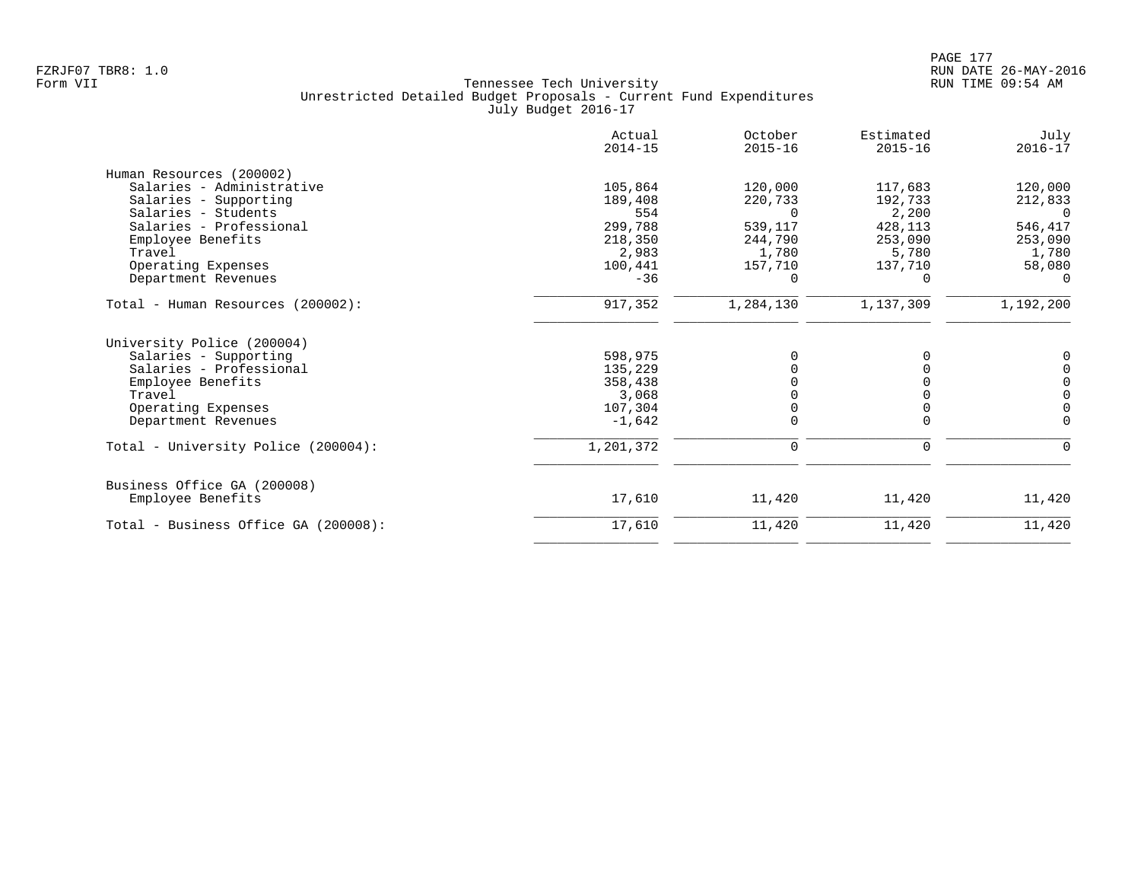| Actual<br>$2014 - 15$ | October<br>$2015 - 16$                                                          | Estimated<br>$2015 - 16$   | July<br>$2016 - 17$          |
|-----------------------|---------------------------------------------------------------------------------|----------------------------|------------------------------|
|                       |                                                                                 |                            |                              |
| 105,864               | 120,000                                                                         | 117,683                    | 120,000                      |
| 189,408               | 220,733                                                                         | 192,733                    | 212,833                      |
| 554                   | $\Omega$                                                                        | 2,200                      | $\overline{0}$               |
|                       | 539,117                                                                         | 428,113                    | 546,417                      |
| 218,350               | 244,790                                                                         | 253,090                    | 253,090                      |
|                       |                                                                                 |                            | 1,780                        |
|                       |                                                                                 |                            | 58,080                       |
|                       | $\Omega$                                                                        | $\Omega$                   | $\Omega$                     |
| 917,352               | 1,284,130                                                                       | 1,137,309                  | 1,192,200                    |
|                       |                                                                                 |                            |                              |
| 598,975               | $\Omega$                                                                        |                            | 0                            |
| 135,229               |                                                                                 |                            | $\mathsf 0$                  |
|                       |                                                                                 |                            | $\mathsf 0$                  |
|                       |                                                                                 |                            | $\mathsf{O}\xspace$          |
|                       |                                                                                 |                            | $\overline{0}$               |
|                       |                                                                                 |                            | $\Omega$                     |
| 1,201,372             | $\mathbf 0$                                                                     | 0                          | 0                            |
|                       |                                                                                 |                            |                              |
| 17,610                | 11,420                                                                          | 11,420                     | 11,420                       |
| 17,610                | 11,420                                                                          | 11,420                     | 11,420                       |
|                       | 299,788<br>2,983<br>100,441<br>$-36$<br>358,438<br>3,068<br>107,304<br>$-1,642$ | 1,780<br>157,710<br>0<br>0 | 5,780<br>137,710<br>$\Omega$ |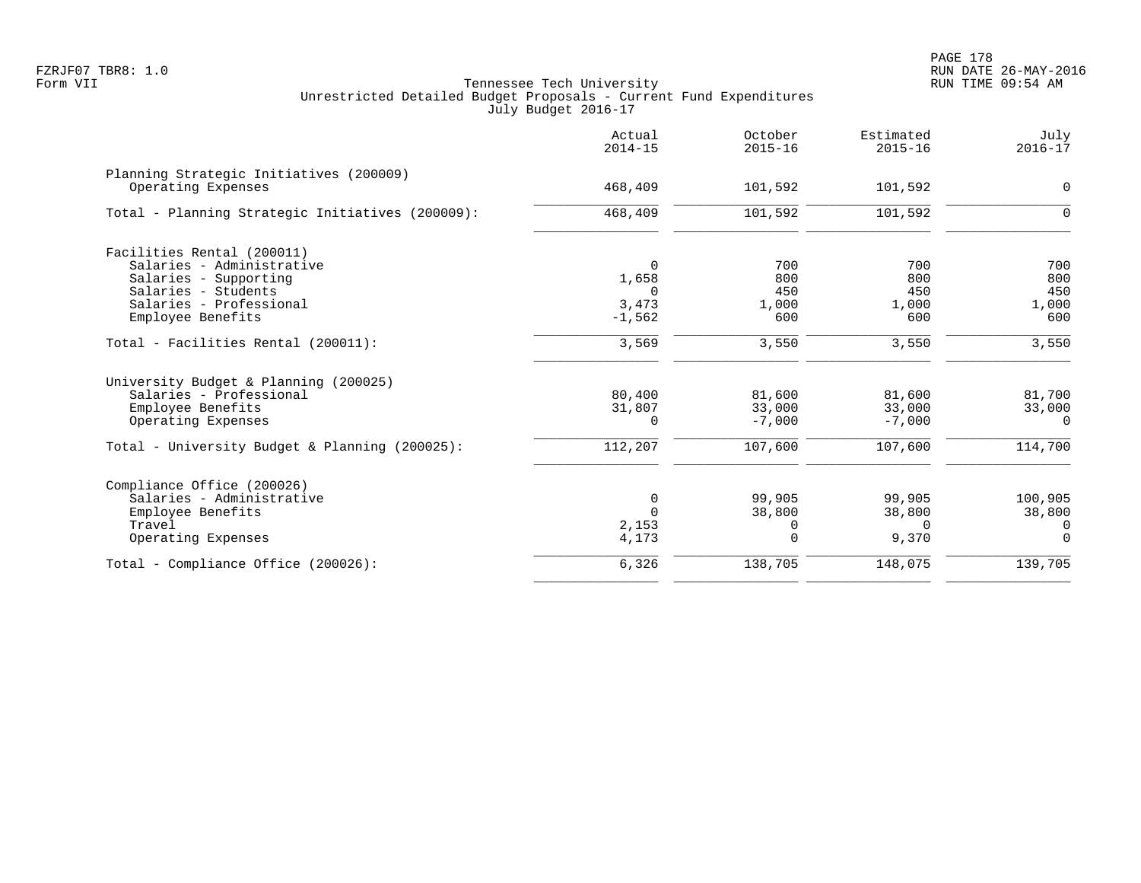|                                                               | Actual<br>$2014 - 15$ | October<br>$2015 - 16$ | Estimated<br>$2015 - 16$ | July<br>$2016 - 17$ |
|---------------------------------------------------------------|-----------------------|------------------------|--------------------------|---------------------|
| Planning Strategic Initiatives (200009)<br>Operating Expenses | 468,409               | 101,592                | 101,592                  | $\mathbf 0$         |
| Total - Planning Strategic Initiatives (200009):              | 468,409               | 101,592                | 101,592                  | $\Omega$            |
| Facilities Rental (200011)                                    |                       |                        |                          |                     |
| Salaries - Administrative                                     | $\Omega$              | 700                    | 700                      | 700                 |
| Salaries - Supporting                                         | 1,658                 | 800                    | 800                      | 800                 |
| Salaries - Students                                           | $\cap$                | 450                    | 450                      | 450                 |
| Salaries - Professional                                       | 3,473                 | 1,000                  | 1,000                    | 1,000               |
| Employee Benefits                                             | $-1,562$              | 600                    | 600                      | 600                 |
| Total - Facilities Rental (200011):                           | 3,569                 | 3,550                  | 3,550                    | 3,550               |
| University Budget & Planning (200025)                         |                       |                        |                          |                     |
| Salaries - Professional                                       | 80,400                | 81,600                 | 81,600                   | 81,700              |
| Employee Benefits                                             | 31,807                | 33,000                 | 33,000                   | 33,000              |
| Operating Expenses                                            | $\Omega$              | $-7,000$               | $-7,000$                 | $\Omega$            |
| Total - University Budget & Planning (200025):                | 112,207               | 107,600                | 107,600                  | 114,700             |
| Compliance Office (200026)                                    |                       |                        |                          |                     |
| Salaries - Administrative                                     | 0                     | 99,905                 | 99,905                   | 100,905             |
| Employee Benefits                                             | $\Omega$              | 38,800                 | 38,800                   | 38,800              |
| Travel                                                        | 2,153                 | 0                      | $\Omega$                 | 0                   |
| Operating Expenses                                            | 4,173                 | $\Omega$               | 9,370                    | $\Omega$            |
| Total - Compliance Office (200026):                           | 6,326                 | 138,705                | 148,075                  | 139,705             |
|                                                               |                       |                        |                          |                     |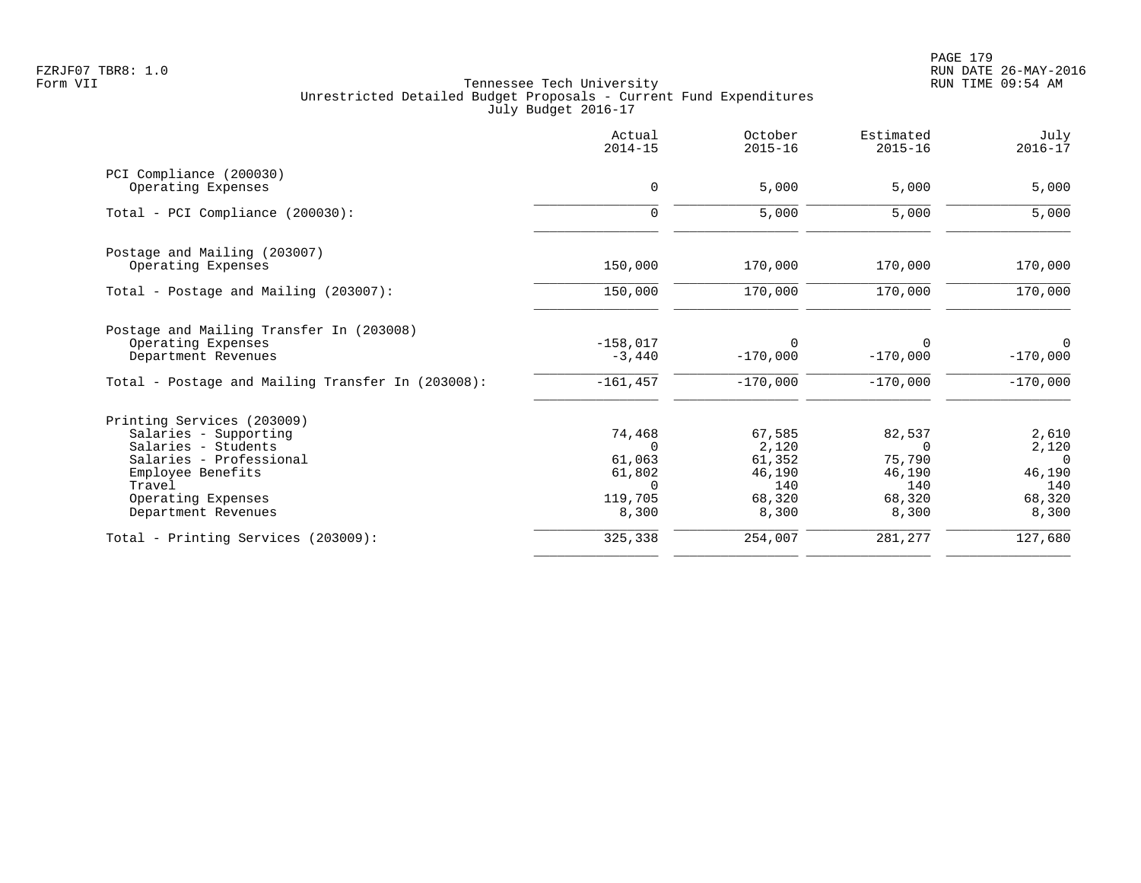|                                                   | Actual<br>$2014 - 15$  | October<br>$2015 - 16$ | Estimated<br>$2015 - 16$ | July<br>$2016 - 17$          |
|---------------------------------------------------|------------------------|------------------------|--------------------------|------------------------------|
| PCI Compliance (200030)<br>Operating Expenses     | 0                      | 5,000                  | 5,000                    | 5,000                        |
|                                                   |                        |                        |                          |                              |
| Total - PCI Compliance (200030):                  | $\mathbf 0$            | 5,000                  | 5,000                    | 5,000                        |
| Postage and Mailing (203007)                      |                        |                        |                          |                              |
| Operating Expenses                                | 150,000                | 170,000                | 170,000                  | 170,000                      |
| Total - Postage and Mailing (203007):             | 150,000                | 170,000                | 170,000                  | 170,000                      |
| Postage and Mailing Transfer In (203008)          |                        |                        |                          |                              |
| Operating Expenses<br>Department Revenues         | $-158,017$<br>$-3,440$ | $\Omega$<br>$-170,000$ | $\Omega$<br>$-170,000$   | $\overline{0}$<br>$-170,000$ |
|                                                   |                        |                        |                          |                              |
| Total - Postage and Mailing Transfer In (203008): | $-161, 457$            | $-170.000$             | $-170,000$               | $-170,000$                   |
| Printing Services (203009)                        |                        |                        |                          |                              |
| Salaries - Supporting                             | 74,468                 | 67,585                 | 82,537                   | 2,610                        |
| Salaries - Students<br>Salaries - Professional    | $\Omega$<br>61,063     | 2,120<br>61,352        | $\Omega$<br>75,790       | 2,120<br>$\Omega$            |
| Employee Benefits                                 | 61,802                 | 46,190                 | 46,190                   | 46,190                       |
| Travel                                            | $\Omega$               | 140                    | 140                      | 140                          |
| Operating Expenses                                | 119,705                | 68,320                 | 68,320                   | 68,320                       |
| Department Revenues                               | 8,300                  | 8,300                  | 8,300                    | 8,300                        |
| Total - Printing Services (203009):               | 325,338                | 254,007                | 281,277                  | 127,680                      |
|                                                   |                        |                        |                          |                              |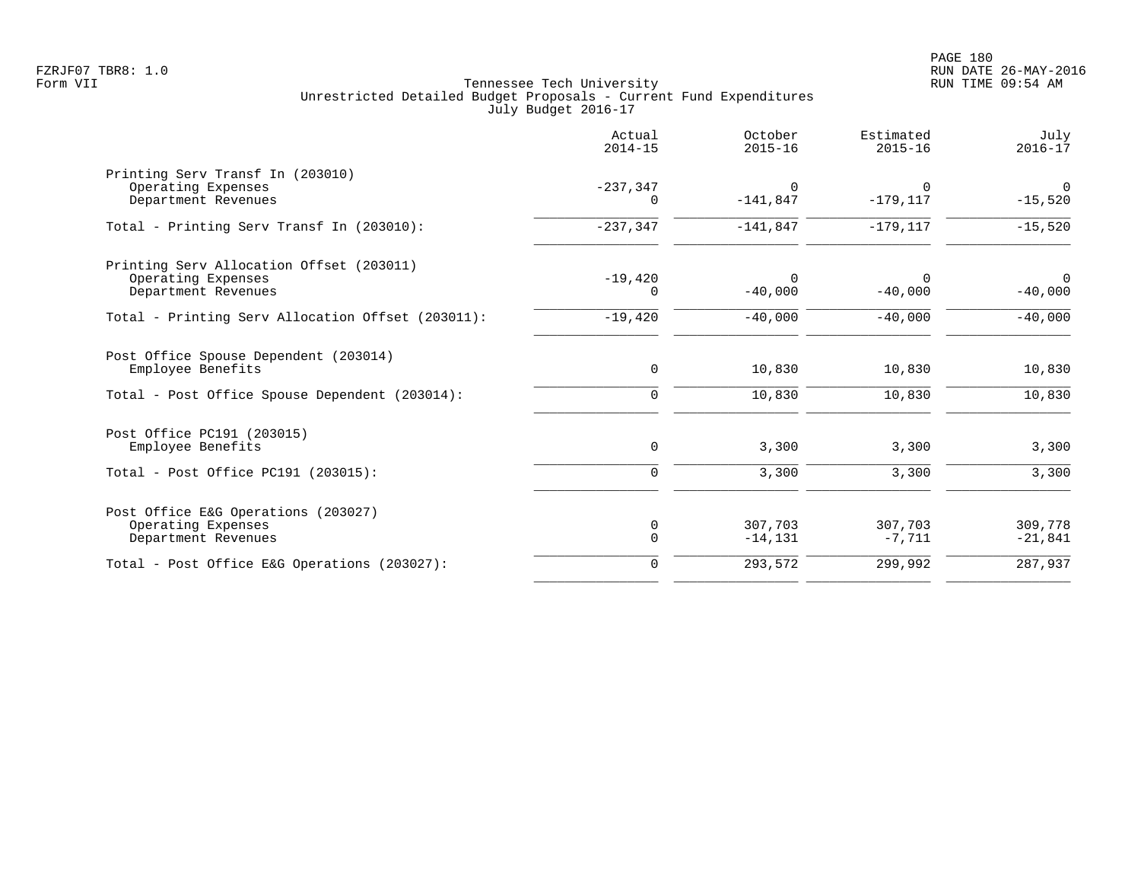| Printing Serv Transf In (203010)                                                                               | $\Omega$              |                         |                       |
|----------------------------------------------------------------------------------------------------------------|-----------------------|-------------------------|-----------------------|
| $-237,347$<br>Operating Expenses<br>Department Revenues<br>0                                                   | $-141,847$            | $\Omega$<br>$-179, 117$ | $\Omega$<br>$-15,520$ |
| $-237, 347$<br>Total - Printing Serv Transf In (203010):                                                       | $-141,847$            | $-179, 117$             | $-15,520$             |
| Printing Serv Allocation Offset (203011)<br>$-19,420$<br>Operating Expenses<br>Department Revenues<br>$\Omega$ | $\Omega$<br>$-40,000$ | $\Omega$<br>$-40,000$   | $\Omega$<br>$-40,000$ |
| $-19,420$<br>Total - Printing Serv Allocation Offset (203011):                                                 | $-40,000$             | $-40,000$               | $-40,000$             |
| Post Office Spouse Dependent (203014)<br>$\mathbf 0$<br>Employee Benefits                                      | 10,830                | 10,830                  | 10,830                |
| Total - Post Office Spouse Dependent (203014):<br>$\mathbf 0$                                                  | 10,830                | 10,830                  | 10,830                |
| Post Office PC191 (203015)<br>Employee Benefits<br>0                                                           | 3,300                 | 3,300                   | 3,300                 |
| Total - Post Office PC191 (203015):<br>$\mathbf 0$                                                             | 3,300                 | 3,300                   | 3,300                 |
| Post Office E&G Operations (203027)<br>Operating Expenses<br>0<br>$\mathbf 0$<br>Department Revenues           | 307,703<br>$-14, 131$ | 307,703<br>$-7,711$     | 309,778<br>$-21,841$  |
| Total - Post Office E&G Operations (203027):<br>$\Omega$                                                       | 293,572               | 299,992                 | 287,937               |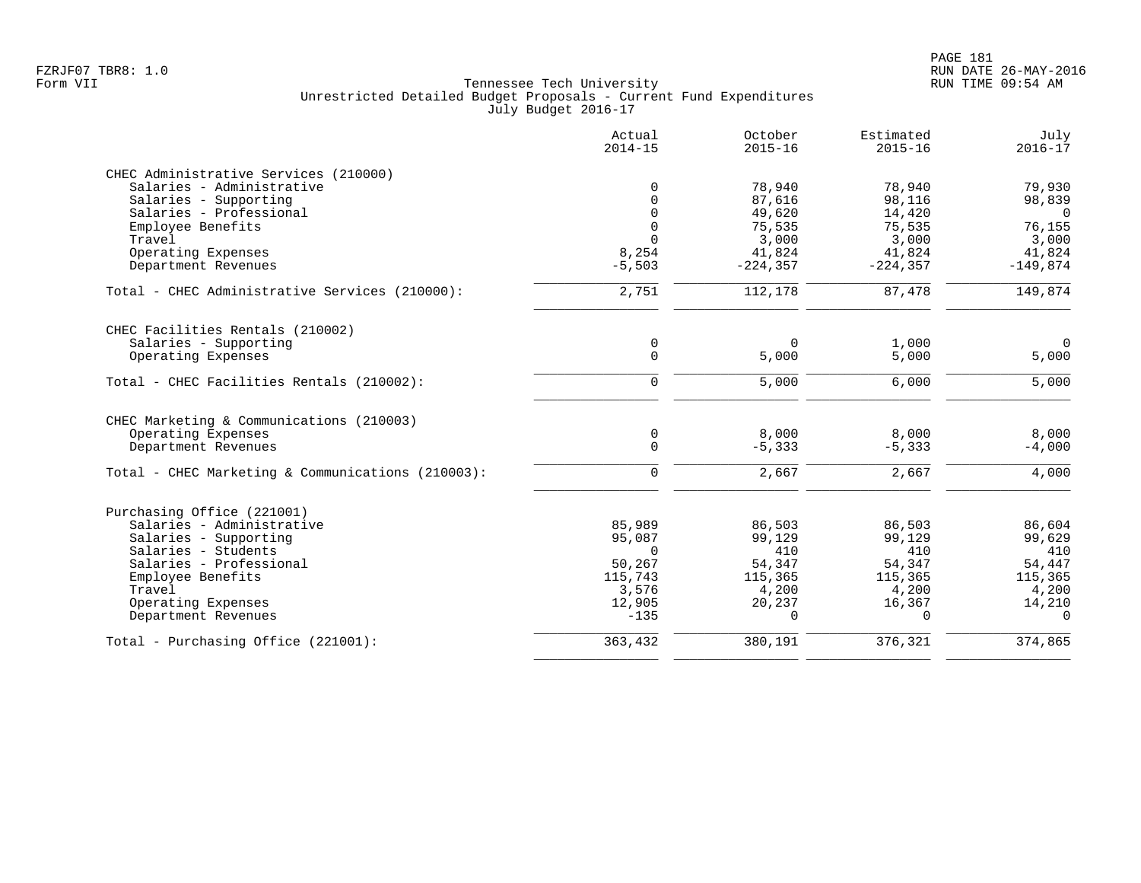|                                                   | Actual<br>$2014 - 15$ | October<br>$2015 - 16$ | Estimated<br>$2015 - 16$ | July<br>$2016 - 17$ |
|---------------------------------------------------|-----------------------|------------------------|--------------------------|---------------------|
| CHEC Administrative Services (210000)             |                       |                        |                          |                     |
| Salaries - Administrative                         | $\mathbf 0$           | 78,940                 | 78,940                   | 79,930              |
| Salaries - Supporting                             | $\Omega$              | 87,616                 | 98,116                   | 98,839              |
| Salaries - Professional                           | $\Omega$              | 49,620                 | 14,420                   | $\overline{0}$      |
| Employee Benefits                                 | $\mathbf 0$           | 75,535                 | 75,535                   | 76,155              |
| Travel                                            | $\Omega$              | 3,000                  | 3,000                    | 3,000               |
| Operating Expenses                                | 8,254                 | 41,824                 | 41,824                   | 41,824              |
| Department Revenues                               | $-5,503$              | $-224, 357$            | $-224, 357$              | $-149,874$          |
| Total - CHEC Administrative Services (210000):    | 2,751                 | 112,178                | 87,478                   | 149,874             |
| CHEC Facilities Rentals (210002)                  |                       |                        |                          |                     |
| Salaries - Supporting                             | 0                     | $\Omega$               | 1,000                    | $\mathbf 0$         |
| Operating Expenses                                | $\mathbf 0$           | 5,000                  | 5,000                    | 5,000               |
| Total - CHEC Facilities Rentals (210002):         | $\mathbf 0$           | 5,000                  | 6,000                    | 5,000               |
| CHEC Marketing & Communications (210003)          |                       |                        |                          |                     |
| Operating Expenses                                | $\mathbf 0$           | 8,000                  | 8,000                    | 8,000               |
| Department Revenues                               | $\mathbf 0$           | $-5,333$               | $-5,333$                 | $-4,000$            |
| Total - CHEC Marketing & Communications (210003): | $\Omega$              | 2,667                  | 2,667                    | 4,000               |
| Purchasing Office (221001)                        |                       |                        |                          |                     |
| Salaries - Administrative                         | 85,989                | 86,503                 | 86,503                   | 86,604              |
| Salaries - Supporting                             | 95,087                | 99,129                 | 99,129                   | 99,629              |
| Salaries - Students                               | $\Omega$              | 410                    | 410                      | 410                 |
| Salaries - Professional                           | 50,267                | 54,347                 | 54,347                   | 54,447              |
| Employee Benefits                                 | 115,743               | 115,365                | 115,365                  | 115,365             |
| Travel                                            | 3,576                 | 4,200                  | 4,200                    | 4,200               |
| Operating Expenses                                | 12,905                | 20,237                 | 16,367                   | 14,210              |
| Department Revenues                               | $-135$                | $\Omega$               | $\Omega$                 | $\Omega$            |
| Total - Purchasing Office (221001):               | 363,432               | 380,191                | 376,321                  | 374,865             |
|                                                   |                       |                        |                          |                     |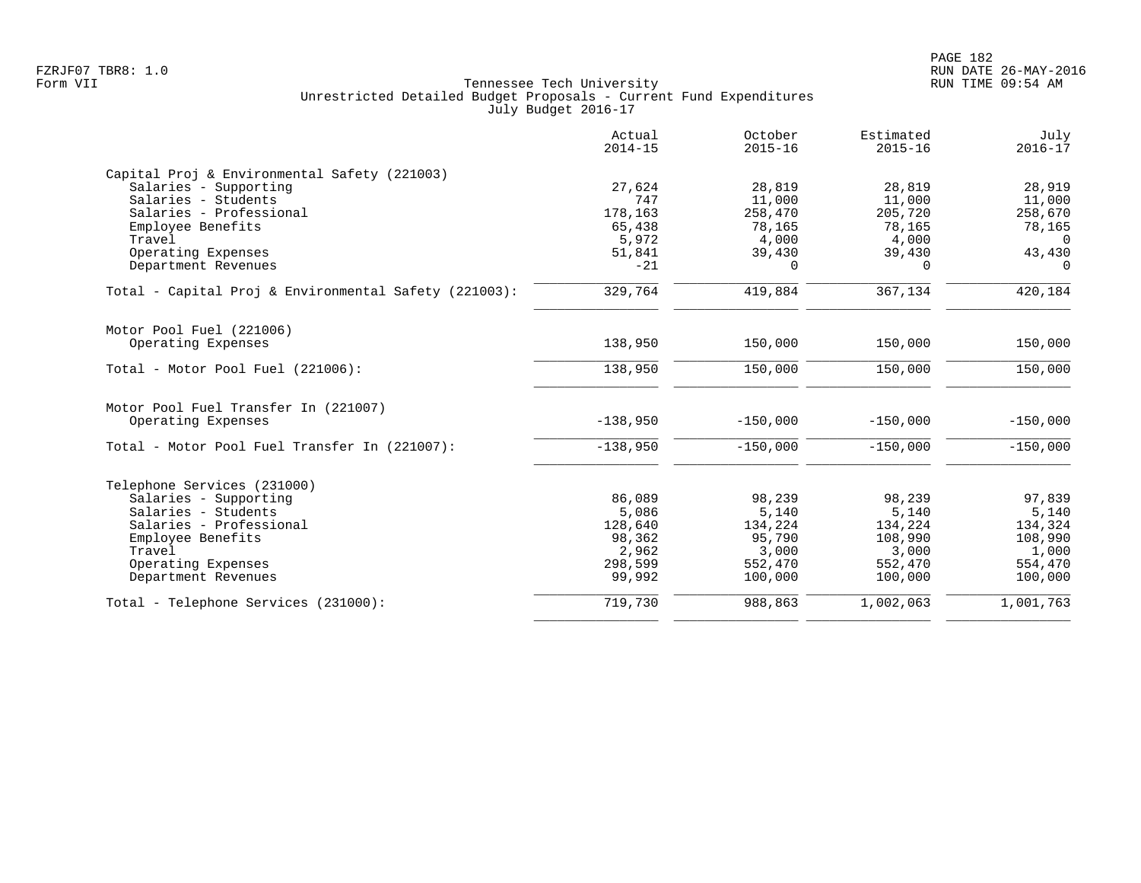|                                                            | Actual<br>$2014 - 15$ | October<br>$2015 - 16$ | Estimated<br>$2015 - 16$ | July<br>$2016 - 17$ |
|------------------------------------------------------------|-----------------------|------------------------|--------------------------|---------------------|
| Capital Proj & Environmental Safety (221003)               |                       |                        |                          |                     |
| Salaries - Supporting                                      | 27,624                | 28,819                 | 28,819                   | 28,919              |
| Salaries - Students                                        | 747                   | 11,000                 | 11,000                   | 11,000              |
| Salaries - Professional                                    | 178,163               | 258,470                | 205,720                  | 258,670             |
| Employee Benefits                                          | 65,438                | 78,165                 | 78,165                   | 78,165              |
| Travel                                                     | 5,972                 | 4,000                  | 4,000                    | $\Omega$            |
| Operating Expenses                                         | 51,841                | 39,430                 | 39,430                   | 43,430              |
| Department Revenues                                        | $-21$                 | $\Omega$               | $\Omega$                 | $\Omega$            |
| Total - Capital Proj & Environmental Safety (221003):      | 329,764               | 419,884                | 367,134                  | 420,184             |
| Motor Pool Fuel (221006)                                   |                       |                        |                          |                     |
| Operating Expenses                                         | 138,950               | 150,000                | 150,000                  | 150,000             |
| Total - Motor Pool Fuel (221006):                          | 138,950               | 150,000                | 150,000                  | 150,000             |
| Motor Pool Fuel Transfer In (221007)<br>Operating Expenses | $-138,950$            | $-150,000$             | $-150,000$               | $-150,000$          |
|                                                            |                       |                        |                          |                     |
| Total - Motor Pool Fuel Transfer In (221007):              | $-138,950$            | $-150,000$             | $-150,000$               | $-150,000$          |
| Telephone Services (231000)                                |                       |                        |                          |                     |
| Salaries - Supporting                                      | 86,089                | 98,239                 | 98,239                   | 97,839              |
| Salaries - Students                                        | 5,086                 | 5,140                  | 5,140                    | 5,140               |
| Salaries - Professional                                    | 128,640               | 134,224                | 134,224                  | 134,324             |
| Employee Benefits                                          | 98,362                | 95,790                 | 108,990                  | 108,990             |
| Travel                                                     | 2,962                 | 3,000                  | 3,000                    | 1,000               |
| Operating Expenses                                         | 298,599               | 552,470                | 552,470                  | 554,470             |
| Department Revenues                                        | 99,992                | 100,000                | 100,000                  | 100,000             |
| Total - Telephone Services (231000):                       | 719,730               | 988,863                | 1,002,063                | 1,001,763           |
|                                                            |                       |                        |                          |                     |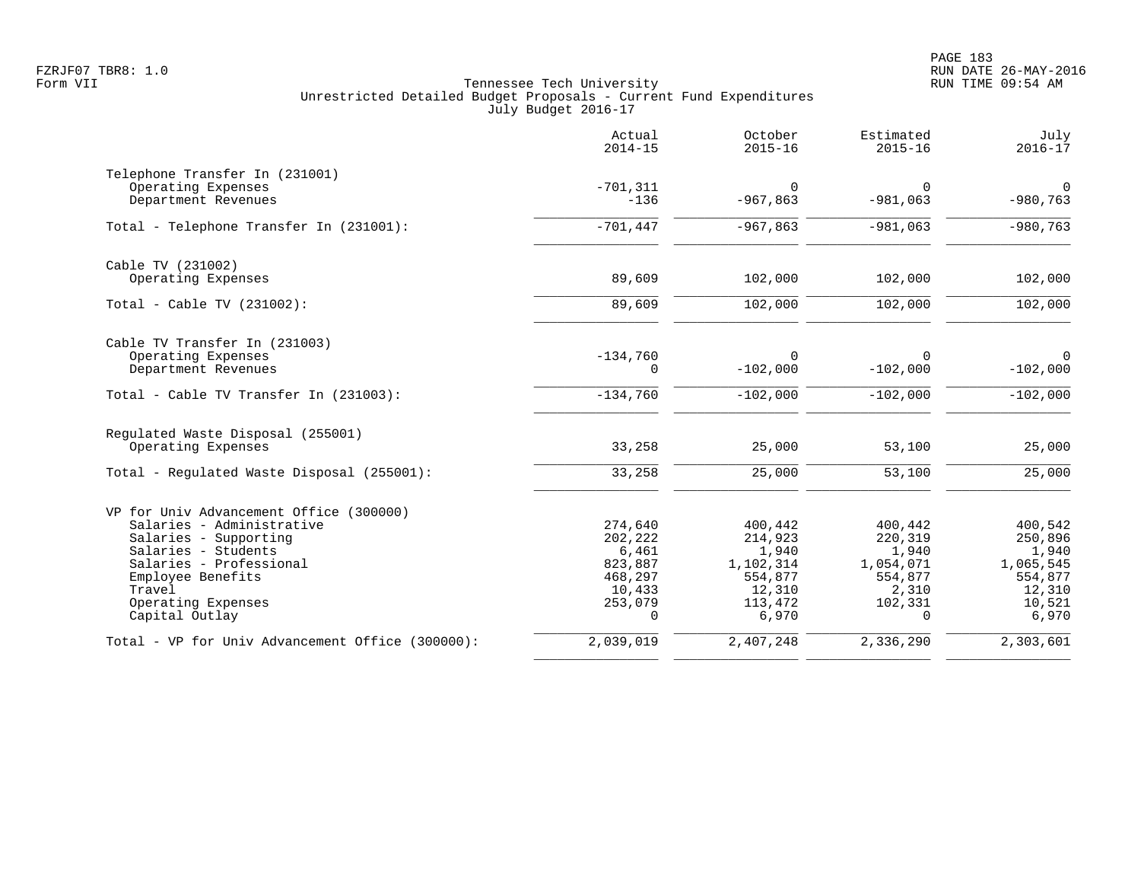|                                                  | Actual<br>$2014 - 15$ | October<br>$2015 - 16$ | Estimated<br>$2015 - 16$ | July<br>$2016 - 17$ |
|--------------------------------------------------|-----------------------|------------------------|--------------------------|---------------------|
| Telephone Transfer In (231001)                   |                       |                        |                          |                     |
| Operating Expenses                               | $-701, 311$           | 0                      | 0                        | $\overline{0}$      |
| Department Revenues                              | $-136$                | $-967,863$             | $-981,063$               | $-980,763$          |
| Total - Telephone Transfer In (231001):          | $-701,447$            | $-967,863$             | $-981,063$               | $-980,763$          |
| Cable TV (231002)                                |                       |                        |                          |                     |
| Operating Expenses                               | 89,609                | 102,000                | 102,000                  | 102,000             |
| Total - Cable TV (231002):                       | 89,609                | 102,000                | 102,000                  | 102,000             |
| Cable TV Transfer In (231003)                    |                       |                        |                          |                     |
| Operating Expenses<br>Department Revenues        | $-134,760$<br>0       | $\Omega$<br>$-102,000$ | 0<br>$-102,000$          | 0<br>$-102,000$     |
| Total - Cable TV Transfer In (231003):           | $-134,760$            | $-102,000$             | $-102,000$               | $-102,000$          |
| Regulated Waste Disposal (255001)                |                       |                        |                          |                     |
| Operating Expenses                               | 33,258                | 25,000                 | 53,100                   | 25,000              |
| Total - Regulated Waste Disposal (255001):       | 33,258                | 25,000                 | 53,100                   | 25,000              |
| VP for Univ Advancement Office (300000)          |                       |                        |                          |                     |
| Salaries - Administrative                        | 274,640               | 400,442                | 400,442                  | 400,542             |
| Salaries - Supporting                            | 202,222               | 214,923                | 220,319                  | 250,896             |
| Salaries - Students                              | 6,461                 | 1,940                  | 1,940                    | 1,940               |
| Salaries - Professional<br>Employee Benefits     | 823,887<br>468,297    | 1,102,314<br>554,877   | 1,054,071<br>554,877     | 1,065,545           |
| Travel                                           | 10,433                | 12,310                 | 2,310                    | 554,877<br>12,310   |
| Operating Expenses                               | 253,079               | 113,472                | 102,331                  | 10,521              |
| Capital Outlay                                   | $\Omega$              | 6,970                  | $\Omega$                 | 6,970               |
| Total - VP for Univ Advancement Office (300000): | 2,039,019             | 2,407,248              | 2,336,290                | 2,303,601           |
|                                                  |                       |                        |                          |                     |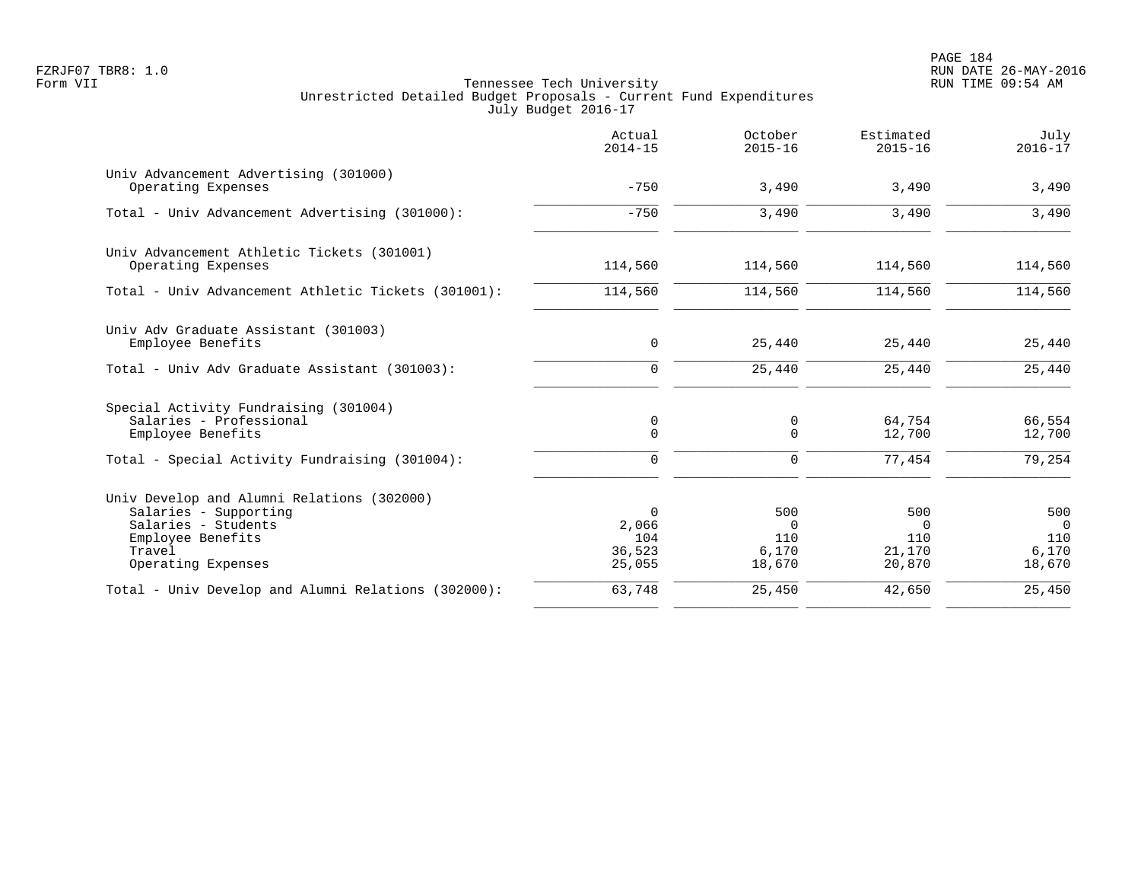PAGE 184 FZRJF07 TBR8: 1.0 RUN DATE 26-MAY-2016

|                                                                                                                                                 | Actual<br>$2014 - 15$                        | October<br>$2015 - 16$                    | Estimated<br>$2015 - 16$                   | July<br>$2016 - 17$                             |
|-------------------------------------------------------------------------------------------------------------------------------------------------|----------------------------------------------|-------------------------------------------|--------------------------------------------|-------------------------------------------------|
| Univ Advancement Advertising (301000)<br>Operating Expenses                                                                                     | $-750$                                       | 3,490                                     | 3,490                                      | 3,490                                           |
| Total - Univ Advancement Advertising (301000):                                                                                                  | $-750$                                       | 3,490                                     | 3,490                                      | 3,490                                           |
| Univ Advancement Athletic Tickets (301001)<br>Operating Expenses                                                                                | 114,560                                      | 114,560                                   | 114,560                                    | 114,560                                         |
| Total - Univ Advancement Athletic Tickets (301001):                                                                                             | 114,560                                      | 114,560                                   | 114,560                                    | 114,560                                         |
| Univ Adv Graduate Assistant (301003)<br>Employee Benefits                                                                                       | 0                                            | 25,440                                    | 25,440                                     | 25,440                                          |
| Total - Univ Adv Graduate Assistant (301003):                                                                                                   | $\mathbf 0$                                  | 25,440                                    | 25,440                                     | 25,440                                          |
| Special Activity Fundraising (301004)<br>Salaries - Professional<br>Employee Benefits                                                           | 0<br>$\mathbf 0$                             | 0<br>0                                    | 64,754<br>12,700                           | 66,554<br>12,700                                |
| Total - Special Activity Fundraising (301004):                                                                                                  | $\mathbf 0$                                  | $\mathbf 0$                               | 77,454                                     | 79,254                                          |
| Univ Develop and Alumni Relations (302000)<br>Salaries - Supporting<br>Salaries - Students<br>Employee Benefits<br>Travel<br>Operating Expenses | $\Omega$<br>2,066<br>104<br>36,523<br>25,055 | 500<br>$\Omega$<br>110<br>6,170<br>18,670 | 500<br>$\Omega$<br>110<br>21,170<br>20,870 | 500<br>$\overline{0}$<br>110<br>6,170<br>18,670 |
| Total - Univ Develop and Alumni Relations (302000):                                                                                             | 63,748                                       | 25,450                                    | 42,650                                     | 25,450                                          |
|                                                                                                                                                 |                                              |                                           |                                            |                                                 |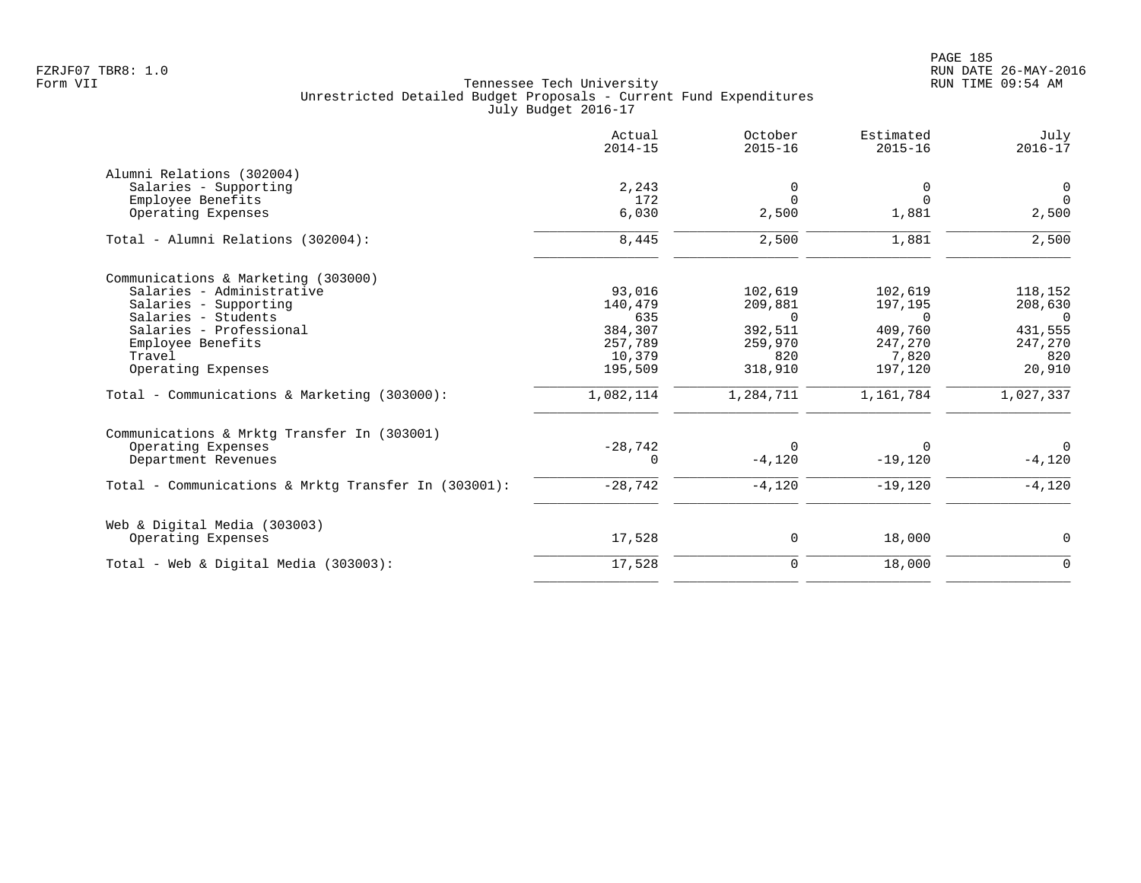PAGE 185 FZRJF07 TBR8: 1.0 RUN DATE 26-MAY-2016

|                                                      | Actual<br>$2014 - 15$ | October<br>$2015 - 16$ | Estimated<br>$2015 - 16$ | July<br>$2016 - 17$ |
|------------------------------------------------------|-----------------------|------------------------|--------------------------|---------------------|
| Alumni Relations (302004)                            |                       |                        |                          |                     |
| Salaries - Supporting                                | 2,243                 | $\Omega$               | 0                        | 0                   |
| Employee Benefits                                    | 172                   | $\Omega$               | $\Omega$                 | $\Omega$            |
| Operating Expenses                                   | 6,030                 | 2,500                  | 1,881                    | 2,500               |
| Total - Alumni Relations (302004):                   | 8,445                 | 2,500                  | 1,881                    | 2,500               |
| Communications & Marketing (303000)                  |                       |                        |                          |                     |
| Salaries - Administrative                            | 93,016                | 102,619                | 102,619                  | 118,152             |
| Salaries - Supporting                                | 140,479               | 209,881                | 197,195                  | 208,630             |
| Salaries - Students                                  | 635                   | $\Omega$               | $\Omega$                 | $\Omega$            |
| Salaries - Professional                              | 384,307               | 392,511                | 409,760                  | 431,555             |
| Employee Benefits                                    | 257,789               | 259,970                | 247,270                  | 247,270             |
| Travel                                               | 10,379                | 820                    | 7,820                    | 820                 |
| Operating Expenses                                   | 195,509               | 318,910                | 197,120                  | 20,910              |
| Total - Communications & Marketing (303000):         | 1,082,114             | 1,284,711              | 1,161,784                | 1,027,337           |
| Communications & Mrktg Transfer In (303001)          |                       |                        |                          |                     |
| Operating Expenses                                   | $-28,742$             | $\Omega$               | $\Omega$                 | $\Omega$            |
| Department Revenues                                  | $\Omega$              | $-4,120$               | $-19,120$                | $-4,120$            |
| Total - Communications & Mrktg Transfer In (303001): | $-28,742$             | $-4,120$               | $-19,120$                | $-4,120$            |
| Web & Digital Media (303003)                         |                       |                        |                          |                     |
| Operating Expenses                                   | 17,528                | $\mathbf 0$            | 18,000                   | $\mathbf 0$         |
| Total - Web & Digital Media $(303003)$ :             | 17,528                | $\mathbf 0$            | 18,000                   | $\mathbf 0$         |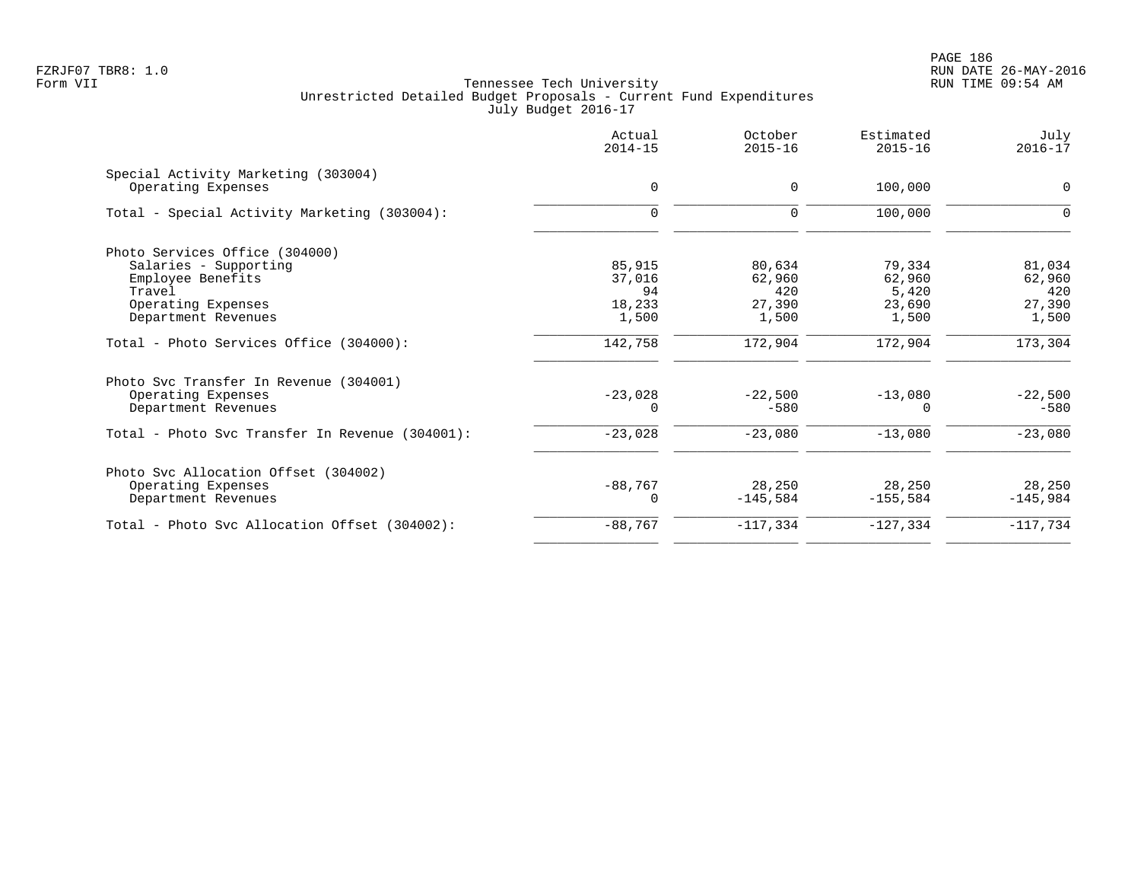PAGE 186 FZRJF07 TBR8: 1.0 RUN DATE 26-MAY-2016

| Actual<br>$2014 - 15$ | October<br>$2015 - 16$                       | Estimated<br>$2015 - 16$                   | July<br>$2016 - 17$                          |
|-----------------------|----------------------------------------------|--------------------------------------------|----------------------------------------------|
| $\mathbf 0$           | 0                                            | 100,000                                    | 0                                            |
| $\mathbf 0$           | 0                                            | 100,000                                    | $\Omega$                                     |
|                       |                                              |                                            |                                              |
| 85,915                | 80,634                                       | 79,334                                     | 81,034                                       |
|                       |                                              |                                            | 62,960                                       |
|                       |                                              |                                            | 420                                          |
|                       |                                              |                                            | 27,390                                       |
|                       |                                              |                                            | 1,500                                        |
| 142,758               | 172,904                                      | 172,904                                    | 173,304                                      |
|                       |                                              |                                            |                                              |
| $-23,028$             | $-22,500$                                    | $-13,080$                                  | $-22,500$                                    |
|                       | $-580$                                       | $\Omega$                                   | $-580$                                       |
| $-23,028$             | $-23,080$                                    | $-13,080$                                  | $-23,080$                                    |
|                       |                                              |                                            |                                              |
|                       |                                              |                                            | 28,250                                       |
| $\Omega$              | $-145,584$                                   | $-155,584$                                 | $-145,984$                                   |
| $-88,767$             | $-117, 334$                                  | $-127, 334$                                | $-117,734$                                   |
|                       | 37,016<br>94<br>18,233<br>1,500<br>$-88,767$ | 62,960<br>420<br>27,390<br>1,500<br>28,250 | 62,960<br>5,420<br>23,690<br>1,500<br>28,250 |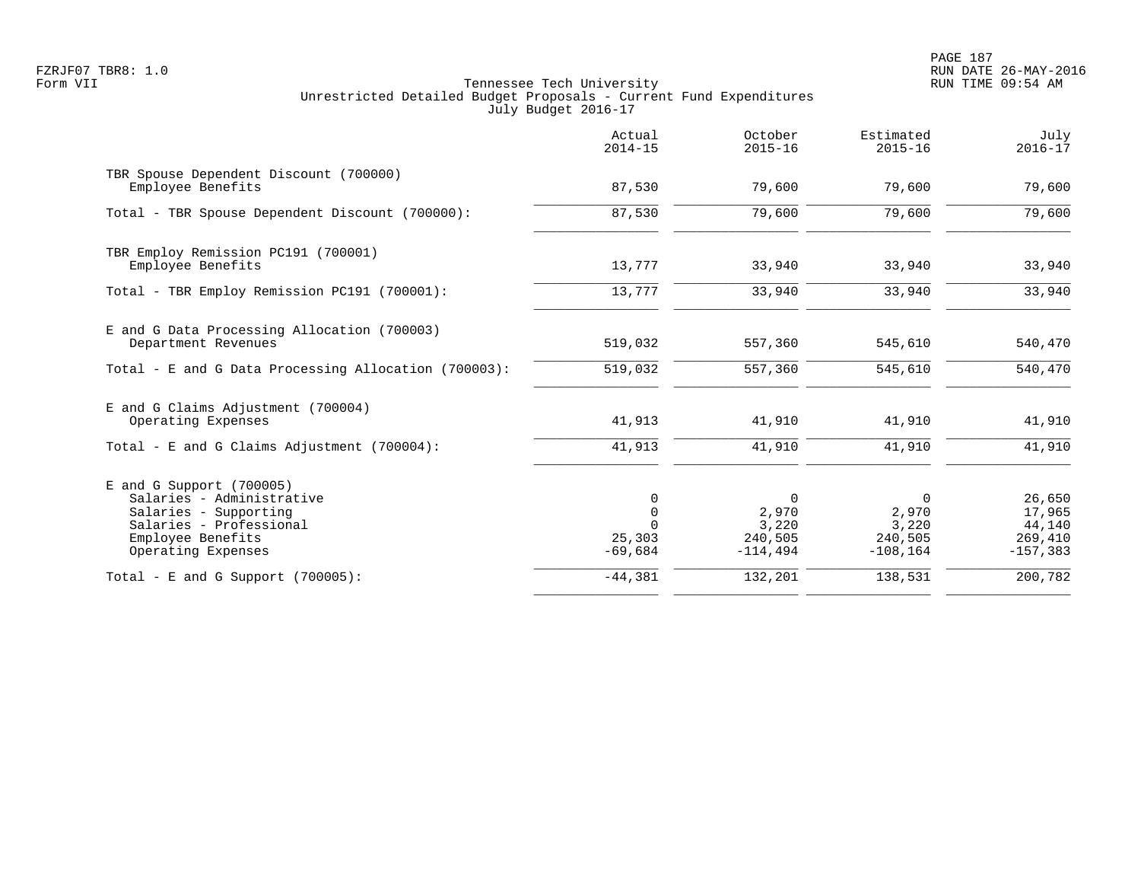PAGE 187 FZRJF07 TBR8: 1.0 RUN DATE 26-MAY-2016

|                                                                                                                                                        | Actual<br>$2014 - 15$                   | October<br>$2015 - 16$                        | Estimated<br>$2015 - 16$                      | July<br>$2016 - 17$                                  |
|--------------------------------------------------------------------------------------------------------------------------------------------------------|-----------------------------------------|-----------------------------------------------|-----------------------------------------------|------------------------------------------------------|
| TBR Spouse Dependent Discount (700000)<br>Employee Benefits                                                                                            | 87,530                                  | 79,600                                        | 79,600                                        | 79,600                                               |
| Total - TBR Spouse Dependent Discount (700000):                                                                                                        | 87,530                                  | 79,600                                        | 79,600                                        | 79,600                                               |
| TBR Employ Remission PC191 (700001)<br>Employee Benefits                                                                                               | 13,777                                  | 33,940                                        | 33,940                                        | 33,940                                               |
| Total - TBR Employ Remission PC191 (700001):                                                                                                           | 13,777                                  | 33,940                                        | 33,940                                        | 33,940                                               |
| E and G Data Processing Allocation (700003)<br>Department Revenues                                                                                     | 519,032                                 | 557,360                                       | 545,610                                       | 540,470                                              |
| Total - E and G Data Processing Allocation (700003):                                                                                                   | 519,032                                 | 557,360                                       | 545,610                                       | 540,470                                              |
| E and G Claims Adjustment (700004)<br>Operating Expenses                                                                                               | 41,913                                  | 41,910                                        | 41,910                                        | 41,910                                               |
| Total - E and G Claims Adjustment $(700004)$ :                                                                                                         | 41,913                                  | 41,910                                        | 41,910                                        | 41,910                                               |
| $E$ and G Support (700005)<br>Salaries - Administrative<br>Salaries - Supporting<br>Salaries - Professional<br>Employee Benefits<br>Operating Expenses | 0<br>$\mathbf 0$<br>25,303<br>$-69,684$ | 0<br>2,970<br>3,220<br>240,505<br>$-114, 494$ | 0<br>2,970<br>3,220<br>240,505<br>$-108, 164$ | 26,650<br>17,965<br>44,140<br>269,410<br>$-157, 383$ |
| Total - E and G Support $(700005)$ :                                                                                                                   | $-44,381$                               | 132,201                                       | 138,531                                       | 200,782                                              |
|                                                                                                                                                        |                                         |                                               |                                               |                                                      |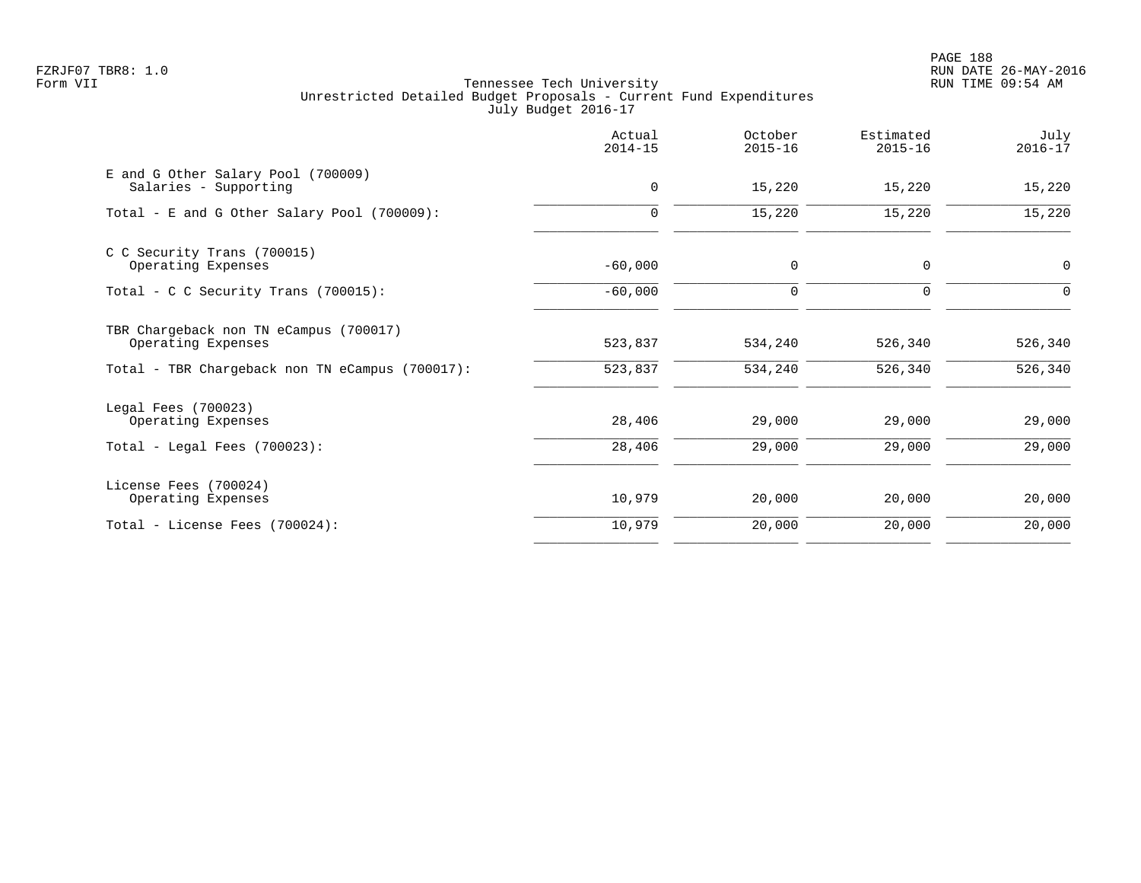PAGE 188 FZRJF07 TBR8: 1.0 RUN DATE 26-MAY-2016

|                                                              | Actual<br>$2014 - 15$ | October<br>$2015 - 16$ | Estimated<br>$2015 - 16$ | July<br>$2016 - 17$ |
|--------------------------------------------------------------|-----------------------|------------------------|--------------------------|---------------------|
| E and G Other Salary Pool (700009)<br>Salaries - Supporting  | $\mathbf 0$           | 15,220                 | 15,220                   | 15,220              |
| Total - E and G Other Salary Pool (700009):                  | 0                     | 15,220                 | 15,220                   | 15,220              |
| C C Security Trans (700015)<br>Operating Expenses            | $-60,000$             | $\mathbf 0$            | 0                        | $\mathbf 0$         |
| Total - C C Security Trans $(700015)$ :                      | $-60,000$             | $\Omega$               | $\Omega$                 | $\Omega$            |
| TBR Chargeback non TN eCampus (700017)<br>Operating Expenses | 523,837               | 534,240                | 526,340                  | 526,340             |
| Total - TBR Chargeback non TN eCampus (700017):              | 523,837               | 534,240                | 526,340                  | 526,340             |
| Legal Fees (700023)<br>Operating Expenses                    | 28,406                | 29,000                 | 29,000                   | 29,000              |
| Total - Legal Fees $(700023)$ :                              | 28,406                | 29,000                 | 29,000                   | 29,000              |
| License Fees (700024)<br>Operating Expenses                  | 10,979                | 20,000                 | 20,000                   | 20,000              |
| Total - License Fees (700024):                               | 10,979                | 20,000                 | 20,000                   | 20,000              |
|                                                              |                       |                        |                          |                     |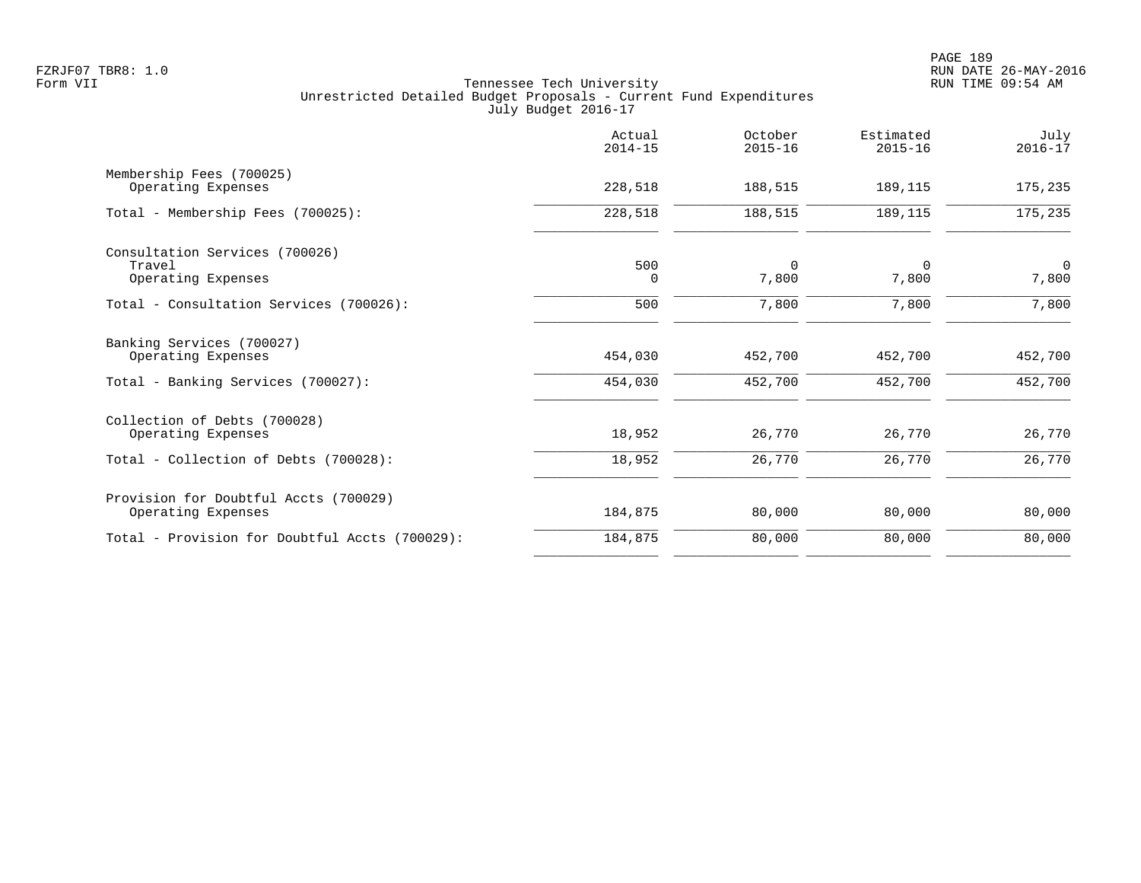|                                                                                       | Actual<br>$2014 - 15$ | October<br>$2015 - 16$ | Estimated<br>$2015 - 16$ | July<br>$2016 - 17$  |
|---------------------------------------------------------------------------------------|-----------------------|------------------------|--------------------------|----------------------|
| Membership Fees (700025)<br>Operating Expenses                                        | 228,518               | 188,515                | 189,115                  | 175,235              |
| Total - Membership Fees (700025):                                                     | 228,518               | 188,515                | 189,115                  | 175,235              |
| Consultation Services (700026)<br>Travel<br>Operating Expenses                        | 500<br>$\Omega$       | 0<br>7,800             | 0<br>7,800               | $\mathbf 0$<br>7,800 |
| Total - Consultation Services (700026):                                               | 500                   | 7,800                  | 7,800                    | 7,800                |
| Banking Services (700027)<br>Operating Expenses<br>Total - Banking Services (700027): | 454,030<br>454,030    | 452,700<br>452,700     | 452,700<br>452,700       | 452,700<br>452,700   |
| Collection of Debts (700028)<br>Operating Expenses                                    | 18,952                | 26,770                 | 26,770                   | 26,770               |
| Total - Collection of Debts (700028):                                                 | 18,952                | 26,770                 | 26,770                   | 26,770               |
| Provision for Doubtful Accts (700029)<br>Operating Expenses                           | 184,875               | 80,000                 | 80,000                   | 80,000               |
| Total - Provision for Doubtful Accts (700029):                                        | 184,875               | 80,000                 | 80,000                   | 80,000               |
|                                                                                       |                       |                        |                          |                      |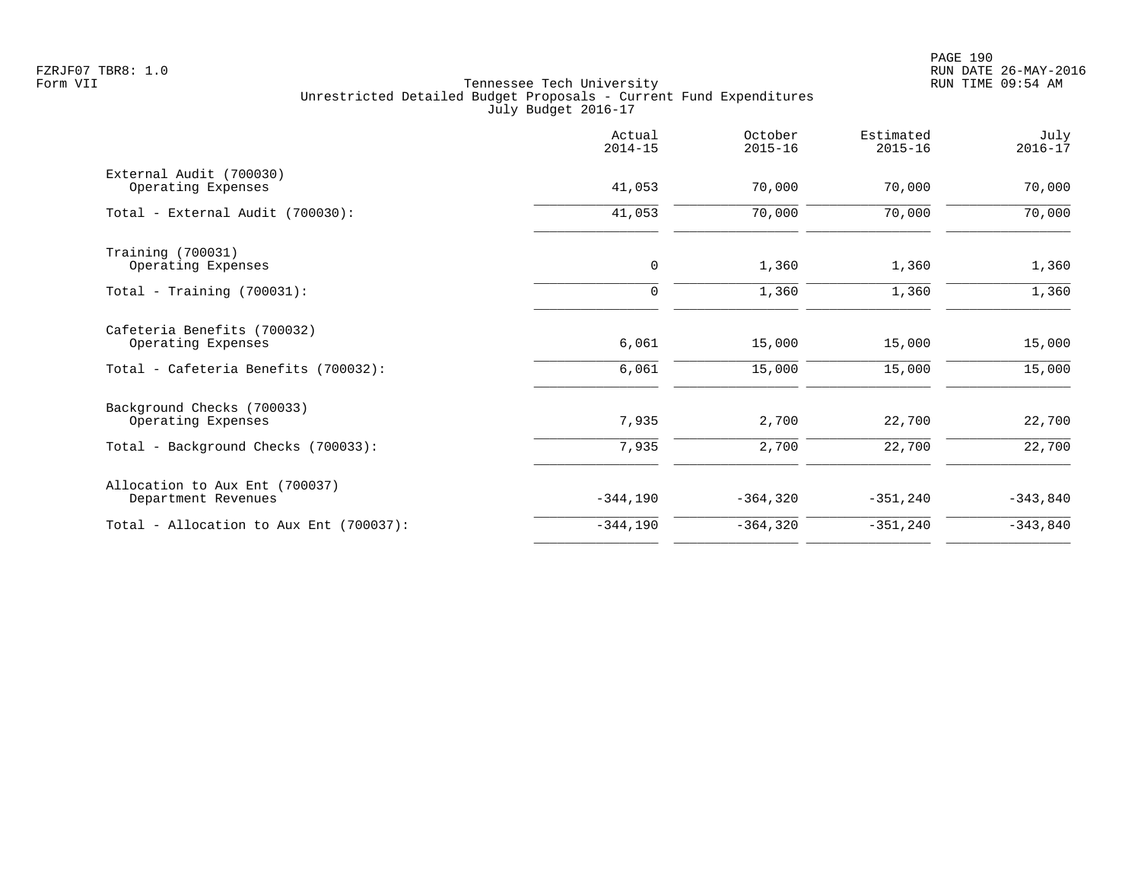|                                                       | Actual<br>$2014 - 15$ | October<br>$2015 - 16$ | Estimated<br>$2015 - 16$ | July<br>$2016 - 17$ |
|-------------------------------------------------------|-----------------------|------------------------|--------------------------|---------------------|
| External Audit (700030)<br>Operating Expenses         | 41,053                | 70,000                 | 70,000                   | 70,000              |
| Total - External Audit (700030):                      | 41,053                | 70,000                 | 70,000                   | 70,000              |
| Training (700031)<br>Operating Expenses               | 0                     | 1,360                  | 1,360                    | 1,360               |
| Total - Training $(700031)$ :                         | 0                     | 1,360                  | 1,360                    | 1,360               |
| Cafeteria Benefits (700032)<br>Operating Expenses     | 6,061                 | 15,000                 | 15,000                   | 15,000              |
| Total - Cafeteria Benefits (700032):                  | 6,061                 | 15,000                 | 15,000                   | 15,000              |
| Background Checks (700033)<br>Operating Expenses      | 7,935                 | 2,700                  | 22,700                   | 22,700              |
| Total - Background Checks (700033):                   | 7,935                 | 2,700                  | 22,700                   | 22,700              |
| Allocation to Aux Ent (700037)<br>Department Revenues | $-344,190$            | $-364, 320$            | $-351, 240$              | $-343,840$          |
| Total - Allocation to Aux Ent (700037):               | $-344,190$            | $-364, 320$            | $-351, 240$              | $-343,840$          |
|                                                       |                       |                        |                          |                     |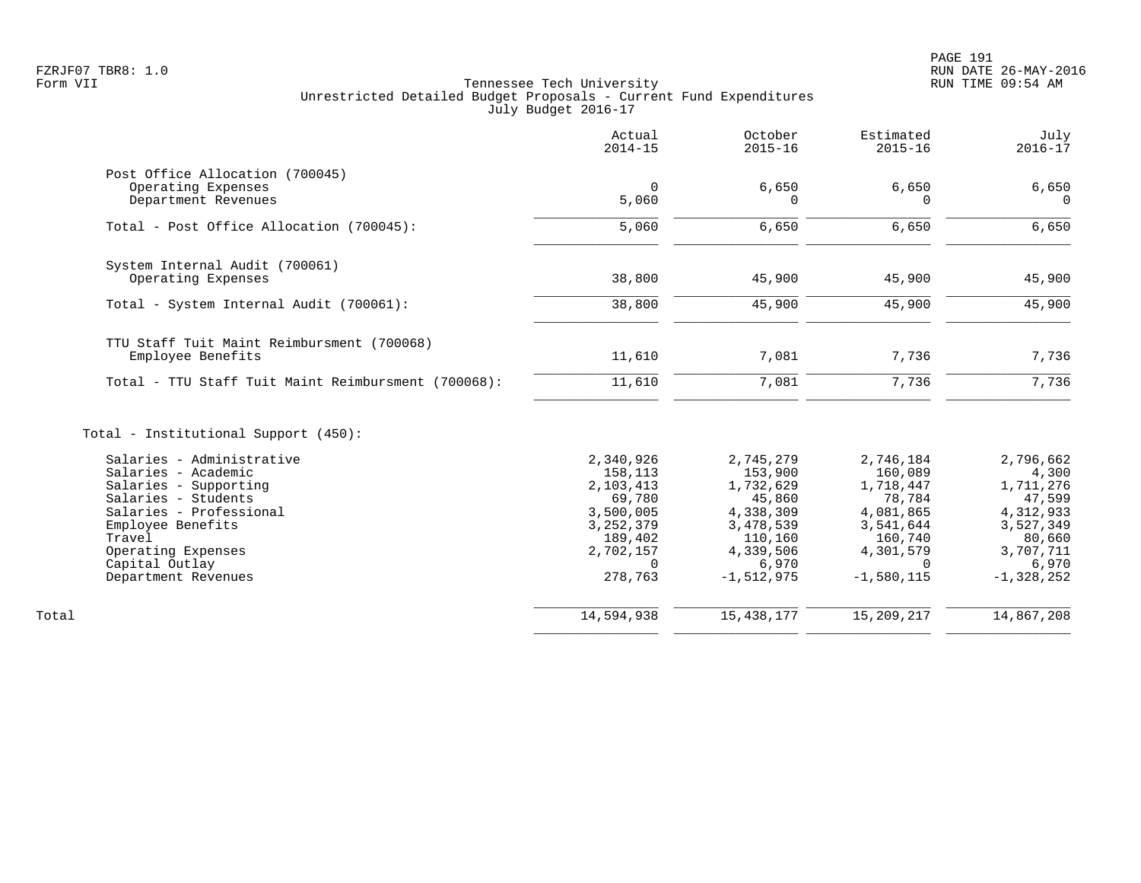|                                                                                                                                                                                                                           | Actual<br>$2014 - 15$                                                                                                  | October<br>$2015 - 16$                                                                                                 | Estimated<br>$2015 - 16$                                                                                                  | July<br>$2016 - 17$                                                                                                 |
|---------------------------------------------------------------------------------------------------------------------------------------------------------------------------------------------------------------------------|------------------------------------------------------------------------------------------------------------------------|------------------------------------------------------------------------------------------------------------------------|---------------------------------------------------------------------------------------------------------------------------|---------------------------------------------------------------------------------------------------------------------|
| Post Office Allocation (700045)<br>Operating Expenses<br>Department Revenues                                                                                                                                              | $\mathbf 0$<br>5,060                                                                                                   | 6,650<br>$\Omega$                                                                                                      | 6,650<br>$\Omega$                                                                                                         | 6,650<br>$\Omega$                                                                                                   |
| Total - Post Office Allocation (700045):                                                                                                                                                                                  | 5,060                                                                                                                  | 6,650                                                                                                                  | 6,650                                                                                                                     | 6,650                                                                                                               |
| System Internal Audit (700061)<br>Operating Expenses                                                                                                                                                                      | 38,800                                                                                                                 | 45,900                                                                                                                 | 45,900                                                                                                                    | 45,900                                                                                                              |
| Total - System Internal Audit (700061):                                                                                                                                                                                   | 38,800                                                                                                                 | 45,900                                                                                                                 | 45,900                                                                                                                    | 45,900                                                                                                              |
| TTU Staff Tuit Maint Reimbursment (700068)<br>Employee Benefits                                                                                                                                                           | 11,610                                                                                                                 | 7,081                                                                                                                  | 7,736                                                                                                                     | 7,736                                                                                                               |
| Total - TTU Staff Tuit Maint Reimbursment (700068):                                                                                                                                                                       | 11,610                                                                                                                 | 7,081                                                                                                                  | 7,736                                                                                                                     | 7,736                                                                                                               |
| Total - Institutional Support (450):                                                                                                                                                                                      |                                                                                                                        |                                                                                                                        |                                                                                                                           |                                                                                                                     |
| Salaries - Administrative<br>Salaries - Academic<br>Salaries - Supporting<br>Salaries - Students<br>Salaries - Professional<br>Employee Benefits<br>Travel<br>Operating Expenses<br>Capital Outlay<br>Department Revenues | 2,340,926<br>158,113<br>2,103,413<br>69,780<br>3,500,005<br>3, 252, 379<br>189,402<br>2,702,157<br>$\Omega$<br>278,763 | 2,745,279<br>153,900<br>1,732,629<br>45,860<br>4,338,309<br>3,478,539<br>110,160<br>4,339,506<br>6,970<br>$-1,512,975$ | 2,746,184<br>160,089<br>1,718,447<br>78,784<br>4,081,865<br>3,541,644<br>160,740<br>4,301,579<br>$\Omega$<br>$-1,580,115$ | 2,796,662<br>4,300<br>1,711,276<br>47,599<br>4,312,933<br>3,527,349<br>80,660<br>3,707,711<br>6,970<br>$-1,328,252$ |
| Total                                                                                                                                                                                                                     | 14,594,938                                                                                                             | 15, 438, 177                                                                                                           | 15,209,217                                                                                                                | 14,867,208                                                                                                          |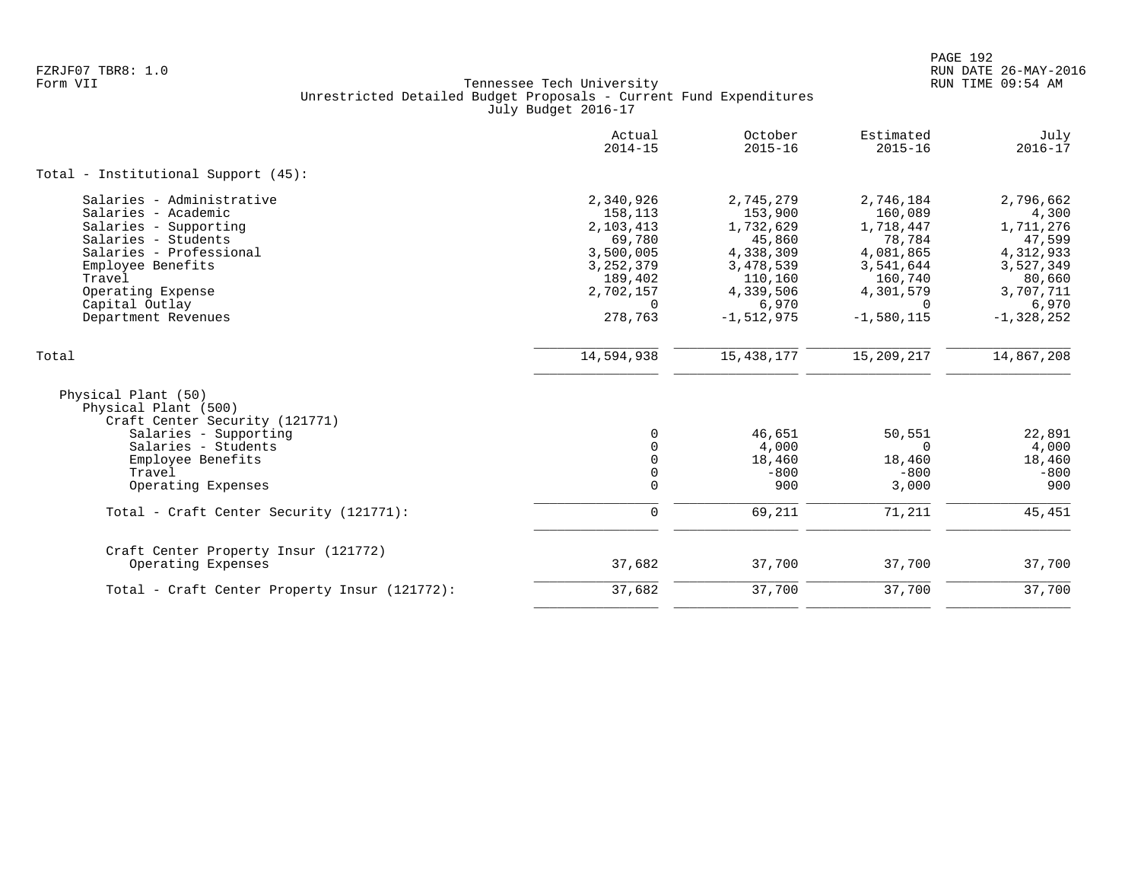|                                                                                                                                                                                                                          | Actual<br>$2014 - 15$                                                                                                  | October<br>$2015 - 16$                                                                                                 | Estimated<br>$2015 - 16$                                                                                                  | July<br>$2016 - 17$                                                                                                 |
|--------------------------------------------------------------------------------------------------------------------------------------------------------------------------------------------------------------------------|------------------------------------------------------------------------------------------------------------------------|------------------------------------------------------------------------------------------------------------------------|---------------------------------------------------------------------------------------------------------------------------|---------------------------------------------------------------------------------------------------------------------|
| Total - Institutional Support (45):                                                                                                                                                                                      |                                                                                                                        |                                                                                                                        |                                                                                                                           |                                                                                                                     |
| Salaries - Administrative<br>Salaries - Academic<br>Salaries - Supporting<br>Salaries - Students<br>Salaries - Professional<br>Employee Benefits<br>Travel<br>Operating Expense<br>Capital Outlay<br>Department Revenues | 2,340,926<br>158,113<br>2,103,413<br>69,780<br>3,500,005<br>3, 252, 379<br>189,402<br>2,702,157<br>$\Omega$<br>278,763 | 2,745,279<br>153,900<br>1,732,629<br>45,860<br>4,338,309<br>3,478,539<br>110,160<br>4,339,506<br>6,970<br>$-1,512,975$ | 2,746,184<br>160,089<br>1,718,447<br>78,784<br>4,081,865<br>3,541,644<br>160,740<br>4,301,579<br>$\Omega$<br>$-1,580,115$ | 2,796,662<br>4,300<br>1,711,276<br>47,599<br>4,312,933<br>3,527,349<br>80,660<br>3,707,711<br>6,970<br>$-1,328,252$ |
| Total                                                                                                                                                                                                                    | 14,594,938                                                                                                             | 15, 438, 177                                                                                                           | 15,209,217                                                                                                                | 14,867,208                                                                                                          |
| Physical Plant (50)<br>Physical Plant (500)<br>Craft Center Security (121771)<br>Salaries - Supporting<br>Salaries - Students<br>Employee Benefits<br>Travel<br>Operating Expenses                                       | $\Omega$<br>0<br>0<br>0<br>$\mathbf 0$                                                                                 | 46,651<br>4,000<br>18,460<br>$-800$<br>900                                                                             | 50,551<br>$\Omega$<br>18,460<br>$-800$<br>3,000                                                                           | 22,891<br>4,000<br>18,460<br>$-800$<br>900                                                                          |
| Total - Craft Center Security (121771):                                                                                                                                                                                  | $\mathbf 0$                                                                                                            | 69,211                                                                                                                 | 71,211                                                                                                                    | 45, 451                                                                                                             |
| Craft Center Property Insur (121772)<br>Operating Expenses                                                                                                                                                               | 37,682                                                                                                                 | 37,700                                                                                                                 | 37,700                                                                                                                    | 37,700                                                                                                              |
| Total - Craft Center Property Insur (121772):                                                                                                                                                                            | 37,682                                                                                                                 | 37,700                                                                                                                 | 37,700                                                                                                                    | 37,700                                                                                                              |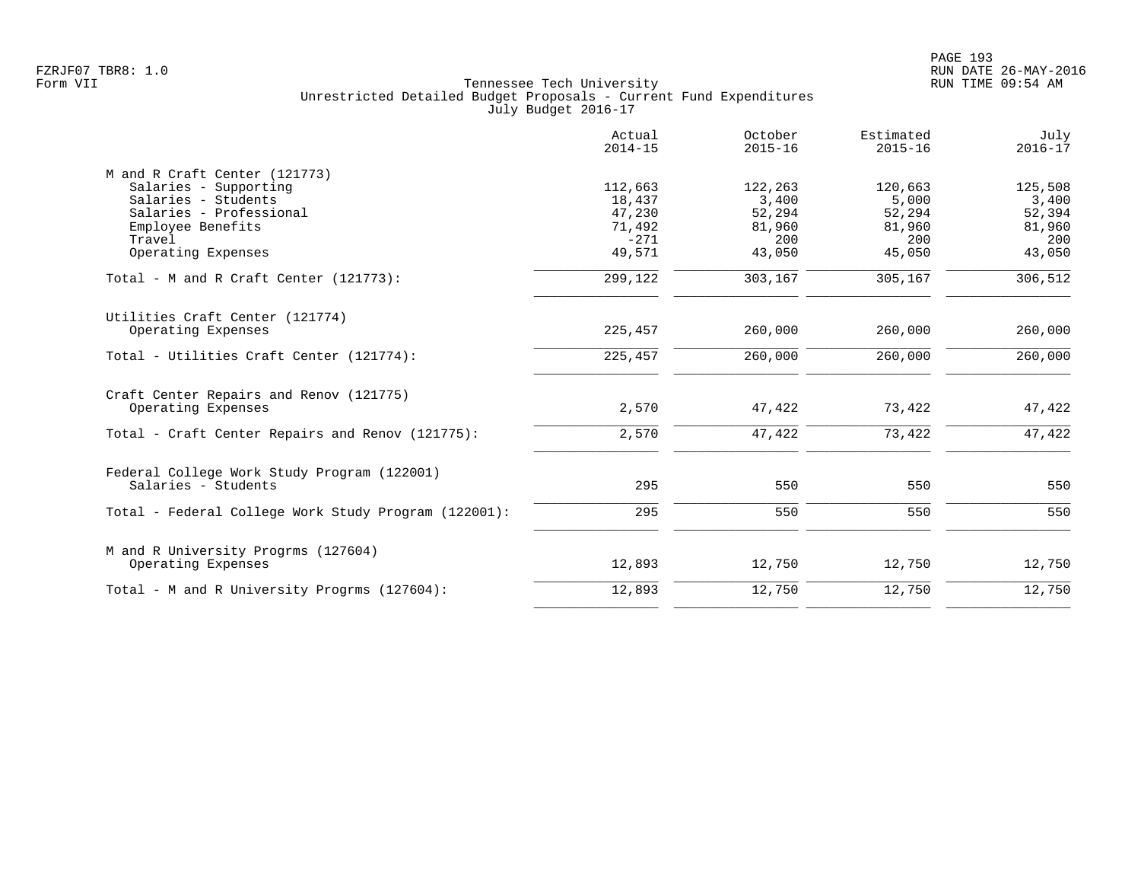|                                                           | Actual<br>$2014 - 15$ | October<br>$2015 - 16$ | Estimated<br>$2015 - 16$ | July<br>$2016 - 17$ |
|-----------------------------------------------------------|-----------------------|------------------------|--------------------------|---------------------|
| M and R Craft Center (121773)                             |                       |                        |                          |                     |
| Salaries - Supporting                                     | 112,663               | 122,263                | 120,663                  | 125,508             |
| Salaries - Students                                       | 18,437                | 3,400                  | 5,000                    | 3,400               |
| Salaries - Professional                                   | 47,230                | 52,294                 | 52,294                   | 52,394              |
| Employee Benefits                                         | 71,492                | 81,960                 | 81,960                   | 81,960              |
| Travel                                                    | $-271$                | 200                    | 200                      | 200                 |
| Operating Expenses                                        | 49,571                | 43,050                 | 45,050                   | 43,050              |
| Total - M and R Craft Center $(121773)$ :                 | 299,122               | 303,167                | 305,167                  | 306,512             |
| Utilities Craft Center (121774)                           |                       |                        |                          |                     |
| Operating Expenses                                        | 225,457               | 260,000                | 260,000                  | 260,000             |
| Total - Utilities Craft Center (121774):                  | 225,457               | 260,000                | 260,000                  | 260,000             |
| Craft Center Repairs and Renov (121775)                   |                       |                        |                          |                     |
| Operating Expenses                                        | 2,570                 | 47,422                 | 73,422                   | 47,422              |
| Total - Craft Center Repairs and Renov (121775):          | 2,570                 | 47,422                 | 73,422                   | 47,422              |
| Federal College Work Study Program (122001)               |                       |                        |                          |                     |
| Salaries - Students                                       | 295                   | 550                    | 550                      | 550                 |
| Total - Federal College Work Study Program (122001):      | 295                   | 550                    | 550                      | 550                 |
|                                                           |                       |                        |                          |                     |
| M and R University Progrms (127604)<br>Operating Expenses | 12,893                | 12,750                 | 12,750                   | 12,750              |
| Total - M and R University Progrms (127604):              | 12,893                | 12,750                 | 12,750                   | 12,750              |
|                                                           |                       |                        |                          |                     |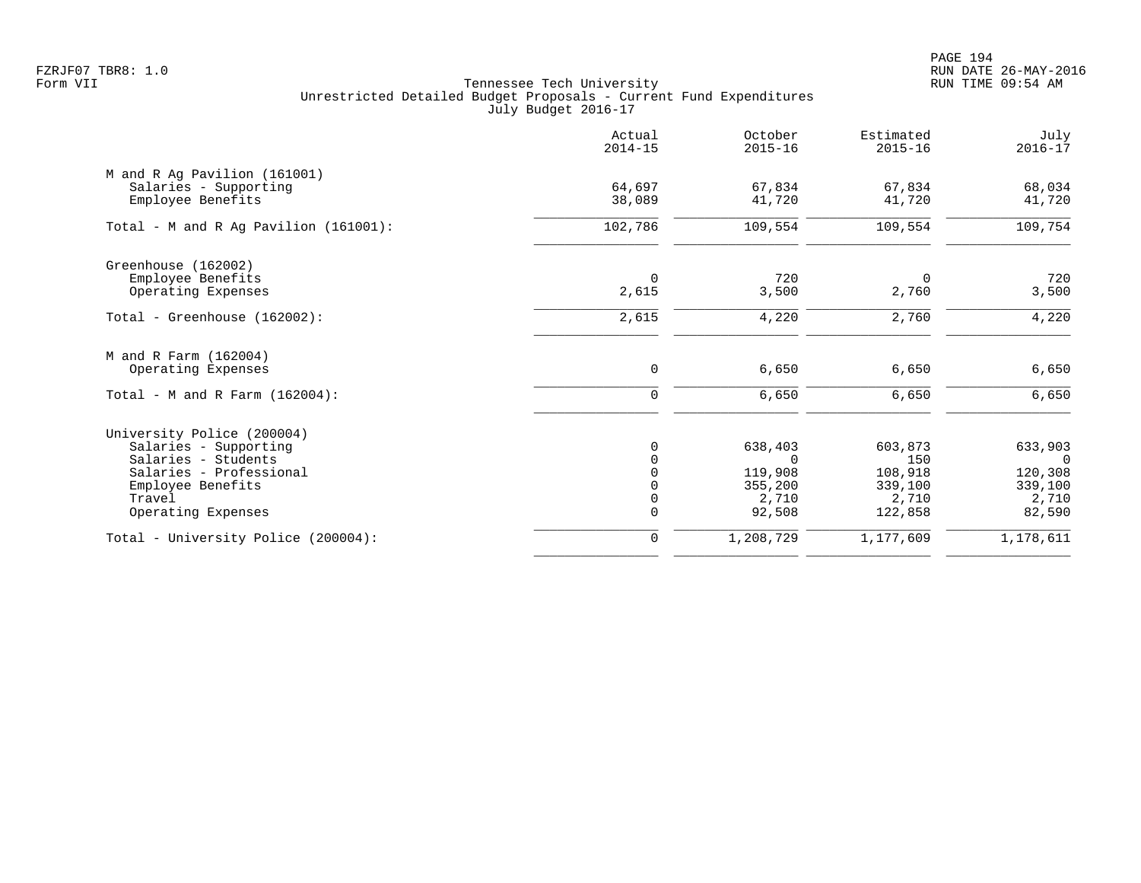|                                                       | Actual<br>$2014 - 15$ | October<br>$2015 - 16$ | Estimated<br>$2015 - 16$ | July<br>$2016 - 17$ |
|-------------------------------------------------------|-----------------------|------------------------|--------------------------|---------------------|
| M and R Ag Pavilion (161001)<br>Salaries - Supporting | 64,697                | 67,834                 | 67,834                   | 68,034              |
| Employee Benefits                                     | 38,089                | 41,720                 | 41,720                   | 41,720              |
| Total - M and R Aq Pavilion $(161001)$ :              | 102,786               | 109,554                | 109,554                  | 109,754             |
| Greenhouse (162002)                                   |                       |                        |                          |                     |
| Employee Benefits<br>Operating Expenses               | $\Omega$<br>2,615     | 720<br>3,500           | 0<br>2,760               | 720<br>3,500        |
| Total - Greenhouse (162002):                          | 2,615                 | 4,220                  | 2,760                    | 4,220               |
| M and R Farm (162004)                                 |                       |                        |                          |                     |
| Operating Expenses                                    | 0                     | 6,650                  | 6,650                    | 6,650               |
| Total - M and R Farm $(162004)$ :                     | $\mathbf 0$           | 6,650                  | 6,650                    | 6,650               |
| University Police (200004)                            |                       |                        |                          |                     |
| Salaries - Supporting                                 | $\Omega$              | 638,403                | 603,873                  | 633,903             |
| Salaries - Students                                   |                       | $\Omega$               | 150                      | $\Omega$            |
| Salaries - Professional<br>Employee Benefits          |                       | 119,908<br>355,200     | 108,918<br>339,100       | 120,308<br>339,100  |
| Travel                                                | $\Omega$              | 2,710                  | 2,710                    | 2,710               |
| Operating Expenses                                    | $\mathbf 0$           | 92,508                 | 122,858                  | 82,590              |
| Total - University Police (200004):                   | $\mathbf 0$           | 1,208,729              | 1,177,609                | 1,178,611           |
|                                                       |                       |                        |                          |                     |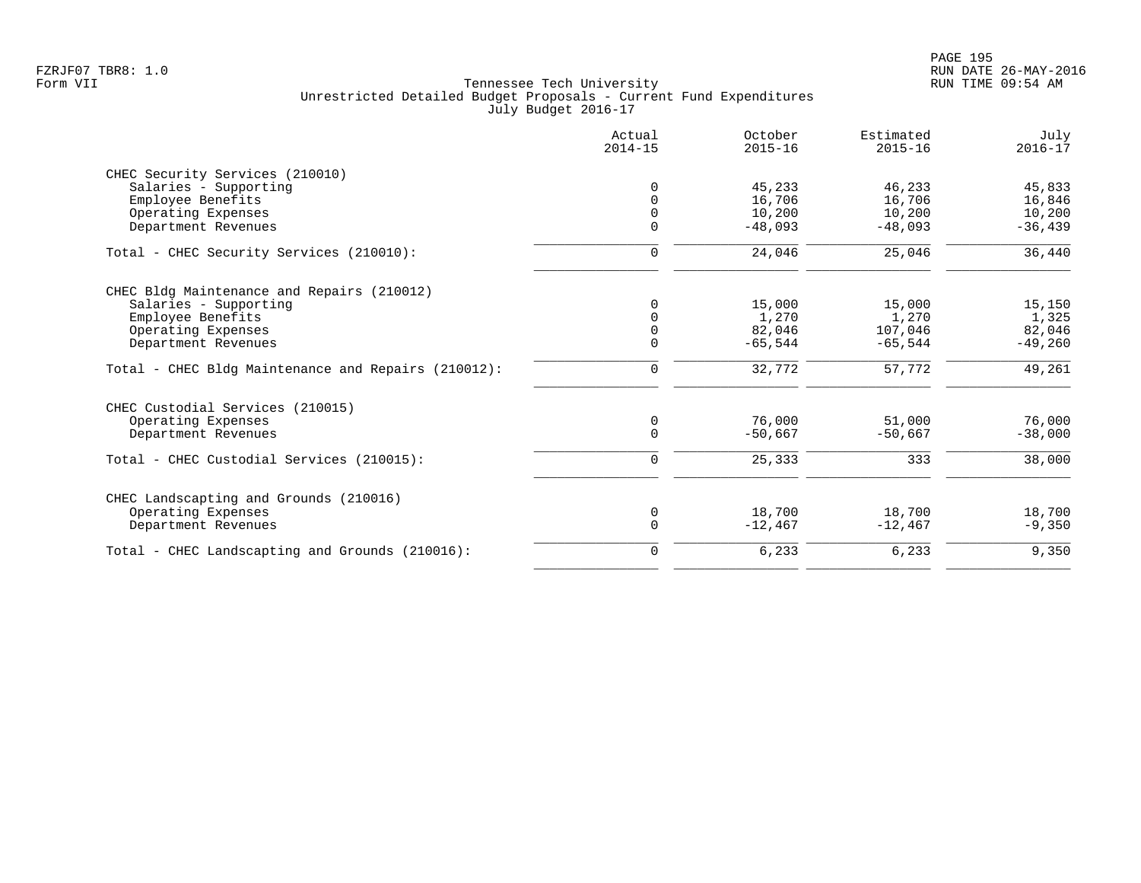|                                                     | Actual<br>$2014 - 15$ | October<br>$2015 - 16$ | Estimated<br>$2015 - 16$ | July<br>$2016 - 17$ |
|-----------------------------------------------------|-----------------------|------------------------|--------------------------|---------------------|
| CHEC Security Services (210010)                     |                       |                        |                          |                     |
| Salaries - Supporting                               | 0                     | 45,233                 | 46,233                   | 45,833              |
| Employee Benefits                                   | $\Omega$              | 16,706                 | 16,706                   | 16,846              |
| Operating Expenses                                  | 0                     | 10,200                 | 10,200                   | 10,200              |
| Department Revenues                                 | $\Omega$              | $-48,093$              | $-48,093$                | $-36, 439$          |
| Total - CHEC Security Services (210010):            | $\mathbf 0$           | 24,046                 | 25,046                   | 36,440              |
| CHEC Bldg Maintenance and Repairs (210012)          |                       |                        |                          |                     |
| Salaries - Supporting                               | $\Omega$              | 15,000                 | 15,000                   | 15,150              |
| Employee Benefits                                   | $\Omega$              | 1,270                  | 1,270                    | 1,325               |
| Operating Expenses                                  | $\mathbf 0$           | 82,046                 | 107,046                  | 82,046              |
| Department Revenues                                 | $\Omega$              | $-65,544$              | $-65,544$                | $-49,260$           |
| Total - CHEC Bldg Maintenance and Repairs (210012): | 0                     | 32,772                 | 57,772                   | 49,261              |
| CHEC Custodial Services (210015)                    |                       |                        |                          |                     |
| Operating Expenses                                  | 0                     | 76,000                 | 51,000                   | 76,000              |
| Department Revenues                                 | $\mathbf 0$           | $-50.667$              | $-50.667$                | $-38,000$           |
| Total - CHEC Custodial Services (210015):           | $\mathbf 0$           | 25,333                 | 333                      | 38,000              |
| CHEC Landscapting and Grounds (210016)              |                       |                        |                          |                     |
| Operating Expenses                                  | 0                     | 18,700                 | 18,700                   | 18,700              |
| Department Revenues                                 | $\mathbf 0$           | $-12,467$              | $-12,467$                | $-9,350$            |
| Total - CHEC Landscapting and Grounds (210016):     | $\mathbf 0$           | 6,233                  | 6,233                    | 9,350               |
|                                                     |                       |                        |                          |                     |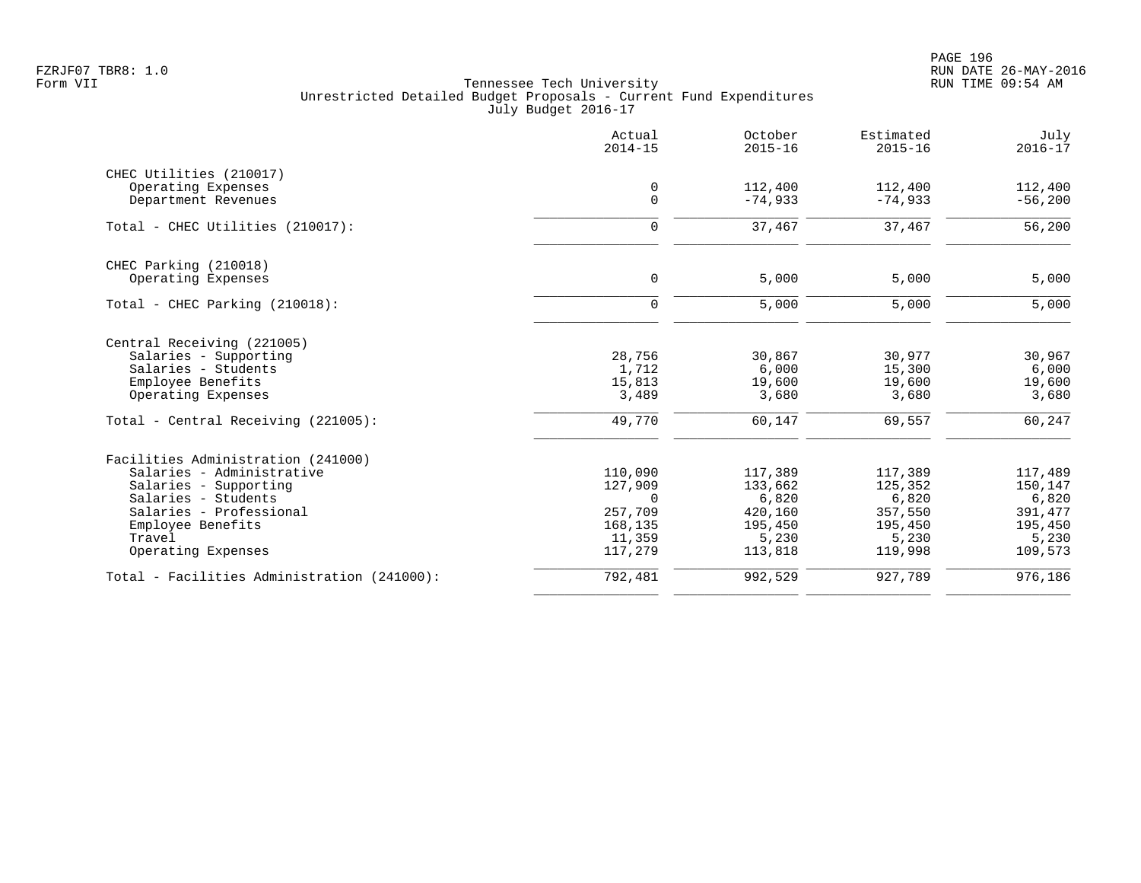PAGE 196 FZRJF07 TBR8: 1.0 RUN DATE 26-MAY-2016

|                                             | Actual<br>$2014 - 15$ | October<br>$2015 - 16$ | Estimated<br>$2015 - 16$ | July<br>$2016 - 17$ |
|---------------------------------------------|-----------------------|------------------------|--------------------------|---------------------|
| CHEC Utilities (210017)                     |                       |                        |                          |                     |
| Operating Expenses                          | $\mathbf 0$           | 112,400                | 112,400                  | 112,400             |
| Department Revenues                         | $\mathbf 0$           | $-74,933$              | $-74,933$                | $-56,200$           |
| Total - CHEC Utilities (210017):            | $\mathbf 0$           | 37,467                 | 37,467                   | 56,200              |
| CHEC Parking (210018)                       |                       |                        |                          |                     |
| Operating Expenses                          | 0                     | 5,000                  | 5,000                    | 5,000               |
| Total - CHEC Parking (210018):              | $\mathbf 0$           | 5,000                  | 5,000                    | 5,000               |
| Central Receiving (221005)                  |                       |                        |                          |                     |
| Salaries - Supporting                       | 28,756                | 30,867                 | 30,977                   | 30,967              |
| Salaries - Students                         | 1,712                 | 6,000                  | 15,300                   | 6,000               |
| Employee Benefits                           | 15,813                | 19,600                 | 19,600                   | 19,600              |
| Operating Expenses                          | 3,489                 | 3,680                  | 3,680                    | 3,680               |
| Total - Central Receiving (221005):         | 49,770                | 60,147                 | 69,557                   | 60,247              |
| Facilities Administration (241000)          |                       |                        |                          |                     |
| Salaries - Administrative                   | 110,090               | 117,389                | 117,389                  | 117,489             |
| Salaries - Supporting                       | 127,909               | 133,662                | 125,352                  | 150,147             |
| Salaries - Students                         | $\Omega$              | 6,820                  | 6,820                    | 6,820               |
| Salaries - Professional                     | 257,709               | 420,160                | 357,550                  | 391,477             |
| Employee Benefits                           | 168,135               | 195,450                | 195,450                  | 195,450             |
| Travel<br>Operating Expenses                | 11,359<br>117,279     | 5,230<br>113,818       | 5,230<br>119,998         | 5,230<br>109,573    |
|                                             |                       |                        |                          |                     |
| Total - Facilities Administration (241000): | 792,481               | 992,529                | 927,789                  | 976,186             |
|                                             |                       |                        |                          |                     |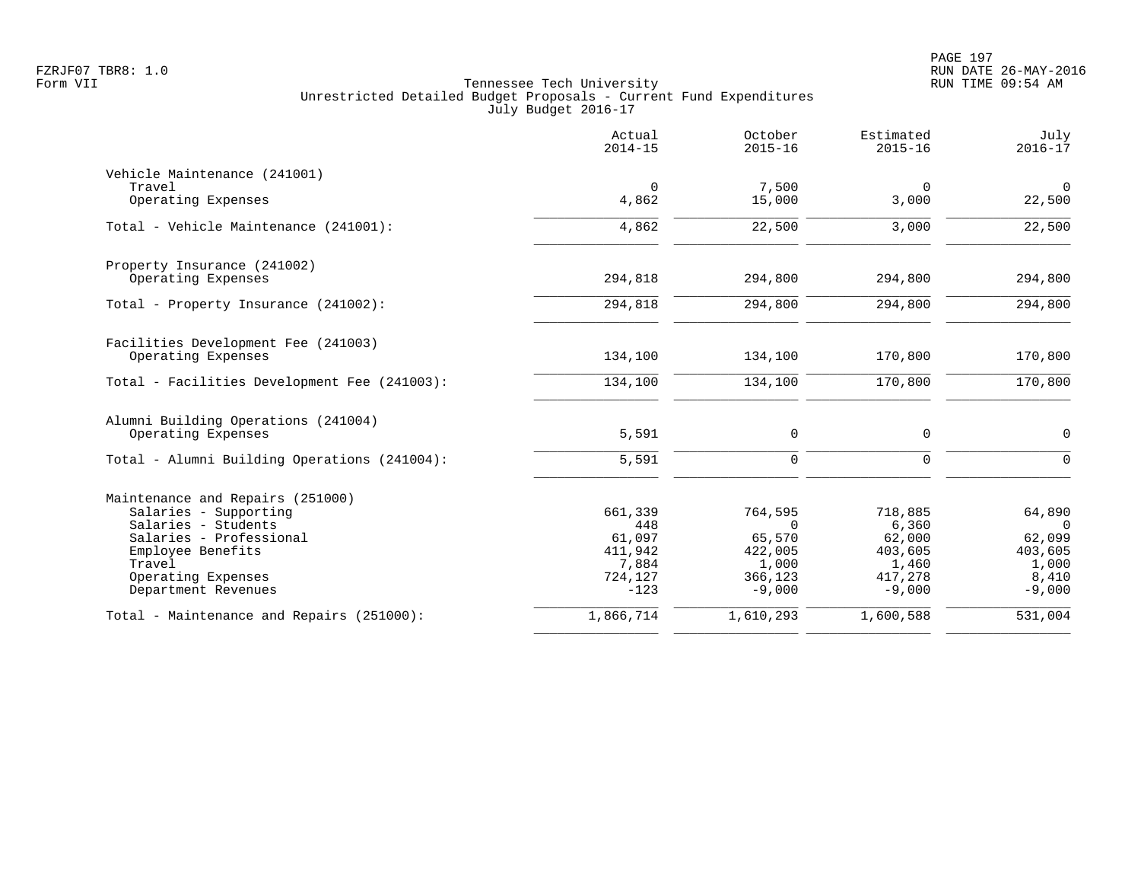|                                              | Actual<br>$2014 - 15$ | October<br>$2015 - 16$ | Estimated<br>$2015 - 16$ | July<br>$2016 - 17$      |
|----------------------------------------------|-----------------------|------------------------|--------------------------|--------------------------|
| Vehicle Maintenance (241001)<br>Travel       | $\mathbf 0$           | 7,500                  | $\mathbf 0$              | $\mathsf{O}$             |
| Operating Expenses                           | 4,862                 | 15,000                 | 3,000                    | 22,500                   |
| Total - Vehicle Maintenance (241001):        | 4,862                 | 22,500                 | 3,000                    | 22,500                   |
| Property Insurance (241002)                  |                       |                        |                          |                          |
| Operating Expenses                           | 294,818               | 294,800                | 294,800                  | 294,800                  |
| Total - Property Insurance (241002):         | 294,818               | 294,800                | 294,800                  | 294,800                  |
| Facilities Development Fee (241003)          |                       |                        |                          |                          |
| Operating Expenses                           | 134,100               | 134,100                | 170,800                  | 170,800                  |
| Total - Facilities Development Fee (241003): | 134,100               | 134,100                | 170,800                  | 170,800                  |
| Alumni Building Operations (241004)          |                       |                        |                          |                          |
| Operating Expenses                           | 5,591                 | $\mathbf 0$            | 0                        | $\mathbf 0$              |
| Total - Alumni Building Operations (241004): | 5,591                 | $\Omega$               | $\Omega$                 | $\Omega$                 |
| Maintenance and Repairs (251000)             |                       |                        |                          |                          |
| Salaries - Supporting<br>Salaries - Students | 661,339<br>448        | 764,595<br>$\Omega$    | 718,885<br>6,360         | 64,890<br>$\overline{0}$ |
| Salaries - Professional                      | 61,097                | 65,570                 | 62,000                   | 62,099                   |
| Employee Benefits                            | 411,942               | 422,005                | 403,605                  | 403,605                  |
| Travel                                       | 7,884                 | 1,000                  | 1,460                    | 1,000                    |
| Operating Expenses<br>Department Revenues    | 724,127<br>$-123$     | 366,123<br>$-9,000$    | 417,278<br>$-9,000$      | 8,410<br>$-9,000$        |
| Total - Maintenance and Repairs (251000):    | 1,866,714             | 1,610,293              | 1,600,588                | 531,004                  |
|                                              |                       |                        |                          |                          |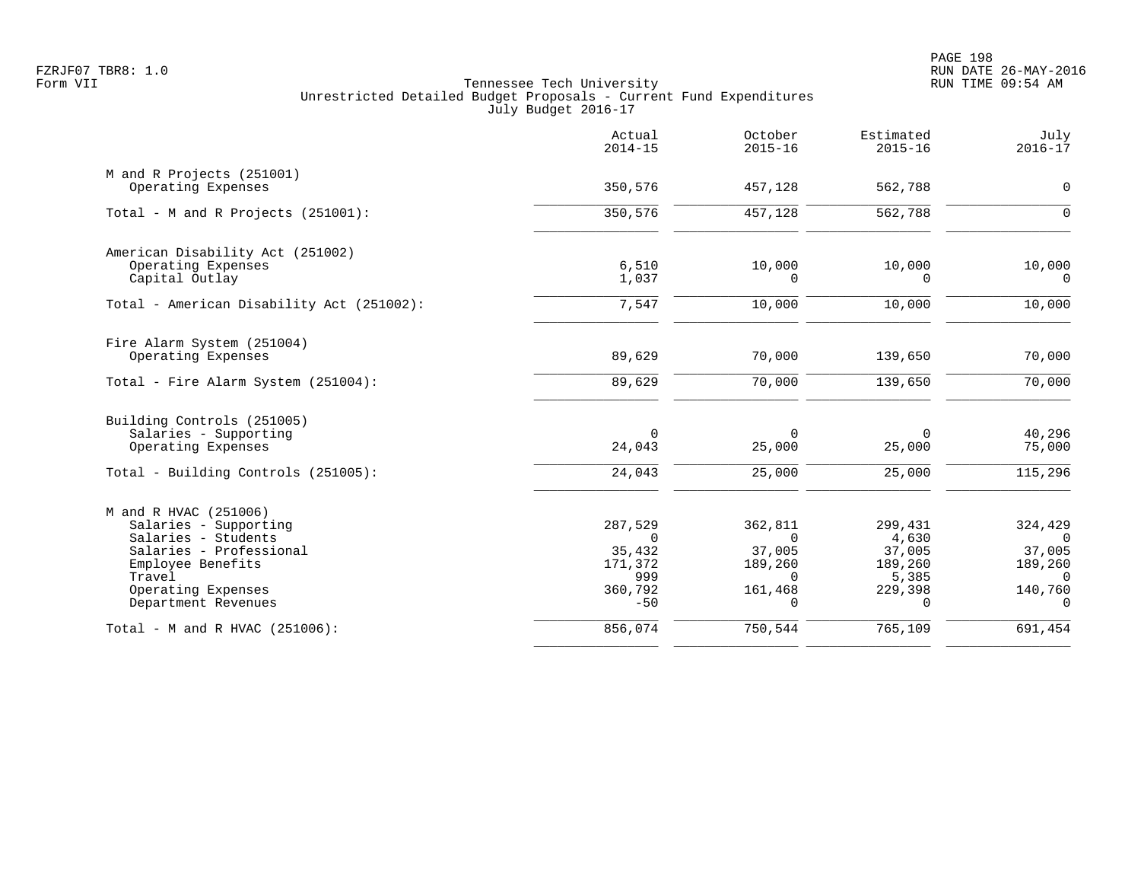|                                                 | Actual<br>$2014 - 15$ | October<br>$2015 - 16$ | Estimated<br>$2015 - 16$ | July<br>$2016 - 17$ |
|-------------------------------------------------|-----------------------|------------------------|--------------------------|---------------------|
| M and R Projects (251001)<br>Operating Expenses | 350,576               | 457,128                | 562,788                  | $\mathsf{O}$        |
|                                                 |                       |                        |                          |                     |
| Total - M and R Projects (251001):              | 350,576               | 457,128                | 562,788                  | $\Omega$            |
| American Disability Act (251002)                |                       |                        |                          |                     |
| Operating Expenses                              | 6,510                 | 10,000                 | 10,000                   | 10,000              |
| Capital Outlay                                  | 1,037                 | 0                      | 0                        | 0                   |
| Total - American Disability Act (251002):       | 7,547                 | 10,000                 | 10,000                   | 10,000              |
| Fire Alarm System (251004)                      |                       |                        |                          |                     |
| Operating Expenses                              | 89,629                | 70,000                 | 139,650                  | 70,000              |
| Total - Fire Alarm System (251004):             | 89,629                | 70,000                 | 139,650                  | 70,000              |
| Building Controls (251005)                      |                       |                        |                          |                     |
| Salaries - Supporting                           | 0                     | $\mathbf 0$            | 0                        | 40,296              |
| Operating Expenses                              | 24,043                | 25,000                 | 25,000                   | 75,000              |
| Total - Building Controls (251005):             | 24,043                | 25,000                 | 25,000                   | 115,296             |
| M and R HVAC (251006)                           |                       |                        |                          |                     |
| Salaries - Supporting                           | 287,529               | 362,811                | 299,431                  | 324,429             |
| Salaries - Students                             | $\Omega$              | $\Omega$               | 4,630                    | $\Omega$            |
| Salaries - Professional                         | 35,432                | 37,005                 | 37,005                   | 37,005              |
| Employee Benefits                               | 171,372               | 189,260                | 189,260                  | 189,260             |
| Travel                                          | 999                   | $\Omega$               | 5,385                    | $\Omega$            |
| Operating Expenses<br>Department Revenues       | 360,792<br>$-50$      | 161,468<br>$\Omega$    | 229,398<br>$\cap$        | 140,760<br>$\Omega$ |
| Total - M and R HVAC $(251006)$ :               | 856,074               | 750,544                | 765,109                  | 691,454             |
|                                                 |                       |                        |                          |                     |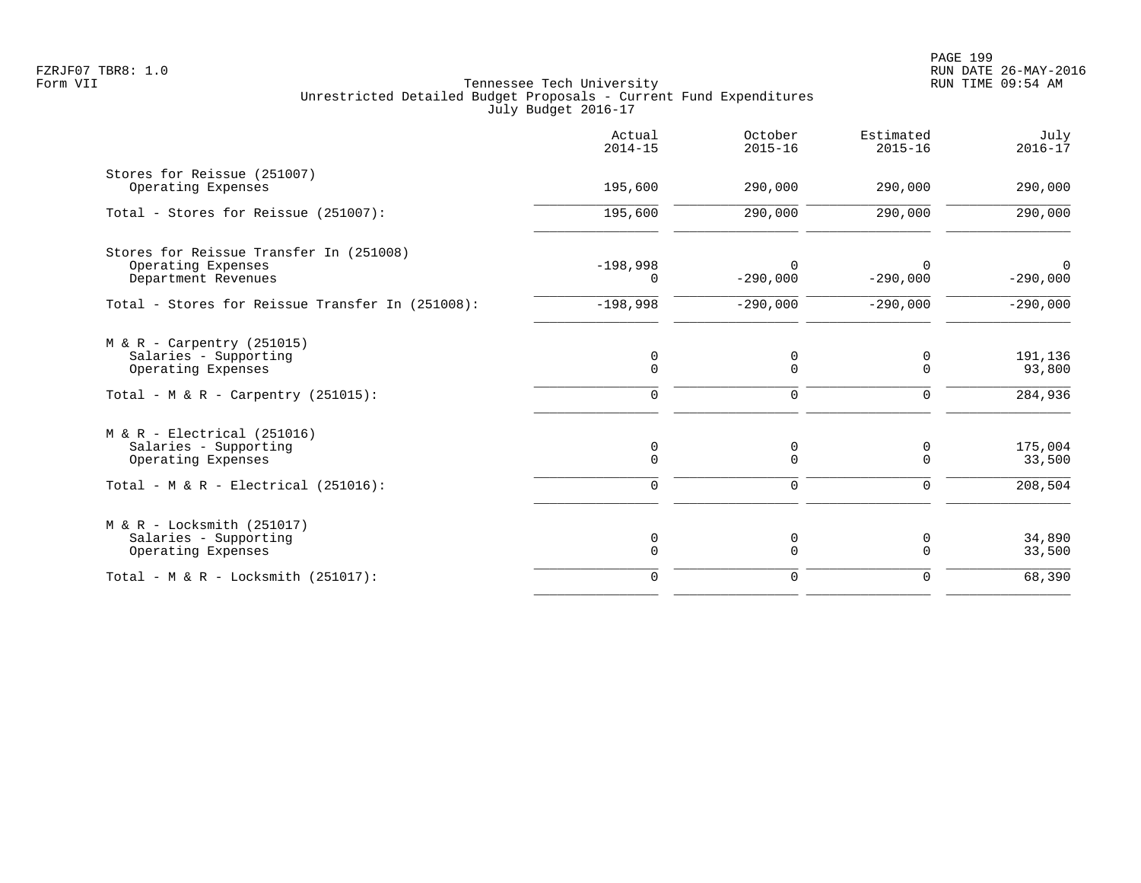|                                                                                                                    | Actual<br>$2014 - 15$                     | October<br>$2015 - 16$ | Estimated<br>$2015 - 16$        | July<br>$2016 - 17$          |
|--------------------------------------------------------------------------------------------------------------------|-------------------------------------------|------------------------|---------------------------------|------------------------------|
| Stores for Reissue (251007)<br>Operating Expenses                                                                  | 195,600                                   | 290,000                | 290,000                         | 290,000                      |
| Total - Stores for Reissue (251007):                                                                               | 195,600                                   | 290,000                | 290,000                         | 290,000                      |
| Stores for Reissue Transfer In (251008)<br>Operating Expenses<br>Department Revenues                               | $-198,998$<br>$\Omega$                    | $\Omega$<br>$-290,000$ | $-290,000$                      | $\Omega$<br>$-290,000$       |
| Total - Stores for Reissue Transfer In (251008):                                                                   | $-198,998$                                | $-290,000$             | $-290,000$                      | $-290,000$                   |
| $M & R - Carpentry (251015)$<br>Salaries - Supporting<br>Operating Expenses<br>Total - M & R - Carpentry (251015): | $\mathbf 0$<br>$\mathbf 0$<br>$\mathbf 0$ | 0<br>0<br>0            | 0<br>$\mathbf 0$<br>$\mathbf 0$ | 191,136<br>93,800<br>284,936 |
| $M & R - Electrical (251016)$<br>Salaries - Supporting                                                             | 0                                         | 0                      | 0                               | 175,004                      |
| Operating Expenses<br>Total - $M & R - Electrical (251016)$ :                                                      | $\Omega$<br>$\mathbf 0$                   | $\mathbf 0$<br>0       | $\Omega$<br>0                   | 33,500<br>208,504            |
| $M & R - Locksmith (251017)$<br>Salaries - Supporting<br>Operating Expenses                                        | 0<br>$\Omega$                             | 0<br>0                 | 0<br>$\mathbf 0$                | 34,890<br>33,500             |
| Total - M & R - Locksmith $(251017)$ :                                                                             | $\mathbf 0$                               | 0                      | $\mathbf 0$                     | 68,390                       |
|                                                                                                                    |                                           |                        |                                 |                              |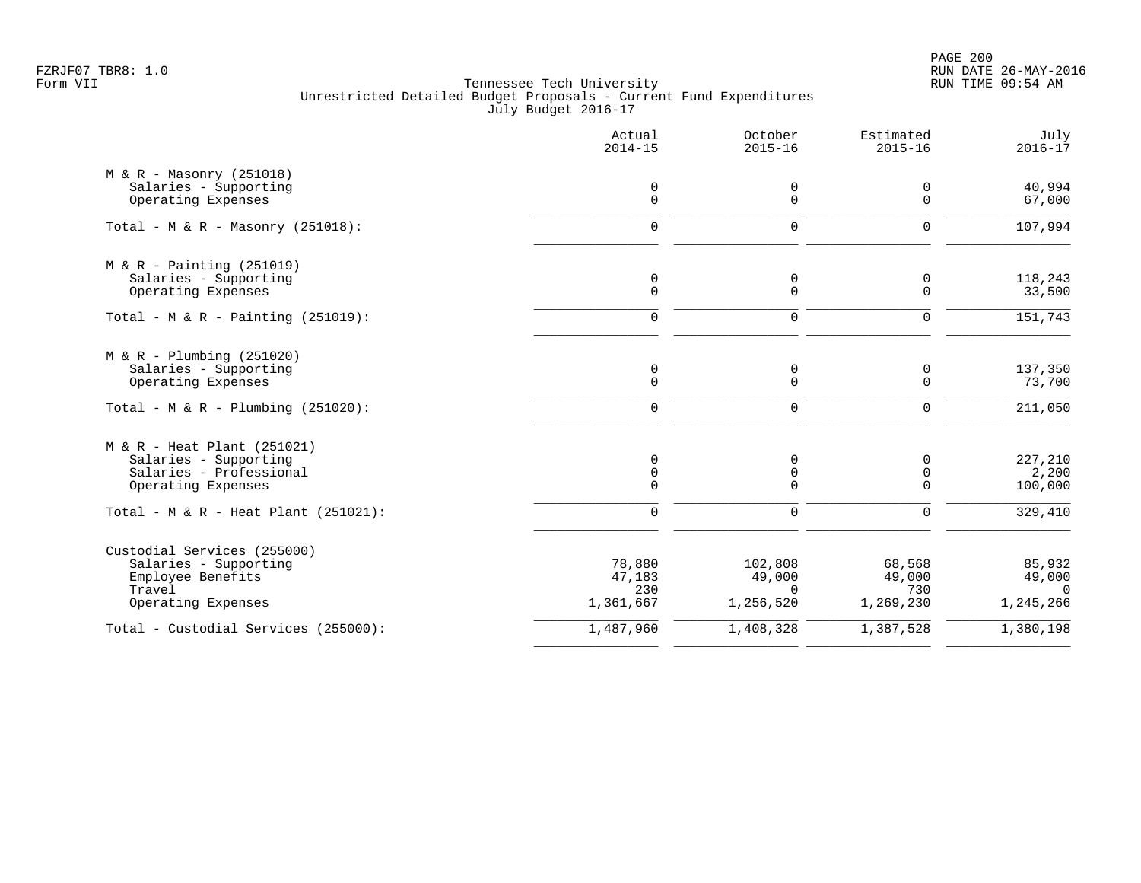PAGE 200 FZRJF07 TBR8: 1.0 RUN DATE 26-MAY-2016

|                                         | Actual<br>$2014 - 15$ | October<br>$2015 - 16$ | Estimated<br>$2015 - 16$ | July<br>$2016 - 17$ |
|-----------------------------------------|-----------------------|------------------------|--------------------------|---------------------|
| $M & R - Massonry (251018)$             |                       |                        |                          |                     |
| Salaries - Supporting                   | $\mathbf 0$           | 0                      | 0                        | 40,994              |
| Operating Expenses                      | $\mathbf 0$           | $\mathbf 0$            | $\Omega$                 | 67,000              |
| Total - M & R - Masonry $(251018)$ :    | $\mathbf 0$           | 0                      | $\mathbf 0$              | 107,994             |
| $M & R - \text{Pairting} (251019)$      |                       |                        |                          |                     |
| Salaries - Supporting                   | $\mathbf 0$           | 0                      | $\mathbf 0$              | 118,243             |
| Operating Expenses                      | $\mathbf 0$           | $\Omega$               | $\mathbf 0$              | 33,500              |
| Total - M & R - Painting $(251019)$ :   | $\Omega$              | $\mathbf 0$            | $\Omega$                 | 151,743             |
| $M & R - Plumbing (251020)$             |                       |                        |                          |                     |
| Salaries - Supporting                   | $\mathsf{O}$          | 0                      | 0                        | 137,350             |
| Operating Expenses                      | $\mathbf 0$           | $\mathbf 0$            | $\Omega$                 | 73,700              |
| Total - M & R - Plumbing $(251020)$ :   | $\mathbf 0$           | 0                      | $\mathbf 0$              | 211,050             |
| $M & R - Heat Plant (251021)$           |                       |                        |                          |                     |
| Salaries - Supporting                   | 0                     | 0                      | $\mathbf 0$              | 227,210             |
| Salaries - Professional                 | 0                     | 0                      | $\mathbf 0$              | 2,200               |
| Operating Expenses                      | $\Omega$              | $\Omega$               | $\Omega$                 | 100,000             |
| Total - M & R - Heat Plant $(251021)$ : | $\mathbf 0$           | $\mathbf 0$            | $\Omega$                 | 329,410             |
| Custodial Services (255000)             |                       |                        |                          |                     |
| Salaries - Supporting                   | 78,880                | 102,808                | 68,568                   | 85,932              |
| Employee Benefits                       | 47,183                | 49,000                 | 49,000                   | 49,000              |
| Travel                                  | 230                   | $\Omega$               | 730                      | $\Omega$            |
| Operating Expenses                      | 1,361,667             | 1,256,520              | 1,269,230                | 1,245,266           |
| Total - Custodial Services (255000):    | 1,487,960             | 1,408,328              | 1,387,528                | 1,380,198           |
|                                         |                       |                        |                          |                     |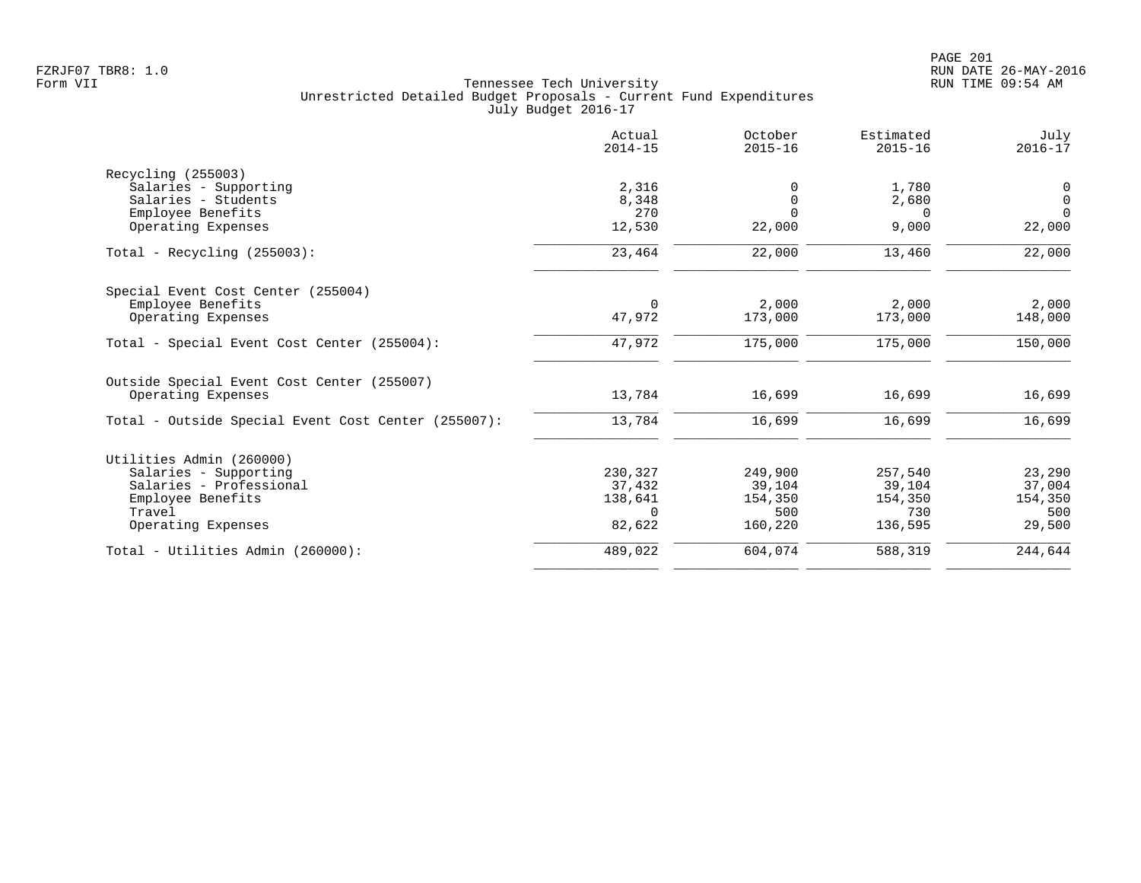|                                                     | Actual<br>$2014 - 15$ | October<br>$2015 - 16$ | Estimated<br>$2015 - 16$ | July<br>$2016 - 17$ |
|-----------------------------------------------------|-----------------------|------------------------|--------------------------|---------------------|
| Recycling (255003)                                  |                       |                        |                          |                     |
| Salaries - Supporting                               | 2,316                 |                        | 1,780                    | 0                   |
| Salaries - Students                                 | 8,348                 | 0                      | 2,680                    | $\mathsf{O}$        |
| Employee Benefits                                   | 270                   | $\Omega$               | $\Omega$                 | $\Omega$            |
| Operating Expenses                                  | 12,530                | 22,000                 | 9,000                    | 22,000              |
| Total - Recycling $(255003)$ :                      | 23,464                | 22,000                 | 13,460                   | 22,000              |
| Special Event Cost Center (255004)                  |                       |                        |                          |                     |
| Employee Benefits                                   | $\Omega$              | 2,000                  | 2,000                    | 2,000               |
| Operating Expenses                                  | 47,972                | 173,000                | 173,000                  | 148,000             |
| Total - Special Event Cost Center (255004):         | 47,972                | 175,000                | 175,000                  | 150,000             |
| Outside Special Event Cost Center (255007)          |                       |                        |                          |                     |
| Operating Expenses                                  | 13,784                | 16,699                 | 16,699                   | 16,699              |
| Total - Outside Special Event Cost Center (255007): | 13,784                | 16,699                 | 16,699                   | 16,699              |
| Utilities Admin (260000)                            |                       |                        |                          |                     |
| Salaries - Supporting                               | 230,327               | 249,900                | 257,540                  | 23,290              |
| Salaries - Professional                             | 37,432                | 39,104                 | 39,104                   | 37,004              |
| Employee Benefits                                   | 138,641               | 154,350                | 154,350                  | 154,350             |
| Travel                                              | $\Omega$              | 500                    | 730                      | 500                 |
| Operating Expenses                                  | 82,622                | 160,220                | 136,595                  | 29,500              |
| Total - Utilities Admin (260000):                   | 489,022               | 604,074                | 588,319                  | 244,644             |
|                                                     |                       |                        |                          |                     |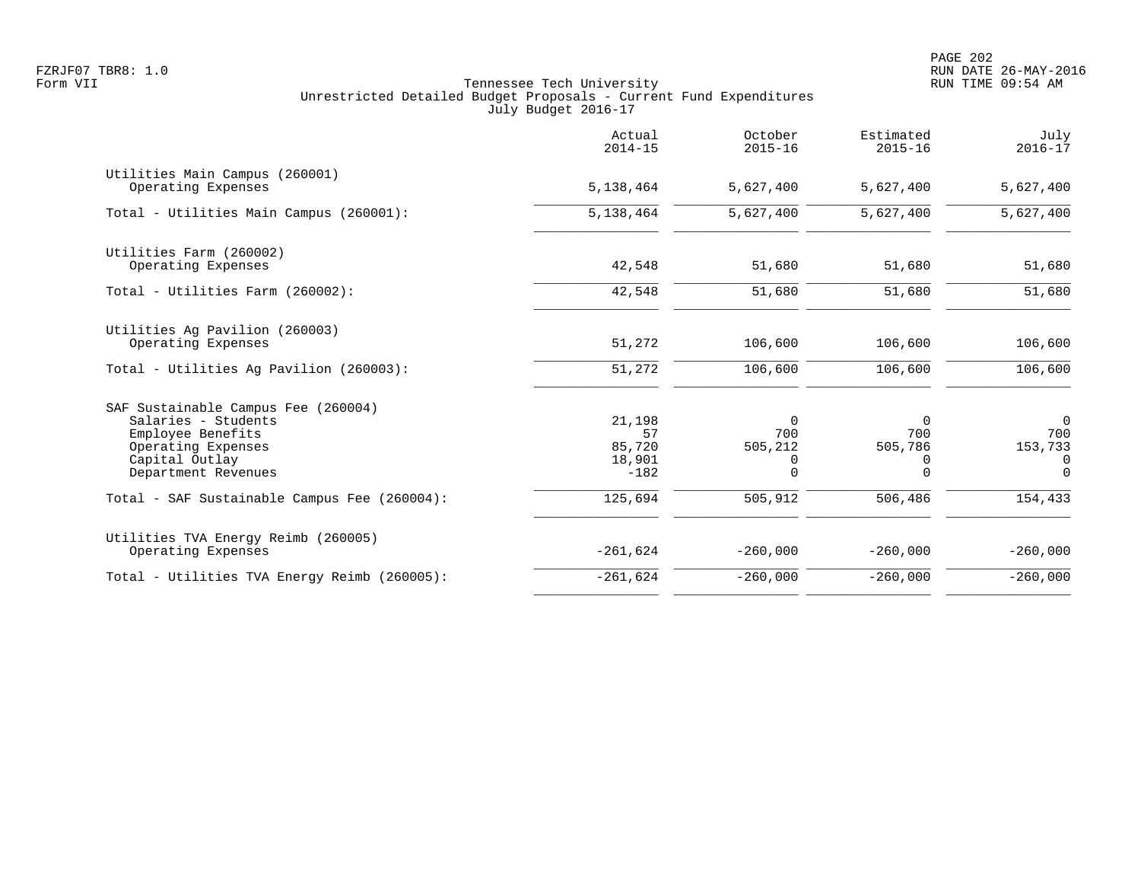|                                                                                                                                                | Actual<br>$2014 - 15$                      | October<br>$2015 - 16$                      | Estimated<br>$2015 - 16$                    | July<br>$2016 - 17$                         |
|------------------------------------------------------------------------------------------------------------------------------------------------|--------------------------------------------|---------------------------------------------|---------------------------------------------|---------------------------------------------|
| Utilities Main Campus (260001)<br>Operating Expenses                                                                                           | 5,138,464                                  | 5,627,400                                   | 5,627,400                                   | 5,627,400                                   |
| Total - Utilities Main Campus (260001):                                                                                                        | 5,138,464                                  | 5,627,400                                   | 5,627,400                                   | 5,627,400                                   |
| Utilities Farm (260002)<br>Operating Expenses                                                                                                  | 42,548                                     | 51,680                                      | 51,680                                      | 51,680                                      |
| Total - Utilities Farm (260002):                                                                                                               | 42,548                                     | 51,680                                      | 51,680                                      | 51,680                                      |
| Utilities Ag Pavilion (260003)<br>Operating Expenses                                                                                           | 51,272                                     | 106,600                                     | 106,600                                     | 106,600                                     |
| Total - Utilities Aq Pavilion (260003):                                                                                                        | 51,272                                     | 106,600                                     | 106,600                                     | 106,600                                     |
| SAF Sustainable Campus Fee (260004)<br>Salaries - Students<br>Employee Benefits<br>Operating Expenses<br>Capital Outlay<br>Department Revenues | 21,198<br>57<br>85,720<br>18,901<br>$-182$ | $\Omega$<br>700<br>505,212<br>0<br>$\Omega$ | $\Omega$<br>700<br>505,786<br>0<br>$\Omega$ | $\Omega$<br>700<br>153,733<br>0<br>$\Omega$ |
| Total - SAF Sustainable Campus Fee (260004):                                                                                                   | 125,694                                    | 505,912                                     | 506,486                                     | 154,433                                     |
| Utilities TVA Energy Reimb (260005)<br>Operating Expenses                                                                                      | $-261,624$                                 | $-260,000$                                  | $-260,000$                                  | $-260,000$                                  |
| Total - Utilities TVA Energy Reimb (260005):                                                                                                   | $-261,624$                                 | $-260,000$                                  | $-260,000$                                  | $-260,000$                                  |
|                                                                                                                                                |                                            |                                             |                                             |                                             |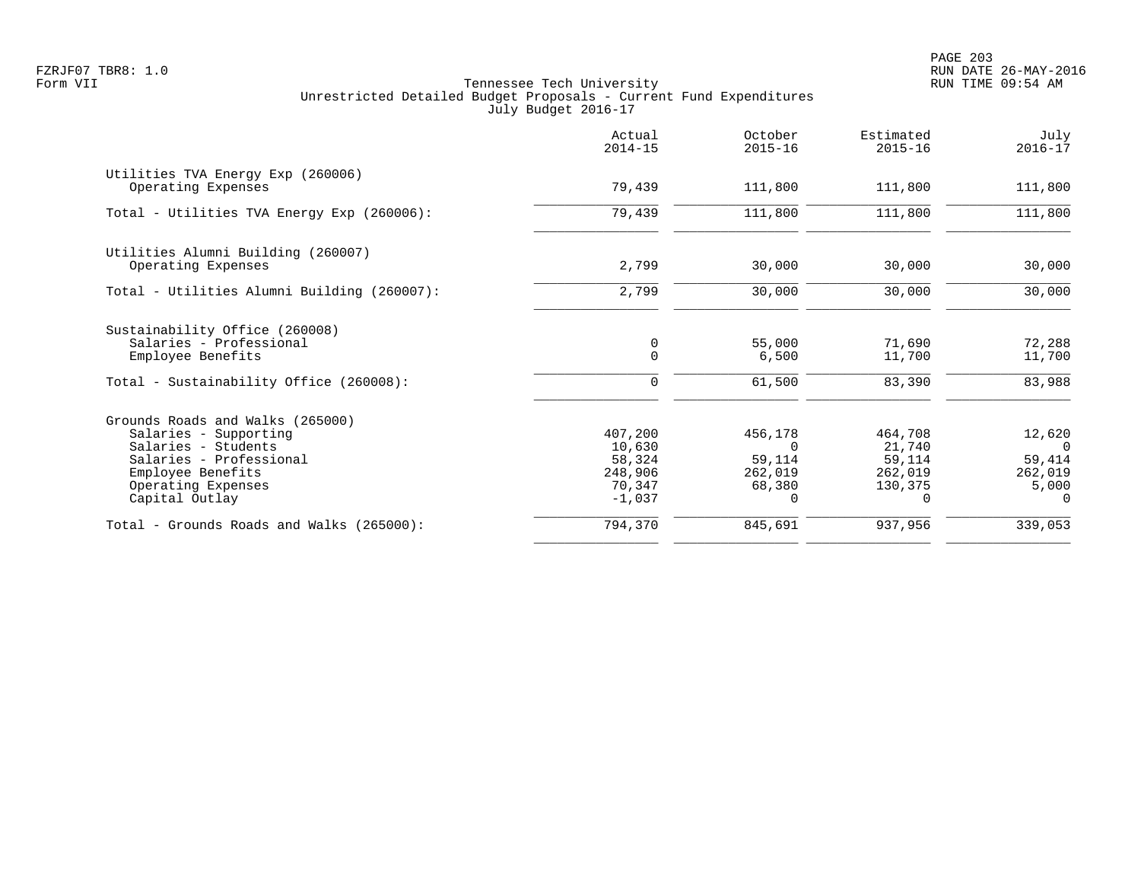PAGE 203 FZRJF07 TBR8: 1.0 RUN DATE 26-MAY-2016

|                                                                                                                                                                          | Actual<br>$2014 - 15$                                        | October<br>$2015 - 16$                                         | Estimated<br>$2015 - 16$                                      | July<br>$2016 - 17$                                          |
|--------------------------------------------------------------------------------------------------------------------------------------------------------------------------|--------------------------------------------------------------|----------------------------------------------------------------|---------------------------------------------------------------|--------------------------------------------------------------|
| Utilities TVA Energy Exp (260006)<br>Operating Expenses                                                                                                                  | 79,439                                                       | 111,800                                                        | 111,800                                                       | 111,800                                                      |
| Total - Utilities TVA Energy Exp (260006):                                                                                                                               | 79,439                                                       | 111,800                                                        | 111,800                                                       | 111,800                                                      |
| Utilities Alumni Building (260007)<br>Operating Expenses                                                                                                                 | 2,799                                                        | 30,000                                                         | 30,000                                                        | 30,000                                                       |
| Total - Utilities Alumni Building (260007):                                                                                                                              | 2,799                                                        | 30,000                                                         | 30,000                                                        | 30,000                                                       |
| Sustainability Office (260008)<br>Salaries - Professional<br>Employee Benefits<br>Total - Sustainability Office (260008):                                                | $\mathbf 0$<br>$\Omega$<br>$\mathbf 0$                       | 55,000<br>6,500<br>61,500                                      | 71,690<br>11,700<br>83,390                                    | 72,288<br>11,700<br>83,988                                   |
| Grounds Roads and Walks (265000)<br>Salaries - Supporting<br>Salaries - Students<br>Salaries - Professional<br>Employee Benefits<br>Operating Expenses<br>Capital Outlay | 407,200<br>10,630<br>58,324<br>248,906<br>70,347<br>$-1,037$ | 456,178<br>$\Omega$<br>59,114<br>262,019<br>68,380<br>$\Omega$ | 464,708<br>21,740<br>59,114<br>262,019<br>130,375<br>$\Omega$ | 12,620<br>$\Omega$<br>59,414<br>262,019<br>5,000<br>$\Omega$ |
| Total - Grounds Roads and Walks (265000):                                                                                                                                | 794,370                                                      | 845,691                                                        | 937,956                                                       | 339,053                                                      |
|                                                                                                                                                                          |                                                              |                                                                |                                                               |                                                              |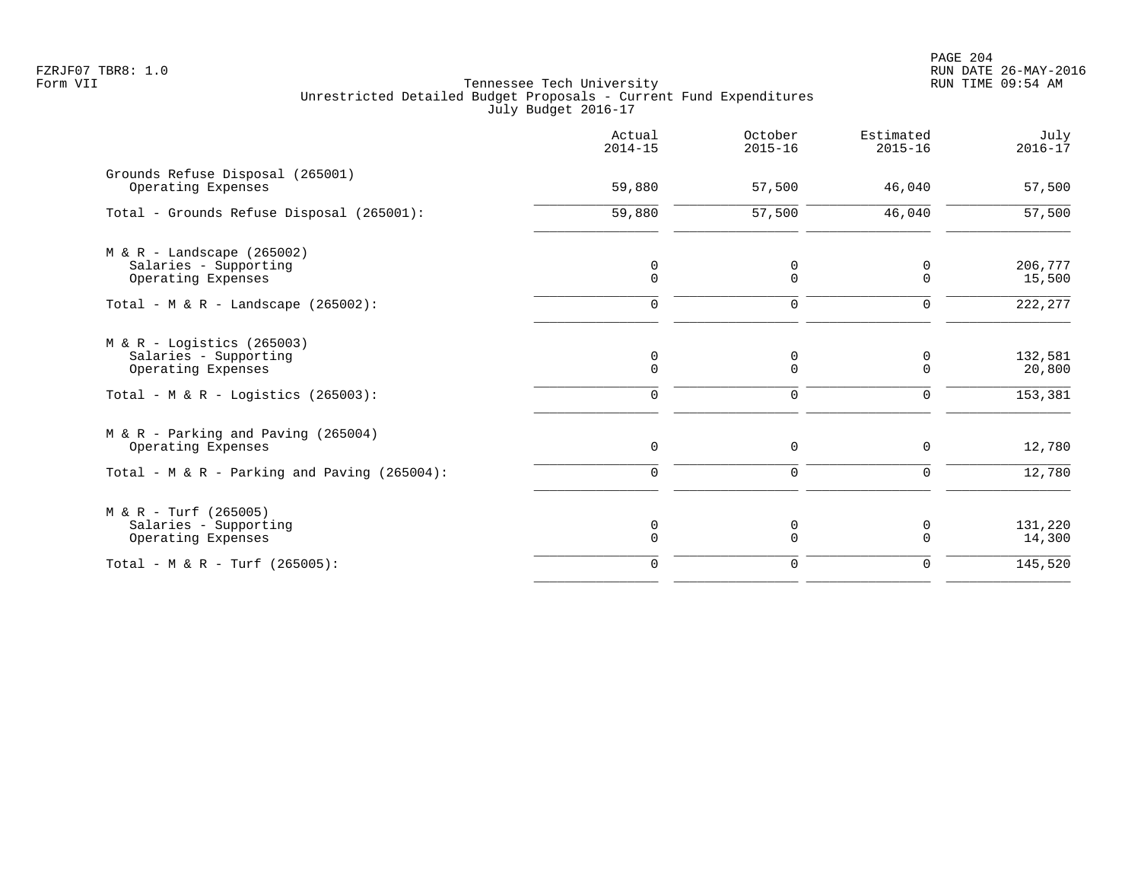PAGE 204 FZRJF07 TBR8: 1.0 RUN DATE 26-MAY-2016

|                                                                             | Actual<br>$2014 - 15$      | October<br>$2015 - 16$ | Estimated<br>$2015 - 16$ | July<br>$2016 - 17$ |
|-----------------------------------------------------------------------------|----------------------------|------------------------|--------------------------|---------------------|
| Grounds Refuse Disposal (265001)<br>Operating Expenses                      | 59,880                     | 57,500                 | 46,040                   | 57,500              |
| Total - Grounds Refuse Disposal (265001):                                   | 59,880                     | 57,500                 | 46,040                   | 57,500              |
| $M & R -$ Landscape (265002)<br>Salaries - Supporting<br>Operating Expenses | $\mathbf 0$<br>$\Omega$    | 0<br>$\mathbf 0$       | 0<br>$\Omega$            | 206,777<br>15,500   |
| Total - M & R - Landscape $(265002)$ :                                      | $\Omega$                   | $\mathbf 0$            | $\Omega$                 | 222, 277            |
| $M & R -$ Logistics (265003)<br>Salaries - Supporting<br>Operating Expenses | $\mathbf 0$<br>$\mathbf 0$ | 0<br>$\mathbf 0$       | 0<br>0                   | 132,581<br>20,800   |
| Total - M & R - Logistics (265003):                                         | $\mathbf 0$                | $\mathbf 0$            | 0                        | 153,381             |
| M & R - Parking and Paving (265004)<br>Operating Expenses                   | $\Omega$                   | $\Omega$               | $\Omega$                 | 12,780              |
| Total - M & R - Parking and Paving (265004):                                | $\Omega$                   | $\mathbf 0$            | 0                        | 12,780              |
| $M & R - Turf (265005)$<br>Salaries - Supporting<br>Operating Expenses      | 0<br>$\Omega$              | 0<br>$\Omega$          | 0<br>$\Omega$            | 131,220<br>14,300   |
| Total - M & R - Turf (265005):                                              | $\Omega$                   | $\mathbf 0$            | $\Omega$                 | 145,520             |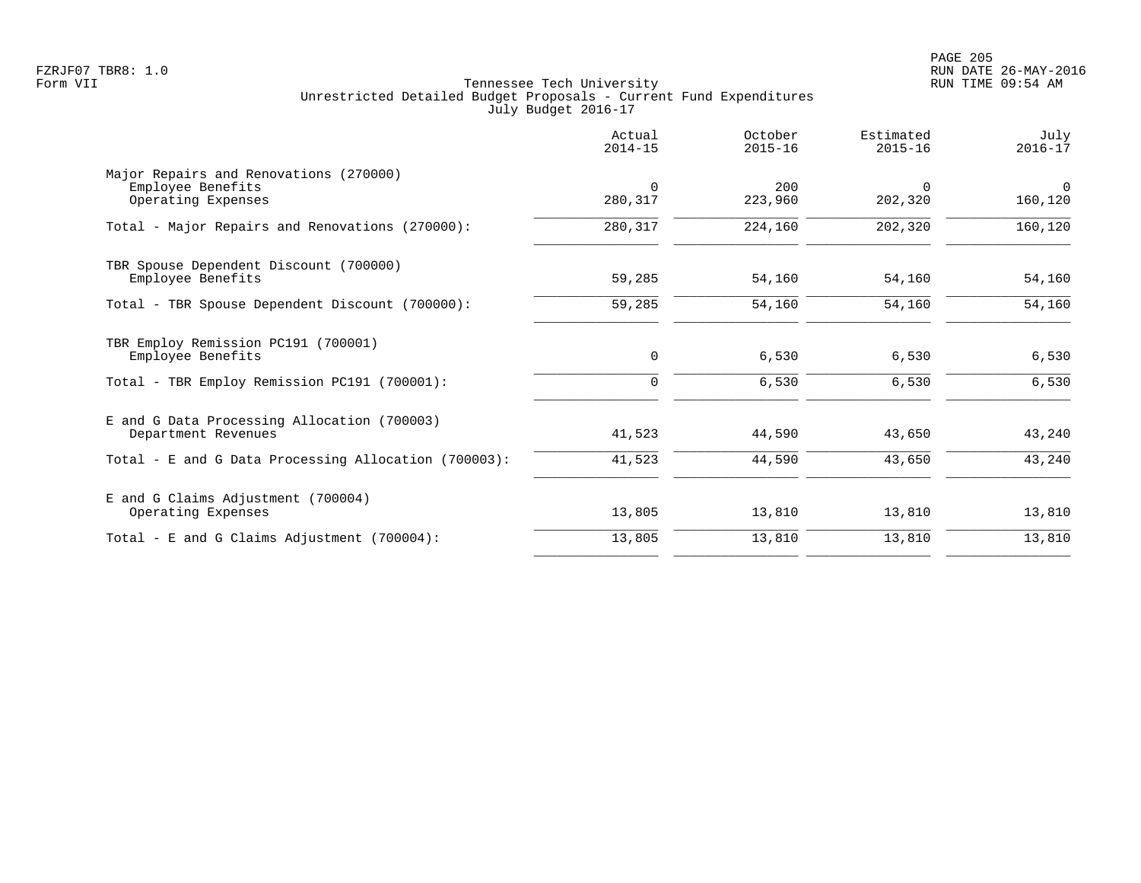|                                                                                   | Actual<br>$2014 - 15$ | October<br>$2015 - 16$ | Estimated<br>$2015 - 16$ | July<br>$2016 - 17$ |
|-----------------------------------------------------------------------------------|-----------------------|------------------------|--------------------------|---------------------|
| Major Repairs and Renovations (270000)<br>Employee Benefits<br>Operating Expenses | $\Omega$<br>280,317   | 200<br>223,960         | $\Omega$<br>202,320      | $\Omega$<br>160,120 |
| Total - Major Repairs and Renovations (270000):                                   | 280,317               | 224,160                | 202,320                  | 160,120             |
| TBR Spouse Dependent Discount (700000)<br>Employee Benefits                       | 59,285                | 54,160                 | 54,160                   | 54,160              |
| Total - TBR Spouse Dependent Discount (700000):                                   | 59,285                | 54,160                 | 54,160                   | 54,160              |
| TBR Employ Remission PC191 (700001)<br>Employee Benefits                          | 0                     | 6,530                  | 6,530                    | 6,530               |
| Total - TBR Employ Remission PC191 (700001):                                      | $\Omega$              | 6,530                  | 6,530                    | 6,530               |
| E and G Data Processing Allocation (700003)<br>Department Revenues                | 41,523                | 44,590                 | 43,650                   | 43,240              |
| Total - E and G Data Processing Allocation (700003):                              | 41,523                | 44,590                 | 43,650                   | 43,240              |
| E and G Claims Adjustment (700004)<br>Operating Expenses                          | 13,805                | 13,810                 | 13,810                   | 13,810              |
| Total - E and G Claims Adjustment $(700004)$ :                                    | 13,805                | 13,810                 | 13,810                   | 13,810              |
|                                                                                   |                       |                        |                          |                     |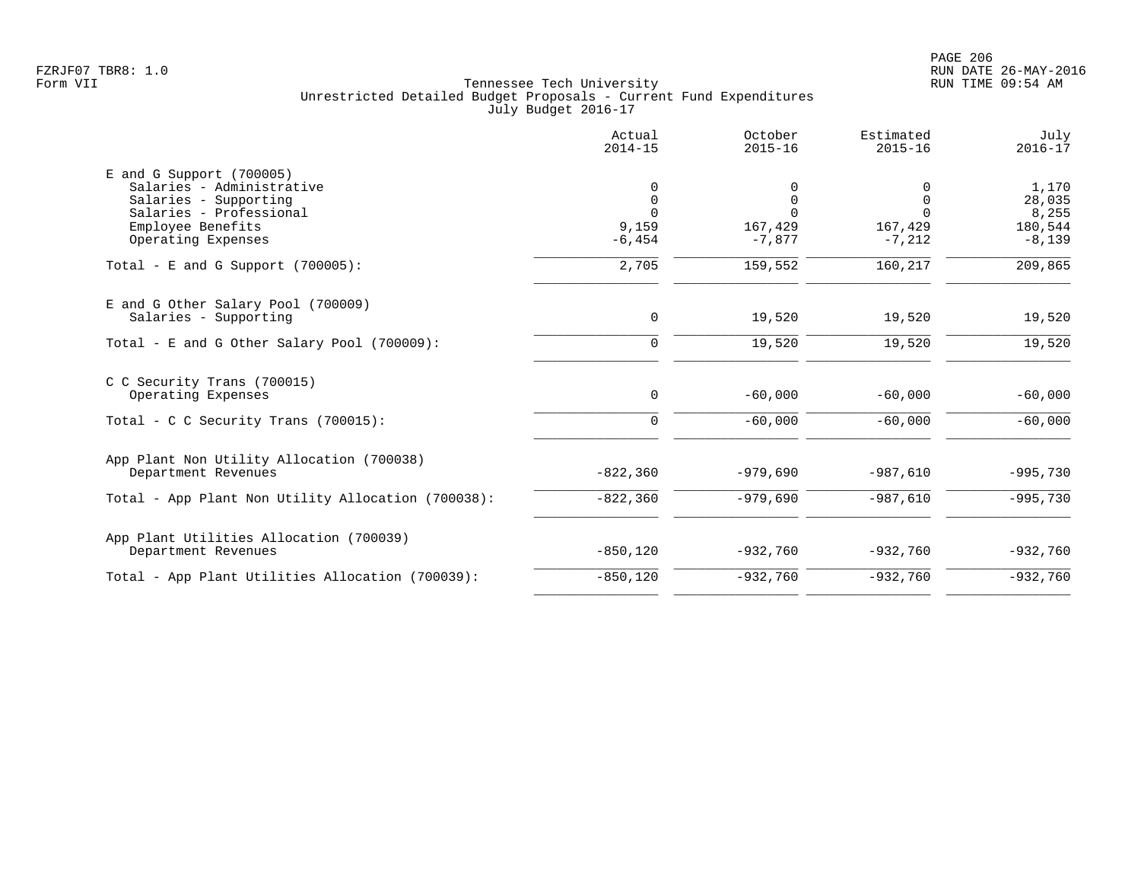|                                                         | Actual<br>$2014 - 15$ | October<br>$2015 - 16$ | Estimated<br>$2015 - 16$ | July<br>$2016 - 17$ |
|---------------------------------------------------------|-----------------------|------------------------|--------------------------|---------------------|
| $E$ and G Support (700005)<br>Salaries - Administrative | $\mathbf 0$           | 0                      | $\Omega$                 | 1,170               |
| Salaries - Supporting                                   | $\mathbf 0$           | $\mathbf 0$            | $\overline{0}$           | 28,035              |
| Salaries - Professional                                 | $\Omega$              | $\Omega$               | $\Omega$                 | 8,255               |
| Employee Benefits                                       | 9,159                 | 167,429                | 167,429                  | 180,544             |
| Operating Expenses                                      | $-6, 454$             | $-7,877$               | $-7,212$                 | $-8,139$            |
| Total - E and G Support $(700005)$ :                    | 2,705                 | 159,552                | 160,217                  | 209,865             |
| E and G Other Salary Pool (700009)                      |                       |                        |                          |                     |
| Salaries - Supporting                                   | 0                     | 19,520                 | 19,520                   | 19,520              |
| Total - E and G Other Salary Pool $(700009)$ :          | $\mathbf 0$           | 19,520                 | 19,520                   | 19,520              |
| C C Security Trans (700015)                             |                       |                        |                          |                     |
| Operating Expenses                                      | 0                     | $-60,000$              | $-60,000$                | $-60,000$           |
| Total - C C Security Trans $(700015)$ :                 | $\mathbf 0$           | $-60,000$              | $-60,000$                | $-60,000$           |
| App Plant Non Utility Allocation (700038)               |                       |                        |                          |                     |
| Department Revenues                                     | $-822,360$            | $-979,690$             | $-987,610$               | $-995,730$          |
| Total - App Plant Non Utility Allocation (700038):      | $-822,360$            | $-979,690$             | $-987,610$               | $-995,730$          |
| App Plant Utilities Allocation (700039)                 |                       |                        |                          |                     |
| Department Revenues                                     | $-850, 120$           | $-932,760$             | $-932,760$               | $-932,760$          |
| Total - App Plant Utilities Allocation (700039):        | $-850, 120$           | $-932,760$             | $-932,760$               | $-932,760$          |
|                                                         |                       |                        |                          |                     |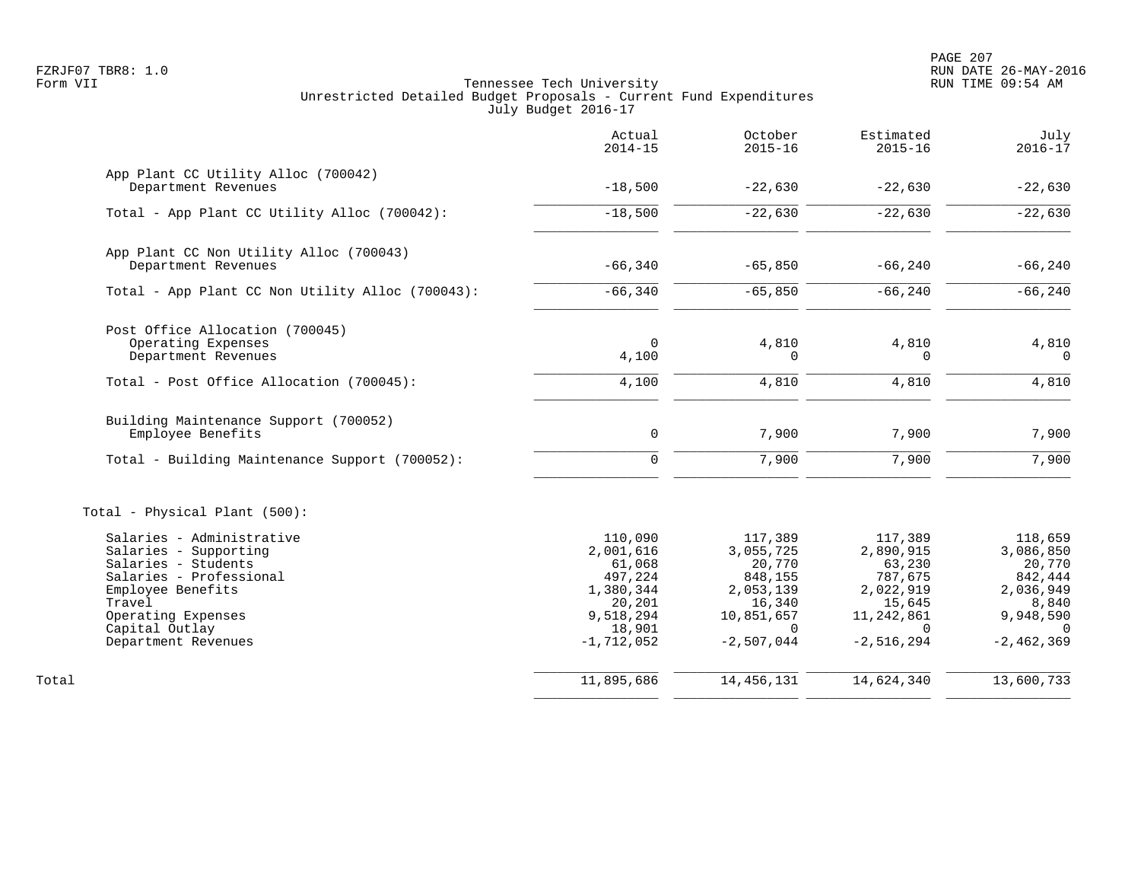PAGE 207 FZRJF07 TBR8: 1.0 RUN DATE 26-MAY-2016

|                                                            | Actual<br>$2014 - 15$ | October<br>$2015 - 16$ | Estimated<br>$2015 - 16$ | July<br>$2016 - 17$  |
|------------------------------------------------------------|-----------------------|------------------------|--------------------------|----------------------|
| App Plant CC Utility Alloc (700042)<br>Department Revenues | $-18,500$             | $-22,630$              | $-22,630$                | $-22,630$            |
|                                                            |                       |                        |                          |                      |
| Total - App Plant CC Utility Alloc (700042):               | $-18,500$             | $-22,630$              | $-22,630$                | $-22,630$            |
| App Plant CC Non Utility Alloc (700043)                    |                       |                        |                          |                      |
| Department Revenues                                        | $-66,340$             | $-65,850$              | $-66, 240$               | $-66, 240$           |
| Total - App Plant CC Non Utility Alloc (700043):           | $-66,340$             | $-65,850$              | $-66, 240$               | $-66, 240$           |
| Post Office Allocation (700045)                            |                       |                        |                          |                      |
| Operating Expenses                                         | $\mathbf 0$           | 4,810                  | 4,810                    | 4,810                |
| Department Revenues                                        | 4,100                 | $\mathbf 0$            | $\mathbf 0$              | $\overline{0}$       |
| Total - Post Office Allocation (700045):                   | 4,100                 | 4,810                  | 4,810                    | 4,810                |
| Building Maintenance Support (700052)                      |                       |                        |                          |                      |
| Employee Benefits                                          | $\mathbf 0$           | 7,900                  | 7,900                    | 7,900                |
| Total - Building Maintenance Support (700052):             | $\mathbf 0$           | 7,900                  | 7,900                    | 7,900                |
| Total - Physical Plant (500):                              |                       |                        |                          |                      |
| Salaries - Administrative                                  | 110,090               | 117,389                | 117,389                  | 118,659              |
| Salaries - Supporting                                      | 2,001,616             | 3,055,725              | 2,890,915                | 3,086,850            |
| Salaries - Students                                        | 61,068                | 20,770                 | 63,230                   | 20,770               |
| Salaries - Professional<br>Employee Benefits               | 497,224<br>1,380,344  | 848,155<br>2,053,139   | 787,675<br>2,022,919     | 842,444<br>2,036,949 |
| Travel                                                     | 20,201                | 16,340                 | 15,645                   | 8,840                |
| Operating Expenses                                         | 9,518,294             | 10,851,657             | 11,242,861               | 9,948,590            |
| Capital Outlay                                             | 18,901                | $\Omega$               | $\Omega$                 | $\Omega$             |
| Department Revenues                                        | $-1,712,052$          | $-2,507,044$           | $-2,516,294$             | $-2, 462, 369$       |
| Total                                                      | 11,895,686            | 14, 456, 131           | 14,624,340               | 13,600,733           |
|                                                            |                       |                        |                          |                      |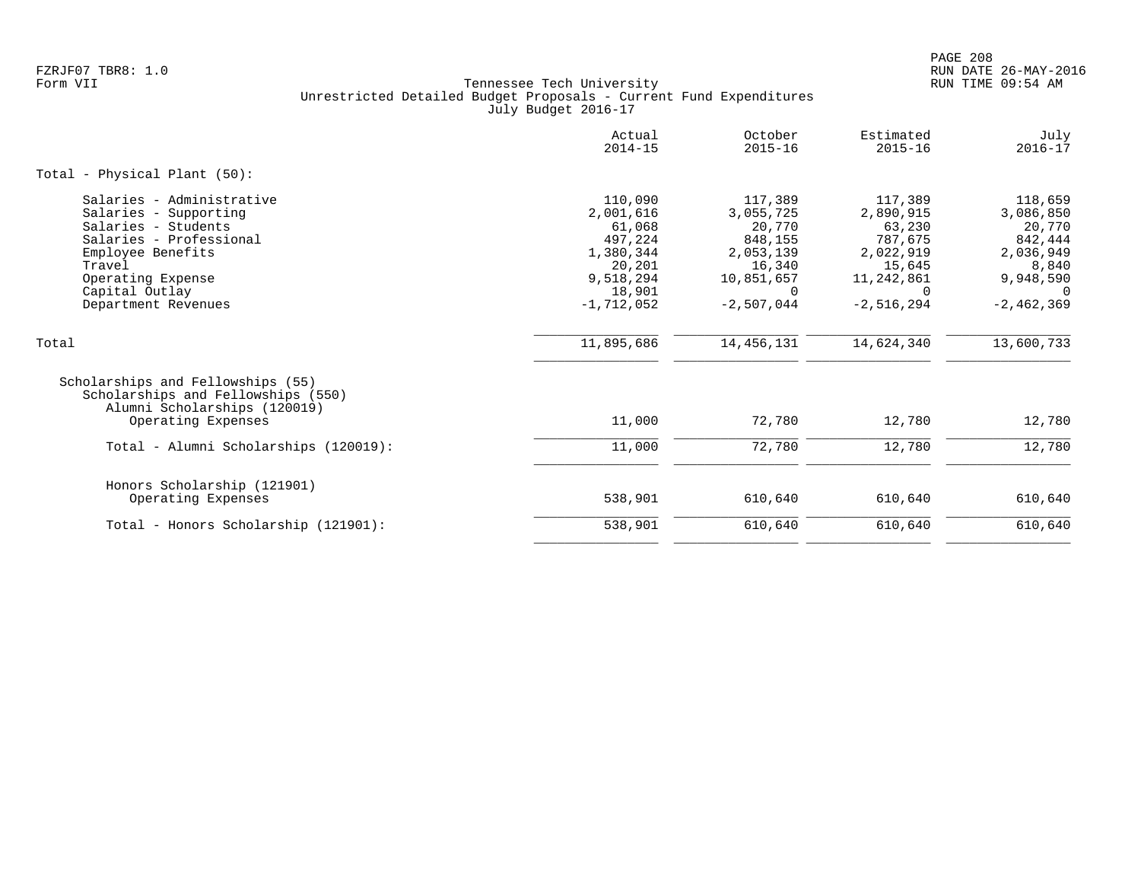|                                                                                                                                                                                                   | Actual<br>$2014 - 15$                                                                                   | October<br>$2015 - 16$                                                                                     | Estimated<br>$2015 - 16$                                                                            | July<br>$2016 - 17$                                                                                        |
|---------------------------------------------------------------------------------------------------------------------------------------------------------------------------------------------------|---------------------------------------------------------------------------------------------------------|------------------------------------------------------------------------------------------------------------|-----------------------------------------------------------------------------------------------------|------------------------------------------------------------------------------------------------------------|
| Total - Physical Plant (50):                                                                                                                                                                      |                                                                                                         |                                                                                                            |                                                                                                     |                                                                                                            |
| Salaries - Administrative<br>Salaries - Supporting<br>Salaries - Students<br>Salaries - Professional<br>Employee Benefits<br>Travel<br>Operating Expense<br>Capital Outlay<br>Department Revenues | 110,090<br>2,001,616<br>61,068<br>497,224<br>1,380,344<br>20,201<br>9,518,294<br>18,901<br>$-1,712,052$ | 117,389<br>3,055,725<br>20,770<br>848,155<br>2,053,139<br>16,340<br>10,851,657<br>$\Omega$<br>$-2,507,044$ | 117,389<br>2,890,915<br>63,230<br>787,675<br>2,022,919<br>15,645<br>11,242,861<br>0<br>$-2,516,294$ | 118,659<br>3,086,850<br>20,770<br>842,444<br>2,036,949<br>8,840<br>9,948,590<br>$\Omega$<br>$-2, 462, 369$ |
| Total                                                                                                                                                                                             | 11,895,686                                                                                              | 14,456,131                                                                                                 | 14,624,340                                                                                          | 13,600,733                                                                                                 |
| Scholarships and Fellowships (55)<br>Scholarships and Fellowships (550)<br>Alumni Scholarships (120019)<br>Operating Expenses                                                                     | 11,000                                                                                                  | 72,780                                                                                                     | 12,780                                                                                              | 12,780                                                                                                     |
| Total - Alumni Scholarships (120019):                                                                                                                                                             | 11,000                                                                                                  | 72,780                                                                                                     | 12,780                                                                                              | 12,780                                                                                                     |
| Honors Scholarship (121901)<br>Operating Expenses                                                                                                                                                 | 538,901                                                                                                 | 610,640                                                                                                    | 610,640                                                                                             | 610,640                                                                                                    |
| Total - Honors Scholarship (121901):                                                                                                                                                              | 538,901                                                                                                 | 610,640                                                                                                    | 610,640                                                                                             | 610,640                                                                                                    |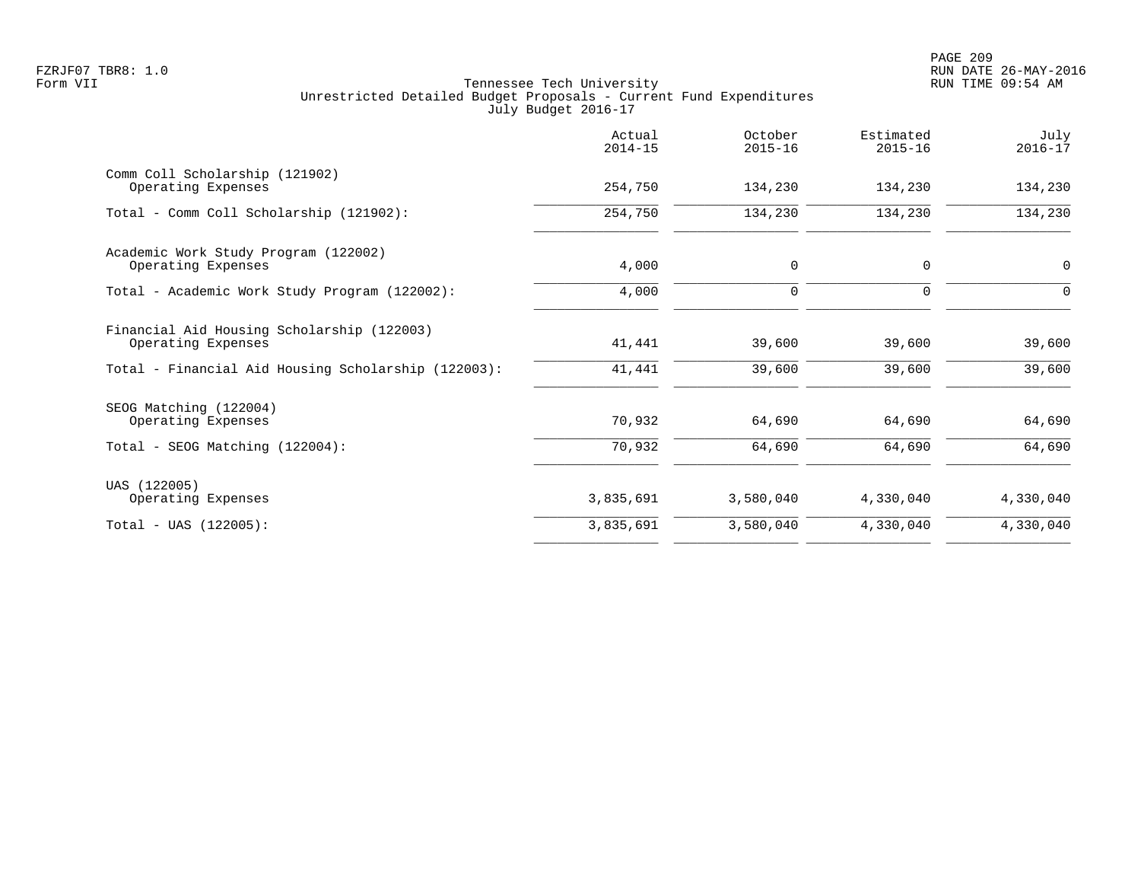|                                                                  | Actual<br>$2014 - 15$ | October<br>$2015 - 16$ | Estimated<br>$2015 - 16$ | July<br>$2016 - 17$ |
|------------------------------------------------------------------|-----------------------|------------------------|--------------------------|---------------------|
| Comm Coll Scholarship (121902)<br>Operating Expenses             | 254,750               | 134,230                | 134,230                  | 134,230             |
| Total - Comm Coll Scholarship (121902):                          | 254,750               | 134,230                | 134,230                  | 134,230             |
| Academic Work Study Program (122002)<br>Operating Expenses       | 4,000                 | $\mathbf 0$            | $\mathbf 0$              | $\mathbf 0$         |
| Total - Academic Work Study Program (122002):                    | 4,000                 | $\mathbf 0$            | $\Omega$                 | $\Omega$            |
| Financial Aid Housing Scholarship (122003)<br>Operating Expenses | 41,441                | 39,600                 | 39,600                   | 39,600              |
| Total - Financial Aid Housing Scholarship (122003):              | 41,441                | 39,600                 | 39,600                   | 39,600              |
| SEOG Matching (122004)<br>Operating Expenses                     | 70,932                | 64,690                 | 64,690                   | 64,690              |
| Total - SEOG Matching (122004):                                  | 70,932                | 64,690                 | 64,690                   | 64,690              |
| UAS (122005)<br>Operating Expenses                               | 3,835,691             | 3,580,040              | 4,330,040                | 4,330,040           |
| $Total - UAS (122005):$                                          | 3,835,691             | 3,580,040              | 4,330,040                | 4,330,040           |
|                                                                  |                       |                        |                          |                     |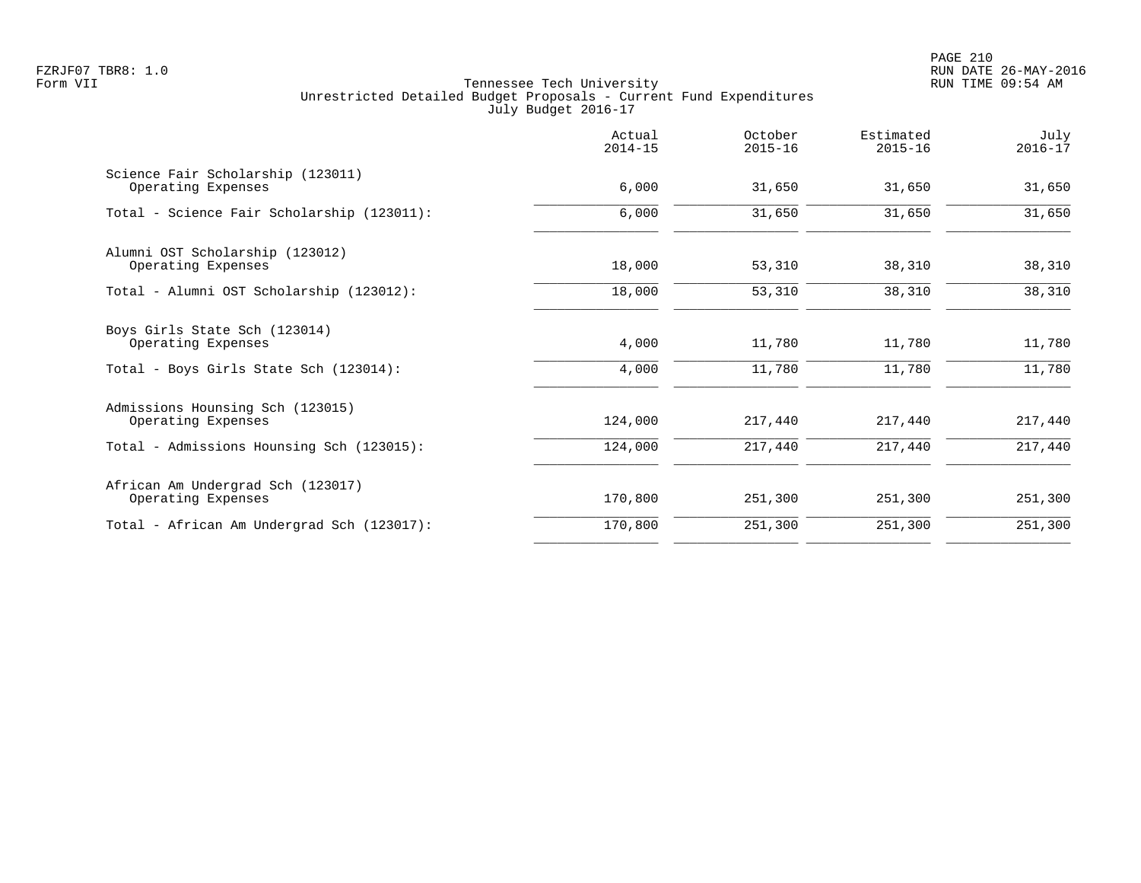PAGE 210 FZRJF07 TBR8: 1.0 RUN DATE 26-MAY-2016

|                                                         | Actual<br>$2014 - 15$ | October<br>$2015 - 16$ | Estimated<br>$2015 - 16$ | July<br>$2016 - 17$ |
|---------------------------------------------------------|-----------------------|------------------------|--------------------------|---------------------|
| Science Fair Scholarship (123011)<br>Operating Expenses | 6,000                 | 31,650                 | 31,650                   | 31,650              |
| Total - Science Fair Scholarship (123011):              | 6,000                 | 31,650                 | 31,650                   | 31,650              |
| Alumni OST Scholarship (123012)<br>Operating Expenses   | 18,000                | 53,310                 | 38,310                   | 38,310              |
| Total - Alumni OST Scholarship (123012):                | 18,000                | 53,310                 | 38,310                   | 38,310              |
| Boys Girls State Sch (123014)<br>Operating Expenses     | 4,000                 | 11,780                 | 11,780                   | 11,780              |
| Total - Boys Girls State Sch (123014):                  | 4,000                 | 11,780                 | 11,780                   | 11,780              |
| Admissions Hounsing Sch (123015)<br>Operating Expenses  | 124,000               | 217,440                | 217,440                  | 217,440             |
| Total - Admissions Hounsing Sch (123015):               | 124,000               | 217,440                | 217,440                  | 217,440             |
| African Am Undergrad Sch (123017)<br>Operating Expenses | 170,800               | 251,300                | 251,300                  | 251,300             |
| Total - African Am Undergrad Sch (123017):              | 170,800               | 251,300                | 251,300                  | 251,300             |
|                                                         |                       |                        |                          |                     |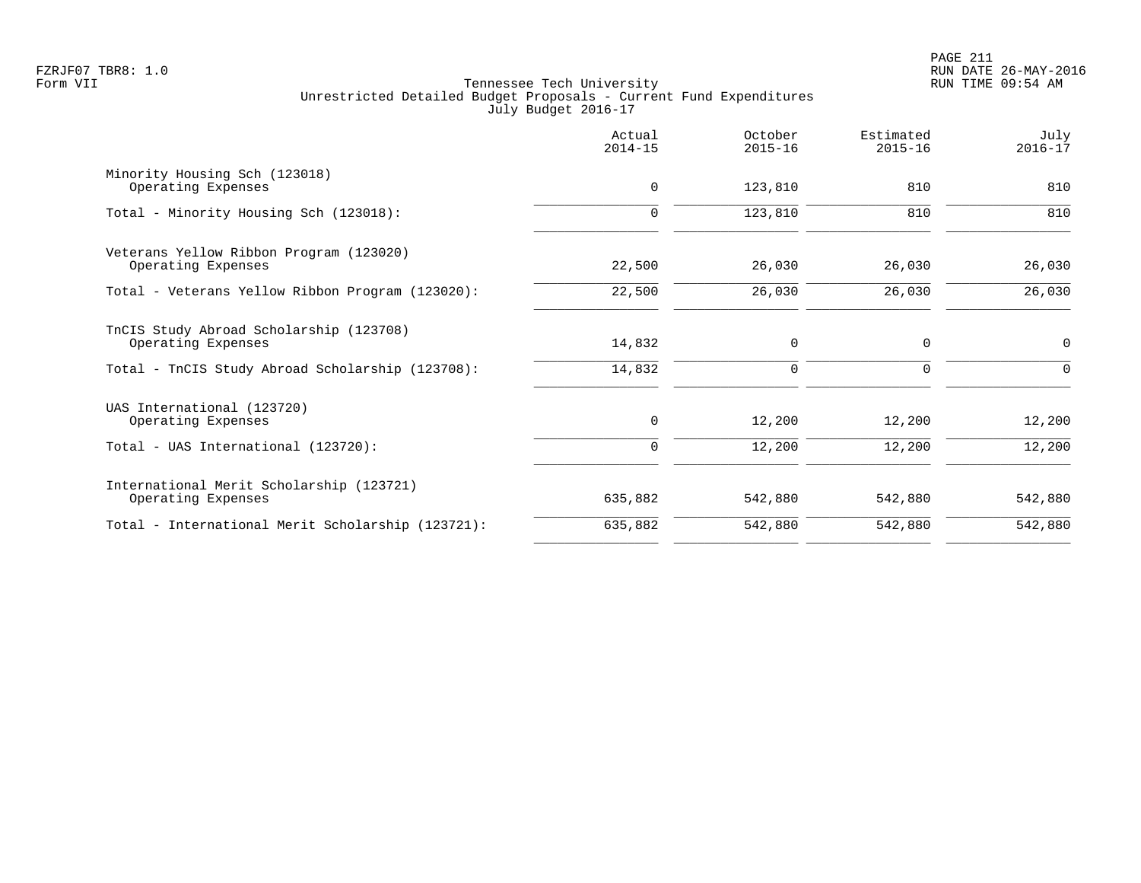|                                                                | Actual<br>$2014 - 15$ | October<br>$2015 - 16$ | Estimated<br>$2015 - 16$ | July<br>$2016 - 17$ |
|----------------------------------------------------------------|-----------------------|------------------------|--------------------------|---------------------|
| Minority Housing Sch (123018)<br>Operating Expenses            | $\mathbf 0$           | 123,810                | 810                      | 810                 |
| Total - Minority Housing Sch (123018):                         | $\Omega$              | 123,810                | 810                      | 810                 |
| Veterans Yellow Ribbon Program (123020)<br>Operating Expenses  | 22,500                | 26,030                 | 26,030                   | 26,030              |
| Total - Veterans Yellow Ribbon Program (123020):               | 22,500                | 26,030                 | 26,030                   | 26,030              |
| TnCIS Study Abroad Scholarship (123708)<br>Operating Expenses  | 14,832                | 0                      | 0                        | $\mathbf 0$         |
| Total - TnCIS Study Abroad Scholarship (123708):               | 14,832                | 0                      | 0                        | $\Omega$            |
| UAS International (123720)<br>Operating Expenses               | 0                     | 12,200                 | 12,200                   | 12,200              |
| Total - UAS International (123720):                            | 0                     | 12,200                 | 12,200                   | 12,200              |
| International Merit Scholarship (123721)<br>Operating Expenses | 635,882               | 542,880                | 542,880                  | 542,880             |
| Total - International Merit Scholarship (123721):              | 635,882               | 542,880                | 542,880                  | 542,880             |
|                                                                |                       |                        |                          |                     |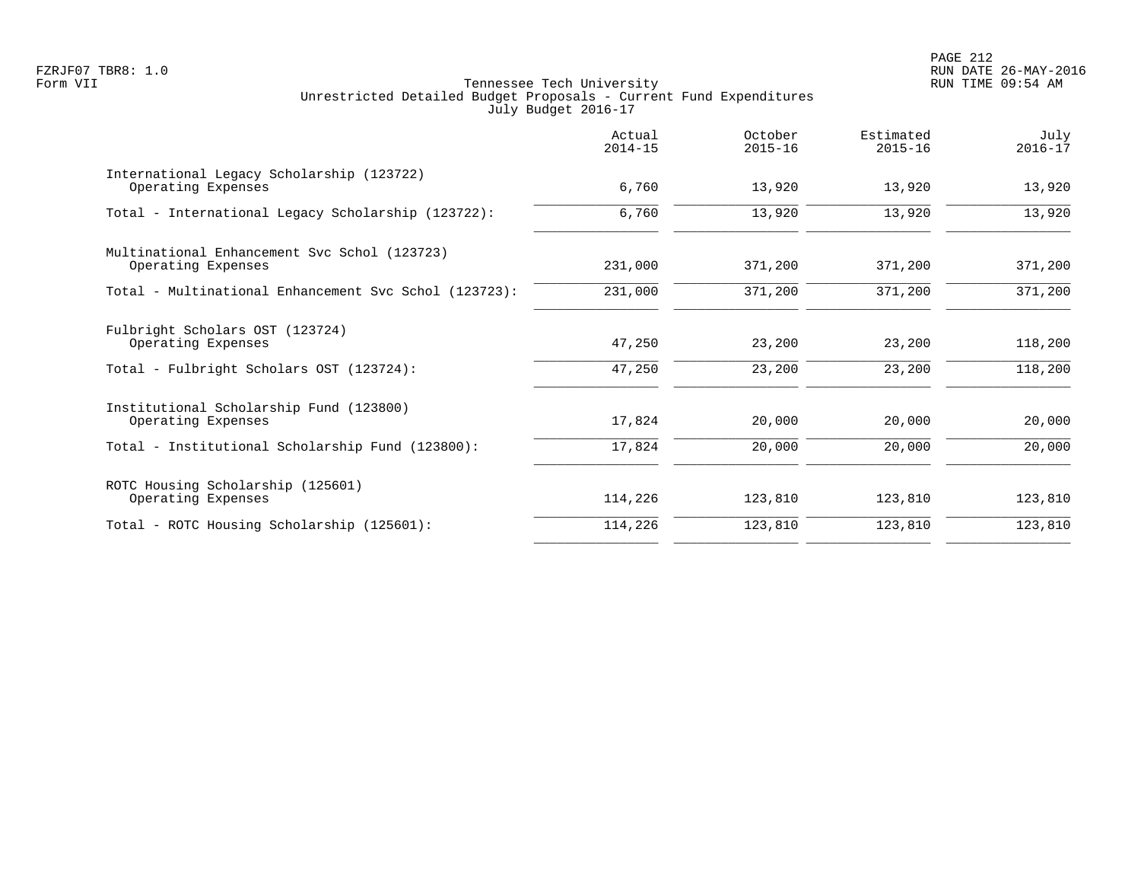PAGE 212 FZRJF07 TBR8: 1.0 RUN DATE 26-MAY-2016

|                                                                    | Actual<br>$2014 - 15$ | October<br>$2015 - 16$ | Estimated<br>$2015 - 16$ | July<br>$2016 - 17$ |
|--------------------------------------------------------------------|-----------------------|------------------------|--------------------------|---------------------|
| International Legacy Scholarship (123722)<br>Operating Expenses    | 6,760                 | 13,920                 | 13,920                   | 13,920              |
| Total - International Legacy Scholarship (123722):                 | 6,760                 | 13,920                 | 13,920                   | 13,920              |
| Multinational Enhancement Svc Schol (123723)<br>Operating Expenses | 231,000               | 371,200                | 371,200                  | 371,200             |
| Total - Multinational Enhancement Svc Schol (123723):              | 231,000               | 371,200                | 371,200                  | 371,200             |
| Fulbright Scholars OST (123724)<br>Operating Expenses              | 47,250                | 23,200                 | 23,200                   | 118,200             |
| Total - Fulbright Scholars OST (123724):                           | 47,250                | 23,200                 | 23,200                   | 118,200             |
| Institutional Scholarship Fund (123800)<br>Operating Expenses      | 17,824                | 20,000                 | 20,000                   | 20,000              |
| Total - Institutional Scholarship Fund (123800):                   | 17,824                | 20,000                 | 20,000                   | 20,000              |
| ROTC Housing Scholarship (125601)<br>Operating Expenses            | 114,226               | 123,810                | 123,810                  | 123,810             |
| Total - ROTC Housing Scholarship (125601):                         | 114,226               | 123,810                | 123,810                  | 123,810             |
|                                                                    |                       |                        |                          |                     |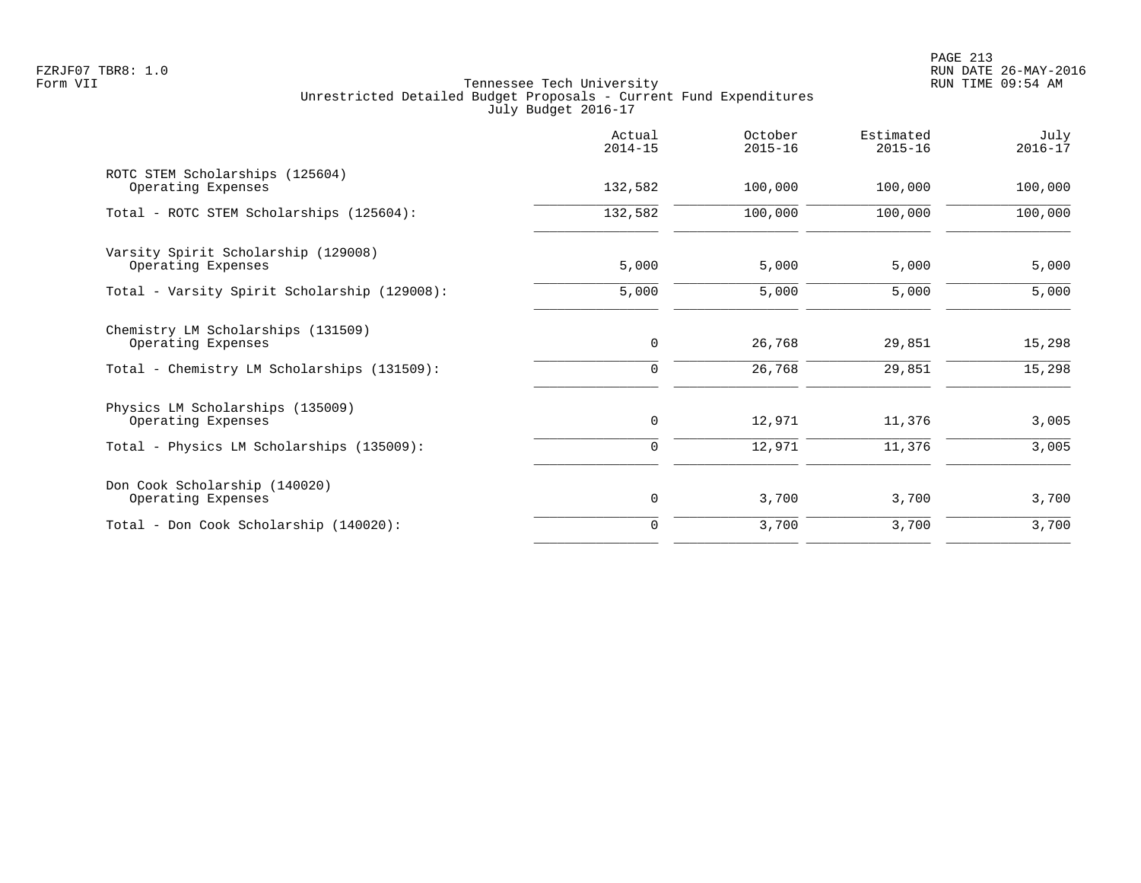|                                                           | Actual<br>$2014 - 15$ | October<br>$2015 - 16$ | Estimated<br>$2015 - 16$ | July<br>$2016 - 17$ |
|-----------------------------------------------------------|-----------------------|------------------------|--------------------------|---------------------|
| ROTC STEM Scholarships (125604)<br>Operating Expenses     | 132,582               | 100,000                | 100,000                  | 100,000             |
| Total - ROTC STEM Scholarships (125604):                  | 132,582               | 100,000                | 100,000                  | 100,000             |
| Varsity Spirit Scholarship (129008)<br>Operating Expenses | 5,000                 | 5,000                  | 5,000                    | 5,000               |
| Total - Varsity Spirit Scholarship (129008):              | 5,000                 | 5,000                  | 5,000                    | 5,000               |
| Chemistry LM Scholarships (131509)<br>Operating Expenses  | $\mathbf 0$           | 26,768                 | 29,851                   | 15,298              |
| Total - Chemistry LM Scholarships (131509):               | 0                     | 26,768                 | 29,851                   | 15,298              |
| Physics LM Scholarships (135009)<br>Operating Expenses    | 0                     | 12,971                 | 11,376                   | 3,005               |
| Total - Physics LM Scholarships (135009):                 | 0                     | 12,971                 | 11,376                   | 3,005               |
| Don Cook Scholarship (140020)<br>Operating Expenses       | $\mathbf 0$           | 3,700                  | 3,700                    | 3,700               |
| Total - Don Cook Scholarship (140020):                    | $\Omega$              | 3,700                  | 3,700                    | 3,700               |
|                                                           |                       |                        |                          |                     |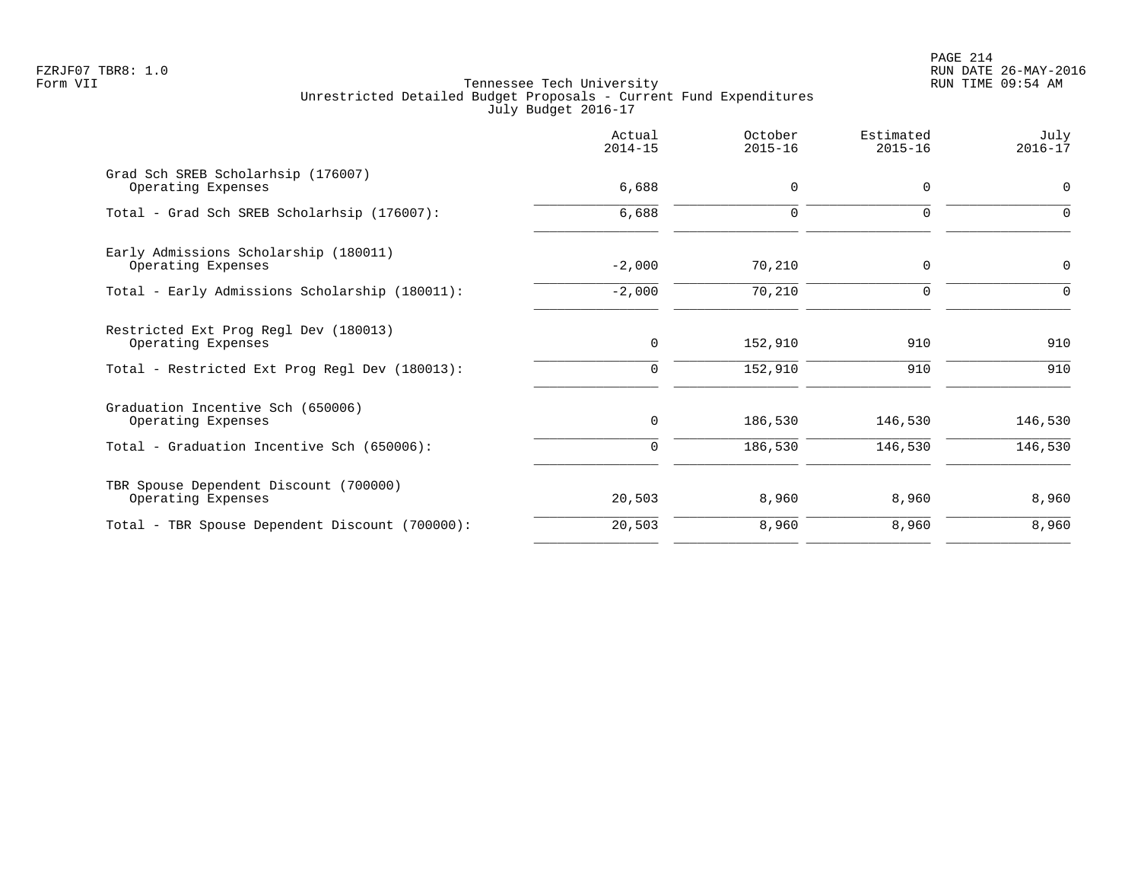PAGE 214 FZRJF07 TBR8: 1.0 RUN DATE 26-MAY-2016

|             | $2015 - 16$ | $2015 - 16$ | $2016 - 17$ |
|-------------|-------------|-------------|-------------|
| 6,688       | $\mathbf 0$ | $\mathbf 0$ | 0           |
| 6,688       | $\mathbf 0$ | $\mathbf 0$ | 0           |
| $-2,000$    | 70,210      | $\mathbf 0$ | 0           |
| $-2,000$    | 70,210      | $\mathbf 0$ | 0           |
| $\mathbf 0$ | 152,910     | 910         | 910         |
| $\mathbf 0$ | 152,910     | 910         | 910         |
| 0           | 186,530     | 146,530     | 146,530     |
| $\mathbf 0$ | 186,530     | 146,530     | 146,530     |
| 20,503      | 8,960       | 8,960       | 8,960       |
| 20,503      | 8,960       | 8,960       | 8,960       |
|             |             |             |             |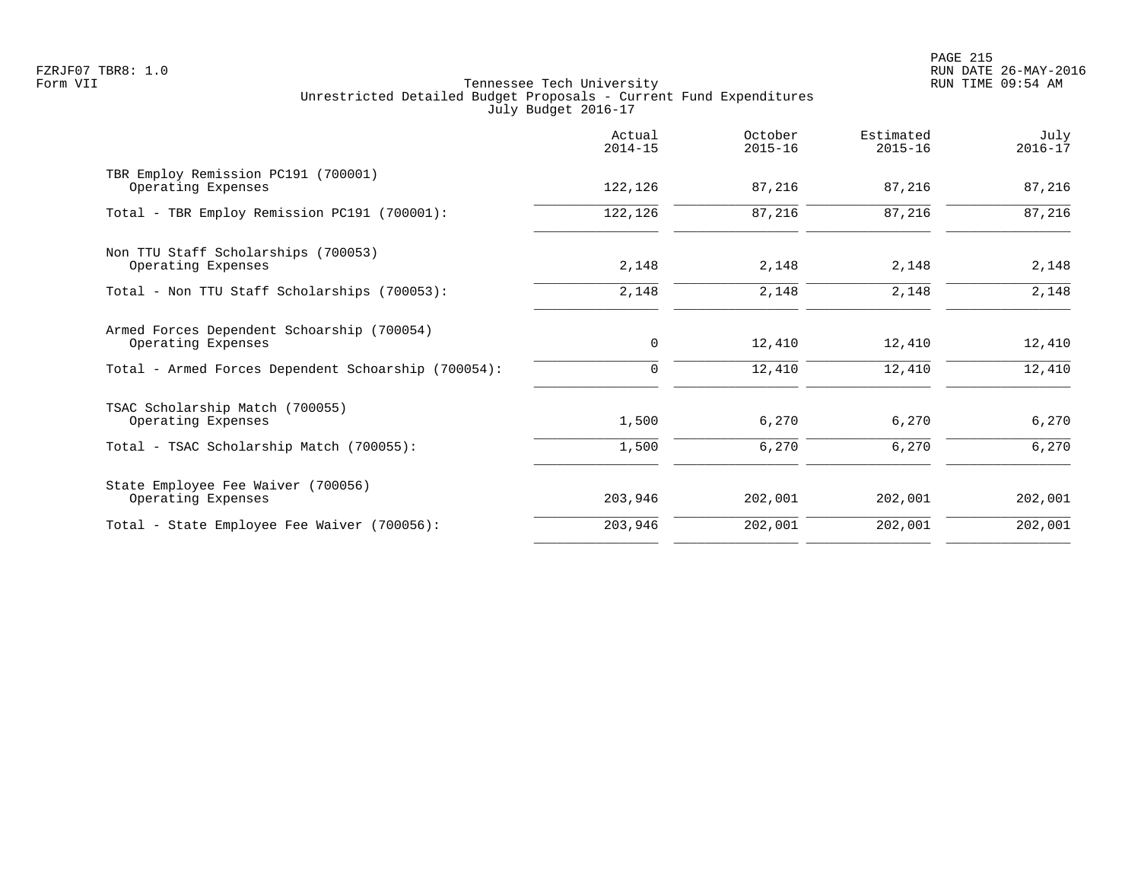PAGE 215 FZRJF07 TBR8: 1.0 RUN DATE 26-MAY-2016

| $2014 - 15$ | $2015 - 16$ | Estimated<br>$2015 - 16$ | July<br>$2016 - 17$ |
|-------------|-------------|--------------------------|---------------------|
| 122,126     | 87,216      | 87,216                   | 87,216              |
| 122,126     | 87,216      | 87,216                   | 87,216              |
| 2,148       | 2,148       | 2,148                    | 2,148               |
| 2,148       | 2,148       | 2,148                    | 2,148               |
| 0           | 12,410      | 12,410                   | 12,410              |
| 0           | 12,410      | 12,410                   | 12,410              |
| 1,500       | 6,270       | 6,270                    | 6,270               |
| 1,500       | 6,270       | 6,270                    | 6,270               |
| 203,946     | 202,001     | 202,001                  | 202,001             |
| 203,946     | 202,001     | 202,001                  | 202,001             |
|             |             |                          |                     |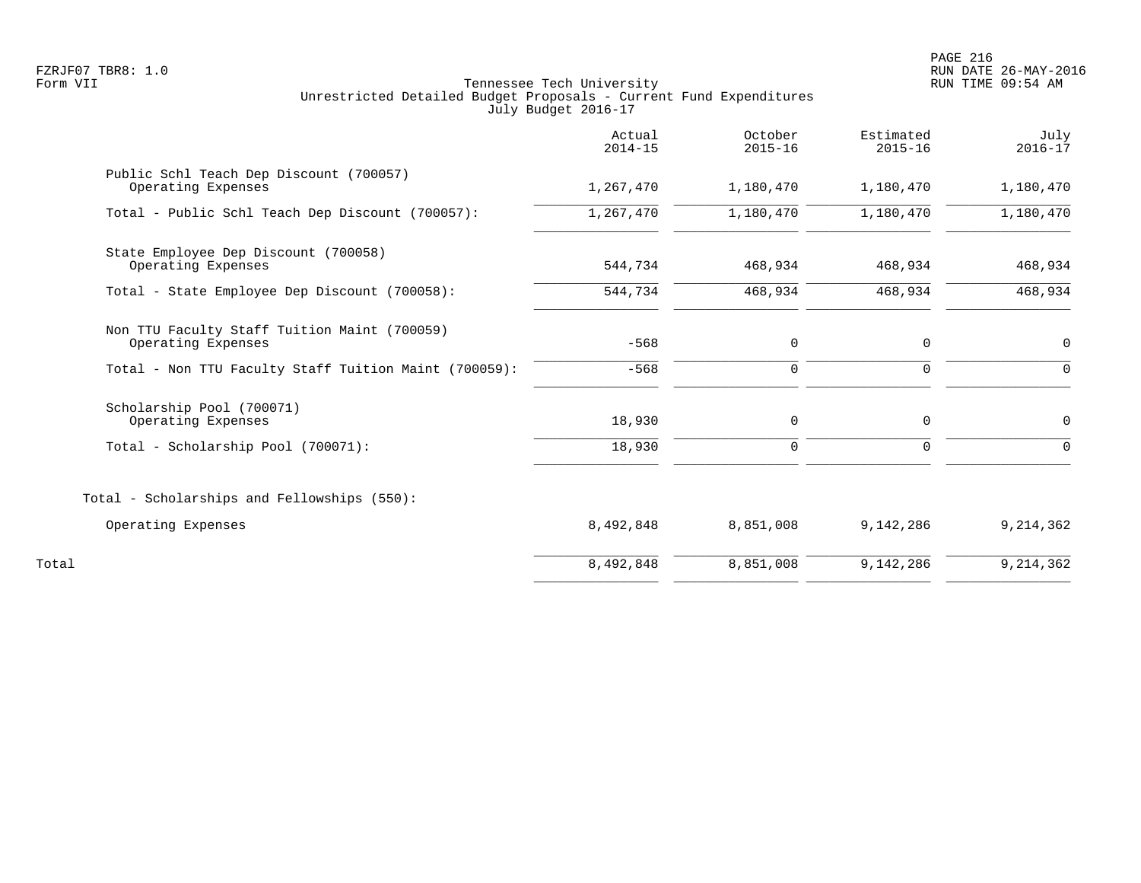|                                                                    | Actual<br>$2014 - 15$ | October<br>$2015 - 16$ | Estimated<br>$2015 - 16$ | July<br>$2016 - 17$ |
|--------------------------------------------------------------------|-----------------------|------------------------|--------------------------|---------------------|
| Public Schl Teach Dep Discount (700057)<br>Operating Expenses      | 1,267,470             | 1,180,470              | 1,180,470                | 1,180,470           |
| Total - Public Schl Teach Dep Discount (700057):                   | 1,267,470             | 1,180,470              | 1,180,470                | 1,180,470           |
| State Employee Dep Discount (700058)<br>Operating Expenses         | 544,734               | 468,934                | 468,934                  | 468,934             |
| Total - State Employee Dep Discount (700058):                      | 544,734               | 468,934                | 468,934                  | 468,934             |
| Non TTU Faculty Staff Tuition Maint (700059)<br>Operating Expenses | $-568$                | 0                      | 0                        | 0                   |
| Total - Non TTU Faculty Staff Tuition Maint (700059):              | $-568$                | $\mathsf{O}$           | $\mathbf{0}$             | $\Omega$            |
| Scholarship Pool (700071)<br>Operating Expenses                    | 18,930                | $\mathbf 0$            | $\mathbf 0$              | 0                   |
| Total - Scholarship Pool (700071):                                 | 18,930                | $\mathbf 0$            | $\mathbf 0$              | $\Omega$            |
| Total - Scholarships and Fellowships (550):                        |                       |                        |                          |                     |
| Operating Expenses                                                 | 8,492,848             | 8,851,008              | 9,142,286                | 9,214,362           |
| Total                                                              | 8,492,848             | 8,851,008              | 9,142,286                | 9, 214, 362         |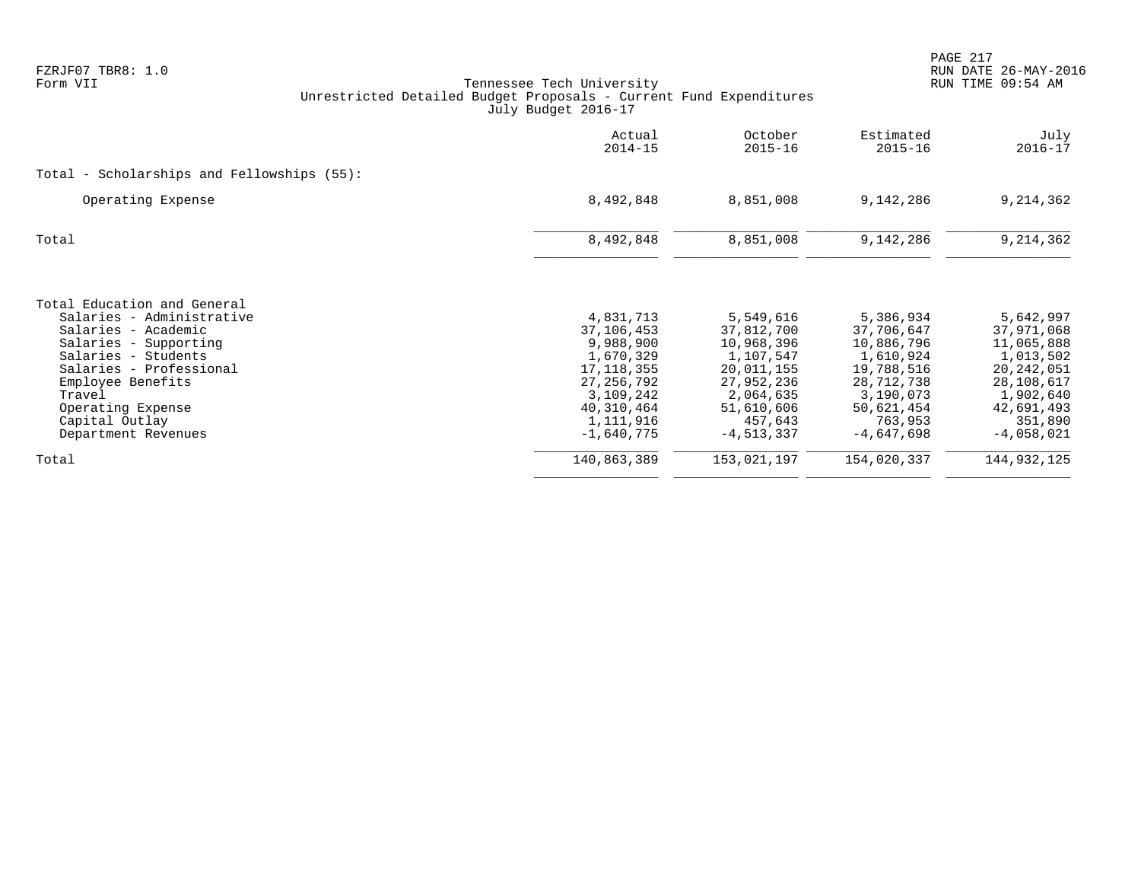| Actual<br>$2014 - 15$ | October<br>$2015 - 16$                                                             | Estimated<br>$2015 - 16$                                                       | July<br>$2016 - 17$                                                            |
|-----------------------|------------------------------------------------------------------------------------|--------------------------------------------------------------------------------|--------------------------------------------------------------------------------|
|                       |                                                                                    |                                                                                |                                                                                |
| 8,492,848             | 8,851,008                                                                          | 9,142,286                                                                      | 9,214,362                                                                      |
| 8,492,848             | 8,851,008                                                                          | 9,142,286                                                                      | 9,214,362                                                                      |
|                       |                                                                                    |                                                                                |                                                                                |
| 4,831,713             | 5,549,616                                                                          | 5,386,934                                                                      | 5,642,997<br>37,971,068                                                        |
| 9,988,900             | 10,968,396                                                                         | 10,886,796                                                                     | 11,065,888                                                                     |
| 1,670,329             | 1,107,547                                                                          | 1,610,924                                                                      | 1,013,502                                                                      |
| 17, 118, 355          | 20,011,155                                                                         | 19,788,516                                                                     | 20,242,051                                                                     |
|                       |                                                                                    |                                                                                | 28,108,617                                                                     |
|                       |                                                                                    |                                                                                | 1,902,640                                                                      |
|                       |                                                                                    |                                                                                | 42,691,493                                                                     |
|                       |                                                                                    |                                                                                | 351,890                                                                        |
|                       |                                                                                    |                                                                                | $-4,058,021$                                                                   |
| 140,863,389           | 153,021,197                                                                        | 154,020,337                                                                    | 144,932,125                                                                    |
|                       | 37,106,453<br>27, 256, 792<br>3,109,242<br>40,310,464<br>1,111,916<br>$-1,640,775$ | 37,812,700<br>27,952,236<br>2,064,635<br>51,610,606<br>457,643<br>$-4,513,337$ | 37,706,647<br>28,712,738<br>3,190,073<br>50,621,454<br>763,953<br>$-4,647,698$ |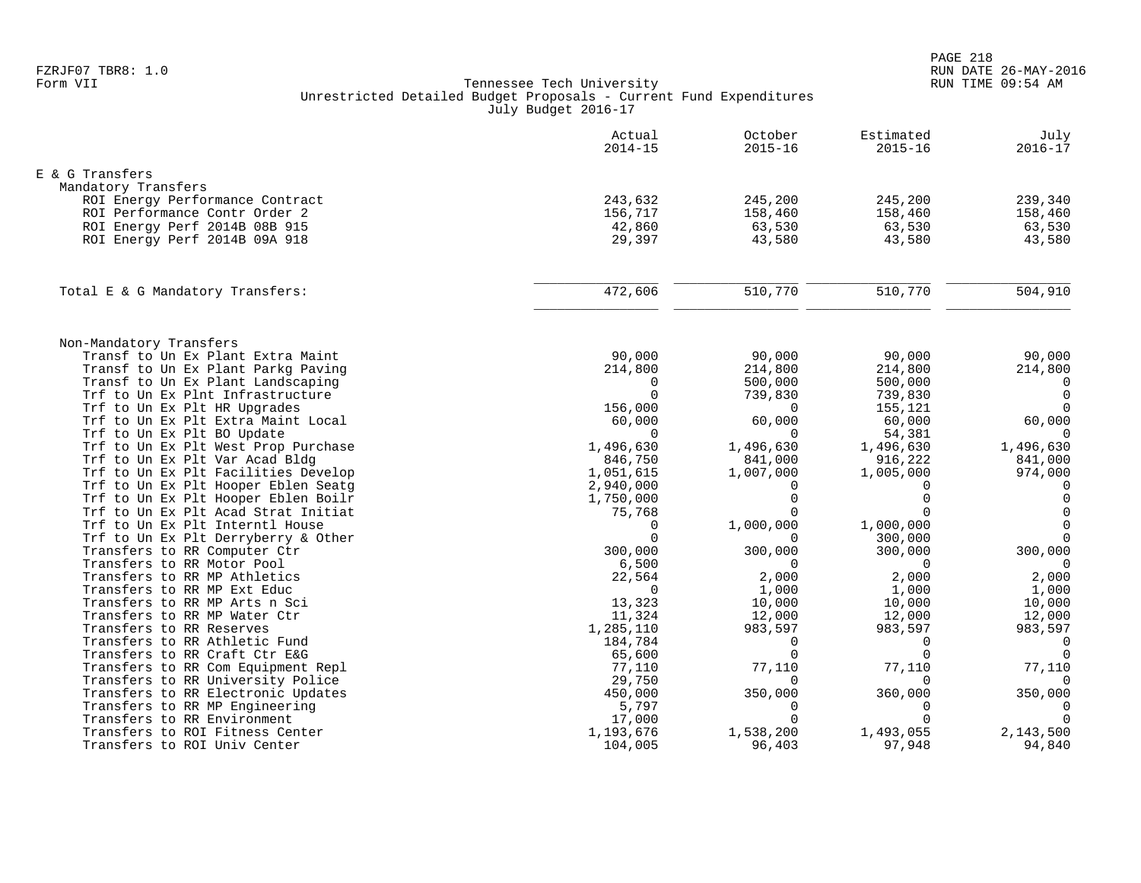|                                                                            | Actual<br>$2014 - 15$  | October<br>$2015 - 16$ | Estimated<br>$2015 - 16$ | July<br>$2016 - 17$     |
|----------------------------------------------------------------------------|------------------------|------------------------|--------------------------|-------------------------|
| E & G Transfers                                                            |                        |                        |                          |                         |
| Mandatory Transfers                                                        |                        |                        |                          |                         |
| ROI Energy Performance Contract                                            | 243,632                | 245,200                | 245,200                  | 239,340                 |
| ROI Performance Contr Order 2                                              | 156,717                | 158,460                | 158,460                  | 158,460                 |
| ROI Energy Perf 2014B 08B 915                                              | 42,860                 | 63,530                 | 63,530                   | 63,530                  |
| ROI Energy Perf 2014B 09A 918                                              | 29,397                 | 43,580                 | 43,580                   | 43,580                  |
| Total E & G Mandatory Transfers:                                           | 472,606                | 510,770                | 510,770                  | 504,910                 |
|                                                                            |                        |                        |                          |                         |
| Non-Mandatory Transfers                                                    |                        |                        |                          |                         |
| Transf to Un Ex Plant Extra Maint                                          | 90,000                 | 90,000                 | 90,000                   | 90,000                  |
| Transf to Un Ex Plant Parkg Paving                                         | 214,800                | 214,800                | 214,800                  | 214,800                 |
| Transf to Un Ex Plant Landscaping                                          | $\Omega$               | 500,000                | 500,000                  | $\overline{0}$          |
| Trf to Un Ex Plnt Infrastructure                                           | $\Omega$               | 739,830                | 739,830                  | $\overline{0}$          |
| Trf to Un Ex Plt HR Upgrades                                               | 156,000                | $\Omega$               | 155,121                  | $\Omega$                |
| Trf to Un Ex Plt Extra Maint Local                                         | 60,000                 | 60,000                 | 60,000                   | 60,000                  |
| Trf to Un Ex Plt BO Update                                                 | $\Omega$               | $\Omega$               | 54,381                   | $\Omega$                |
| Trf to Un Ex Plt West Prop Purchase                                        | 1,496,630              | 1,496,630              | 1,496,630                | 1,496,630               |
| Trf to Un Ex Plt Var Acad Bldg                                             | 846,750                | 841,000                | 916,222                  | 841,000                 |
| Trf to Un Ex Plt Facilities Develop                                        | 1,051,615              | 1,007,000              | 1,005,000<br>$\Omega$    | 974,000                 |
| Trf to Un Ex Plt Hooper Eblen Seatq<br>Trf to Un Ex Plt Hooper Eblen Boilr | 2,940,000<br>1,750,000 | $\Omega$<br>$\Omega$   | $\Omega$                 | $\Omega$<br>$\mathbf 0$ |
| Trf to Un Ex Plt Acad Strat Initiat                                        | 75,768                 |                        | $\Omega$                 | $\overline{0}$          |
| Trf to Un Ex Plt Interntl House                                            | $\Omega$               | 1,000,000              | 1,000,000                | $\Omega$                |
| Trf to Un Ex Plt Derryberry & Other                                        | $\cap$                 |                        | 300,000                  | $\Omega$                |
| Transfers to RR Computer Ctr                                               | 300,000                | 300,000                | 300,000                  | 300,000                 |
| Transfers to RR Motor Pool                                                 | 6,500                  | $\Omega$               | $\Omega$                 | $\Omega$                |
| Transfers to RR MP Athletics                                               | 22,564                 | 2,000                  | 2,000                    | 2,000                   |
| Transfers to RR MP Ext Educ                                                | $\Omega$               | 1,000                  | 1,000                    | 1,000                   |
| Transfers to RR MP Arts n Sci                                              | 13,323                 | 10,000                 | 10,000                   | 10,000                  |
| Transfers to RR MP Water Ctr                                               | 11,324                 | 12,000                 | 12,000                   | 12,000                  |
| Transfers to RR Reserves                                                   | 1,285,110              | 983,597                | 983,597                  | 983,597                 |
| Transfers to RR Athletic Fund                                              | 184,784                | $\Omega$               | $\Omega$                 | $\mathbf 0$             |
| Transfers to RR Craft Ctr E&G                                              | 65,600                 | $\Omega$               | $\Omega$                 | $\Omega$                |
| Transfers to RR Com Equipment Repl                                         | 77,110                 | 77,110                 | 77,110                   | 77,110                  |
| Transfers to RR University Police                                          | 29,750                 | $\Omega$               | $\Omega$                 | $\Omega$                |
| Transfers to RR Electronic Updates                                         | 450,000                | 350,000                | 360,000                  | 350,000                 |
| Transfers to RR MP Engineering                                             | 5,797                  | $\Omega$               | $\Omega$                 | 0                       |
| Transfers to RR Environment                                                | 17,000                 | $\cap$                 | $\cap$                   | $\Omega$                |
| Transfers to ROI Fitness Center                                            | 1,193,676              | 1,538,200              | 1,493,055                | 2,143,500               |
| Transfers to ROI Univ Center                                               | 104,005                | 96,403                 | 97,948                   | 94,840                  |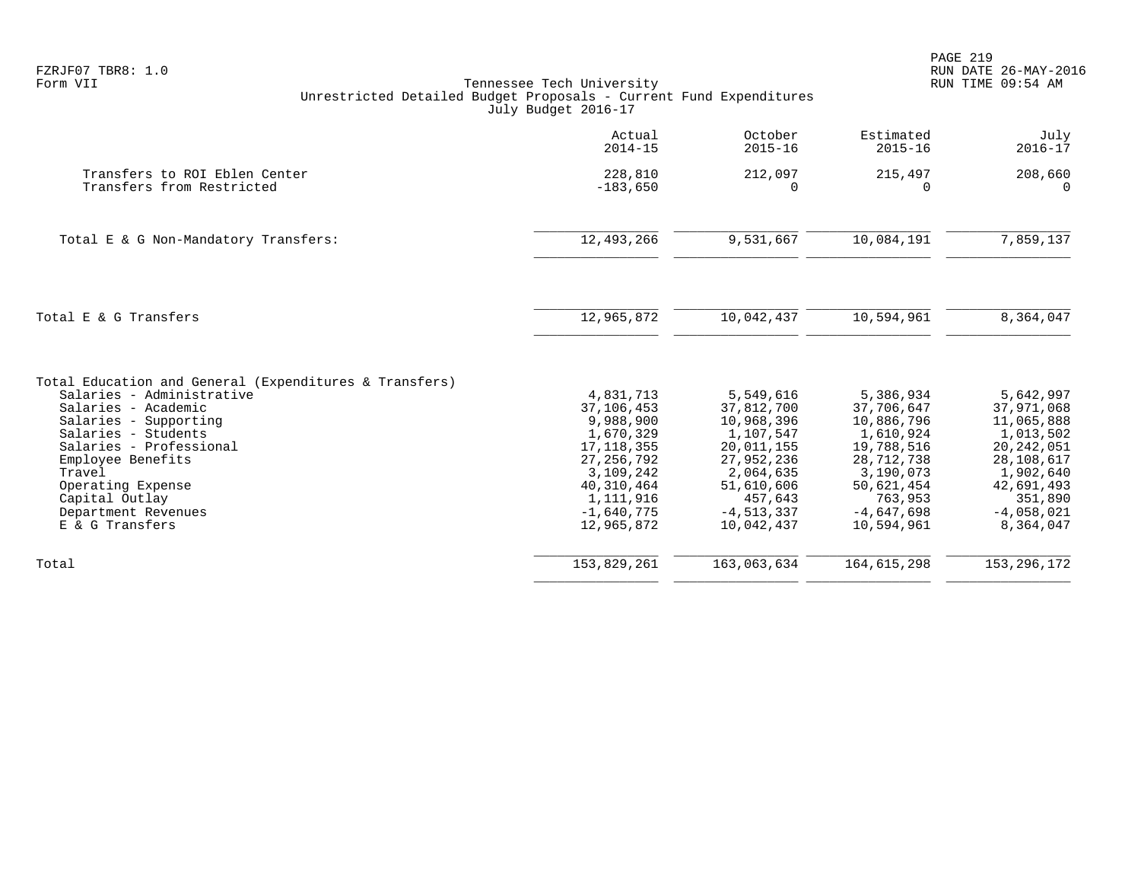| FZRJF07 TBR8: 1.0<br>Form VII                                                                                                                                                                                                                                                                         | Tennessee Tech University<br>Unrestricted Detailed Budget Proposals - Current Fund Expenditures<br>July Budget 2016-17                                  |                                                                                                                                                      |                                                                                                                                                    | PAGE 219<br>RUN DATE 26-MAY-2016<br>RUN TIME 09:54 AM                                                                                               |
|-------------------------------------------------------------------------------------------------------------------------------------------------------------------------------------------------------------------------------------------------------------------------------------------------------|---------------------------------------------------------------------------------------------------------------------------------------------------------|------------------------------------------------------------------------------------------------------------------------------------------------------|----------------------------------------------------------------------------------------------------------------------------------------------------|-----------------------------------------------------------------------------------------------------------------------------------------------------|
|                                                                                                                                                                                                                                                                                                       | Actual<br>$2014 - 15$                                                                                                                                   | October<br>$2015 - 16$                                                                                                                               | Estimated<br>$2015 - 16$                                                                                                                           | July<br>$2016 - 17$                                                                                                                                 |
| Transfers to ROI Eblen Center<br>Transfers from Restricted                                                                                                                                                                                                                                            | 228,810<br>$-183,650$                                                                                                                                   | 212,097<br>$\Omega$                                                                                                                                  | 215,497<br>$\Omega$                                                                                                                                | 208,660<br>$\Omega$                                                                                                                                 |
| Total E & G Non-Mandatory Transfers:                                                                                                                                                                                                                                                                  | 12,493,266                                                                                                                                              | 9,531,667                                                                                                                                            | 10,084,191                                                                                                                                         | 7,859,137                                                                                                                                           |
| Total E & G Transfers                                                                                                                                                                                                                                                                                 | 12,965,872                                                                                                                                              | 10,042,437                                                                                                                                           | 10,594,961                                                                                                                                         | 8,364,047                                                                                                                                           |
| Total Education and General (Expenditures & Transfers)<br>Salaries - Administrative<br>Salaries - Academic<br>Salaries - Supporting<br>Salaries - Students<br>Salaries - Professional<br>Employee Benefits<br>Travel<br>Operating Expense<br>Capital Outlay<br>Department Revenues<br>E & G Transfers | 4,831,713<br>37,106,453<br>9,988,900<br>1,670,329<br>17, 118, 355<br>27, 256, 792<br>3,109,242<br>40,310,464<br>1,111,916<br>$-1,640,775$<br>12,965,872 | 5,549,616<br>37,812,700<br>10,968,396<br>1,107,547<br>20,011,155<br>27,952,236<br>2,064,635<br>51,610,606<br>457,643<br>$-4, 513, 337$<br>10,042,437 | 5,386,934<br>37,706,647<br>10,886,796<br>1,610,924<br>19,788,516<br>28,712,738<br>3,190,073<br>50,621,454<br>763,953<br>$-4,647,698$<br>10,594,961 | 5,642,997<br>37,971,068<br>11,065,888<br>1,013,502<br>20, 242, 051<br>28,108,617<br>1,902,640<br>42,691,493<br>351,890<br>$-4,058,021$<br>8,364,047 |
| Total                                                                                                                                                                                                                                                                                                 | 153,829,261                                                                                                                                             | 163,063,634                                                                                                                                          | 164,615,298                                                                                                                                        | 153, 296, 172                                                                                                                                       |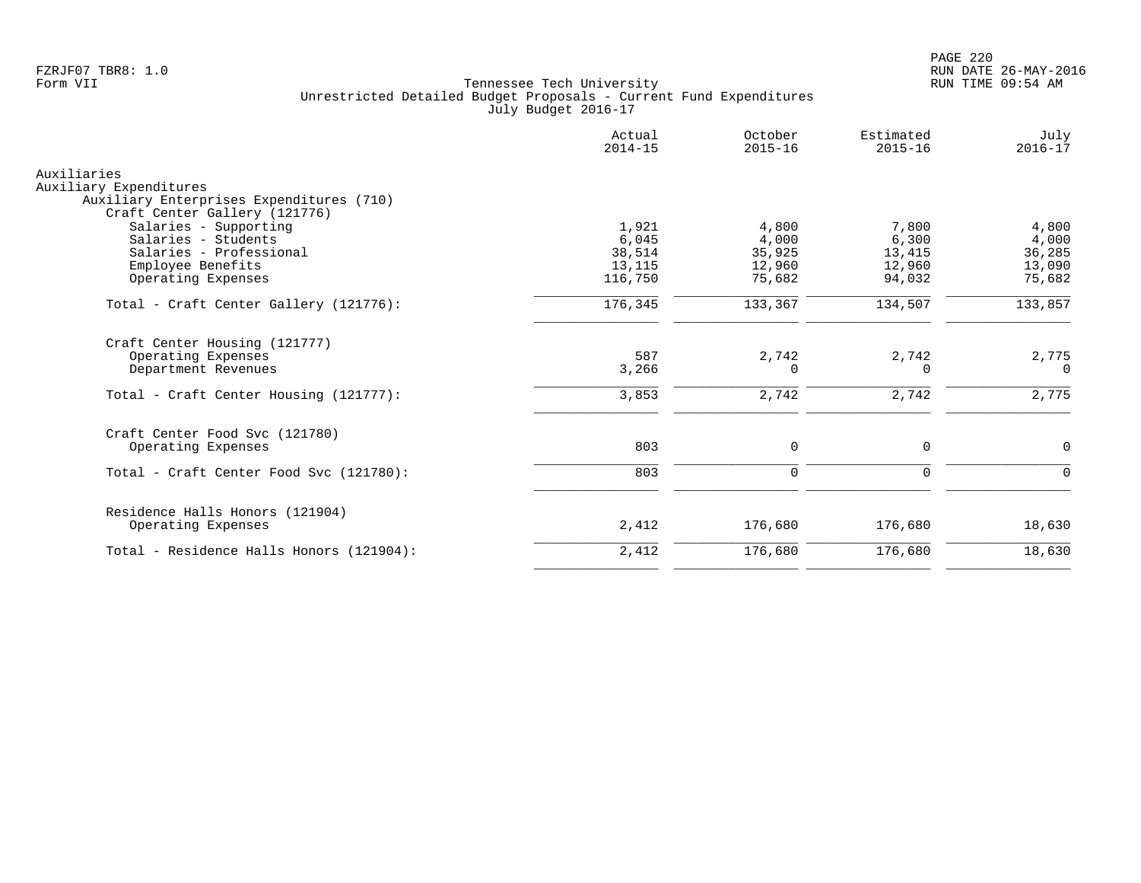|                                                                           | Actual<br>$2014 - 15$ | October<br>$2015 - 16$ | Estimated<br>$2015 - 16$ | July<br>$2016 - 17$ |
|---------------------------------------------------------------------------|-----------------------|------------------------|--------------------------|---------------------|
| Auxiliaries                                                               |                       |                        |                          |                     |
| Auxiliary Expenditures                                                    |                       |                        |                          |                     |
| Auxiliary Enterprises Expenditures (710)<br>Craft Center Gallery (121776) |                       |                        |                          |                     |
| Salaries - Supporting                                                     | 1,921                 | 4,800                  | 7,800                    | 4,800               |
| Salaries - Students                                                       | 6,045                 | 4,000                  | 6,300                    | 4,000               |
| Salaries - Professional                                                   | 38,514                | 35,925                 | 13,415                   | 36,285              |
| Employee Benefits                                                         | 13,115                | 12,960                 | 12,960                   | 13,090              |
| Operating Expenses                                                        | 116,750               | 75,682                 | 94,032                   | 75,682              |
| Total - Craft Center Gallery (121776):                                    | 176,345               | 133,367                | 134,507                  | 133,857             |
| Craft Center Housing (121777)                                             |                       |                        |                          |                     |
| Operating Expenses                                                        | 587                   | 2,742                  | 2,742                    | 2,775               |
| Department Revenues                                                       | 3,266                 | $\Omega$               | 0                        | $\Omega$            |
| Total - Craft Center Housing (121777):                                    | 3,853                 | 2,742                  | 2,742                    | 2,775               |
| Craft Center Food Svc (121780)                                            |                       |                        |                          |                     |
| Operating Expenses                                                        | 803                   | $\mathbf 0$            | $\mathbf 0$              | $\mathbf 0$         |
| Total - Craft Center Food Svc (121780):                                   | 803                   | $\mathbf 0$            | $\mathbf 0$              | $\Omega$            |
|                                                                           |                       |                        |                          |                     |
| Residence Halls Honors (121904)<br>Operating Expenses                     | 2,412                 | 176,680                | 176,680                  | 18,630              |
| Total - Residence Halls Honors (121904):                                  | 2,412                 | 176,680                | 176,680                  | 18,630              |
|                                                                           |                       |                        |                          |                     |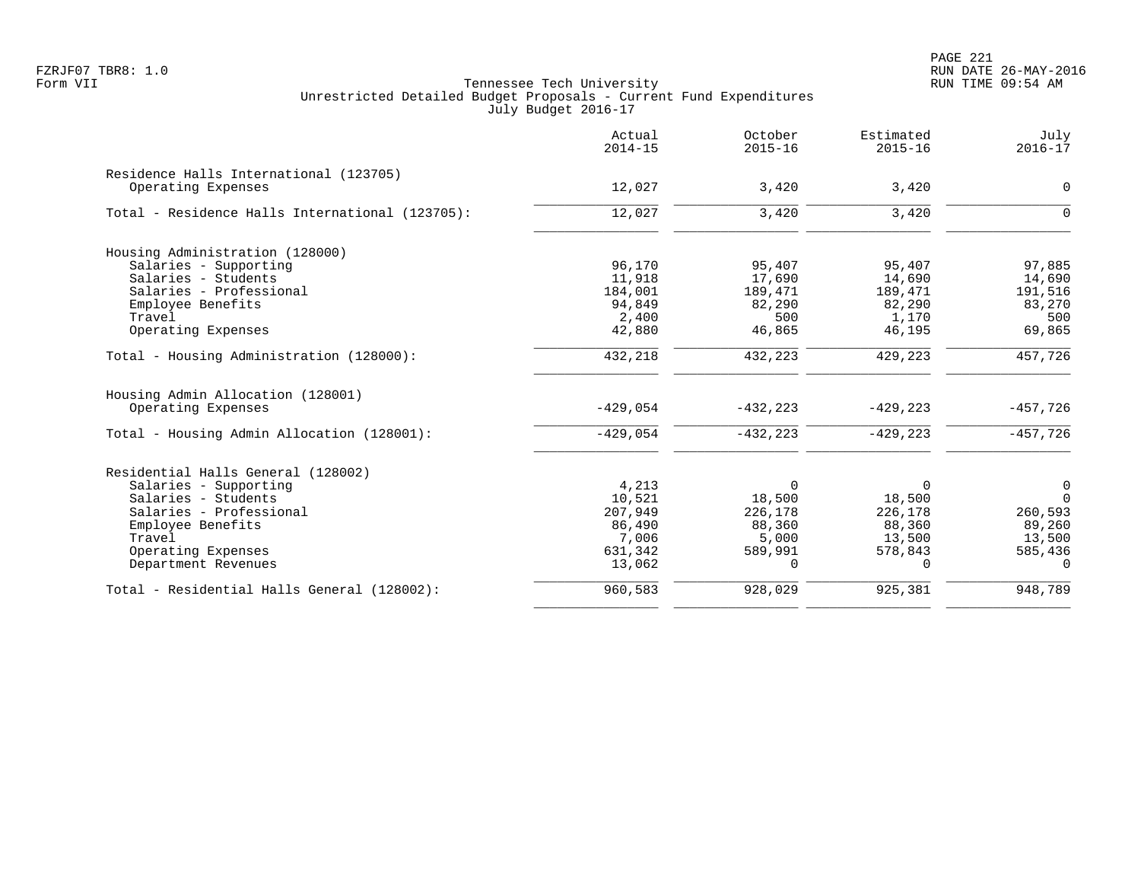|                                                 | Actual<br>$2014 - 15$ | October<br>$2015 - 16$ | Estimated<br>$2015 - 16$ | July<br>$2016 - 17$ |
|-------------------------------------------------|-----------------------|------------------------|--------------------------|---------------------|
| Residence Halls International (123705)          |                       |                        |                          |                     |
| Operating Expenses                              | 12,027                | 3,420                  | 3,420                    | $\mathbf 0$         |
| Total - Residence Halls International (123705): | 12,027                | 3,420                  | 3,420                    | $\Omega$            |
| Housing Administration (128000)                 |                       |                        |                          |                     |
| Salaries - Supporting                           | 96,170                | 95,407                 | 95,407                   | 97,885              |
| Salaries - Students                             | 11,918                | 17,690                 | 14,690                   | 14,690              |
| Salaries - Professional                         | 184,001               | 189,471                | 189,471                  | 191,516             |
| Employee Benefits                               | 94,849                | 82,290                 | 82,290                   | 83,270              |
| Travel                                          | 2,400                 | 500                    | 1,170                    | 500                 |
| Operating Expenses                              | 42,880                | 46,865                 | 46,195                   | 69,865              |
| Total - Housing Administration (128000):        | 432,218               | 432,223                | 429,223                  | 457,726             |
| Housing Admin Allocation (128001)               |                       |                        |                          |                     |
| Operating Expenses                              | $-429,054$            | $-432, 223$            | $-429, 223$              | $-457,726$          |
| Total - Housing Admin Allocation (128001):      | $-429,054$            | $-432, 223$            | $-429, 223$              | $-457,726$          |
| Residential Halls General (128002)              |                       |                        |                          |                     |
| Salaries - Supporting                           | 4,213                 | $\Omega$               | $\Omega$                 | 0                   |
| Salaries - Students                             | 10,521                | 18,500                 | 18,500                   | $\Omega$            |
| Salaries - Professional                         | 207,949               | 226,178                | 226,178                  | 260,593             |
| Employee Benefits                               | 86,490                | 88,360                 | 88,360                   | 89,260              |
| Travel                                          | 7,006                 | 5,000                  | 13,500                   | 13,500              |
| Operating Expenses                              | 631,342               | 589,991                | 578,843                  | 585,436             |
| Department Revenues                             | 13,062                | 0                      | 0                        | $\Omega$            |
| Total - Residential Halls General (128002):     | 960,583               | 928,029                | 925,381                  | 948,789             |
|                                                 |                       |                        |                          |                     |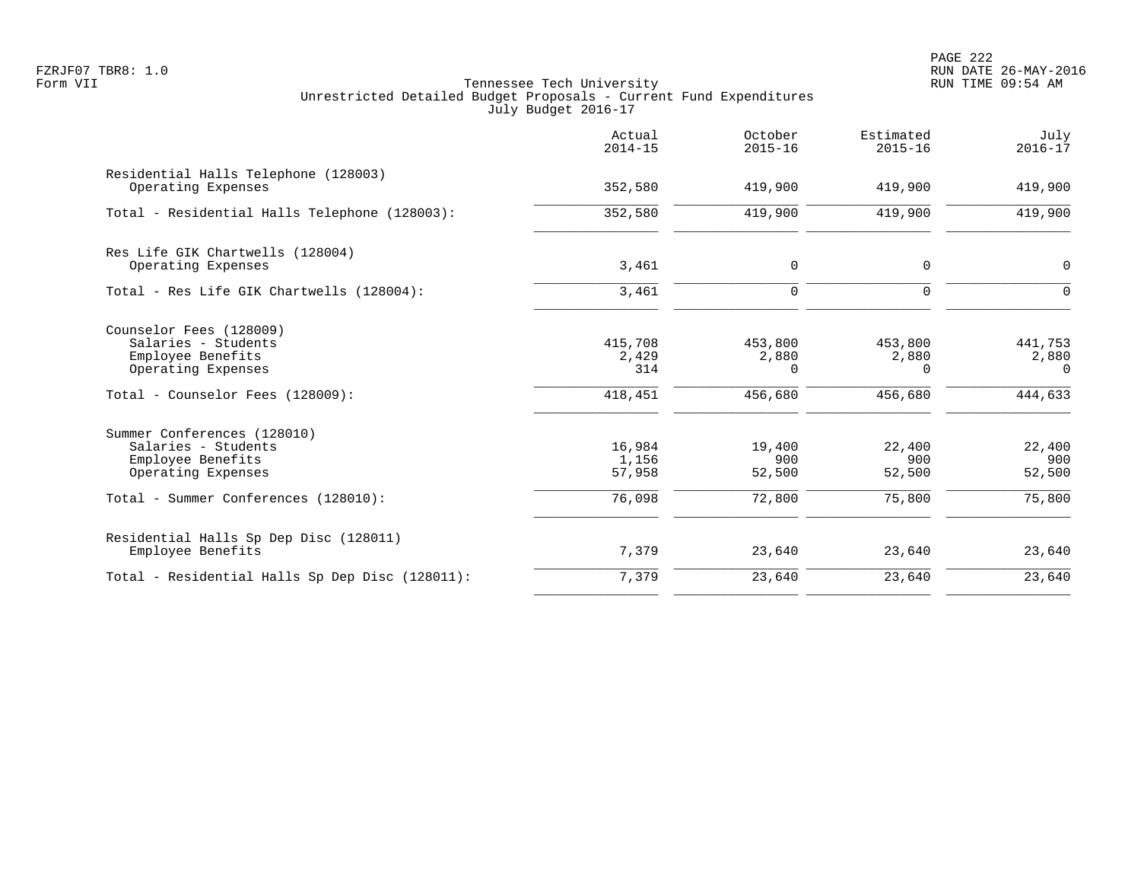PAGE 222 FZRJF07 TBR8: 1.0 RUN DATE 26-MAY-2016

|                                                                                               | Actual<br>$2014 - 15$     | October<br>$2015 - 16$       | Estimated<br>$2015 - 16$     | July<br>$2016 - 17$          |
|-----------------------------------------------------------------------------------------------|---------------------------|------------------------------|------------------------------|------------------------------|
| Residential Halls Telephone (128003)<br>Operating Expenses                                    | 352,580                   | 419,900                      | 419,900                      | 419,900                      |
| Total - Residential Halls Telephone (128003):                                                 | 352,580                   | 419,900                      | 419,900                      | 419,900                      |
| Res Life GIK Chartwells (128004)<br>Operating Expenses                                        | 3,461                     | 0                            | $\mathbf 0$                  | 0                            |
| Total - Res Life GIK Chartwells (128004):                                                     | 3,461                     | $\mathbf 0$                  | $\Omega$                     | $\Omega$                     |
| Counselor Fees (128009)<br>Salaries - Students<br>Employee Benefits<br>Operating Expenses     | 415,708<br>2,429<br>314   | 453,800<br>2,880<br>$\Omega$ | 453,800<br>2,880<br>$\Omega$ | 441,753<br>2,880<br>$\Omega$ |
| Total - Counselor Fees (128009):                                                              | 418,451                   | 456,680                      | 456,680                      | 444,633                      |
| Summer Conferences (128010)<br>Salaries - Students<br>Employee Benefits<br>Operating Expenses | 16,984<br>1,156<br>57,958 | 19,400<br>900<br>52,500      | 22,400<br>900<br>52,500      | 22,400<br>900<br>52,500      |
| Total - Summer Conferences (128010):                                                          | 76,098                    | 72,800                       | 75,800                       | 75,800                       |
| Residential Halls Sp Dep Disc (128011)<br>Employee Benefits                                   | 7,379                     | 23,640                       | 23,640                       | 23,640                       |
| Total - Residential Halls Sp Dep Disc (128011):                                               | 7,379                     | 23,640                       | 23,640                       | 23,640                       |
|                                                                                               |                           |                              |                              |                              |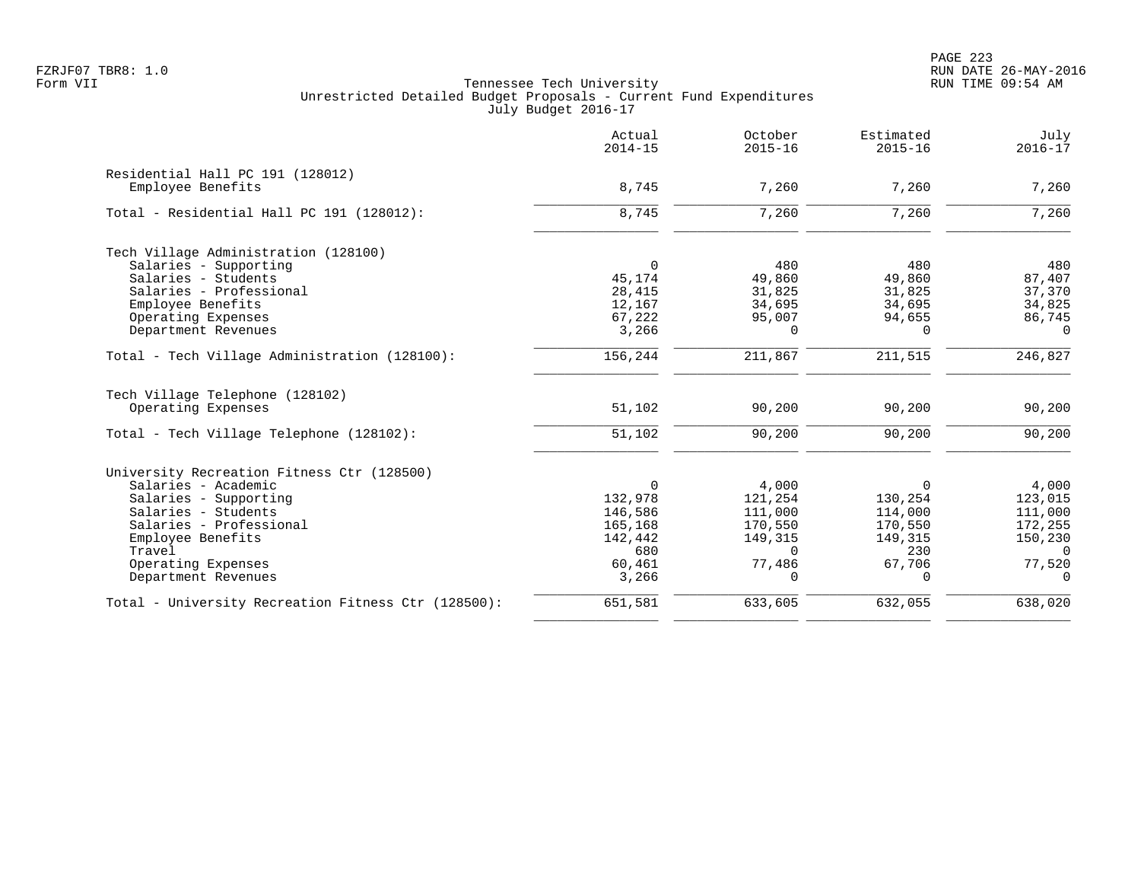PAGE 223 FZRJF07 TBR8: 1.0 RUN DATE 26-MAY-2016

|                                                     | Actual<br>$2014 - 15$ | October<br>$2015 - 16$ | Estimated<br>$2015 - 16$ | July<br>$2016 - 17$ |
|-----------------------------------------------------|-----------------------|------------------------|--------------------------|---------------------|
| Residential Hall PC 191 (128012)                    |                       |                        |                          |                     |
| Employee Benefits                                   | 8,745                 | 7,260                  | 7,260                    | 7,260               |
| Total - Residential Hall PC 191 (128012):           | 8,745                 | 7,260                  | 7,260                    | 7,260               |
| Tech Village Administration (128100)                |                       |                        |                          |                     |
| Salaries - Supporting                               | $\Omega$              | 480                    | 480                      | 480                 |
| Salaries - Students                                 | 45,174                | 49,860                 | 49,860                   | 87,407              |
| Salaries - Professional                             | 28,415                | 31,825                 | 31,825                   | 37,370              |
| Employee Benefits                                   | 12,167                | 34,695                 | 34,695                   | 34,825              |
| Operating Expenses                                  | 67,222                | 95,007                 | 94,655                   | 86,745              |
| Department Revenues                                 | 3,266                 | $\Omega$               | $\Omega$                 | $\Omega$            |
| Total - Tech Village Administration (128100):       | 156,244               | 211,867                | 211,515                  | 246,827             |
| Tech Village Telephone (128102)                     |                       |                        |                          |                     |
| Operating Expenses                                  | 51,102                | 90,200                 | 90,200                   | 90,200              |
| Total - Tech Village Telephone (128102):            | 51,102                | 90,200                 | 90,200                   | 90,200              |
| University Recreation Fitness Ctr (128500)          |                       |                        |                          |                     |
| Salaries - Academic                                 | $\Omega$              | 4,000                  | $\Omega$                 | 4,000               |
| Salaries - Supporting                               | 132,978               | 121,254                | 130,254                  | 123,015             |
| Salaries - Students                                 | 146,586               | 111,000                | 114,000                  | 111,000             |
| Salaries - Professional                             | 165,168               | 170,550                | 170,550                  | 172,255             |
| Employee Benefits                                   | 142,442               | 149,315                | 149,315                  | 150,230             |
| Travel                                              | 680                   | $\Omega$               | 230                      | $\Omega$            |
| Operating Expenses                                  | 60,461                | 77,486                 | 67,706                   | 77,520              |
| Department Revenues                                 | 3,266                 | $\Omega$               | $\Omega$                 | $\Omega$            |
| Total - University Recreation Fitness Ctr (128500): | 651,581               | 633,605                | 632,055                  | 638,020             |
|                                                     |                       |                        |                          |                     |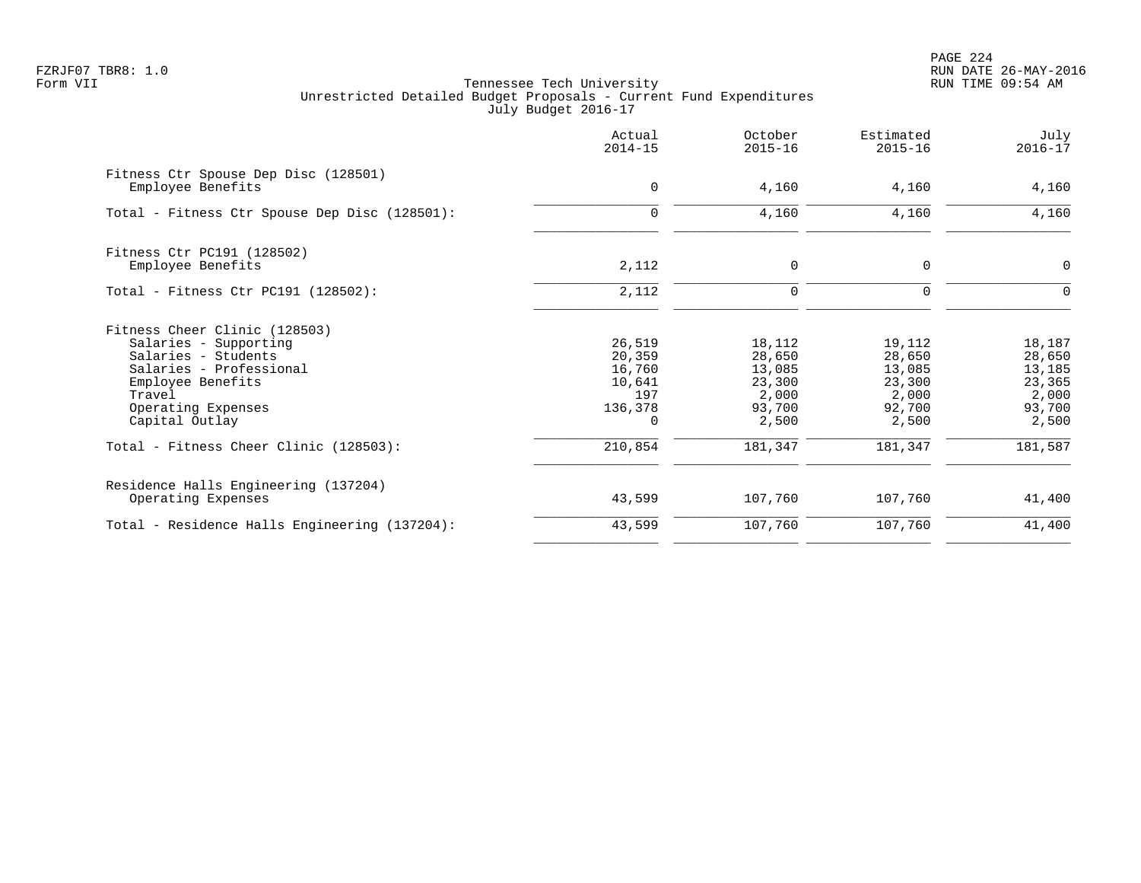PAGE 224 FZRJF07 TBR8: 1.0 RUN DATE 26-MAY-2016

|                                                                                                                                                                                                                           | Actual<br>$2014 - 15$                                                         | October<br>$2015 - 16$                                                      | Estimated<br>$2015 - 16$                                                    | July<br>$2016 - 17$                                                         |
|---------------------------------------------------------------------------------------------------------------------------------------------------------------------------------------------------------------------------|-------------------------------------------------------------------------------|-----------------------------------------------------------------------------|-----------------------------------------------------------------------------|-----------------------------------------------------------------------------|
| Fitness Ctr Spouse Dep Disc (128501)<br>Employee Benefits                                                                                                                                                                 | $\mathbf 0$                                                                   | 4,160                                                                       | 4,160                                                                       | 4,160                                                                       |
| Total - Fitness Ctr Spouse Dep Disc (128501):                                                                                                                                                                             | $\mathbf 0$                                                                   | 4,160                                                                       | 4,160                                                                       | 4,160                                                                       |
| Fitness Ctr PC191 (128502)<br>Employee Benefits                                                                                                                                                                           | 2,112                                                                         | $\mathbf 0$                                                                 | $\mathbf 0$                                                                 | 0                                                                           |
| Total - Fitness Ctr PC191 (128502):                                                                                                                                                                                       | 2,112                                                                         | $\mathbf 0$                                                                 | $\Omega$                                                                    | $\Omega$                                                                    |
| Fitness Cheer Clinic (128503)<br>Salaries - Supporting<br>Salaries - Students<br>Salaries - Professional<br>Employee Benefits<br>Travel<br>Operating Expenses<br>Capital Outlay<br>Total - Fitness Cheer Clinic (128503): | 26,519<br>20,359<br>16,760<br>10,641<br>197<br>136,378<br>$\Omega$<br>210,854 | 18,112<br>28,650<br>13,085<br>23,300<br>2,000<br>93,700<br>2,500<br>181,347 | 19,112<br>28,650<br>13,085<br>23,300<br>2,000<br>92,700<br>2,500<br>181,347 | 18,187<br>28,650<br>13,185<br>23,365<br>2,000<br>93,700<br>2,500<br>181,587 |
| Residence Halls Engineering (137204)<br>Operating Expenses                                                                                                                                                                | 43,599                                                                        | 107,760                                                                     | 107,760                                                                     | 41,400                                                                      |
| Total - Residence Halls Engineering (137204):                                                                                                                                                                             | 43,599                                                                        | 107,760                                                                     | 107,760                                                                     | 41,400                                                                      |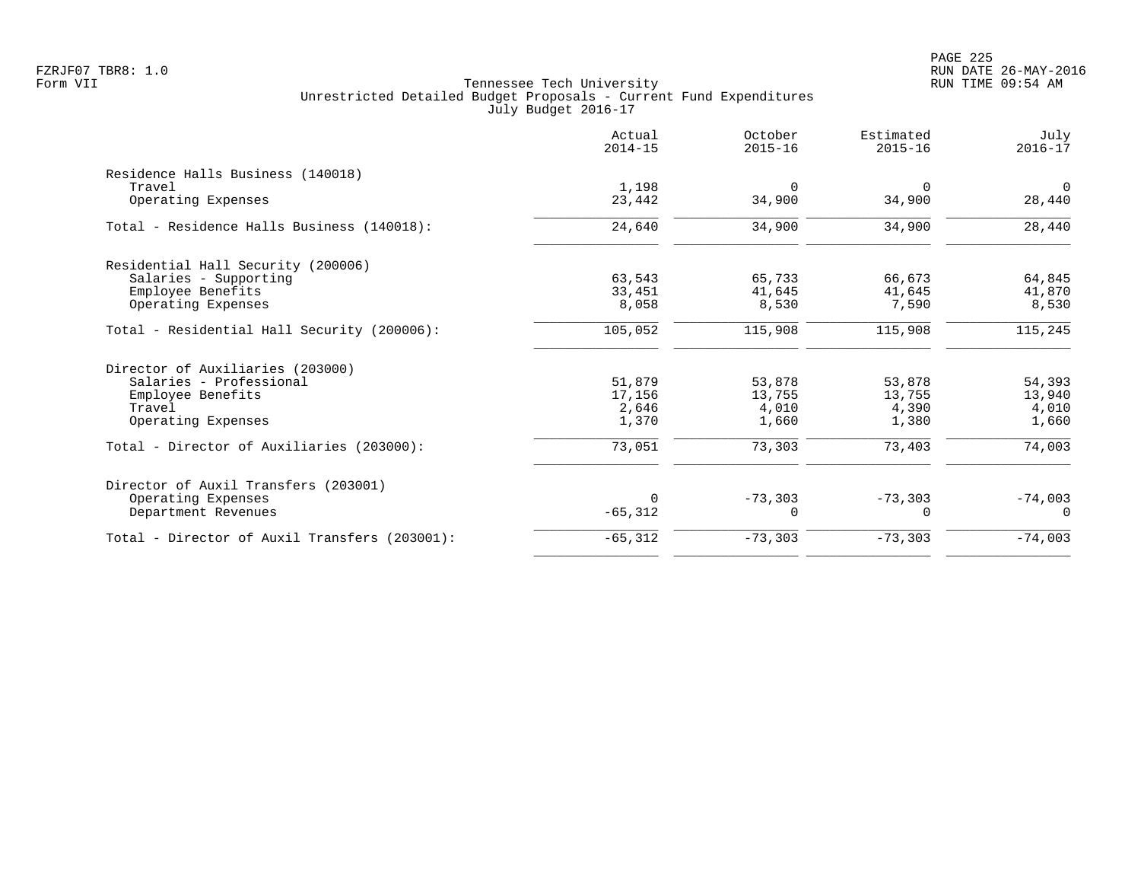|                                               | Actual<br>$2014 - 15$ | October<br>$2015 - 16$ | Estimated<br>$2015 - 16$ | July<br>$2016 - 17$ |
|-----------------------------------------------|-----------------------|------------------------|--------------------------|---------------------|
| Residence Halls Business (140018)             |                       |                        |                          |                     |
| Travel<br>Operating Expenses                  | 1,198<br>23,442       | $\Omega$<br>34,900     | $\Omega$<br>34,900       | $\Omega$<br>28,440  |
| Total - Residence Halls Business (140018):    | 24,640                | 34,900                 | 34,900                   | 28,440              |
| Residential Hall Security (200006)            |                       |                        |                          |                     |
| Salaries - Supporting                         | 63,543                | 65,733                 | 66,673                   | 64,845              |
| Employee Benefits                             | 33,451                | 41,645                 | 41,645                   | 41,870              |
| Operating Expenses                            | 8,058                 | 8,530                  | 7,590                    | 8,530               |
| Total - Residential Hall Security (200006):   | 105,052               | 115,908                | 115,908                  | 115,245             |
| Director of Auxiliaries (203000)              |                       |                        |                          |                     |
| Salaries - Professional                       | 51,879                | 53,878                 | 53,878                   | 54,393              |
| Employee Benefits                             | 17,156                | 13,755                 | 13,755                   | 13,940              |
| Travel                                        | 2,646                 | 4,010                  | 4,390                    | 4,010               |
| Operating Expenses                            | 1,370                 | 1,660                  | 1,380                    | 1,660               |
| Total - Director of Auxiliaries (203000):     | 73,051                | 73,303                 | 73,403                   | 74,003              |
| Director of Auxil Transfers (203001)          |                       |                        |                          |                     |
| Operating Expenses                            | $\Omega$              | $-73,303$              | $-73,303$                | $-74,003$           |
| Department Revenues                           | $-65, 312$            | 0                      | $\Omega$                 | $\Omega$            |
| Total - Director of Auxil Transfers (203001): | $-65, 312$            | $-73,303$              | $-73,303$                | $-74,003$           |
|                                               |                       |                        |                          |                     |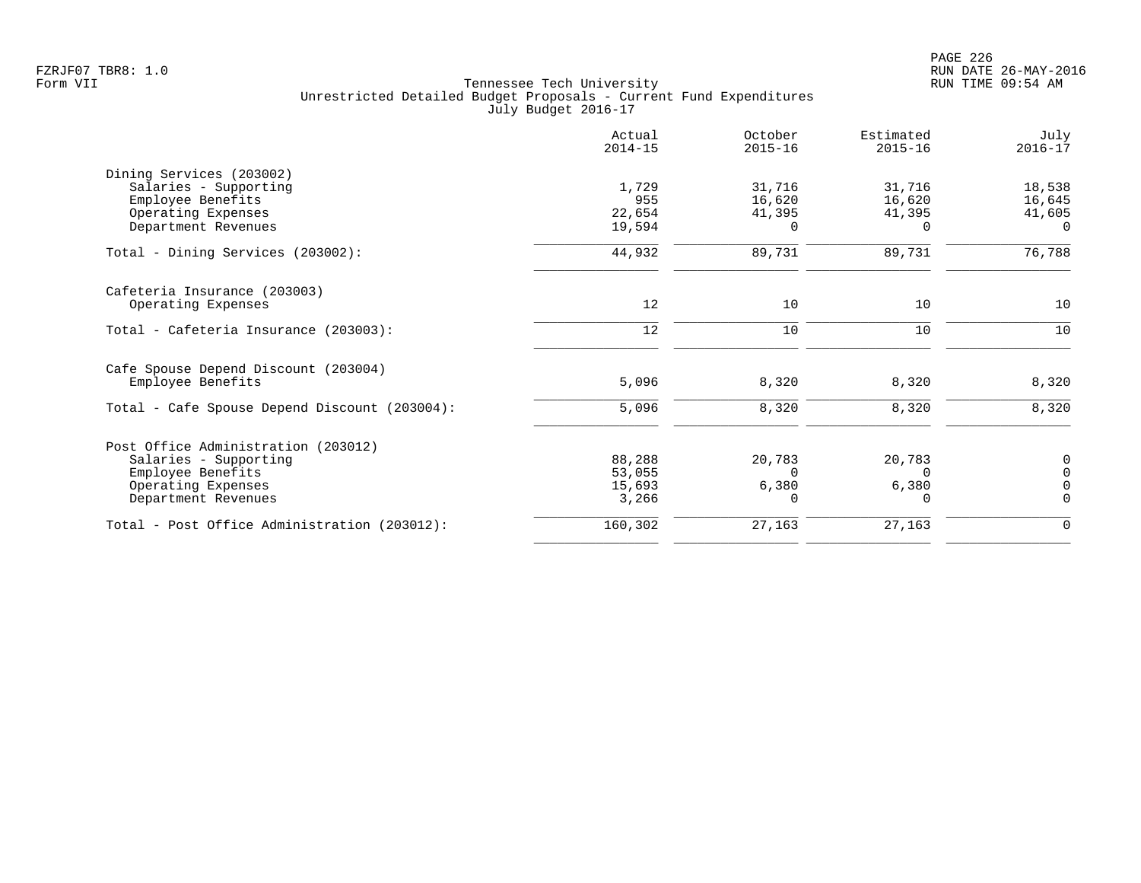|                                               | Actual<br>$2014 - 15$ | October<br>$2015 - 16$ | Estimated<br>$2015 - 16$ | July<br>$2016 - 17$ |
|-----------------------------------------------|-----------------------|------------------------|--------------------------|---------------------|
| Dining Services (203002)                      |                       |                        |                          |                     |
| Salaries - Supporting                         | 1,729                 | 31,716                 | 31,716                   | 18,538              |
| Employee Benefits                             | 955                   | 16,620                 | 16,620                   | 16,645              |
| Operating Expenses                            | 22,654                | 41,395                 | 41,395                   | 41,605              |
| Department Revenues                           | 19,594                | $\Omega$               | $\Omega$                 | $\Omega$            |
| Total - Dining Services (203002):             | 44,932                | 89,731                 | 89,731                   | 76,788              |
| Cafeteria Insurance (203003)                  |                       |                        |                          |                     |
| Operating Expenses                            | 12                    | 10                     | 10                       | 10                  |
| Total - Cafeteria Insurance (203003):         | 12                    | 10                     | 10                       | 10                  |
| Cafe Spouse Depend Discount (203004)          |                       |                        |                          |                     |
| Employee Benefits                             | 5,096                 | 8,320                  | 8,320                    | 8,320               |
| Total - Cafe Spouse Depend Discount (203004): | 5,096                 | 8,320                  | 8,320                    | 8,320               |
| Post Office Administration (203012)           |                       |                        |                          |                     |
| Salaries - Supporting                         | 88,288                | 20,783                 | 20,783                   | 0                   |
| Employee Benefits                             | 53,055                | $\Omega$               | $\Omega$                 | $\Omega$            |
| Operating Expenses                            | 15,693                | 6,380                  | 6,380                    | $\Omega$            |
| Department Revenues                           | 3,266                 | O                      | $\Omega$                 | $\Omega$            |
| Total - Post Office Administration (203012):  | 160,302               | 27,163                 | 27,163                   | $\Omega$            |
|                                               |                       |                        |                          |                     |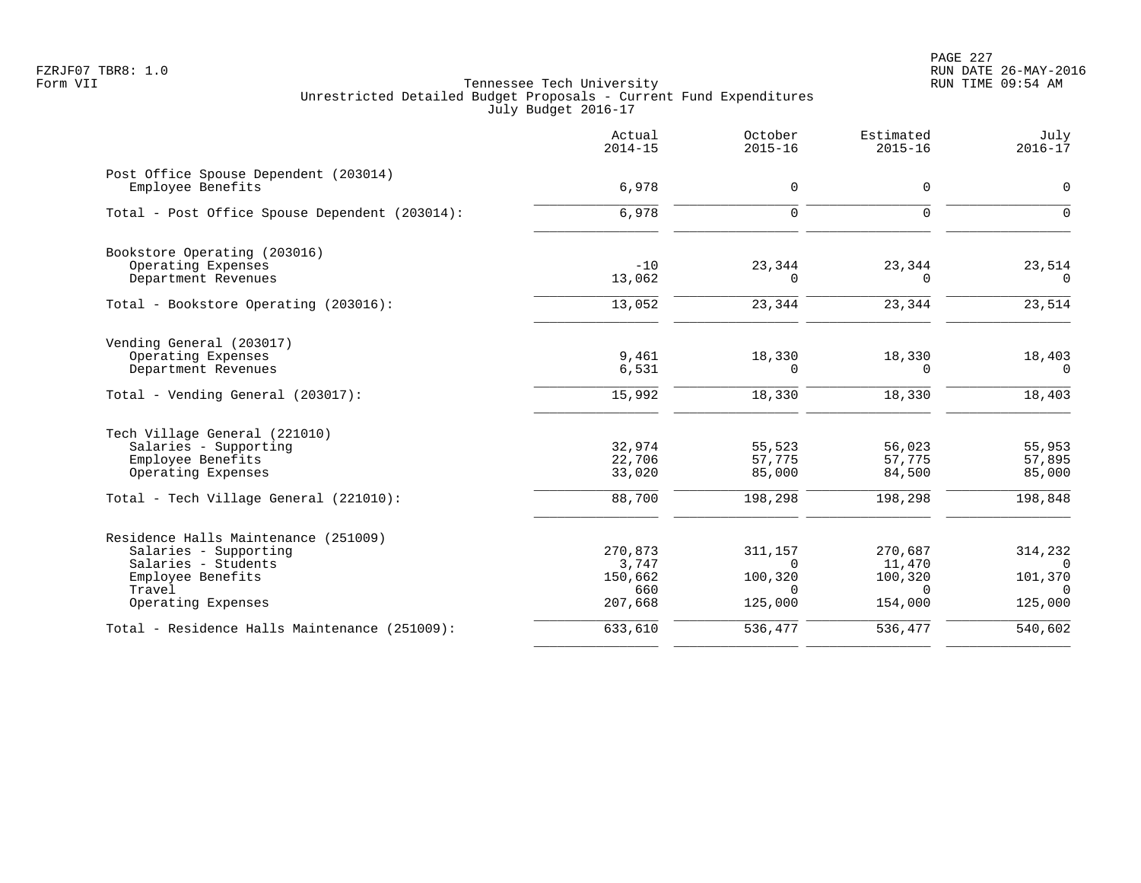PAGE 227 FZRJF07 TBR8: 1.0 RUN DATE 26-MAY-2016

|                                                            | Actual<br>$2014 - 15$ | October<br>$2015 - 16$ | Estimated<br>$2015 - 16$ | July<br>$2016 - 17$    |
|------------------------------------------------------------|-----------------------|------------------------|--------------------------|------------------------|
| Post Office Spouse Dependent (203014)<br>Employee Benefits | 6,978                 | 0                      | 0                        | $\mathbf 0$            |
| Total - Post Office Spouse Dependent (203014):             | 6,978                 | $\Omega$               | $\Omega$                 | $\Omega$               |
| Bookstore Operating (203016)<br>Operating Expenses         | $-10$                 | 23,344                 | 23,344                   | 23,514                 |
| Department Revenues                                        | 13,062                | 0                      | $\Omega$                 | $\Omega$               |
| Total - Bookstore Operating (203016):                      | 13,052                | 23,344                 | 23,344                   | 23,514                 |
| Vending General (203017)                                   |                       |                        |                          |                        |
| Operating Expenses<br>Department Revenues                  | 9,461<br>6,531        | 18,330<br>$\Omega$     | 18,330<br>$\Omega$       | 18,403<br>$\Omega$     |
| Total - Vending General (203017):                          | 15,992                | 18,330                 | 18,330                   | 18,403                 |
| Tech Village General (221010)                              |                       |                        |                          |                        |
| Salaries - Supporting                                      | 32,974                | 55,523                 | 56,023                   | 55,953                 |
| Employee Benefits<br>Operating Expenses                    | 22,706<br>33,020      | 57,775<br>85,000       | 57,775<br>84,500         | 57,895<br>85,000       |
| Total - Tech Village General (221010):                     | 88,700                | 198,298                | 198,298                  | 198,848                |
| Residence Halls Maintenance (251009)                       |                       |                        |                          |                        |
| Salaries - Supporting                                      | 270,873               | 311,157                | 270,687                  | 314,232                |
| Salaries - Students                                        | 3,747                 | $\Omega$               | 11,470                   | $\Omega$               |
| Employee Benefits<br>Travel                                | 150,662<br>660        | 100,320<br>$\Omega$    | 100,320<br>$\Omega$      | 101,370<br>$\Omega$    |
| Operating Expenses                                         | 207,668               | 125,000                | 154,000                  | 125,000                |
| Total - Residence Halls Maintenance (251009):              | 633,610               | 536,477                | 536,477                  | $\overline{540}$ , 602 |
|                                                            |                       |                        |                          |                        |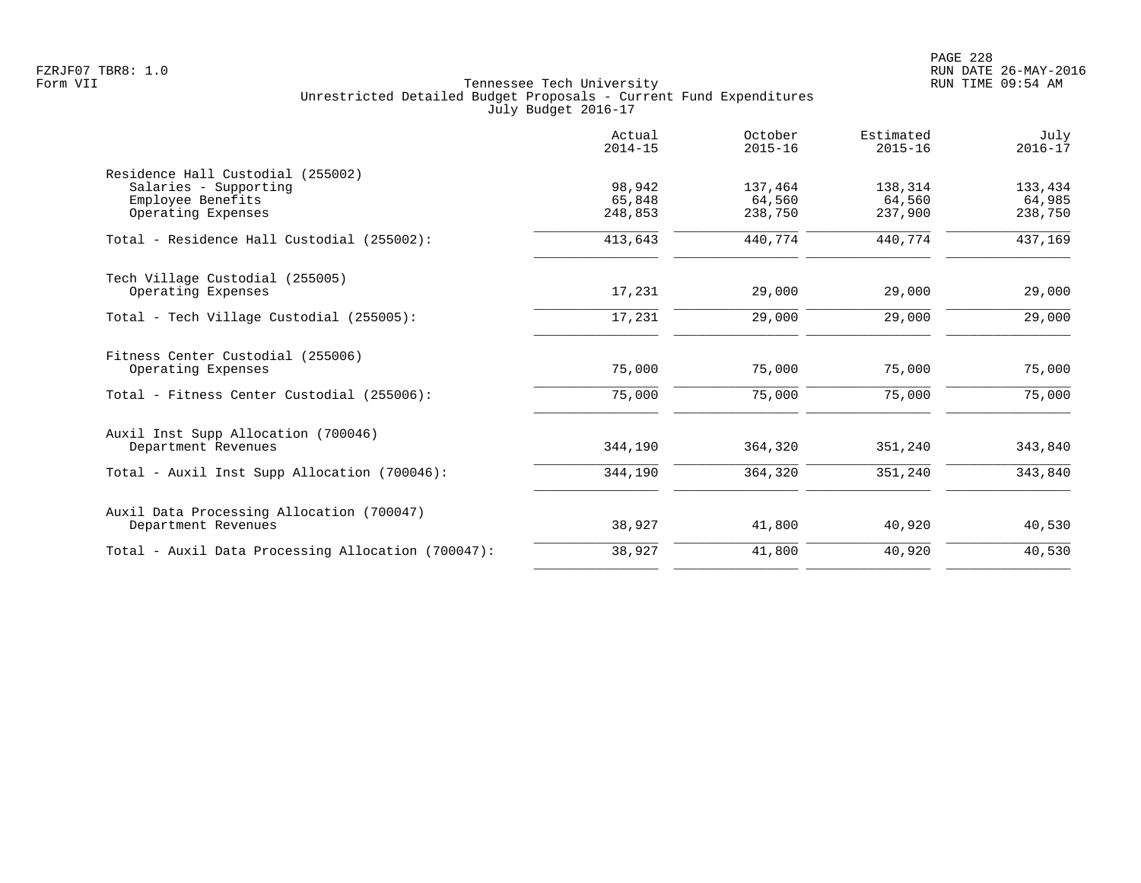|                                                                  | Actual<br>$2014 - 15$       | October<br>$2015 - 16$       | Estimated<br>$2015 - 16$     | July<br>$2016 - 17$          |
|------------------------------------------------------------------|-----------------------------|------------------------------|------------------------------|------------------------------|
| Residence Hall Custodial (255002)                                |                             |                              |                              |                              |
| Salaries - Supporting<br>Employee Benefits<br>Operating Expenses | 98,942<br>65,848<br>248,853 | 137,464<br>64,560<br>238,750 | 138,314<br>64,560<br>237,900 | 133,434<br>64,985<br>238,750 |
| Total - Residence Hall Custodial (255002):                       | 413,643                     | 440,774                      | 440,774                      | 437,169                      |
| Tech Village Custodial (255005)<br>Operating Expenses            | 17,231                      | 29,000                       | 29,000                       | 29,000                       |
|                                                                  |                             |                              |                              |                              |
| Total - Tech Village Custodial (255005):                         | 17,231                      | 29,000                       | 29,000                       | 29,000                       |
| Fitness Center Custodial (255006)<br>Operating Expenses          | 75,000                      | 75,000                       | 75,000                       | 75,000                       |
| Total - Fitness Center Custodial (255006):                       | 75,000                      | 75,000                       | 75,000                       | 75,000                       |
| Auxil Inst Supp Allocation (700046)                              |                             |                              |                              |                              |
| Department Revenues                                              | 344,190                     | 364,320                      | 351,240                      | 343,840                      |
| Total - Auxil Inst Supp Allocation (700046):                     | 344,190                     | 364,320                      | 351,240                      | 343,840                      |
| Auxil Data Processing Allocation (700047)                        |                             |                              |                              |                              |
| Department Revenues                                              | 38,927                      | 41,800                       | 40,920                       | 40,530                       |
| Total - Auxil Data Processing Allocation (700047):               | 38,927                      | 41,800                       | 40,920                       | 40,530                       |
|                                                                  |                             |                              |                              |                              |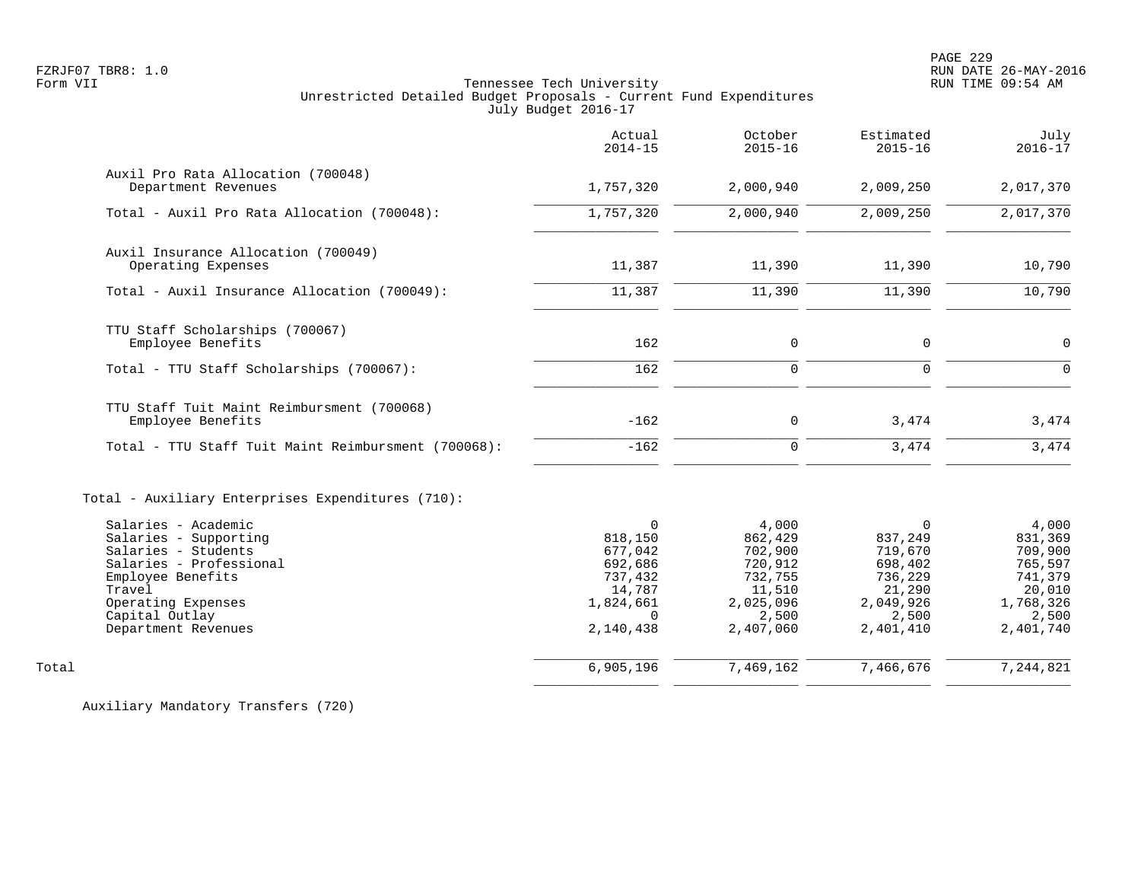|                                                                                                                                                                                              | Actual<br>$2014 - 15$                                                                                   | October<br>$2015 - 16$                                                                         | Estimated<br>$2015 - 16$                                                                          | July<br>$2016 - 17$                                                                            |
|----------------------------------------------------------------------------------------------------------------------------------------------------------------------------------------------|---------------------------------------------------------------------------------------------------------|------------------------------------------------------------------------------------------------|---------------------------------------------------------------------------------------------------|------------------------------------------------------------------------------------------------|
| Auxil Pro Rata Allocation (700048)<br>Department Revenues                                                                                                                                    | 1,757,320                                                                                               | 2,000,940                                                                                      | 2,009,250                                                                                         | 2,017,370                                                                                      |
| Total - Auxil Pro Rata Allocation (700048):                                                                                                                                                  | 1,757,320                                                                                               | 2,000,940                                                                                      | 2,009,250                                                                                         | 2,017,370                                                                                      |
| Auxil Insurance Allocation (700049)<br>Operating Expenses                                                                                                                                    | 11,387                                                                                                  | 11,390                                                                                         | 11,390                                                                                            | 10,790                                                                                         |
| Total - Auxil Insurance Allocation (700049):                                                                                                                                                 | 11,387                                                                                                  | 11,390                                                                                         | 11,390                                                                                            | 10,790                                                                                         |
| TTU Staff Scholarships (700067)<br>Employee Benefits                                                                                                                                         | 162                                                                                                     | 0                                                                                              | $\mathbf 0$                                                                                       | $\Omega$                                                                                       |
| Total - TTU Staff Scholarships (700067):                                                                                                                                                     | 162                                                                                                     | $\mathbf 0$                                                                                    | $\mathbf 0$                                                                                       | $\Omega$                                                                                       |
| TTU Staff Tuit Maint Reimbursment (700068)<br>Employee Benefits                                                                                                                              | $-162$                                                                                                  | 0                                                                                              | 3,474                                                                                             | 3,474                                                                                          |
| Total - TTU Staff Tuit Maint Reimbursment (700068):                                                                                                                                          | $-162$                                                                                                  | $\mathbf 0$                                                                                    | 3,474                                                                                             | 3,474                                                                                          |
| Total - Auxiliary Enterprises Expenditures (710):                                                                                                                                            |                                                                                                         |                                                                                                |                                                                                                   |                                                                                                |
| Salaries - Academic<br>Salaries - Supporting<br>Salaries - Students<br>Salaries - Professional<br>Employee Benefits<br>Travel<br>Operating Expenses<br>Capital Outlay<br>Department Revenues | $\mathbf 0$<br>818,150<br>677,042<br>692,686<br>737,432<br>14,787<br>1,824,661<br>$\Omega$<br>2,140,438 | 4,000<br>862,429<br>702,900<br>720,912<br>732,755<br>11,510<br>2,025,096<br>2,500<br>2,407,060 | $\Omega$<br>837,249<br>719,670<br>698,402<br>736,229<br>21,290<br>2,049,926<br>2,500<br>2,401,410 | 4,000<br>831,369<br>709,900<br>765,597<br>741,379<br>20,010<br>1,768,326<br>2,500<br>2,401,740 |
| Total                                                                                                                                                                                        | 6,905,196                                                                                               | 7,469,162                                                                                      | 7,466,676                                                                                         | 7,244,821                                                                                      |
|                                                                                                                                                                                              |                                                                                                         |                                                                                                |                                                                                                   |                                                                                                |

Auxiliary Mandatory Transfers (720)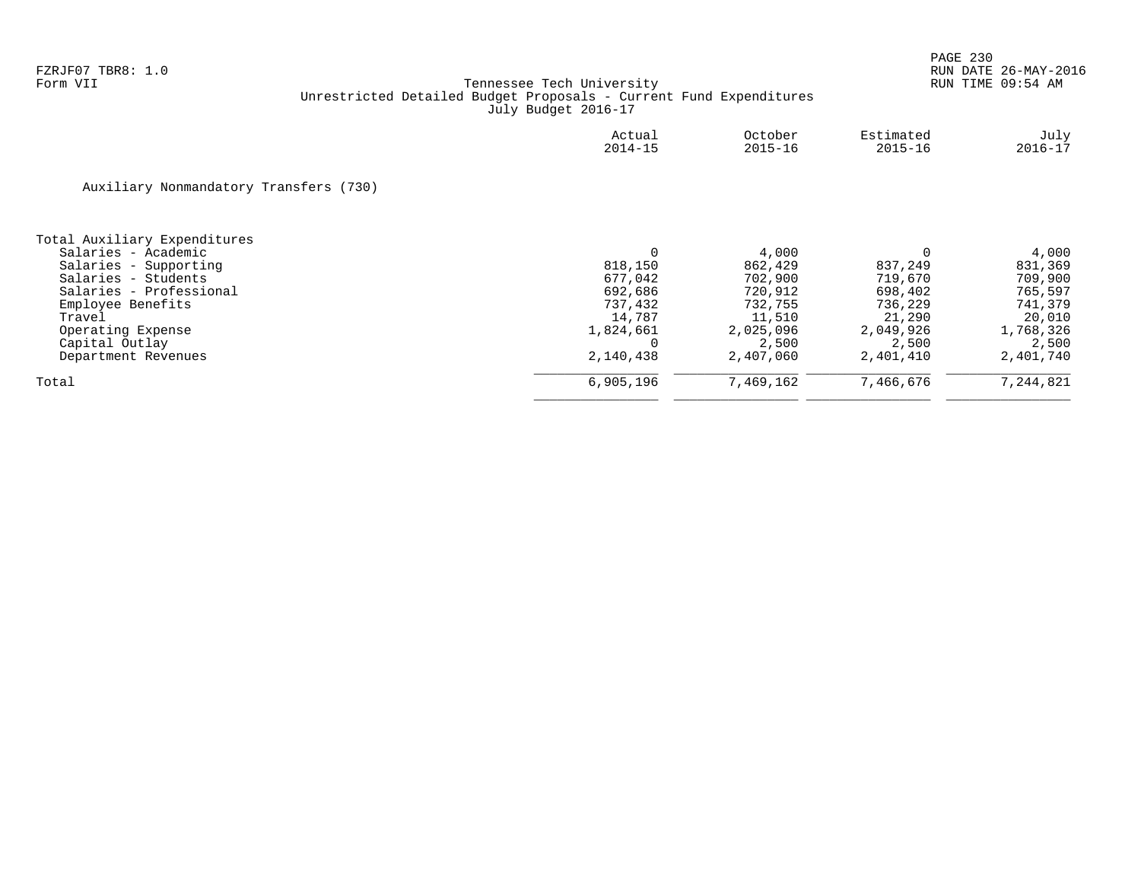|                                        | Actual<br>$2014 - 15$ | October<br>$2015 - 16$ | Estimated<br>$2015 - 16$ | July<br>$2016 - 17$ |
|----------------------------------------|-----------------------|------------------------|--------------------------|---------------------|
| Auxiliary Nonmandatory Transfers (730) |                       |                        |                          |                     |
| Total Auxiliary Expenditures           |                       |                        |                          |                     |
| Salaries - Academic                    | 0                     | 4,000                  |                          | 4,000               |
| Salaries - Supporting                  | 818,150               | 862,429                | 837,249                  | 831,369             |
| Salaries - Students                    | 677,042               | 702,900                | 719,670                  | 709,900             |
| Salaries - Professional                | 692,686               | 720,912                | 698,402                  | 765,597             |
| Employee Benefits                      | 737,432               | 732,755                | 736,229                  | 741,379             |
| Travel                                 | 14,787                | 11,510                 | 21,290                   | 20,010              |
| Operating Expense                      | 1,824,661             | 2,025,096              | 2,049,926                | 1,768,326           |
| Capital Outlay                         |                       | 2,500                  | 2,500                    | 2,500               |
| Department Revenues                    | 2,140,438             | 2,407,060              | 2,401,410                | 2,401,740           |
| Total                                  | 6,905,196             | 7,469,162              | 7,466,676                | 7,244,821           |
|                                        |                       |                        |                          |                     |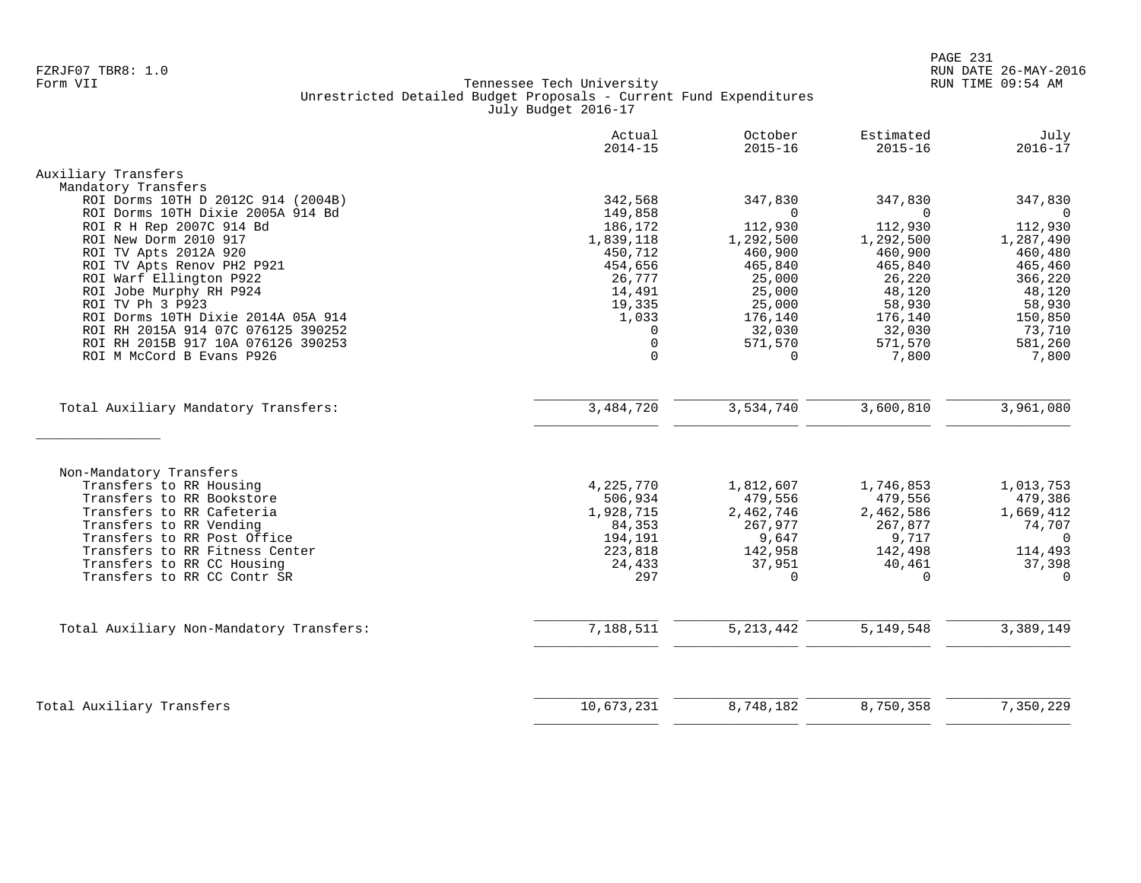|                                                                                                                                                                                                                                                                       | Actual<br>$2014 - 15$                                                              | October<br>$2015 - 16$                                                               | Estimated<br>$2015 - 16$                                                               | July<br>$2016 - 17$                                                                         |
|-----------------------------------------------------------------------------------------------------------------------------------------------------------------------------------------------------------------------------------------------------------------------|------------------------------------------------------------------------------------|--------------------------------------------------------------------------------------|----------------------------------------------------------------------------------------|---------------------------------------------------------------------------------------------|
| Auxiliary Transfers                                                                                                                                                                                                                                                   |                                                                                    |                                                                                      |                                                                                        |                                                                                             |
| Mandatory Transfers                                                                                                                                                                                                                                                   |                                                                                    |                                                                                      |                                                                                        |                                                                                             |
| ROI Dorms 10TH D 2012C 914 (2004B)                                                                                                                                                                                                                                    | 342,568                                                                            | 347,830                                                                              | 347,830                                                                                | 347,830                                                                                     |
| ROI Dorms 10TH Dixie 2005A 914 Bd                                                                                                                                                                                                                                     | 149,858                                                                            | $\Omega$                                                                             | $\Omega$                                                                               | $\Omega$                                                                                    |
| ROI R H Rep 2007C 914 Bd                                                                                                                                                                                                                                              | 186,172                                                                            | 112,930                                                                              | 112,930                                                                                | 112,930                                                                                     |
| ROI New Dorm 2010 917                                                                                                                                                                                                                                                 | 1,839,118                                                                          | 1,292,500                                                                            | 1,292,500                                                                              | 1,287,490                                                                                   |
| ROI TV Apts 2012A 920                                                                                                                                                                                                                                                 | 450,712                                                                            | 460,900                                                                              | 460,900                                                                                | 460,480                                                                                     |
| ROI TV Apts Renov PH2 P921                                                                                                                                                                                                                                            | 454,656                                                                            | 465,840                                                                              | 465,840                                                                                | 465,460                                                                                     |
| ROI Warf Ellington P922                                                                                                                                                                                                                                               | 26,777                                                                             | 25,000                                                                               | 26,220                                                                                 | 366,220                                                                                     |
| ROI Jobe Murphy RH P924                                                                                                                                                                                                                                               | 14,491                                                                             | 25,000                                                                               | 48,120                                                                                 | 48,120                                                                                      |
| ROI TV Ph 3 P923                                                                                                                                                                                                                                                      |                                                                                    | 25,000                                                                               | 58,930                                                                                 |                                                                                             |
|                                                                                                                                                                                                                                                                       | 19,335                                                                             |                                                                                      |                                                                                        | 58,930                                                                                      |
| ROI Dorms 10TH Dixie 2014A 05A 914                                                                                                                                                                                                                                    | 1,033                                                                              | 176,140                                                                              | 176,140                                                                                | 150,850                                                                                     |
| ROI RH 2015A 914 07C 076125 390252                                                                                                                                                                                                                                    | $\Omega$                                                                           | 32,030                                                                               | 32,030                                                                                 | 73,710                                                                                      |
| ROI RH 2015B 917 10A 076126 390253                                                                                                                                                                                                                                    | $\mathbf 0$                                                                        | 571,570                                                                              | 571,570                                                                                | 581,260                                                                                     |
| ROI M McCord B Evans P926                                                                                                                                                                                                                                             | $\Omega$                                                                           | $\Omega$                                                                             | 7,800                                                                                  | 7,800                                                                                       |
|                                                                                                                                                                                                                                                                       |                                                                                    |                                                                                      |                                                                                        | 3,961,080                                                                                   |
| Total Auxiliary Mandatory Transfers:                                                                                                                                                                                                                                  | 3,484,720                                                                          | 3,534,740                                                                            | 3,600,810                                                                              |                                                                                             |
| Non-Mandatory Transfers<br>Transfers to RR Housing<br>Transfers to RR Bookstore<br>Transfers to RR Cafeteria<br>Transfers to RR Vending<br>Transfers to RR Post Office<br>Transfers to RR Fitness Center<br>Transfers to RR CC Housing<br>Transfers to RR CC Contr SR | 4,225,770<br>506,934<br>1,928,715<br>84,353<br>194,191<br>223,818<br>24,433<br>297 | 1,812,607<br>479,556<br>2,462,746<br>267,977<br>9,647<br>142,958<br>37,951<br>$\cap$ | 1,746,853<br>479,556<br>2,462,586<br>267,877<br>9,717<br>142,498<br>40,461<br>$\Omega$ | 1,013,753<br>479,386<br>1,669,412<br>74,707<br>$\mathbf 0$<br>114,493<br>37,398<br>$\Omega$ |
| Total Auxiliary Non-Mandatory Transfers:                                                                                                                                                                                                                              | 7,188,511                                                                          | 5, 213, 442                                                                          | 5,149,548                                                                              | 3,389,149                                                                                   |
| Total Auxiliary Transfers                                                                                                                                                                                                                                             | 10,673,231                                                                         | 8,748,182                                                                            | 8,750,358                                                                              | 7,350,229                                                                                   |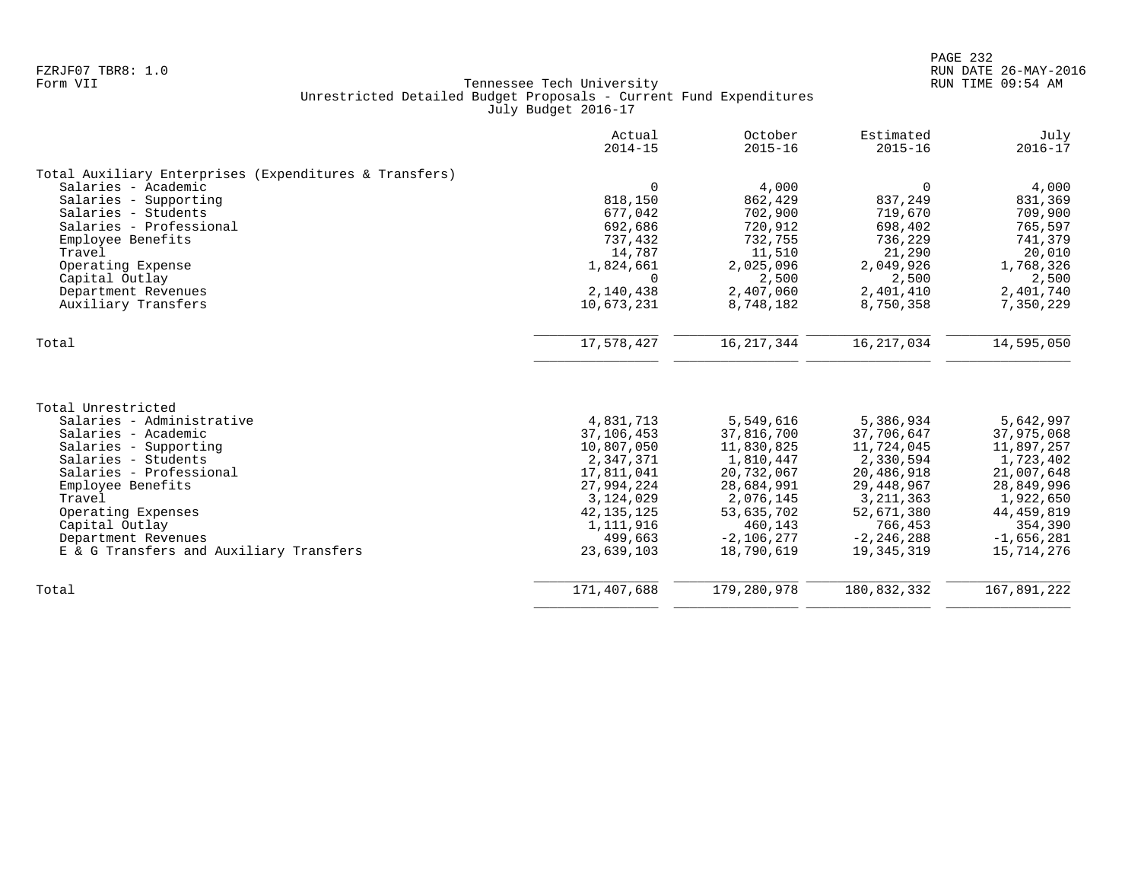|                                                        | Actual<br>$2014 - 15$ | October<br>$2015 - 16$ | Estimated<br>$2015 - 16$ | July<br>$2016 - 17$ |
|--------------------------------------------------------|-----------------------|------------------------|--------------------------|---------------------|
| Total Auxiliary Enterprises (Expenditures & Transfers) |                       |                        |                          |                     |
| Salaries - Academic                                    | $\mathbf 0$           | 4,000                  | 0                        | 4,000               |
| Salaries - Supporting                                  | 818,150               | 862,429                | 837,249                  | 831,369             |
| Salaries - Students                                    | 677,042               | 702,900                | 719,670                  | 709,900             |
| Salaries - Professional                                | 692,686               | 720,912                | 698,402                  | 765,597             |
| Employee Benefits                                      | 737,432               | 732,755                | 736,229                  | 741,379             |
| Travel                                                 | 14,787                | 11,510                 | 21,290                   | 20,010              |
| Operating Expense                                      | 1,824,661             | 2,025,096              | 2,049,926                | 1,768,326           |
| Capital Outlay                                         | $\Omega$              | 2,500                  | 2,500                    | 2,500               |
| Department Revenues                                    | 2,140,438             | 2,407,060              | 2,401,410                | 2,401,740           |
| Auxiliary Transfers                                    | 10,673,231            | 8,748,182              | 8,750,358                | 7,350,229           |
| Total                                                  | 17,578,427            | 16, 217, 344           | 16, 217, 034             | 14,595,050          |
|                                                        |                       |                        |                          |                     |
| Total Unrestricted                                     |                       |                        |                          |                     |
| Salaries - Administrative                              | 4,831,713             | 5,549,616              | 5,386,934                | 5,642,997           |
| Salaries - Academic                                    | 37,106,453            | 37,816,700             | 37,706,647               | 37,975,068          |
| Salaries - Supporting                                  | 10,807,050            | 11,830,825             | 11,724,045               | 11,897,257          |
| Salaries - Students                                    | 2,347,371             | 1,810,447              | 2,330,594                | 1,723,402           |
| Salaries - Professional                                | 17,811,041            | 20,732,067             | 20,486,918               | 21,007,648          |
| Employee Benefits                                      | 27,994,224            | 28,684,991             | 29, 448, 967             | 28,849,996          |
| Travel                                                 | 3,124,029             | 2,076,145              | 3, 211, 363              | 1,922,650           |
| Operating Expenses                                     | 42, 135, 125          | 53,635,702             | 52,671,380               | 44, 459, 819        |
| Capital Outlay                                         | 1,111,916             | 460,143                | 766,453                  | 354,390             |
| Department Revenues                                    | 499,663               | $-2,106,277$           | $-2, 246, 288$           | $-1,656,281$        |
| E & G Transfers and Auxiliary Transfers                | 23,639,103            | 18,790,619             | 19,345,319               | 15,714,276          |
| Total                                                  | 171,407,688           | 179,280,978            | 180,832,332              | 167,891,222         |
|                                                        |                       |                        |                          |                     |